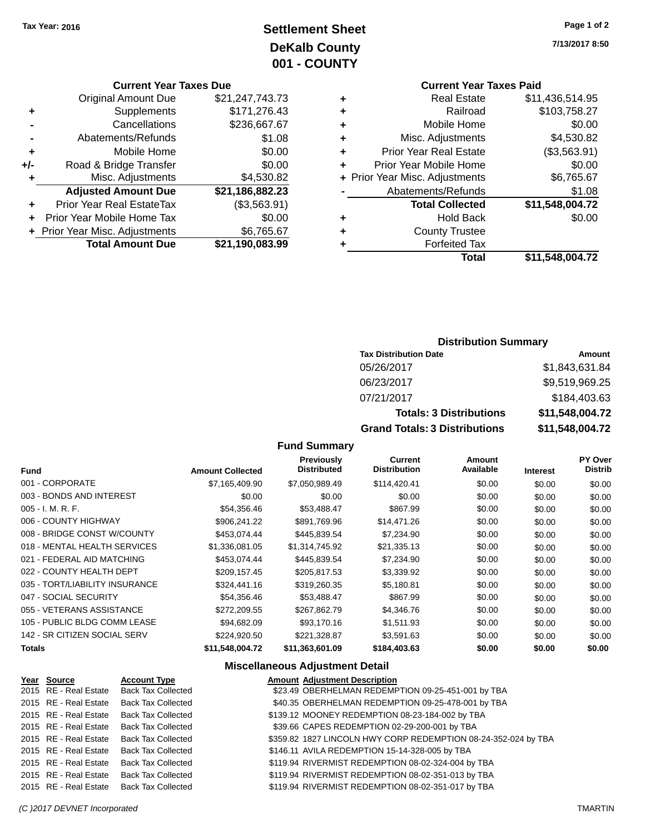# **Settlement Sheet Tax Year: 2016 Page 1 of 2 DeKalb County 001 - COUNTY**

### **Current Year Taxes Due**

| <b>Original Amount Due</b> | \$21,247,743.73                |
|----------------------------|--------------------------------|
| Supplements                | \$171,276.43                   |
| Cancellations              | \$236,667.67                   |
| Abatements/Refunds         | \$1.08                         |
| Mobile Home                | \$0.00                         |
| Road & Bridge Transfer     | \$0.00                         |
| Misc. Adjustments          | \$4,530.82                     |
| <b>Adjusted Amount Due</b> | \$21,186,882.23                |
| Prior Year Real EstateTax  | (\$3,563.91)                   |
| Prior Year Mobile Home Tax | \$0.00                         |
|                            | \$6,765.67                     |
| <b>Total Amount Due</b>    | \$21,190,083.99                |
|                            | + Prior Year Misc. Adjustments |

**7/13/2017 8:50**

# **Current Year Taxes Paid**

| ٠ | <b>Real Estate</b>             | \$11,436,514.95 |
|---|--------------------------------|-----------------|
| ٠ | Railroad                       | \$103,758.27    |
| ٠ | Mobile Home                    | \$0.00          |
| ٠ | Misc. Adjustments              | \$4,530.82      |
| ٠ | <b>Prior Year Real Estate</b>  | (\$3,563.91)    |
| ٠ | Prior Year Mobile Home         | \$0.00          |
|   | + Prior Year Misc. Adjustments | \$6,765.67      |
|   | Abatements/Refunds             | \$1.08          |
|   | <b>Total Collected</b>         | \$11,548,004.72 |
| ٠ | <b>Hold Back</b>               | \$0.00          |
| ٠ | <b>County Trustee</b>          |                 |
| ٠ | <b>Forfeited Tax</b>           |                 |
|   | Total                          | \$11,548,004.72 |
|   |                                |                 |

## **Distribution Summary**

| <b>Tax Distribution Date</b>         | Amount          |
|--------------------------------------|-----------------|
| 05/26/2017                           | \$1,843,631.84  |
| 06/23/2017                           | \$9,519,969.25  |
| 07/21/2017                           | \$184,403.63    |
| <b>Totals: 3 Distributions</b>       | \$11,548,004.72 |
| <b>Grand Totals: 3 Distributions</b> | \$11,548,004.72 |

### **Fund Summary**

| <b>Fund</b>                    | <b>Amount Collected</b> | <b>Previously</b><br><b>Distributed</b> | <b>Current</b><br><b>Distribution</b> | Amount<br>Available | <b>Interest</b> | <b>PY Over</b><br><b>Distrib</b> |
|--------------------------------|-------------------------|-----------------------------------------|---------------------------------------|---------------------|-----------------|----------------------------------|
| 001 - CORPORATE                | \$7,165,409.90          | \$7,050,989.49                          | \$114,420.41                          | \$0.00              | \$0.00          | \$0.00                           |
| 003 - BONDS AND INTEREST       | \$0.00                  | \$0.00                                  | \$0.00                                | \$0.00              | \$0.00          | \$0.00                           |
| 005 - I. M. R. F.              | \$54,356.46             | \$53,488.47                             | \$867.99                              | \$0.00              | \$0.00          | \$0.00                           |
| 006 - COUNTY HIGHWAY           | \$906,241.22            | \$891,769.96                            | \$14,471.26                           | \$0.00              | \$0.00          | \$0.00                           |
| 008 - BRIDGE CONST W/COUNTY    | \$453.074.44            | \$445.839.54                            | \$7,234.90                            | \$0.00              | \$0.00          | \$0.00                           |
| 018 - MENTAL HEALTH SERVICES   | \$1,336,081.05          | \$1,314,745.92                          | \$21,335.13                           | \$0.00              | \$0.00          | \$0.00                           |
| 021 - FEDERAL AID MATCHING     | \$453,074.44            | \$445,839.54                            | \$7,234.90                            | \$0.00              | \$0.00          | \$0.00                           |
| 022 - COUNTY HEALTH DEPT       | \$209,157.45            | \$205,817.53                            | \$3,339.92                            | \$0.00              | \$0.00          | \$0.00                           |
| 035 - TORT/LIABILITY INSURANCE | \$324,441.16            | \$319,260.35                            | \$5,180.81                            | \$0.00              | \$0.00          | \$0.00                           |
| 047 - SOCIAL SECURITY          | \$54,356.46             | \$53,488.47                             | \$867.99                              | \$0.00              | \$0.00          | \$0.00                           |
| 055 - VETERANS ASSISTANCE      | \$272,209.55            | \$267,862.79                            | \$4,346.76                            | \$0.00              | \$0.00          | \$0.00                           |
| 105 - PUBLIC BLDG COMM LEASE   | \$94,682.09             | \$93,170.16                             | \$1,511.93                            | \$0.00              | \$0.00          | \$0.00                           |
| 142 - SR CITIZEN SOCIAL SERV   | \$224.920.50            | \$221,328.87                            | \$3,591.63                            | \$0.00              | \$0.00          | \$0.00                           |
| <b>Totals</b>                  | \$11,548,004.72         | \$11,363,601.09                         | \$184,403.63                          | \$0.00              | \$0.00          | \$0.00                           |

### **Miscellaneous Adjustment Detail**

| Year Source           | <b>Account Type</b>                      | <b>Amount Adjustment Description</b>                           |
|-----------------------|------------------------------------------|----------------------------------------------------------------|
| 2015 RE - Real Estate | <b>Back Tax Collected</b>                | \$23.49 OBERHELMAN REDEMPTION 09-25-451-001 by TBA             |
| 2015 RE - Real Estate | <b>Back Tax Collected</b>                | \$40.35 OBERHELMAN REDEMPTION 09-25-478-001 by TBA             |
| 2015 RE - Real Estate | <b>Back Tax Collected</b>                | \$139.12 MOONEY REDEMPTION 08-23-184-002 by TBA                |
| 2015 RE - Real Estate | <b>Back Tax Collected</b>                | \$39.66 CAPES REDEMPTION 02-29-200-001 by TBA                  |
|                       | 2015 RE - Real Estate Back Tax Collected | \$359.82 1827 LINCOLN HWY CORP REDEMPTION 08-24-352-024 by TBA |
| 2015 RE - Real Estate | <b>Back Tax Collected</b>                | \$146.11 AVILA REDEMPTION 15-14-328-005 by TBA                 |
| 2015 RE - Real Estate | <b>Back Tax Collected</b>                | \$119.94 RIVERMIST REDEMPTION 08-02-324-004 by TBA             |
|                       | 2015 RE - Real Estate Back Tax Collected | \$119.94 RIVERMIST REDEMPTION 08-02-351-013 by TBA             |
|                       | 2015 RE - Real Estate Back Tax Collected | \$119.94 RIVERMIST REDEMPTION 08-02-351-017 by TBA             |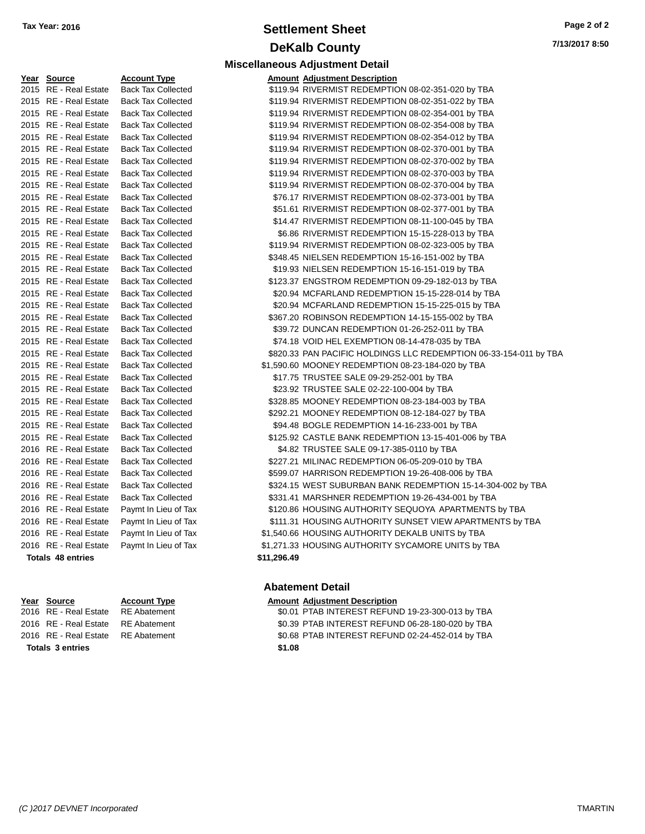# **Settlement Sheet Tax Year: 2016 Page 2 of 2 DeKalb County**

**Miscellaneous Adjustment Detail**

**7/13/2017 8:50**

| Year | <u>Source</u>            | <b>Account Type</b>       | Amount      |
|------|--------------------------|---------------------------|-------------|
| 2015 | <b>RE</b> - Real Estate  | <b>Back Tax Collected</b> | \$119.94    |
| 2015 | <b>RE</b> - Real Estate  | <b>Back Tax Collected</b> | \$119.94    |
| 2015 | <b>RE</b> - Real Estate  | <b>Back Tax Collected</b> | \$119.94    |
| 2015 | <b>RE</b> - Real Estate  | <b>Back Tax Collected</b> | \$119.94    |
| 2015 | <b>RE</b> - Real Estate  | <b>Back Tax Collected</b> | \$119.94    |
| 2015 | <b>RE</b> - Real Estate  | <b>Back Tax Collected</b> | \$119.94    |
| 2015 | <b>RE</b> - Real Estate  | <b>Back Tax Collected</b> | \$119.94    |
| 2015 | <b>RE</b> - Real Estate  | <b>Back Tax Collected</b> | \$119.94    |
| 2015 | <b>RE</b> - Real Estate  | <b>Back Tax Collected</b> | \$119.94    |
| 2015 | <b>RE</b> - Real Estate  | <b>Back Tax Collected</b> | \$76.17     |
| 2015 | RE - Real Estate         | <b>Back Tax Collected</b> | \$51.61     |
| 2015 | RE - Real Estate         | <b>Back Tax Collected</b> | \$14.47     |
| 2015 | <b>RE</b> - Real Estate  | <b>Back Tax Collected</b> | \$6.86      |
| 2015 | <b>RE</b> - Real Estate  | <b>Back Tax Collected</b> | \$119.94    |
| 2015 | <b>RE</b> - Real Estate  | <b>Back Tax Collected</b> | \$348.45    |
| 2015 | <b>RE</b> - Real Estate  | <b>Back Tax Collected</b> | \$19.93     |
| 2015 | <b>RE</b> - Real Estate  | <b>Back Tax Collected</b> | \$123.37    |
| 2015 | <b>RE</b> - Real Estate  | <b>Back Tax Collected</b> | \$20.94     |
| 2015 | <b>RE</b> - Real Estate  | <b>Back Tax Collected</b> | \$20.94     |
| 2015 | <b>RE</b> - Real Estate  | <b>Back Tax Collected</b> | \$367.20    |
| 2015 | <b>RE</b> - Real Estate  | <b>Back Tax Collected</b> | \$39.72     |
| 2015 | <b>RE</b> - Real Estate  | <b>Back Tax Collected</b> | \$74.18     |
| 2015 | <b>RE</b> - Real Estate  | <b>Back Tax Collected</b> | \$820.33    |
| 2015 | <b>RE</b> - Real Estate  | <b>Back Tax Collected</b> | \$1,590.60  |
| 2015 | <b>RE</b> - Real Estate  | <b>Back Tax Collected</b> | \$17.75     |
| 2015 | <b>RE</b> - Real Estate  | <b>Back Tax Collected</b> | \$23.92     |
| 2015 | <b>RE</b> - Real Estate  | <b>Back Tax Collected</b> | \$328.85    |
| 2015 | <b>RE</b> - Real Estate  | <b>Back Tax Collected</b> | \$292.21    |
| 2015 | <b>RE</b> - Real Estate  | <b>Back Tax Collected</b> | \$94.48     |
| 2015 | <b>RE</b> - Real Estate  | <b>Back Tax Collected</b> | \$125.92    |
| 2016 | <b>RE</b> - Real Estate  | <b>Back Tax Collected</b> | \$4.82      |
| 2016 | <b>RE</b> - Real Estate  | <b>Back Tax Collected</b> | \$227.21    |
| 2016 | <b>RE</b> - Real Estate  | <b>Back Tax Collected</b> | \$599.07    |
| 2016 | <b>RE</b> - Real Estate  | <b>Back Tax Collected</b> | \$324.15    |
| 2016 | <b>RE</b> - Real Estate  | <b>Back Tax Collected</b> | \$331.41    |
| 2016 | <b>RE</b> - Real Estate  | Paymt In Lieu of Tax      | \$120.86    |
| 2016 | <b>RE</b> - Real Estate  | Paymt In Lieu of Tax      | \$111.31    |
| 2016 | RE - Real Estate         | Paymt In Lieu of Tax      | \$1,540.66  |
| 2016 | RE - Real Estate         | Paymt In Lieu of Tax      | \$1,271.33  |
|      | <b>Totals 48 entries</b> |                           | \$11,296.49 |

**Totals \$1.08 3 entries**

| Year Source              | <b>Account Type</b>       |             | <b>Amount Adjustment Description</b>                              |
|--------------------------|---------------------------|-------------|-------------------------------------------------------------------|
| 2015 RE - Real Estate    | <b>Back Tax Collected</b> |             | \$119.94 RIVERMIST REDEMPTION 08-02-351-020 by TBA                |
| 2015 RE - Real Estate    | <b>Back Tax Collected</b> |             | \$119.94 RIVERMIST REDEMPTION 08-02-351-022 by TBA                |
| 2015 RE - Real Estate    | <b>Back Tax Collected</b> |             | \$119.94 RIVERMIST REDEMPTION 08-02-354-001 by TBA                |
| 2015 RE - Real Estate    | <b>Back Tax Collected</b> |             | \$119.94 RIVERMIST REDEMPTION 08-02-354-008 by TBA                |
| 2015 RE - Real Estate    | <b>Back Tax Collected</b> |             | \$119.94 RIVERMIST REDEMPTION 08-02-354-012 by TBA                |
| 2015 RE - Real Estate    | <b>Back Tax Collected</b> |             | \$119.94 RIVERMIST REDEMPTION 08-02-370-001 by TBA                |
| 2015 RE - Real Estate    | <b>Back Tax Collected</b> |             | \$119.94 RIVERMIST REDEMPTION 08-02-370-002 by TBA                |
| 2015 RE - Real Estate    | <b>Back Tax Collected</b> |             | \$119.94 RIVERMIST REDEMPTION 08-02-370-003 by TBA                |
| 2015 RE - Real Estate    | <b>Back Tax Collected</b> |             | \$119.94 RIVERMIST REDEMPTION 08-02-370-004 by TBA                |
| 2015 RE - Real Estate    | <b>Back Tax Collected</b> |             | \$76.17 RIVERMIST REDEMPTION 08-02-373-001 by TBA                 |
| 2015 RE - Real Estate    | <b>Back Tax Collected</b> |             | \$51.61 RIVERMIST REDEMPTION 08-02-377-001 by TBA                 |
| 2015 RE - Real Estate    | <b>Back Tax Collected</b> |             | \$14.47 RIVERMIST REDEMPTION 08-11-100-045 by TBA                 |
| 2015 RE - Real Estate    | <b>Back Tax Collected</b> |             | \$6.86 RIVERMIST REDEMPTION 15-15-228-013 by TBA                  |
| 2015 RE - Real Estate    | <b>Back Tax Collected</b> |             | \$119.94 RIVERMIST REDEMPTION 08-02-323-005 by TBA                |
| 2015 RE - Real Estate    | <b>Back Tax Collected</b> |             | \$348.45 NIELSEN REDEMPTION 15-16-151-002 by TBA                  |
| 2015 RE - Real Estate    | <b>Back Tax Collected</b> |             | \$19.93 NIELSEN REDEMPTION 15-16-151-019 by TBA                   |
| 2015 RE - Real Estate    | <b>Back Tax Collected</b> |             | \$123.37 ENGSTROM REDEMPTION 09-29-182-013 by TBA                 |
| 2015 RE - Real Estate    | <b>Back Tax Collected</b> |             | \$20.94 MCFARLAND REDEMPTION 15-15-228-014 by TBA                 |
| 2015 RE - Real Estate    | <b>Back Tax Collected</b> |             | \$20.94 MCFARLAND REDEMPTION 15-15-225-015 by TBA                 |
| 2015 RE - Real Estate    | <b>Back Tax Collected</b> |             | \$367.20 ROBINSON REDEMPTION 14-15-155-002 by TBA                 |
| 2015 RE - Real Estate    | <b>Back Tax Collected</b> |             | \$39.72 DUNCAN REDEMPTION 01-26-252-011 by TBA                    |
| 2015 RE - Real Estate    | <b>Back Tax Collected</b> |             | \$74.18 VOID HEL EXEMPTION 08-14-478-035 by TBA                   |
| 2015 RE - Real Estate    | <b>Back Tax Collected</b> |             | \$820.33 PAN PACIFIC HOLDINGS LLC REDEMPTION 06-33-154-011 by TBA |
| 2015 RE - Real Estate    | <b>Back Tax Collected</b> |             | \$1,590.60 MOONEY REDEMPTION 08-23-184-020 by TBA                 |
| 2015 RE - Real Estate    | <b>Back Tax Collected</b> |             | \$17.75 TRUSTEE SALE 09-29-252-001 by TBA                         |
| 2015 RE - Real Estate    | <b>Back Tax Collected</b> |             | \$23.92 TRUSTEE SALE 02-22-100-004 by TBA                         |
| 2015 RE - Real Estate    | <b>Back Tax Collected</b> |             | \$328.85 MOONEY REDEMPTION 08-23-184-003 by TBA                   |
| 2015 RE - Real Estate    | <b>Back Tax Collected</b> |             | \$292.21 MOONEY REDEMPTION 08-12-184-027 by TBA                   |
| 2015 RE - Real Estate    | <b>Back Tax Collected</b> |             | \$94.48 BOGLE REDEMPTION 14-16-233-001 by TBA                     |
| 2015 RE - Real Estate    | <b>Back Tax Collected</b> |             | \$125.92 CASTLE BANK REDEMPTION 13-15-401-006 by TBA              |
| 2016 RE - Real Estate    | <b>Back Tax Collected</b> |             | \$4.82 TRUSTEE SALE 09-17-385-0110 by TBA                         |
| 2016 RE - Real Estate    | <b>Back Tax Collected</b> |             | \$227.21 MILINAC REDEMPTION 06-05-209-010 by TBA                  |
| 2016 RE - Real Estate    | <b>Back Tax Collected</b> |             | \$599.07 HARRISON REDEMPTION 19-26-408-006 by TBA                 |
| 2016 RE - Real Estate    | <b>Back Tax Collected</b> |             | \$324.15 WEST SUBURBAN BANK REDEMPTION 15-14-304-002 by TBA       |
| 2016 RE - Real Estate    | <b>Back Tax Collected</b> |             | \$331.41 MARSHNER REDEMPTION 19-26-434-001 by TBA                 |
| 2016 RE - Real Estate    | Paymt In Lieu of Tax      |             | \$120.86 HOUSING AUTHORITY SEQUOYA APARTMENTS by TBA              |
| 2016 RE - Real Estate    | Paymt In Lieu of Tax      |             | \$111.31 HOUSING AUTHORITY SUNSET VIEW APARTMENTS by TBA          |
| 2016 RE - Real Estate    | Paymt In Lieu of Tax      |             | \$1,540.66 HOUSING AUTHORITY DEKALB UNITS by TBA                  |
| 2016 RE - Real Estate    | Paymt In Lieu of Tax      |             | \$1,271.33 HOUSING AUTHORITY SYCAMORE UNITS by TBA                |
| <b>Totals 48 entries</b> |                           | \$11,296.49 |                                                                   |

#### **Abatement Detail**

#### **Year** Source **Account Type Account Adjustment Description**

2016 RE - Real Estate RE Abatement \$0.01 PTAB INTEREST REFUND 19-23-300-013 by TBA 2016 RE - Real Estate RE Abatement \$0.39 PTAB INTEREST REFUND 06-28-180-020 by TBA 2016 RE - Real Estate RE Abatement \$0.68 PTAB INTEREST REFUND 02-24-452-014 by TBA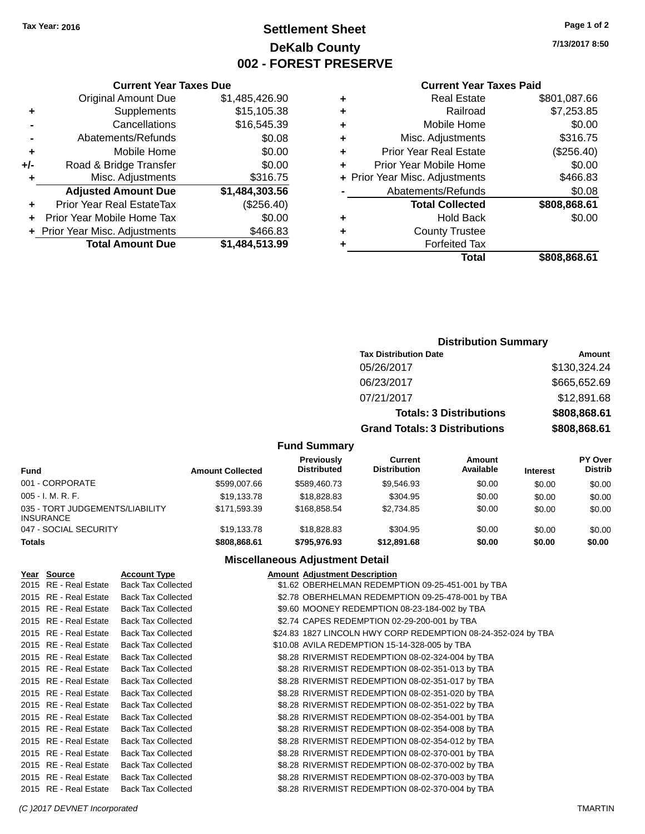# **Settlement Sheet Tax Year: 2016 Page 1 of 2 DeKalb County 002 - FOREST PRESERVE**

**7/13/2017 8:50**

#### **Current Year Taxes Paid**

| ٠ | <b>Real Estate</b>             | \$801,087.66 |
|---|--------------------------------|--------------|
| ٠ | Railroad                       | \$7,253.85   |
| ÷ | Mobile Home                    | \$0.00       |
| ٠ | Misc. Adjustments              | \$316.75     |
| ٠ | Prior Year Real Estate         | (\$256.40)   |
|   | Prior Year Mobile Home         | \$0.00       |
|   | + Prior Year Misc. Adjustments | \$466.83     |
|   | Abatements/Refunds             | \$0.08       |
|   | <b>Total Collected</b>         | \$808,868.61 |
| ٠ | <b>Hold Back</b>               | \$0.00       |
| ٠ | <b>County Trustee</b>          |              |
|   | <b>Forfeited Tax</b>           |              |
|   | Total                          | \$808.868.61 |

|     | <b>Current Year Taxes Due</b>    |                |
|-----|----------------------------------|----------------|
|     | <b>Original Amount Due</b>       | \$1,485,426.90 |
| ٠   | Supplements                      | \$15,105.38    |
|     | Cancellations                    | \$16,545.39    |
|     | Abatements/Refunds               | \$0.08         |
| ٠   | Mobile Home                      | \$0.00         |
| +/- | Road & Bridge Transfer           | \$0.00         |
| ٠   | Misc. Adjustments                | \$316.75       |
|     | <b>Adjusted Amount Due</b>       | \$1,484,303.56 |
| ٠   | <b>Prior Year Real EstateTax</b> | (\$256.40)     |
|     | Prior Year Mobile Home Tax       | \$0.00         |
|     | + Prior Year Misc. Adjustments   | \$466.83       |
|     | <b>Total Amount Due</b>          | \$1,484,513.99 |
|     |                                  |                |

## **Distribution Summary**

| <b>Tax Distribution Date</b>         | Amount       |
|--------------------------------------|--------------|
| 05/26/2017                           | \$130,324.24 |
| 06/23/2017                           | \$665,652.69 |
| 07/21/2017                           | \$12,891.68  |
| <b>Totals: 3 Distributions</b>       | \$808,868.61 |
| <b>Grand Totals: 3 Distributions</b> | \$808,868.61 |

### **Fund Summary**

| <b>Fund</b>                                         | <b>Amount Collected</b> | Previously<br><b>Distributed</b> | Current<br><b>Distribution</b> | Amount<br>Available | <b>Interest</b> | <b>PY Over</b><br><b>Distrib</b> |
|-----------------------------------------------------|-------------------------|----------------------------------|--------------------------------|---------------------|-----------------|----------------------------------|
| 001 - CORPORATE                                     | \$599,007.66            | \$589,460.73                     | \$9,546.93                     | \$0.00              | \$0.00          | \$0.00                           |
| $005 - I. M. R. F.$                                 | \$19,133.78             | \$18,828.83                      | \$304.95                       | \$0.00              | \$0.00          | \$0.00                           |
| 035 - TORT JUDGEMENTS/LIABILITY<br><b>INSURANCE</b> | \$171.593.39            | \$168,858,54                     | \$2.734.85                     | \$0.00              | \$0.00          | \$0.00                           |
| 047 - SOCIAL SECURITY                               | \$19.133.78             | \$18,828.83                      | \$304.95                       | \$0.00              | \$0.00          | \$0.00                           |
| <b>Totals</b>                                       | \$808,868.61            | \$795,976,93                     | \$12,891.68                    | \$0.00              | \$0.00          | \$0.00                           |

# **Miscellaneous Adjustment Detail**

| Year Source           | <b>Account Type</b>       | <b>Amount Adjustment Description</b>                          |
|-----------------------|---------------------------|---------------------------------------------------------------|
| 2015 RE - Real Estate | <b>Back Tax Collected</b> | \$1.62 OBERHELMAN REDEMPTION 09-25-451-001 by TBA             |
| 2015 RE - Real Estate | <b>Back Tax Collected</b> | \$2.78 OBERHELMAN REDEMPTION 09-25-478-001 by TBA             |
| 2015 RE - Real Estate | <b>Back Tax Collected</b> | \$9.60 MOONEY REDEMPTION 08-23-184-002 by TBA                 |
| 2015 RE - Real Estate | <b>Back Tax Collected</b> | \$2.74 CAPES REDEMPTION 02-29-200-001 by TBA                  |
| 2015 RE - Real Estate | <b>Back Tax Collected</b> | \$24.83 1827 LINCOLN HWY CORP REDEMPTION 08-24-352-024 by TBA |
| 2015 RE - Real Estate | <b>Back Tax Collected</b> | \$10.08 AVILA REDEMPTION 15-14-328-005 by TBA                 |
| 2015 RE - Real Estate | <b>Back Tax Collected</b> | \$8.28 RIVERMIST REDEMPTION 08-02-324-004 by TBA              |
| 2015 RE - Real Estate | <b>Back Tax Collected</b> | \$8.28 RIVERMIST REDEMPTION 08-02-351-013 by TBA              |
| 2015 RE - Real Estate | <b>Back Tax Collected</b> | \$8.28 RIVERMIST REDEMPTION 08-02-351-017 by TBA              |
| 2015 RE - Real Estate | <b>Back Tax Collected</b> | \$8.28 RIVERMIST REDEMPTION 08-02-351-020 by TBA              |
| 2015 RE - Real Estate | <b>Back Tax Collected</b> | \$8.28 RIVERMIST REDEMPTION 08-02-351-022 by TBA              |
| 2015 RE - Real Estate | <b>Back Tax Collected</b> | \$8.28 RIVERMIST REDEMPTION 08-02-354-001 by TBA              |
| 2015 RE - Real Estate | <b>Back Tax Collected</b> | \$8.28 RIVERMIST REDEMPTION 08-02-354-008 by TBA              |
| 2015 RE - Real Estate | <b>Back Tax Collected</b> | \$8.28 RIVERMIST REDEMPTION 08-02-354-012 by TBA              |
| 2015 RE - Real Estate | <b>Back Tax Collected</b> | \$8.28 RIVERMIST REDEMPTION 08-02-370-001 by TBA              |
| 2015 RE - Real Estate | <b>Back Tax Collected</b> | \$8.28 RIVERMIST REDEMPTION 08-02-370-002 by TBA              |
| 2015 RE - Real Estate | <b>Back Tax Collected</b> | \$8.28 RIVERMIST REDEMPTION 08-02-370-003 by TBA              |
| 2015 RE - Real Estate | <b>Back Tax Collected</b> | \$8.28 RIVERMIST REDEMPTION 08-02-370-004 by TBA              |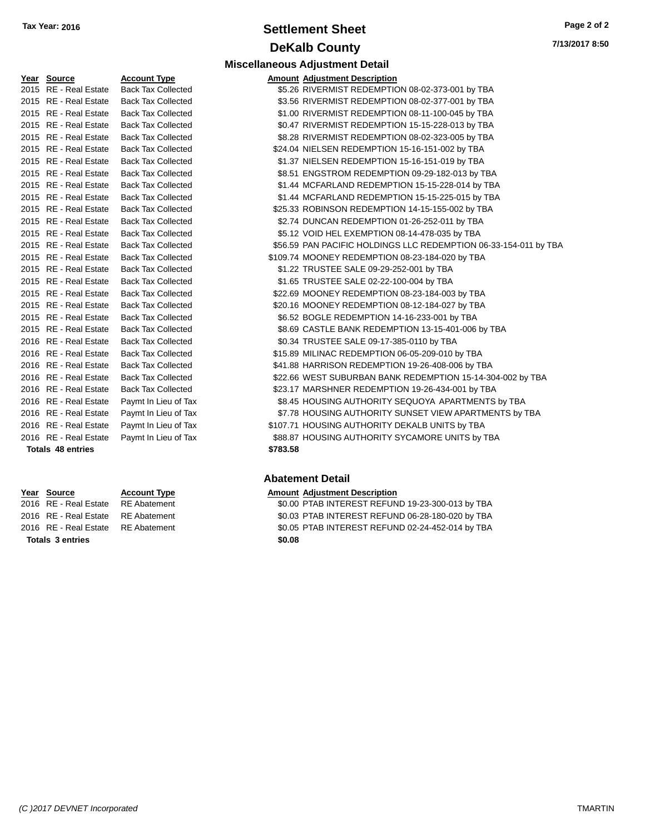# **Settlement Sheet Tax Year: 2016 Page 2 of 2 DeKalb County**

**Miscellaneous Adjustment Detail**

| Y <u>ear</u> | <b>Source</b>            | <u>Account Type</u>       | Amount   |
|--------------|--------------------------|---------------------------|----------|
| 2015         | <b>RE</b> - Real Estate  | <b>Back Tax Collected</b> | \$5.26   |
| 2015         | <b>RE</b> - Real Estate  | <b>Back Tax Collected</b> | \$3.56   |
| 2015         | <b>RE</b> - Real Estate  | <b>Back Tax Collected</b> | \$1.00   |
| 2015         | RE - Real Estate         | <b>Back Tax Collected</b> | \$0.47   |
| 2015         | <b>RE</b> - Real Estate  | <b>Back Tax Collected</b> | \$8.28   |
| 2015         | <b>RE</b> - Real Estate  | <b>Back Tax Collected</b> | \$24.04  |
| 2015         | <b>RE</b> - Real Estate  | <b>Back Tax Collected</b> | \$1.37   |
| 2015         | <b>RE</b> - Real Estate  | <b>Back Tax Collected</b> | \$8.51   |
| 2015         | <b>RE</b> - Real Estate  | <b>Back Tax Collected</b> | \$1.44   |
| 2015         | <b>RE</b> - Real Estate  | <b>Back Tax Collected</b> | \$1.44   |
| 2015         | <b>RE</b> - Real Estate  | <b>Back Tax Collected</b> | \$25.33  |
| 2015         | <b>RE</b> - Real Estate  | <b>Back Tax Collected</b> | \$2.74   |
| 2015         | <b>RE</b> - Real Estate  | <b>Back Tax Collected</b> | \$5.12   |
| 2015         | <b>RE</b> - Real Estate  | <b>Back Tax Collected</b> | \$56.59  |
| 2015         | <b>RE</b> - Real Estate  | <b>Back Tax Collected</b> | \$109.74 |
| 2015         | <b>RE</b> - Real Estate  | <b>Back Tax Collected</b> | \$1.22   |
| 2015         | RE - Real Estate         | <b>Back Tax Collected</b> | \$1.65   |
| 2015         | <b>RE</b> - Real Estate  | <b>Back Tax Collected</b> | \$22.69  |
| 2015         | <b>RE</b> - Real Estate  | <b>Back Tax Collected</b> | \$20.16  |
| 2015         | RE - Real Estate         | <b>Back Tax Collected</b> | \$6.52   |
| 2015         | <b>RE</b> - Real Estate  | <b>Back Tax Collected</b> | \$8.69   |
| 2016         | <b>RE</b> - Real Estate  | <b>Back Tax Collected</b> | \$0.34   |
| 2016         | <b>RE</b> - Real Estate  | <b>Back Tax Collected</b> | \$15.89  |
| 2016         | <b>RE</b> - Real Estate  | <b>Back Tax Collected</b> | \$41.88  |
| 2016         | RE - Real Estate         | <b>Back Tax Collected</b> | \$22.66  |
| 2016         | <b>RE</b> - Real Estate  | <b>Back Tax Collected</b> | \$23.17  |
| 2016         | <b>RE</b> - Real Estate  | Paymt In Lieu of Tax      | \$8.45   |
| 2016         | <b>RE</b> - Real Estate  | Paymt In Lieu of Tax      | \$7.78   |
| 2016         | <b>RE</b> - Real Estate  | Paymt In Lieu of Tax      | \$107.71 |
|              | 2016 RE - Real Estate    | Paymt In Lieu of Tax      | \$88.87  |
|              | <b>Totals 48 entries</b> |                           | \$783.58 |

**Totals \$0.08 3 entries**

| Year Source           | <b>Account Type</b>       | <b>Amount Adjustment Description</b>                             |
|-----------------------|---------------------------|------------------------------------------------------------------|
| 2015 RE - Real Estate | <b>Back Tax Collected</b> | \$5.26 RIVERMIST REDEMPTION 08-02-373-001 by TBA                 |
| 2015 RE - Real Estate | <b>Back Tax Collected</b> | \$3.56 RIVERMIST REDEMPTION 08-02-377-001 by TBA                 |
| 2015 RE - Real Estate | <b>Back Tax Collected</b> | \$1.00 RIVERMIST REDEMPTION 08-11-100-045 by TBA                 |
| 2015 RE - Real Estate | <b>Back Tax Collected</b> | \$0.47 RIVERMIST REDEMPTION 15-15-228-013 by TBA                 |
| 2015 RE - Real Estate | <b>Back Tax Collected</b> | \$8.28 RIVERMIST REDEMPTION 08-02-323-005 by TBA                 |
| 2015 RE - Real Estate | <b>Back Tax Collected</b> | \$24.04 NIELSEN REDEMPTION 15-16-151-002 by TBA                  |
| 2015 RE - Real Estate | <b>Back Tax Collected</b> | \$1.37 NIELSEN REDEMPTION 15-16-151-019 by TBA                   |
| 2015 RE - Real Estate | <b>Back Tax Collected</b> | \$8.51 ENGSTROM REDEMPTION 09-29-182-013 by TBA                  |
| 2015 RE - Real Estate | <b>Back Tax Collected</b> | \$1.44 MCFARLAND REDEMPTION 15-15-228-014 by TBA                 |
| 2015 RE - Real Estate | <b>Back Tax Collected</b> | \$1.44 MCFARLAND REDEMPTION 15-15-225-015 by TBA                 |
| 2015 RE - Real Estate | <b>Back Tax Collected</b> | \$25.33 ROBINSON REDEMPTION 14-15-155-002 by TBA                 |
| 2015 RE - Real Estate | <b>Back Tax Collected</b> | \$2.74 DUNCAN REDEMPTION 01-26-252-011 by TBA                    |
| 2015 RE - Real Estate | <b>Back Tax Collected</b> | \$5.12 VOID HEL EXEMPTION 08-14-478-035 by TBA                   |
| 2015 RE - Real Estate | <b>Back Tax Collected</b> | \$56.59 PAN PACIFIC HOLDINGS LLC REDEMPTION 06-33-154-011 by TBA |
| 2015 RE - Real Estate | <b>Back Tax Collected</b> | \$109.74 MOONEY REDEMPTION 08-23-184-020 by TBA                  |
| 2015 RE - Real Estate | <b>Back Tax Collected</b> | \$1.22 TRUSTEE SALE 09-29-252-001 by TBA                         |
| 2015 RE - Real Estate | <b>Back Tax Collected</b> | \$1.65 TRUSTEE SALE 02-22-100-004 by TBA                         |
| 2015 RE - Real Estate | <b>Back Tax Collected</b> | \$22.69 MOONEY REDEMPTION 08-23-184-003 by TBA                   |
| 2015 RE - Real Estate | <b>Back Tax Collected</b> | \$20.16 MOONEY REDEMPTION 08-12-184-027 by TBA                   |
| 2015 RE - Real Estate | <b>Back Tax Collected</b> | \$6.52 BOGLE REDEMPTION 14-16-233-001 by TBA                     |
| 2015 RE - Real Estate | <b>Back Tax Collected</b> | \$8.69 CASTLE BANK REDEMPTION 13-15-401-006 by TBA               |
| 2016 RE - Real Estate | <b>Back Tax Collected</b> | \$0.34 TRUSTEE SALE 09-17-385-0110 by TBA                        |
| 2016 RE - Real Estate | <b>Back Tax Collected</b> | \$15.89 MILINAC REDEMPTION 06-05-209-010 by TBA                  |
| 2016 RE - Real Estate | <b>Back Tax Collected</b> | \$41.88 HARRISON REDEMPTION 19-26-408-006 by TBA                 |
| 2016 RE - Real Estate | <b>Back Tax Collected</b> | \$22.66 WEST SUBURBAN BANK REDEMPTION 15-14-304-002 by TBA       |
| 2016 RE - Real Estate | <b>Back Tax Collected</b> | \$23.17 MARSHNER REDEMPTION 19-26-434-001 by TBA                 |
| 2016 RE - Real Estate | Paymt In Lieu of Tax      | \$8.45 HOUSING AUTHORITY SEQUOYA APARTMENTS by TBA               |
| 2016 RE - Real Estate | Paymt In Lieu of Tax      | \$7.78 HOUSING AUTHORITY SUNSET VIEW APARTMENTS by TBA           |
| 2016 RE - Real Estate | Paymt In Lieu of Tax      | \$107.71 HOUSING AUTHORITY DEKALB UNITS by TBA                   |
| 2016 RE - Real Estate | Paymt In Lieu of Tax      | \$88.87 HOUSING AUTHORITY SYCAMORE UNITS by TBA                  |
|                       |                           |                                                                  |

### **Abatement Detail**

#### **Year Source Account Type Amount Adjustment Description**

2016 RE - Real Estate RE Abatement **19.23-300-013 and SOLO PTAB INTEREST REFUND 19-23-300-013 by TBA** 2016 RE - Real Estate RE Abatement \$0.03 PTAB INTEREST REFUND 06-28-180-020 by TBA 2016 RE - Real Estate RE Abatement \$0.05 PTAB INTEREST REFUND 02-24-452-014 by TBA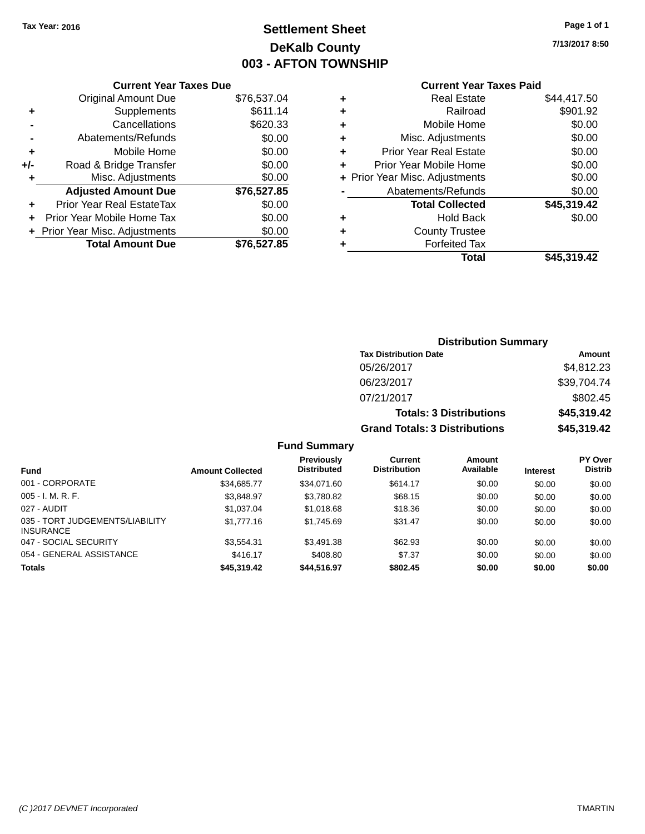# **Settlement Sheet Tax Year: 2016 Page 1 of 1 DeKalb County 003 - AFTON TOWNSHIP**

**7/13/2017 8:50**

# **Current Year Taxes Paid**

| \$76,537.04 |
|-------------|
| \$611.14    |
| \$620.33    |
| \$0.00      |
| \$0.00      |
| \$0.00      |
| \$0.00      |
| \$76,527.85 |
| \$0.00      |
| \$0.00      |
| \$0.00      |
| \$76,527,85 |
|             |

| ٠ | <b>Real Estate</b>             | \$44,417.50 |
|---|--------------------------------|-------------|
| ٠ | Railroad                       | \$901.92    |
| ٠ | Mobile Home                    | \$0.00      |
| ٠ | Misc. Adjustments              | \$0.00      |
| ٠ | <b>Prior Year Real Estate</b>  | \$0.00      |
| ٠ | Prior Year Mobile Home         | \$0.00      |
|   | + Prior Year Misc. Adjustments | \$0.00      |
|   | Abatements/Refunds             | \$0.00      |
|   | <b>Total Collected</b>         | \$45,319.42 |
| ٠ | <b>Hold Back</b>               | \$0.00      |
| ٠ | <b>County Trustee</b>          |             |
| ٠ | <b>Forfeited Tax</b>           |             |
|   | Total                          | \$45,319.42 |
|   |                                |             |

| <b>Distribution Summary</b>          |             |  |  |  |
|--------------------------------------|-------------|--|--|--|
| <b>Tax Distribution Date</b>         | Amount      |  |  |  |
| 05/26/2017                           | \$4,812.23  |  |  |  |
| 06/23/2017                           | \$39,704.74 |  |  |  |
| 07/21/2017                           | \$802.45    |  |  |  |
| <b>Totals: 3 Distributions</b>       | \$45,319.42 |  |  |  |
| <b>Grand Totals: 3 Distributions</b> | \$45,319.42 |  |  |  |

| <b>Fund</b>                                         | <b>Amount Collected</b> | <b>Previously</b><br><b>Distributed</b> | Current<br><b>Distribution</b> | Amount<br>Available | <b>Interest</b> | <b>PY Over</b><br><b>Distrib</b> |
|-----------------------------------------------------|-------------------------|-----------------------------------------|--------------------------------|---------------------|-----------------|----------------------------------|
| 001 - CORPORATE                                     | \$34.685.77             | \$34.071.60                             | \$614.17                       | \$0.00              | \$0.00          | \$0.00                           |
| $005 - I. M. R. F.$                                 | \$3.848.97              | \$3,780.82                              | \$68.15                        | \$0.00              | \$0.00          | \$0.00                           |
| 027 - AUDIT                                         | \$1.037.04              | \$1.018.68                              | \$18.36                        | \$0.00              | \$0.00          | \$0.00                           |
| 035 - TORT JUDGEMENTS/LIABILITY<br><b>INSURANCE</b> | \$1,777.16              | \$1.745.69                              | \$31.47                        | \$0.00              | \$0.00          | \$0.00                           |
| 047 - SOCIAL SECURITY                               | \$3.554.31              | \$3,491.38                              | \$62.93                        | \$0.00              | \$0.00          | \$0.00                           |
| 054 - GENERAL ASSISTANCE                            | \$416.17                | \$408.80                                | \$7.37                         | \$0.00              | \$0.00          | \$0.00                           |
| <b>Totals</b>                                       | \$45,319.42             | \$44,516.97                             | \$802.45                       | \$0.00              | \$0.00          | \$0.00                           |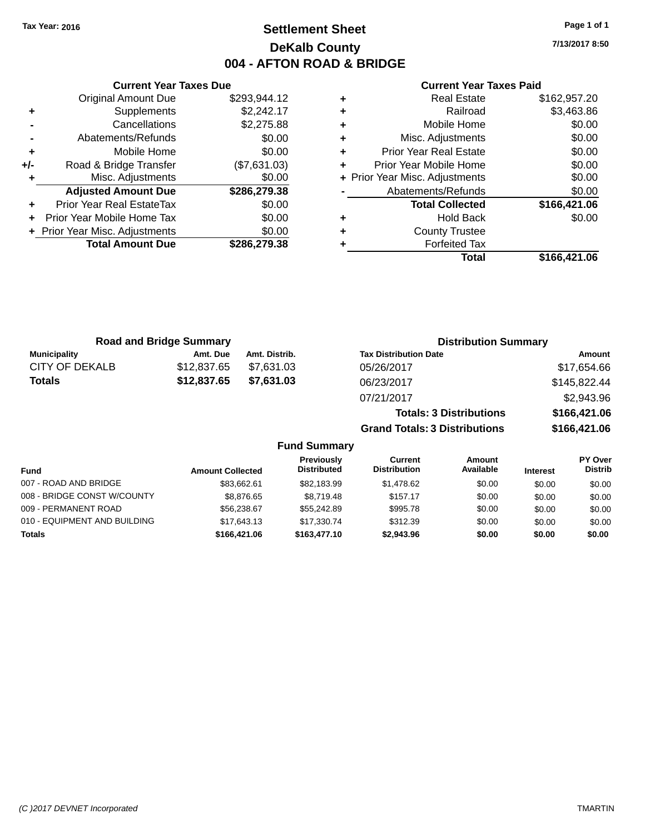# **Settlement Sheet Tax Year: 2016 Page 1 of 1 DeKalb County 004 - AFTON ROAD & BRIDGE**

**7/13/2017 8:50**

#### **Current Year Taxes Paid**

|     | <b>Original Amount Due</b>       | \$293,944.12 |
|-----|----------------------------------|--------------|
| ٠   | Supplements                      | \$2,242.17   |
|     | Cancellations                    | \$2,275.88   |
|     | Abatements/Refunds               | \$0.00       |
| ٠   | Mobile Home                      | \$0.00       |
| +/- | Road & Bridge Transfer           | (\$7,631.03) |
|     | Misc. Adjustments                | \$0.00       |
|     | <b>Adjusted Amount Due</b>       | \$286,279.38 |
| ÷   | <b>Prior Year Real EstateTax</b> | \$0.00       |
| ÷   | Prior Year Mobile Home Tax       | \$0.00       |
|     | + Prior Year Misc. Adjustments   | \$0.00       |
|     | <b>Total Amount Due</b>          | \$286,279.38 |
|     |                                  |              |

**Current Year Taxes Due**

| <b>Real Estate</b>             | \$162,957.20 |
|--------------------------------|--------------|
| Railroad                       | \$3,463.86   |
| Mobile Home                    | \$0.00       |
| Misc. Adjustments              | \$0.00       |
| <b>Prior Year Real Estate</b>  | \$0.00       |
| Prior Year Mobile Home         | \$0.00       |
| + Prior Year Misc. Adjustments | \$0.00       |
| Abatements/Refunds             | \$0.00       |
| <b>Total Collected</b>         | \$166,421.06 |
| <b>Hold Back</b>               | \$0.00       |
| <b>County Trustee</b>          |              |
| <b>Forfeited Tax</b>           |              |
| Total                          | \$166,421.06 |
|                                |              |

**Grand Totals: 3 Distributions \$166,421.06**

| <b>Road and Bridge Summary</b> |             |               | <b>Distribution Summary</b>    |              |  |
|--------------------------------|-------------|---------------|--------------------------------|--------------|--|
| <b>Municipality</b>            | Amt. Due    | Amt. Distrib. | <b>Tax Distribution Date</b>   | Amount       |  |
| CITY OF DEKALB                 | \$12,837.65 | \$7.631.03    | 05/26/2017                     | \$17,654.66  |  |
| Totals                         | \$12,837.65 | \$7,631.03    | 06/23/2017                     | \$145,822.44 |  |
|                                |             |               | 07/21/2017                     | \$2,943.96   |  |
|                                |             |               | <b>Totals: 3 Distributions</b> | \$166,421.06 |  |

**Fund Summary Fund Interest Amount Collected Distributed PY Over Distrib Amount Available Current Distribution Previously** 007 - ROAD AND BRIDGE 60.00 \$83,662.61 \$82,183.99 \$1,478.62 \$0.00 \$0.00 \$0.00 \$0.00 008 - BRIDGE CONST W/COUNTY  $$8,876.65$   $$8,719.48$   $$157.17$   $$0.00$   $$0.00$   $$0.00$ 009 - PERMANENT ROAD \$56,238.67 \$55,242.89 \$995.78 \$0.00 \$0.00 \$0.00 010 - EQUIPMENT AND BUILDING \$17,643.13 \$17,330.74 \$312.39 \$0.00 \$0.00 \$0.00 \$0.00 **Totals \$166,421.06 \$163,477.10 \$2,943.96 \$0.00 \$0.00 \$0.00**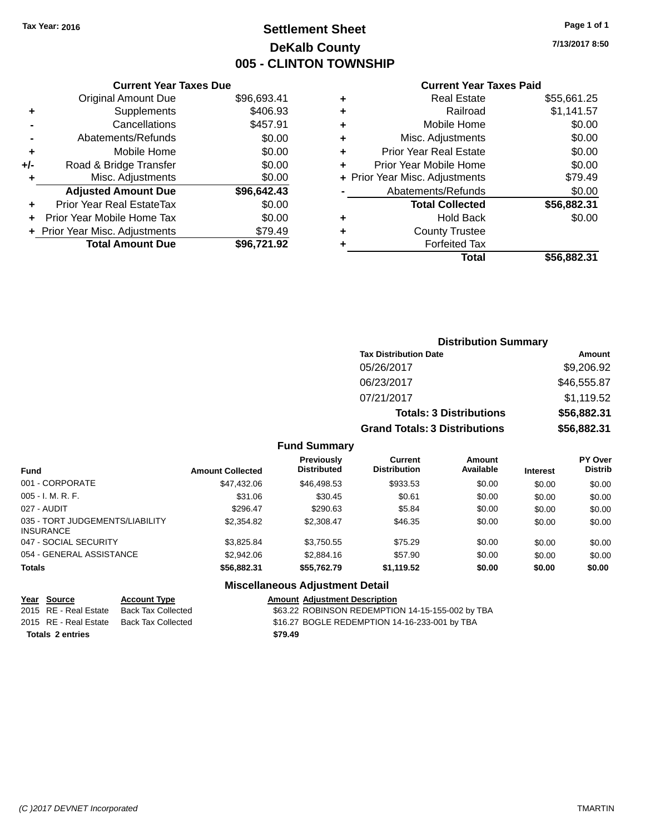# **Settlement Sheet Tax Year: 2016 Page 1 of 1 DeKalb County 005 - CLINTON TOWNSHIP**

**7/13/2017 8:50**

## **Current Year Taxes Paid**

|     | <b>Current Year Taxes Due</b>  |             |
|-----|--------------------------------|-------------|
|     | <b>Original Amount Due</b>     | \$96,693.41 |
| ٠   | Supplements                    | \$406.93    |
|     | Cancellations                  | \$457.91    |
|     | Abatements/Refunds             | \$0.00      |
| ٠   | Mobile Home                    | \$0.00      |
| +/- | Road & Bridge Transfer         | \$0.00      |
|     | Misc. Adjustments              | \$0.00      |
|     | <b>Adjusted Amount Due</b>     | \$96,642.43 |
| ٠   | Prior Year Real EstateTax      | \$0.00      |
|     | Prior Year Mobile Home Tax     | \$0.00      |
|     | + Prior Year Misc. Adjustments | \$79.49     |
|     | <b>Total Amount Due</b>        | \$96,721.92 |
|     |                                |             |

|   | <b>Real Estate</b>             | \$55,661.25 |
|---|--------------------------------|-------------|
| ٠ | Railroad                       | \$1,141.57  |
| ٠ | Mobile Home                    | \$0.00      |
| ٠ | Misc. Adjustments              | \$0.00      |
| ٠ | <b>Prior Year Real Estate</b>  | \$0.00      |
| ٠ | Prior Year Mobile Home         | \$0.00      |
|   | + Prior Year Misc. Adjustments | \$79.49     |
|   | Abatements/Refunds             | \$0.00      |
|   | <b>Total Collected</b>         | \$56,882.31 |
| ٠ | Hold Back                      | \$0.00      |
| ٠ | <b>County Trustee</b>          |             |
| ٠ | <b>Forfeited Tax</b>           |             |
|   | Total                          | \$56,882,31 |
|   |                                |             |

| <b>Distribution Summary</b>          |             |
|--------------------------------------|-------------|
| <b>Tax Distribution Date</b>         | Amount      |
| 05/26/2017                           | \$9,206.92  |
| 06/23/2017                           | \$46,555.87 |
| 07/21/2017                           | \$1,119.52  |
| <b>Totals: 3 Distributions</b>       | \$56,882.31 |
| <b>Grand Totals: 3 Distributions</b> | \$56,882.31 |

### **Fund Summary**

| <b>Fund</b>                                         | <b>Amount Collected</b> | Previously<br><b>Distributed</b> | Current<br><b>Distribution</b> | Amount<br>Available | <b>Interest</b> | <b>PY Over</b><br><b>Distrib</b> |
|-----------------------------------------------------|-------------------------|----------------------------------|--------------------------------|---------------------|-----------------|----------------------------------|
| 001 - CORPORATE                                     | \$47,432.06             | \$46,498.53                      | \$933.53                       | \$0.00              | \$0.00          | \$0.00                           |
| $005 - I. M. R. F.$                                 | \$31.06                 | \$30.45                          | \$0.61                         | \$0.00              | \$0.00          | \$0.00                           |
| 027 - AUDIT                                         | \$296.47                | \$290.63                         | \$5.84                         | \$0.00              | \$0.00          | \$0.00                           |
| 035 - TORT JUDGEMENTS/LIABILITY<br><b>INSURANCE</b> | \$2,354.82              | \$2,308.47                       | \$46.35                        | \$0.00              | \$0.00          | \$0.00                           |
| 047 - SOCIAL SECURITY                               | \$3.825.84              | \$3,750.55                       | \$75.29                        | \$0.00              | \$0.00          | \$0.00                           |
| 054 - GENERAL ASSISTANCE                            | \$2,942.06              | \$2,884.16                       | \$57.90                        | \$0.00              | \$0.00          | \$0.00                           |
| <b>Totals</b>                                       | \$56,882.31             | \$55.762.79                      | \$1,119.52                     | \$0.00              | \$0.00          | \$0.00                           |

## **Miscellaneous Adjustment Detail**

| Year Source             | <b>Account Type</b> | <b>Amount Adiustment Description</b>             |
|-------------------------|---------------------|--------------------------------------------------|
| 2015 RE - Real Estate   | Back Tax Collected  | \$63.22 ROBINSON REDEMPTION 14-15-155-002 by TBA |
| 2015 RE - Real Estate   | Back Tax Collected  | \$16.27 BOGLE REDEMPTION 14-16-233-001 by TBA    |
| <b>Totals 2 entries</b> |                     | \$79.49                                          |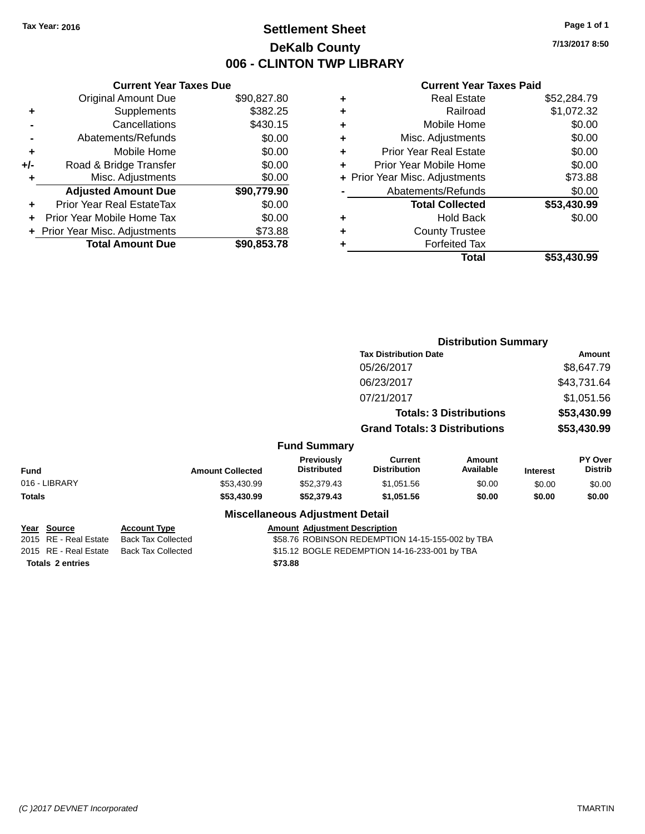# **Settlement Sheet Tax Year: 2016 Page 1 of 1 DeKalb County 006 - CLINTON TWP LIBRARY**

**7/13/2017 8:50**

#### **Current Year Taxes Paid**

|     | <b>Current Year Taxes Due</b> |             |
|-----|-------------------------------|-------------|
|     | <b>Original Amount Due</b>    | \$90,827.80 |
| ÷   | Supplements                   | \$382.25    |
|     | Cancellations                 | \$430.15    |
|     | Abatements/Refunds            | \$0.00      |
| ٠   | Mobile Home                   | \$0.00      |
| +/- | Road & Bridge Transfer        | \$0.00      |
|     | Misc. Adjustments             | \$0.00      |
|     | <b>Adjusted Amount Due</b>    | \$90,779.90 |
| ÷   | Prior Year Real EstateTax     | \$0.00      |
|     | Prior Year Mobile Home Tax    | \$0.00      |
|     | Prior Year Misc. Adjustments  | \$73.88     |
|     | <b>Total Amount Due</b>       | \$90,853.78 |
|     |                               |             |

| <b>Real Estate</b>             | \$52.284.79 |
|--------------------------------|-------------|
| Railroad                       | \$1,072.32  |
| Mobile Home                    | \$0.00      |
| Misc. Adjustments              | \$0.00      |
| <b>Prior Year Real Estate</b>  | \$0.00      |
| Prior Year Mobile Home         | \$0.00      |
| + Prior Year Misc. Adjustments | \$73.88     |
| Abatements/Refunds             | \$0.00      |
| <b>Total Collected</b>         | \$53,430.99 |
| <b>Hold Back</b>               | \$0.00      |
| <b>County Trustee</b>          |             |
| <b>Forfeited Tax</b>           |             |
| Total                          | \$53,430.99 |
|                                |             |

|             |                                      |                                                  |                                               |                                        | <b>Distribution Summary</b>                      |                                |                 |                                  |
|-------------|--------------------------------------|--------------------------------------------------|-----------------------------------------------|----------------------------------------|--------------------------------------------------|--------------------------------|-----------------|----------------------------------|
|             |                                      |                                                  |                                               |                                        | <b>Tax Distribution Date</b>                     |                                |                 | Amount                           |
|             |                                      |                                                  |                                               |                                        | 05/26/2017                                       |                                |                 | \$8,647.79                       |
|             |                                      |                                                  |                                               |                                        | 06/23/2017                                       |                                |                 | \$43,731.64                      |
|             |                                      |                                                  |                                               |                                        | 07/21/2017                                       |                                |                 | \$1,051.56                       |
|             |                                      |                                                  |                                               |                                        |                                                  | <b>Totals: 3 Distributions</b> |                 | \$53,430.99                      |
|             |                                      |                                                  |                                               |                                        | <b>Grand Totals: 3 Distributions</b>             |                                |                 | \$53,430.99                      |
|             |                                      |                                                  |                                               | <b>Fund Summary</b>                    |                                                  |                                |                 |                                  |
| <b>Fund</b> |                                      | <b>Amount Collected</b>                          |                                               | Previously<br><b>Distributed</b>       | <b>Current</b><br><b>Distribution</b>            | <b>Amount</b><br>Available     | <b>Interest</b> | <b>PY Over</b><br><b>Distrib</b> |
|             | 016 - LIBRARY                        | \$53,430.99                                      |                                               | \$52,379.43                            | \$1,051.56                                       | \$0.00                         | \$0.00          | \$0.00                           |
| Totals      |                                      | \$53,430.99                                      |                                               | \$52,379.43                            | \$1,051.56                                       | \$0.00                         | \$0.00          | \$0.00                           |
|             |                                      |                                                  |                                               | <b>Miscellaneous Adjustment Detail</b> |                                                  |                                |                 |                                  |
|             | Year Source<br>2015 RE - Real Estate | <b>Account Type</b><br><b>Back Tax Collected</b> |                                               | <b>Amount Adjustment Description</b>   | \$58.76 ROBINSON REDEMPTION 14-15-155-002 by TBA |                                |                 |                                  |
|             | 2015 RE - Real Estate                | <b>Back Tax Collected</b>                        | \$15.12 BOGLE REDEMPTION 14-16-233-001 by TBA |                                        |                                                  |                                |                 |                                  |

**Totals \$73.88 2 entries**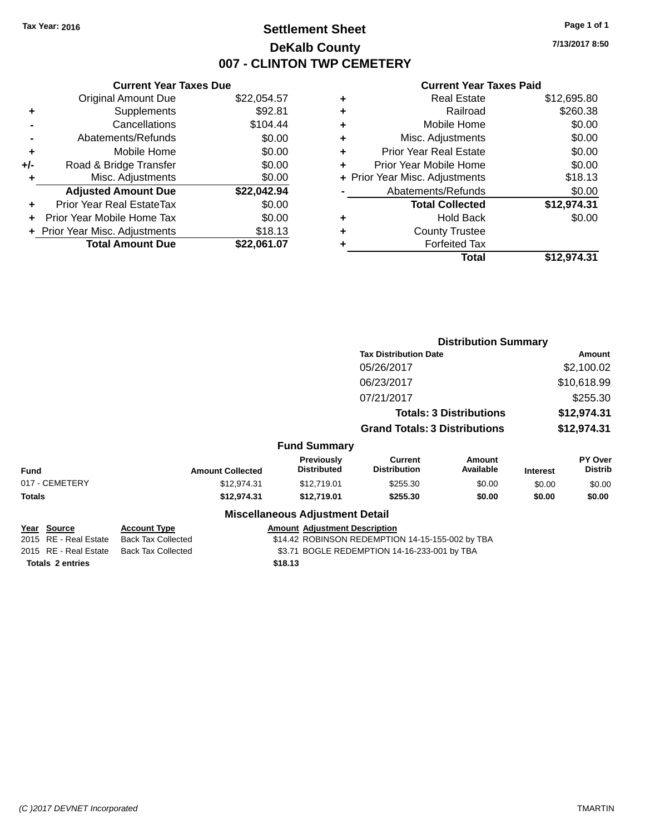# **Settlement Sheet Tax Year: 2016 Page 1 of 1 DeKalb County 007 - CLINTON TWP CEMETERY**

**7/13/2017 8:50**

| <b>Current Year Taxes Due</b> |             |
|-------------------------------|-------------|
| <b>Original Amount Due</b>    | \$22,054.57 |
| Supplements                   | \$92.81     |
| Cancellations                 | \$104.44    |
| Abatements/Refunds            | \$0.00      |
| Mobile Home                   | \$0.00      |
| Road & Bridge Transfer        | \$0.00      |
| Misc. Adjustments             | \$0.00      |
| <b>Adjusted Amount Due</b>    | \$22,042.94 |
| Prior Year Real EstateTax     | \$0.00      |
| Prior Year Mobile Home Tax    | \$0.00      |
| Prior Year Misc. Adjustments  | \$18.13     |
| <b>Total Amount Due</b>       | \$22.061.07 |
|                               |             |

| ٠ | <b>Real Estate</b>             | \$12,695.80 |
|---|--------------------------------|-------------|
| ٠ | Railroad                       | \$260.38    |
| ٠ | Mobile Home                    | \$0.00      |
| ٠ | Misc. Adjustments              | \$0.00      |
| ٠ | <b>Prior Year Real Estate</b>  | \$0.00      |
| ÷ | Prior Year Mobile Home         | \$0.00      |
|   | + Prior Year Misc. Adjustments | \$18.13     |
|   | Abatements/Refunds             | \$0.00      |
|   | <b>Total Collected</b>         | \$12,974.31 |
| ٠ | <b>Hold Back</b>               | \$0.00      |
| ٠ | <b>County Trustee</b>          |             |
| ٠ | <b>Forfeited Tax</b>           |             |
|   | Total                          | \$12,974.31 |
|   |                                |             |

|                                      |                                                  |                                        | <b>Distribution Summary</b>                      |                                |                 |                           |
|--------------------------------------|--------------------------------------------------|----------------------------------------|--------------------------------------------------|--------------------------------|-----------------|---------------------------|
|                                      |                                                  |                                        | <b>Tax Distribution Date</b>                     |                                | Amount          |                           |
|                                      |                                                  |                                        | 05/26/2017                                       |                                |                 | \$2,100.02                |
|                                      |                                                  |                                        | 06/23/2017                                       |                                |                 | \$10,618.99               |
|                                      |                                                  |                                        | 07/21/2017                                       |                                |                 | \$255.30                  |
|                                      |                                                  |                                        |                                                  | <b>Totals: 3 Distributions</b> |                 | \$12,974.31               |
|                                      |                                                  |                                        | <b>Grand Totals: 3 Distributions</b>             |                                |                 | \$12,974.31               |
|                                      |                                                  | <b>Fund Summary</b>                    |                                                  |                                |                 |                           |
| <b>Fund</b>                          | <b>Amount Collected</b>                          | Previously<br><b>Distributed</b>       | Current<br><b>Distribution</b>                   | Amount<br>Available            | <b>Interest</b> | <b>PY Over</b><br>Distrib |
| 017 - CEMETERY                       | \$12,974.31                                      | \$12,719.01                            | \$255.30                                         | \$0.00                         | \$0.00          | \$0.00                    |
| <b>Totals</b>                        | \$12,974.31                                      | \$12,719.01                            | \$255.30                                         | \$0.00                         | \$0.00          | \$0.00                    |
|                                      |                                                  | <b>Miscellaneous Adjustment Detail</b> |                                                  |                                |                 |                           |
| Year Source<br>2015 RE - Real Estate | <b>Account Type</b><br><b>Back Tax Collected</b> | <b>Amount Adjustment Description</b>   | \$14.42 ROBINSON REDEMPTION 14-15-155-002 by TBA |                                |                 |                           |
| 2015 RE - Real Estate                | <b>Back Tax Collected</b>                        |                                        | \$3.71 BOGLE REDEMPTION 14-16-233-001 by TBA     |                                |                 |                           |
| <b>Totals 2 entries</b>              |                                                  | \$18.13                                |                                                  |                                |                 |                           |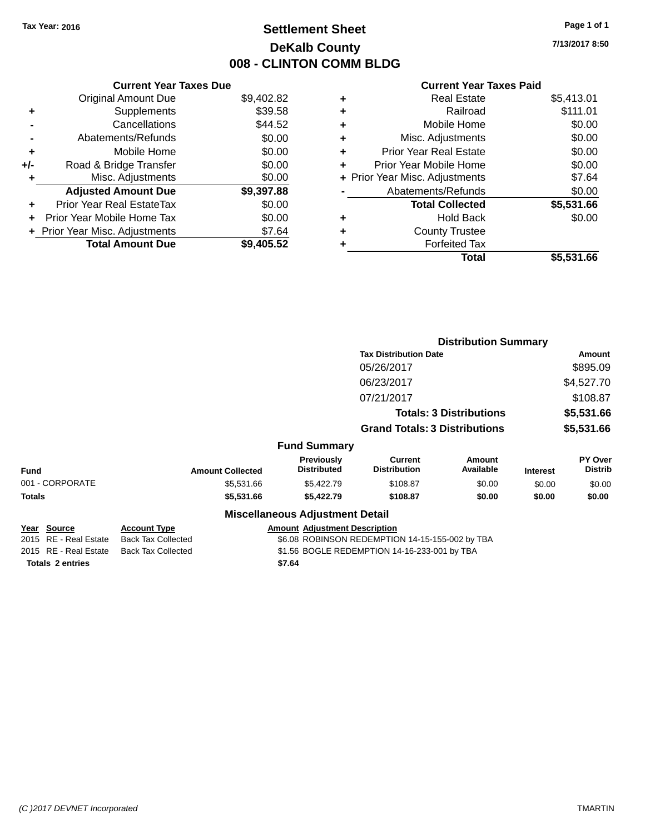# **Settlement Sheet Tax Year: 2016 Page 1 of 1 DeKalb County 008 - CLINTON COMM BLDG**

**7/13/2017 8:50**

### **Current Year Taxes Paid**

|     | <b>Current Year Taxes Due</b>  |            |
|-----|--------------------------------|------------|
|     | <b>Original Amount Due</b>     | \$9,402.82 |
| ٠   | Supplements                    | \$39.58    |
|     | Cancellations                  | \$44.52    |
|     | Abatements/Refunds             | \$0.00     |
| ٠   | Mobile Home                    | \$0.00     |
| +/- | Road & Bridge Transfer         | \$0.00     |
| ٠   | Misc. Adjustments              | \$0.00     |
|     | <b>Adjusted Amount Due</b>     | \$9,397.88 |
| ٠   | Prior Year Real EstateTax      | \$0.00     |
| ÷   | Prior Year Mobile Home Tax     | \$0.00     |
|     | + Prior Year Misc. Adjustments | \$7.64     |
|     | <b>Total Amount Due</b>        | \$9.405.52 |

|   | <b>Real Estate</b>             | \$5,413.01 |
|---|--------------------------------|------------|
| ٠ | Railroad                       | \$111.01   |
| ٠ | Mobile Home                    | \$0.00     |
| ٠ | Misc. Adjustments              | \$0.00     |
| ٠ | <b>Prior Year Real Estate</b>  | \$0.00     |
| ÷ | Prior Year Mobile Home         | \$0.00     |
|   | + Prior Year Misc. Adjustments | \$7.64     |
|   | Abatements/Refunds             | \$0.00     |
|   | <b>Total Collected</b>         | \$5,531.66 |
| ٠ | Hold Back                      | \$0.00     |
| ٠ | <b>County Trustee</b>          |            |
|   | <b>Forfeited Tax</b>           |            |
|   | Total                          | \$5,531.66 |
|   |                                |            |

|               |                                              |                                                  |                                        |                                                 | <b>Distribution Summary</b>    |                 |                           |
|---------------|----------------------------------------------|--------------------------------------------------|----------------------------------------|-------------------------------------------------|--------------------------------|-----------------|---------------------------|
|               |                                              |                                                  |                                        | <b>Tax Distribution Date</b>                    |                                |                 | Amount                    |
|               |                                              |                                                  |                                        | 05/26/2017                                      |                                |                 | \$895.09                  |
|               |                                              |                                                  |                                        | 06/23/2017                                      |                                |                 | \$4,527.70                |
|               |                                              |                                                  |                                        | 07/21/2017                                      |                                |                 | \$108.87                  |
|               |                                              |                                                  |                                        |                                                 | <b>Totals: 3 Distributions</b> |                 | \$5,531.66                |
|               |                                              |                                                  |                                        | <b>Grand Totals: 3 Distributions</b>            |                                |                 | \$5,531.66                |
|               |                                              |                                                  | <b>Fund Summary</b>                    |                                                 |                                |                 |                           |
| <b>Fund</b>   |                                              | <b>Amount Collected</b>                          | Previously<br><b>Distributed</b>       | <b>Current</b><br><b>Distribution</b>           | <b>Amount</b><br>Available     | <b>Interest</b> | PY Over<br><b>Distrib</b> |
|               | 001 - CORPORATE                              | \$5,531.66                                       | \$5,422.79                             | \$108.87                                        | \$0.00                         | \$0.00          | \$0.00                    |
| <b>Totals</b> |                                              | \$5,531.66                                       | \$5,422.79                             | \$108.87                                        | \$0.00                         | \$0.00          | \$0.00                    |
|               |                                              |                                                  | <b>Miscellaneous Adjustment Detail</b> |                                                 |                                |                 |                           |
|               | <u> Year Source</u><br>2015 RE - Real Estate | <u>Account Type</u><br><b>Back Tax Collected</b> | <b>Amount Adjustment Description</b>   | \$6.08 ROBINSON REDEMPTION 14-15-155-002 by TBA |                                |                 |                           |
|               | 2015 RE - Real Estate                        | <b>Back Tax Collected</b>                        |                                        | \$1.56 BOGLE REDEMPTION 14-16-233-001 by TBA    |                                |                 |                           |

**Totals \$7.64 2 entries**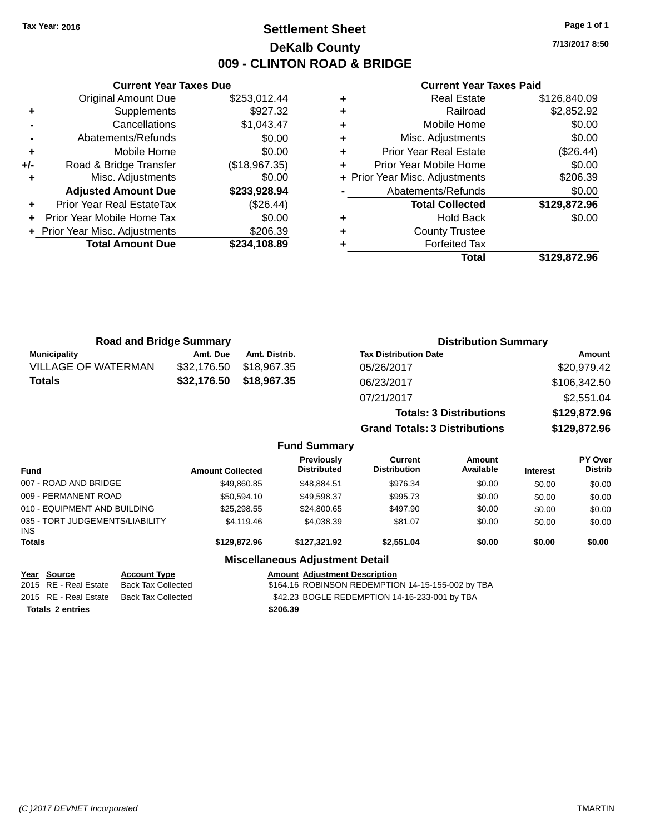# **Settlement Sheet Tax Year: 2016 Page 1 of 1 DeKalb County 009 - CLINTON ROAD & BRIDGE**

**7/13/2017 8:50**

#### **Current Year Taxes Paid**

|     | <b>Original Amount Due</b>       | \$253,012.44  |
|-----|----------------------------------|---------------|
| ٠   | Supplements                      | \$927.32      |
|     | Cancellations                    | \$1,043.47    |
|     | Abatements/Refunds               | \$0.00        |
| ٠   | Mobile Home                      | \$0.00        |
| +/- | Road & Bridge Transfer           | (\$18,967.35) |
|     | Misc. Adjustments                | \$0.00        |
|     | <b>Adjusted Amount Due</b>       | \$233,928.94  |
| ٠   | <b>Prior Year Real EstateTax</b> | (\$26.44)     |
| ÷   | Prior Year Mobile Home Tax       | \$0.00        |
|     | + Prior Year Misc. Adjustments   | \$206.39      |
|     | <b>Total Amount Due</b>          | \$234,108.89  |
|     |                                  |               |

**Current Year Taxes Due**

|   | Total                          | \$129,872.96 |
|---|--------------------------------|--------------|
|   | <b>Forfeited Tax</b>           |              |
| ٠ | <b>County Trustee</b>          |              |
| ٠ | <b>Hold Back</b>               | \$0.00       |
|   | <b>Total Collected</b>         | \$129,872.96 |
|   | Abatements/Refunds             | \$0.00       |
|   | + Prior Year Misc. Adjustments | \$206.39     |
| ٠ | Prior Year Mobile Home         | \$0.00       |
| ٠ | <b>Prior Year Real Estate</b>  | (\$26.44)    |
| ٠ | Misc. Adjustments              | \$0.00       |
| ٠ | Mobile Home                    | \$0.00       |
| ٠ | Railroad                       | \$2,852.92   |
|   | <b>Real Estate</b>             | \$126,840.09 |

| <b>Road and Bridge Summary</b> |             |               | <b>Distribution Summary</b>          |              |  |
|--------------------------------|-------------|---------------|--------------------------------------|--------------|--|
| <b>Municipality</b>            | Amt. Due    | Amt. Distrib. | <b>Tax Distribution Date</b>         | Amount       |  |
| <b>VILLAGE OF WATERMAN</b>     | \$32,176.50 | \$18,967,35   | 05/26/2017                           | \$20,979.42  |  |
| <b>Totals</b>                  | \$32,176.50 | \$18,967.35   | 06/23/2017                           | \$106,342.50 |  |
|                                |             |               | 07/21/2017                           | \$2,551.04   |  |
|                                |             |               | <b>Totals: 3 Distributions</b>       | \$129,872.96 |  |
|                                |             |               | <b>Grand Totals: 3 Distributions</b> | \$129,872.96 |  |

### **Fund Summary**

| <b>Fund</b>                                   | <b>Amount Collected</b> | <b>Previously</b><br><b>Distributed</b> | Current<br><b>Distribution</b> | Amount<br>Available | <b>Interest</b> | <b>PY Over</b><br><b>Distrib</b> |
|-----------------------------------------------|-------------------------|-----------------------------------------|--------------------------------|---------------------|-----------------|----------------------------------|
| 007 - ROAD AND BRIDGE                         | \$49.860.85             | \$48.884.51                             | \$976.34                       | \$0.00              | \$0.00          | \$0.00                           |
| 009 - PERMANENT ROAD                          | \$50.594.10             | \$49.598.37                             | \$995.73                       | \$0.00              | \$0.00          | \$0.00                           |
| 010 - EQUIPMENT AND BUILDING                  | \$25,298.55             | \$24,800.65                             | \$497.90                       | \$0.00              | \$0.00          | \$0.00                           |
| 035 - TORT JUDGEMENTS/LIABILITY<br><b>INS</b> | \$4,119,46              | \$4.038.39                              | \$81.07                        | \$0.00              | \$0.00          | \$0.00                           |
| <b>Totals</b>                                 | \$129,872,96            | \$127.321.92                            | \$2,551.04                     | \$0.00              | \$0.00          | \$0.00                           |

### **Miscellaneous Adjustment Detail**

**Totals \$206.39 2 entries**

**Year Source Account Type Account Type Amount Adjustment Description**<br>2015 RE - Real Estate Back Tax Collected \$164.16 ROBINSON REDEMPTIO \$164.16 ROBINSON REDEMPTION 14-15-155-002 by TBA 2015 RE - Real Estate Back Tax Collected **\$42.23 BOGLE REDEMPTION 14-16-233-001 by TBA**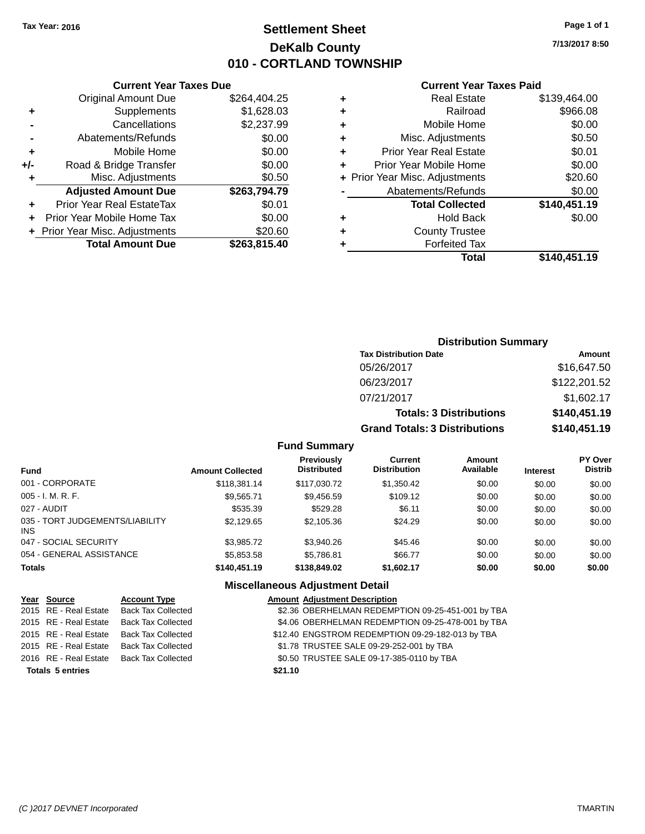# **Settlement Sheet Tax Year: 2016 Page 1 of 1 DeKalb County 010 - CORTLAND TOWNSHIP**

**7/13/2017 8:50**

#### **Current Year Taxes Paid**

| Curr                   |   |              | <b>Current Year Taxes Due</b>    |       |
|------------------------|---|--------------|----------------------------------|-------|
| Re                     | ٠ | \$264,404.25 | Original Amount Due              |       |
|                        |   | \$1,628.03   | Supplements                      |       |
| Mob                    | ٠ | \$2,237.99   | Cancellations                    |       |
| Misc. Adj              | ٠ | \$0.00       | Abatements/Refunds               |       |
| Prior Year Re          | ٠ | \$0.00       | Mobile Home                      |       |
| Prior Year Mob         |   | \$0.00       | Road & Bridge Transfer           | $+/-$ |
| + Prior Year Misc. Adj |   | \$0.50       | Misc. Adjustments                |       |
| Abatements,            |   | \$263,794.79 | <b>Adjusted Amount Due</b>       |       |
| <b>Total C</b>         |   | \$0.01       | <b>Prior Year Real EstateTax</b> |       |
| Н                      | ٠ | \$0.00       | Prior Year Mobile Home Tax       |       |
| Count                  |   | \$20.60      | + Prior Year Misc. Adjustments   |       |
| Forf                   |   | \$263,815.40 | <b>Total Amount Due</b>          |       |
|                        |   |              |                                  |       |

|   | <b>County Trustee</b><br><b>Forfeited Tax</b> |              |
|---|-----------------------------------------------|--------------|
|   | <b>Hold Back</b>                              | \$0.00       |
|   | <b>Total Collected</b>                        | \$140,451.19 |
|   | Abatements/Refunds                            | \$0.00       |
|   | + Prior Year Misc. Adjustments                | \$20.60      |
| ÷ | Prior Year Mobile Home                        | \$0.00       |
|   | <b>Prior Year Real Estate</b>                 | \$0.01       |
| ٠ | Misc. Adjustments                             | \$0.50       |
|   | Mobile Home                                   | \$0.00       |
| ÷ | Railroad                                      | \$966.08     |
| ٠ | <b>Real Estate</b>                            | \$139,464.00 |

# **Distribution Summary Tax Distribution Date Amount** 05/26/2017 \$16,647.50 06/23/2017 \$122,201.52 07/21/2017 \$1,602.17 **Totals: 3 Distributions \$140,451.19 Grand Totals: 3 Distributions \$140,451.19**

### **Fund Summary**

| <b>Fund</b>                                   | <b>Amount Collected</b> | Previously<br><b>Distributed</b> | Current<br><b>Distribution</b> | Amount<br>Available | <b>Interest</b> | <b>PY Over</b><br><b>Distrib</b> |
|-----------------------------------------------|-------------------------|----------------------------------|--------------------------------|---------------------|-----------------|----------------------------------|
| 001 - CORPORATE                               | \$118,381.14            | \$117,030.72                     | \$1,350.42                     | \$0.00              | \$0.00          | \$0.00                           |
| $005 - I. M. R. F.$                           | \$9.565.71              | \$9,456.59                       | \$109.12                       | \$0.00              | \$0.00          | \$0.00                           |
| 027 - AUDIT                                   | \$535.39                | \$529.28                         | \$6.11                         | \$0.00              | \$0.00          | \$0.00                           |
| 035 - TORT JUDGEMENTS/LIABILITY<br><b>INS</b> | \$2,129.65              | \$2,105.36                       | \$24.29                        | \$0.00              | \$0.00          | \$0.00                           |
| 047 - SOCIAL SECURITY                         | \$3,985.72              | \$3,940.26                       | \$45.46                        | \$0.00              | \$0.00          | \$0.00                           |
| 054 - GENERAL ASSISTANCE                      | \$5,853.58              | \$5,786.81                       | \$66.77                        | \$0.00              | \$0.00          | \$0.00                           |
| <b>Totals</b>                                 | \$140,451.19            | \$138,849.02                     | \$1,602.17                     | \$0.00              | \$0.00          | \$0.00                           |

### **Miscellaneous Adjustment Detail**

| Year Source             | <b>Account Type</b>                      | <b>Amount Adjustment Description</b>              |
|-------------------------|------------------------------------------|---------------------------------------------------|
| 2015 RE - Real Estate   | <b>Back Tax Collected</b>                | \$2.36 OBERHELMAN REDEMPTION 09-25-451-001 by TBA |
| 2015 RE - Real Estate   | <b>Back Tax Collected</b>                | \$4.06 OBERHELMAN REDEMPTION 09-25-478-001 by TBA |
| 2015 RE - Real Estate   | Back Tax Collected                       | \$12.40 ENGSTROM REDEMPTION 09-29-182-013 by TBA  |
| 2015 RE - Real Estate   | Back Tax Collected                       | \$1.78 TRUSTEE SALE 09-29-252-001 by TBA          |
|                         | 2016 RE - Real Estate Back Tax Collected | \$0.50 TRUSTEE SALE 09-17-385-0110 by TBA         |
| <b>Totals 5 entries</b> |                                          | \$21.10                                           |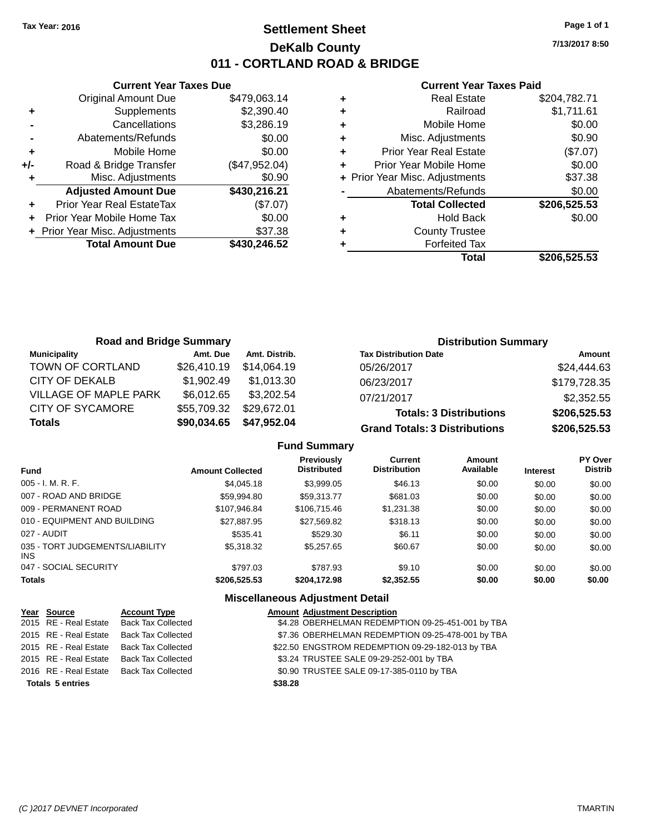# **Settlement Sheet Tax Year: 2016 Page 1 of 1 DeKalb County 011 - CORTLAND ROAD & BRIDGE**

**7/13/2017 8:50**

### **Current Year Taxes Paid**

|       | <b>Current Year Taxes Due</b>              |              |  |  |  |  |  |
|-------|--------------------------------------------|--------------|--|--|--|--|--|
|       | \$479,063.14<br><b>Original Amount Due</b> |              |  |  |  |  |  |
| ٠     | Supplements                                | \$2,390.40   |  |  |  |  |  |
|       | Cancellations                              | \$3,286.19   |  |  |  |  |  |
|       | Abatements/Refunds                         | \$0.00       |  |  |  |  |  |
| ٠     | \$0.00<br>Mobile Home                      |              |  |  |  |  |  |
| $+/-$ | (\$47,952.04)<br>Road & Bridge Transfer    |              |  |  |  |  |  |
|       | \$0.90<br>Misc. Adjustments                |              |  |  |  |  |  |
|       | <b>Adjusted Amount Due</b>                 | \$430,216.21 |  |  |  |  |  |
| ٠     | Prior Year Real EstateTax                  | (\$7.07)     |  |  |  |  |  |
| ÷     | \$0.00<br>Prior Year Mobile Home Tax       |              |  |  |  |  |  |
|       | + Prior Year Misc. Adjustments             | \$37.38      |  |  |  |  |  |
|       | <b>Total Amount Due</b>                    | \$430,246.52 |  |  |  |  |  |
|       |                                            |              |  |  |  |  |  |

|   | <b>Real Estate</b>             | \$204,782.71 |
|---|--------------------------------|--------------|
| ٠ | Railroad                       | \$1,711.61   |
| ٠ | Mobile Home                    | \$0.00       |
| ٠ | Misc. Adjustments              | \$0.90       |
| ٠ | <b>Prior Year Real Estate</b>  | (\$7.07)     |
| ٠ | Prior Year Mobile Home         | \$0.00       |
|   | + Prior Year Misc. Adjustments | \$37.38      |
|   | Abatements/Refunds             | \$0.00       |
|   | <b>Total Collected</b>         | \$206,525.53 |
| ٠ | Hold Back                      | \$0.00       |
| ٠ | <b>County Trustee</b>          |              |
| ٠ | <b>Forfeited Tax</b>           |              |
|   | Total                          | \$206,525.53 |
|   |                                |              |

| <b>Road and Bridge Summary</b> |             |               | <b>Distribution Summary</b>          |              |
|--------------------------------|-------------|---------------|--------------------------------------|--------------|
| <b>Municipality</b>            | Amt. Due    | Amt. Distrib. | <b>Tax Distribution Date</b>         | Amount       |
| TOWN OF CORTLAND               | \$26,410.19 | \$14.064.19   | 05/26/2017                           | \$24,444.63  |
| CITY OF DEKALB                 | \$1,902.49  | \$1.013.30    | 06/23/2017                           | \$179,728.35 |
| <b>VILLAGE OF MAPLE PARK</b>   | \$6,012.65  | \$3,202.54    | 07/21/2017                           | \$2,352.55   |
| <b>CITY OF SYCAMORE</b>        | \$55,709.32 | \$29,672.01   | <b>Totals: 3 Distributions</b>       | \$206,525.53 |
| <b>Totals</b>                  | \$90,034.65 | \$47,952.04   | <b>Grand Totals: 3 Distributions</b> | \$206,525.53 |

### **Fund Summary**

| <b>Fund</b>                             | <b>Amount Collected</b> | Previously<br><b>Distributed</b> | Current<br><b>Distribution</b> | Amount<br>Available | <b>Interest</b> | <b>PY Over</b><br><b>Distrib</b> |
|-----------------------------------------|-------------------------|----------------------------------|--------------------------------|---------------------|-----------------|----------------------------------|
| $005 - I. M. R. F.$                     | \$4,045.18              | \$3,999.05                       | \$46.13                        | \$0.00              | \$0.00          | \$0.00                           |
| 007 - ROAD AND BRIDGE                   | \$59,994.80             | \$59.313.77                      | \$681.03                       | \$0.00              | \$0.00          | \$0.00                           |
| 009 - PERMANENT ROAD                    | \$107.946.84            | \$106,715.46                     | \$1,231.38                     | \$0.00              | \$0.00          | \$0.00                           |
| 010 - EQUIPMENT AND BUILDING            | \$27,887.95             | \$27,569.82                      | \$318.13                       | \$0.00              | \$0.00          | \$0.00                           |
| 027 - AUDIT                             | \$535.41                | \$529.30                         | \$6.11                         | \$0.00              | \$0.00          | \$0.00                           |
| 035 - TORT JUDGEMENTS/LIABILITY<br>INS. | \$5,318,32              | \$5,257.65                       | \$60.67                        | \$0.00              | \$0.00          | \$0.00                           |
| 047 - SOCIAL SECURITY                   | \$797.03                | \$787.93                         | \$9.10                         | \$0.00              | \$0.00          | \$0.00                           |
| <b>Totals</b>                           | \$206,525.53            | \$204.172.98                     | \$2,352.55                     | \$0.00              | \$0.00          | \$0.00                           |

# **Miscellaneous Adjustment Detail**

| Year Source             | <b>Account Type</b>       | <b>Amount Adjustment Description</b>              |
|-------------------------|---------------------------|---------------------------------------------------|
| 2015 RE - Real Estate   | <b>Back Tax Collected</b> | \$4.28 OBERHELMAN REDEMPTION 09-25-451-001 by TBA |
| 2015 RE - Real Estate   | <b>Back Tax Collected</b> | \$7.36 OBERHELMAN REDEMPTION 09-25-478-001 by TBA |
| 2015 RE - Real Estate   | Back Tax Collected        | \$22.50 ENGSTROM REDEMPTION 09-29-182-013 by TBA  |
| 2015 RE - Real Estate   | <b>Back Tax Collected</b> | \$3.24 TRUSTEE SALE 09-29-252-001 by TBA          |
| 2016 RE - Real Estate   | <b>Back Tax Collected</b> | \$0.90 TRUSTEE SALE 09-17-385-0110 by TBA         |
| <b>Totals 5 entries</b> |                           | \$38.28                                           |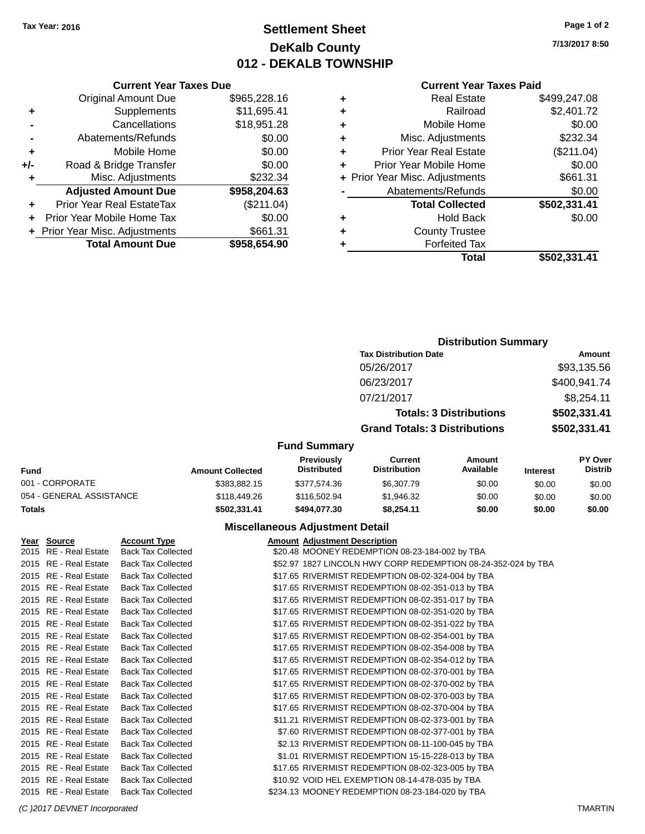# **Settlement Sheet Tax Year: 2016 Page 1 of 2 DeKalb County 012 - DEKALB TOWNSHIP**

**7/13/2017 8:50**

#### **Current Year Taxes Paid**

|       | <b>Current Year Taxes Due</b>  |              |
|-------|--------------------------------|--------------|
|       | <b>Original Amount Due</b>     | \$965,228.16 |
| ٠     | Supplements                    | \$11,695.41  |
|       | Cancellations                  | \$18,951.28  |
|       | Abatements/Refunds             | \$0.00       |
| ٠     | Mobile Home                    | \$0.00       |
| $+/-$ | Road & Bridge Transfer         | \$0.00       |
|       | Misc. Adjustments              | \$232.34     |
|       | <b>Adjusted Amount Due</b>     | \$958,204.63 |
| ÷     | Prior Year Real EstateTax      | (\$211.04)   |
|       | Prior Year Mobile Home Tax     | \$0.00       |
|       | + Prior Year Misc. Adjustments | \$661.31     |
|       | <b>Total Amount Due</b>        | \$958,654.90 |
|       |                                |              |

| ٠ | <b>Real Estate</b>             | \$499,247.08 |
|---|--------------------------------|--------------|
| ٠ | Railroad                       | \$2,401.72   |
| ٠ | Mobile Home                    | \$0.00       |
| ٠ | Misc. Adjustments              | \$232.34     |
| ٠ | Prior Year Real Estate         | (\$211.04)   |
| ÷ | Prior Year Mobile Home         | \$0.00       |
|   | + Prior Year Misc. Adjustments | \$661.31     |
|   | Abatements/Refunds             | \$0.00       |
|   | <b>Total Collected</b>         | \$502,331.41 |
| ٠ | Hold Back                      | \$0.00       |
| ٠ | <b>County Trustee</b>          |              |
| ٠ | <b>Forfeited Tax</b>           |              |
|   | Total                          | \$502,331.41 |
|   |                                |              |

# **Distribution Summary Tax Distribution Date Amount** 05/26/2017 \$93,135.56 06/23/2017 \$400,941.74 07/21/2017 \$8,254.11 **Totals: 3 Distributions \$502,331.41 Grand Totals: 3 Distributions \$502,331.41 Fund Summary**

| Fund                     | <b>Amount Collected</b> | <b>Previously</b><br>Distributed | Current<br><b>Distribution</b> | Amount<br>Available | <b>Interest</b> | <b>PY Over</b><br>Distrib |
|--------------------------|-------------------------|----------------------------------|--------------------------------|---------------------|-----------------|---------------------------|
| 001 - CORPORATE          | \$383,882.15            | \$377.574.36                     | \$6,307.79                     | \$0.00              | \$0.00          | \$0.00                    |
| 054 - GENERAL ASSISTANCE | \$118,449.26            | \$116,502.94                     | \$1,946.32                     | \$0.00              | \$0.00          | \$0.00                    |
| <b>Totals</b>            | \$502,331.41            | \$494,077.30                     | \$8.254.11                     | \$0.00              | \$0.00          | \$0.00                    |

### **Miscellaneous Adjustment Detail**

| Year Source           | <b>Account Type</b>       | <b>Amount Adjustment Description</b>                          |
|-----------------------|---------------------------|---------------------------------------------------------------|
| 2015 RE - Real Estate | <b>Back Tax Collected</b> | \$20.48 MOONEY REDEMPTION 08-23-184-002 by TBA                |
| 2015 RE - Real Estate | <b>Back Tax Collected</b> | \$52.97 1827 LINCOLN HWY CORP REDEMPTION 08-24-352-024 by TBA |
| 2015 RE - Real Estate | <b>Back Tax Collected</b> | \$17.65 RIVERMIST REDEMPTION 08-02-324-004 by TBA             |
| 2015 RE - Real Estate | <b>Back Tax Collected</b> | \$17.65 RIVERMIST REDEMPTION 08-02-351-013 by TBA             |
| 2015 RE - Real Estate | <b>Back Tax Collected</b> | \$17.65 RIVERMIST REDEMPTION 08-02-351-017 by TBA             |
| 2015 RE - Real Estate | <b>Back Tax Collected</b> | \$17.65 RIVERMIST REDEMPTION 08-02-351-020 by TBA             |
| 2015 RE - Real Estate | <b>Back Tax Collected</b> | \$17.65 RIVERMIST REDEMPTION 08-02-351-022 by TBA             |
| 2015 RE - Real Estate | <b>Back Tax Collected</b> | \$17.65 RIVERMIST REDEMPTION 08-02-354-001 by TBA             |
| 2015 RE - Real Estate | <b>Back Tax Collected</b> | \$17.65 RIVERMIST REDEMPTION 08-02-354-008 by TBA             |
| 2015 RE - Real Estate | <b>Back Tax Collected</b> | \$17.65 RIVERMIST REDEMPTION 08-02-354-012 by TBA             |
| 2015 RE - Real Estate | <b>Back Tax Collected</b> | \$17.65 RIVERMIST REDEMPTION 08-02-370-001 by TBA             |
| 2015 RE - Real Estate | <b>Back Tax Collected</b> | \$17.65 RIVERMIST REDEMPTION 08-02-370-002 by TBA             |
| 2015 RE - Real Estate | <b>Back Tax Collected</b> | \$17.65 RIVERMIST REDEMPTION 08-02-370-003 by TBA             |
| 2015 RE - Real Estate | <b>Back Tax Collected</b> | \$17.65 RIVERMIST REDEMPTION 08-02-370-004 by TBA             |
| 2015 RE - Real Estate | <b>Back Tax Collected</b> | \$11.21 RIVERMIST REDEMPTION 08-02-373-001 by TBA             |
| 2015 RE - Real Estate | <b>Back Tax Collected</b> | \$7.60 RIVERMIST REDEMPTION 08-02-377-001 by TBA              |
| 2015 RE - Real Estate | <b>Back Tax Collected</b> | \$2.13 RIVERMIST REDEMPTION 08-11-100-045 by TBA              |
| 2015 RE - Real Estate | <b>Back Tax Collected</b> | \$1.01 RIVERMIST REDEMPTION 15-15-228-013 by TBA              |
| 2015 RE - Real Estate | <b>Back Tax Collected</b> | \$17.65 RIVERMIST REDEMPTION 08-02-323-005 by TBA             |
| 2015 RE - Real Estate | <b>Back Tax Collected</b> | \$10.92 VOID HEL EXEMPTION 08-14-478-035 by TBA               |
| 2015 RE - Real Estate | <b>Back Tax Collected</b> | \$234.13 MOONEY REDEMPTION 08-23-184-020 by TBA               |

#### *(C )2017 DEVNET Incorporated* TMARTIN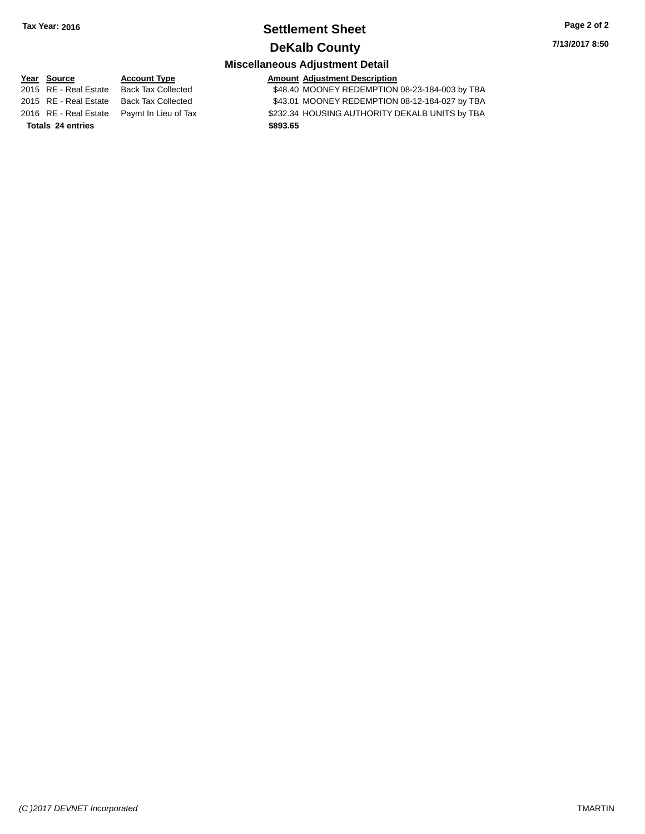# **Settlement Sheet Tax Year: 2016 Page 2 of 2 DeKalb County**

**7/13/2017 8:50**

# **Miscellaneous Adjustment Detail**

**Year** Source **Account Type Account Adjustment Description** 2015 RE - Real Estate Back Tax Collected \$48.40 MOONEY REDEMPTION 08-23-184-003 by TBA 2015 RE - Real Estate Back Tax Collected \$43.01 MOONEY REDEMPTION 08-12-184-027 by TBA 2016 RE - Real Estate Paymt In Lieu of Tax S232.34 HOUSING AUTHORITY DEKALB UNITS by TBA **Totals \$893.65 24 entries**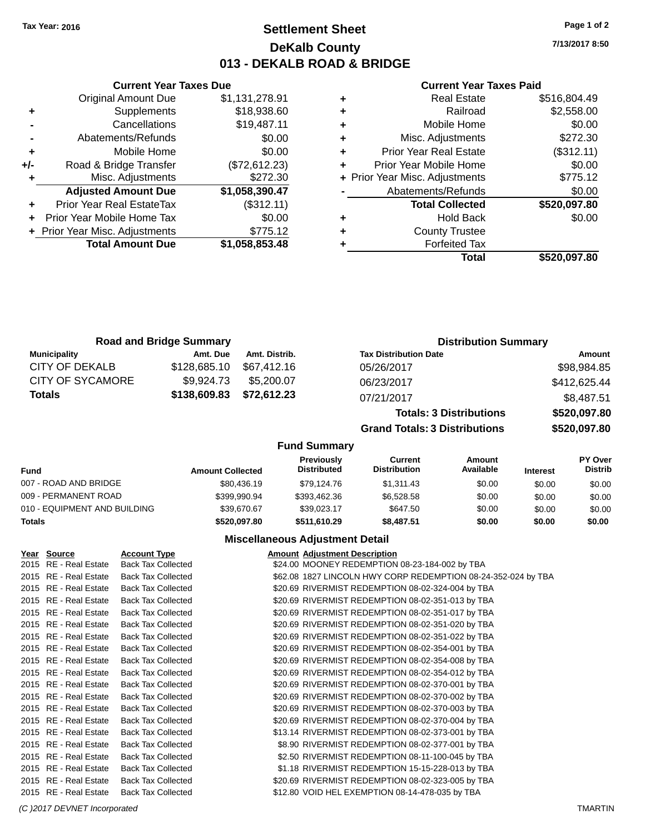# **Settlement Sheet Tax Year: 2016 Page 1 of 2 DeKalb County 013 - DEKALB ROAD & BRIDGE**

**7/13/2017 8:50**

### **Current Year Taxes Paid**

|     | <b>Current Year Taxes Due</b>  |                |  |  |  |  |
|-----|--------------------------------|----------------|--|--|--|--|
|     | <b>Original Amount Due</b>     | \$1,131,278.91 |  |  |  |  |
| ٠   | Supplements                    | \$18,938.60    |  |  |  |  |
|     | Cancellations                  | \$19,487.11    |  |  |  |  |
|     | Abatements/Refunds             | \$0.00         |  |  |  |  |
| ٠   | Mobile Home                    | \$0.00         |  |  |  |  |
| +/- | Road & Bridge Transfer         | (\$72,612.23)  |  |  |  |  |
| ٠   | Misc. Adjustments              | \$272.30       |  |  |  |  |
|     | <b>Adjusted Amount Due</b>     | \$1,058,390.47 |  |  |  |  |
|     | Prior Year Real EstateTax      | (\$312.11)     |  |  |  |  |
|     | Prior Year Mobile Home Tax     | \$0.00         |  |  |  |  |
|     | + Prior Year Misc. Adjustments | \$775.12       |  |  |  |  |
|     | <b>Total Amount Due</b>        | \$1,058,853.48 |  |  |  |  |
|     |                                |                |  |  |  |  |

|   | Total                          | \$520,097.80 |
|---|--------------------------------|--------------|
|   | <b>Forfeited Tax</b>           |              |
| ٠ | <b>County Trustee</b>          |              |
| ٠ | <b>Hold Back</b>               | \$0.00       |
|   | <b>Total Collected</b>         | \$520,097.80 |
|   | Abatements/Refunds             | \$0.00       |
|   | + Prior Year Misc. Adjustments | \$775.12     |
| ٠ | Prior Year Mobile Home         | \$0.00       |
| ٠ | <b>Prior Year Real Estate</b>  | (\$312.11)   |
| ٠ | Misc. Adjustments              | \$272.30     |
| ٠ | Mobile Home                    | \$0.00       |
| ٠ | Railroad                       | \$2,558.00   |
|   | <b>Real Estate</b>             | \$516,804.49 |

| <b>Road and Bridge Summary</b> |              |               | <b>Distribution Summary</b>    |              |
|--------------------------------|--------------|---------------|--------------------------------|--------------|
| Municipality                   | Amt. Due     | Amt. Distrib. | <b>Tax Distribution Date</b>   | Amount       |
| CITY OF DEKALB                 | \$128,685.10 | \$67.412.16   | 05/26/2017                     | \$98,984.85  |
| <b>CITY OF SYCAMORE</b>        | \$9.924.73   | \$5,200,07    | 06/23/2017                     | \$412,625.44 |
| <b>Totals</b>                  | \$138,609.83 | \$72,612.23   | 07/21/2017                     | \$8,487.51   |
|                                |              |               | <b>Totals: 3 Distributions</b> | \$520,097.80 |

**Grand Totals: 3 Distributions \$520,097.80**

#### **Fund Summary**

| Fund                         | <b>Amount Collected</b> | <b>Previously</b><br>Distributed | Current<br><b>Distribution</b> | Amount<br>Available | <b>Interest</b> | <b>PY Over</b><br><b>Distrib</b> |
|------------------------------|-------------------------|----------------------------------|--------------------------------|---------------------|-----------------|----------------------------------|
| 007 - ROAD AND BRIDGE        | \$80,436.19             | \$79.124.76                      | \$1.311.43                     | \$0.00              | \$0.00          | \$0.00                           |
| 009 - PERMANENT ROAD         | \$399.990.94            | \$393,462.36                     | \$6,528,58                     | \$0.00              | \$0.00          | \$0.00                           |
| 010 - EQUIPMENT AND BUILDING | \$39,670.67             | \$39.023.17                      | \$647.50                       | \$0.00              | \$0.00          | \$0.00                           |
| <b>Totals</b>                | \$520.097.80            | \$511.610.29                     | \$8,487.51                     | \$0.00              | \$0.00          | \$0.00                           |

## **Miscellaneous Adjustment Detail**

| Year Source           | <b>Account Type</b>       | <b>Amount Adjustment Description</b>                          |
|-----------------------|---------------------------|---------------------------------------------------------------|
| 2015 RE - Real Estate | <b>Back Tax Collected</b> | \$24.00 MOONEY REDEMPTION 08-23-184-002 by TBA                |
| 2015 RE - Real Estate | <b>Back Tax Collected</b> | \$62.08 1827 LINCOLN HWY CORP REDEMPTION 08-24-352-024 by TBA |
| 2015 RE - Real Estate | <b>Back Tax Collected</b> | \$20.69 RIVERMIST REDEMPTION 08-02-324-004 by TBA             |
| 2015 RE - Real Estate | <b>Back Tax Collected</b> | \$20.69 RIVERMIST REDEMPTION 08-02-351-013 by TBA             |
| 2015 RE - Real Estate | <b>Back Tax Collected</b> | \$20.69 RIVERMIST REDEMPTION 08-02-351-017 by TBA             |
| 2015 RE - Real Estate | <b>Back Tax Collected</b> | \$20.69 RIVERMIST REDEMPTION 08-02-351-020 by TBA             |
| 2015 RE - Real Estate | <b>Back Tax Collected</b> | \$20.69 RIVERMIST REDEMPTION 08-02-351-022 by TBA             |
| 2015 RE - Real Estate | <b>Back Tax Collected</b> | \$20.69 RIVERMIST REDEMPTION 08-02-354-001 by TBA             |
| 2015 RE - Real Estate | <b>Back Tax Collected</b> | \$20.69 RIVERMIST REDEMPTION 08-02-354-008 by TBA             |
| 2015 RE - Real Estate | <b>Back Tax Collected</b> | \$20.69 RIVERMIST REDEMPTION 08-02-354-012 by TBA             |
| 2015 RE - Real Estate | <b>Back Tax Collected</b> | \$20.69 RIVERMIST REDEMPTION 08-02-370-001 by TBA             |
| 2015 RE - Real Estate | <b>Back Tax Collected</b> | \$20.69 RIVERMIST REDEMPTION 08-02-370-002 by TBA             |
| 2015 RE - Real Estate | <b>Back Tax Collected</b> | \$20.69 RIVERMIST REDEMPTION 08-02-370-003 by TBA             |
| 2015 RE - Real Estate | <b>Back Tax Collected</b> | \$20.69 RIVERMIST REDEMPTION 08-02-370-004 by TBA             |
| 2015 RE - Real Estate | <b>Back Tax Collected</b> | \$13.14 RIVERMIST REDEMPTION 08-02-373-001 by TBA             |
| 2015 RE - Real Estate | <b>Back Tax Collected</b> | \$8.90 RIVERMIST REDEMPTION 08-02-377-001 by TBA              |
| 2015 RE - Real Estate | <b>Back Tax Collected</b> | \$2.50 RIVERMIST REDEMPTION 08-11-100-045 by TBA              |
| 2015 RE - Real Estate | <b>Back Tax Collected</b> | \$1.18 RIVERMIST REDEMPTION 15-15-228-013 by TBA              |
| 2015 RE - Real Estate | <b>Back Tax Collected</b> | \$20.69 RIVERMIST REDEMPTION 08-02-323-005 by TBA             |
| 2015 RE - Real Estate | <b>Back Tax Collected</b> | \$12.80 VOID HEL EXEMPTION 08-14-478-035 by TBA               |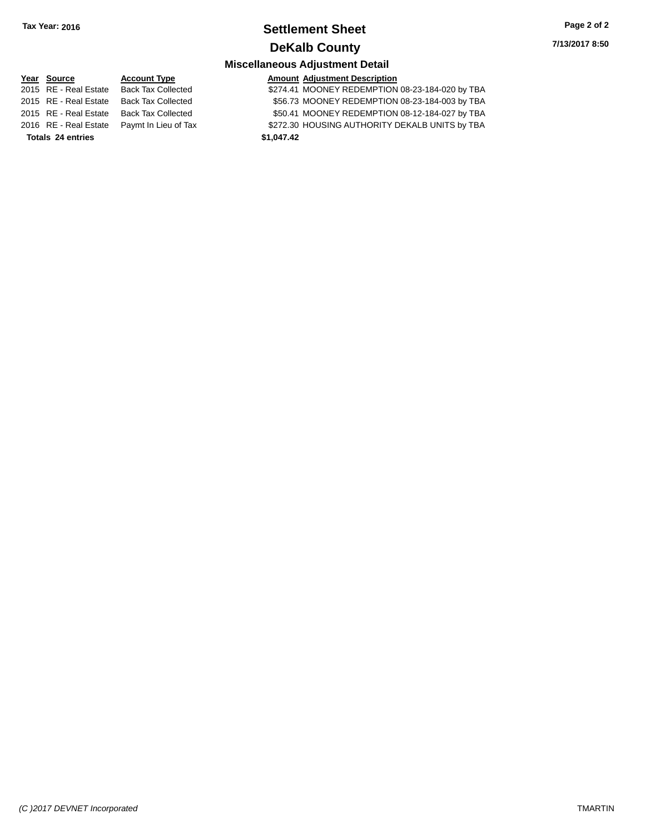# **Settlement Sheet Tax Year: 2016 Page 2 of 2 DeKalb County**

**7/13/2017 8:50**

# **Miscellaneous Adjustment Detail**

**Year** Source **Account Type Account Adjustment Description** 2015 RE - Real Estate Back Tax Collected \$274.41 MOONEY REDEMPTION 08-23-184-020 by TBA

2015 RE - Real Estate Back Tax Collected \$56.73 MOONEY REDEMPTION 08-23-184-003 by TBA 2015 RE - Real Estate Back Tax Collected \$50.41 MOONEY REDEMPTION 08-12-184-027 by TBA

2016 RE - Real Estate Paymt In Lieu of Tax S272.30 HOUSING AUTHORITY DEKALB UNITS by TBA

**Totals \$1,047.42 24 entries**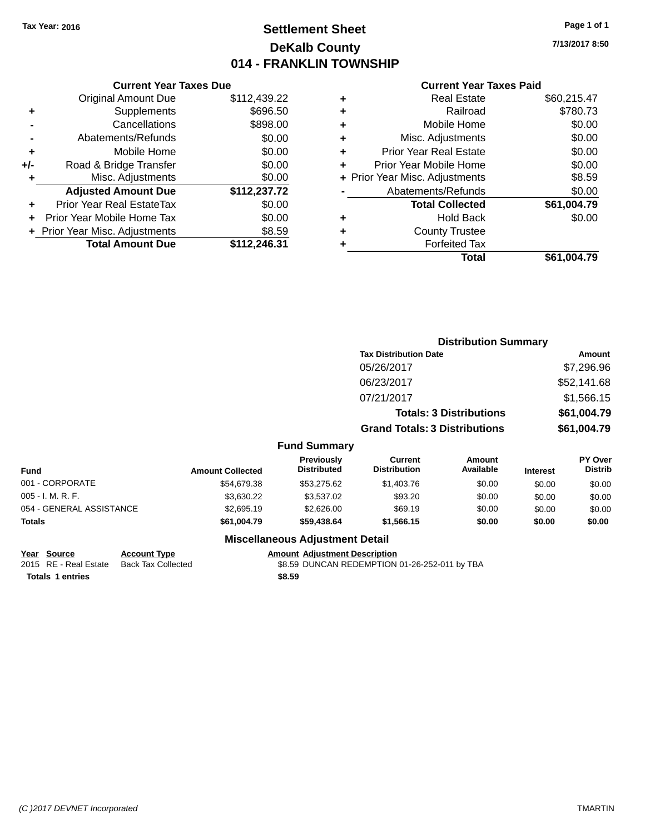# **Settlement Sheet Tax Year: 2016 Page 1 of 1 DeKalb County 014 - FRANKLIN TOWNSHIP**

**7/13/2017 8:50**

### **Current Year Taxes Paid**

|     | <b>Current Year Taxes Due</b>  |              |  |  |  |  |
|-----|--------------------------------|--------------|--|--|--|--|
|     | <b>Original Amount Due</b>     | \$112,439.22 |  |  |  |  |
| ÷   | Supplements                    | \$696.50     |  |  |  |  |
|     | Cancellations                  | \$898.00     |  |  |  |  |
|     | Abatements/Refunds             | \$0.00       |  |  |  |  |
| ٠   | Mobile Home                    | \$0.00       |  |  |  |  |
| +/- | Road & Bridge Transfer         | \$0.00       |  |  |  |  |
| ٠   | Misc. Adjustments              | \$0.00       |  |  |  |  |
|     | <b>Adjusted Amount Due</b>     | \$112,237.72 |  |  |  |  |
| ÷   | Prior Year Real EstateTax      | \$0.00       |  |  |  |  |
|     | Prior Year Mobile Home Tax     | \$0.00       |  |  |  |  |
|     | + Prior Year Misc. Adjustments | \$8.59       |  |  |  |  |
|     | <b>Total Amount Due</b>        | \$112,246.31 |  |  |  |  |
|     |                                |              |  |  |  |  |

|   | <b>Real Estate</b>             | \$60,215.47 |
|---|--------------------------------|-------------|
| ٠ | Railroad                       | \$780.73    |
| ٠ | Mobile Home                    | \$0.00      |
| ٠ | Misc. Adjustments              | \$0.00      |
| ٠ | <b>Prior Year Real Estate</b>  | \$0.00      |
| ٠ | Prior Year Mobile Home         | \$0.00      |
|   | + Prior Year Misc. Adjustments | \$8.59      |
|   | Abatements/Refunds             | \$0.00      |
|   | <b>Total Collected</b>         | \$61,004.79 |
| ٠ | Hold Back                      | \$0.00      |
| ٠ | <b>County Trustee</b>          |             |
| ٠ | <b>Forfeited Tax</b>           |             |
|   | Total                          | \$61,004.79 |
|   |                                |             |

|                          |                         |                                  |                                      |                                | <b>Distribution Summary</b> |                                  |
|--------------------------|-------------------------|----------------------------------|--------------------------------------|--------------------------------|-----------------------------|----------------------------------|
|                          |                         |                                  | <b>Tax Distribution Date</b>         |                                | Amount                      |                                  |
|                          |                         |                                  | 05/26/2017                           |                                |                             | \$7,296.96                       |
|                          |                         |                                  | 06/23/2017                           |                                |                             | \$52,141.68                      |
|                          |                         |                                  | 07/21/2017                           |                                |                             | \$1,566.15                       |
|                          |                         |                                  |                                      | <b>Totals: 3 Distributions</b> |                             | \$61,004.79                      |
|                          |                         |                                  | <b>Grand Totals: 3 Distributions</b> |                                |                             | \$61,004.79                      |
|                          |                         | <b>Fund Summary</b>              |                                      |                                |                             |                                  |
| <b>Fund</b>              | <b>Amount Collected</b> | Previously<br><b>Distributed</b> | Current<br><b>Distribution</b>       | Amount<br>Available            | <b>Interest</b>             | <b>PY Over</b><br><b>Distrib</b> |
| 001 - CORPORATE          | \$54,679.38             | \$53,275.62                      | \$1,403.76                           | \$0.00                         | \$0.00                      | \$0.00                           |
| 005 - I. M. R. F.        | \$3,630.22              | \$3,537.02                       | \$93.20                              | \$0.00                         | \$0.00                      | \$0.00                           |
| 054 - GENERAL ASSISTANCE | \$2,695.19              | \$2,626.00                       | \$69.19                              | \$0.00                         | \$0.00                      | \$0.00                           |
| Totals                   | \$61,004.79             | \$59,438.64                      | \$1,566.15                           | \$0.00                         | \$0.00                      | \$0.00                           |
|                          |                         | Miccollanceus Adjustment Detail  |                                      |                                |                             |                                  |

#### **Miscellaneous Adjustment Detail**

### **Year Source Account Type Account Adjustment Description**

2015 RE - Real Estate Back Tax Collected \$8.59 DUNCAN REDEMPTION 01-26-252-011 by TBA

**Totals \$8.59 1 entries**

*(C )2017 DEVNET Incorporated* TMARTIN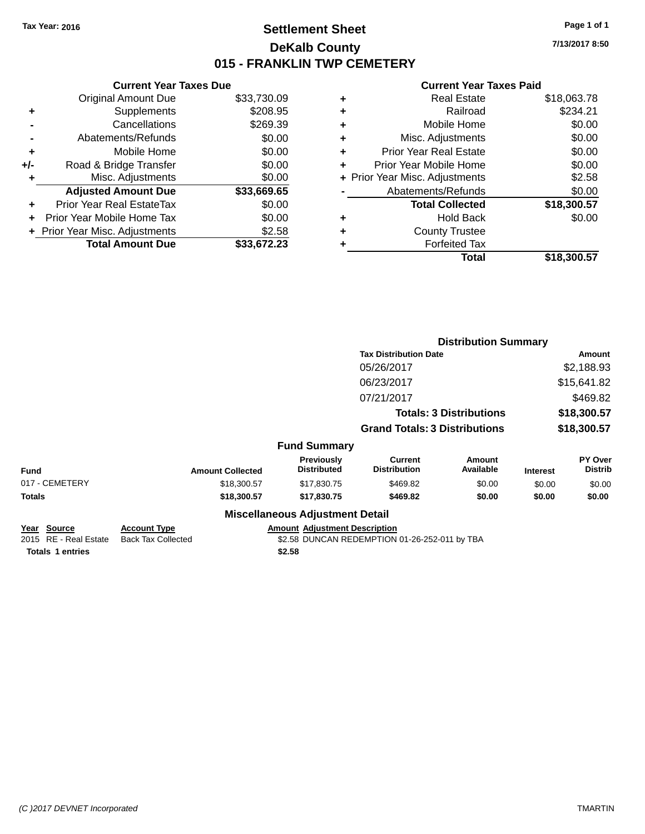# **Settlement Sheet Tax Year: 2016 Page 1 of 1 DeKalb County 015 - FRANKLIN TWP CEMETERY**

**7/13/2017 8:50**

### **Current Year Taxes Paid**

|     | <b>Current Year Taxes Due</b>  |             |  |  |  |
|-----|--------------------------------|-------------|--|--|--|
|     | <b>Original Amount Due</b>     | \$33,730.09 |  |  |  |
| ٠   | Supplements                    | \$208.95    |  |  |  |
|     | Cancellations                  | \$269.39    |  |  |  |
|     | Abatements/Refunds             | \$0.00      |  |  |  |
| ٠   | Mobile Home                    | \$0.00      |  |  |  |
| +/- | Road & Bridge Transfer         | \$0.00      |  |  |  |
| ٠   | Misc. Adjustments              | \$0.00      |  |  |  |
|     | <b>Adjusted Amount Due</b>     | \$33,669.65 |  |  |  |
| ٠   | Prior Year Real EstateTax      | \$0.00      |  |  |  |
|     | Prior Year Mobile Home Tax     | \$0.00      |  |  |  |
|     | + Prior Year Misc. Adjustments | \$2.58      |  |  |  |
|     | <b>Total Amount Due</b>        | \$33,672.23 |  |  |  |
|     |                                |             |  |  |  |

|   | <b>Real Estate</b>             | \$18,063.78 |
|---|--------------------------------|-------------|
| ٠ | Railroad                       | \$234.21    |
| ٠ | Mobile Home                    | \$0.00      |
| ٠ | Misc. Adjustments              | \$0.00      |
| ٠ | <b>Prior Year Real Estate</b>  | \$0.00      |
| ٠ | Prior Year Mobile Home         | \$0.00      |
|   | + Prior Year Misc. Adjustments | \$2.58      |
|   | Abatements/Refunds             | \$0.00      |
|   | <b>Total Collected</b>         | \$18,300.57 |
| ٠ | <b>Hold Back</b>               | \$0.00      |
| ٠ | <b>County Trustee</b>          |             |
| ٠ | <b>Forfeited Tax</b>           |             |
|   | Total                          | \$18.300.57 |
|   |                                |             |

|                                      |                                                  |                                        |                                      |                                               | <b>Distribution Summary</b>    |                 |                           |
|--------------------------------------|--------------------------------------------------|----------------------------------------|--------------------------------------|-----------------------------------------------|--------------------------------|-----------------|---------------------------|
|                                      |                                                  |                                        |                                      | <b>Tax Distribution Date</b>                  |                                | Amount          |                           |
|                                      |                                                  |                                        |                                      | 05/26/2017                                    |                                |                 | \$2,188.93                |
|                                      |                                                  |                                        |                                      | 06/23/2017                                    |                                |                 | \$15,641.82               |
|                                      |                                                  |                                        |                                      | 07/21/2017                                    |                                |                 | \$469.82                  |
|                                      |                                                  |                                        |                                      |                                               | <b>Totals: 3 Distributions</b> |                 | \$18,300.57               |
|                                      |                                                  |                                        |                                      | <b>Grand Totals: 3 Distributions</b>          |                                |                 | \$18,300.57               |
|                                      |                                                  |                                        | <b>Fund Summary</b>                  |                                               |                                |                 |                           |
| <b>Fund</b>                          | <b>Amount Collected</b>                          |                                        | Previously<br><b>Distributed</b>     | <b>Current</b><br><b>Distribution</b>         | <b>Amount</b><br>Available     | <b>Interest</b> | PY Over<br><b>Distrib</b> |
| 017 - CEMETERY                       | \$18,300.57                                      |                                        | \$17,830.75                          | \$469.82                                      | \$0.00                         | \$0.00          | \$0.00                    |
| Totals                               | \$18,300.57                                      |                                        | \$17,830.75                          | \$469.82                                      | \$0.00                         | \$0.00          | \$0.00                    |
|                                      |                                                  | <b>Miscellaneous Adjustment Detail</b> |                                      |                                               |                                |                 |                           |
| Year Source<br>2015 RE - Real Estate | <b>Account Type</b><br><b>Back Tax Collected</b> |                                        | <b>Amount Adjustment Description</b> | \$2.58 DUNCAN REDEMPTION 01-26-252-011 by TBA |                                |                 |                           |
|                                      |                                                  |                                        |                                      |                                               |                                |                 |                           |

**Totals \$2.58 1 entries**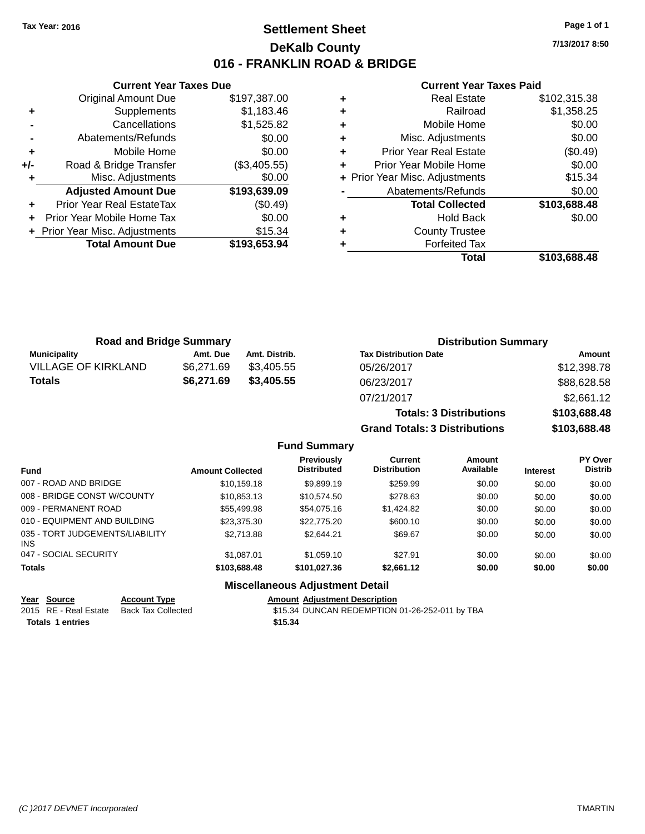# **Settlement Sheet Tax Year: 2016 Page 1 of 1 DeKalb County 016 - FRANKLIN ROAD & BRIDGE**

**7/13/2017 8:50**

#### **Current Year Taxes Paid**

|     | <b>Original Amount Due</b>     | \$197,387.00 |
|-----|--------------------------------|--------------|
| ٠   | Supplements                    | \$1,183.46   |
|     | Cancellations                  | \$1,525.82   |
|     | Abatements/Refunds             | \$0.00       |
| ÷   | Mobile Home                    | \$0.00       |
| +/- | Road & Bridge Transfer         | (\$3,405.55) |
| ٠   | Misc. Adjustments              | \$0.00       |
|     | <b>Adjusted Amount Due</b>     | \$193,639.09 |
| ٠   | Prior Year Real EstateTax      | (\$0.49)     |
|     | Prior Year Mobile Home Tax     | \$0.00       |
|     | + Prior Year Misc. Adjustments | \$15.34      |
|     | <b>Total Amount Due</b>        | \$193,653.94 |
|     |                                |              |

**Current Year Taxes Due**

|   | Total                          | \$103,688.48 |
|---|--------------------------------|--------------|
|   | <b>Forfeited Tax</b>           |              |
| ٠ | <b>County Trustee</b>          |              |
| ٠ | <b>Hold Back</b>               | \$0.00       |
|   | <b>Total Collected</b>         | \$103,688.48 |
|   | Abatements/Refunds             | \$0.00       |
|   | + Prior Year Misc. Adjustments | \$15.34      |
| ÷ | Prior Year Mobile Home         | \$0.00       |
| ٠ | <b>Prior Year Real Estate</b>  | (\$0.49)     |
| ٠ | Misc. Adjustments              | \$0.00       |
| ٠ | Mobile Home                    | \$0.00       |
| ٠ | Railroad                       | \$1,358.25   |
|   | <b>Real Estate</b>             | \$102,315.38 |

**Grand Totals: 3 Distributions \$103,688.48**

| <b>Road and Bridge Summary</b> |            |               | <b>Distribution Summary</b>    |              |  |
|--------------------------------|------------|---------------|--------------------------------|--------------|--|
| <b>Municipality</b>            | Amt. Due   | Amt. Distrib. | <b>Tax Distribution Date</b>   | Amount       |  |
| <b>VILLAGE OF KIRKLAND</b>     | \$6,271.69 | \$3.405.55    | 05/26/2017                     | \$12,398.78  |  |
| Totals                         | \$6,271.69 | \$3,405.55    | 06/23/2017                     | \$88,628.58  |  |
|                                |            |               | 07/21/2017                     | \$2,661.12   |  |
|                                |            |               | <b>Totals: 3 Distributions</b> | \$103,688.48 |  |

**Fund Summary Fund Interest Amount Collected Distributed PY Over Distrib Amount Available Current Distribution Previously** 007 - ROAD AND BRIDGE \$10,159.18 \$9,899.19 \$259.99 \$0.00 \$0.00 \$0.00 \$0.00 008 - BRIDGE CONST W/COUNTY  $$10,853.13$   $$10,74.50$   $$278.63$   $$0.00$   $$0.00$   $$0.00$ 009 - PERMANENT ROAD \$55,499.98 \$0.424.82 \$0.00 \$0.00 \$0.00 \$0.00 \$0.00 010 - EQUIPMENT AND BUILDING \$23,375.30 \$22,775.20 \$600.10 \$0.00 \$0.00 \$0.00 \$0.00 035 - TORT JUDGEMENTS/LIABILITY INS \$2,713.88 \$2,644.21 \$69.67 \$0.00 \$0.00 \$0.00 047 - SOCIAL SECURITY \$1,087.01 \$1,059.10 \$27.91 \$0.00 \$0.00 \$0.00 **Totals \$103,688.48 \$101,027.36 \$2,661.12 \$0.00 \$0.00 \$0.00**

### **Miscellaneous Adjustment Detail**

### **Year Source Account Type Amount Adjustment Description**

2015 RE - Real Estate Back Tax Collected **1988 St.34 DUNCAN REDEMPTION 01-26-252-011 by TBA Totals \$15.34 1 entries**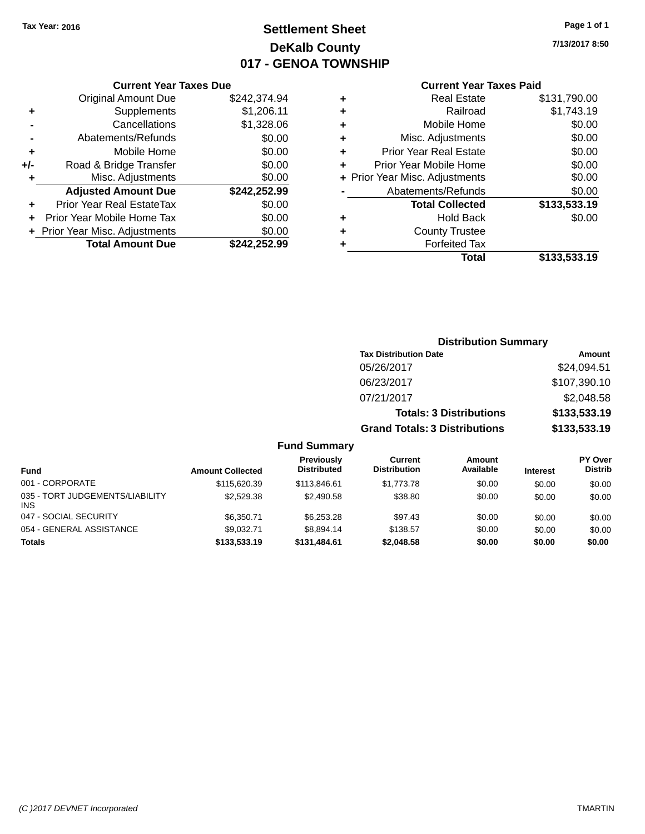# **Settlement Sheet Tax Year: 2016 Page 1 of 1 DeKalb County 017 - GENOA TOWNSHIP**

**7/13/2017 8:50**

### **Current Year Taxes Paid**

|       | <b>Current Year Taxes Due</b>              |              |  |  |  |
|-------|--------------------------------------------|--------------|--|--|--|
|       | \$242.374.94<br><b>Original Amount Due</b> |              |  |  |  |
| ٠     | Supplements                                | \$1,206.11   |  |  |  |
|       | Cancellations                              | \$1,328.06   |  |  |  |
|       | Abatements/Refunds                         | \$0.00       |  |  |  |
| ٠     | Mobile Home                                | \$0.00       |  |  |  |
| $+/-$ | Road & Bridge Transfer                     | \$0.00       |  |  |  |
| ٠     | Misc. Adjustments                          | \$0.00       |  |  |  |
|       | <b>Adjusted Amount Due</b>                 | \$242,252.99 |  |  |  |
| ٠     | Prior Year Real EstateTax                  | \$0.00       |  |  |  |
|       | Prior Year Mobile Home Tax                 | \$0.00       |  |  |  |
|       | Prior Year Misc. Adjustments               | \$0.00       |  |  |  |
|       | <b>Total Amount Due</b>                    | \$242.252.99 |  |  |  |

| ٠ | <b>Real Estate</b>             | \$131,790.00 |
|---|--------------------------------|--------------|
| ٠ | Railroad                       | \$1,743.19   |
| ٠ | Mobile Home                    | \$0.00       |
| ٠ | Misc. Adjustments              | \$0.00       |
| ٠ | <b>Prior Year Real Estate</b>  | \$0.00       |
| ÷ | Prior Year Mobile Home         | \$0.00       |
|   | + Prior Year Misc. Adjustments | \$0.00       |
|   | Abatements/Refunds             | \$0.00       |
|   | <b>Total Collected</b>         | \$133,533.19 |
| ٠ | Hold Back                      | \$0.00       |
| ٠ | <b>County Trustee</b>          |              |
| ٠ | <b>Forfeited Tax</b>           |              |
|   | Total                          | \$133,533.19 |
|   |                                |              |

| <b>Distribution Summary</b>          |              |  |
|--------------------------------------|--------------|--|
| <b>Tax Distribution Date</b>         | Amount       |  |
| 05/26/2017                           | \$24,094.51  |  |
| 06/23/2017                           | \$107,390.10 |  |
| 07/21/2017                           | \$2,048.58   |  |
| <b>Totals: 3 Distributions</b>       | \$133,533.19 |  |
| <b>Grand Totals: 3 Distributions</b> | \$133,533.19 |  |

| <b>Fund</b>                                   | <b>Amount Collected</b> | Previously<br><b>Distributed</b> | Current<br><b>Distribution</b> | Amount<br>Available | <b>Interest</b> | PY Over<br><b>Distrib</b> |
|-----------------------------------------------|-------------------------|----------------------------------|--------------------------------|---------------------|-----------------|---------------------------|
| 001 - CORPORATE                               | \$115,620.39            | \$113,846,61                     | \$1.773.78                     | \$0.00              | \$0.00          | \$0.00                    |
| 035 - TORT JUDGEMENTS/LIABILITY<br><b>INS</b> | \$2,529.38              | \$2,490.58                       | \$38.80                        | \$0.00              | \$0.00          | \$0.00                    |
| 047 - SOCIAL SECURITY                         | \$6.350.71              | \$6.253.28                       | \$97.43                        | \$0.00              | \$0.00          | \$0.00                    |
| 054 - GENERAL ASSISTANCE                      | \$9.032.71              | \$8.894.14                       | \$138.57                       | \$0.00              | \$0.00          | \$0.00                    |
| <b>Totals</b>                                 | \$133,533,19            | \$131,484.61                     | \$2,048.58                     | \$0.00              | \$0.00          | \$0.00                    |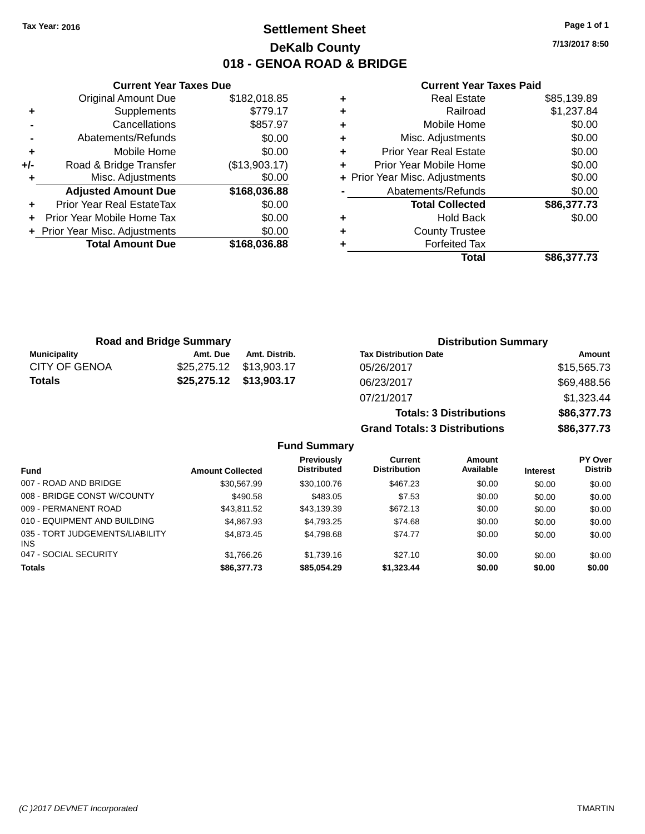# **Settlement Sheet Tax Year: 2016 Page 1 of 1 DeKalb County 018 - GENOA ROAD & BRIDGE**

**7/13/2017 8:50**

#### **Current Year Taxes Paid**

|     | <b>Current Year Taxes Due</b> |               |  |  |
|-----|-------------------------------|---------------|--|--|
|     | <b>Original Amount Due</b>    | \$182,018.85  |  |  |
| ٠   | Supplements                   | \$779.17      |  |  |
|     | Cancellations                 | \$857.97      |  |  |
|     | Abatements/Refunds            | \$0.00        |  |  |
| ÷   | Mobile Home                   | \$0.00        |  |  |
| +/- | Road & Bridge Transfer        | (\$13,903.17) |  |  |
|     | Misc. Adjustments             | \$0.00        |  |  |
|     | <b>Adjusted Amount Due</b>    | \$168,036.88  |  |  |
| ÷   | Prior Year Real EstateTax     | \$0.00        |  |  |
|     | Prior Year Mobile Home Tax    | \$0.00        |  |  |
|     | Prior Year Misc. Adjustments  | \$0.00        |  |  |
|     | <b>Total Amount Due</b>       | \$168,036.88  |  |  |
|     |                               |               |  |  |

|   | <b>Real Estate</b>             | \$85,139.89 |
|---|--------------------------------|-------------|
| ٠ | Railroad                       | \$1,237.84  |
| ٠ | Mobile Home                    | \$0.00      |
| ٠ | Misc. Adjustments              | \$0.00      |
| ٠ | <b>Prior Year Real Estate</b>  | \$0.00      |
| ٠ | Prior Year Mobile Home         | \$0.00      |
|   | + Prior Year Misc. Adjustments | \$0.00      |
|   | Abatements/Refunds             | \$0.00      |
|   | <b>Total Collected</b>         | \$86,377.73 |
| ٠ | Hold Back                      | \$0.00      |
| ٠ | <b>County Trustee</b>          |             |
| ٠ | <b>Forfeited Tax</b>           |             |
|   | Total                          | \$86,377.73 |
|   |                                |             |

**Totals: 3 Distributions \$86,377.73**

**Grand Totals: 3 Distributions \$86,377.73**

| <b>Road and Bridge Summary</b> |          |                         | <b>Distribution Summary</b>  |             |
|--------------------------------|----------|-------------------------|------------------------------|-------------|
| <b>Municipality</b>            | Amt. Due | Amt. Distrib.           | <b>Tax Distribution Date</b> | Amount      |
| CITY OF GENOA                  |          |                         | 05/26/2017                   | \$15,565.73 |
| Totals                         |          | \$25,275.12 \$13,903.17 | 06/23/2017                   | \$69,488.56 |
|                                |          |                         | 07/21/2017                   | \$1,323.44  |

| <b>Fund Summary</b>     |                                  |                                |                     |                 |                    |
|-------------------------|----------------------------------|--------------------------------|---------------------|-----------------|--------------------|
| <b>Amount Collected</b> | Previously<br><b>Distributed</b> | Current<br><b>Distribution</b> | Amount<br>Available | <b>Interest</b> | PY Over<br>Distrib |
| \$30.567.99             | \$30,100.76                      | \$467.23                       | \$0.00              | \$0.00          | \$0.00             |
| \$490.58                | \$483.05                         | \$7.53                         | \$0.00              | \$0.00          | \$0.00             |
| \$43.811.52             | \$43,139.39                      | \$672.13                       | \$0.00              | \$0.00          | \$0.00             |
| \$4,867.93              | \$4,793.25                       | \$74.68                        | \$0.00              | \$0.00          | \$0.00             |
| \$4,873,45              | \$4,798.68                       | \$74.77                        | \$0.00              | \$0.00          | \$0.00             |
| \$1,766.26              | \$1,739.16                       | \$27.10                        | \$0.00              | \$0.00          | \$0.00             |
| \$86,377.73             | \$85,054.29                      | \$1,323.44                     | \$0.00              | \$0.00          | \$0.00             |
|                         |                                  |                                |                     |                 |                    |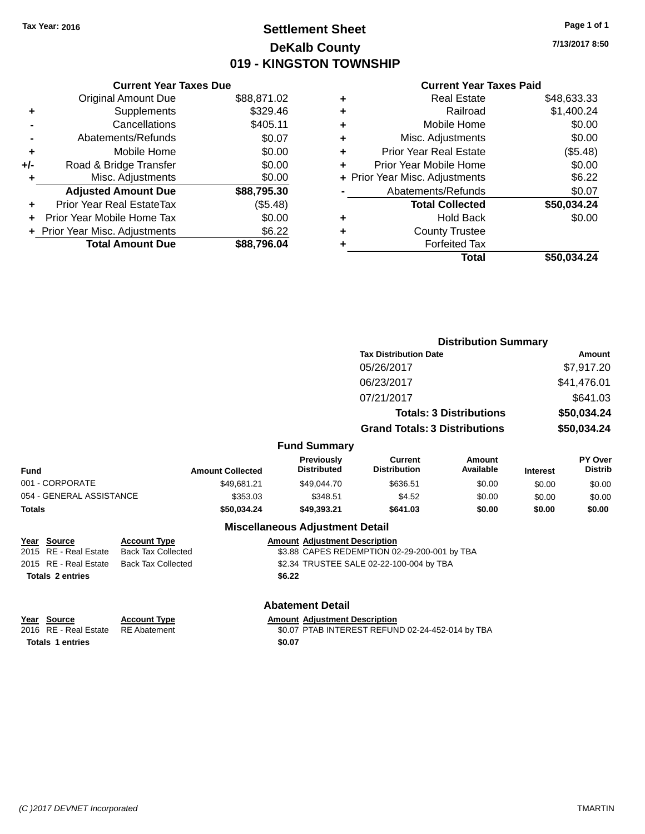# **Settlement Sheet Tax Year: 2016 Page 1 of 1 DeKalb County 019 - KINGSTON TOWNSHIP**

**7/13/2017 8:50**

### **Current Year Taxes Paid**

|     | <b>Current Year Taxes Due</b>  |             |
|-----|--------------------------------|-------------|
|     | <b>Original Amount Due</b>     | \$88,871.02 |
| ٠   | Supplements                    | \$329.46    |
|     | Cancellations                  | \$405.11    |
|     | Abatements/Refunds             | \$0.07      |
| ٠   | Mobile Home                    | \$0.00      |
| +/- | Road & Bridge Transfer         | \$0.00      |
| ٠   | Misc. Adjustments              | \$0.00      |
|     | <b>Adjusted Amount Due</b>     | \$88,795.30 |
| ÷   | Prior Year Real EstateTax      | (\$5.48)    |
|     | Prior Year Mobile Home Tax     | \$0.00      |
|     | + Prior Year Misc. Adjustments | \$6.22      |
|     | <b>Total Amount Due</b>        | \$88.796.04 |
|     |                                |             |

| ٠ | <b>Real Estate</b>             | \$48,633.33 |
|---|--------------------------------|-------------|
| ٠ | Railroad                       | \$1,400.24  |
| ٠ | Mobile Home                    | \$0.00      |
| ٠ | Misc. Adjustments              | \$0.00      |
| ٠ | <b>Prior Year Real Estate</b>  | (\$5.48)    |
| ٠ | Prior Year Mobile Home         | \$0.00      |
|   | + Prior Year Misc. Adjustments | \$6.22      |
|   | Abatements/Refunds             | \$0.07      |
|   | <b>Total Collected</b>         | \$50,034.24 |
| ٠ | Hold Back                      | \$0.00      |
| ٠ | <b>County Trustee</b>          |             |
| ٠ | <b>Forfeited Tax</b>           |             |
|   | Total                          | \$50,034.24 |
|   |                                |             |

|                          |                              |                                  | <b>Distribution Summary</b>           |                                |                 |                           |
|--------------------------|------------------------------|----------------------------------|---------------------------------------|--------------------------------|-----------------|---------------------------|
|                          | <b>Tax Distribution Date</b> |                                  |                                       | Amount                         |                 |                           |
|                          |                              |                                  | 05/26/2017                            |                                |                 | \$7,917.20                |
|                          |                              |                                  | 06/23/2017                            |                                |                 | \$41,476.01               |
|                          |                              |                                  | 07/21/2017                            |                                |                 | \$641.03                  |
|                          |                              |                                  |                                       | <b>Totals: 3 Distributions</b> |                 | \$50,034.24               |
|                          |                              |                                  | <b>Grand Totals: 3 Distributions</b>  |                                |                 | \$50,034.24               |
|                          |                              | <b>Fund Summary</b>              |                                       |                                |                 |                           |
| <b>Fund</b>              | <b>Amount Collected</b>      | Previously<br><b>Distributed</b> | <b>Current</b><br><b>Distribution</b> | <b>Amount</b><br>Available     | <b>Interest</b> | PY Over<br><b>Distrib</b> |
| 001 - CORPORATE          | \$49.681.21                  | \$49,044.70                      | \$636.51                              | \$0.00                         | \$0.00          | \$0.00                    |
| 054 - GENERAL ASSISTANCE | \$353.03                     | \$348.51                         | \$4.52                                | \$0.00                         | \$0.00          | \$0.00                    |
| <b>Totals</b>            | \$50,034.24                  | \$49,393.21                      | \$641.03                              | \$0.00                         | \$0.00          | \$0.00                    |
|                          |                              | Micoollanoous Adjustment Detail  |                                       |                                |                 |                           |

#### **Miscellaneous Adjustment Detail**

| Year Source           | <b>Account Type</b> | <b>Amount Adjustment Description</b>         |
|-----------------------|---------------------|----------------------------------------------|
| 2015 RE - Real Estate | Back Tax Collected  | \$3.88 CAPES REDEMPTION 02-29-200-001 by TBA |
| 2015 RE - Real Estate | Back Tax Collected  | \$2.34 TRUSTEE SALE 02-22-100-004 by TBA     |
| Totals 2 entries      |                     | \$6.22                                       |

**Abatement Detail**

**Year Source Account Type Amount Adjustment Description**<br>2016 RE - Real Estate RE Abatement **Amount Adjustment Description** RE Abatement **2016** 80.07 PTAB INTEREST REFUND 02-24-452-014 by TBA **Totals 1 entries** \$0.07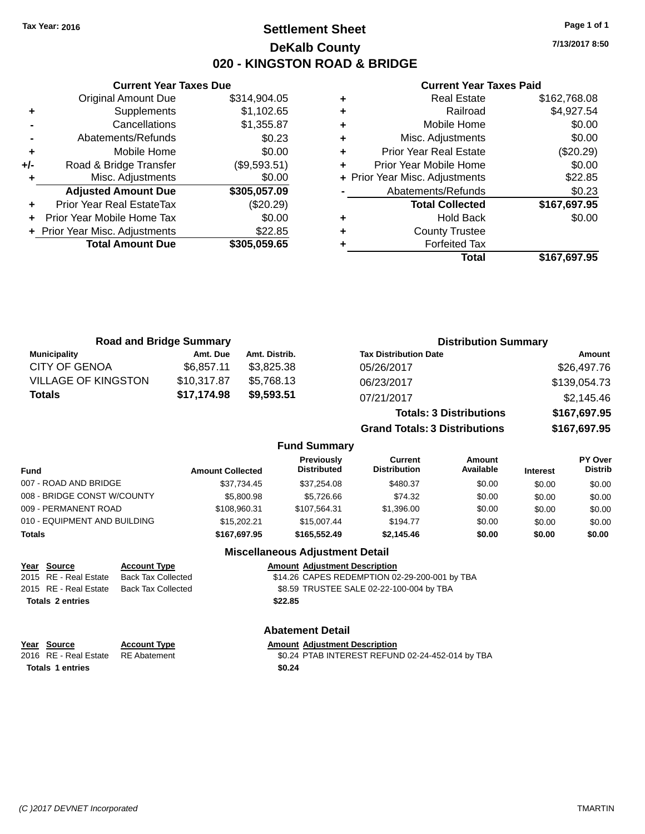# **Settlement Sheet Tax Year: 2016 Page 1 of 1 DeKalb County 020 - KINGSTON ROAD & BRIDGE**

**7/13/2017 8:50**

### **Current Year Taxes Paid**

|       | <b>Original Amount Due</b>     | \$314,904.05 |
|-------|--------------------------------|--------------|
| ٠     | Supplements                    | \$1,102.65   |
|       | Cancellations                  | \$1,355.87   |
|       | Abatements/Refunds             | \$0.23       |
| ٠     | Mobile Home                    | \$0.00       |
| $+/-$ | Road & Bridge Transfer         | (\$9,593.51) |
| ٠     | Misc. Adjustments              | \$0.00       |
|       | <b>Adjusted Amount Due</b>     | \$305,057.09 |
| ٠     | Prior Year Real EstateTax      | $(\$20.29)$  |
|       | Prior Year Mobile Home Tax     | \$0.00       |
|       | + Prior Year Misc. Adjustments | \$22.85      |
|       | <b>Total Amount Due</b>        | \$305,059.65 |
|       |                                |              |

**Current Year Taxes Due**

|   | <b>Real Estate</b>             | \$162,768.08 |
|---|--------------------------------|--------------|
| ٠ | Railroad                       | \$4,927.54   |
| ٠ | Mobile Home                    | \$0.00       |
| ٠ | Misc. Adjustments              | \$0.00       |
| ٠ | <b>Prior Year Real Estate</b>  | (\$20.29)    |
| ٠ | Prior Year Mobile Home         | \$0.00       |
|   | + Prior Year Misc. Adjustments | \$22.85      |
|   | Abatements/Refunds             | \$0.23       |
|   | <b>Total Collected</b>         | \$167,697.95 |
| ٠ | <b>Hold Back</b>               | \$0.00       |
| ٠ | <b>County Trustee</b>          |              |
|   | <b>Forfeited Tax</b>           |              |
|   | Total                          | \$167.697.95 |

| <b>Road and Bridge Summary</b> |             |               | <b>Distribution Summary</b>    |              |  |
|--------------------------------|-------------|---------------|--------------------------------|--------------|--|
| Municipality                   | Amt. Due    | Amt. Distrib. | <b>Tax Distribution Date</b>   | Amount       |  |
| <b>CITY OF GENOA</b>           | \$6.857.11  | \$3.825.38    | 05/26/2017                     | \$26,497.76  |  |
| <b>VILLAGE OF KINGSTON</b>     | \$10,317.87 | \$5.768.13    | 06/23/2017                     | \$139,054.73 |  |
| <b>Totals</b>                  | \$17,174.98 | \$9,593.51    | 07/21/2017                     | \$2,145.46   |  |
|                                |             |               | <b>Totals: 3 Distributions</b> | \$167,697.95 |  |

**Grand Totals: 3 Distributions \$167,697.95**

### **Fund Summary**

| Fund                         | <b>Amount Collected</b> | <b>Previously</b><br><b>Distributed</b> | Current<br><b>Distribution</b> | Amount<br>Available | <b>Interest</b> | <b>PY Over</b><br><b>Distrib</b> |
|------------------------------|-------------------------|-----------------------------------------|--------------------------------|---------------------|-----------------|----------------------------------|
| 007 - ROAD AND BRIDGE        | \$37.734.45             | \$37.254.08                             | \$480.37                       | \$0.00              | \$0.00          | \$0.00                           |
| 008 - BRIDGE CONST W/COUNTY  | \$5,800.98              | \$5.726.66                              | \$74.32                        | \$0.00              | \$0.00          | \$0.00                           |
| 009 - PERMANENT ROAD         | \$108.960.31            | \$107.564.31                            | \$1,396.00                     | \$0.00              | \$0.00          | \$0.00                           |
| 010 - EQUIPMENT AND BUILDING | \$15,202.21             | \$15,007.44                             | \$194.77                       | \$0.00              | \$0.00          | \$0.00                           |
| Totals                       | \$167.697.95            | \$165,552,49                            | \$2,145,46                     | \$0.00              | \$0.00          | \$0.00                           |

### **Miscellaneous Adjustment Detail**

### **Year Source Account Type Amount Adjustment Description** 2015 RE - Real Estate Back Tax Collected \$14.26 CAPES REDEMPTION 02-29-200-001 by TBA 2015 RE - Real Estate Back Tax Collected \$8.59 TRUSTEE SALE 02-22-100-004 by TBA **Totals \$22.85 2 entries**

| Year Source             | <b>Account Type</b>                | Amount |
|-------------------------|------------------------------------|--------|
|                         | 2016 RE - Real Estate RE Abatement | \$0.24 |
| <b>Totals 1 entries</b> |                                    | \$0.24 |

#### **Abatement Detail**

#### **PERETTE ACCOUNT THE SOLUTE ACCOUNT ADDENTIFYING ACCOUNT ADDENTIFYING ACCOUNT ACCOUNT ACCOUNT ACCOUNT ACCOUNT ACCOUNT**

2016 Abatement **Extrach Concernsive Solid Accord For Solid Accord For Solid Accord For Solid Accord For Abatement**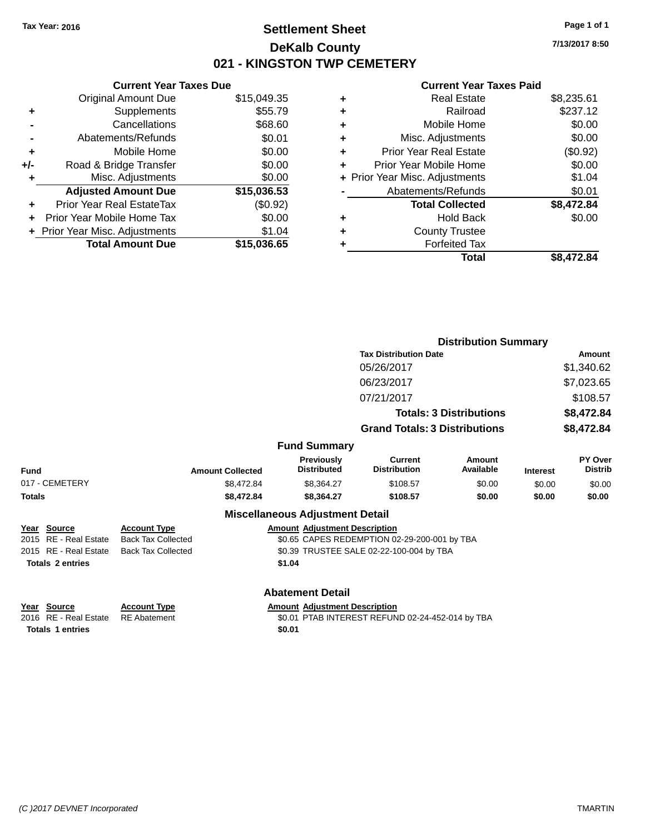# **Settlement Sheet Tax Year: 2016 Page 1 of 1 DeKalb County 021 - KINGSTON TWP CEMETERY**

**7/13/2017 8:50**

|     | <b>Current Year Taxes Due</b>  |             |
|-----|--------------------------------|-------------|
|     | <b>Original Amount Due</b>     | \$15,049.35 |
| ٠   | Supplements                    | \$55.79     |
|     | Cancellations                  | \$68.60     |
|     | Abatements/Refunds             | \$0.01      |
| ٠   | Mobile Home                    | \$0.00      |
| +/- | Road & Bridge Transfer         | \$0.00      |
|     | Misc. Adjustments              | \$0.00      |
|     | <b>Adjusted Amount Due</b>     | \$15,036.53 |
| ÷   | Prior Year Real EstateTax      | (\$0.92)    |
|     | Prior Year Mobile Home Tax     | \$0.00      |
|     | + Prior Year Misc. Adjustments | \$1.04      |
|     | <b>Total Amount Due</b>        | \$15,036.65 |
|     |                                |             |

|   | <b>Real Estate</b>             | \$8,235.61 |
|---|--------------------------------|------------|
| ٠ | Railroad                       | \$237.12   |
| ٠ | Mobile Home                    | \$0.00     |
| ٠ | Misc. Adjustments              | \$0.00     |
| ٠ | <b>Prior Year Real Estate</b>  | (\$0.92)   |
| ٠ | Prior Year Mobile Home         | \$0.00     |
|   | + Prior Year Misc. Adjustments | \$1.04     |
|   | Abatements/Refunds             | \$0.01     |
|   | <b>Total Collected</b>         | \$8,472.84 |
| ٠ | Hold Back                      | \$0.00     |
| ٠ | <b>County Trustee</b>          |            |
|   | <b>Forfeited Tax</b>           |            |
|   | Total                          | \$8.472.84 |
|   |                                |            |

|                                                                 |                                            |                                                |                                                  | <b>Distribution Summary</b>    |                 |                           |
|-----------------------------------------------------------------|--------------------------------------------|------------------------------------------------|--------------------------------------------------|--------------------------------|-----------------|---------------------------|
| <b>Tax Distribution Date</b>                                    |                                            |                                                |                                                  | Amount                         |                 |                           |
|                                                                 |                                            |                                                | 05/26/2017                                       |                                |                 | \$1,340.62                |
|                                                                 |                                            |                                                | 06/23/2017                                       |                                |                 | \$7,023.65                |
|                                                                 |                                            |                                                | 07/21/2017                                       |                                |                 | \$108.57                  |
|                                                                 |                                            |                                                |                                                  | <b>Totals: 3 Distributions</b> |                 | \$8,472.84                |
|                                                                 |                                            |                                                | <b>Grand Totals: 3 Distributions</b>             |                                |                 | \$8,472.84                |
|                                                                 |                                            | <b>Fund Summary</b>                            |                                                  |                                |                 |                           |
| Fund                                                            | <b>Amount Collected</b>                    | <b>Previously</b><br><b>Distributed</b>        | <b>Current</b><br><b>Distribution</b>            | Amount<br>Available            | <b>Interest</b> | PY Over<br><b>Distrib</b> |
| 017 - CEMETERY                                                  | \$8,472.84                                 | \$8,364.27                                     | \$108.57                                         | \$0.00                         | \$0.00          | \$0.00                    |
| <b>Totals</b>                                                   | \$8,472.84                                 | \$8,364.27                                     | \$108.57                                         | \$0.00                         | \$0.00          | \$0.00                    |
|                                                                 |                                            | <b>Miscellaneous Adjustment Detail</b>         |                                                  |                                |                 |                           |
| Year Source                                                     | <b>Account Type</b>                        | <b>Amount Adjustment Description</b>           |                                                  |                                |                 |                           |
| 2015 RE - Real Estate                                           | <b>Back Tax Collected</b>                  |                                                | \$0.65 CAPES REDEMPTION 02-29-200-001 by TBA     |                                |                 |                           |
| 2015 RE - Real Estate                                           | <b>Back Tax Collected</b>                  |                                                | \$0.39 TRUSTEE SALE 02-22-100-004 by TBA         |                                |                 |                           |
| <b>Totals 2 entries</b>                                         |                                            | \$1.04                                         |                                                  |                                |                 |                           |
|                                                                 |                                            | <b>Abatement Detail</b>                        |                                                  |                                |                 |                           |
| Year Source<br>2016 RE - Real Estate<br><b>Totals 1 entries</b> | <b>Account Type</b><br><b>RE</b> Abatement | <b>Amount Adjustment Description</b><br>\$0.01 | \$0.01 PTAB INTEREST REFUND 02-24-452-014 by TBA |                                |                 |                           |
|                                                                 |                                            |                                                |                                                  |                                |                 |                           |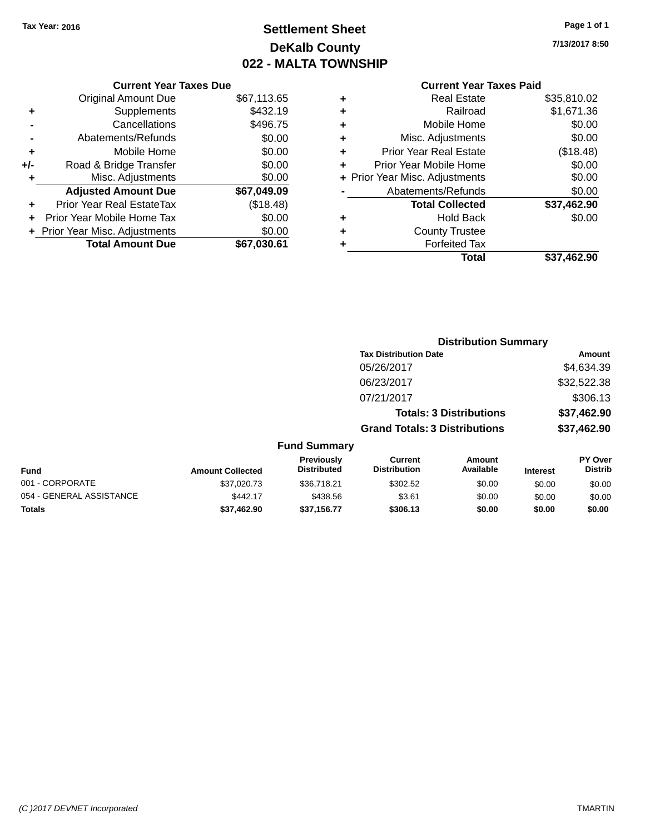# **Settlement Sheet Tax Year: 2016 Page 1 of 1 DeKalb County 022 - MALTA TOWNSHIP**

**7/13/2017 8:50**

| <b>Current Year Taxes Paid</b> |  |
|--------------------------------|--|
|                                |  |

|     | <b>Current Year Taxes Due</b>  |             |
|-----|--------------------------------|-------------|
|     | <b>Original Amount Due</b>     | \$67,113.65 |
| ٠   | Supplements                    | \$432.19    |
|     | Cancellations                  | \$496.75    |
|     | Abatements/Refunds             | \$0.00      |
| ٠   | Mobile Home                    | \$0.00      |
| +/- | Road & Bridge Transfer         | \$0.00      |
| ٠   | Misc. Adjustments              | \$0.00      |
|     | <b>Adjusted Amount Due</b>     | \$67,049.09 |
| ÷   | Prior Year Real EstateTax      | (\$18.48)   |
|     | Prior Year Mobile Home Tax     | \$0.00      |
|     | + Prior Year Misc. Adjustments | \$0.00      |
|     | <b>Total Amount Due</b>        | \$67,030.61 |
|     |                                |             |

| ٠ | <b>Real Estate</b>             | \$35,810.02 |
|---|--------------------------------|-------------|
| ٠ | Railroad                       | \$1,671.36  |
| ٠ | Mobile Home                    | \$0.00      |
| ٠ | Misc. Adjustments              | \$0.00      |
| ٠ | <b>Prior Year Real Estate</b>  | (\$18.48)   |
| ٠ | Prior Year Mobile Home         | \$0.00      |
|   | + Prior Year Misc. Adjustments | \$0.00      |
|   | Abatements/Refunds             | \$0.00      |
|   | <b>Total Collected</b>         | \$37,462.90 |
| ٠ | Hold Back                      | \$0.00      |
|   | <b>County Trustee</b>          |             |
| ٠ | <b>Forfeited Tax</b>           |             |
|   | Total                          | \$37.462.90 |
|   |                                |             |

| <b>Tax Distribution Date</b><br>05/26/2017<br>\$32,522.38<br>06/23/2017<br>07/21/2017<br><b>Totals: 3 Distributions</b><br>\$37,462.90<br>\$37,462.90<br><b>Grand Totals: 3 Distributions</b><br><b>Fund Summary</b><br>Previously<br><b>Current</b><br><b>Amount</b><br><b>Distributed</b><br><b>Distribution</b><br>Available<br><b>Amount Collected</b><br><b>Interest</b><br>\$37,020.73<br>\$302.52<br>\$0.00<br>\$36,718.21<br>\$0.00<br>\$442.17<br>\$438.56<br>\$3.61<br>\$0.00<br>\$0.00<br>\$37,462.90<br>\$37,156.77<br>\$306.13<br>\$0.00<br>\$0.00 |  |  | <b>Distribution Summary</b> |                           |
|-----------------------------------------------------------------------------------------------------------------------------------------------------------------------------------------------------------------------------------------------------------------------------------------------------------------------------------------------------------------------------------------------------------------------------------------------------------------------------------------------------------------------------------------------------------------|--|--|-----------------------------|---------------------------|
| <b>Fund</b><br>001 - CORPORATE<br>054 - GENERAL ASSISTANCE<br>Totals                                                                                                                                                                                                                                                                                                                                                                                                                                                                                            |  |  |                             | Amount                    |
|                                                                                                                                                                                                                                                                                                                                                                                                                                                                                                                                                                 |  |  |                             | \$4,634.39                |
|                                                                                                                                                                                                                                                                                                                                                                                                                                                                                                                                                                 |  |  |                             |                           |
|                                                                                                                                                                                                                                                                                                                                                                                                                                                                                                                                                                 |  |  |                             | \$306.13                  |
|                                                                                                                                                                                                                                                                                                                                                                                                                                                                                                                                                                 |  |  |                             |                           |
|                                                                                                                                                                                                                                                                                                                                                                                                                                                                                                                                                                 |  |  |                             |                           |
|                                                                                                                                                                                                                                                                                                                                                                                                                                                                                                                                                                 |  |  |                             |                           |
|                                                                                                                                                                                                                                                                                                                                                                                                                                                                                                                                                                 |  |  |                             | PY Over<br><b>Distrib</b> |
|                                                                                                                                                                                                                                                                                                                                                                                                                                                                                                                                                                 |  |  |                             | \$0.00                    |
|                                                                                                                                                                                                                                                                                                                                                                                                                                                                                                                                                                 |  |  |                             | \$0.00                    |
|                                                                                                                                                                                                                                                                                                                                                                                                                                                                                                                                                                 |  |  |                             | \$0.00                    |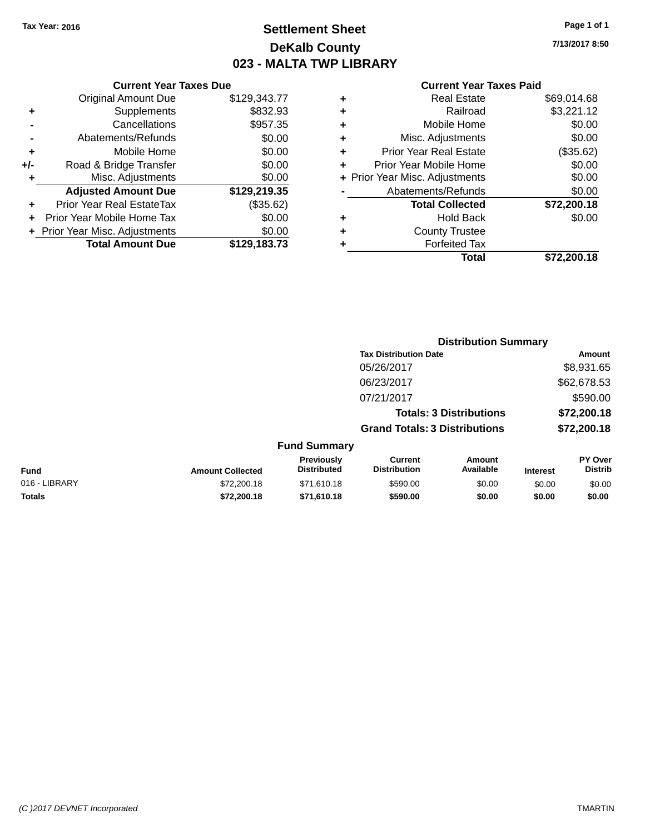# **Settlement Sheet Tax Year: 2016 Page 1 of 1 DeKalb County 023 - MALTA TWP LIBRARY**

**7/13/2017 8:50**

|     | <b>Current Year Taxes Due</b>  |              |  |  |
|-----|--------------------------------|--------------|--|--|
|     | <b>Original Amount Due</b>     | \$129,343.77 |  |  |
| ٠   | Supplements                    | \$832.93     |  |  |
|     | Cancellations                  | \$957.35     |  |  |
|     | Abatements/Refunds             | \$0.00       |  |  |
| ٠   | Mobile Home                    | \$0.00       |  |  |
| +/- | Road & Bridge Transfer         | \$0.00       |  |  |
| ٠   | Misc. Adjustments              | \$0.00       |  |  |
|     | <b>Adjusted Amount Due</b>     | \$129,219.35 |  |  |
| ÷   | Prior Year Real EstateTax      | (\$35.62)    |  |  |
|     | Prior Year Mobile Home Tax     | \$0.00       |  |  |
|     | + Prior Year Misc. Adjustments | \$0.00       |  |  |
|     | <b>Total Amount Due</b>        | \$129,183.73 |  |  |
|     |                                |              |  |  |

| ٠ | <b>Real Estate</b>             | \$69,014.68 |
|---|--------------------------------|-------------|
| ٠ | Railroad                       | \$3,221.12  |
| ٠ | Mobile Home                    | \$0.00      |
| ٠ | Misc. Adjustments              | \$0.00      |
| ٠ | <b>Prior Year Real Estate</b>  | (\$35.62)   |
| ٠ | Prior Year Mobile Home         | \$0.00      |
|   | + Prior Year Misc. Adjustments | \$0.00      |
|   | Abatements/Refunds             | \$0.00      |
|   | <b>Total Collected</b>         | \$72,200.18 |
| ٠ | Hold Back                      | \$0.00      |
| ٠ | <b>County Trustee</b>          |             |
| ٠ | <b>Forfeited Tax</b>           |             |
|   | Total                          | \$72,200.18 |
|   |                                |             |

|                         |                                         |                                       |                     |                                                                                                        | <b>Amount</b>               |
|-------------------------|-----------------------------------------|---------------------------------------|---------------------|--------------------------------------------------------------------------------------------------------|-----------------------------|
|                         |                                         | 05/26/2017                            |                     |                                                                                                        | \$8,931.65                  |
|                         |                                         | 06/23/2017                            |                     |                                                                                                        | \$62,678.53                 |
|                         |                                         | 07/21/2017                            |                     |                                                                                                        | \$590.00                    |
|                         |                                         |                                       |                     |                                                                                                        | \$72,200.18                 |
|                         |                                         |                                       |                     |                                                                                                        | \$72,200.18                 |
|                         |                                         |                                       |                     |                                                                                                        |                             |
| <b>Amount Collected</b> | <b>Previously</b><br><b>Distributed</b> | <b>Current</b><br><b>Distribution</b> | Amount<br>Available | <b>Interest</b>                                                                                        | PY Over<br><b>Distrib</b>   |
| \$72,200.18             | \$71,610.18                             | \$590.00                              | \$0.00              | \$0.00                                                                                                 | \$0.00                      |
| \$72,200,18             | \$71,610.18                             | \$590.00                              | \$0.00              | \$0.00                                                                                                 | \$0.00                      |
|                         |                                         | <b>Fund Summary</b>                   |                     | <b>Tax Distribution Date</b><br><b>Totals: 3 Distributions</b><br><b>Grand Totals: 3 Distributions</b> | <b>Distribution Summary</b> |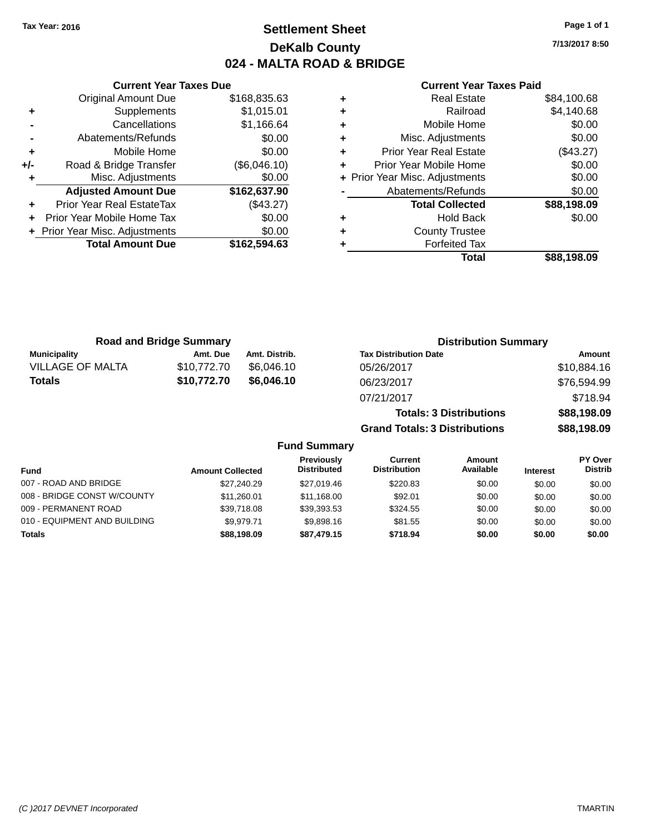# **Settlement Sheet Tax Year: 2016 Page 1 of 1 DeKalb County 024 - MALTA ROAD & BRIDGE**

**7/13/2017 8:50**

|       | <b>Current Year Taxes Due</b>    |              |  |
|-------|----------------------------------|--------------|--|
|       | <b>Original Amount Due</b>       | \$168,835.63 |  |
| ٠     | Supplements                      | \$1,015.01   |  |
|       | Cancellations                    | \$1,166.64   |  |
|       | Abatements/Refunds               | \$0.00       |  |
| ٠     | Mobile Home                      | \$0.00       |  |
| $+/-$ | Road & Bridge Transfer           | (\$6,046.10) |  |
| ٠     | Misc. Adjustments                | \$0.00       |  |
|       | <b>Adjusted Amount Due</b>       | \$162,637.90 |  |
|       | <b>Prior Year Real EstateTax</b> | (\$43.27)    |  |
|       | Prior Year Mobile Home Tax       | \$0.00       |  |
|       | + Prior Year Misc. Adjustments   | \$0.00       |  |
|       | <b>Total Amount Due</b>          | \$162,594.63 |  |
|       |                                  |              |  |

#### **Current Year Taxes Paid**

| ۰ | <b>Real Estate</b>             | \$84,100.68 |
|---|--------------------------------|-------------|
| ٠ | Railroad                       | \$4,140.68  |
| ٠ | Mobile Home                    | \$0.00      |
| ٠ | Misc. Adjustments              | \$0.00      |
| ٠ | <b>Prior Year Real Estate</b>  | (\$43.27)   |
| ٠ | Prior Year Mobile Home         | \$0.00      |
|   | + Prior Year Misc. Adjustments | \$0.00      |
|   | Abatements/Refunds             | \$0.00      |
|   | <b>Total Collected</b>         | \$88,198.09 |
| ٠ | <b>Hold Back</b>               | \$0.00      |
| ٠ | <b>County Trustee</b>          |             |
| ٠ | <b>Forfeited Tax</b>           |             |
|   | Total                          | \$88,198.09 |
|   |                                |             |

**Grand Totals: 3 Distributions \$88,198.09**

| <b>Road and Bridge Summary</b> |             |               | <b>Distribution Summary</b>    |             |  |
|--------------------------------|-------------|---------------|--------------------------------|-------------|--|
| <b>Municipality</b>            | Amt. Due    | Amt. Distrib. | <b>Tax Distribution Date</b>   | Amount      |  |
| <b>VILLAGE OF MALTA</b>        | \$10,772,70 | \$6.046.10    | 05/26/2017                     | \$10,884.16 |  |
| <b>Totals</b>                  | \$10,772.70 | \$6.046.10    | 06/23/2017                     | \$76,594.99 |  |
|                                |             |               | 07/21/2017                     | \$718.94    |  |
|                                |             |               | <b>Totals: 3 Distributions</b> | \$88,198.09 |  |

**Fund Summary Fund Interest Amount Collected Distributed PY Over Distrib Amount Available Current Distribution Previously** 007 - ROAD AND BRIDGE 60.00 \$27,240.29 \$27,019.46 \$220.83 \$0.00 \$0.00 \$0.00 \$0.00 008 - BRIDGE CONST W/COUNTY  $$11,260.01$   $$11,168.00$   $$92.01$   $$0.00$   $$0.00$   $$0.00$ 009 - PERMANENT ROAD \$39,718.08 \$39,718.08 \$39,393.53 \$324.55 \$0.00 \$0.00 \$0.00 \$0.00 010 - EQUIPMENT AND BUILDING \$9,979.71 \$9,898.16 \$81.55 \$0.00 \$0.00 \$0.00 \$0.00 **Totals \$88,198.09 \$87,479.15 \$718.94 \$0.00 \$0.00 \$0.00**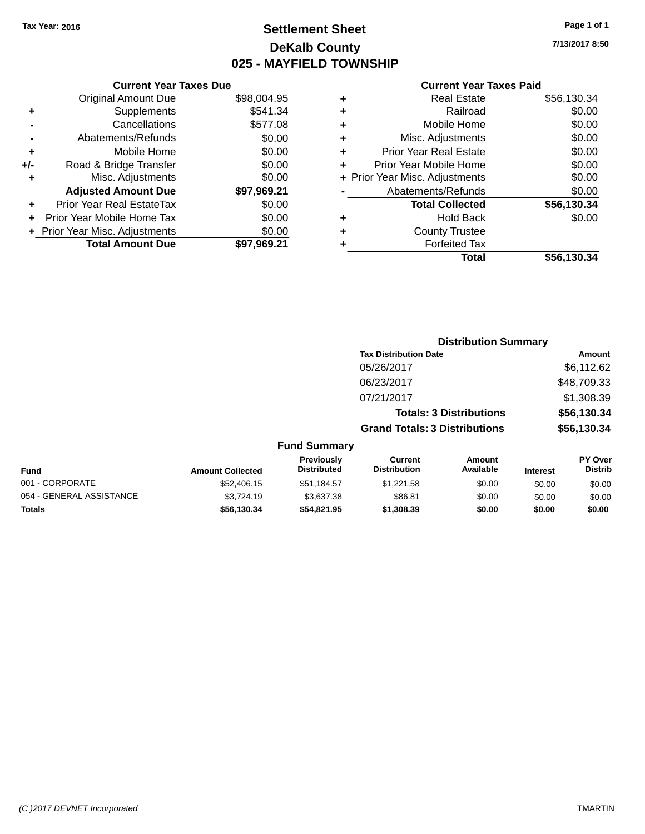# **Settlement Sheet Tax Year: 2016 Page 1 of 1 DeKalb County 025 - MAYFIELD TOWNSHIP**

**7/13/2017 8:50**

|     | <b>Current Year Taxes Due</b>  |             |
|-----|--------------------------------|-------------|
|     | <b>Original Amount Due</b>     | \$98,004.95 |
| ٠   | Supplements                    | \$541.34    |
|     | Cancellations                  | \$577.08    |
|     | Abatements/Refunds             | \$0.00      |
| ٠   | Mobile Home                    | \$0.00      |
| +/- | Road & Bridge Transfer         | \$0.00      |
|     | Misc. Adjustments              | \$0.00      |
|     | <b>Adjusted Amount Due</b>     | \$97,969.21 |
|     | Prior Year Real EstateTax      | \$0.00      |
| ÷   | Prior Year Mobile Home Tax     | \$0.00      |
|     | + Prior Year Misc. Adjustments | \$0.00      |
|     | <b>Total Amount Due</b>        | \$97,969.21 |
|     |                                |             |

|   | Total                          | \$56,130.34 |
|---|--------------------------------|-------------|
| ٠ | <b>Forfeited Tax</b>           |             |
| ٠ | <b>County Trustee</b>          |             |
| ٠ | Hold Back                      | \$0.00      |
|   | <b>Total Collected</b>         | \$56,130.34 |
|   | Abatements/Refunds             | \$0.00      |
|   | + Prior Year Misc. Adjustments | \$0.00      |
| ٠ | Prior Year Mobile Home         | \$0.00      |
| ٠ | <b>Prior Year Real Estate</b>  | \$0.00      |
| ٠ | Misc. Adjustments              | \$0.00      |
| ٠ | Mobile Home                    | \$0.00      |
| ÷ | Railroad                       | \$0.00      |
| ٠ | <b>Real Estate</b>             | \$56,130.34 |

|                         |                                  | <b>Distribution Summary</b>          |                                |                 |                                  |
|-------------------------|----------------------------------|--------------------------------------|--------------------------------|-----------------|----------------------------------|
|                         |                                  | <b>Tax Distribution Date</b>         |                                |                 | Amount                           |
|                         |                                  | 05/26/2017                           |                                |                 | \$6,112.62                       |
|                         |                                  | 06/23/2017                           |                                |                 | \$48,709.33                      |
|                         |                                  | 07/21/2017                           |                                |                 | \$1,308.39                       |
|                         |                                  |                                      | <b>Totals: 3 Distributions</b> |                 | \$56,130.34                      |
|                         |                                  | <b>Grand Totals: 3 Distributions</b> |                                |                 | \$56,130.34                      |
|                         | <b>Fund Summary</b>              |                                      |                                |                 |                                  |
| <b>Amount Collected</b> | Previously<br><b>Distributed</b> | Current<br><b>Distribution</b>       | Amount<br>Available            | <b>Interest</b> | <b>PY Over</b><br><b>Distrib</b> |
| \$52,406.15             | \$51.184.57                      | \$1.221.58                           | \$0.00                         | <b>RO 00</b>    | \$0.00                           |

| Fund                     | <b>Amount Collected</b> | <b>Previously</b><br><b>Distributed</b> | ∪urrent<br><b>Distribution</b> | Amount<br>Available | <b>Interest</b> | <b>PT OVER</b><br><b>Distrib</b> |
|--------------------------|-------------------------|-----------------------------------------|--------------------------------|---------------------|-----------------|----------------------------------|
| 001 - CORPORATE          | \$52,406.15             | \$51.184.57                             | \$1.221.58                     | \$0.00              | \$0.00          | \$0.00                           |
| 054 - GENERAL ASSISTANCE | \$3.724.19              | \$3.637.38                              | \$86.81                        | \$0.00              | \$0.00          | \$0.00                           |
| <b>Totals</b>            | \$56.130.34             | \$54,821.95                             | \$1,308,39                     | \$0.00              | \$0.00          | \$0.00                           |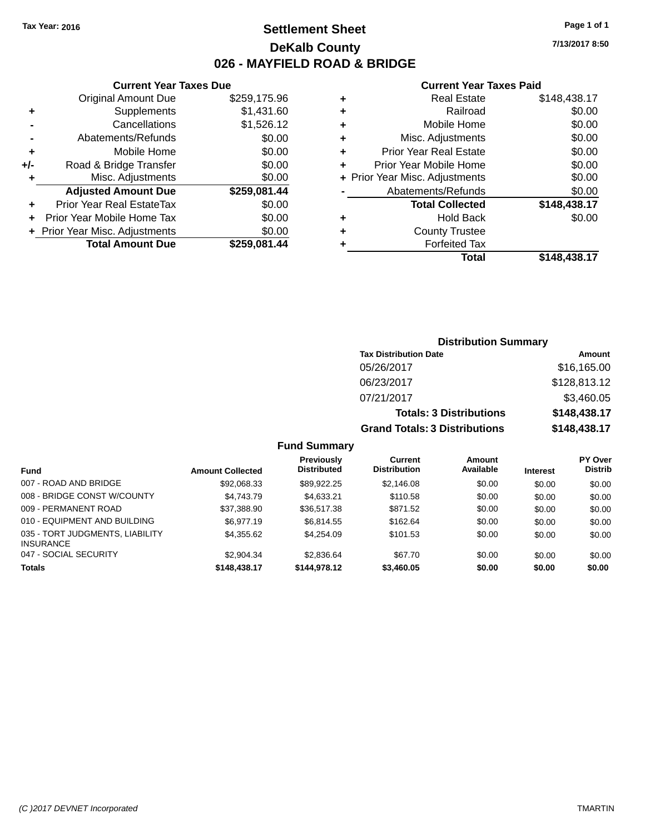# **Settlement Sheet Tax Year: 2016 Page 1 of 1 DeKalb County 026 - MAYFIELD ROAD & BRIDGE**

**7/13/2017 8:50**

#### **Current Year Taxes Paid**

|     | <b>Current Year Taxes Due</b>  |              |  |
|-----|--------------------------------|--------------|--|
|     | <b>Original Amount Due</b>     | \$259,175.96 |  |
| ٠   | Supplements                    | \$1,431.60   |  |
|     | Cancellations                  | \$1,526.12   |  |
|     | Abatements/Refunds             | \$0.00       |  |
| ٠   | Mobile Home                    | \$0.00       |  |
| +/- | Road & Bridge Transfer         | \$0.00       |  |
| ٠   | Misc. Adjustments              | \$0.00       |  |
|     | <b>Adjusted Amount Due</b>     | \$259,081.44 |  |
| ٠   | Prior Year Real EstateTax      | \$0.00       |  |
| ÷   | Prior Year Mobile Home Tax     | \$0.00       |  |
|     | + Prior Year Misc. Adjustments | \$0.00       |  |
|     | <b>Total Amount Due</b>        | \$259.081.44 |  |
|     |                                |              |  |

| ٠ | <b>Real Estate</b>             | \$148,438.17 |
|---|--------------------------------|--------------|
| ٠ | Railroad                       | \$0.00       |
| ÷ | Mobile Home                    | \$0.00       |
| ٠ | Misc. Adjustments              | \$0.00       |
| ٠ | <b>Prior Year Real Estate</b>  | \$0.00       |
| ٠ | Prior Year Mobile Home         | \$0.00       |
|   | + Prior Year Misc. Adjustments | \$0.00       |
|   | Abatements/Refunds             | \$0.00       |
|   | <b>Total Collected</b>         | \$148,438.17 |
| ٠ | Hold Back                      | \$0.00       |
| ٠ | <b>County Trustee</b>          |              |
| ٠ | <b>Forfeited Tax</b>           |              |
|   | Total                          | \$148,438.17 |
|   |                                |              |

# **Distribution Summary Tax Distribution Date Amount** 05/26/2017 \$16,165.00 06/23/2017 \$128,813.12 07/21/2017 \$3,460.05 **Totals: 3 Distributions \$148,438.17 Grand Totals: 3 Distributions \$148,438.17**

|                                                     |                         | <b>Previously</b><br><b>Distributed</b> | Current<br><b>Distribution</b> | <b>Amount</b><br>Available |                 | <b>PY Over</b><br><b>Distrib</b> |
|-----------------------------------------------------|-------------------------|-----------------------------------------|--------------------------------|----------------------------|-----------------|----------------------------------|
| Fund                                                | <b>Amount Collected</b> |                                         |                                |                            | <b>Interest</b> |                                  |
| 007 - ROAD AND BRIDGE                               | \$92,068.33             | \$89.922.25                             | \$2,146.08                     | \$0.00                     | \$0.00          | \$0.00                           |
| 008 - BRIDGE CONST W/COUNTY                         | \$4.743.79              | \$4,633.21                              | \$110.58                       | \$0.00                     | \$0.00          | \$0.00                           |
| 009 - PERMANENT ROAD                                | \$37,388.90             | \$36,517.38                             | \$871.52                       | \$0.00                     | \$0.00          | \$0.00                           |
| 010 - EQUIPMENT AND BUILDING                        | \$6.977.19              | \$6.814.55                              | \$162.64                       | \$0.00                     | \$0.00          | \$0.00                           |
| 035 - TORT JUDGMENTS, LIABILITY<br><b>INSURANCE</b> | \$4,355.62              | \$4.254.09                              | \$101.53                       | \$0.00                     | \$0.00          | \$0.00                           |
| 047 - SOCIAL SECURITY                               | \$2,904.34              | \$2.836.64                              | \$67.70                        | \$0.00                     | \$0.00          | \$0.00                           |
| <b>Totals</b>                                       | \$148,438.17            | \$144.978.12                            | \$3,460.05                     | \$0.00                     | \$0.00          | \$0.00                           |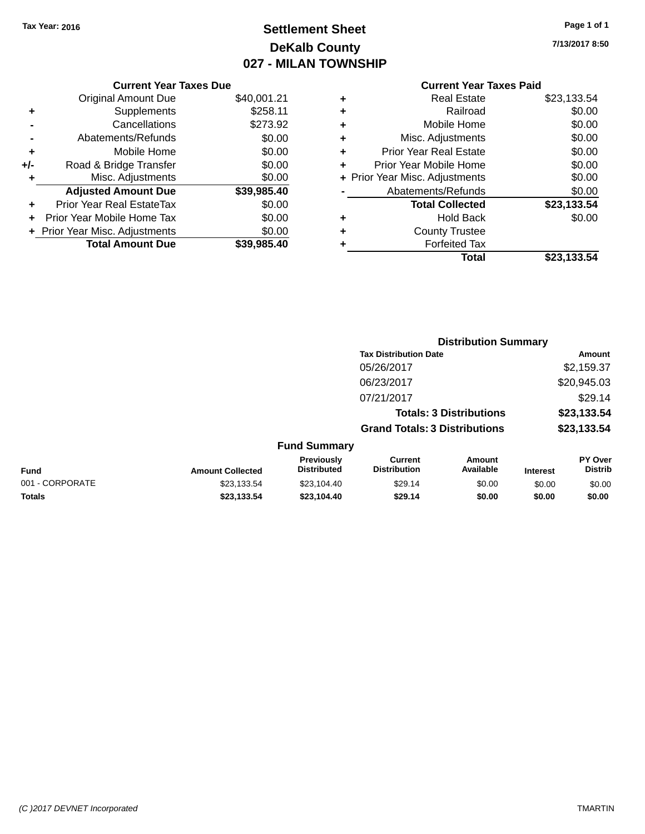# **Settlement Sheet Tax Year: 2016 Page 1 of 1 DeKalb County 027 - MILAN TOWNSHIP**

**7/13/2017 8:50**

|     | <b>Current Year Taxes Due</b>  |             |
|-----|--------------------------------|-------------|
|     | <b>Original Amount Due</b>     | \$40,001.21 |
| ٠   | Supplements                    | \$258.11    |
|     | Cancellations                  | \$273.92    |
|     | Abatements/Refunds             | \$0.00      |
| ٠   | Mobile Home                    | \$0.00      |
| +/- | Road & Bridge Transfer         | \$0.00      |
| ٠   | Misc. Adjustments              | \$0.00      |
|     | <b>Adjusted Amount Due</b>     | \$39,985.40 |
| ÷   | Prior Year Real EstateTax      | \$0.00      |
|     | Prior Year Mobile Home Tax     | \$0.00      |
|     | + Prior Year Misc. Adjustments | \$0.00      |
|     | <b>Total Amount Due</b>        | \$39,985.40 |
|     |                                |             |

|   | <b>Real Estate</b>             | \$23,133.54 |
|---|--------------------------------|-------------|
| ٠ | Railroad                       | \$0.00      |
| ٠ | Mobile Home                    | \$0.00      |
| ٠ | Misc. Adjustments              | \$0.00      |
| ٠ | <b>Prior Year Real Estate</b>  | \$0.00      |
| ÷ | Prior Year Mobile Home         | \$0.00      |
|   | + Prior Year Misc. Adjustments | \$0.00      |
|   | Abatements/Refunds             | \$0.00      |
|   | <b>Total Collected</b>         | \$23,133.54 |
| ٠ | Hold Back                      | \$0.00      |
|   | <b>County Trustee</b>          |             |
| ٠ | <b>Forfeited Tax</b>           |             |
|   | Total                          | \$23,133.54 |
|   |                                |             |

|                 |                         |                                         | <b>Distribution Summary</b>           |                                |                 |                           |
|-----------------|-------------------------|-----------------------------------------|---------------------------------------|--------------------------------|-----------------|---------------------------|
|                 |                         |                                         | <b>Tax Distribution Date</b>          |                                |                 | <b>Amount</b>             |
|                 |                         |                                         | 05/26/2017                            |                                |                 | \$2,159.37                |
|                 |                         |                                         | 06/23/2017                            |                                |                 | \$20,945.03               |
|                 |                         |                                         | 07/21/2017                            |                                |                 | \$29.14                   |
|                 |                         |                                         |                                       | <b>Totals: 3 Distributions</b> |                 | \$23,133.54               |
|                 |                         |                                         | <b>Grand Totals: 3 Distributions</b>  |                                |                 | \$23,133.54               |
|                 |                         | <b>Fund Summary</b>                     |                                       |                                |                 |                           |
| <b>Fund</b>     | <b>Amount Collected</b> | <b>Previously</b><br><b>Distributed</b> | <b>Current</b><br><b>Distribution</b> | Amount<br>Available            | <b>Interest</b> | PY Over<br><b>Distrib</b> |
| 001 - CORPORATE | \$23,133.54             | \$23,104.40                             | \$29.14                               | \$0.00                         | \$0.00          | \$0.00                    |
| <b>Totals</b>   | \$23,133.54             | \$23,104.40                             | \$29.14                               | \$0.00                         | \$0.00          | \$0.00                    |
|                 |                         |                                         |                                       |                                |                 |                           |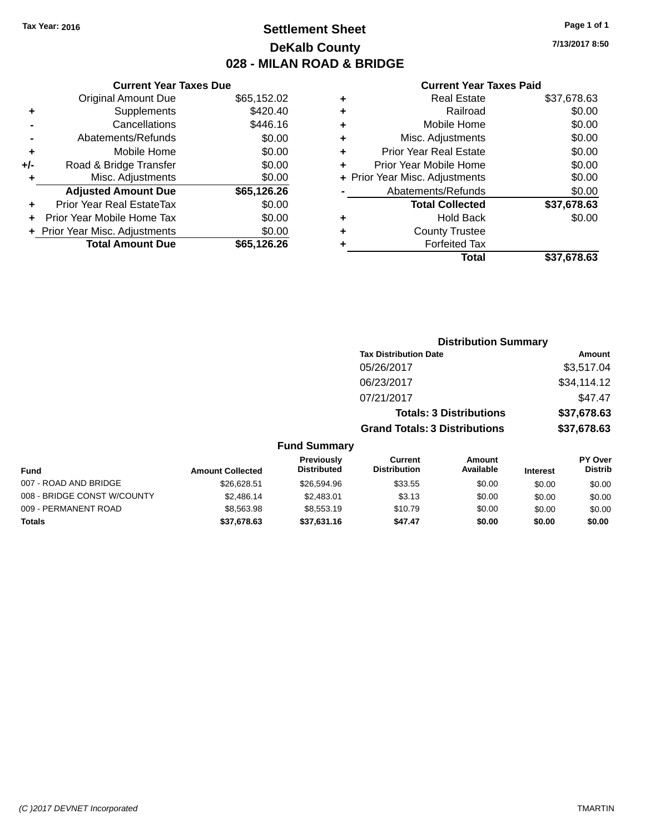# **Settlement Sheet Tax Year: 2016 Page 1 of 1 DeKalb County 028 - MILAN ROAD & BRIDGE**

**7/13/2017 8:50**

|     | <b>Current Year Taxes Due</b>  |             |
|-----|--------------------------------|-------------|
|     | <b>Original Amount Due</b>     | \$65,152.02 |
| ٠   | Supplements                    | \$420.40    |
|     | Cancellations                  | \$446.16    |
|     | Abatements/Refunds             | \$0.00      |
| ٠   | Mobile Home                    | \$0.00      |
| +/- | Road & Bridge Transfer         | \$0.00      |
| ٠   | Misc. Adjustments              | \$0.00      |
|     | <b>Adjusted Amount Due</b>     | \$65,126.26 |
| ÷   | Prior Year Real EstateTax      | \$0.00      |
|     | Prior Year Mobile Home Tax     | \$0.00      |
|     | + Prior Year Misc. Adjustments | \$0.00      |
|     | <b>Total Amount Due</b>        | \$65.126.26 |
|     |                                |             |

|   | <b>Real Estate</b>             | \$37,678.63 |
|---|--------------------------------|-------------|
| ٠ | Railroad                       | \$0.00      |
| ٠ | Mobile Home                    | \$0.00      |
| ٠ | Misc. Adjustments              | \$0.00      |
| ٠ | <b>Prior Year Real Estate</b>  | \$0.00      |
| ٠ | Prior Year Mobile Home         | \$0.00      |
|   | + Prior Year Misc. Adjustments | \$0.00      |
|   | Abatements/Refunds             | \$0.00      |
|   | <b>Total Collected</b>         | \$37,678.63 |
| ٠ | <b>Hold Back</b>               | \$0.00      |
| ٠ | <b>County Trustee</b>          |             |
|   | <b>Forfeited Tax</b>           |             |
|   | Total                          | \$37,678.63 |
|   |                                |             |

|                             |                         |                                  | <b>Distribution Summary</b>           |                                |                 |                                  |
|-----------------------------|-------------------------|----------------------------------|---------------------------------------|--------------------------------|-----------------|----------------------------------|
|                             |                         |                                  | <b>Tax Distribution Date</b>          |                                |                 | Amount                           |
|                             |                         |                                  | 05/26/2017                            |                                |                 | \$3,517.04                       |
|                             |                         |                                  | 06/23/2017                            |                                |                 | \$34,114.12                      |
|                             |                         |                                  | 07/21/2017                            |                                |                 | \$47.47                          |
|                             |                         |                                  |                                       | <b>Totals: 3 Distributions</b> |                 | \$37,678.63                      |
|                             |                         |                                  | <b>Grand Totals: 3 Distributions</b>  |                                |                 | \$37,678.63                      |
|                             |                         | <b>Fund Summary</b>              |                                       |                                |                 |                                  |
| Fund                        | <b>Amount Collected</b> | Previously<br><b>Distributed</b> | <b>Current</b><br><b>Distribution</b> | <b>Amount</b><br>Available     | <b>Interest</b> | <b>PY Over</b><br><b>Distrib</b> |
| 007 - ROAD AND BRIDGE       | \$26,628.51             | \$26,594.96                      | \$33.55                               | \$0.00                         | \$0.00          | \$0.00                           |
| 008 - BRIDGE CONST W/COUNTY | \$2,486.14              | \$2,483.01                       | \$3.13                                | \$0.00                         | \$0.00          | \$0.00                           |
| 009 - PERMANENT ROAD        | \$8,563.98              | \$8,553.19                       | \$10.79                               | \$0.00                         | \$0.00          | \$0.00                           |
| Totals                      | \$37,678.63             | \$37,631.16                      | \$47.47                               | \$0.00                         | \$0.00          | \$0.00                           |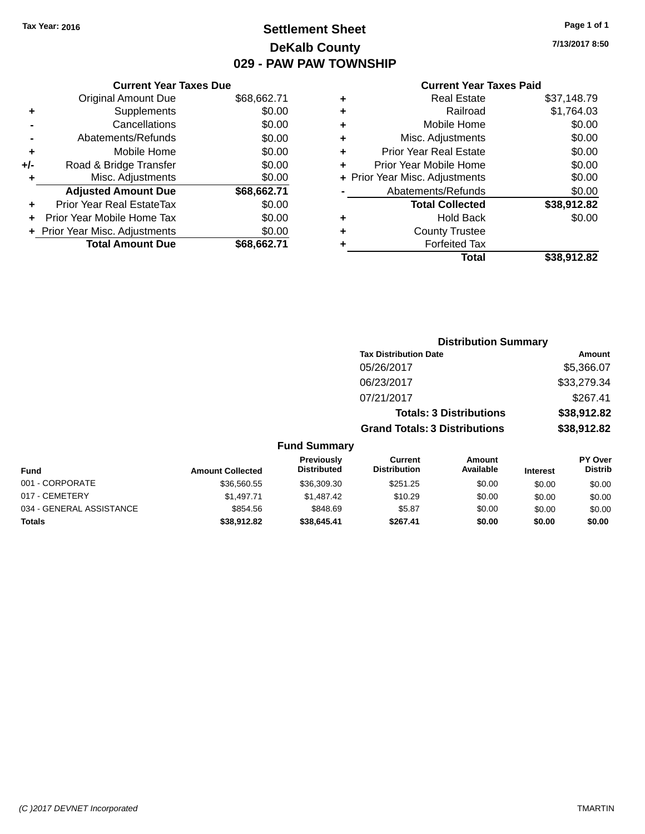# **Settlement Sheet Tax Year: 2016 Page 1 of 1 DeKalb County 029 - PAW PAW TOWNSHIP**

**7/13/2017 8:50**

|       | <b>Current Year Taxes Due</b>  |             |
|-------|--------------------------------|-------------|
|       | <b>Original Amount Due</b>     | \$68,662.71 |
| ÷     | Supplements                    | \$0.00      |
|       | Cancellations                  | \$0.00      |
|       | Abatements/Refunds             | \$0.00      |
| ٠     | Mobile Home                    | \$0.00      |
| $+/-$ | Road & Bridge Transfer         | \$0.00      |
|       | Misc. Adjustments              | \$0.00      |
|       | <b>Adjusted Amount Due</b>     | \$68,662.71 |
| ÷     | Prior Year Real EstateTax      | \$0.00      |
|       | Prior Year Mobile Home Tax     | \$0.00      |
|       | + Prior Year Misc. Adjustments | \$0.00      |
|       | <b>Total Amount Due</b>        | \$68.662.71 |
|       |                                |             |

|   | <b>Real Estate</b>             | \$37,148.79 |
|---|--------------------------------|-------------|
| ٠ | Railroad                       | \$1,764.03  |
| ٠ | Mobile Home                    | \$0.00      |
| ٠ | Misc. Adjustments              | \$0.00      |
| ٠ | <b>Prior Year Real Estate</b>  | \$0.00      |
| ÷ | Prior Year Mobile Home         | \$0.00      |
|   | + Prior Year Misc. Adjustments | \$0.00      |
|   | Abatements/Refunds             | \$0.00      |
|   | <b>Total Collected</b>         | \$38,912.82 |
| ٠ | Hold Back                      | \$0.00      |
| ٠ | <b>County Trustee</b>          |             |
| ٠ | <b>Forfeited Tax</b>           |             |
|   | Total                          | \$38,912.82 |
|   |                                |             |

|              |                                         |                                       | <b>Distribution Summary</b>    |                 |                                  |
|--------------|-----------------------------------------|---------------------------------------|--------------------------------|-----------------|----------------------------------|
|              |                                         | <b>Tax Distribution Date</b>          |                                |                 | Amount                           |
|              |                                         | 05/26/2017                            |                                |                 | \$5,366.07                       |
|              |                                         | 06/23/2017                            |                                |                 | \$33,279.34                      |
|              |                                         | 07/21/2017                            |                                |                 | \$267.41                         |
|              |                                         |                                       | <b>Totals: 3 Distributions</b> |                 | \$38,912.82                      |
|              |                                         | <b>Grand Totals: 3 Distributions</b>  |                                |                 | \$38,912.82                      |
|              | <b>Fund Summary</b>                     |                                       |                                |                 |                                  |
| าt Collected | <b>Previously</b><br><b>Distributed</b> | <b>Current</b><br><b>Distribution</b> | Amount<br>Available            | <b>Interest</b> | <b>PY Over</b><br><b>Distrib</b> |
| $\cdots$     |                                         | $\cdots$                              | $\cdots$                       |                 |                                  |

| <b>Fund</b>              | <b>Amount Collected</b> | יונטשטויט<br><b>Distributed</b> | <u>vuutu</u><br><b>Distribution</b> | auvuu<br>Available | <b>Interest</b> | ו טיש ו<br><b>Distrib</b> |
|--------------------------|-------------------------|---------------------------------|-------------------------------------|--------------------|-----------------|---------------------------|
| 001 - CORPORATE          | \$36,560.55             | \$36,309.30                     | \$251.25                            | \$0.00             | \$0.00          | \$0.00                    |
| 017 - CEMETERY           | \$1.497.71              | \$1.487.42                      | \$10.29                             | \$0.00             | \$0.00          | \$0.00                    |
| 034 - GENERAL ASSISTANCE | \$854.56                | \$848.69                        | \$5.87                              | \$0.00             | \$0.00          | \$0.00                    |
| Totals                   | \$38,912.82             | \$38,645.41                     | \$267.41                            | \$0.00             | \$0.00          | \$0.00                    |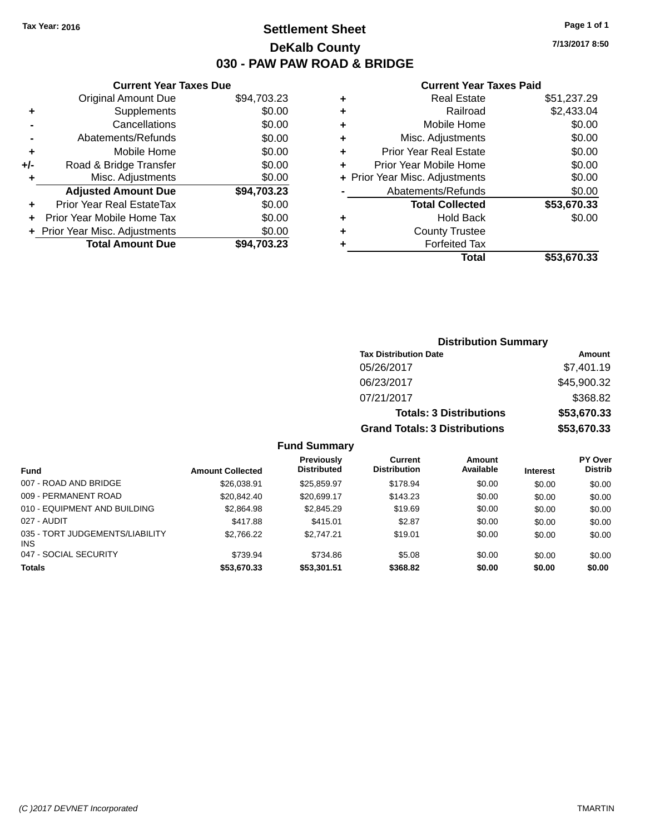# **Settlement Sheet Tax Year: 2016 Page 1 of 1 DeKalb County 030 - PAW PAW ROAD & BRIDGE**

**7/13/2017 8:50**

#### **Current Year Taxes Paid**

|     | <b>Current Year Taxes Due</b>    |             |
|-----|----------------------------------|-------------|
|     | <b>Original Amount Due</b>       | \$94,703.23 |
| ٠   | Supplements                      | \$0.00      |
|     | Cancellations                    | \$0.00      |
|     | Abatements/Refunds               | \$0.00      |
| ٠   | Mobile Home                      | \$0.00      |
| +/- | Road & Bridge Transfer           | \$0.00      |
| ٠   | Misc. Adjustments                | \$0.00      |
|     | <b>Adjusted Amount Due</b>       | \$94,703.23 |
| ÷   | <b>Prior Year Real EstateTax</b> | \$0.00      |
|     | Prior Year Mobile Home Tax       | \$0.00      |
|     | + Prior Year Misc. Adjustments   | \$0.00      |
|     | <b>Total Amount Due</b>          | \$94.703.23 |
|     |                                  |             |

| ٠ | <b>Real Estate</b>             | \$51,237.29 |
|---|--------------------------------|-------------|
| ٠ | Railroad                       | \$2,433.04  |
| ٠ | Mobile Home                    | \$0.00      |
| ٠ | Misc. Adjustments              | \$0.00      |
| ٠ | <b>Prior Year Real Estate</b>  | \$0.00      |
| ٠ | Prior Year Mobile Home         | \$0.00      |
|   | + Prior Year Misc. Adjustments | \$0.00      |
|   | Abatements/Refunds             | \$0.00      |
|   | <b>Total Collected</b>         | \$53,670.33 |
| ٠ | Hold Back                      | \$0.00      |
| ٠ | <b>County Trustee</b>          |             |
| ٠ | <b>Forfeited Tax</b>           |             |
|   | Total                          | \$53,670.33 |
|   |                                |             |

| <b>Distribution Summary</b>          |             |
|--------------------------------------|-------------|
| <b>Tax Distribution Date</b>         | Amount      |
| 05/26/2017                           | \$7,401.19  |
| 06/23/2017                           | \$45,900.32 |
| 07/21/2017                           | \$368.82    |
| <b>Totals: 3 Distributions</b>       | \$53,670.33 |
| <b>Grand Totals: 3 Distributions</b> | \$53,670.33 |

|                                         |                         | Previously         | Current             | Amount    |                 | <b>PY Over</b> |
|-----------------------------------------|-------------------------|--------------------|---------------------|-----------|-----------------|----------------|
| Fund                                    | <b>Amount Collected</b> | <b>Distributed</b> | <b>Distribution</b> | Available | <b>Interest</b> | <b>Distrib</b> |
| 007 - ROAD AND BRIDGE                   | \$26,038.91             | \$25.859.97        | \$178.94            | \$0.00    | \$0.00          | \$0.00         |
| 009 - PERMANENT ROAD                    | \$20,842.40             | \$20.699.17        | \$143.23            | \$0.00    | \$0.00          | \$0.00         |
| 010 - EQUIPMENT AND BUILDING            | \$2,864.98              | \$2,845.29         | \$19.69             | \$0.00    | \$0.00          | \$0.00         |
| 027 - AUDIT                             | \$417.88                | \$415.01           | \$2.87              | \$0.00    | \$0.00          | \$0.00         |
| 035 - TORT JUDGEMENTS/LIABILITY<br>INS. | \$2.766.22              | \$2.747.21         | \$19.01             | \$0.00    | \$0.00          | \$0.00         |
| 047 - SOCIAL SECURITY                   | \$739.94                | \$734.86           | \$5.08              | \$0.00    | \$0.00          | \$0.00         |
| <b>Totals</b>                           | \$53,670.33             | \$53,301.51        | \$368.82            | \$0.00    | \$0.00          | \$0.00         |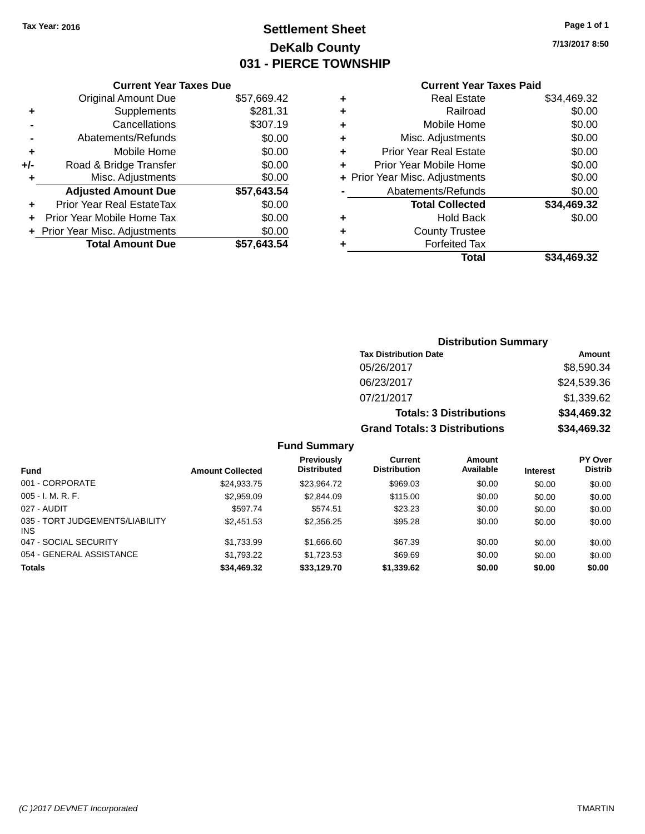# **Settlement Sheet Tax Year: 2016 Page 1 of 1 DeKalb County 031 - PIERCE TOWNSHIP**

**7/13/2017 8:50**

## **Current Year Taxes Paid**

|     | <b>Current Year Taxes Due</b>  |             |
|-----|--------------------------------|-------------|
|     | <b>Original Amount Due</b>     | \$57,669.42 |
| ÷   | Supplements                    | \$281.31    |
|     | Cancellations                  | \$307.19    |
|     | Abatements/Refunds             | \$0.00      |
| ٠   | Mobile Home                    | \$0.00      |
| +/- | Road & Bridge Transfer         | \$0.00      |
|     | Misc. Adjustments              | \$0.00      |
|     | <b>Adjusted Amount Due</b>     | \$57,643.54 |
| ÷   | Prior Year Real EstateTax      | \$0.00      |
|     | Prior Year Mobile Home Tax     | \$0.00      |
|     | + Prior Year Misc. Adjustments | \$0.00      |
|     | <b>Total Amount Due</b>        | \$57.643.54 |
|     |                                |             |

| ٠ | <b>Real Estate</b>             | \$34,469.32 |
|---|--------------------------------|-------------|
| ٠ | Railroad                       | \$0.00      |
| ٠ | Mobile Home                    | \$0.00      |
| ٠ | Misc. Adjustments              | \$0.00      |
| ٠ | <b>Prior Year Real Estate</b>  | \$0.00      |
| ٠ | Prior Year Mobile Home         | \$0.00      |
|   | + Prior Year Misc. Adjustments | \$0.00      |
|   | Abatements/Refunds             | \$0.00      |
|   | <b>Total Collected</b>         | \$34,469.32 |
| ٠ | Hold Back                      | \$0.00      |
| ٠ | <b>County Trustee</b>          |             |
|   | <b>Forfeited Tax</b>           |             |
|   | Total                          | \$34,469.32 |
|   |                                |             |

| <b>Distribution Summary</b>          |             |
|--------------------------------------|-------------|
| <b>Tax Distribution Date</b>         | Amount      |
| 05/26/2017                           | \$8,590.34  |
| 06/23/2017                           | \$24,539.36 |
| 07/21/2017                           | \$1,339.62  |
| <b>Totals: 3 Distributions</b>       | \$34,469.32 |
| <b>Grand Totals: 3 Distributions</b> | \$34,469.32 |

| <b>Fund</b>                            | <b>Amount Collected</b> | <b>Previously</b><br><b>Distributed</b> | Current<br><b>Distribution</b> | Amount<br>Available | <b>Interest</b> | <b>PY Over</b><br><b>Distrib</b> |
|----------------------------------------|-------------------------|-----------------------------------------|--------------------------------|---------------------|-----------------|----------------------------------|
| 001 - CORPORATE                        | \$24.933.75             | \$23.964.72                             | \$969.03                       | \$0.00              | \$0.00          | \$0.00                           |
| $005 - I. M. R. F.$                    | \$2,959.09              | \$2,844.09                              | \$115.00                       | \$0.00              | \$0.00          | \$0.00                           |
| 027 - AUDIT                            | \$597.74                | \$574.51                                | \$23.23                        | \$0.00              | \$0.00          | \$0.00                           |
| 035 - TORT JUDGEMENTS/LIABILITY<br>INS | \$2,451.53              | \$2,356.25                              | \$95.28                        | \$0.00              | \$0.00          | \$0.00                           |
| 047 - SOCIAL SECURITY                  | \$1,733.99              | \$1,666.60                              | \$67.39                        | \$0.00              | \$0.00          | \$0.00                           |
| 054 - GENERAL ASSISTANCE               | \$1,793.22              | \$1,723.53                              | \$69.69                        | \$0.00              | \$0.00          | \$0.00                           |
| <b>Totals</b>                          | \$34,469.32             | \$33,129.70                             | \$1,339.62                     | \$0.00              | \$0.00          | \$0.00                           |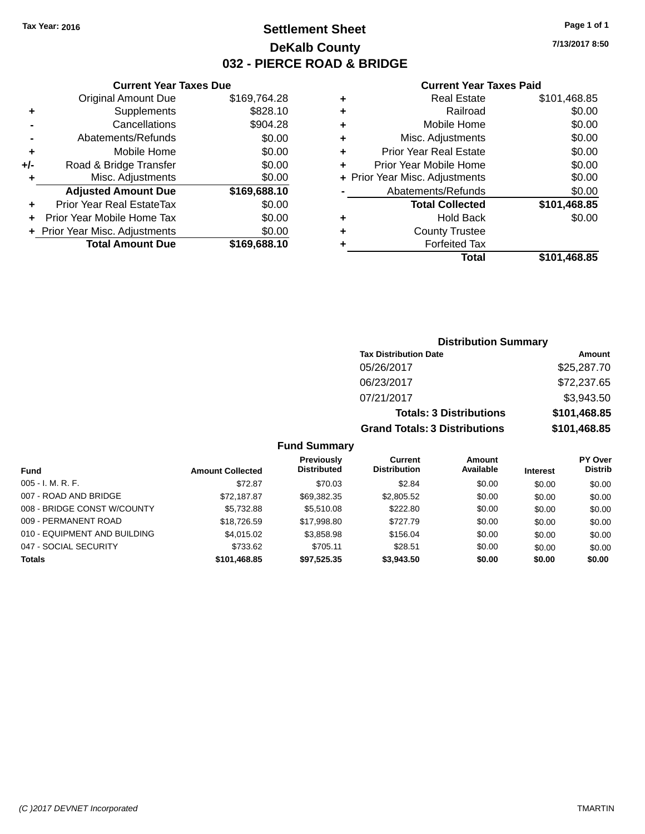# **Settlement Sheet Tax Year: 2016 Page 1 of 1 DeKalb County 032 - PIERCE ROAD & BRIDGE**

**7/13/2017 8:50**

#### **Current Year Taxes Paid**

|     | <b>Original Amount Due</b>     | \$169,764.28 |
|-----|--------------------------------|--------------|
| ٠   | Supplements                    | \$828.10     |
|     | Cancellations                  | \$904.28     |
|     | Abatements/Refunds             | \$0.00       |
| ÷   | Mobile Home                    | \$0.00       |
| +/- | Road & Bridge Transfer         | \$0.00       |
| ٠   | Misc. Adjustments              | \$0.00       |
|     | <b>Adjusted Amount Due</b>     | \$169,688.10 |
| ÷   | Prior Year Real EstateTax      | \$0.00       |
|     | Prior Year Mobile Home Tax     | \$0.00       |
|     | + Prior Year Misc. Adjustments | \$0.00       |
|     | <b>Total Amount Due</b>        | \$169,688.10 |
|     |                                |              |

**Current Year Taxes Due**

|   | <b>Real Estate</b>             | \$101,468.85 |
|---|--------------------------------|--------------|
| ٠ | Railroad                       | \$0.00       |
| ٠ | Mobile Home                    | \$0.00       |
| ٠ | Misc. Adjustments              | \$0.00       |
| ٠ | <b>Prior Year Real Estate</b>  | \$0.00       |
| ٠ | Prior Year Mobile Home         | \$0.00       |
|   | + Prior Year Misc. Adjustments | \$0.00       |
|   | Abatements/Refunds             | \$0.00       |
|   | <b>Total Collected</b>         | \$101,468.85 |
| ٠ | Hold Back                      | \$0.00       |
| ٠ | <b>County Trustee</b>          |              |
| ٠ | <b>Forfeited Tax</b>           |              |
|   | Total                          | \$101,468.85 |
|   |                                |              |

# **Distribution Summary Tax Distribution Date Amount** 05/26/2017 \$25,287.70 06/23/2017 \$72,237.65 07/21/2017 \$3,943.50 **Totals: 3 Distributions \$101,468.85 Grand Totals: 3 Distributions \$101,468.85**

|                              |                         | <b>Previously</b>  | Current             | <b>Amount</b> |                 | <b>PY Over</b> |
|------------------------------|-------------------------|--------------------|---------------------|---------------|-----------------|----------------|
| <b>Fund</b>                  | <b>Amount Collected</b> | <b>Distributed</b> | <b>Distribution</b> | Available     | <b>Interest</b> | <b>Distrib</b> |
| $005 - I. M. R. F.$          | \$72.87                 | \$70.03            | \$2.84              | \$0.00        | \$0.00          | \$0.00         |
| 007 - ROAD AND BRIDGE        | \$72.187.87             | \$69.382.35        | \$2,805.52          | \$0.00        | \$0.00          | \$0.00         |
| 008 - BRIDGE CONST W/COUNTY  | \$5,732.88              | \$5,510.08         | \$222.80            | \$0.00        | \$0.00          | \$0.00         |
| 009 - PERMANENT ROAD         | \$18,726.59             | \$17,998.80        | \$727.79            | \$0.00        | \$0.00          | \$0.00         |
| 010 - EQUIPMENT AND BUILDING | \$4,015.02              | \$3,858.98         | \$156.04            | \$0.00        | \$0.00          | \$0.00         |
| 047 - SOCIAL SECURITY        | \$733.62                | \$705.11           | \$28.51             | \$0.00        | \$0.00          | \$0.00         |
| <b>Totals</b>                | \$101,468.85            | \$97,525.35        | \$3,943.50          | \$0.00        | \$0.00          | \$0.00         |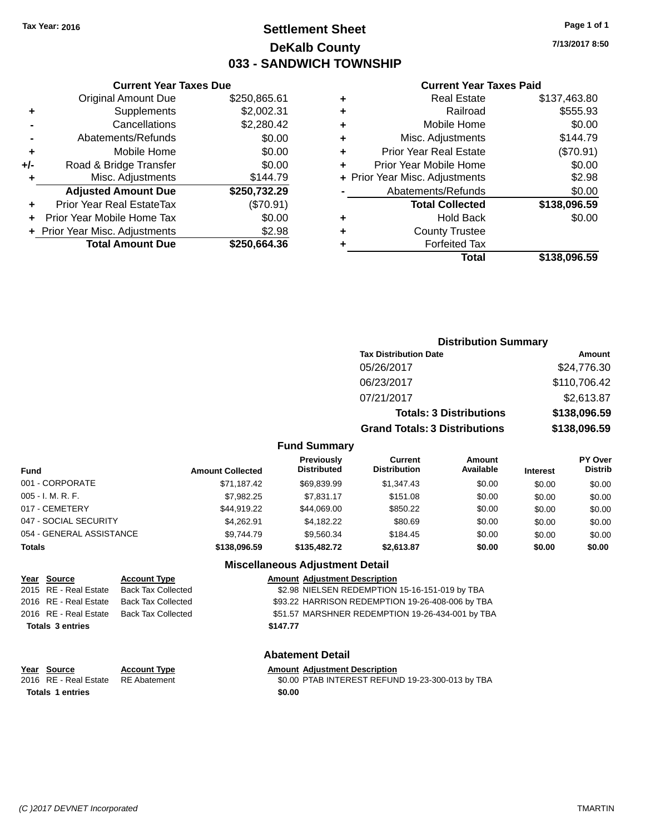### **Settlement Sheet Tax Year: 2016 Page 1 of 1 DeKalb County 033 - SANDWICH TOWNSHIP**

**7/13/2017 8:50**

#### **Current Year Taxes Paid**

|     | OGNON, I GAL TANGO DAG           |              |   |                    |
|-----|----------------------------------|--------------|---|--------------------|
|     | <b>Original Amount Due</b>       | \$250,865.61 | ٠ |                    |
| ٠   | Supplements                      | \$2,002.31   | ٠ |                    |
|     | Cancellations                    | \$2,280.42   | ٠ |                    |
|     | Abatements/Refunds               | \$0.00       | ٠ |                    |
|     | Mobile Home                      | \$0.00       | ٠ | Prio               |
| +/- | Road & Bridge Transfer           | \$0.00       |   | Prior <sup>'</sup> |
| ٠   | Misc. Adjustments                | \$144.79     |   | + Prior Year       |
|     | <b>Adjusted Amount Due</b>       | \$250,732.29 |   | Ab                 |
|     | <b>Prior Year Real EstateTax</b> | (\$70.91)    |   |                    |
|     | Prior Year Mobile Home Tax       | \$0.00       | ٠ |                    |
|     | + Prior Year Misc. Adjustments   | \$2.98       | ٠ |                    |
|     | <b>Total Amount Due</b>          | \$250,664.36 |   |                    |
|     |                                  |              |   |                    |

**Current Year Taxes Due**

|   | <b>Real Estate</b>             | \$137,463.80 |
|---|--------------------------------|--------------|
| ٠ | Railroad                       | \$555.93     |
| ٠ | Mobile Home                    | \$0.00       |
| ٠ | Misc. Adjustments              | \$144.79     |
| ٠ | <b>Prior Year Real Estate</b>  | (\$70.91)    |
| ٠ | Prior Year Mobile Home         | \$0.00       |
|   | + Prior Year Misc. Adjustments | \$2.98       |
|   | Abatements/Refunds             | \$0.00       |
|   | <b>Total Collected</b>         | \$138,096.59 |
| ٠ | <b>Hold Back</b>               | \$0.00       |
| ٠ | <b>County Trustee</b>          |              |
|   | <b>Forfeited Tax</b>           |              |
|   | Total                          | \$138,096.59 |
|   |                                |              |

### **Distribution Summary Tax Distribution Date Amount** 05/26/2017 \$24,776.30 06/23/2017 \$110,706.42 07/21/2017 \$2,613.87 **Totals: 3 Distributions \$138,096.59 Grand Totals: 3 Distributions \$138,096.59**

#### **Fund Summary**

| Fund                     | <b>Amount Collected</b> | <b>Previously</b><br><b>Distributed</b> | Current<br><b>Distribution</b> | Amount<br>Available | <b>Interest</b> | <b>PY Over</b><br><b>Distrib</b> |
|--------------------------|-------------------------|-----------------------------------------|--------------------------------|---------------------|-----------------|----------------------------------|
| 001 - CORPORATE          | \$71,187.42             | \$69.839.99                             | \$1,347.43                     | \$0.00              | \$0.00          | \$0.00                           |
| 005 - I. M. R. F.        | \$7,982.25              | \$7,831.17                              | \$151.08                       | \$0.00              | \$0.00          | \$0.00                           |
| 017 - CEMETERY           | \$44.919.22             | \$44.069.00                             | \$850.22                       | \$0.00              | \$0.00          | \$0.00                           |
| 047 - SOCIAL SECURITY    | \$4.262.91              | \$4.182.22                              | \$80.69                        | \$0.00              | \$0.00          | \$0.00                           |
| 054 - GENERAL ASSISTANCE | \$9.744.79              | \$9.560.34                              | \$184.45                       | \$0.00              | \$0.00          | \$0.00                           |
| Totals                   | \$138,096.59            | \$135,482.72                            | \$2.613.87                     | \$0.00              | \$0.00          | \$0.00                           |

#### **Miscellaneous Adjustment Detail**

| Year Source             | <b>Account Type</b>       | <b>Amount Adjustment Description</b>             |
|-------------------------|---------------------------|--------------------------------------------------|
| 2015 RE - Real Estate   | <b>Back Tax Collected</b> | \$2.98 NIELSEN REDEMPTION 15-16-151-019 by TBA   |
| 2016 RE - Real Estate   | <b>Back Tax Collected</b> | \$93.22 HARRISON REDEMPTION 19-26-408-006 by TBA |
| 2016 RE - Real Estate   | Back Tax Collected        | \$51.57 MARSHNER REDEMPTION 19-26-434-001 by TBA |
| <b>Totals 3 entries</b> |                           | \$147.77                                         |
|                         |                           |                                                  |

#### **Abatement Detail**

## **Year Source Account Type Amount Adjustment Description**

2016 RE - Real Estate RE Abatement \$0.00 PTAB INTEREST REFUND 19-23-300-013 by TBA **Totals 1 entries** \$0.00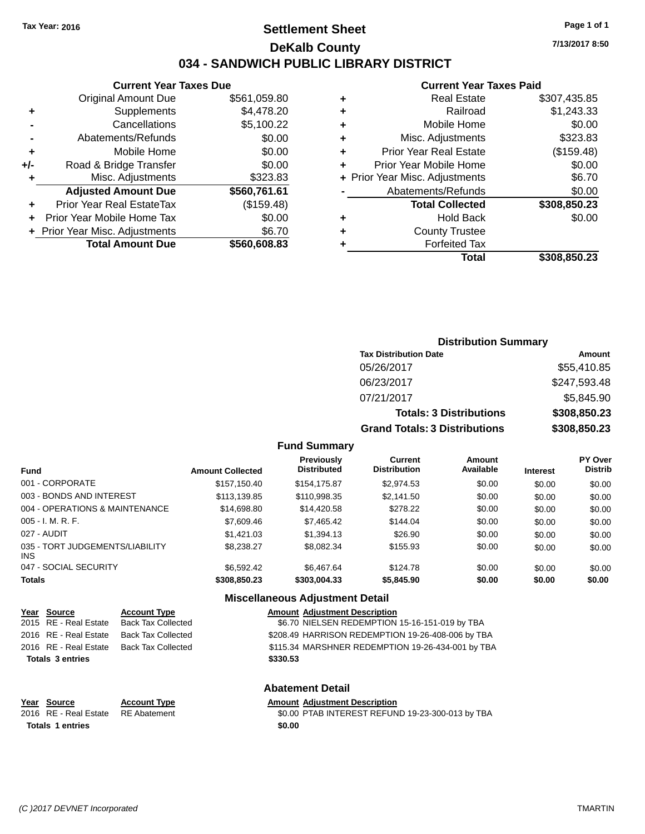### **Settlement Sheet Tax Year: 2016 Page 1 of 1 DeKalb County 034 - SANDWICH PUBLIC LIBRARY DISTRICT**

**7/13/2017 8:50**

#### **Current Year Taxes Paid**

| Gurrent rear Taxes Due           |              |
|----------------------------------|--------------|
| <b>Original Amount Due</b>       | \$561,059.80 |
| Supplements                      | \$4,478.20   |
| Cancellations                    | \$5,100.22   |
| Abatements/Refunds               | \$0.00       |
| Mobile Home                      | \$0.00       |
| Road & Bridge Transfer           | \$0.00       |
| Misc. Adjustments                | \$323.83     |
| <b>Adjusted Amount Due</b>       | \$560,761.61 |
| <b>Prior Year Real EstateTax</b> | (\$159.48)   |
| Prior Year Mobile Home Tax       | \$0.00       |
| + Prior Year Misc. Adjustments   | \$6.70       |
| <b>Total Amount Due</b>          | \$560,608.83 |
|                                  |              |

**Current Year Taxes Due**

|   | <b>Real Estate</b>             | \$307.435.85 |
|---|--------------------------------|--------------|
| ٠ | Railroad                       | \$1,243.33   |
| ٠ | Mobile Home                    | \$0.00       |
| ٠ | Misc. Adjustments              | \$323.83     |
| ٠ | <b>Prior Year Real Estate</b>  | (\$159.48)   |
| ÷ | Prior Year Mobile Home         | \$0.00       |
|   | + Prior Year Misc. Adjustments | \$6.70       |
|   | Abatements/Refunds             | \$0.00       |
|   | <b>Total Collected</b>         | \$308,850.23 |
| ٠ | <b>Hold Back</b>               | \$0.00       |
| ٠ | <b>County Trustee</b>          |              |
| ٠ | <b>Forfeited Tax</b>           |              |
|   | Total                          | \$308,850.23 |
|   |                                |              |

### **Distribution Summary Tax Distribution Date Amount** 05/26/2017 \$55,410.85 06/23/2017 \$247,593.48 07/21/2017 \$5,845.90 **Totals: 3 Distributions \$308,850.23 Grand Totals: 3 Distributions \$308,850.23**

#### **Fund Summary**

| <b>Fund</b>                             | <b>Amount Collected</b> | <b>Previously</b><br><b>Distributed</b> | Current<br><b>Distribution</b> | Amount<br>Available | <b>Interest</b> | <b>PY Over</b><br><b>Distrib</b> |
|-----------------------------------------|-------------------------|-----------------------------------------|--------------------------------|---------------------|-----------------|----------------------------------|
| 001 - CORPORATE                         | \$157,150.40            | \$154,175.87                            | \$2,974.53                     | \$0.00              | \$0.00          | \$0.00                           |
| 003 - BONDS AND INTEREST                | \$113,139.85            | \$110,998.35                            | \$2,141.50                     | \$0.00              | \$0.00          | \$0.00                           |
| 004 - OPERATIONS & MAINTENANCE          | \$14,698.80             | \$14,420.58                             | \$278.22                       | \$0.00              | \$0.00          | \$0.00                           |
| $005 - I. M. R. F.$                     | \$7,609.46              | \$7,465.42                              | \$144.04                       | \$0.00              | \$0.00          | \$0.00                           |
| 027 - AUDIT                             | \$1,421.03              | \$1,394.13                              | \$26.90                        | \$0.00              | \$0.00          | \$0.00                           |
| 035 - TORT JUDGEMENTS/LIABILITY<br>INS. | \$8,238,27              | \$8.082.34                              | \$155.93                       | \$0.00              | \$0.00          | \$0.00                           |
| 047 - SOCIAL SECURITY                   | \$6,592.42              | \$6,467.64                              | \$124.78                       | \$0.00              | \$0.00          | \$0.00                           |
| <b>Totals</b>                           | \$308,850,23            | \$303,004.33                            | \$5,845.90                     | \$0.00              | \$0.00          | \$0.00                           |

#### **Miscellaneous Adjustment Detail**

| Year Source             | <b>Account Type</b> |          | <b>Amount Adjustment Description</b>              |
|-------------------------|---------------------|----------|---------------------------------------------------|
| 2015 RE - Real Estate   | Back Tax Collected  |          | \$6.70 NIELSEN REDEMPTION 15-16-151-019 by TBA    |
| 2016 RE - Real Estate   | Back Tax Collected  |          | \$208.49 HARRISON REDEMPTION 19-26-408-006 by TBA |
| 2016 RE - Real Estate   | Back Tax Collected  |          | \$115.34 MARSHNER REDEMPTION 19-26-434-001 by TBA |
| <b>Totals 3 entries</b> |                     | \$330.53 |                                                   |
|                         |                     |          |                                                   |

#### **Abatement Detail**

| Year Source                        | <b>Account Type</b> | <b>Amount Adjustment Description</b> |
|------------------------------------|---------------------|--------------------------------------|
| 2016 RE - Real Estate RE Abatement |                     | \$0.00 PTAB INTEREST REFUN           |
| <b>Totals 1 entries</b>            |                     | \$0.00                               |

\$0.00 PTAB INTEREST REFUND 19-23-300-013 by TBA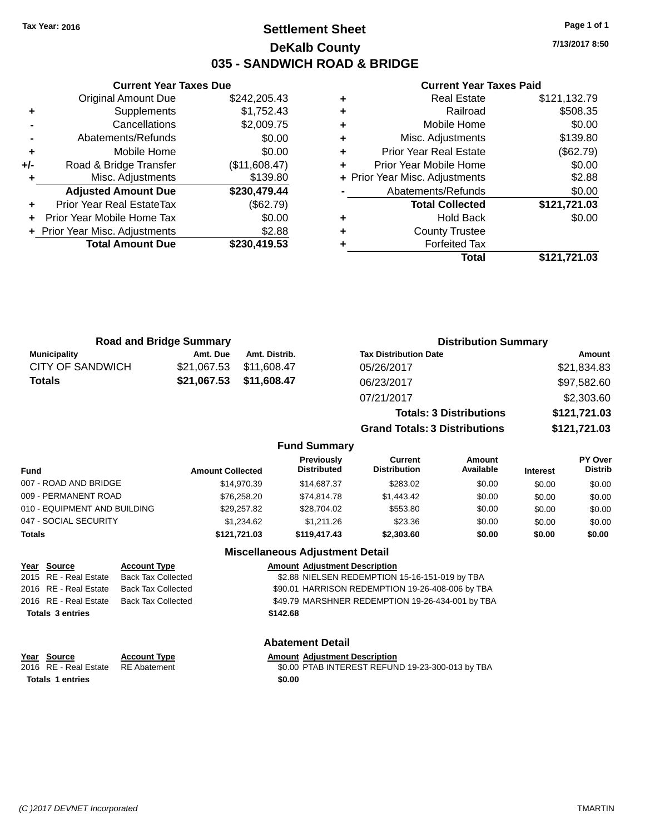### **Settlement Sheet Tax Year: 2016 Page 1 of 1 DeKalb County 035 - SANDWICH ROAD & BRIDGE**

**7/13/2017 8:50**

#### **Current Year Taxes Paid**

|     | <b>Original Amount Due</b>     | \$242,205.43  |
|-----|--------------------------------|---------------|
| ٠   | Supplements                    | \$1,752.43    |
|     | Cancellations                  | \$2,009.75    |
|     | Abatements/Refunds             | \$0.00        |
| ٠   | Mobile Home                    | \$0.00        |
| +/- | Road & Bridge Transfer         | (\$11,608.47) |
|     | Misc. Adjustments              | \$139.80      |
|     | <b>Adjusted Amount Due</b>     | \$230,479.44  |
| ÷   | Prior Year Real EstateTax      | (\$62.79)     |
|     | Prior Year Mobile Home Tax     | \$0.00        |
|     | + Prior Year Misc. Adjustments | \$2.88        |
|     | <b>Total Amount Due</b>        | \$230,419.53  |
|     |                                |               |

**Current Year Taxes Due**

| ٠ | <b>Real Estate</b>             | \$121,132.79 |
|---|--------------------------------|--------------|
| ٠ | Railroad                       | \$508.35     |
| ٠ | Mobile Home                    | \$0.00       |
| ٠ | Misc. Adjustments              | \$139.80     |
| ٠ | <b>Prior Year Real Estate</b>  | (\$62.79)    |
| ٠ | Prior Year Mobile Home         | \$0.00       |
|   | + Prior Year Misc. Adjustments | \$2.88       |
|   | Abatements/Refunds             | \$0.00       |
|   | <b>Total Collected</b>         | \$121,721.03 |
| ٠ | <b>Hold Back</b>               | \$0.00       |
| ٠ | <b>County Trustee</b>          |              |
|   | <b>Forfeited Tax</b>           |              |
|   | Total                          | \$121,721.03 |

|                         | <b>Road and Bridge Summary</b> |               | <b>Distribution Summary</b>    |              |  |
|-------------------------|--------------------------------|---------------|--------------------------------|--------------|--|
| <b>Municipality</b>     | Amt. Due                       | Amt. Distrib. | <b>Tax Distribution Date</b>   | Amount       |  |
| <b>CITY OF SANDWICH</b> | \$21,067.53                    | \$11,608.47   | 05/26/2017                     | \$21,834.83  |  |
| <b>Totals</b>           | \$21,067.53                    | \$11,608.47   | 06/23/2017                     | \$97,582.60  |  |
|                         |                                |               | 07/21/2017                     | \$2,303.60   |  |
|                         |                                |               | <b>Totals: 3 Distributions</b> | \$121,721.03 |  |

**Grand Totals: 3 Distributions \$121,721.03**

#### **Fund Summary**

| Fund                         | <b>Amount Collected</b> | <b>Previously</b><br><b>Distributed</b> | Current<br><b>Distribution</b> | Amount<br>Available | <b>Interest</b> | <b>PY Over</b><br><b>Distrib</b> |
|------------------------------|-------------------------|-----------------------------------------|--------------------------------|---------------------|-----------------|----------------------------------|
| 007 - ROAD AND BRIDGE        | \$14.970.39             | \$14,687,37                             | \$283.02                       | \$0.00              | \$0.00          | \$0.00                           |
| 009 - PERMANENT ROAD         | \$76,258.20             | \$74.814.78                             | \$1,443.42                     | \$0.00              | \$0.00          | \$0.00                           |
| 010 - EQUIPMENT AND BUILDING | \$29.257.82             | \$28,704.02                             | \$553.80                       | \$0.00              | \$0.00          | \$0.00                           |
| 047 - SOCIAL SECURITY        | \$1.234.62              | \$1,211,26                              | \$23.36                        | \$0.00              | \$0.00          | \$0.00                           |
| Totals                       | \$121.721.03            | \$119,417,43                            | \$2,303,60                     | \$0.00              | \$0.00          | \$0.00                           |

#### **Miscellaneous Adjustment Detail**

| Year Source             | <b>Account Type</b>       |          | <b>Amount Adjustment Description</b>             |
|-------------------------|---------------------------|----------|--------------------------------------------------|
| 2015 RE - Real Estate   | <b>Back Tax Collected</b> |          | \$2.88 NIELSEN REDEMPTION 15-16-151-019 by TBA   |
| 2016 RE - Real Estate   | <b>Back Tax Collected</b> |          | \$90.01 HARRISON REDEMPTION 19-26-408-006 by TBA |
| 2016 RE - Real Estate   | Back Tax Collected        |          | \$49.79 MARSHNER REDEMPTION 19-26-434-001 by TBA |
| <b>Totals 3 entries</b> |                           | \$142.68 |                                                  |
|                         |                           |          |                                                  |
|                         |                           |          |                                                  |

#### **Abatement Detail**

#### **Account Type Allergie Amount Adjustment Description**

| Year Source                        | <b>Account Type</b> | <b>Amount Adiustment Description</b>             |
|------------------------------------|---------------------|--------------------------------------------------|
| 2016 RE - Real Estate RE Abatement |                     | \$0.00 PTAB INTEREST REFUND 19-23-300-013 by TBA |
| <b>Totals 1 entries</b>            |                     | \$0.00                                           |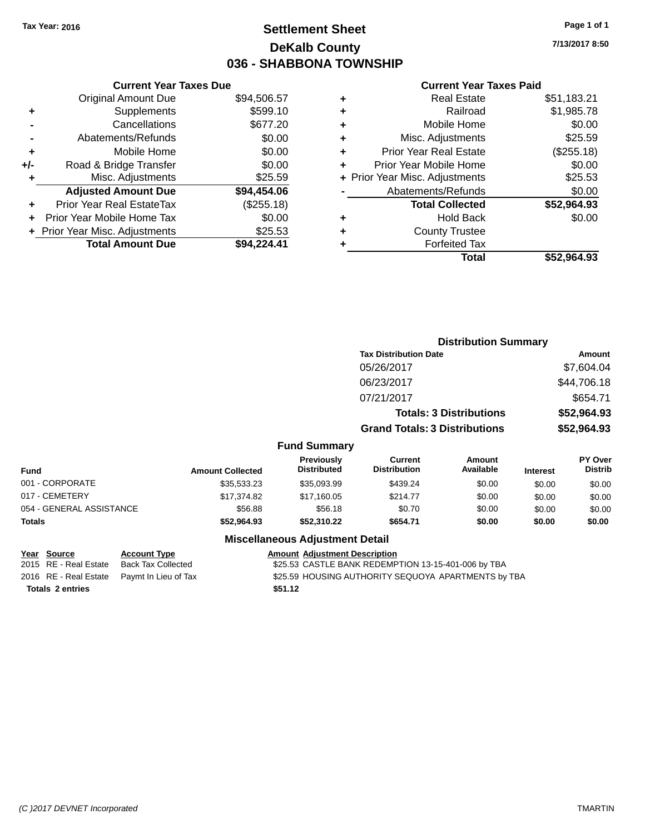### **Settlement Sheet Tax Year: 2016 Page 1 of 1 DeKalb County 036 - SHABBONA TOWNSHIP**

**7/13/2017 8:50**

#### **Current Year Taxes Paid**

|     | <b>Original Amount Due</b>       | \$94,506.57 |
|-----|----------------------------------|-------------|
| ٠   | Supplements                      | \$599.10    |
|     | Cancellations                    | \$677.20    |
|     | Abatements/Refunds               | \$0.00      |
| ÷   | Mobile Home                      | \$0.00      |
| +/- | Road & Bridge Transfer           | \$0.00      |
|     | Misc. Adjustments                | \$25.59     |
|     | <b>Adjusted Amount Due</b>       | \$94,454.06 |
| ٠   | <b>Prior Year Real EstateTax</b> | (\$255.18)  |
|     | Prior Year Mobile Home Tax       | \$0.00      |
|     | + Prior Year Misc. Adjustments   | \$25.53     |
|     | <b>Total Amount Due</b>          | \$94,224.41 |
|     |                                  |             |

**Current Year Taxes Due**

| ٠ | <b>Real Estate</b>             | \$51,183.21 |
|---|--------------------------------|-------------|
| ÷ | Railroad                       | \$1,985.78  |
| ÷ | Mobile Home                    | \$0.00      |
| ٠ | Misc. Adjustments              | \$25.59     |
| ٠ | <b>Prior Year Real Estate</b>  | (\$255.18)  |
| ٠ | Prior Year Mobile Home         | \$0.00      |
|   | + Prior Year Misc. Adjustments | \$25.53     |
|   | Abatements/Refunds             | \$0.00      |
|   | <b>Total Collected</b>         | \$52,964.93 |
| ٠ | Hold Back                      | \$0.00      |
| ٠ | <b>County Trustee</b>          |             |
| ٠ | <b>Forfeited Tax</b>           |             |
|   | Total                          | \$52,964.93 |
|   |                                |             |

|                          |                         |                                         | <b>Distribution Summary</b>           |                                |                 |                           |
|--------------------------|-------------------------|-----------------------------------------|---------------------------------------|--------------------------------|-----------------|---------------------------|
|                          |                         |                                         | <b>Tax Distribution Date</b>          |                                |                 | <b>Amount</b>             |
|                          |                         |                                         | 05/26/2017                            |                                |                 | \$7,604.04                |
|                          |                         |                                         | 06/23/2017                            |                                |                 | \$44,706.18               |
|                          |                         |                                         | 07/21/2017                            |                                |                 | \$654.71                  |
|                          |                         |                                         |                                       | <b>Totals: 3 Distributions</b> |                 | \$52,964.93               |
|                          |                         |                                         | <b>Grand Totals: 3 Distributions</b>  |                                |                 | \$52,964.93               |
|                          |                         | <b>Fund Summary</b>                     |                                       |                                |                 |                           |
| <b>Fund</b>              | <b>Amount Collected</b> | <b>Previously</b><br><b>Distributed</b> | <b>Current</b><br><b>Distribution</b> | Amount<br>Available            | <b>Interest</b> | PY Over<br><b>Distrib</b> |
| 001 - CORPORATE          | \$35,533.23             | \$35,093.99                             | \$439.24                              | \$0.00                         | \$0.00          | \$0.00                    |
| 017 - CEMETERY           | \$17,374.82             | \$17,160.05                             | \$214.77                              | \$0.00                         | \$0.00          | \$0.00                    |
| 054 - GENERAL ASSISTANCE | \$56.88                 | \$56.18                                 | \$0.70                                | \$0.00                         | \$0.00          | \$0.00                    |
| Totals                   | \$52,964.93             | \$52,310.22                             | \$654.71                              | \$0.00                         | \$0.00          | \$0.00                    |
|                          |                         | <b>Miscellaneous Adjustment Detail</b>  |                                       |                                |                 |                           |

# **Totals \$51.12 2 entries**

### **Year** Source **Account Type Account Adjustment Description**

2015 RE - Real Estate Back Tax Collected \$25.53 CASTLE BANK REDEMPTION 13-15-401-006 by TBA 2016 RE - Real Estate Paymt In Lieu of Tax S25.59 HOUSING AUTHORITY SEQUOYA APARTMENTS by TBA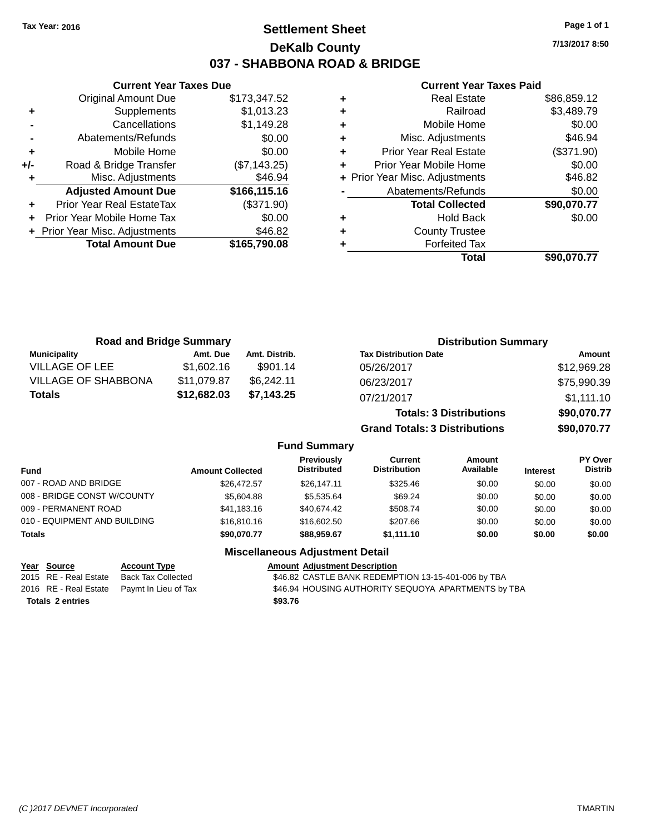### **Settlement Sheet Tax Year: 2016 Page 1 of 1 DeKalb County 037 - SHABBONA ROAD & BRIDGE**

**7/13/2017 8:50**

#### **Current Year Taxes Paid**

|     | <b>Original Amount Due</b>       | \$173,347.52 |
|-----|----------------------------------|--------------|
| ٠   | Supplements                      | \$1,013.23   |
|     | Cancellations                    | \$1,149.28   |
|     | Abatements/Refunds               | \$0.00       |
| ÷   | Mobile Home                      | \$0.00       |
| +/- | Road & Bridge Transfer           | (\$7,143.25) |
| ٠   | Misc. Adjustments                | \$46.94      |
|     | <b>Adjusted Amount Due</b>       | \$166,115.16 |
| ÷   | <b>Prior Year Real EstateTax</b> | (\$371.90)   |
|     | Prior Year Mobile Home Tax       | \$0.00       |
|     | + Prior Year Misc. Adjustments   | \$46.82      |
|     | <b>Total Amount Due</b>          | \$165,790.08 |
|     |                                  |              |

**Current Year Taxes Due**

| <b>Real Estate</b>             | \$86,859.12 |
|--------------------------------|-------------|
| Railroad                       | \$3,489.79  |
| Mobile Home                    | \$0.00      |
| Misc. Adjustments              | \$46.94     |
| <b>Prior Year Real Estate</b>  | (\$371.90)  |
| Prior Year Mobile Home         | \$0.00      |
| + Prior Year Misc. Adjustments | \$46.82     |
| Abatements/Refunds             | \$0.00      |
| <b>Total Collected</b>         | \$90,070.77 |
| <b>Hold Back</b>               | \$0.00      |
| <b>County Trustee</b>          |             |
| <b>Forfeited Tax</b>           |             |
| Total                          | \$90,070.77 |
|                                |             |

| <b>Road and Bridge Summary</b> |             |               | <b>Distribution Summary</b>    |             |
|--------------------------------|-------------|---------------|--------------------------------|-------------|
| <b>Municipality</b>            | Amt. Due    | Amt. Distrib. | <b>Tax Distribution Date</b>   | Amount      |
| VILLAGE OF LEE                 | \$1,602.16  | \$901.14      | 05/26/2017                     | \$12,969.28 |
| <b>VILLAGE OF SHABBONA</b>     | \$11,079.87 | \$6,242.11    | 06/23/2017                     | \$75,990.39 |
| <b>Totals</b>                  | \$12,682.03 | \$7.143.25    | 07/21/2017                     | \$1,111.10  |
|                                |             |               | <b>Totals: 3 Distributions</b> | \$90,070.77 |

**Grand Totals: 3 Distributions \$90,070.77**

#### **Fund Summary**

| Fund                         | <b>Amount Collected</b> | <b>Previously</b><br><b>Distributed</b> | Current<br><b>Distribution</b> | Amount<br>Available | <b>Interest</b> | PY Over<br><b>Distrib</b> |
|------------------------------|-------------------------|-----------------------------------------|--------------------------------|---------------------|-----------------|---------------------------|
| 007 - ROAD AND BRIDGE        | \$26,472.57             | \$26.147.11                             | \$325.46                       | \$0.00              | \$0.00          | \$0.00                    |
| 008 - BRIDGE CONST W/COUNTY  | \$5,604.88              | \$5,535,64                              | \$69.24                        | \$0.00              | \$0.00          | \$0.00                    |
| 009 - PERMANENT ROAD         | \$41.183.16             | \$40.674.42                             | \$508.74                       | \$0.00              | \$0.00          | \$0.00                    |
| 010 - EQUIPMENT AND BUILDING | \$16,810.16             | \$16,602.50                             | \$207.66                       | \$0.00              | \$0.00          | \$0.00                    |
| <b>Totals</b>                | \$90,070.77             | \$88,959.67                             | \$1,111.10                     | \$0.00              | \$0.00          | \$0.00                    |

#### **Miscellaneous Adjustment Detail**

#### **Year Source Account Type Account Type Amount Adjustment Description**<br>2015 RE - Real Estate Back Tax Collected \$46.82 CASTLE BANK REDEMP \$46.82 CASTLE BANK REDEMPTION 13-15-401-006 by TBA 2016 RE - Real Estate Paymt In Lieu of Tax \$46.94 HOUSING AUTHORITY SEQUOYA APARTMENTS by TBA **Totals \$93.76 2 entries**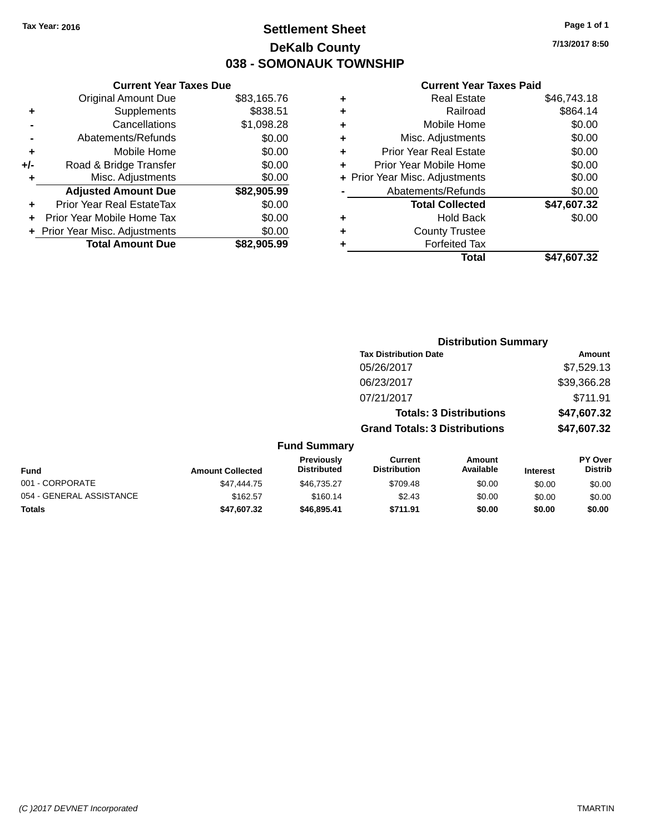### **Settlement Sheet Tax Year: 2016 Page 1 of 1 DeKalb County 038 - SOMONAUK TOWNSHIP**

**7/13/2017 8:50**

#### **Current Year Taxes Paid**

|     | <b>Current Year Taxes Due</b>  |             |  |  |  |  |
|-----|--------------------------------|-------------|--|--|--|--|
|     | <b>Original Amount Due</b>     | \$83,165.76 |  |  |  |  |
| ٠   | Supplements                    | \$838.51    |  |  |  |  |
|     | \$1,098.28<br>Cancellations    |             |  |  |  |  |
|     | Abatements/Refunds             | \$0.00      |  |  |  |  |
| ٠   | Mobile Home                    | \$0.00      |  |  |  |  |
| +/- | Road & Bridge Transfer         | \$0.00      |  |  |  |  |
|     | Misc. Adjustments              | \$0.00      |  |  |  |  |
|     | <b>Adjusted Amount Due</b>     | \$82,905.99 |  |  |  |  |
| ÷   | Prior Year Real EstateTax      | \$0.00      |  |  |  |  |
|     | Prior Year Mobile Home Tax     | \$0.00      |  |  |  |  |
|     | + Prior Year Misc. Adjustments | \$0.00      |  |  |  |  |
|     | <b>Total Amount Due</b>        | \$82,905.99 |  |  |  |  |
|     |                                |             |  |  |  |  |

| ٠ | <b>Real Estate</b>             | \$46,743.18 |
|---|--------------------------------|-------------|
| ٠ | Railroad                       | \$864.14    |
| ٠ | Mobile Home                    | \$0.00      |
| ٠ | Misc. Adjustments              | \$0.00      |
| ٠ | Prior Year Real Estate         | \$0.00      |
| ٠ | Prior Year Mobile Home         | \$0.00      |
|   | + Prior Year Misc. Adjustments | \$0.00      |
|   | Abatements/Refunds             | \$0.00      |
|   | <b>Total Collected</b>         | \$47,607.32 |
| ٠ | <b>Hold Back</b>               | \$0.00      |
| ٠ | <b>County Trustee</b>          |             |
| ٠ | <b>Forfeited Tax</b>           |             |
|   | Total                          | \$47,607.32 |
|   |                                |             |

|                          |                         |                                  | <b>Distribution Summary</b>           |                                |                 |                           |
|--------------------------|-------------------------|----------------------------------|---------------------------------------|--------------------------------|-----------------|---------------------------|
|                          |                         |                                  | <b>Tax Distribution Date</b>          |                                |                 | Amount                    |
|                          |                         |                                  | 05/26/2017                            |                                |                 | \$7,529.13                |
|                          |                         |                                  | 06/23/2017                            |                                |                 | \$39,366.28               |
|                          |                         |                                  | 07/21/2017                            |                                |                 | \$711.91                  |
|                          |                         |                                  |                                       | <b>Totals: 3 Distributions</b> |                 | \$47,607.32               |
|                          |                         |                                  | <b>Grand Totals: 3 Distributions</b>  |                                |                 | \$47,607.32               |
|                          |                         | <b>Fund Summary</b>              |                                       |                                |                 |                           |
| <b>Fund</b>              | <b>Amount Collected</b> | Previously<br><b>Distributed</b> | <b>Current</b><br><b>Distribution</b> | <b>Amount</b><br>Available     | <b>Interest</b> | PY Over<br><b>Distrib</b> |
| 001 - CORPORATE          | \$47,444.75             | \$46,735.27                      | \$709.48                              | \$0.00                         | \$0.00          | \$0.00                    |
| 054 - GENERAL ASSISTANCE | \$162.57                | \$160.14                         | \$2.43                                | \$0.00                         | \$0.00          | \$0.00                    |
| <b>Totals</b>            | \$47,607.32             | \$46,895.41                      | \$711.91                              | \$0.00                         | \$0.00          | \$0.00                    |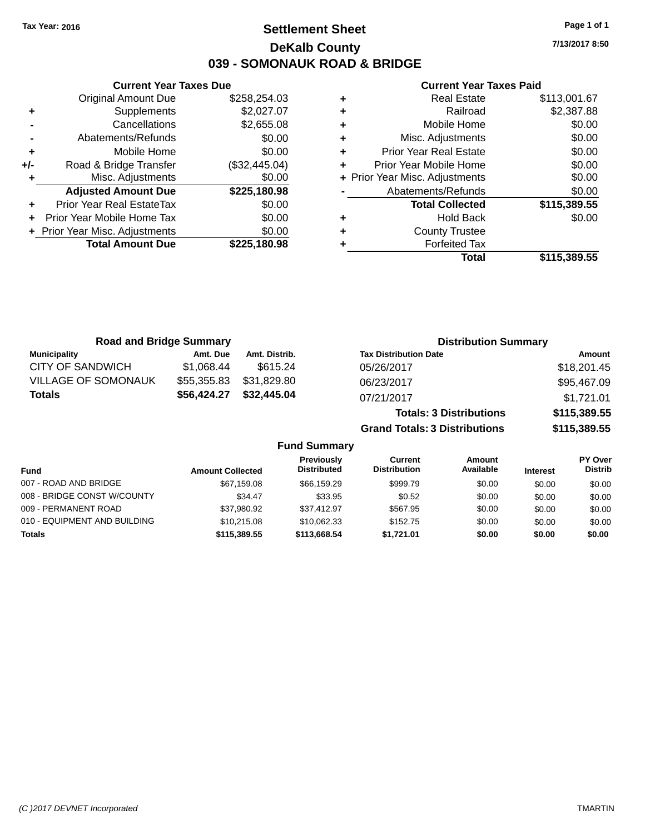### **Settlement Sheet Tax Year: 2016 Page 1 of 1 DeKalb County 039 - SOMONAUK ROAD & BRIDGE**

**7/13/2017 8:50**

#### **Current Year Taxes Paid**

|     | <b>Current Year Taxes Due</b>  |               |
|-----|--------------------------------|---------------|
|     | <b>Original Amount Due</b>     | \$258,254.03  |
| ÷   | Supplements                    | \$2,027.07    |
|     | Cancellations                  | \$2,655.08    |
|     | Abatements/Refunds             | \$0.00        |
| ٠   | Mobile Home                    | \$0.00        |
| +/- | Road & Bridge Transfer         | (\$32,445.04) |
|     | Misc. Adjustments              | \$0.00        |
|     | <b>Adjusted Amount Due</b>     | \$225,180.98  |
| ÷   | Prior Year Real EstateTax      | \$0.00        |
|     | Prior Year Mobile Home Tax     | \$0.00        |
|     | + Prior Year Misc. Adjustments | \$0.00        |
|     | <b>Total Amount Due</b>        | \$225,180,98  |
|     |                                |               |

| ٠ | <b>Real Estate</b>             | \$113,001.67 |
|---|--------------------------------|--------------|
| ٠ | Railroad                       | \$2,387.88   |
| ٠ | Mobile Home                    | \$0.00       |
| ٠ | Misc. Adjustments              | \$0.00       |
| ٠ | <b>Prior Year Real Estate</b>  | \$0.00       |
| ٠ | Prior Year Mobile Home         | \$0.00       |
|   | + Prior Year Misc. Adjustments | \$0.00       |
|   | Abatements/Refunds             | \$0.00       |
|   | <b>Total Collected</b>         | \$115,389.55 |
| ٠ | <b>Hold Back</b>               | \$0.00       |
| ٠ | <b>County Trustee</b>          |              |
|   | <b>Forfeited Tax</b>           |              |
|   | Total                          | \$115.389.55 |

| <b>Road and Bridge Summary</b> |             |               | <b>Distribution Summary</b>    |              |  |
|--------------------------------|-------------|---------------|--------------------------------|--------------|--|
| <b>Municipality</b>            | Amt. Due    | Amt. Distrib. | <b>Tax Distribution Date</b>   | Amount       |  |
| CITY OF SANDWICH               | \$1.068.44  | \$615.24      | 05/26/2017                     | \$18,201.45  |  |
| <b>VILLAGE OF SOMONAUK</b>     | \$55,355.83 | \$31,829.80   | 06/23/2017                     | \$95,467.09  |  |
| Totals                         | \$56,424.27 | \$32,445.04   | 07/21/2017                     | \$1,721.01   |  |
|                                |             |               | <b>Totals: 3 Distributions</b> | \$115,389.55 |  |

**Grand Totals: 3 Distributions \$115,389.55**

#### **Fund Summary**

| <b>Fund</b>                  | <b>Amount Collected</b> | Previously<br><b>Distributed</b> | Current<br><b>Distribution</b> | Amount<br>Available | <b>Interest</b> | PY Over<br><b>Distrib</b> |
|------------------------------|-------------------------|----------------------------------|--------------------------------|---------------------|-----------------|---------------------------|
|                              |                         |                                  |                                |                     |                 |                           |
| 007 - ROAD AND BRIDGE        | \$67,159.08             | \$66,159.29                      | \$999.79                       | \$0.00              | \$0.00          | \$0.00                    |
| 008 - BRIDGE CONST W/COUNTY  | \$34.47                 | \$33.95                          | \$0.52                         | \$0.00              | \$0.00          | \$0.00                    |
| 009 - PERMANENT ROAD         | \$37.980.92             | \$37.412.97                      | \$567.95                       | \$0.00              | \$0.00          | \$0.00                    |
| 010 - EQUIPMENT AND BUILDING | \$10.215.08             | \$10,062.33                      | \$152.75                       | \$0.00              | \$0.00          | \$0.00                    |
| Totals                       | \$115,389.55            | \$113,668.54                     | \$1.721.01                     | \$0.00              | \$0.00          | \$0.00                    |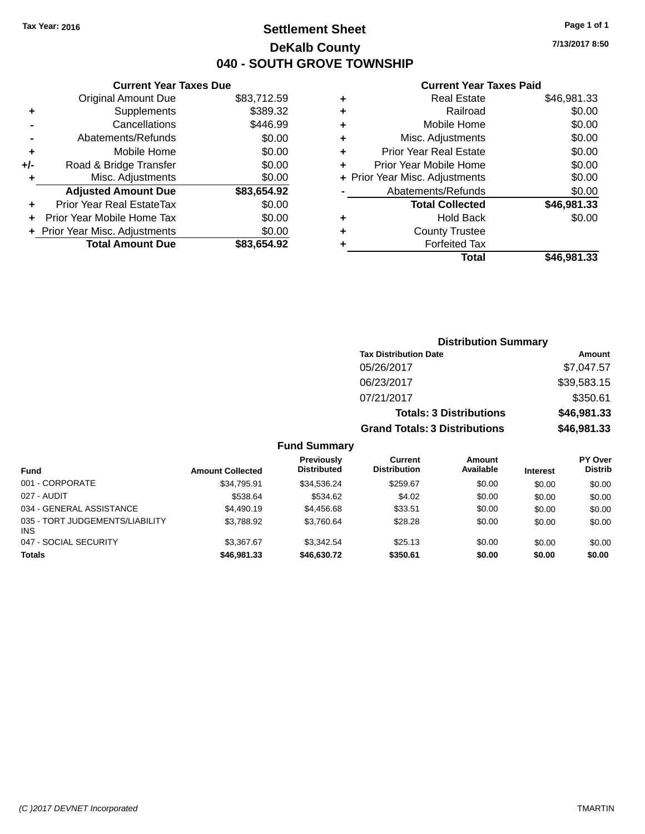### **Settlement Sheet Tax Year: 2016 Page 1 of 1 DeKalb County 040 - SOUTH GROVE TOWNSHIP**

**7/13/2017 8:50**

#### **Current Year Taxes Paid**

|     | <b>Current Year Taxes Due</b> |             |  |  |  |  |  |
|-----|-------------------------------|-------------|--|--|--|--|--|
|     | <b>Original Amount Due</b>    | \$83,712.59 |  |  |  |  |  |
| ٠   | Supplements                   | \$389.32    |  |  |  |  |  |
|     | Cancellations                 | \$446.99    |  |  |  |  |  |
|     | Abatements/Refunds            | \$0.00      |  |  |  |  |  |
| ٠   | Mobile Home                   | \$0.00      |  |  |  |  |  |
| +/- | Road & Bridge Transfer        | \$0.00      |  |  |  |  |  |
| ٠   | Misc. Adjustments             | \$0.00      |  |  |  |  |  |
|     | <b>Adjusted Amount Due</b>    | \$83,654.92 |  |  |  |  |  |
| ٠   | Prior Year Real EstateTax     | \$0.00      |  |  |  |  |  |
| ÷   | Prior Year Mobile Home Tax    | \$0.00      |  |  |  |  |  |
|     | Prior Year Misc. Adjustments  | \$0.00      |  |  |  |  |  |
|     | <b>Total Amount Due</b>       | \$83.654.92 |  |  |  |  |  |

|   | <b>Real Estate</b>             | \$46,981.33 |
|---|--------------------------------|-------------|
| ٠ | Railroad                       | \$0.00      |
| ٠ | Mobile Home                    | \$0.00      |
| ٠ | Misc. Adjustments              | \$0.00      |
| ٠ | <b>Prior Year Real Estate</b>  | \$0.00      |
| ÷ | Prior Year Mobile Home         | \$0.00      |
|   | + Prior Year Misc. Adjustments | \$0.00      |
|   | Abatements/Refunds             | \$0.00      |
|   | <b>Total Collected</b>         | \$46,981.33 |
| ٠ | <b>Hold Back</b>               | \$0.00      |
| ٠ | <b>County Trustee</b>          |             |
| ٠ | <b>Forfeited Tax</b>           |             |
|   | Total                          | \$46,981.33 |
|   |                                |             |

|     |                                         |                                       | <b>Distribution Summary</b>    |                 |                                  |
|-----|-----------------------------------------|---------------------------------------|--------------------------------|-----------------|----------------------------------|
|     |                                         | <b>Tax Distribution Date</b>          |                                |                 | Amount                           |
|     |                                         | 05/26/2017                            |                                |                 | \$7,047.57                       |
|     |                                         | 06/23/2017                            |                                |                 | \$39,583.15                      |
|     |                                         | 07/21/2017                            |                                |                 | \$350.61                         |
|     |                                         |                                       | <b>Totals: 3 Distributions</b> |                 | \$46,981.33                      |
|     |                                         | <b>Grand Totals: 3 Distributions</b>  |                                |                 | \$46,981.33                      |
|     | <b>Fund Summary</b>                     |                                       |                                |                 |                                  |
| ted | <b>Previously</b><br><b>Distributed</b> | <b>Current</b><br><b>Distribution</b> | Amount<br>Available            | <b>Interest</b> | <b>PY Over</b><br><b>Distrib</b> |

| <b>Amount Collected</b> | ι ι σνιυμειν<br><b>Distributed</b> | <b>VULLEN</b><br><b>Distribution</b> | anvun<br>Available | <b>Interest</b> | וטערו<br><b>Distrib</b> |
|-------------------------|------------------------------------|--------------------------------------|--------------------|-----------------|-------------------------|
| \$34.795.91             | \$34.536.24                        | \$259.67                             | \$0.00             | \$0.00          | \$0.00                  |
| \$538.64                | \$534.62                           | \$4.02                               | \$0.00             | \$0.00          | \$0.00                  |
| \$4,490.19              | \$4,456.68                         | \$33.51                              | \$0.00             | \$0.00          | \$0.00                  |
| \$3,788.92              | \$3.760.64                         | \$28.28                              | \$0.00             | \$0.00          | \$0.00                  |
| \$3,367.67              | \$3.342.54                         | \$25.13                              | \$0.00             | \$0.00          | \$0.00                  |
| \$46,981,33             | \$46,630.72                        | \$350.61                             | \$0.00             | \$0.00          | \$0.00                  |
|                         |                                    |                                      |                    |                 |                         |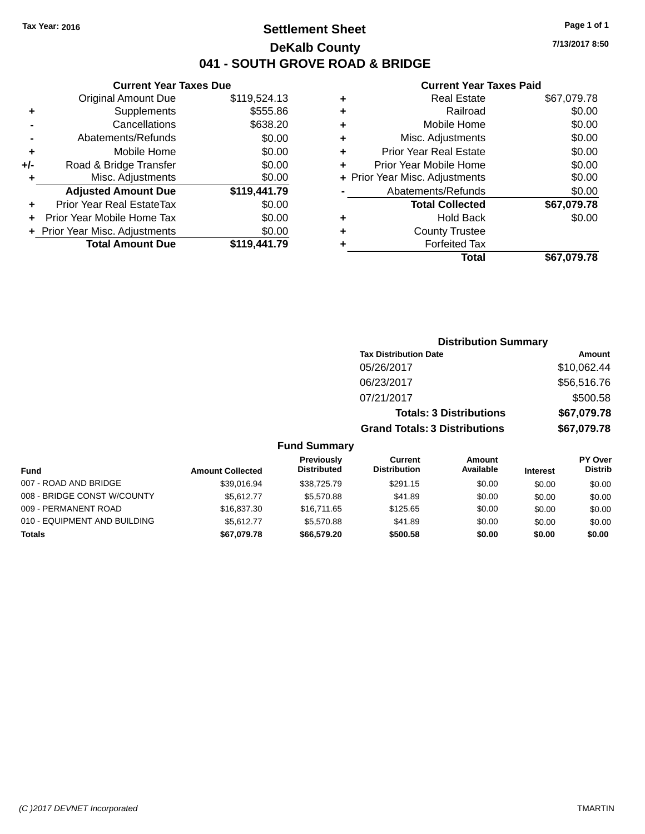### **Settlement Sheet Tax Year: 2016 Page 1 of 1 DeKalb County 041 - SOUTH GROVE ROAD & BRIDGE**

**7/13/2017 8:50**

#### **Current Year Taxes Paid**

| <b>Original Amount Due</b> | \$119,524.13                                                    |
|----------------------------|-----------------------------------------------------------------|
| Supplements                | \$555.86                                                        |
| Cancellations              | \$638.20                                                        |
| Abatements/Refunds         | \$0.00                                                          |
| Mobile Home                | \$0.00                                                          |
| Road & Bridge Transfer     | \$0.00                                                          |
| Misc. Adjustments          | \$0.00                                                          |
| <b>Adjusted Amount Due</b> | \$119,441.79                                                    |
| Prior Year Real EstateTax  | \$0.00                                                          |
| Prior Year Mobile Home Tax | \$0.00                                                          |
|                            | \$0.00                                                          |
| <b>Total Amount Due</b>    | \$119,441.79                                                    |
|                            | <b>Current Year Taxes Due</b><br>+ Prior Year Misc. Adjustments |

|   | <b>Real Estate</b>             | \$67,079.78 |
|---|--------------------------------|-------------|
| ٠ | Railroad                       | \$0.00      |
| ٠ | Mobile Home                    | \$0.00      |
| ٠ | Misc. Adjustments              | \$0.00      |
| ٠ | <b>Prior Year Real Estate</b>  | \$0.00      |
| ÷ | Prior Year Mobile Home         | \$0.00      |
|   | + Prior Year Misc. Adjustments | \$0.00      |
|   | Abatements/Refunds             | \$0.00      |
|   | <b>Total Collected</b>         | \$67,079.78 |
| ٠ | Hold Back                      | \$0.00      |
| ٠ | <b>County Trustee</b>          |             |
| ٠ | <b>Forfeited Tax</b>           |             |
|   | Total                          | \$67,079.78 |
|   |                                |             |

| <b>Distribution Summary</b>          |             |
|--------------------------------------|-------------|
| <b>Tax Distribution Date</b>         | Amount      |
| 05/26/2017                           | \$10,062.44 |
| 06/23/2017                           | \$56,516.76 |
| 07/21/2017                           | \$500.58    |
| <b>Totals: 3 Distributions</b>       | \$67,079.78 |
| <b>Grand Totals: 3 Distributions</b> | \$67,079.78 |
|                                      |             |

#### **Fund Summary**

| <b>Fund</b>                  | <b>Amount Collected</b> | Previously<br><b>Distributed</b> | Current<br><b>Distribution</b> | Amount<br>Available | <b>Interest</b> | PY Over<br><b>Distrib</b> |
|------------------------------|-------------------------|----------------------------------|--------------------------------|---------------------|-----------------|---------------------------|
| 007 - ROAD AND BRIDGE        | \$39.016.94             | \$38,725.79                      | \$291.15                       | \$0.00              | \$0.00          | \$0.00                    |
| 008 - BRIDGE CONST W/COUNTY  | \$5.612.77              | \$5.570.88                       | \$41.89                        | \$0.00              | \$0.00          | \$0.00                    |
| 009 - PERMANENT ROAD         | \$16,837,30             | \$16,711,65                      | \$125.65                       | \$0.00              | \$0.00          | \$0.00                    |
| 010 - EQUIPMENT AND BUILDING | \$5.612.77              | \$5.570.88                       | \$41.89                        | \$0.00              | \$0.00          | \$0.00                    |
| Totals                       | \$67,079.78             | \$66,579.20                      | \$500.58                       | \$0.00              | \$0.00          | \$0.00                    |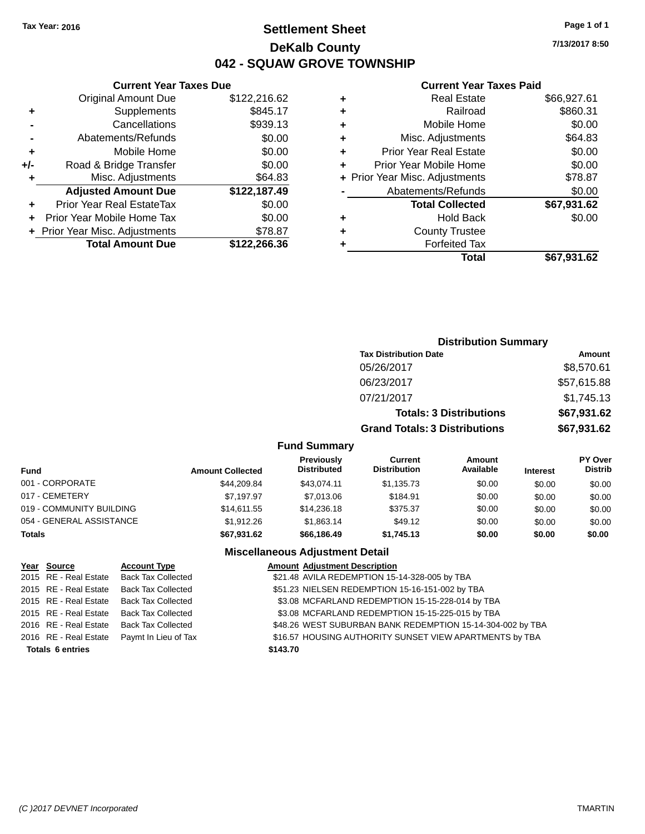### **Settlement Sheet Tax Year: 2016 Page 1 of 1 DeKalb County 042 - SQUAW GROVE TOWNSHIP**

**7/13/2017 8:50**

#### **Current Year Taxes Paid**

| <b>Current Year Taxes Due</b>  |              |  |  |  |  |  |
|--------------------------------|--------------|--|--|--|--|--|
| <b>Original Amount Due</b>     | \$122,216.62 |  |  |  |  |  |
| Supplements                    | \$845.17     |  |  |  |  |  |
| Cancellations                  | \$939.13     |  |  |  |  |  |
| Abatements/Refunds             | \$0.00       |  |  |  |  |  |
| Mobile Home                    | \$0.00       |  |  |  |  |  |
| Road & Bridge Transfer         | \$0.00       |  |  |  |  |  |
| Misc. Adjustments              | \$64.83      |  |  |  |  |  |
| <b>Adjusted Amount Due</b>     | \$122,187.49 |  |  |  |  |  |
| Prior Year Real EstateTax      | \$0.00       |  |  |  |  |  |
| Prior Year Mobile Home Tax     | \$0.00       |  |  |  |  |  |
| + Prior Year Misc. Adjustments | \$78.87      |  |  |  |  |  |
| <b>Total Amount Due</b>        | \$122,266.36 |  |  |  |  |  |
|                                |              |  |  |  |  |  |

| ٠ | <b>Real Estate</b>             | \$66,927.61 |
|---|--------------------------------|-------------|
| ٠ | Railroad                       | \$860.31    |
| ٠ | Mobile Home                    | \$0.00      |
| ٠ | Misc. Adjustments              | \$64.83     |
| ٠ | <b>Prior Year Real Estate</b>  | \$0.00      |
| ٠ | Prior Year Mobile Home         | \$0.00      |
|   | + Prior Year Misc. Adjustments | \$78.87     |
|   | Abatements/Refunds             | \$0.00      |
|   | <b>Total Collected</b>         | \$67,931.62 |
| ٠ | Hold Back                      | \$0.00      |
| ٠ | <b>County Trustee</b>          |             |
| ٠ | <b>Forfeited Tax</b>           |             |
|   | Total                          | \$67,931.62 |
|   |                                |             |

|       | <b>Distribution Summary</b>          |             |
|-------|--------------------------------------|-------------|
|       | <b>Tax Distribution Date</b>         | Amount      |
|       | 05/26/2017                           | \$8,570.61  |
|       | 06/23/2017                           | \$57,615.88 |
|       | 07/21/2017                           | \$1,745.13  |
|       | <b>Totals: 3 Distributions</b>       | \$67,931.62 |
|       | <b>Grand Totals: 3 Distributions</b> | \$67,931.62 |
| าหาวพ |                                      |             |

#### **Fund Summary**

| <b>Fund</b>              | <b>Amount Collected</b> | <b>Previously</b><br><b>Distributed</b> | Current<br><b>Distribution</b> | Amount<br>Available | <b>Interest</b> | <b>PY Over</b><br><b>Distrib</b> |
|--------------------------|-------------------------|-----------------------------------------|--------------------------------|---------------------|-----------------|----------------------------------|
| 001 - CORPORATE          | \$44,209.84             | \$43.074.11                             | \$1,135.73                     | \$0.00              | \$0.00          | \$0.00                           |
| 017 - CEMETERY           | \$7.197.97              | \$7,013,06                              | \$184.91                       | \$0.00              | \$0.00          | \$0.00                           |
| 019 - COMMUNITY BUILDING | \$14,611,55             | \$14,236,18                             | \$375.37                       | \$0.00              | \$0.00          | \$0.00                           |
| 054 - GENERAL ASSISTANCE | \$1.912.26              | \$1,863.14                              | \$49.12                        | \$0.00              | \$0.00          | \$0.00                           |
| <b>Totals</b>            | \$67,931.62             | \$66,186.49                             | \$1,745.13                     | \$0.00              | \$0.00          | \$0.00                           |

### **Miscellaneous Adjustment Detail**

| Year Source             | <b>Account Type</b>                        | <b>Amount Adjustment Description</b>                       |
|-------------------------|--------------------------------------------|------------------------------------------------------------|
|                         | 2015 RE - Real Estate Back Tax Collected   | \$21.48 AVILA REDEMPTION 15-14-328-005 by TBA              |
| 2015 RE - Real Estate   | Back Tax Collected                         | \$51.23 NIELSEN REDEMPTION 15-16-151-002 by TBA            |
|                         | 2015 RE - Real Estate Back Tax Collected   | \$3.08 MCFARLAND REDEMPTION 15-15-228-014 by TBA           |
|                         | 2015 RE - Real Estate Back Tax Collected   | \$3.08 MCFARLAND REDEMPTION 15-15-225-015 by TBA           |
|                         | 2016 RE - Real Estate Back Tax Collected   | \$48.26 WEST SUBURBAN BANK REDEMPTION 15-14-304-002 by TBA |
|                         | 2016 RE - Real Estate Paymt In Lieu of Tax | \$16.57 HOUSING AUTHORITY SUNSET VIEW APARTMENTS by TBA    |
| <b>Totals 6 entries</b> |                                            | \$143.70                                                   |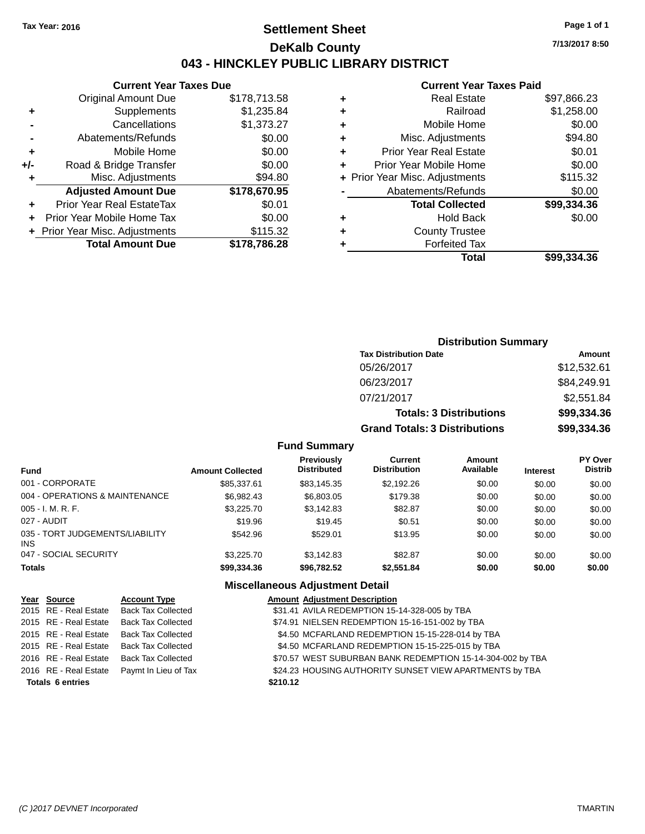### **Settlement Sheet Tax Year: 2016 Page 1 of 1 DeKalb County 043 - HINCKLEY PUBLIC LIBRARY DISTRICT**

**7/13/2017 8:50**

### **Current Year Taxes Paid**

|       | <b>Current Year Taxes Due</b>  |              |  |  |  |  |
|-------|--------------------------------|--------------|--|--|--|--|
|       | <b>Original Amount Due</b>     | \$178,713.58 |  |  |  |  |
| ٠     | Supplements                    | \$1,235.84   |  |  |  |  |
|       | Cancellations                  | \$1,373.27   |  |  |  |  |
|       | Abatements/Refunds             | \$0.00       |  |  |  |  |
| ٠     | Mobile Home                    | \$0.00       |  |  |  |  |
| $+/-$ | Road & Bridge Transfer         | \$0.00       |  |  |  |  |
| ٠     | Misc. Adjustments              | \$94.80      |  |  |  |  |
|       | <b>Adjusted Amount Due</b>     | \$178,670.95 |  |  |  |  |
|       | Prior Year Real EstateTax      | \$0.01       |  |  |  |  |
|       | Prior Year Mobile Home Tax     | \$0.00       |  |  |  |  |
|       | + Prior Year Misc. Adjustments | \$115.32     |  |  |  |  |
|       | <b>Total Amount Due</b>        | \$178,786.28 |  |  |  |  |
|       |                                |              |  |  |  |  |

|   | Total                          | \$99,334,36 |
|---|--------------------------------|-------------|
| ٠ | <b>Forfeited Tax</b>           |             |
| ٠ | <b>County Trustee</b>          |             |
| ٠ | <b>Hold Back</b>               | \$0.00      |
|   | <b>Total Collected</b>         | \$99,334.36 |
|   | Abatements/Refunds             | \$0.00      |
|   | + Prior Year Misc. Adjustments | \$115.32    |
| ٠ | Prior Year Mobile Home         | \$0.00      |
| ٠ | <b>Prior Year Real Estate</b>  | \$0.01      |
| ٠ | Misc. Adjustments              | \$94.80     |
| ٠ | Mobile Home                    | \$0.00      |
| ٠ | Railroad                       | \$1,258.00  |
| ٠ | <b>Real Estate</b>             | \$97,866.23 |
|   |                                |             |

| <b>Distribution Summary</b>          |             |  |  |  |  |
|--------------------------------------|-------------|--|--|--|--|
| <b>Tax Distribution Date</b>         | Amount      |  |  |  |  |
| 05/26/2017                           | \$12,532.61 |  |  |  |  |
| 06/23/2017                           | \$84,249.91 |  |  |  |  |
| 07/21/2017                           | \$2,551.84  |  |  |  |  |
| <b>Totals: 3 Distributions</b>       | \$99,334.36 |  |  |  |  |
| <b>Grand Totals: 3 Distributions</b> | \$99,334.36 |  |  |  |  |

#### **Fund Summary**

| <b>Fund</b>                                   | <b>Amount Collected</b> | Previously<br><b>Distributed</b> | Current<br><b>Distribution</b> | Amount<br>Available | <b>Interest</b> | <b>PY Over</b><br><b>Distrib</b> |
|-----------------------------------------------|-------------------------|----------------------------------|--------------------------------|---------------------|-----------------|----------------------------------|
| 001 - CORPORATE                               | \$85,337.61             | \$83,145.35                      | \$2,192.26                     | \$0.00              | \$0.00          | \$0.00                           |
| 004 - OPERATIONS & MAINTENANCE                | \$6,982.43              | \$6,803,05                       | \$179.38                       | \$0.00              | \$0.00          | \$0.00                           |
| $005 - I. M. R. F.$                           | \$3,225.70              | \$3,142.83                       | \$82.87                        | \$0.00              | \$0.00          | \$0.00                           |
| 027 - AUDIT                                   | \$19.96                 | \$19.45                          | \$0.51                         | \$0.00              | \$0.00          | \$0.00                           |
| 035 - TORT JUDGEMENTS/LIABILITY<br><b>INS</b> | \$542.96                | \$529.01                         | \$13.95                        | \$0.00              | \$0.00          | \$0.00                           |
| 047 - SOCIAL SECURITY                         | \$3,225.70              | \$3.142.83                       | \$82.87                        | \$0.00              | \$0.00          | \$0.00                           |
| <b>Totals</b>                                 | \$99,334.36             | \$96,782.52                      | \$2,551.84                     | \$0.00              | \$0.00          | \$0.00                           |

#### **Miscellaneous Adjustment Detail**

| Year Source             | <b>Account Type</b>                        | <b>Amount Adjustment Description</b>                       |
|-------------------------|--------------------------------------------|------------------------------------------------------------|
|                         | 2015 RE - Real Estate Back Tax Collected   | \$31.41 AVILA REDEMPTION 15-14-328-005 by TBA              |
|                         | 2015 RE - Real Estate Back Tax Collected   | \$74.91 NIELSEN REDEMPTION 15-16-151-002 by TBA            |
|                         | 2015 RE - Real Estate Back Tax Collected   | \$4.50 MCFARLAND REDEMPTION 15-15-228-014 by TBA           |
|                         | 2015 RE - Real Estate Back Tax Collected   | \$4.50 MCFARLAND REDEMPTION 15-15-225-015 by TBA           |
|                         | 2016 RE - Real Estate Back Tax Collected   | \$70.57 WEST SUBURBAN BANK REDEMPTION 15-14-304-002 by TBA |
|                         | 2016 RE - Real Estate Paymt In Lieu of Tax | \$24.23 HOUSING AUTHORITY SUNSET VIEW APARTMENTS by TBA    |
| <b>Totals 6 entries</b> |                                            | \$210.12                                                   |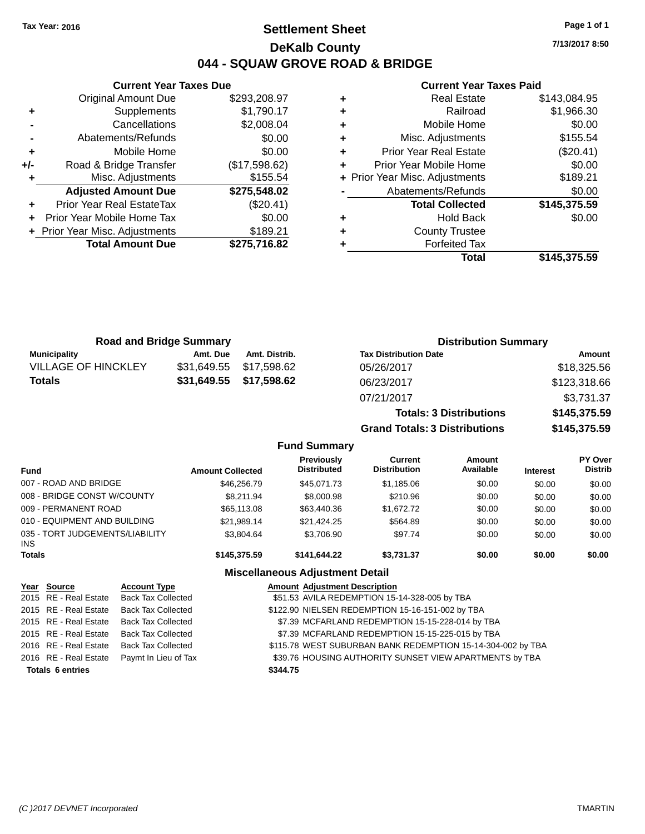### **Settlement Sheet Tax Year: 2016 Page 1 of 1 DeKalb County 044 - SQUAW GROVE ROAD & BRIDGE**

**7/13/2017 8:50**

#### **Current Year Taxes Paid**

|     | <b>Current Year Taxes Due</b>  |               |  |  |  |
|-----|--------------------------------|---------------|--|--|--|
|     | <b>Original Amount Due</b>     | \$293,208.97  |  |  |  |
| ٠   | Supplements                    | \$1,790.17    |  |  |  |
|     | Cancellations                  | \$2,008.04    |  |  |  |
|     | Abatements/Refunds             | \$0.00        |  |  |  |
| ٠   | Mobile Home                    | \$0.00        |  |  |  |
| +/- | Road & Bridge Transfer         | (\$17,598.62) |  |  |  |
|     | Misc. Adjustments              | \$155.54      |  |  |  |
|     | <b>Adjusted Amount Due</b>     | \$275,548.02  |  |  |  |
|     | Prior Year Real EstateTax      | $(\$20.41)$   |  |  |  |
|     | Prior Year Mobile Home Tax     | \$0.00        |  |  |  |
|     | + Prior Year Misc. Adjustments | \$189.21      |  |  |  |
|     | <b>Total Amount Due</b>        | \$275,716.82  |  |  |  |
|     |                                |               |  |  |  |

| <b>Real Estate</b>             | \$143,084.95 |
|--------------------------------|--------------|
| Railroad                       | \$1,966.30   |
| Mobile Home                    | \$0.00       |
| Misc. Adjustments              | \$155.54     |
| <b>Prior Year Real Estate</b>  | (\$20.41)    |
| Prior Year Mobile Home         | \$0.00       |
| + Prior Year Misc. Adjustments | \$189.21     |
| Abatements/Refunds             | \$0.00       |
| <b>Total Collected</b>         | \$145,375.59 |
| <b>Hold Back</b>               | \$0.00       |
| <b>County Trustee</b>          |              |
| <b>Forfeited Tax</b>           |              |
| Total                          | \$145,375.59 |
|                                |              |

**Grand Totals: 3 Distributions \$145,375.59**

| <b>Road and Bridge Summary</b> |             |                         | <b>Distribution Summary</b>    |              |  |
|--------------------------------|-------------|-------------------------|--------------------------------|--------------|--|
| <b>Municipality</b>            | Amt. Due    | Amt. Distrib.           | <b>Tax Distribution Date</b>   | Amount       |  |
| <b>VILLAGE OF HINCKLEY</b>     | \$31.649.55 | \$17.598.62             | 05/26/2017                     | \$18,325.56  |  |
| <b>Totals</b>                  |             | \$31,649.55 \$17,598.62 | 06/23/2017                     | \$123,318.66 |  |
|                                |             |                         | 07/21/2017                     | \$3,731.37   |  |
|                                |             |                         | <b>Totals: 3 Distributions</b> | \$145,375.59 |  |

**Fund Summary Fund Interest Amount Collected Distributed PY Over Distrib Amount Available Current Distribution Previously** 007 - ROAD AND BRIDGE \$46,256.79 \$45,071.73 \$1,185.06 \$0.00 \$0.00 \$0.00 \$0.00 008 - BRIDGE CONST W/COUNTY  $$8,211.94$   $$8,000.98$   $$210.96$  \$0.00 \$0.00 \$0.00 \$0.00 009 - PERMANENT ROAD \$65,113.08 \$63,440.36 \$1,672.72 \$0.00 \$0.00 \$0.00 010 - EQUIPMENT AND BUILDING \$21,989.14 \$21,424.25 \$564.89 \$0.00 \$0.00 \$0.00 \$0.00 035 - TORT JUDGEMENTS/LIABILITY INS \$3,804.64 \$3,706.90 \$97.74 \$0.00 \$0.00 \$0.00 **Totals \$145,375.59 \$141,644.22 \$3,731.37 \$0.00 \$0.00 \$0.00 Miscellaneous Adjustment Detail**

| Year Source             | <b>Account Type</b>                      | <b>Amount Adjustment Description</b>                        |
|-------------------------|------------------------------------------|-------------------------------------------------------------|
| 2015 RE - Real Estate   | <b>Back Tax Collected</b>                | \$51.53 AVILA REDEMPTION 15-14-328-005 by TBA               |
| 2015 RE - Real Estate   | <b>Back Tax Collected</b>                | \$122.90 NIELSEN REDEMPTION 15-16-151-002 by TBA            |
| 2015 RE - Real Estate   | <b>Back Tax Collected</b>                | \$7.39 MCFARLAND REDEMPTION 15-15-228-014 by TBA            |
|                         | 2015 RE - Real Estate Back Tax Collected | \$7.39 MCFARLAND REDEMPTION 15-15-225-015 by TBA            |
| 2016 RE - Real Estate   | <b>Back Tax Collected</b>                | \$115.78 WEST SUBURBAN BANK REDEMPTION 15-14-304-002 by TBA |
| 2016 RE - Real Estate   | Paymt In Lieu of Tax                     | \$39.76 HOUSING AUTHORITY SUNSET VIEW APARTMENTS by TBA     |
| <b>Totals 6 entries</b> |                                          | \$344.75                                                    |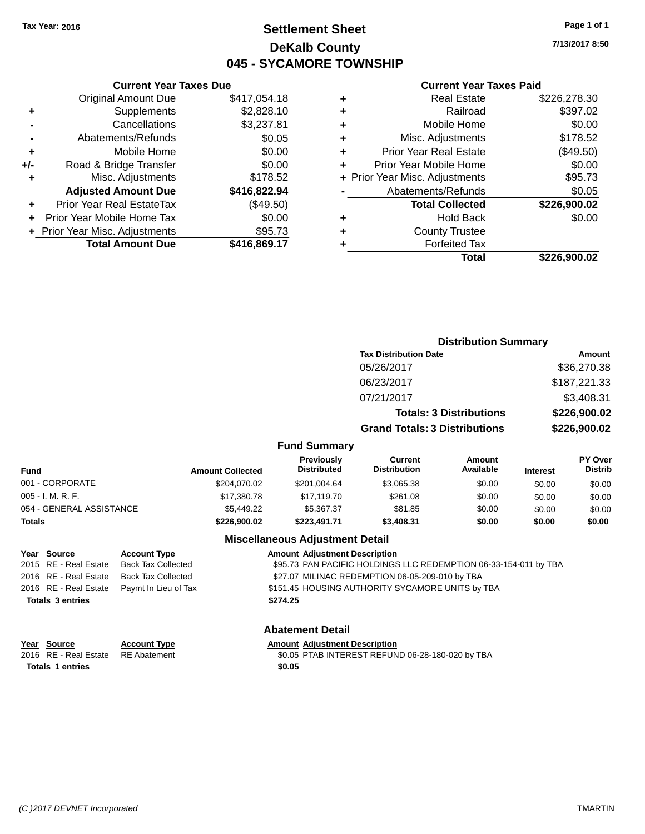### **Settlement Sheet Tax Year: 2016 Page 1 of 1 DeKalb County 045 - SYCAMORE TOWNSHIP**

**7/13/2017 8:50**

#### **Current Year Taxes Paid**

|       | <b>Current Year Taxes Due</b>  |              |
|-------|--------------------------------|--------------|
|       | <b>Original Amount Due</b>     | \$417,054.18 |
| ٠     | Supplements                    | \$2,828.10   |
|       | Cancellations                  | \$3,237.81   |
|       | Abatements/Refunds             | \$0.05       |
| ٠     | Mobile Home                    | \$0.00       |
| $+/-$ | Road & Bridge Transfer         | \$0.00       |
| ٠     | Misc. Adjustments              | \$178.52     |
|       | <b>Adjusted Amount Due</b>     | \$416,822.94 |
| ٠     | Prior Year Real EstateTax      | (\$49.50)    |
|       | Prior Year Mobile Home Tax     | \$0.00       |
|       | + Prior Year Misc. Adjustments | \$95.73      |
|       | <b>Total Amount Due</b>        | \$416,869.17 |
|       |                                |              |

| ٠ | <b>Real Estate</b>             | \$226,278.30 |
|---|--------------------------------|--------------|
| ٠ | Railroad                       | \$397.02     |
| ٠ | Mobile Home                    | \$0.00       |
| ٠ | Misc. Adjustments              | \$178.52     |
| ٠ | <b>Prior Year Real Estate</b>  | (\$49.50)    |
| ٠ | Prior Year Mobile Home         | \$0.00       |
|   | + Prior Year Misc. Adjustments | \$95.73      |
|   | Abatements/Refunds             | \$0.05       |
|   | <b>Total Collected</b>         | \$226,900.02 |
| ٠ | <b>Hold Back</b>               | \$0.00       |
| ٠ | <b>County Trustee</b>          |              |
| ٠ | <b>Forfeited Tax</b>           |              |
|   | Total                          | \$226,900.02 |
|   |                                |              |

|                          |                         |                                   | <b>Distribution Summary</b>           |                                |                 |                           |
|--------------------------|-------------------------|-----------------------------------|---------------------------------------|--------------------------------|-----------------|---------------------------|
|                          |                         |                                   | <b>Tax Distribution Date</b>          |                                |                 | <b>Amount</b>             |
|                          |                         |                                   | 05/26/2017                            |                                |                 | \$36,270.38               |
|                          |                         |                                   | 06/23/2017                            |                                |                 | \$187,221.33              |
|                          |                         |                                   | 07/21/2017                            |                                |                 | \$3,408.31                |
|                          |                         |                                   |                                       | <b>Totals: 3 Distributions</b> |                 | \$226,900.02              |
|                          |                         |                                   | <b>Grand Totals: 3 Distributions</b>  |                                |                 | \$226,900.02              |
|                          |                         | <b>Fund Summary</b>               |                                       |                                |                 |                           |
| <b>Fund</b>              | <b>Amount Collected</b> | Previously<br><b>Distributed</b>  | <b>Current</b><br><b>Distribution</b> | Amount<br>Available            | <b>Interest</b> | PY Over<br><b>Distrib</b> |
| 001 - CORPORATE          | \$204,070.02            | \$201,004.64                      | \$3,065.38                            | \$0.00                         | \$0.00          | \$0.00                    |
| 005 - I. M. R. F.        | \$17,380.78             | \$17,119.70                       | \$261.08                              | \$0.00                         | \$0.00          | \$0.00                    |
| 054 - GENERAL ASSISTANCE | \$5,449.22              | \$5,367.37                        | \$81.85                               | \$0.00                         | \$0.00          | \$0.00                    |
| Totals                   | \$226,900.02            | \$223,491.71                      | \$3,408.31                            | \$0.00                         | \$0.00          | \$0.00                    |
|                          |                         | Missellenserie Adiristment Detail |                                       |                                |                 |                           |

#### **Miscellaneous Adjustment Detail**

| Year Source             | <b>Account Type</b>                        |          | <b>Amount Adjustment Description</b>                             |
|-------------------------|--------------------------------------------|----------|------------------------------------------------------------------|
| 2015 RE - Real Estate   | Back Tax Collected                         |          | \$95.73 PAN PACIFIC HOLDINGS LLC REDEMPTION 06-33-154-011 by TBA |
| 2016 RE - Real Estate   | Back Tax Collected                         |          | \$27.07 MILINAC REDEMPTION 06-05-209-010 by TBA                  |
|                         | 2016 RE - Real Estate Paymt In Lieu of Tax |          | \$151.45 HOUSING AUTHORITY SYCAMORE UNITS by TBA                 |
| <b>Totals 3 entries</b> |                                            | \$274.25 |                                                                  |

| Year Source             | <b>Account Type</b> | Amount |
|-------------------------|---------------------|--------|
| 2016 RE - Real Estate   | RE Abatement        | \$0.05 |
| <b>Totals 1 entries</b> |                     | \$0.05 |

**Account Type**<br>RE Abatement **Adjustment Description**<br>\$0.05 PTAB INTEREST REFUN

#### **Abatement Detail**

2016 RE Abatement Table Table Table & S0.05 PTAB INTEREST REFUND 06-28-180-020 by TBA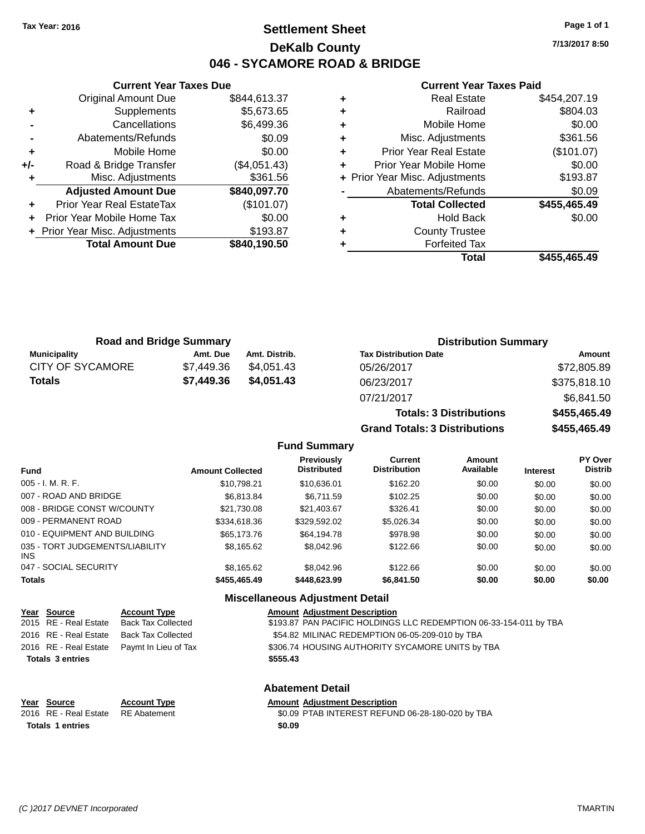### **Settlement Sheet Tax Year: 2016 Page 1 of 1 DeKalb County 046 - SYCAMORE ROAD & BRIDGE**

**7/13/2017 8:50**

## **Current Year Taxes Paid**

| Curr                   |   | <b>Current Year Taxes Due</b> |                                  |       |  |
|------------------------|---|-------------------------------|----------------------------------|-------|--|
| Re                     |   | \$844,613.37                  | <b>Original Amount Due</b>       |       |  |
|                        | ٠ | \$5,673.65                    | Supplements                      | ٠     |  |
| Mob                    | ٠ | \$6,499.36                    | Cancellations                    |       |  |
| Misc. Adj              | ٠ | \$0.09                        | Abatements/Refunds               |       |  |
| Prior Year Re          |   | \$0.00                        | Mobile Home                      |       |  |
| <b>Prior Year Mob</b>  |   | (\$4,051.43)                  | Road & Bridge Transfer           | $+/-$ |  |
| + Prior Year Misc. Adj |   | \$361.56                      | Misc. Adjustments                |       |  |
| Abatements             |   | \$840,097.70                  | <b>Adjusted Amount Due</b>       |       |  |
| <b>Total C</b>         |   | (\$101.07)                    | <b>Prior Year Real EstateTax</b> |       |  |
| ۲                      | ÷ | \$0.00                        | Prior Year Mobile Home Tax       | ÷     |  |
| Count                  | ٠ | \$193.87                      | + Prior Year Misc. Adjustments   |       |  |
| Forf                   |   | \$840,190.50                  | <b>Total Amount Due</b>          |       |  |
|                        |   |                               |                                  |       |  |

|   | Total                          | \$455,465.49 |
|---|--------------------------------|--------------|
|   | <b>Forfeited Tax</b>           |              |
|   | <b>County Trustee</b>          |              |
| ÷ | Hold Back                      | \$0.00       |
|   | <b>Total Collected</b>         | \$455,465.49 |
|   | Abatements/Refunds             | \$0.09       |
|   | + Prior Year Misc. Adjustments | \$193.87     |
| ÷ | Prior Year Mobile Home         | \$0.00       |
| ÷ | <b>Prior Year Real Estate</b>  | (\$101.07)   |
| ٠ | Misc. Adjustments              | \$361.56     |
| ÷ | Mobile Home                    | \$0.00       |
| ÷ | Railroad                       | \$804.03     |
| ÷ | <b>Real Estate</b>             | \$454,207.19 |

**Totals: 3 Distributions \$455,465.49**

**Grand Totals: 3 Distributions \$455,465.49**

| <b>Road and Bridge Summary</b> |            |               | <b>Distribution Summary</b>  |              |  |
|--------------------------------|------------|---------------|------------------------------|--------------|--|
| Municipality                   | Amt. Due   | Amt. Distrib. | <b>Tax Distribution Date</b> | Amount       |  |
| CITY OF SYCAMORE               | \$7.449.36 | \$4.051.43    | 05/26/2017                   | \$72,805.89  |  |
| <b>Totals</b>                  | \$7,449.36 | \$4,051.43    | 06/23/2017                   | \$375,818.10 |  |
|                                |            |               | 07/21/2017                   | \$6,841.50   |  |

|                                               |                         | <b>Fund Summary</b>              |                                       |                     |                 |                                  |
|-----------------------------------------------|-------------------------|----------------------------------|---------------------------------------|---------------------|-----------------|----------------------------------|
| <b>Fund</b>                                   | <b>Amount Collected</b> | Previously<br><b>Distributed</b> | <b>Current</b><br><b>Distribution</b> | Amount<br>Available | <b>Interest</b> | <b>PY Over</b><br><b>Distrib</b> |
| $005 - I. M. R. F.$                           | \$10.798.21             | \$10.636.01                      | \$162.20                              | \$0.00              | \$0.00          | \$0.00                           |
| 007 - ROAD AND BRIDGE                         | \$6.813.84              | \$6.711.59                       | \$102.25                              | \$0.00              | \$0.00          | \$0.00                           |
| 008 - BRIDGE CONST W/COUNTY                   | \$21.730.08             | \$21.403.67                      | \$326.41                              | \$0.00              | \$0.00          | \$0.00                           |
| 009 - PERMANENT ROAD                          | \$334,618,36            | \$329.592.02                     | \$5,026.34                            | \$0.00              | \$0.00          | \$0.00                           |
| 010 - EQUIPMENT AND BUILDING                  | \$65,173.76             | \$64.194.78                      | \$978.98                              | \$0.00              | \$0.00          | \$0.00                           |
| 035 - TORT JUDGEMENTS/LIABILITY<br><b>INS</b> | \$8,165.62              | \$8.042.96                       | \$122.66                              | \$0.00              | \$0.00          | \$0.00                           |
| 047 - SOCIAL SECURITY                         | \$8,165.62              | \$8.042.96                       | \$122.66                              | \$0.00              | \$0.00          | \$0.00                           |
| <b>Totals</b>                                 | \$455,465,49            | \$448,623,99                     | \$6,841.50                            | \$0.00              | \$0.00          | \$0.00                           |

#### **Miscellaneous Adjustment Detail**

|                         | Year Source           | <b>Account Type</b>                        | <b>Amount Adjustment Description</b>                              |
|-------------------------|-----------------------|--------------------------------------------|-------------------------------------------------------------------|
|                         | 2015 RE - Real Estate | Back Tax Collected                         | \$193.87 PAN PACIFIC HOLDINGS LLC REDEMPTION 06-33-154-011 by TBA |
|                         | 2016 RE - Real Estate | <b>Back Tax Collected</b>                  | \$54.82 MILINAC REDEMPTION 06-05-209-010 by TBA                   |
|                         |                       | 2016 RE - Real Estate Paymt In Lieu of Tax | \$306.74 HOUSING AUTHORITY SYCAMORE UNITS by TBA                  |
| <b>Totals 3 entries</b> |                       |                                            | \$555.43                                                          |
|                         |                       |                                            |                                                                   |
|                         |                       |                                            |                                                                   |

**Year Source Account Type Amount Adjustment Description**

**Abatement Detail**

\$0.09 PTAB INTEREST REFUND 06-28-180-020 by TBA **Totals 1 entries** \$0.09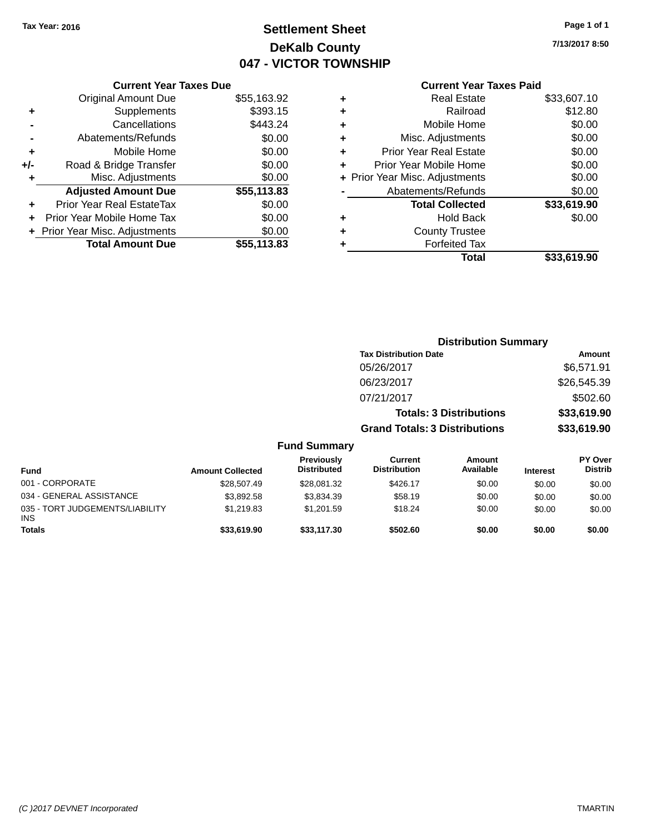### **Settlement Sheet Tax Year: 2016 Page 1 of 1 DeKalb County 047 - VICTOR TOWNSHIP**

**7/13/2017 8:50**

### **Current Year Taxes Paid**

|       | <b>Current Year Taxes Due</b>             |             |  |  |  |
|-------|-------------------------------------------|-------------|--|--|--|
|       | <b>Original Amount Due</b><br>\$55,163.92 |             |  |  |  |
| ٠     | \$393.15<br>Supplements                   |             |  |  |  |
|       | \$443.24<br>Cancellations                 |             |  |  |  |
|       | Abatements/Refunds                        | \$0.00      |  |  |  |
| ٠     | Mobile Home                               | \$0.00      |  |  |  |
| $+/-$ | Road & Bridge Transfer                    | \$0.00      |  |  |  |
| ٠     | Misc. Adjustments                         | \$0.00      |  |  |  |
|       | <b>Adjusted Amount Due</b>                | \$55,113.83 |  |  |  |
| ٠     | Prior Year Real EstateTax                 | \$0.00      |  |  |  |
|       | Prior Year Mobile Home Tax                | \$0.00      |  |  |  |
|       | + Prior Year Misc. Adjustments            | \$0.00      |  |  |  |
|       | <b>Total Amount Due</b>                   | \$55,113,83 |  |  |  |
|       |                                           |             |  |  |  |

|   | Total                          | \$33,619.90 |
|---|--------------------------------|-------------|
| ٠ | <b>Forfeited Tax</b>           |             |
| ٠ | <b>County Trustee</b>          |             |
| ٠ | Hold Back                      | \$0.00      |
|   | <b>Total Collected</b>         | \$33,619.90 |
|   | Abatements/Refunds             | \$0.00      |
|   | + Prior Year Misc. Adjustments | \$0.00      |
| ٠ | Prior Year Mobile Home         | \$0.00      |
| ÷ | <b>Prior Year Real Estate</b>  | \$0.00      |
| ٠ | Misc. Adjustments              | \$0.00      |
| ٠ | Mobile Home                    | \$0.00      |
| ٠ | Railroad                       | \$12.80     |
| ٠ | <b>Real Estate</b>             | \$33,607.10 |
|   |                                |             |

|                                        |                         |                                  | <b>Distribution Summary</b>           |                                |                 |                                  |
|----------------------------------------|-------------------------|----------------------------------|---------------------------------------|--------------------------------|-----------------|----------------------------------|
|                                        |                         |                                  | <b>Tax Distribution Date</b>          |                                |                 | Amount                           |
|                                        |                         |                                  | 05/26/2017                            |                                |                 | \$6,571.91                       |
|                                        |                         |                                  | 06/23/2017                            |                                |                 | \$26,545.39                      |
|                                        |                         |                                  | 07/21/2017                            |                                |                 | \$502.60                         |
|                                        |                         |                                  |                                       | <b>Totals: 3 Distributions</b> |                 | \$33,619.90                      |
|                                        |                         |                                  | <b>Grand Totals: 3 Distributions</b>  |                                |                 | \$33,619.90                      |
|                                        |                         | <b>Fund Summary</b>              |                                       |                                |                 |                                  |
| <b>Fund</b>                            | <b>Amount Collected</b> | Previously<br><b>Distributed</b> | <b>Current</b><br><b>Distribution</b> | <b>Amount</b><br>Available     | <b>Interest</b> | <b>PY Over</b><br><b>Distrib</b> |
| 001 - CORPORATE                        | \$28,507.49             | \$28,081.32                      | \$426.17                              | \$0.00                         | \$0.00          | \$0.00                           |
| 034 - GENERAL ASSISTANCE               | \$3,892.58              | \$3,834.39                       | \$58.19                               | \$0.00                         | \$0.00          | \$0.00                           |
| 035 - TORT JUDGEMENTS/LIABILITY<br>INS | \$1,219.83              | \$1,201.59                       | \$18.24                               | \$0.00                         | \$0.00          | \$0.00                           |

**Totals \$33,619.90 \$33,117.30 \$502.60 \$0.00 \$0.00 \$0.00**

**INS**<br>Totals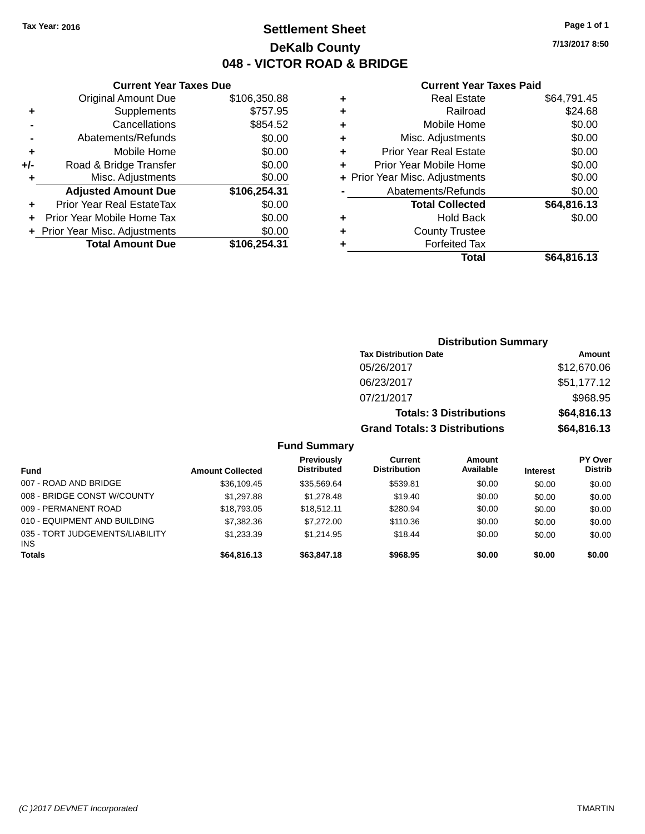### **Settlement Sheet Tax Year: 2016 Page 1 of 1 DeKalb County 048 - VICTOR ROAD & BRIDGE**

**7/13/2017 8:50**

#### **Current Year Taxes Paid**

|       | <b>Current Year Taxes Due</b>  |              |  |  |  |
|-------|--------------------------------|--------------|--|--|--|
|       | <b>Original Amount Due</b>     | \$106,350.88 |  |  |  |
| ٠     | \$757.95<br>Supplements        |              |  |  |  |
|       | \$854.52<br>Cancellations      |              |  |  |  |
|       | Abatements/Refunds             | \$0.00       |  |  |  |
| ٠     | Mobile Home                    | \$0.00       |  |  |  |
| $+/-$ | Road & Bridge Transfer         | \$0.00       |  |  |  |
| ٠     | Misc. Adjustments              | \$0.00       |  |  |  |
|       | <b>Adjusted Amount Due</b>     | \$106,254.31 |  |  |  |
| ٠     | Prior Year Real EstateTax      | \$0.00       |  |  |  |
|       | Prior Year Mobile Home Tax     | \$0.00       |  |  |  |
|       | + Prior Year Misc. Adjustments | \$0.00       |  |  |  |
|       | <b>Total Amount Due</b>        | \$106.254.31 |  |  |  |
|       |                                |              |  |  |  |

|   | <b>Real Estate</b>             | \$64,791.45 |
|---|--------------------------------|-------------|
| ٠ | Railroad                       | \$24.68     |
| ٠ | Mobile Home                    | \$0.00      |
| ٠ | Misc. Adjustments              | \$0.00      |
| ٠ | <b>Prior Year Real Estate</b>  | \$0.00      |
|   | Prior Year Mobile Home         | \$0.00      |
|   | + Prior Year Misc. Adjustments | \$0.00      |
|   | Abatements/Refunds             | \$0.00      |
|   | <b>Total Collected</b>         | \$64,816.13 |
| ٠ | <b>Hold Back</b>               | \$0.00      |
| ٠ | <b>County Trustee</b>          |             |
| ٠ | <b>Forfeited Tax</b>           |             |
|   | <b>Total</b>                   | \$64,816.13 |
|   |                                |             |

|                     |                                      | <b>Distribution Summary</b>    |                |  |
|---------------------|--------------------------------------|--------------------------------|----------------|--|
|                     | <b>Tax Distribution Date</b>         |                                | Amount         |  |
|                     | 05/26/2017                           |                                |                |  |
|                     | 06/23/2017                           |                                | \$51,177.12    |  |
|                     | 07/21/2017                           |                                | \$968.95       |  |
|                     |                                      | <b>Totals: 3 Distributions</b> | \$64,816.13    |  |
|                     | <b>Grand Totals: 3 Distributions</b> |                                | \$64,816.13    |  |
| <b>Fund Summary</b> |                                      |                                |                |  |
| <b>Previously</b>   | Current                              | Amount                         | <b>PY Over</b> |  |

| Fund                                          | <b>Amount Collected</b> | <b>Previously</b><br><b>Distributed</b> | Current<br><b>Distribution</b> | Amount<br>Available | <b>Interest</b> | <b>PY Over</b><br><b>Distrib</b> |
|-----------------------------------------------|-------------------------|-----------------------------------------|--------------------------------|---------------------|-----------------|----------------------------------|
| 007 - ROAD AND BRIDGE                         | \$36,109.45             | \$35.569.64                             | \$539.81                       | \$0.00              | \$0.00          | \$0.00                           |
| 008 - BRIDGE CONST W/COUNTY                   | \$1,297.88              | \$1,278.48                              | \$19.40                        | \$0.00              | \$0.00          | \$0.00                           |
| 009 - PERMANENT ROAD                          | \$18,793,05             | \$18.512.11                             | \$280.94                       | \$0.00              | \$0.00          | \$0.00                           |
| 010 - EQUIPMENT AND BUILDING                  | \$7,382,36              | \$7,272,00                              | \$110.36                       | \$0.00              | \$0.00          | \$0.00                           |
| 035 - TORT JUDGEMENTS/LIABILITY<br><b>INS</b> | \$1.233.39              | \$1.214.95                              | \$18.44                        | \$0.00              | \$0.00          | \$0.00                           |
| <b>Totals</b>                                 | \$64,816,13             | \$63,847.18                             | \$968.95                       | \$0.00              | \$0.00          | \$0.00                           |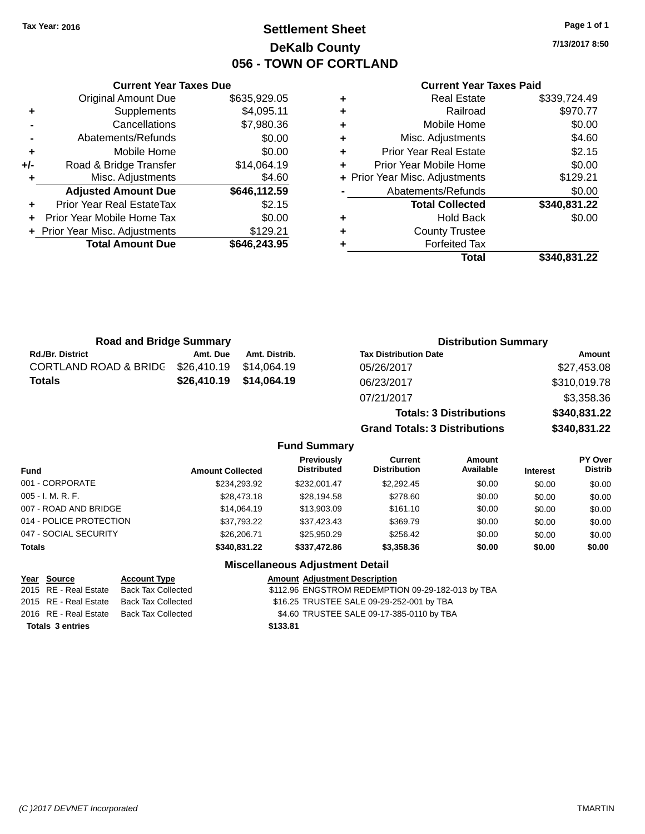### **Settlement Sheet Tax Year: 2016 Page 1 of 1 DeKalb County 056 - TOWN OF CORTLAND**

**7/13/2017 8:50**

#### **Current Year Taxes Paid**

|     | <b>Original Amount Due</b>     | \$635,929.05 |
|-----|--------------------------------|--------------|
| ٠   | Supplements                    | \$4,095.11   |
|     | Cancellations                  | \$7,980.36   |
|     | Abatements/Refunds             | \$0.00       |
| ÷   | Mobile Home                    | \$0.00       |
| +/- | Road & Bridge Transfer         | \$14,064.19  |
| ٠   | Misc. Adjustments              | \$4.60       |
|     | <b>Adjusted Amount Due</b>     | \$646,112.59 |
|     |                                |              |
| ÷   | Prior Year Real EstateTax      | \$2.15       |
| ÷   | Prior Year Mobile Home Tax     | \$0.00       |
|     | + Prior Year Misc. Adjustments | \$129.21     |
|     | <b>Total Amount Due</b>        | \$646,243.95 |

**Current Year Taxes Due**

|   | <b>Real Estate</b>             | \$339,724.49 |
|---|--------------------------------|--------------|
| ٠ | Railroad                       | \$970.77     |
| ٠ | Mobile Home                    | \$0.00       |
| ٠ | Misc. Adjustments              | \$4.60       |
| ٠ | <b>Prior Year Real Estate</b>  | \$2.15       |
| ٠ | Prior Year Mobile Home         | \$0.00       |
|   | + Prior Year Misc. Adjustments | \$129.21     |
|   | Abatements/Refunds             | \$0.00       |
|   | <b>Total Collected</b>         | \$340,831.22 |
| ٠ | <b>Hold Back</b>               | \$0.00       |
| ٠ | <b>County Trustee</b>          |              |
| ٠ | <b>Forfeited Tax</b>           |              |
|   | Total                          | \$340,831.22 |
|   |                                |              |

**Grand Totals: 3 Distributions \$340,831.22**

| <b>Road and Bridge Summary</b> |             |                         | <b>Distribution Summary</b>    |              |  |
|--------------------------------|-------------|-------------------------|--------------------------------|--------------|--|
| <b>Rd./Br. District</b>        | Amt. Due    | Amt. Distrib.           | <b>Tax Distribution Date</b>   | Amount       |  |
| CORTLAND ROAD & BRIDG          | \$26,410.19 | \$14.064.19             | 05/26/2017                     | \$27,453.08  |  |
| Totals                         |             | \$26,410.19 \$14,064.19 | 06/23/2017                     | \$310,019.78 |  |
|                                |             |                         | 07/21/2017                     | \$3,358.36   |  |
|                                |             |                         | <b>Totals: 3 Distributions</b> | \$340,831.22 |  |

**Fund Summary Fund Interest Amount Collected Distributed PY Over Distrib Amount Available Current Distribution Previously** 001 - CORPORATE \$234,293.92 \$232,001.47 \$2,292.45 \$0.00 \$0.00 \$0.00 005 - I. M. R. F. \$28,473.18 \$28,194.58 \$278.60 \$0.00 \$0.00 \$0.00 007 - ROAD AND BRIDGE 60.00 \$14,064.19 \$13,903.09 \$161.10 \$0.00 \$0.00 \$0.00 \$0.00 014 - POLICE PROTECTION \$37,793.22 \$37,423.43 \$369.79 \$0.00 \$0.00 \$0.00 \$0.00 047 - SOCIAL SECURITY \$26,206.71 \$25,950.29 \$256.42 \$0.00 \$0.00 \$0.00 **Totals \$340,831.22 \$337,472.86 \$3,358.36 \$0.00 \$0.00 \$0.00 Miscellaneous Adjustment Detail**

| Year Source             | <b>Account Type</b>       | <b>Amount Adjustment Description</b>              |
|-------------------------|---------------------------|---------------------------------------------------|
| 2015 RE - Real Estate   | <b>Back Tax Collected</b> | \$112.96 ENGSTROM REDEMPTION 09-29-182-013 by TBA |
| 2015 RE - Real Estate   | Back Tax Collected        | \$16.25 TRUSTEE SALE 09-29-252-001 by TBA         |
| 2016 RE - Real Estate   | Back Tax Collected        | \$4.60 TRUSTEE SALE 09-17-385-0110 by TBA         |
| <b>Totals 3 entries</b> |                           | \$133.81                                          |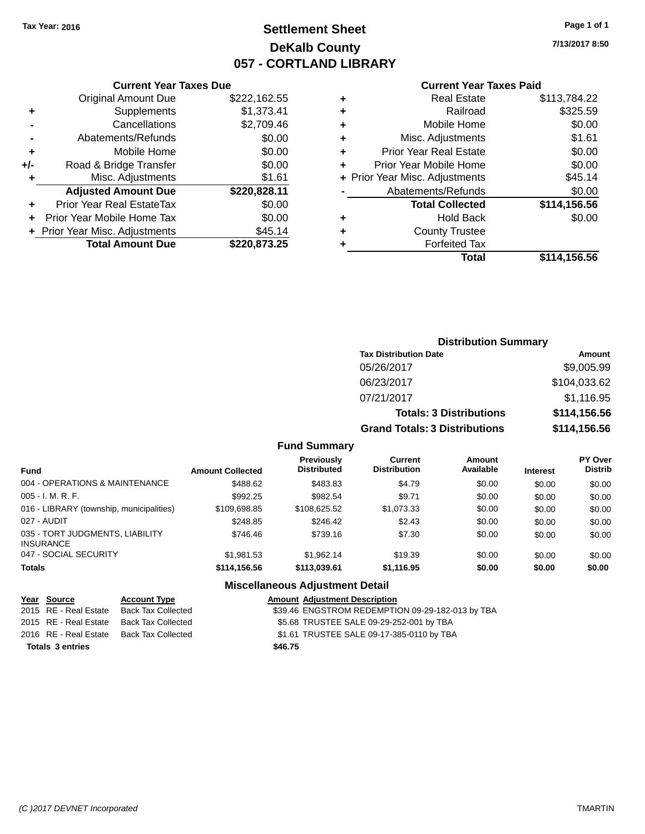### **Settlement Sheet Tax Year: 2016 Page 1 of 1 DeKalb County 057 - CORTLAND LIBRARY**

**7/13/2017 8:50**

#### **Current Year Taxes Paid**

|       | <b>Current Year Taxes Due</b>  |              |
|-------|--------------------------------|--------------|
|       | <b>Original Amount Due</b>     | \$222,162.55 |
| ٠     | Supplements                    | \$1,373.41   |
|       | Cancellations                  | \$2,709.46   |
|       | Abatements/Refunds             | \$0.00       |
| ٠     | Mobile Home                    | \$0.00       |
| $+/-$ | Road & Bridge Transfer         | \$0.00       |
|       | Misc. Adjustments              | \$1.61       |
|       | <b>Adjusted Amount Due</b>     | \$220,828.11 |
| ٠     | Prior Year Real EstateTax      | \$0.00       |
|       | Prior Year Mobile Home Tax     | \$0.00       |
|       | + Prior Year Misc. Adjustments | \$45.14      |
|       | <b>Total Amount Due</b>        | \$220,873.25 |
|       |                                |              |

| ٠ | <b>Real Estate</b>             | \$113,784.22 |
|---|--------------------------------|--------------|
| ٠ | Railroad                       | \$325.59     |
| ٠ | Mobile Home                    | \$0.00       |
| ٠ | Misc. Adjustments              | \$1.61       |
| ٠ | <b>Prior Year Real Estate</b>  | \$0.00       |
|   | Prior Year Mobile Home         | \$0.00       |
|   | + Prior Year Misc. Adjustments | \$45.14      |
|   | Abatements/Refunds             | \$0.00       |
|   | <b>Total Collected</b>         | \$114,156.56 |
| ٠ | <b>Hold Back</b>               | \$0.00       |
|   | <b>County Trustee</b>          |              |
| ٠ | <b>Forfeited Tax</b>           |              |
|   | Total                          | \$114,156.56 |
|   |                                |              |

### **Distribution Summary Tax Distribution Date Amount** 05/26/2017 \$9,005.99 06/23/2017 \$104,033.62 07/21/2017 \$1,116.95 **Totals: 3 Distributions \$114,156.56 Grand Totals: 3 Distributions \$114,156.56**

#### **Fund Summary**

| <b>Fund</b>                                         | <b>Amount Collected</b> | <b>Previously</b><br><b>Distributed</b> | Current<br><b>Distribution</b> | Amount<br>Available | <b>Interest</b> | <b>PY Over</b><br><b>Distrib</b> |
|-----------------------------------------------------|-------------------------|-----------------------------------------|--------------------------------|---------------------|-----------------|----------------------------------|
| 004 - OPERATIONS & MAINTENANCE                      | \$488.62                | \$483.83                                | \$4.79                         | \$0.00              | \$0.00          | \$0.00                           |
| $005 - I. M. R. F.$                                 | \$992.25                | \$982.54                                | \$9.71                         | \$0.00              | \$0.00          | \$0.00                           |
| 016 - LIBRARY (township, municipalities)            | \$109,698.85            | \$108.625.52                            | \$1,073.33                     | \$0.00              | \$0.00          | \$0.00                           |
| 027 - AUDIT                                         | \$248.85                | \$246.42                                | \$2.43                         | \$0.00              | \$0.00          | \$0.00                           |
| 035 - TORT JUDGMENTS, LIABILITY<br><b>INSURANCE</b> | \$746.46                | \$739.16                                | \$7.30                         | \$0.00              | \$0.00          | \$0.00                           |
| 047 - SOCIAL SECURITY                               | \$1,981.53              | \$1.962.14                              | \$19.39                        | \$0.00              | \$0.00          | \$0.00                           |
| <b>Totals</b>                                       | \$114,156.56            | \$113,039.61                            | \$1,116.95                     | \$0.00              | \$0.00          | \$0.00                           |

#### **Miscellaneous Adjustment Detail**

#### **Year** Source **Account Type A**ccount Adjustment Description

|  | 2015 RE - Real Estate Back Tax Collected | \$39.46 ENGSTROM REDEMPTION 09-29-182-013 by TBA |
|--|------------------------------------------|--------------------------------------------------|

- 2015 RE Real Estate Back Tax Collected \$5.68 TRUSTEE SALE 09-29-252-001 by TBA
- 2016 RE Real Estate Back Tax Collected \$1.61 TRUSTEE SALE 09-17-385-0110 by TBA
- **Totals \$46.75 3 entries**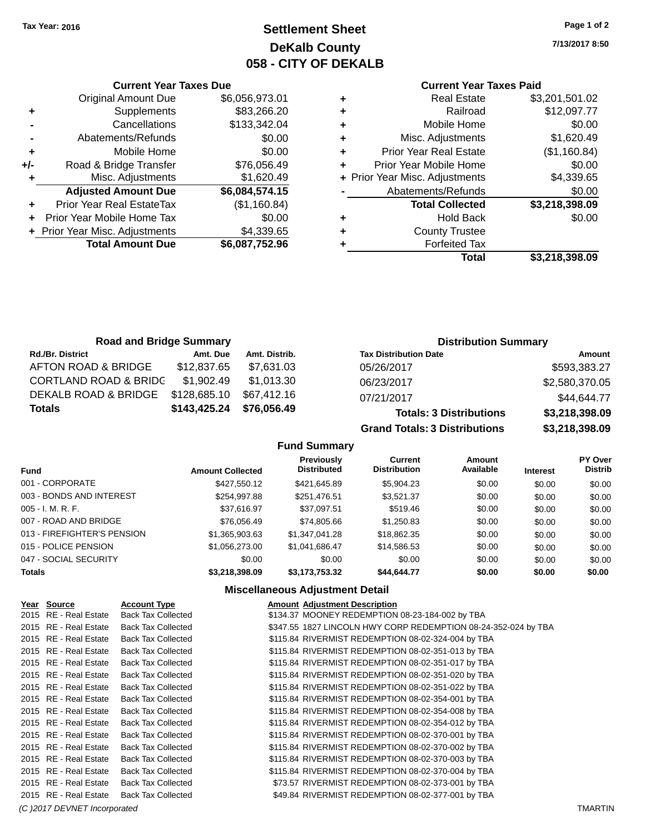**Original Amount Due** 

**Adjusted Amount Due** 

**Total Amount Due** 

**+** Supplements **-** Cancellations **-** Abatements/Refunds  $+$  Mobile Home **+/-** Road & Bridge Transfer **+** Misc. Adjustments

**+** Prior Year Real EstateTax **+** Prior Year Mobile Home Tax **+ Prior Year Misc. Adjustments** 

### **Settlement Sheet Tax Year: 2016 Page 1 of 2 DeKalb County 058 - CITY OF DEKALB**

**7/13/2017 8:50**

#### **Current Year Taxes Paid**

| <b>Current Year Taxes Due</b> |                |   | <b>Current Year Taxes Paid</b> |                |  |
|-------------------------------|----------------|---|--------------------------------|----------------|--|
| ่<br>เl Amount Due            | \$6,056,973.01 | ٠ | <b>Real Estate</b>             | \$3,201,501.02 |  |
| Supplements                   | \$83,266.20    | ٠ | Railroad                       | \$12,097.77    |  |
| Cancellations                 | \$133,342.04   | ٠ | Mobile Home                    | \$0.00         |  |
| าents/Refunds                 | \$0.00         | ٠ | Misc. Adjustments              | \$1,620.49     |  |
| Mobile Home                   | \$0.00         | ÷ | <b>Prior Year Real Estate</b>  | (\$1,160.84)   |  |
| ridge Transfer                | \$76,056.49    | ÷ | Prior Year Mobile Home         | \$0.00         |  |
| :. Adjustments                | \$1,620.49     |   | + Prior Year Misc. Adjustments | \$4,339.65     |  |
| <b>Amount Due</b>             | \$6,084,574.15 |   | Abatements/Refunds             | \$0.00         |  |
| leal EstateTax≀               | (\$1,160.84)   |   | <b>Total Collected</b>         | \$3,218,398.09 |  |
| bile Home Tax                 | \$0.00         | ٠ | <b>Hold Back</b>               | \$0.00         |  |
| . Adjustments                 | \$4,339.65     | ÷ | <b>County Trustee</b>          |                |  |
| <b>Amount Due</b>             | \$6,087,752.96 |   | <b>Forfeited Tax</b>           |                |  |
|                               |                |   | Total                          | \$3,218,398,09 |  |

| sc. Adjustments        | \$4,339.65     |
|------------------------|----------------|
| ements/Refunds         | \$0.00         |
| <b>Total Collected</b> | \$3,218,398.09 |
| <b>Hold Back</b>       | \$0.00         |
| <b>County Trustee</b>  |                |
| <b>Forfeited Tax</b>   |                |

**Total \$3,218,398.09**

| <b>Road and Bridge Summary</b> |              |               | <b>Distribution Summary</b>          |                |  |
|--------------------------------|--------------|---------------|--------------------------------------|----------------|--|
| <b>Rd./Br. District</b>        | Amt. Due     | Amt. Distrib. | <b>Tax Distribution Date</b>         | Amount         |  |
| AFTON ROAD & BRIDGE            | \$12,837.65  | \$7,631.03    | 05/26/2017                           | \$593,383.27   |  |
| CORTLAND ROAD & BRIDC          | \$1,902.49   | \$1,013.30    | 06/23/2017                           | \$2,580,370.05 |  |
| DEKALB ROAD & BRIDGE           | \$128,685.10 | \$67.412.16   | 07/21/2017                           | \$44,644.77    |  |
| Totals                         | \$143,425.24 | \$76,056.49   | <b>Totals: 3 Distributions</b>       | \$3,218,398.09 |  |
|                                |              |               | <b>Grand Totals: 3 Distributions</b> | \$3,218,398.09 |  |

**Fund Summary**

| <b>Fund</b>                 | <b>Amount Collected</b> | Previously<br><b>Distributed</b> | <b>Current</b><br><b>Distribution</b> | Amount<br>Available | <b>Interest</b> | <b>PY Over</b><br><b>Distrib</b> |
|-----------------------------|-------------------------|----------------------------------|---------------------------------------|---------------------|-----------------|----------------------------------|
| 001 - CORPORATE             | \$427,550.12            | \$421,645.89                     | \$5,904.23                            | \$0.00              | \$0.00          | \$0.00                           |
| 003 - BONDS AND INTEREST    | \$254,997.88            | \$251,476.51                     | \$3,521.37                            | \$0.00              | \$0.00          | \$0.00                           |
| $005 - I. M. R. F.$         | \$37,616.97             | \$37,097.51                      | \$519.46                              | \$0.00              | \$0.00          | \$0.00                           |
| 007 - ROAD AND BRIDGE       | \$76,056.49             | \$74,805.66                      | \$1,250.83                            | \$0.00              | \$0.00          | \$0.00                           |
| 013 - FIREFIGHTER'S PENSION | \$1,365,903.63          | \$1,347,041.28                   | \$18,862.35                           | \$0.00              | \$0.00          | \$0.00                           |
| 015 - POLICE PENSION        | \$1,056,273.00          | \$1.041.686.47                   | \$14.586.53                           | \$0.00              | \$0.00          | \$0.00                           |
| 047 - SOCIAL SECURITY       | \$0.00                  | \$0.00                           | \$0.00                                | \$0.00              | \$0.00          | \$0.00                           |
| <b>Totals</b>               | \$3,218,398.09          | \$3,173,753.32                   | \$44.644.77                           | \$0.00              | \$0.00          | \$0.00                           |

#### **Miscellaneous Adjustment Detail**

| Year Source                  | <b>Account Type</b>       | <b>Amount Adjustment Description</b>                           |         |
|------------------------------|---------------------------|----------------------------------------------------------------|---------|
| 2015 RE - Real Estate        | <b>Back Tax Collected</b> | \$134.37 MOONEY REDEMPTION 08-23-184-002 by TBA                |         |
| 2015 RE - Real Estate        | <b>Back Tax Collected</b> | \$347.55 1827 LINCOLN HWY CORP REDEMPTION 08-24-352-024 by TBA |         |
| 2015 RE - Real Estate        | <b>Back Tax Collected</b> | \$115.84 RIVERMIST REDEMPTION 08-02-324-004 by TBA             |         |
| 2015 RE - Real Estate        | <b>Back Tax Collected</b> | \$115.84 RIVERMIST REDEMPTION 08-02-351-013 by TBA             |         |
| 2015 RE - Real Estate        | <b>Back Tax Collected</b> | \$115.84 RIVERMIST REDEMPTION 08-02-351-017 by TBA             |         |
| 2015 RE - Real Estate        | <b>Back Tax Collected</b> | \$115.84 RIVERMIST REDEMPTION 08-02-351-020 by TBA             |         |
| 2015 RE - Real Estate        | <b>Back Tax Collected</b> | \$115.84 RIVERMIST REDEMPTION 08-02-351-022 by TBA             |         |
| 2015 RE - Real Estate        | <b>Back Tax Collected</b> | \$115.84 RIVERMIST REDEMPTION 08-02-354-001 by TBA             |         |
| 2015 RE - Real Estate        | <b>Back Tax Collected</b> | \$115.84 RIVERMIST REDEMPTION 08-02-354-008 by TBA             |         |
| 2015 RE - Real Estate        | <b>Back Tax Collected</b> | \$115.84 RIVERMIST REDEMPTION 08-02-354-012 by TBA             |         |
| 2015 RE - Real Estate        | <b>Back Tax Collected</b> | \$115.84 RIVERMIST REDEMPTION 08-02-370-001 by TBA             |         |
| 2015 RE - Real Estate        | <b>Back Tax Collected</b> | \$115.84 RIVERMIST REDEMPTION 08-02-370-002 by TBA             |         |
| 2015 RE - Real Estate        | <b>Back Tax Collected</b> | \$115.84 RIVERMIST REDEMPTION 08-02-370-003 by TBA             |         |
| 2015 RE - Real Estate        | <b>Back Tax Collected</b> | \$115.84 RIVERMIST REDEMPTION 08-02-370-004 by TBA             |         |
| 2015 RE - Real Estate        | <b>Back Tax Collected</b> | \$73.57 RIVERMIST REDEMPTION 08-02-373-001 by TBA              |         |
| 2015 RE - Real Estate        | <b>Back Tax Collected</b> | \$49.84 RIVERMIST REDEMPTION 08-02-377-001 by TBA              |         |
| (C) 2017 DEVNET Incorporated |                           |                                                                | TMARTIN |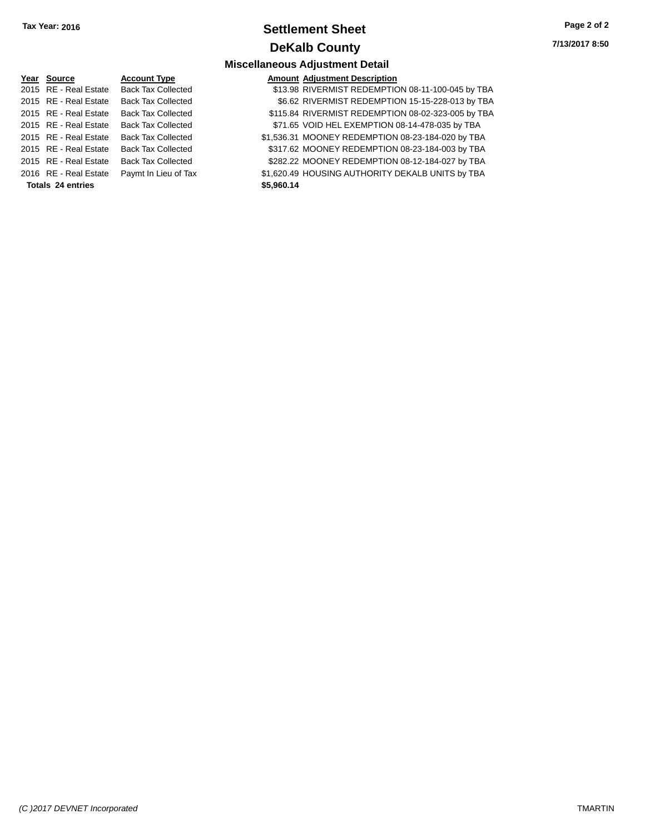### **Settlement Sheet Tax Year: 2016 Page 2 of 2 DeKalb County**

**Miscellaneous Adjustment Detail**

**7/13/2017 8:50**

### **Year Source Account Type** 2015 RE - Real Estate Back Tax Collected 2015 RE - Real Estate Back Tax Collected 2015 RE - Real Estate Back Tax Collected 2015 RE - Real Estate Back Tax Collected 2015 RE - Real Estate Back Tax Collected 2016 RE - Real Estate Paymt In Lieu of Tax **Totals \$5,960.14 24 entries**

| Year Source              | <b>Account Type</b>       | <b>Amount Adjustment Description</b>               |
|--------------------------|---------------------------|----------------------------------------------------|
| 2015 RE - Real Estate    | <b>Back Tax Collected</b> | \$13.98 RIVERMIST REDEMPTION 08-11-100-045 by TBA  |
| 2015 RE - Real Estate    | <b>Back Tax Collected</b> | \$6.62 RIVERMIST REDEMPTION 15-15-228-013 by TBA   |
| 2015 RE - Real Estate    | <b>Back Tax Collected</b> | \$115.84 RIVERMIST REDEMPTION 08-02-323-005 by TBA |
| 2015 RE - Real Estate    | <b>Back Tax Collected</b> | \$71.65 VOID HEL EXEMPTION 08-14-478-035 by TBA    |
| 2015 RE - Real Estate    | <b>Back Tax Collected</b> | \$1,536.31 MOONEY REDEMPTION 08-23-184-020 by TBA  |
| 2015 RE - Real Estate    | <b>Back Tax Collected</b> | \$317.62 MOONEY REDEMPTION 08-23-184-003 by TBA    |
| 2015 RE - Real Estate    | <b>Back Tax Collected</b> | \$282.22 MOONEY REDEMPTION 08-12-184-027 by TBA    |
| 2016 RE - Real Estate    | Paymt In Lieu of Tax      | \$1,620.49 HOUSING AUTHORITY DEKALB UNITS by TBA   |
| <b>Totals 24 entries</b> |                           | \$5,960.14                                         |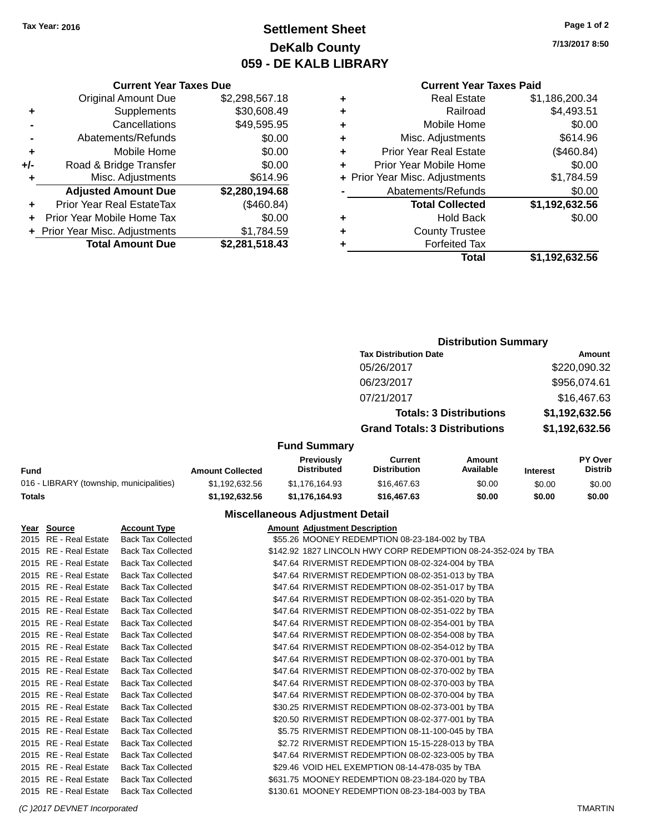### **Settlement Sheet Tax Year: 2016 Page 1 of 2 DeKalb County 059 - DE KALB LIBRARY**

**7/13/2017 8:50**

|     | <b>Current Year Taxes Due</b>  |                |
|-----|--------------------------------|----------------|
|     | <b>Original Amount Due</b>     | \$2,298,567.18 |
| ٠   | Supplements                    | \$30,608.49    |
|     | Cancellations                  | \$49,595.95    |
|     | Abatements/Refunds             | \$0.00         |
| ٠   | Mobile Home                    | \$0.00         |
| +/- | Road & Bridge Transfer         | \$0.00         |
| ٠   | Misc. Adjustments              | \$614.96       |
|     | <b>Adjusted Amount Due</b>     | \$2,280,194.68 |
| ÷   | Prior Year Real EstateTax      | (\$460.84)     |
| ÷   | Prior Year Mobile Home Tax     | \$0.00         |
|     | + Prior Year Misc. Adjustments | \$1,784.59     |
|     | <b>Total Amount Due</b>        | \$2,281,518.43 |
|     |                                |                |

### **Current Year Taxes Paid +** Real Estate \$1,186,200.34 **+** Railroad \$4,493.51 **+** Mobile Home \$0.00

| ٠ | Misc. Adjustments              | \$614.96       |
|---|--------------------------------|----------------|
| ÷ | <b>Prior Year Real Estate</b>  | (\$460.84)     |
|   | Prior Year Mobile Home         | \$0.00         |
|   | + Prior Year Misc. Adjustments | \$1,784.59     |
|   | Abatements/Refunds             | \$0.00         |
|   | <b>Total Collected</b>         | \$1,192,632.56 |
|   | <b>Hold Back</b>               | \$0.00         |
|   | <b>County Trustee</b>          |                |
|   | <b>Forfeited Tax</b>           |                |
|   | Total                          | \$1,192,632.56 |
|   |                                |                |

### **Distribution Summary Tax Distribution Date Amount** 05/26/2017 \$220,090.32 06/23/2017 \$956,074.61 07/21/2017 \$16,467.63 **Totals: 3 Distributions \$1,192,632.56 Grand Totals: 3 Distributions \$1,192,632.56**

#### **Fund Summary**

| Fund                                     | <b>Amount Collected</b> | <b>Previously</b><br><b>Distributed</b> | Current<br><b>Distribution</b> | Amount<br>Available | <b>Interest</b> | <b>PY Over</b><br><b>Distrib</b> |
|------------------------------------------|-------------------------|-----------------------------------------|--------------------------------|---------------------|-----------------|----------------------------------|
| 016 - LIBRARY (township, municipalities) | \$1.192.632.56          | \$1,176,164,93                          | \$16,467.63                    | \$0.00              | \$0.00          | \$0.00                           |
| Totals                                   | \$1.192.632.56          | \$1.176.164.93                          | \$16,467.63                    | \$0.00              | \$0.00          | \$0.00                           |

#### **Miscellaneous Adjustment Detail**

#### **Year Source Account Type Amount Adjustment Description**

| 2015 RE - Real Estate | <b>Back Tax Collected</b> | \$55.26 MOONEY REDEMPTION 08-23-184-002 by TBA                 |
|-----------------------|---------------------------|----------------------------------------------------------------|
| 2015 RE - Real Estate | <b>Back Tax Collected</b> | \$142.92 1827 LINCOLN HWY CORP REDEMPTION 08-24-352-024 by TBA |
| 2015 RE - Real Estate | <b>Back Tax Collected</b> | \$47.64 RIVERMIST REDEMPTION 08-02-324-004 by TBA              |
| 2015 RE - Real Estate | <b>Back Tax Collected</b> | \$47.64 RIVERMIST REDEMPTION 08-02-351-013 by TBA              |
| 2015 RE - Real Estate | <b>Back Tax Collected</b> | \$47.64 RIVERMIST REDEMPTION 08-02-351-017 by TBA              |
| 2015 RE - Real Estate | <b>Back Tax Collected</b> | \$47.64 RIVERMIST REDEMPTION 08-02-351-020 by TBA              |
| 2015 RE - Real Estate | <b>Back Tax Collected</b> | \$47.64 RIVERMIST REDEMPTION 08-02-351-022 by TBA              |
| 2015 RE - Real Estate | <b>Back Tax Collected</b> | \$47.64 RIVERMIST REDEMPTION 08-02-354-001 by TBA              |
| 2015 RE - Real Estate | <b>Back Tax Collected</b> | \$47.64 RIVERMIST REDEMPTION 08-02-354-008 by TBA              |
| 2015 RE - Real Estate | <b>Back Tax Collected</b> | \$47.64 RIVERMIST REDEMPTION 08-02-354-012 by TBA              |
| 2015 RE - Real Estate | <b>Back Tax Collected</b> | \$47.64 RIVERMIST REDEMPTION 08-02-370-001 by TBA              |
| 2015 RE - Real Estate | <b>Back Tax Collected</b> | \$47.64 RIVERMIST REDEMPTION 08-02-370-002 by TBA              |
| 2015 RE - Real Estate | <b>Back Tax Collected</b> | \$47.64 RIVERMIST REDEMPTION 08-02-370-003 by TBA              |
| 2015 RE - Real Estate | <b>Back Tax Collected</b> | \$47.64 RIVERMIST REDEMPTION 08-02-370-004 by TBA              |
| 2015 RE - Real Estate | <b>Back Tax Collected</b> | \$30.25 RIVERMIST REDEMPTION 08-02-373-001 by TBA              |
| 2015 RE - Real Estate | <b>Back Tax Collected</b> | \$20.50 RIVERMIST REDEMPTION 08-02-377-001 by TBA              |
| 2015 RE - Real Estate | <b>Back Tax Collected</b> | \$5.75 RIVERMIST REDEMPTION 08-11-100-045 by TBA               |
| 2015 RE - Real Estate | <b>Back Tax Collected</b> | \$2.72 RIVERMIST REDEMPTION 15-15-228-013 by TBA               |
| 2015 RE - Real Estate | <b>Back Tax Collected</b> | \$47.64 RIVERMIST REDEMPTION 08-02-323-005 by TBA              |
| 2015 RE - Real Estate | <b>Back Tax Collected</b> | \$29.46 VOID HEL EXEMPTION 08-14-478-035 by TBA                |
| 2015 RE - Real Estate | <b>Back Tax Collected</b> | \$631.75 MOONEY REDEMPTION 08-23-184-020 by TBA                |
| 2015 RE - Real Estate | <b>Back Tax Collected</b> | \$130.61 MOONEY REDEMPTION 08-23-184-003 by TBA                |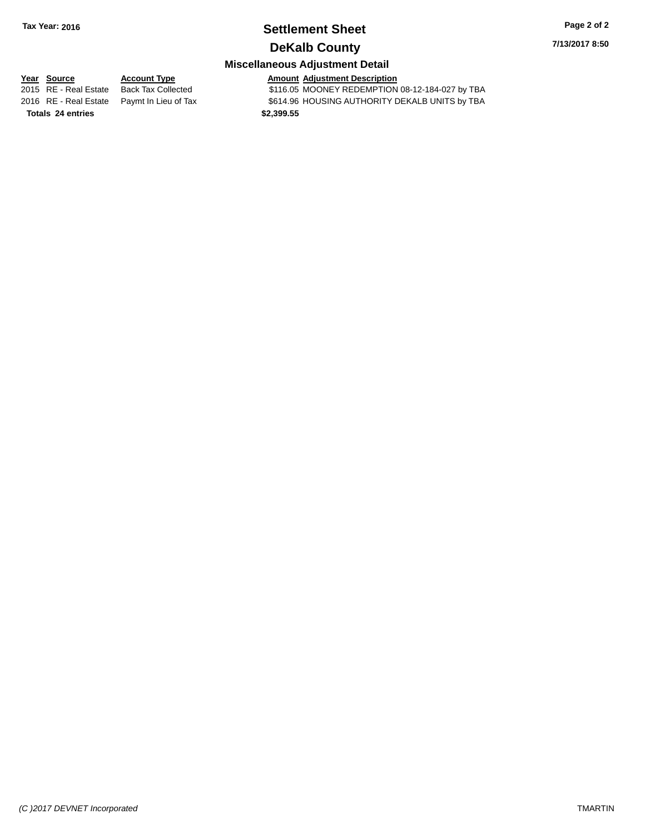### **Settlement Sheet Tax Year: 2016 Page 2 of 2 DeKalb County**

**7/13/2017 8:50**

## **Miscellaneous Adjustment Detail**

**Year Source Account Type Amount Adjustment Description** \$116.05 MOONEY REDEMPTION 08-12-184-027 by TBA 2016 RE - Real Estate Paymt In Lieu of Tax S614.96 HOUSING AUTHORITY DEKALB UNITS by TBA **Totals \$2,399.55 24 entries**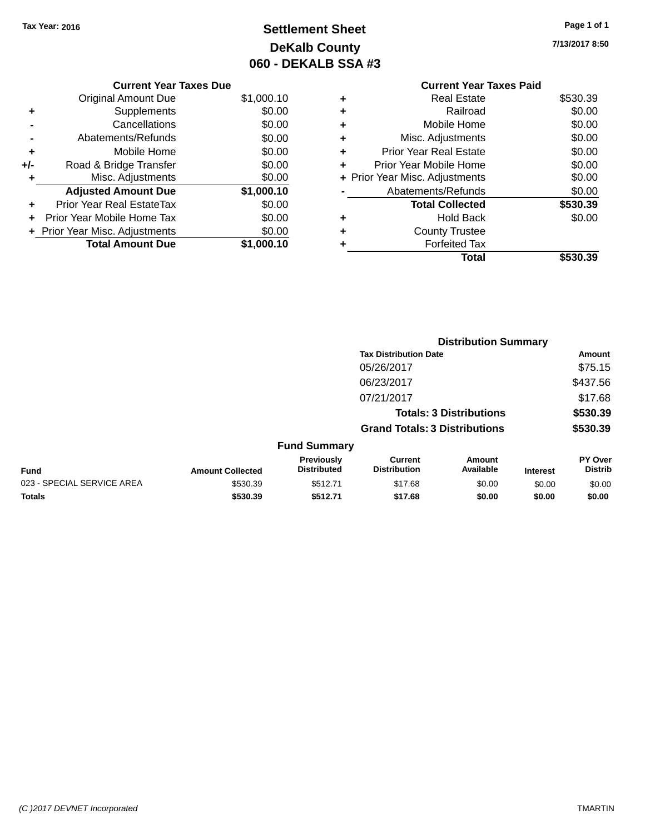### **Settlement Sheet Tax Year: 2016 Page 1 of 1 DeKalb County 060 - DEKALB SSA #3**

**7/13/2017 8:50**

| <b>Current Year Taxes Due</b> |                                |            |  |  |  |
|-------------------------------|--------------------------------|------------|--|--|--|
|                               | <b>Original Amount Due</b>     | \$1,000.10 |  |  |  |
| ٠                             | Supplements                    | \$0.00     |  |  |  |
|                               | Cancellations<br>\$0.00        |            |  |  |  |
|                               | Abatements/Refunds             | \$0.00     |  |  |  |
| ٠                             | Mobile Home                    | \$0.00     |  |  |  |
| +/-                           | Road & Bridge Transfer         | \$0.00     |  |  |  |
| ٠                             | Misc. Adjustments              | \$0.00     |  |  |  |
|                               | <b>Adjusted Amount Due</b>     | \$1,000.10 |  |  |  |
| ٠                             | Prior Year Real EstateTax      | \$0.00     |  |  |  |
|                               | Prior Year Mobile Home Tax     | \$0.00     |  |  |  |
|                               | + Prior Year Misc. Adjustments | \$0.00     |  |  |  |
|                               | <b>Total Amount Due</b>        | \$1.000.10 |  |  |  |

|   | <b>Current Year Taxes Paid</b> |          |
|---|--------------------------------|----------|
|   | <b>Real Estate</b>             | \$530.39 |
| ٠ | Railroad                       | \$0.00   |
| ٠ | Mobile Home                    | \$0.00   |
|   | Misc. Adjustments              | \$0.00   |
| ٠ | <b>Prior Year Real Estate</b>  | \$0.00   |
| ٠ | Prior Year Mobile Home         | \$0.00   |
|   | + Prior Year Misc. Adjustments | \$0.00   |
|   | Abatements/Refunds             | \$0.00   |
|   | <b>Total Collected</b>         | \$530.39 |
|   | <b>Hold Back</b>               | \$0.00   |
|   | <b>County Trustee</b>          |          |
|   | <b>Forfeited Tax</b>           |          |
|   | Total                          | \$530.39 |
|   |                                |          |

|                            |                         |                                  | <b>Distribution Summary</b>           |                                |                 |                           |
|----------------------------|-------------------------|----------------------------------|---------------------------------------|--------------------------------|-----------------|---------------------------|
|                            |                         |                                  | <b>Tax Distribution Date</b>          |                                |                 | Amount                    |
|                            |                         |                                  | 05/26/2017                            |                                |                 | \$75.15                   |
|                            |                         |                                  | 06/23/2017                            |                                |                 | \$437.56                  |
|                            |                         |                                  | 07/21/2017                            |                                |                 | \$17.68                   |
|                            |                         |                                  |                                       | <b>Totals: 3 Distributions</b> |                 | \$530.39                  |
|                            |                         |                                  | <b>Grand Totals: 3 Distributions</b>  |                                |                 | \$530.39                  |
|                            |                         | <b>Fund Summary</b>              |                                       |                                |                 |                           |
| <b>Fund</b>                | <b>Amount Collected</b> | Previously<br><b>Distributed</b> | <b>Current</b><br><b>Distribution</b> | Amount<br>Available            | <b>Interest</b> | PY Over<br><b>Distrib</b> |
| 023 - SPECIAL SERVICE AREA | \$530.39                | \$512.71                         | \$17.68                               | \$0.00                         | \$0.00          | \$0.00                    |
| <b>Totals</b>              | \$530.39                | \$512.71                         | \$17.68                               | \$0.00                         | \$0.00          | \$0.00                    |
|                            |                         |                                  |                                       |                                |                 |                           |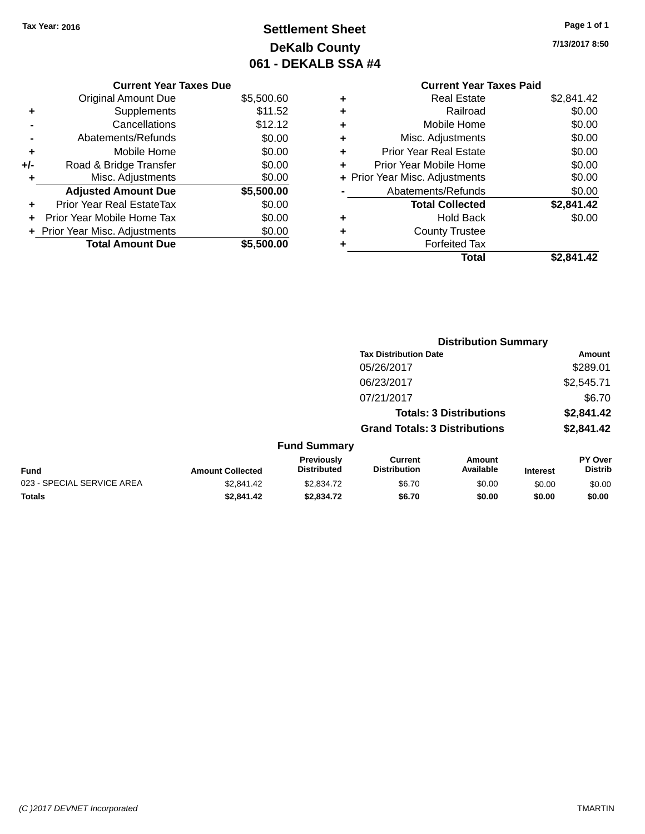### **Settlement Sheet Tax Year: 2016 Page 1 of 1 DeKalb County 061 - DEKALB SSA #4**

**7/13/2017 8:50**

| <b>Current Year Taxes Paid</b> |            |
|--------------------------------|------------|
| <b>Real Estate</b>             | \$2,841.42 |
| Railroad                       | \$0.00     |
| Mobile Home                    | \$0.00     |
| Misc. Adjustments              | \$0.00     |
| <b>Prior Year Real Estate</b>  | \$0.00     |
| Prior Year Mobile Home         | \$0.00     |
| + Prior Year Misc. Adjustments | \$0.00     |
| Abatements/Refunds             | \$0.00     |
| <b>Total Collected</b>         | \$2,841.42 |
| <b>Hold Back</b>               | \$0.00     |
| <b>County Trustee</b>          |            |
| <b>Forfeited Tax</b>           |            |
| Total                          | \$2.841.42 |
|                                |            |

|     | <b>Current Year Taxes Due</b>    |            |
|-----|----------------------------------|------------|
|     | <b>Original Amount Due</b>       | \$5,500.60 |
| ٠   | Supplements                      | \$11.52    |
|     | Cancellations                    | \$12.12    |
|     | Abatements/Refunds               | \$0.00     |
| ٠   | Mobile Home                      | \$0.00     |
| +/- | Road & Bridge Transfer           | \$0.00     |
| ٠   | Misc. Adjustments                | \$0.00     |
|     | <b>Adjusted Amount Due</b>       | \$5,500.00 |
|     | <b>Prior Year Real EstateTax</b> | \$0.00     |
|     | Prior Year Mobile Home Tax       | \$0.00     |
|     | + Prior Year Misc. Adjustments   | \$0.00     |
|     | <b>Total Amount Due</b>          | \$5,500,00 |
|     |                                  |            |

|                            |                         |                                  | <b>Distribution Summary</b>           |                                |                 |                           |
|----------------------------|-------------------------|----------------------------------|---------------------------------------|--------------------------------|-----------------|---------------------------|
|                            |                         |                                  | <b>Tax Distribution Date</b>          |                                |                 | <b>Amount</b>             |
|                            |                         |                                  | 05/26/2017                            |                                |                 | \$289.01                  |
|                            |                         |                                  | 06/23/2017                            |                                |                 | \$2,545.71                |
|                            |                         |                                  | 07/21/2017                            |                                |                 | \$6.70                    |
|                            |                         |                                  |                                       | <b>Totals: 3 Distributions</b> |                 | \$2,841.42                |
|                            |                         |                                  | <b>Grand Totals: 3 Distributions</b>  |                                |                 | \$2,841.42                |
|                            |                         | <b>Fund Summary</b>              |                                       |                                |                 |                           |
| <b>Fund</b>                | <b>Amount Collected</b> | Previously<br><b>Distributed</b> | <b>Current</b><br><b>Distribution</b> | Amount<br>Available            | <b>Interest</b> | PY Over<br><b>Distrib</b> |
| 023 - SPECIAL SERVICE AREA | \$2,841.42              | \$2,834.72                       | \$6.70                                | \$0.00                         | \$0.00          | \$0.00                    |
| <b>Totals</b>              | \$2,841.42              | \$2,834.72                       | \$6.70                                | \$0.00                         | \$0.00          | \$0.00                    |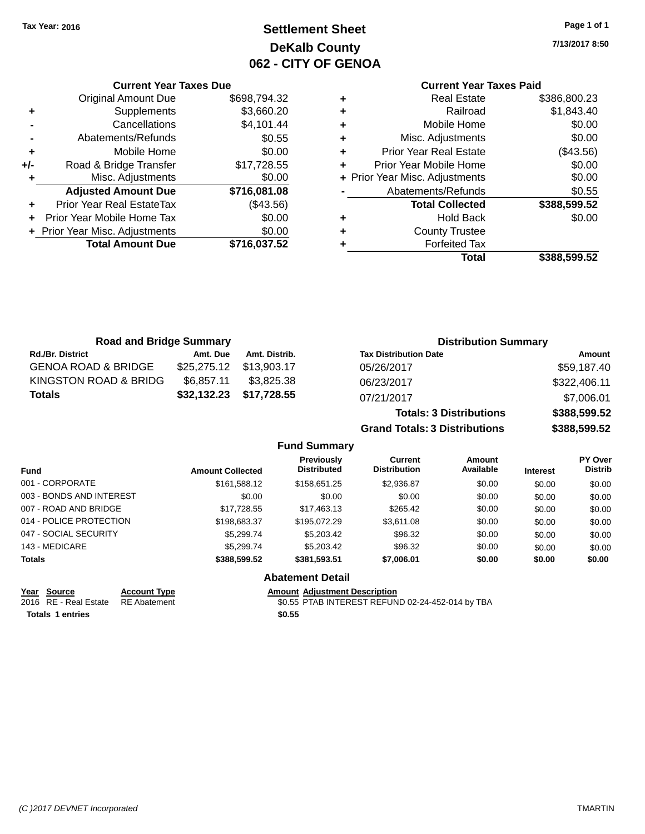### **Settlement Sheet Tax Year: 2016 Page 1 of 1 DeKalb County 062 - CITY OF GENOA**

**7/13/2017 8:50**

### **Current Year Taxes Paid**

|     | <b>Original Amount Due</b>     | \$698,794.32 |
|-----|--------------------------------|--------------|
| ٠   | Supplements                    | \$3,660.20   |
|     | Cancellations                  | \$4,101.44   |
|     | Abatements/Refunds             | \$0.55       |
| ٠   | Mobile Home                    | \$0.00       |
| +/- | Road & Bridge Transfer         | \$17,728.55  |
|     | Misc. Adjustments              | \$0.00       |
|     | <b>Adjusted Amount Due</b>     | \$716,081.08 |
| ÷   | Prior Year Real EstateTax      | (\$43.56)    |
|     | Prior Year Mobile Home Tax     | \$0.00       |
|     | + Prior Year Misc. Adjustments | \$0.00       |
|     | <b>Total Amount Due</b>        | \$716,037.52 |
|     |                                |              |

**Current Year Taxes Due**

| ٠ | <b>Real Estate</b>             | \$386,800.23 |
|---|--------------------------------|--------------|
| ٠ | Railroad                       | \$1,843.40   |
| ٠ | Mobile Home                    | \$0.00       |
| ٠ | Misc. Adjustments              | \$0.00       |
| ٠ | <b>Prior Year Real Estate</b>  | (\$43.56)    |
| ٠ | Prior Year Mobile Home         | \$0.00       |
|   | + Prior Year Misc. Adjustments | \$0.00       |
|   | Abatements/Refunds             | \$0.55       |
|   | <b>Total Collected</b>         | \$388,599.52 |
| ٠ | <b>Hold Back</b>               | \$0.00       |
| ٠ | <b>County Trustee</b>          |              |
| ٠ | <b>Forfeited Tax</b>           |              |
|   | Total                          | \$388,599.52 |
|   |                                |              |

**Grand Totals: 3 Distributions \$388,599.52**

| <b>Road and Bridge Summary</b> |            |                         | <b>Distribution Summary</b>    |              |  |
|--------------------------------|------------|-------------------------|--------------------------------|--------------|--|
| <b>Rd./Br. District</b>        | Amt. Due   | Amt. Distrib.           | <b>Tax Distribution Date</b>   | Amount       |  |
| <b>GENOA ROAD &amp; BRIDGE</b> |            | \$25,275.12 \$13,903.17 | 05/26/2017                     | \$59,187.40  |  |
| KINGSTON ROAD & BRIDG          | \$6.857.11 | \$3.825.38              | 06/23/2017                     | \$322,406.11 |  |
| Totals                         |            | \$32,132.23 \$17,728.55 | 07/21/2017                     | \$7,006.01   |  |
|                                |            |                         | <b>Totals: 3 Distributions</b> | \$388,599.52 |  |

**Fund Summary Fund Interest Amount Collected Distributed PY Over Distrib Amount Available Current Distribution Previously** 001 - CORPORATE \$161,588.12 \$158,651.25 \$2,936.87 \$0.00 \$0.00 \$0.00 003 - BONDS AND INTEREST  $$0.00$   $$0.00$   $$0.00$   $$0.00$   $$0.00$   $$0.00$   $$0.00$   $$0.00$ 007 - ROAD AND BRIDGE 60.00 \$17,728.55 \$17,728.55 \$17,463.13 \$265.42 \$0.00 \$0.00 \$0.00 014 - POLICE PROTECTION \$198,683.37 \$195,072.29 \$3,611.08 \$0.00 \$0.00 \$0.00 \$0.00 047 - SOCIAL SECURITY \$5,299.74 \$5,203.42 \$0.00 \$0.00 \$0.00 \$0.00 143 - MEDICARE \$5,299.74 \$5,203.42 \$96.32 \$0.00 \$0.00 \$0.00 **Totals \$388,599.52 \$381,593.51 \$7,006.01 \$0.00 \$0.00 \$0.00 Abatement Detail Year Source Account Type Amount Adjustment Description**

**Totals \$0.55 1 entries**

2016 RE - Real Estate RE Abatement \$0.55 PTAB INTEREST REFUND 02-24-452-014 by TBA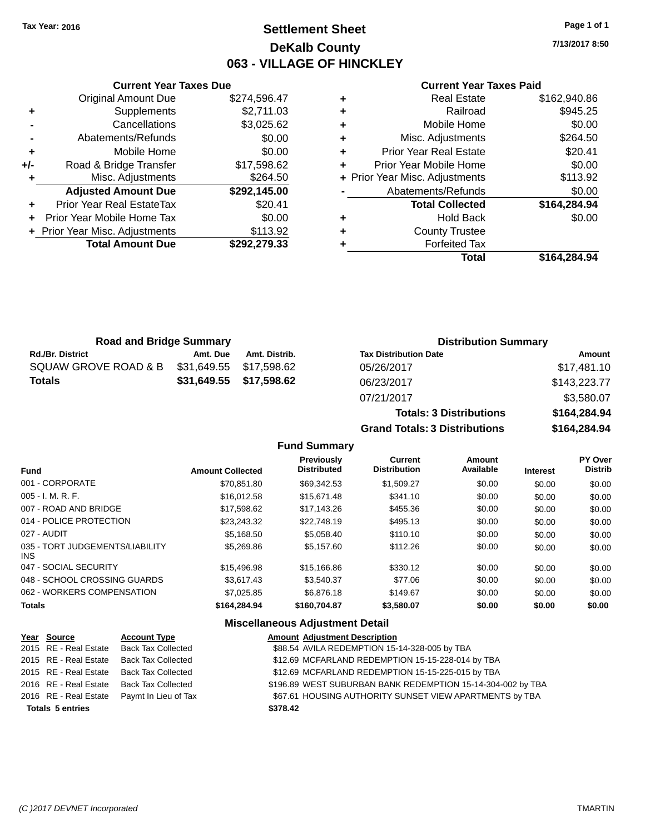### **Settlement Sheet Tax Year: 2016 Page 1 of 1 DeKalb County 063 - VILLAGE OF HINCKLEY**

**7/13/2017 8:50**

#### **Current Year Taxes Paid**

|       | <b>Current Year Taxes Due</b>  |              |  |  |  |  |  |
|-------|--------------------------------|--------------|--|--|--|--|--|
|       | <b>Original Amount Due</b>     | \$274,596.47 |  |  |  |  |  |
| ٠     | Supplements                    | \$2,711.03   |  |  |  |  |  |
|       | Cancellations                  | \$3,025.62   |  |  |  |  |  |
|       | Abatements/Refunds             | \$0.00       |  |  |  |  |  |
| ٠     | Mobile Home                    | \$0.00       |  |  |  |  |  |
| $+/-$ | Road & Bridge Transfer         | \$17,598.62  |  |  |  |  |  |
|       | Misc. Adjustments              | \$264.50     |  |  |  |  |  |
|       | <b>Adjusted Amount Due</b>     | \$292,145.00 |  |  |  |  |  |
| ٠     | Prior Year Real EstateTax      | \$20.41      |  |  |  |  |  |
|       | Prior Year Mobile Home Tax     | \$0.00       |  |  |  |  |  |
|       | + Prior Year Misc. Adjustments | \$113.92     |  |  |  |  |  |
|       | <b>Total Amount Due</b>        | \$292,279.33 |  |  |  |  |  |
|       |                                |              |  |  |  |  |  |

| ٠ | <b>Real Estate</b>             | \$162,940.86 |
|---|--------------------------------|--------------|
| ٠ | Railroad                       | \$945.25     |
| ٠ | Mobile Home                    | \$0.00       |
| ٠ | Misc. Adjustments              | \$264.50     |
| ٠ | <b>Prior Year Real Estate</b>  | \$20.41      |
| ٠ | Prior Year Mobile Home         | \$0.00       |
|   | + Prior Year Misc. Adjustments | \$113.92     |
|   | Abatements/Refunds             | \$0.00       |
|   | <b>Total Collected</b>         | \$164,284.94 |
| ٠ | <b>Hold Back</b>               | \$0.00       |
| ٠ | <b>County Trustee</b>          |              |
| ٠ | <b>Forfeited Tax</b>           |              |
|   | Total                          | \$164,284.94 |
|   |                                |              |

**Totals: 3 Distributions \$164,284.94**

**Grand Totals: 3 Distributions \$164,284.94**

| <b>Road and Bridge Summary</b> |                         |                         | <b>Distribution Summary</b>  |              |  |
|--------------------------------|-------------------------|-------------------------|------------------------------|--------------|--|
| <b>Rd./Br. District</b>        | Amt. Due                | Amt. Distrib.           | <b>Tax Distribution Date</b> | Amount       |  |
| SQUAW GROVE ROAD & B           | \$31,649.55 \$17,598.62 |                         | 05/26/2017                   | \$17,481.10  |  |
| Totals                         |                         | \$31,649.55 \$17,598.62 | 06/23/2017                   | \$143,223.77 |  |
|                                |                         |                         | 07/21/2017                   | \$3,580.07   |  |

**Fund Summary**

| <b>Fund</b>                             | <b>Amount Collected</b> | <b>Previously</b><br><b>Distributed</b> | Current<br><b>Distribution</b> | Amount<br>Available | <b>Interest</b> | <b>PY Over</b><br><b>Distrib</b> |
|-----------------------------------------|-------------------------|-----------------------------------------|--------------------------------|---------------------|-----------------|----------------------------------|
| 001 - CORPORATE                         | \$70.851.80             | \$69,342.53                             | \$1,509.27                     | \$0.00              | \$0.00          | \$0.00                           |
| $005 - I. M. R. F.$                     | \$16.012.58             | \$15,671.48                             | \$341.10                       | \$0.00              | \$0.00          | \$0.00                           |
| 007 - ROAD AND BRIDGE                   | \$17.598.62             | \$17,143.26                             | \$455.36                       | \$0.00              | \$0.00          | \$0.00                           |
| 014 - POLICE PROTECTION                 | \$23,243.32             | \$22,748.19                             | \$495.13                       | \$0.00              | \$0.00          | \$0.00                           |
| 027 - AUDIT                             | \$5.168.50              | \$5,058.40                              | \$110.10                       | \$0.00              | \$0.00          | \$0.00                           |
| 035 - TORT JUDGEMENTS/LIABILITY<br>INS. | \$5,269.86              | \$5,157.60                              | \$112.26                       | \$0.00              | \$0.00          | \$0.00                           |
| 047 - SOCIAL SECURITY                   | \$15,496.98             | \$15,166.86                             | \$330.12                       | \$0.00              | \$0.00          | \$0.00                           |
| 048 - SCHOOL CROSSING GUARDS            | \$3.617.43              | \$3.540.37                              | \$77.06                        | \$0.00              | \$0.00          | \$0.00                           |
| 062 - WORKERS COMPENSATION              | \$7,025.85              | \$6,876.18                              | \$149.67                       | \$0.00              | \$0.00          | \$0.00                           |
| <b>Totals</b>                           | \$164,284,94            | \$160,704.87                            | \$3,580.07                     | \$0.00              | \$0.00          | \$0.00                           |

#### **Miscellaneous Adjustment Detail**

| Year Source             | <b>Account Type</b>                        | <b>Amount Adjustment Description</b>                        |
|-------------------------|--------------------------------------------|-------------------------------------------------------------|
| 2015 RE - Real Estate   | <b>Back Tax Collected</b>                  | \$88.54 AVILA REDEMPTION 15-14-328-005 by TBA               |
| 2015 RE - Real Estate   | <b>Back Tax Collected</b>                  | \$12.69 MCFARLAND REDEMPTION 15-15-228-014 by TBA           |
| 2015 RE - Real Estate   | Back Tax Collected                         | \$12.69 MCFARLAND REDEMPTION 15-15-225-015 by TBA           |
| 2016 RE - Real Estate   | <b>Back Tax Collected</b>                  | \$196.89 WEST SUBURBAN BANK REDEMPTION 15-14-304-002 by TBA |
|                         | 2016 RE - Real Estate Paymt In Lieu of Tax | \$67.61 HOUSING AUTHORITY SUNSET VIEW APARTMENTS by TBA     |
| <b>Totals 5 entries</b> |                                            | \$378.42                                                    |
|                         |                                            |                                                             |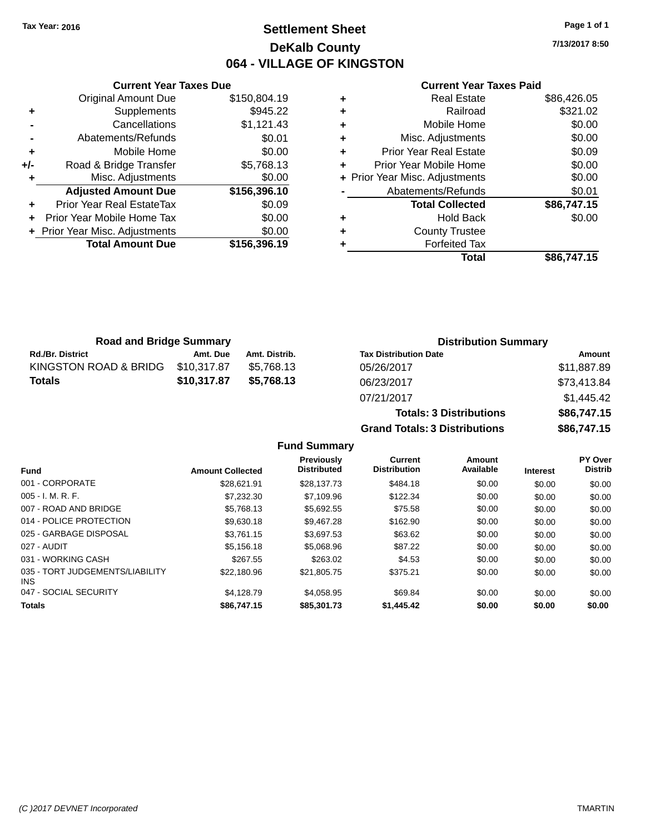### **Settlement Sheet Tax Year: 2016 Page 1 of 1 DeKalb County 064 - VILLAGE OF KINGSTON**

**7/13/2017 8:50**

|     | <b>Current Year Taxes Due</b>  |              |
|-----|--------------------------------|--------------|
|     | <b>Original Amount Due</b>     | \$150,804.19 |
| ٠   | Supplements                    | \$945.22     |
|     | Cancellations                  | \$1,121.43   |
|     | Abatements/Refunds             | \$0.01       |
| ٠   | Mobile Home                    | \$0.00       |
| +/- | Road & Bridge Transfer         | \$5,768.13   |
|     | Misc. Adjustments              | \$0.00       |
|     | <b>Adjusted Amount Due</b>     | \$156,396.10 |
|     | Prior Year Real EstateTax      | \$0.09       |
|     | Prior Year Mobile Home Tax     | \$0.00       |
|     | + Prior Year Misc. Adjustments | \$0.00       |
|     | <b>Total Amount Due</b>        | \$156,396.19 |
|     |                                |              |

#### **Current Year Taxes Paid**

|   | Total                          | \$86,747.15 |
|---|--------------------------------|-------------|
| ٠ | <b>Forfeited Tax</b>           |             |
| ٠ | <b>County Trustee</b>          |             |
| ٠ | <b>Hold Back</b>               | \$0.00      |
|   | <b>Total Collected</b>         | \$86,747.15 |
|   | Abatements/Refunds             | \$0.01      |
|   | + Prior Year Misc. Adjustments | \$0.00      |
| ٠ | Prior Year Mobile Home         | \$0.00      |
| ٠ | <b>Prior Year Real Estate</b>  | \$0.09      |
| ٠ | Misc. Adjustments              | \$0.00      |
| ٠ | Mobile Home                    | \$0.00      |
| ٠ | Railroad                       | \$321.02    |
|   | <b>Real Estate</b>             | \$86,426.05 |

| <b>Road and Bridge Summary</b> |             |               | <b>Distribution Summary</b>  |             |  |
|--------------------------------|-------------|---------------|------------------------------|-------------|--|
| <b>Rd./Br. District</b>        | Amt. Due    | Amt. Distrib. | <b>Tax Distribution Date</b> | Amount      |  |
| KINGSTON ROAD & BRIDG          | \$10,317.87 | \$5.768.13    | 05/26/2017                   | \$11,887.89 |  |
| Totals                         | \$10,317.87 | \$5.768.13    | 06/23/2017                   | \$73,413.84 |  |
|                                |             |               | 07/21/2017                   | 4111512     |  |

| UU/∠U/∠U I <i>I</i>                  | VU, T10.0T  |
|--------------------------------------|-------------|
| 07/21/2017                           | \$1,445.42  |
| <b>Totals: 3 Distributions</b>       | \$86,747.15 |
| <b>Grand Totals: 3 Distributions</b> | \$86,747.15 |
|                                      |             |

#### **Fund Summary**

|                                               |                         | Previously         | Current             | <b>Amount</b> |                 | <b>PY Over</b> |
|-----------------------------------------------|-------------------------|--------------------|---------------------|---------------|-----------------|----------------|
| <b>Fund</b>                                   | <b>Amount Collected</b> | <b>Distributed</b> | <b>Distribution</b> | Available     | <b>Interest</b> | <b>Distrib</b> |
| 001 - CORPORATE                               | \$28.621.91             | \$28,137.73        | \$484.18            | \$0.00        | \$0.00          | \$0.00         |
| $005 - I. M. R. F.$                           | \$7,232.30              | \$7,109.96         | \$122.34            | \$0.00        | \$0.00          | \$0.00         |
| 007 - ROAD AND BRIDGE                         | \$5,768.13              | \$5,692.55         | \$75.58             | \$0.00        | \$0.00          | \$0.00         |
| 014 - POLICE PROTECTION                       | \$9,630.18              | \$9,467.28         | \$162.90            | \$0.00        | \$0.00          | \$0.00         |
| 025 - GARBAGE DISPOSAL                        | \$3.761.15              | \$3,697.53         | \$63.62             | \$0.00        | \$0.00          | \$0.00         |
| 027 - AUDIT                                   | \$5,156.18              | \$5,068.96         | \$87.22             | \$0.00        | \$0.00          | \$0.00         |
| 031 - WORKING CASH                            | \$267.55                | \$263.02           | \$4.53              | \$0.00        | \$0.00          | \$0.00         |
| 035 - TORT JUDGEMENTS/LIABILITY<br><b>INS</b> | \$22.180.96             | \$21,805.75        | \$375.21            | \$0.00        | \$0.00          | \$0.00         |
| 047 - SOCIAL SECURITY                         | \$4.128.79              | \$4.058.95         | \$69.84             | \$0.00        | \$0.00          | \$0.00         |
| <b>Totals</b>                                 | \$86,747.15             | \$85,301.73        | \$1,445.42          | \$0.00        | \$0.00          | \$0.00         |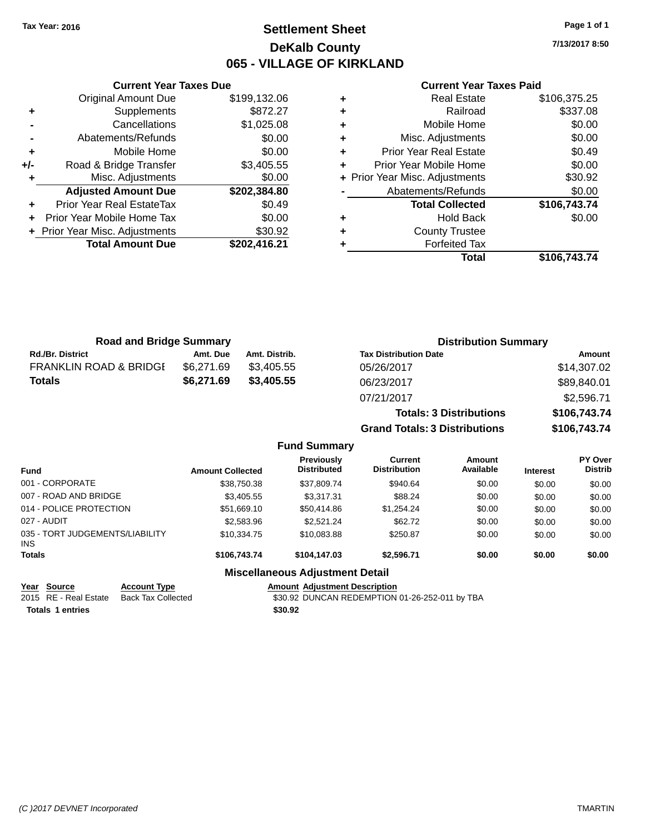### **Settlement Sheet Tax Year: 2016 Page 1 of 1 DeKalb County 065 - VILLAGE OF KIRKLAND**

**7/13/2017 8:50**

#### **Current Year Taxes Paid**

|     | <b>Original Amount Due</b>     | \$199,132.06 |
|-----|--------------------------------|--------------|
| ٠   | Supplements                    | \$872.27     |
|     | Cancellations                  | \$1,025.08   |
|     | Abatements/Refunds             | \$0.00       |
| ٠   | Mobile Home                    | \$0.00       |
| +/- | Road & Bridge Transfer         | \$3,405.55   |
|     | Misc. Adjustments              | \$0.00       |
|     | <b>Adjusted Amount Due</b>     | \$202,384.80 |
| ÷   | Prior Year Real EstateTax      | \$0.49       |
| ÷   | Prior Year Mobile Home Tax     | \$0.00       |
|     | + Prior Year Misc. Adjustments | \$30.92      |
|     | <b>Total Amount Due</b>        | \$202,416.21 |
|     |                                |              |

**Current Year Taxes Due**

| ٠ | <b>Real Estate</b>             | \$106,375.25 |
|---|--------------------------------|--------------|
| ٠ | Railroad                       | \$337.08     |
| ٠ | Mobile Home                    | \$0.00       |
| ٠ | Misc. Adjustments              | \$0.00       |
| ٠ | <b>Prior Year Real Estate</b>  | \$0.49       |
| ٠ | Prior Year Mobile Home         | \$0.00       |
|   | + Prior Year Misc. Adjustments | \$30.92      |
|   | Abatements/Refunds             | \$0.00       |
|   | <b>Total Collected</b>         | \$106,743.74 |
| ٠ | <b>Hold Back</b>               | \$0.00       |
| ٠ | <b>County Trustee</b>          |              |
|   | <b>Forfeited Tax</b>           |              |
|   | Total                          | \$106,743.74 |

**Grand Totals: 3 Distributions \$106,743.74**

| <b>Road and Bridge Summary</b>    |            |               | <b>Distribution Summary</b>    |              |  |
|-----------------------------------|------------|---------------|--------------------------------|--------------|--|
| <b>Rd./Br. District</b>           | Amt. Due   | Amt. Distrib. | <b>Tax Distribution Date</b>   | Amount       |  |
| <b>FRANKLIN ROAD &amp; BRIDGE</b> | \$6,271.69 | \$3.405.55    | 05/26/2017                     | \$14,307.02  |  |
| Totals                            | \$6,271.69 | \$3,405.55    | 06/23/2017                     | \$89,840.01  |  |
|                                   |            |               | 07/21/2017                     | \$2,596.71   |  |
|                                   |            |               | <b>Totals: 3 Distributions</b> | \$106,743.74 |  |

**Fund Summary Fund Interest Amount Collected Distributed PY Over Distrib Amount Available Current Distribution Previously** 001 - CORPORATE \$38,750.38 \$37,809.74 \$940.64 \$0.00 \$0.00 \$0.00 007 - ROAD AND BRIDGE \$3,405.55 \$3,317.31 \$88.24 \$0.00 \$0.00 \$0.00 \$0.00 014 - POLICE PROTECTION \$51,669.10 \$50,414.86 \$1,254.24 \$0.00 \$0.00 \$0.00 \$0.00 027 - AUDIT \$2,583.96 \$2,521.24 \$62.72 \$0.00 \$0.00 \$0.00 035 - TORT JUDGEMENTS/LIABILITY INS \$10,334.75 \$10,083.88 \$250.87 \$0.00 \$0.00 \$0.00 **Totals \$106,743.74 \$104,147.03 \$2,596.71 \$0.00 \$0.00 \$0.00 Miscellaneous Adjustment Detail**

**Year Source Account Type Amount Adjustment Description**

**Totals 1 entries** \$30.92

2015 RE - Real Estate Back Tax Collected \$30.92 DUNCAN REDEMPTION 01-26-252-011 by TBA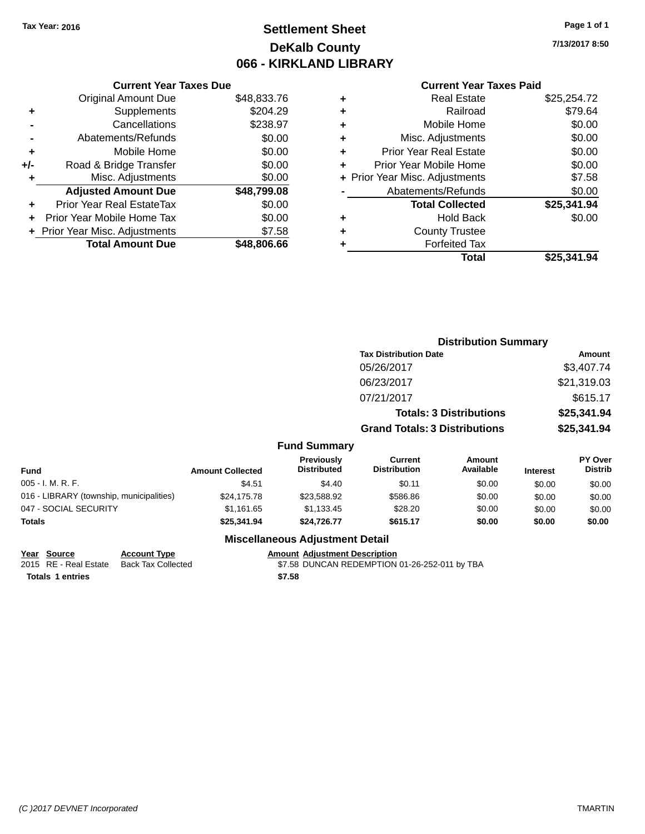### **Settlement Sheet Tax Year: 2016 Page 1 of 1 DeKalb County 066 - KIRKLAND LIBRARY**

**7/13/2017 8:50**

### **Current Year Taxes Paid**

| <b>Current Year Taxes Due</b> |             |
|-------------------------------|-------------|
| <b>Original Amount Due</b>    | \$48,833.76 |
| Supplements                   | \$204.29    |
| Cancellations                 | \$238.97    |
| Abatements/Refunds            | \$0.00      |
| Mobile Home                   | \$0.00      |
| Road & Bridge Transfer        | \$0.00      |
| Misc. Adjustments             | \$0.00      |
| <b>Adjusted Amount Due</b>    | \$48,799.08 |
| Prior Year Real EstateTax     | \$0.00      |
| Prior Year Mobile Home Tax    | \$0.00      |
| Prior Year Misc. Adjustments  | \$7.58      |
| <b>Total Amount Due</b>       | \$48.806.66 |
|                               |             |

|   | <b>Real Estate</b>             | \$25,254.72 |
|---|--------------------------------|-------------|
| ٠ | Railroad                       | \$79.64     |
| ٠ | Mobile Home                    | \$0.00      |
| ٠ | Misc. Adjustments              | \$0.00      |
| ٠ | <b>Prior Year Real Estate</b>  | \$0.00      |
| ÷ | Prior Year Mobile Home         | \$0.00      |
|   | + Prior Year Misc. Adjustments | \$7.58      |
|   | Abatements/Refunds             | \$0.00      |
|   | <b>Total Collected</b>         | \$25,341.94 |
| ٠ | <b>Hold Back</b>               | \$0.00      |
| ٠ | <b>County Trustee</b>          |             |
| ٠ | <b>Forfeited Tax</b>           |             |
|   | Total                          | \$25,341,94 |
|   |                                |             |

|                                          |                         |                                  |                                       | <b>Distribution Summary</b>    |                 |                                  |
|------------------------------------------|-------------------------|----------------------------------|---------------------------------------|--------------------------------|-----------------|----------------------------------|
|                                          |                         |                                  | <b>Tax Distribution Date</b>          |                                |                 | <b>Amount</b>                    |
|                                          |                         |                                  | 05/26/2017                            |                                |                 | \$3,407.74                       |
|                                          |                         |                                  | 06/23/2017                            |                                |                 | \$21,319.03                      |
|                                          |                         |                                  | 07/21/2017                            |                                |                 | \$615.17                         |
|                                          |                         |                                  |                                       | <b>Totals: 3 Distributions</b> |                 | \$25,341.94                      |
|                                          |                         |                                  | <b>Grand Totals: 3 Distributions</b>  |                                |                 | \$25,341.94                      |
|                                          |                         | <b>Fund Summary</b>              |                                       |                                |                 |                                  |
| <b>Fund</b>                              | <b>Amount Collected</b> | Previously<br><b>Distributed</b> | <b>Current</b><br><b>Distribution</b> | Amount<br>Available            | <b>Interest</b> | <b>PY Over</b><br><b>Distrib</b> |
| 005 - I. M. R. F.                        | \$4.51                  | \$4.40                           | \$0.11                                | \$0.00                         | \$0.00          | \$0.00                           |
| 016 - LIBRARY (township, municipalities) | \$24,175.78             | \$23,588.92                      | \$586.86                              | \$0.00                         | \$0.00          | \$0.00                           |
| 047 - SOCIAL SECURITY                    | \$1,161.65              | \$1,133.45                       | \$28.20                               | \$0.00                         | \$0.00          | \$0.00                           |
| Totals                                   | \$25,341.94             | \$24,726.77                      | \$615.17                              | \$0.00                         | \$0.00          | \$0.00                           |
|                                          |                         |                                  |                                       |                                |                 |                                  |

#### **Miscellaneous Adjustment Detail**

#### **Year** Source **Account Type Account Adjustment Description**

2015 RE - Real Estate Back Tax Collected \$7.58 DUNCAN REDEMPTION 01-26-252-011 by TBA **Totals \$7.58 1 entries**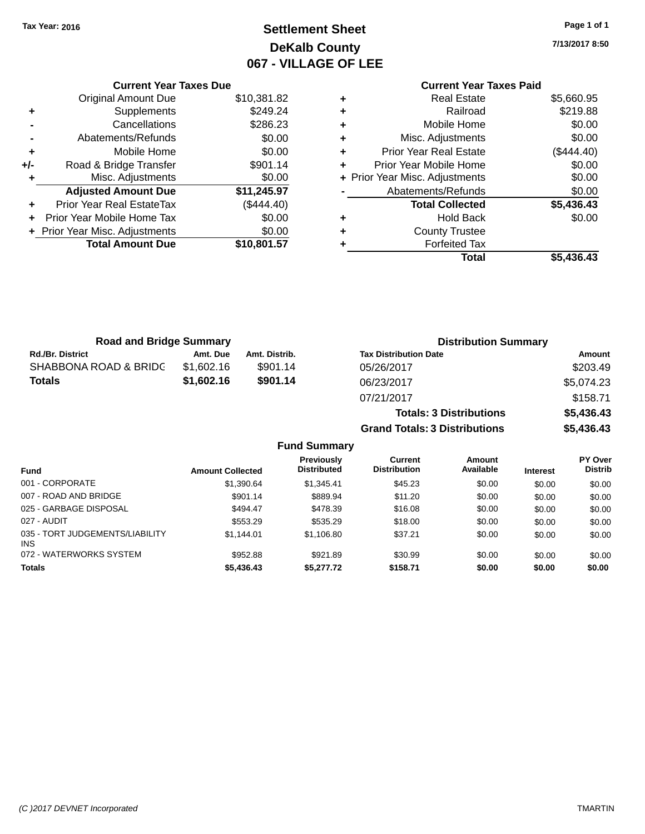### **Settlement Sheet Tax Year: 2016 Page 1 of 1 DeKalb County 067 - VILLAGE OF LEE**

**7/13/2017 8:50**

|     | <b>Current Year Taxes Due</b>  |             |  |
|-----|--------------------------------|-------------|--|
|     | <b>Original Amount Due</b>     | \$10,381.82 |  |
| ٠   | \$249.24<br>Supplements        |             |  |
|     | Cancellations                  | \$286.23    |  |
|     | Abatements/Refunds             | \$0.00      |  |
| ٠   | \$0.00<br>Mobile Home          |             |  |
| +/- | Road & Bridge Transfer         | \$901.14    |  |
| ٠   | Misc. Adjustments              | \$0.00      |  |
|     | <b>Adjusted Amount Due</b>     | \$11,245.97 |  |
| ٠   | Prior Year Real EstateTax      | (\$444.40)  |  |
| ÷   | Prior Year Mobile Home Tax     | \$0.00      |  |
|     | + Prior Year Misc. Adjustments | \$0.00      |  |
|     | <b>Total Amount Due</b>        | \$10,801.57 |  |
|     |                                |             |  |

#### **Current Year Taxes Paid +** Real Estate \$5,660.95 **+** Railroad \$219.88 **+** Mobile Home \$0.00 **+** Misc. Adjustments \$0.00 **+** Prior Year Real Estate (\$444.40)

|   | Total                          | \$5,436.43 |
|---|--------------------------------|------------|
| ÷ | <b>Forfeited Tax</b>           |            |
| ÷ | <b>County Trustee</b>          |            |
| ÷ | <b>Hold Back</b>               | \$0.00     |
|   | <b>Total Collected</b>         | \$5,436.43 |
|   | Abatements/Refunds             | \$0.00     |
|   | + Prior Year Misc. Adjustments | \$0.00     |
|   | Prior Year Mobile Home         | \$0.00     |

**Totals: 3 Distributions \$5,436.43**

**Grand Totals: 3 Distributions \$5,436.43**

| <b>Road and Bridge Summary</b> |            | <b>Distribution Summary</b> |                              |            |
|--------------------------------|------------|-----------------------------|------------------------------|------------|
| <b>Rd./Br. District</b>        | Amt. Due   | Amt. Distrib.               | <b>Tax Distribution Date</b> | Amount     |
| SHABBONA ROAD & BRIDC          | \$1,602.16 | \$901.14                    | 05/26/2017                   | \$203.49   |
| Totals                         | \$1,602.16 | \$901.14                    | 06/23/2017                   | \$5.074.23 |
|                                |            |                             | 07/21/2017                   | \$158.71   |

#### **Fund Summary Fund Interest Amount Collected Distributed PY Over Distrib Amount Available Current Distribution Previously** 001 - CORPORATE 6 \$1,390.64 \$1,345.41 \$45.23 \$0.00 \$0.00 \$0.00 \$0.00 \$0.00 \$0.00 \$0.00 \$0.00 \$0.00 \$0.00 \$0.00 \$0.00 007 - ROAD AND BRIDGE 60.00 \$901.14 \$889.94 \$11.20 \$0.00 \$0.00 \$0.00 \$0.00 025 - GARBAGE DISPOSAL \$494.47 \$478.39 \$16.08 \$0.00 \$0.00 \$0.00 027 - AUDIT \$553.29 \$535.29 \$18.00 \$0.00 \$0.00 \$0.00 035 - TORT JUDGEMENTS/LIABILITY INS \$1,144.01 \$1,106.80 \$37.21 \$0.00 \$0.00 \$0.00 072 - WATERWORKS SYSTEM \$952.88 \$921.89 \$30.99 \$0.00 \$0.00 \$0.00 \$0.00 **Totals \$5,436.43 \$5,277.72 \$158.71 \$0.00 \$0.00 \$0.00**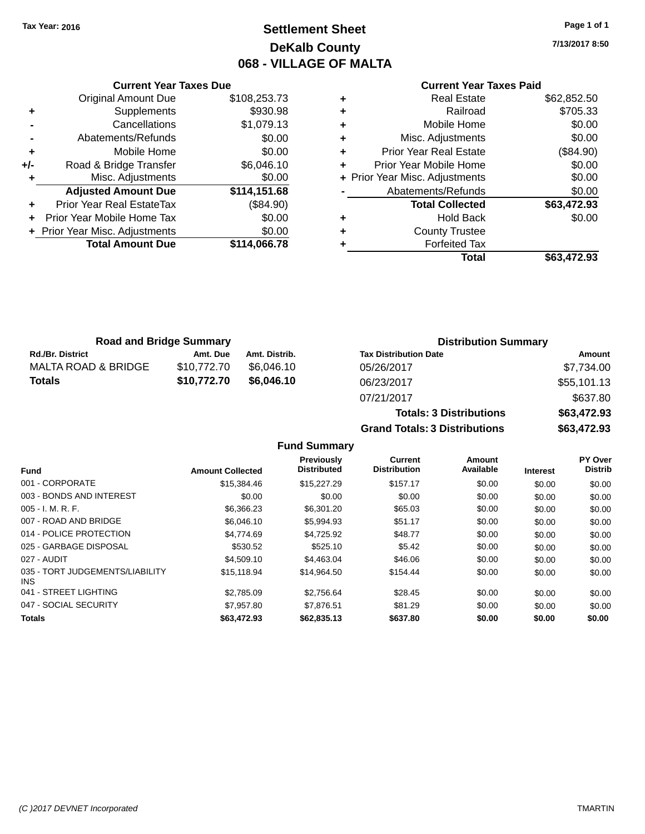### **Settlement Sheet Tax Year: 2016 Page 1 of 1 DeKalb County 068 - VILLAGE OF MALTA**

**7/13/2017 8:50**

#### **Current Year Taxes Paid**

|     | <b>Current Year Taxes Due</b>    |              |
|-----|----------------------------------|--------------|
|     | <b>Original Amount Due</b>       | \$108,253.73 |
| ٠   | Supplements                      | \$930.98     |
|     | Cancellations                    | \$1,079.13   |
|     | Abatements/Refunds               | \$0.00       |
| ٠   | Mobile Home                      | \$0.00       |
| +/- | Road & Bridge Transfer           | \$6,046.10   |
|     | Misc. Adjustments                | \$0.00       |
|     | <b>Adjusted Amount Due</b>       | \$114,151.68 |
|     | <b>Prior Year Real EstateTax</b> | (\$84.90)    |
|     | Prior Year Mobile Home Tax       | \$0.00       |
|     | + Prior Year Misc. Adjustments   | \$0.00       |
|     | <b>Total Amount Due</b>          | \$114,066.78 |
|     |                                  |              |

|   | <b>Real Estate</b>             | \$62,852.50 |
|---|--------------------------------|-------------|
| ٠ | Railroad                       | \$705.33    |
| ٠ | Mobile Home                    | \$0.00      |
| ٠ | Misc. Adjustments              | \$0.00      |
| ٠ | <b>Prior Year Real Estate</b>  | (\$84.90)   |
| ٠ | Prior Year Mobile Home         | \$0.00      |
|   | + Prior Year Misc. Adjustments | \$0.00      |
|   | Abatements/Refunds             | \$0.00      |
|   | <b>Total Collected</b>         | \$63,472.93 |
| ٠ | <b>Hold Back</b>               | \$0.00      |
|   | <b>County Trustee</b>          |             |
| ٠ | <b>Forfeited Tax</b>           |             |
|   | Total                          | \$63,472.93 |
|   |                                |             |

| <b>Road and Bridge Summary</b> |             |               | <b>Distribution Summary</b>  |             |
|--------------------------------|-------------|---------------|------------------------------|-------------|
| <b>Rd./Br. District</b>        | Amt. Due    | Amt. Distrib. | <b>Tax Distribution Date</b> | Amount      |
| MALTA ROAD & BRIDGE            | \$10.772.70 | \$6.046.10    | 05/26/2017                   | \$7,734.00  |
| <b>Totals</b>                  | \$10,772.70 | \$6,046.10    | 06/23/2017                   | \$55,101.13 |
|                                |             |               | 07/21/2017                   | \$637.80    |

| 07/21/2017                           | \$637.80    |
|--------------------------------------|-------------|
| <b>Totals: 3 Distributions</b>       | \$63,472.93 |
| <b>Grand Totals: 3 Distributions</b> | \$63,472.93 |
|                                      |             |

**Fund Summary**

|                                         |                         | Previously         | <b>Current</b>      | Amount    |                 | PY Over        |
|-----------------------------------------|-------------------------|--------------------|---------------------|-----------|-----------------|----------------|
| <b>Fund</b>                             | <b>Amount Collected</b> | <b>Distributed</b> | <b>Distribution</b> | Available | <b>Interest</b> | <b>Distrib</b> |
| 001 - CORPORATE                         | \$15,384.46             | \$15,227.29        | \$157.17            | \$0.00    | \$0.00          | \$0.00         |
| 003 - BONDS AND INTEREST                | \$0.00                  | \$0.00             | \$0.00              | \$0.00    | \$0.00          | \$0.00         |
| $005 - I. M. R. F.$                     | \$6,366.23              | \$6,301.20         | \$65.03             | \$0.00    | \$0.00          | \$0.00         |
| 007 - ROAD AND BRIDGE                   | \$6,046.10              | \$5,994.93         | \$51.17             | \$0.00    | \$0.00          | \$0.00         |
| 014 - POLICE PROTECTION                 | \$4,774.69              | \$4,725.92         | \$48.77             | \$0.00    | \$0.00          | \$0.00         |
| 025 - GARBAGE DISPOSAL                  | \$530.52                | \$525.10           | \$5.42              | \$0.00    | \$0.00          | \$0.00         |
| 027 - AUDIT                             | \$4,509.10              | \$4,463,04         | \$46.06             | \$0.00    | \$0.00          | \$0.00         |
| 035 - TORT JUDGEMENTS/LIABILITY<br>INS. | \$15,118.94             | \$14.964.50        | \$154.44            | \$0.00    | \$0.00          | \$0.00         |
| 041 - STREET LIGHTING                   | \$2.785.09              | \$2,756.64         | \$28.45             | \$0.00    | \$0.00          | \$0.00         |
| 047 - SOCIAL SECURITY                   | \$7.957.80              | \$7.876.51         | \$81.29             | \$0.00    | \$0.00          | \$0.00         |
| <b>Totals</b>                           | \$63,472.93             | \$62,835.13        | \$637.80            | \$0.00    | \$0.00          | \$0.00         |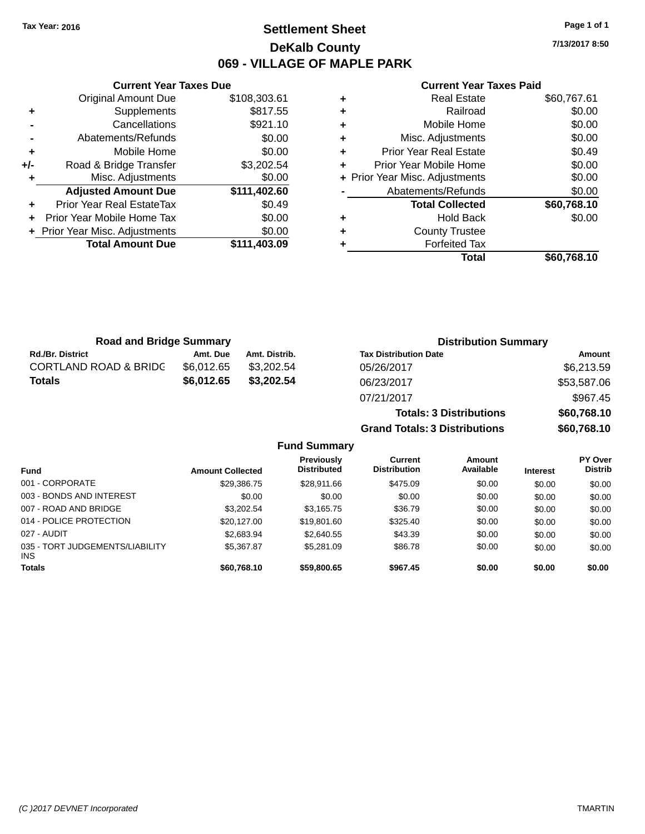### **Settlement Sheet Tax Year: 2016 Page 1 of 1 DeKalb County 069 - VILLAGE OF MAPLE PARK**

**7/13/2017 8:50**

#### **Current Year Taxes Paid**

|                | <b>Total Amount Due</b>        | \$111,403.09 |
|----------------|--------------------------------|--------------|
|                | + Prior Year Misc. Adjustments | \$0.00       |
| ÷              | Prior Year Mobile Home Tax     | \$0.00       |
| ÷              | Prior Year Real EstateTax      | \$0.49       |
|                | <b>Adjusted Amount Due</b>     | \$111,402.60 |
|                | Misc. Adjustments              | \$0.00       |
| +/-            | Road & Bridge Transfer         | \$3,202.54   |
| ÷              | Mobile Home                    | \$0.00       |
| $\blacksquare$ | Abatements/Refunds             | \$0.00       |
|                | Cancellations                  | \$921.10     |
| ٠              | Supplements                    | \$817.55     |
|                | <b>Original Amount Due</b>     | \$108,303.61 |
|                |                                |              |

**Current Year Taxes Due**

| ٠ | <b>Real Estate</b>             | \$60,767.61 |
|---|--------------------------------|-------------|
| ٠ | Railroad                       | \$0.00      |
| ٠ | Mobile Home                    | \$0.00      |
| ٠ | Misc. Adjustments              | \$0.00      |
| ٠ | <b>Prior Year Real Estate</b>  | \$0.49      |
| ٠ | Prior Year Mobile Home         | \$0.00      |
|   | + Prior Year Misc. Adjustments | \$0.00      |
|   | Abatements/Refunds             | \$0.00      |
|   | <b>Total Collected</b>         | \$60,768.10 |
| ٠ | <b>Hold Back</b>               | \$0.00      |
| ٠ | <b>County Trustee</b>          |             |
|   | <b>Forfeited Tax</b>           |             |
|   | Total                          | \$60.768.10 |

**Grand Totals: 3 Distributions \$60,768.10**

| <b>Road and Bridge Summary</b>   |            |               | <b>Distribution Summary</b>    |             |  |
|----------------------------------|------------|---------------|--------------------------------|-------------|--|
| <b>Rd./Br. District</b>          | Amt. Due   | Amt. Distrib. | <b>Tax Distribution Date</b>   | Amount      |  |
| <b>CORTLAND ROAD &amp; BRIDC</b> | \$6.012.65 | \$3,202.54    | 05/26/2017                     | \$6,213.59  |  |
| <b>Totals</b>                    | \$6,012.65 | \$3,202.54    | 06/23/2017                     | \$53,587.06 |  |
|                                  |            |               | 07/21/2017                     | \$967.45    |  |
|                                  |            |               | <b>Totals: 3 Distributions</b> | \$60,768.10 |  |

**Fund Summary Fund Interest Amount Collected Distributed PY Over Distrib Amount Available Current Distribution Previously** 001 - CORPORATE \$29,386.75 \$28,911.66 \$475.09 \$0.00 \$0.00 \$0.00 003 - BONDS AND INTEREST  $$0.00$   $$0.00$   $$0.00$   $$0.00$   $$0.00$   $$0.00$   $$0.00$   $$0.00$ 007 - ROAD AND BRIDGE \$3,202.54 \$3,165.75 \$36.79 \$0.00 \$0.00 \$0.00 \$0.00 014 - POLICE PROTECTION \$20,127.00 \$19,801.60 \$325.40 \$0.00 \$0.00 \$0.00 \$0.00 027 - AUDIT \$2,683.94 \$2,640.55 \$43.39 \$0.00 \$0.00 \$0.00 035 - TORT JUDGEMENTS/LIABILITY INS \$5,367.87 \$5,281.09 \$86.78 \$0.00 \$0.00 \$0.00 **Totals \$60,768.10 \$59,800.65 \$967.45 \$0.00 \$0.00 \$0.00**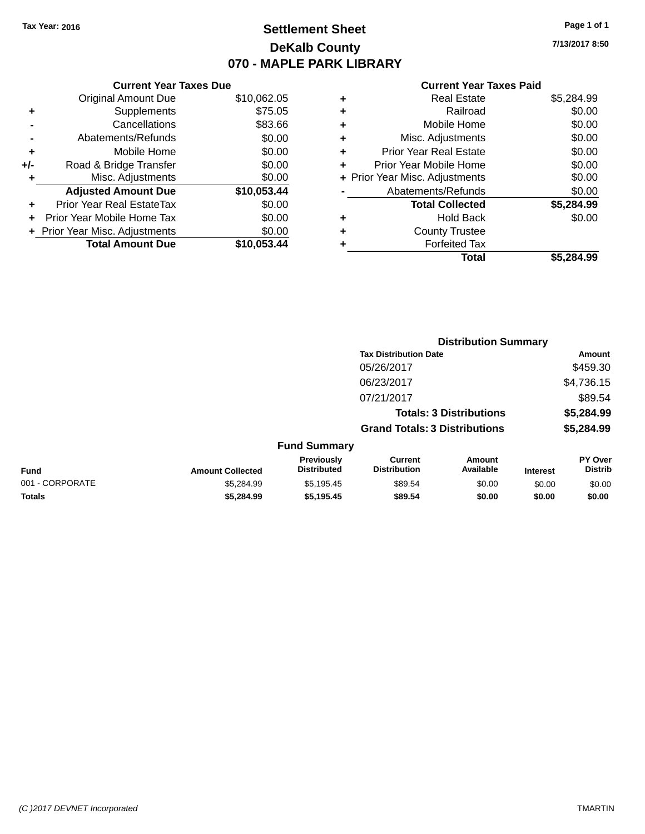### **Settlement Sheet Tax Year: 2016 Page 1 of 1 DeKalb County 070 - MAPLE PARK LIBRARY**

**7/13/2017 8:50**

#### **Current Year Taxes Paid**

|     | <b>Current Year Taxes Due</b>  |             |  |  |  |
|-----|--------------------------------|-------------|--|--|--|
|     | <b>Original Amount Due</b>     | \$10,062.05 |  |  |  |
| ÷   | Supplements                    | \$75.05     |  |  |  |
|     | Cancellations                  | \$83.66     |  |  |  |
|     | Abatements/Refunds             | \$0.00      |  |  |  |
| ٠   | Mobile Home                    | \$0.00      |  |  |  |
| +/- | Road & Bridge Transfer         | \$0.00      |  |  |  |
| ٠   | Misc. Adjustments              | \$0.00      |  |  |  |
|     | <b>Adjusted Amount Due</b>     | \$10,053.44 |  |  |  |
| ÷   | Prior Year Real EstateTax      | \$0.00      |  |  |  |
|     | Prior Year Mobile Home Tax     | \$0.00      |  |  |  |
|     | + Prior Year Misc. Adjustments | \$0.00      |  |  |  |
|     | <b>Total Amount Due</b>        | \$10,053,44 |  |  |  |
|     |                                |             |  |  |  |

| ٠ | <b>Real Estate</b>             | \$5,284.99 |
|---|--------------------------------|------------|
| ٠ | Railroad                       | \$0.00     |
| ٠ | Mobile Home                    | \$0.00     |
| ٠ | Misc. Adjustments              | \$0.00     |
| ٠ | <b>Prior Year Real Estate</b>  | \$0.00     |
| ٠ | Prior Year Mobile Home         | \$0.00     |
|   | + Prior Year Misc. Adjustments | \$0.00     |
|   | Abatements/Refunds             | \$0.00     |
|   | <b>Total Collected</b>         | \$5,284.99 |
| ٠ | <b>Hold Back</b>               | \$0.00     |
| ٠ | <b>County Trustee</b>          |            |
|   | <b>Forfeited Tax</b>           |            |
|   | Total                          | \$5,284.99 |
|   |                                |            |

|                 |                         |                                  | <b>Distribution Summary</b>           |                                |                 |                           |
|-----------------|-------------------------|----------------------------------|---------------------------------------|--------------------------------|-----------------|---------------------------|
|                 |                         |                                  | <b>Tax Distribution Date</b>          |                                |                 | <b>Amount</b>             |
|                 |                         |                                  | 05/26/2017                            |                                |                 | \$459.30                  |
|                 |                         |                                  | 06/23/2017                            |                                |                 | \$4,736.15                |
|                 |                         |                                  | 07/21/2017                            |                                |                 | \$89.54                   |
|                 |                         |                                  |                                       | <b>Totals: 3 Distributions</b> |                 | \$5,284.99                |
|                 |                         |                                  | <b>Grand Totals: 3 Distributions</b>  |                                |                 | \$5,284.99                |
|                 |                         | <b>Fund Summary</b>              |                                       |                                |                 |                           |
| Fund            | <b>Amount Collected</b> | Previously<br><b>Distributed</b> | <b>Current</b><br><b>Distribution</b> | Amount<br>Available            | <b>Interest</b> | PY Over<br><b>Distrib</b> |
| 001 - CORPORATE | \$5,284.99              | \$5,195.45                       | \$89.54                               | \$0.00                         | \$0.00          | \$0.00                    |
| <b>Totals</b>   | \$5,284.99              | \$5,195.45                       | \$89.54                               | \$0.00                         | \$0.00          | \$0.00                    |
|                 |                         |                                  |                                       |                                |                 |                           |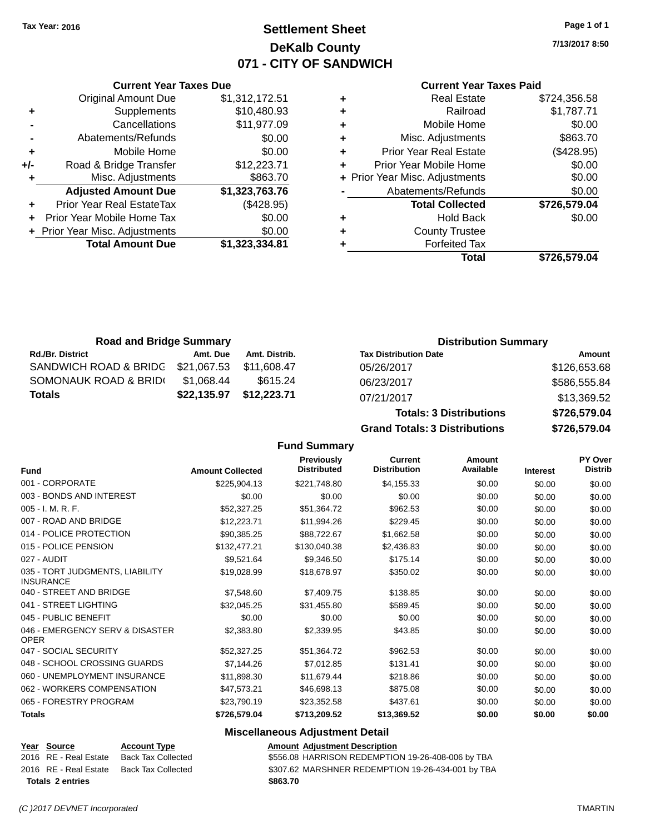### **Settlement Sheet Tax Year: 2016 Page 1 of 1 DeKalb County 071 - CITY OF SANDWICH**

**7/13/2017 8:50**

|       | <b>Current Year Taxes Due</b>  |                |  |  |  |
|-------|--------------------------------|----------------|--|--|--|
|       | <b>Original Amount Due</b>     | \$1,312,172.51 |  |  |  |
| ٠     | Supplements                    | \$10,480.93    |  |  |  |
|       | Cancellations                  | \$11,977.09    |  |  |  |
|       | Abatements/Refunds             | \$0.00         |  |  |  |
| ٠     | Mobile Home                    | \$0.00         |  |  |  |
| $+/-$ | Road & Bridge Transfer         | \$12,223.71    |  |  |  |
|       | Misc. Adjustments              | \$863.70       |  |  |  |
|       | <b>Adjusted Amount Due</b>     | \$1,323,763.76 |  |  |  |
|       | Prior Year Real EstateTax      | (\$428.95)     |  |  |  |
|       | Prior Year Mobile Home Tax     | \$0.00         |  |  |  |
|       | + Prior Year Misc. Adjustments | \$0.00         |  |  |  |
|       | <b>Total Amount Due</b>        | \$1,323,334.81 |  |  |  |
|       |                                |                |  |  |  |

|   | <b>Real Estate</b>             | \$724,356.58 |
|---|--------------------------------|--------------|
| ٠ | Railroad                       | \$1,787.71   |
| ٠ | Mobile Home                    | \$0.00       |
| ٠ | Misc. Adjustments              | \$863.70     |
| ٠ | <b>Prior Year Real Estate</b>  | (\$428.95)   |
| ٠ | Prior Year Mobile Home         | \$0.00       |
|   | + Prior Year Misc. Adjustments | \$0.00       |
|   | Abatements/Refunds             | \$0.00       |
|   | <b>Total Collected</b>         | \$726,579.04 |
| ٠ | <b>Hold Back</b>               | \$0.00       |
| ٠ | <b>County Trustee</b>          |              |
| ٠ | <b>Forfeited Tax</b>           |              |
|   | Total                          | \$726,579.04 |
|   |                                |              |

| <b>Road and Bridge Summary</b> |             |               | <b>Distribution Summary</b>  |              |  |
|--------------------------------|-------------|---------------|------------------------------|--------------|--|
| <b>Rd./Br. District</b>        | Amt. Due    | Amt. Distrib. | <b>Tax Distribution Date</b> | Amount       |  |
| SANDWICH ROAD & BRIDG          | \$21,067.53 | \$11.608.47   | 05/26/2017                   | \$126,653.68 |  |
| SOMONAUK ROAD & BRIDI          | \$1.068.44  | \$615.24      | 06/23/2017                   | \$586,555.84 |  |
| <b>Totals</b>                  | \$22,135.97 | \$12,223.71   | 07/21/2017                   | \$13,369.52  |  |

| 07/21/2017                           | \$13,369.52  |  |
|--------------------------------------|--------------|--|
| <b>Totals: 3 Distributions</b>       | \$726,579.04 |  |
| <b>Grand Totals: 3 Distributions</b> | \$726,579.04 |  |

**Fund Summary**

| <b>Fund</b>                                         | <b>Amount Collected</b> | <b>Previously</b><br><b>Distributed</b> | <b>Current</b><br><b>Distribution</b> | <b>Amount</b><br>Available | <b>Interest</b> | PY Over<br><b>Distrib</b> |
|-----------------------------------------------------|-------------------------|-----------------------------------------|---------------------------------------|----------------------------|-----------------|---------------------------|
| 001 - CORPORATE                                     | \$225,904.13            | \$221,748.80                            | \$4,155.33                            | \$0.00                     | \$0.00          | \$0.00                    |
| 003 - BONDS AND INTEREST                            | \$0.00                  | \$0.00                                  | \$0.00                                | \$0.00                     | \$0.00          | \$0.00                    |
| 005 - I. M. R. F.                                   | \$52,327.25             | \$51,364.72                             | \$962.53                              | \$0.00                     | \$0.00          | \$0.00                    |
| 007 - ROAD AND BRIDGE                               | \$12,223.71             | \$11,994.26                             | \$229.45                              | \$0.00                     | \$0.00          | \$0.00                    |
| 014 - POLICE PROTECTION                             | \$90,385.25             | \$88,722.67                             | \$1,662.58                            | \$0.00                     | \$0.00          | \$0.00                    |
| 015 - POLICE PENSION                                | \$132,477.21            | \$130,040.38                            | \$2,436.83                            | \$0.00                     | \$0.00          | \$0.00                    |
| 027 - AUDIT                                         | \$9,521.64              | \$9,346.50                              | \$175.14                              | \$0.00                     | \$0.00          | \$0.00                    |
| 035 - TORT JUDGMENTS, LIABILITY<br><b>INSURANCE</b> | \$19,028.99             | \$18,678.97                             | \$350.02                              | \$0.00                     | \$0.00          | \$0.00                    |
| 040 - STREET AND BRIDGE                             | \$7,548.60              | \$7,409.75                              | \$138.85                              | \$0.00                     | \$0.00          | \$0.00                    |
| 041 - STREET LIGHTING                               | \$32,045.25             | \$31,455.80                             | \$589.45                              | \$0.00                     | \$0.00          | \$0.00                    |
| 045 - PUBLIC BENEFIT                                | \$0.00                  | \$0.00                                  | \$0.00                                | \$0.00                     | \$0.00          | \$0.00                    |
| 046 - EMERGENCY SERV & DISASTER<br><b>OPER</b>      | \$2,383.80              | \$2,339.95                              | \$43.85                               | \$0.00                     | \$0.00          | \$0.00                    |
| 047 - SOCIAL SECURITY                               | \$52,327.25             | \$51,364.72                             | \$962.53                              | \$0.00                     | \$0.00          | \$0.00                    |
| 048 - SCHOOL CROSSING GUARDS                        | \$7,144.26              | \$7,012.85                              | \$131.41                              | \$0.00                     | \$0.00          | \$0.00                    |
| 060 - UNEMPLOYMENT INSURANCE                        | \$11,898.30             | \$11,679.44                             | \$218.86                              | \$0.00                     | \$0.00          | \$0.00                    |
| 062 - WORKERS COMPENSATION                          | \$47,573.21             | \$46,698.13                             | \$875.08                              | \$0.00                     | \$0.00          | \$0.00                    |
| 065 - FORESTRY PROGRAM                              | \$23,790.19             | \$23,352.58                             | \$437.61                              | \$0.00                     | \$0.00          | \$0.00                    |
| <b>Totals</b>                                       | \$726,579.04            | \$713,209.52                            | \$13,369.52                           | \$0.00                     | \$0.00          | \$0.00                    |

#### **Miscellaneous Adjustment Detail**

| Year Source             | <b>Account Type</b>       | Amount   |
|-------------------------|---------------------------|----------|
| 2016 RE - Real Estate   | <b>Back Tax Collected</b> | \$556.08 |
| 2016 RE - Real Estate   | Back Tax Collected        | \$307.62 |
| <b>Totals 2 entries</b> |                           | \$863.70 |

**PERETTE ACCOUNTED ACCOUNT ADDETERT ACCOUNT ADDETERTATION ACCOUNT ACCOUNT ACCOUNT** ACCOUNT ACCOUNT ACCOUNT ACCOUNT A  $\overline{3556.08}$  HARRISON REDEMPTION 19-26-408-006 by TBA 2016 REAL ESTATE REAL ESTATE REDEMPTION 19-26-434-001 by TBA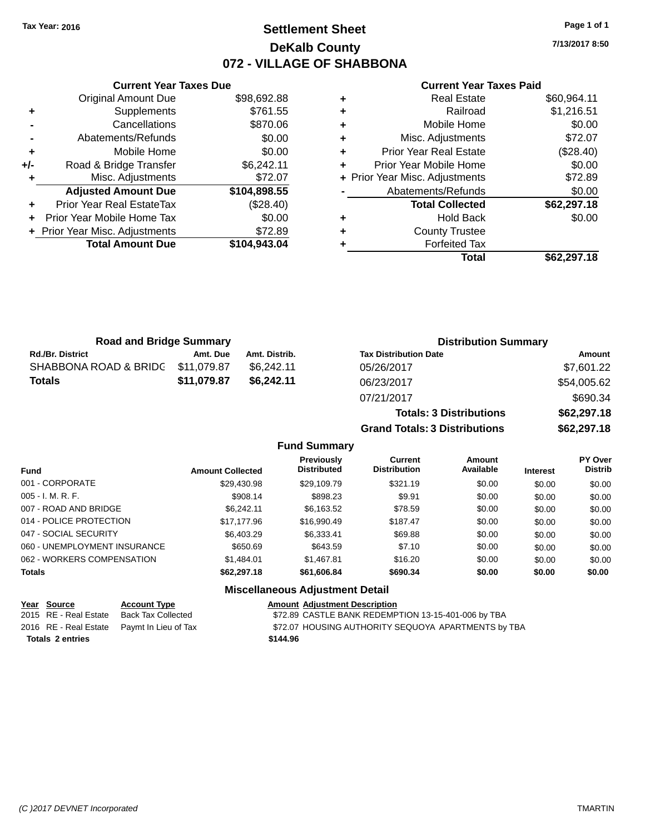### **Settlement Sheet Tax Year: 2016 Page 1 of 1 DeKalb County 072 - VILLAGE OF SHABBONA**

**7/13/2017 8:50**

#### **Current Year Taxes Paid**

|       | <b>Original Amount Due</b>     | \$98,692.88  |
|-------|--------------------------------|--------------|
| ٠     | Supplements                    | \$761.55     |
|       | Cancellations                  | \$870.06     |
|       | Abatements/Refunds             | \$0.00       |
| ٠     | Mobile Home                    | \$0.00       |
| $+/-$ | Road & Bridge Transfer         | \$6,242.11   |
|       | Misc. Adjustments              | \$72.07      |
|       | <b>Adjusted Amount Due</b>     | \$104,898.55 |
|       | Prior Year Real EstateTax      | (\$28.40)    |
|       | Prior Year Mobile Home Tax     | \$0.00       |
|       | + Prior Year Misc. Adjustments | \$72.89      |
|       | <b>Total Amount Due</b>        | \$104,943.04 |
|       |                                |              |

**Current Year Taxes Due**

|   | <b>Real Estate</b>             | \$60,964.11 |
|---|--------------------------------|-------------|
| ٠ | Railroad                       | \$1,216.51  |
| ٠ | Mobile Home                    | \$0.00      |
| ٠ | Misc. Adjustments              | \$72.07     |
| ٠ | <b>Prior Year Real Estate</b>  | (\$28.40)   |
| ٠ | Prior Year Mobile Home         | \$0.00      |
|   | + Prior Year Misc. Adjustments | \$72.89     |
|   | Abatements/Refunds             | \$0.00      |
|   | <b>Total Collected</b>         | \$62,297.18 |
| ٠ | <b>Hold Back</b>               | \$0.00      |
| ٠ | <b>County Trustee</b>          |             |
| ٠ | <b>Forfeited Tax</b>           |             |
|   | Total                          | \$62,297.18 |
|   |                                |             |

**Totals: 3 Distributions \$62,297.18**

**Grand Totals: 3 Distributions \$62,297.18**

| <b>Road and Bridge Summary</b> |             |               | <b>Distribution Summary</b>  |             |  |
|--------------------------------|-------------|---------------|------------------------------|-------------|--|
| <b>Rd./Br. District</b>        | Amt. Due    | Amt. Distrib. | <b>Tax Distribution Date</b> | Amount      |  |
| SHABBONA ROAD & BRIDG          | \$11,079.87 | \$6.242.11    | 05/26/2017                   | \$7,601.22  |  |
| <b>Totals</b>                  | \$11,079.87 | \$6,242.11    | 06/23/2017                   | \$54,005.62 |  |
|                                |             |               | 07/21/2017                   | \$690.34    |  |

#### **Fund Summary Fund Interest Amount Collected Distributed PY Over Distrib Amount Available Current Distribution Previously** 001 - CORPORATE \$29,430.98 \$29,109.79 \$321.19 \$0.00 \$0.00 \$0.00 005 - I. M. R. F. \$908.14 \$898.23 \$9.91 \$0.00 \$0.00 \$0.00 007 - ROAD AND BRIDGE 60.00 \$6,242.11 \$6,163.52 \$78.59 \$0.00 \$0.00 \$0.00 \$0.00 014 - POLICE PROTECTION \$17,177.96 \$16,990.49 \$187.47 \$0.00 \$0.00 \$0.00 \$0.00 047 - SOCIAL SECURITY \$6,403.29 \$6,333.41 \$6.9.88 \$0.00 \$0.00 \$0.00 \$0.00 060 - UNEMPLOYMENT INSURANCE  $$650.69$   $$643.59$   $$7.10$   $$0.00$   $$0.00$   $$0.00$ 062 - WORKERS COMPENSATION \$1,484.01 \$1,467.81 \$16.20 \$0.00 \$0.00 \$0.00 \$0.00 **Totals \$62,297.18 \$61,606.84 \$690.34 \$0.00 \$0.00 \$0.00 Miscellaneous Adjustment Detail**

## **Year** Source **Account Type A** Amount Adjustment Description

| $169$ 000100            | AUGUULI TYPU                               | <u>AIIVUIL</u> |
|-------------------------|--------------------------------------------|----------------|
| 2015 RE - Real Estate   | Back Tax Collected                         | \$72.89        |
|                         | 2016 RE - Real Estate Paymt In Lieu of Tax | \$72.07        |
| <b>Totals 2 entries</b> |                                            | \$144.96       |

2015 k Tax Collected **2015 REAL ESTATE BANK REDEMPTION 13-15-401-006 by TBA** <sup>2</sup> mt In Lieu of Tax **Authority State State State State State State State State State State State State State State State State State State State State State State State State State State State State State State State Sta**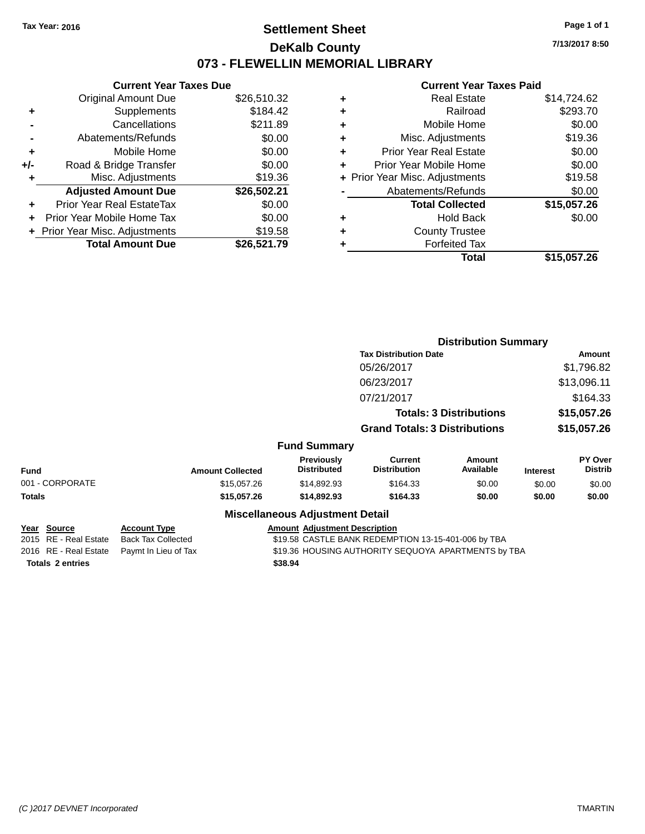### **Settlement Sheet Tax Year: 2016 Page 1 of 1 DeKalb County 073 - FLEWELLIN MEMORIAL LIBRARY**

**7/13/2017 8:50**

#### **Current Year Taxes Paid**

|     | <b>Current Year Taxes Due</b>  |             |  |  |  |
|-----|--------------------------------|-------------|--|--|--|
|     | <b>Original Amount Due</b>     | \$26,510.32 |  |  |  |
| ٠   | Supplements                    | \$184.42    |  |  |  |
|     | Cancellations                  | \$211.89    |  |  |  |
|     | Abatements/Refunds             | \$0.00      |  |  |  |
| ٠   | Mobile Home                    | \$0.00      |  |  |  |
| +/- | Road & Bridge Transfer         | \$0.00      |  |  |  |
|     | Misc. Adjustments              | \$19.36     |  |  |  |
|     | <b>Adjusted Amount Due</b>     | \$26,502.21 |  |  |  |
| ٠   | Prior Year Real EstateTax      | \$0.00      |  |  |  |
|     | Prior Year Mobile Home Tax     | \$0.00      |  |  |  |
|     | + Prior Year Misc. Adjustments | \$19.58     |  |  |  |
|     | <b>Total Amount Due</b>        | \$26,521.79 |  |  |  |
|     |                                |             |  |  |  |

| ٠ | <b>Real Estate</b>             | \$14,724.62 |
|---|--------------------------------|-------------|
| ٠ | Railroad                       | \$293.70    |
| ٠ | Mobile Home                    | \$0.00      |
| ٠ | Misc. Adjustments              | \$19.36     |
| ٠ | <b>Prior Year Real Estate</b>  | \$0.00      |
| ٠ | Prior Year Mobile Home         | \$0.00      |
|   | + Prior Year Misc. Adjustments | \$19.58     |
|   | Abatements/Refunds             | \$0.00      |
|   | <b>Total Collected</b>         | \$15,057.26 |
| ٠ | <b>Hold Back</b>               | \$0.00      |
| ٠ | <b>County Trustee</b>          |             |
| ٠ | <b>Forfeited Tax</b>           |             |
|   | Total                          | \$15,057.26 |
|   |                                |             |

|                                      |                                                  |                                         | <b>Distribution Summary</b>                         |                            |                 |                                  |
|--------------------------------------|--------------------------------------------------|-----------------------------------------|-----------------------------------------------------|----------------------------|-----------------|----------------------------------|
|                                      |                                                  |                                         | <b>Tax Distribution Date</b>                        |                            |                 | Amount                           |
|                                      |                                                  |                                         | 05/26/2017                                          |                            |                 | \$1,796.82                       |
|                                      |                                                  |                                         | 06/23/2017                                          |                            |                 | \$13,096.11                      |
|                                      |                                                  |                                         | 07/21/2017                                          |                            |                 | \$164.33                         |
|                                      |                                                  |                                         | <b>Totals: 3 Distributions</b>                      |                            | \$15,057.26     |                                  |
|                                      |                                                  |                                         | <b>Grand Totals: 3 Distributions</b>                |                            | \$15,057.26     |                                  |
|                                      |                                                  | <b>Fund Summary</b>                     |                                                     |                            |                 |                                  |
| <b>Fund</b>                          | <b>Amount Collected</b>                          | <b>Previously</b><br><b>Distributed</b> | <b>Current</b><br><b>Distribution</b>               | <b>Amount</b><br>Available | <b>Interest</b> | <b>PY Over</b><br><b>Distrib</b> |
| 001 - CORPORATE                      | \$15,057.26                                      | \$14,892.93                             | \$164.33                                            | \$0.00                     | \$0.00          | \$0.00                           |
| <b>Totals</b>                        | \$15,057.26                                      | \$14,892.93                             | \$164.33                                            | \$0.00                     | \$0.00          | \$0.00                           |
|                                      |                                                  | <b>Miscellaneous Adjustment Detail</b>  |                                                     |                            |                 |                                  |
| Year Source<br>2015 RE - Real Estate | <b>Account Type</b><br><b>Back Tax Collected</b> | <b>Amount Adjustment Description</b>    | \$19.58 CASTLE BANK REDEMPTION 13-15-401-006 by TBA |                            |                 |                                  |
| 2016 RE - Real Estate                | Paymt In Lieu of Tax                             |                                         | \$19.36 HOUSING AUTHORITY SEQUOYA APARTMENTS by TBA |                            |                 |                                  |

**Totals \$38.94 2 entries**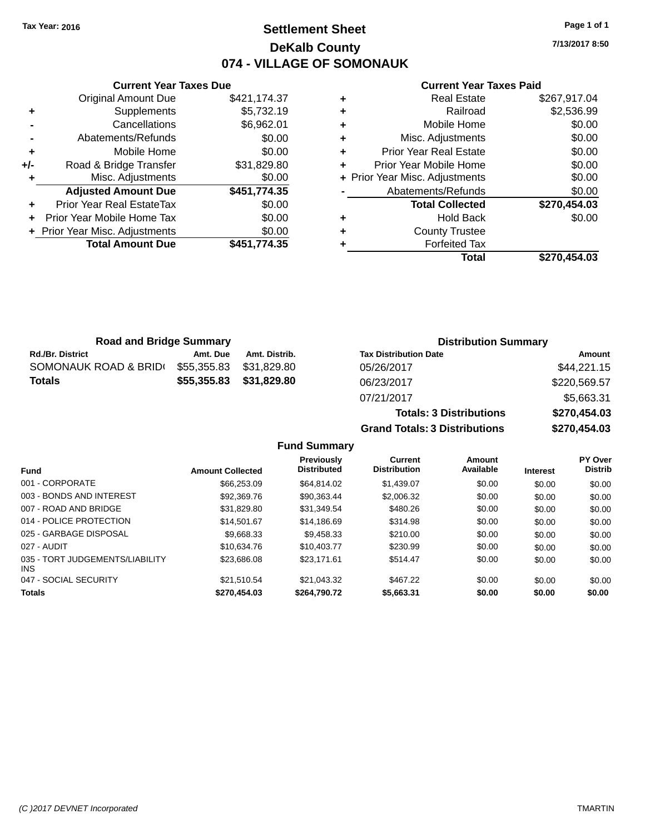# **Settlement Sheet Tax Year: 2016 Page 1 of 1 DeKalb County 074 - VILLAGE OF SOMONAUK**

**7/13/2017 8:50**

### **Current Year Taxes Paid**

|     | <b>Original Amount Due</b>     | \$421,174.37 |
|-----|--------------------------------|--------------|
| ٠   | Supplements                    | \$5,732.19   |
|     | Cancellations                  | \$6,962.01   |
|     | Abatements/Refunds             | \$0.00       |
| ٠   | Mobile Home                    | \$0.00       |
| +/- | Road & Bridge Transfer         | \$31,829.80  |
|     | Misc. Adjustments              | \$0.00       |
|     | <b>Adjusted Amount Due</b>     | \$451,774.35 |
| ÷   | Prior Year Real EstateTax      | \$0.00       |
|     | Prior Year Mobile Home Tax     | \$0.00       |
|     | + Prior Year Misc. Adjustments | \$0.00       |
|     | <b>Total Amount Due</b>        | \$451,774.35 |
|     |                                |              |

**Current Year Taxes Due**

| ٠ | <b>Real Estate</b>             | \$267,917.04 |
|---|--------------------------------|--------------|
| ٠ | Railroad                       | \$2,536.99   |
| ٠ | Mobile Home                    | \$0.00       |
| ٠ | Misc. Adjustments              | \$0.00       |
| ٠ | <b>Prior Year Real Estate</b>  | \$0.00       |
| ٠ | Prior Year Mobile Home         | \$0.00       |
|   | + Prior Year Misc. Adjustments | \$0.00       |
|   | Abatements/Refunds             | \$0.00       |
|   | <b>Total Collected</b>         | \$270,454.03 |
| ٠ | <b>Hold Back</b>               | \$0.00       |
| ٠ | <b>County Trustee</b>          |              |
|   | <b>Forfeited Tax</b>           |              |
|   | Total                          | \$270.454.03 |

| <b>Road and Bridge Summary</b> |             |               | <b>Distribution Summary</b>    |              |  |
|--------------------------------|-------------|---------------|--------------------------------|--------------|--|
| <b>Rd./Br. District</b>        | Amt. Due    | Amt. Distrib. | <b>Tax Distribution Date</b>   | Amount       |  |
| SOMONAUK ROAD & BRIDI          | \$55,355.83 | \$31.829.80   | 05/26/2017                     | \$44,221.15  |  |
| <b>Totals</b>                  | \$55,355.83 | \$31,829.80   | 06/23/2017                     | \$220,569.57 |  |
|                                |             |               | 07/21/2017                     | \$5,663.31   |  |
|                                |             |               | <b>Totals: 3 Distributions</b> | \$270,454.03 |  |

**Grand Totals: 3 Distributions \$270,454.03 Fund Summary Fund Interest Amount Collected Distributed PY Over Distrib Amount Available Current Distribution Previously** 001 - CORPORATE \$66,253.09 \$64,814.02 \$1,439.07 \$0.00 \$0.00 \$0.00 003 - BONDS AND INTEREST 6 \$92,369.76 \$90,363.44 \$2,006.32 \$0.00 \$0.00 \$0.00 \$0.00 007 - ROAD AND BRIDGE 60.00 \$31,829.80 \$31,349.54 \$480.26 \$0.00 \$0.00 \$0.00 \$0.00

| <b>Totals</b>                                 | \$270,454.03 | \$264,790.72 | \$5,663.31 | \$0.00 | \$0.00 | \$0.00 |
|-----------------------------------------------|--------------|--------------|------------|--------|--------|--------|
| 047 - SOCIAL SECURITY                         | \$21.510.54  | \$21.043.32  | \$467.22   | \$0.00 | \$0.00 | \$0.00 |
| 035 - TORT JUDGEMENTS/LIABILITY<br><b>INS</b> | \$23,686.08  | \$23.171.61  | \$514.47   | \$0.00 | \$0.00 | \$0.00 |
| 027 - AUDIT                                   | \$10.634.76  | \$10,403.77  | \$230.99   | \$0.00 | \$0.00 | \$0.00 |
| 025 - GARBAGE DISPOSAL                        | \$9.668.33   | \$9.458.33   | \$210.00   | \$0.00 | \$0.00 | \$0.00 |
| 014 - POLICE PROTECTION                       | \$14,501.67  | \$14,186.69  | \$314.98   | \$0.00 | \$0.00 | \$0.00 |
|                                               |              |              |            |        |        |        |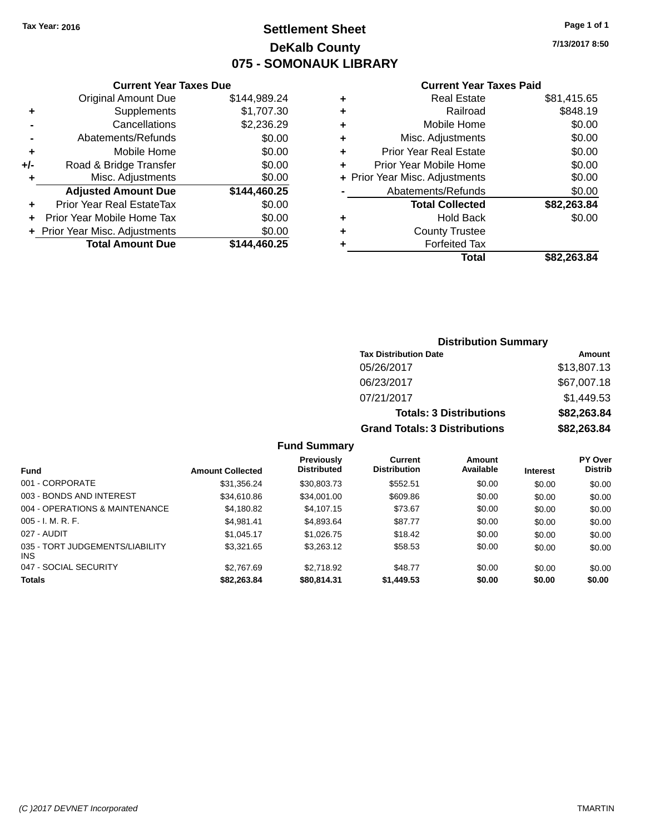# **Settlement Sheet Tax Year: 2016 Page 1 of 1 DeKalb County 075 - SOMONAUK LIBRARY**

**7/13/2017 8:50**

### **Current Year Taxes Paid**

|     | <b>Current Year Taxes Due</b>  |              |  |  |  |  |
|-----|--------------------------------|--------------|--|--|--|--|
|     | <b>Original Amount Due</b>     | \$144,989.24 |  |  |  |  |
| ٠   | Supplements                    | \$1,707.30   |  |  |  |  |
|     | Cancellations                  | \$2,236.29   |  |  |  |  |
|     | Abatements/Refunds             | \$0.00       |  |  |  |  |
| ٠   | Mobile Home                    | \$0.00       |  |  |  |  |
| +/- | Road & Bridge Transfer         | \$0.00       |  |  |  |  |
| ٠   | Misc. Adjustments              | \$0.00       |  |  |  |  |
|     | <b>Adjusted Amount Due</b>     | \$144,460.25 |  |  |  |  |
| ÷   | Prior Year Real EstateTax      | \$0.00       |  |  |  |  |
| ÷   | Prior Year Mobile Home Tax     | \$0.00       |  |  |  |  |
|     | + Prior Year Misc. Adjustments | \$0.00       |  |  |  |  |
|     | <b>Total Amount Due</b>        | \$144,460.25 |  |  |  |  |
|     |                                |              |  |  |  |  |

|   | <b>Real Estate</b>             | \$81,415.65 |
|---|--------------------------------|-------------|
| ٠ | Railroad                       | \$848.19    |
| ٠ | Mobile Home                    | \$0.00      |
| ٠ | Misc. Adjustments              | \$0.00      |
| ٠ | <b>Prior Year Real Estate</b>  | \$0.00      |
| ٠ | Prior Year Mobile Home         | \$0.00      |
|   | + Prior Year Misc. Adjustments | \$0.00      |
|   | Abatements/Refunds             | \$0.00      |
|   | <b>Total Collected</b>         | \$82,263.84 |
| ٠ | <b>Hold Back</b>               | \$0.00      |
| ٠ | <b>County Trustee</b>          |             |
| ٠ | <b>Forfeited Tax</b>           |             |
|   | Total                          | \$82.263.84 |
|   |                                |             |

# **Distribution Summary Tax Distribution Date Amount** 05/26/2017 \$13,807.13 06/23/2017 \$67,007.18 07/21/2017 \$1,449.53 **Totals: 3 Distributions \$82,263.84 Grand Totals: 3 Distributions \$82,263.84**

### **Fund Summary**

| <b>Fund</b>                             | <b>Amount Collected</b> | Previously<br><b>Distributed</b> | Current<br><b>Distribution</b> | Amount<br>Available | <b>Interest</b> | PY Over<br><b>Distrib</b> |
|-----------------------------------------|-------------------------|----------------------------------|--------------------------------|---------------------|-----------------|---------------------------|
| 001 - CORPORATE                         | \$31.356.24             | \$30,803.73                      | \$552.51                       | \$0.00              | \$0.00          | \$0.00                    |
| 003 - BONDS AND INTEREST                | \$34,610.86             | \$34,001.00                      | \$609.86                       | \$0.00              | \$0.00          | \$0.00                    |
| 004 - OPERATIONS & MAINTENANCE          | \$4,180.82              | \$4,107.15                       | \$73.67                        | \$0.00              | \$0.00          | \$0.00                    |
| $005 - I. M. R. F.$                     | \$4.981.41              | \$4,893.64                       | \$87.77                        | \$0.00              | \$0.00          | \$0.00                    |
| 027 - AUDIT                             | \$1.045.17              | \$1,026.75                       | \$18.42                        | \$0.00              | \$0.00          | \$0.00                    |
| 035 - TORT JUDGEMENTS/LIABILITY<br>INS. | \$3.321.65              | \$3,263.12                       | \$58.53                        | \$0.00              | \$0.00          | \$0.00                    |
| 047 - SOCIAL SECURITY                   | \$2.767.69              | \$2,718.92                       | \$48.77                        | \$0.00              | \$0.00          | \$0.00                    |
| <b>Totals</b>                           | \$82,263.84             | \$80,814.31                      | \$1,449.53                     | \$0.00              | \$0.00          | \$0.00                    |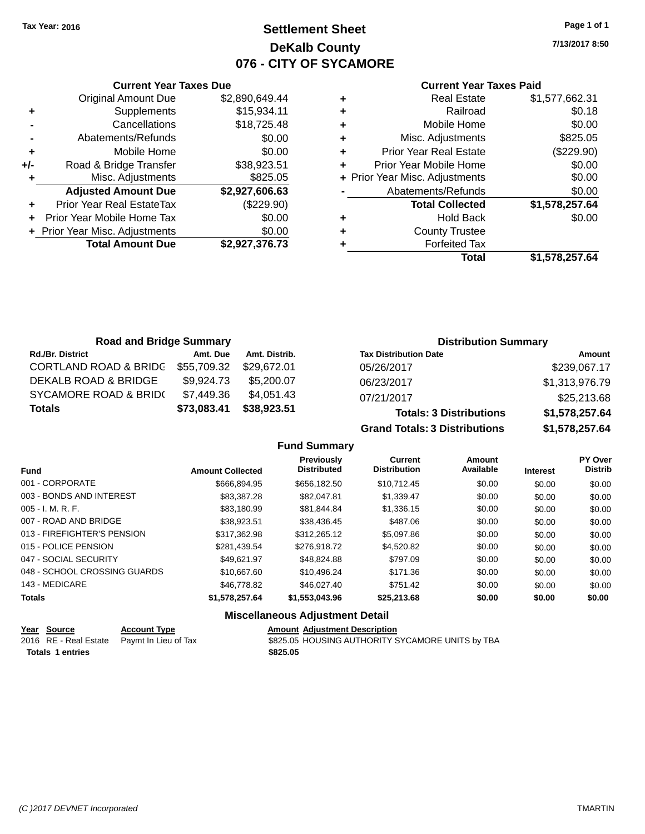# **Settlement Sheet Tax Year: 2016 Page 1 of 1 DeKalb County 076 - CITY OF SYCAMORE**

**7/13/2017 8:50**

### **Current Year Taxes Paid**

|     | <b>Current Year Taxes Due</b>  |                |
|-----|--------------------------------|----------------|
|     | <b>Original Amount Due</b>     | \$2,890,649.44 |
| ٠   | Supplements                    | \$15,934.11    |
|     | Cancellations                  | \$18,725.48    |
|     | Abatements/Refunds             | \$0.00         |
| ٠   | Mobile Home                    | \$0.00         |
| +/- | Road & Bridge Transfer         | \$38,923.51    |
|     | Misc. Adjustments              | \$825.05       |
|     | <b>Adjusted Amount Due</b>     | \$2,927,606.63 |
| ٠   | Prior Year Real EstateTax      | (\$229.90)     |
|     | Prior Year Mobile Home Tax     | \$0.00         |
|     | + Prior Year Misc. Adjustments | \$0.00         |
|     | <b>Total Amount Due</b>        | \$2,927,376.73 |
|     |                                |                |

|   | <b>Real Estate</b>             | \$1,577,662.31 |
|---|--------------------------------|----------------|
| ٠ | Railroad                       | \$0.18         |
| ٠ | Mobile Home                    | \$0.00         |
| ٠ | Misc. Adjustments              | \$825.05       |
| ٠ | <b>Prior Year Real Estate</b>  | (\$229.90)     |
| ٠ | Prior Year Mobile Home         | \$0.00         |
|   | + Prior Year Misc. Adjustments | \$0.00         |
|   | Abatements/Refunds             | \$0.00         |
|   | <b>Total Collected</b>         | \$1,578,257.64 |
| ٠ | <b>Hold Back</b>               | \$0.00         |
| ٠ | <b>County Trustee</b>          |                |
| ٠ | <b>Forfeited Tax</b>           |                |
|   | Total                          | \$1,578,257.64 |
|   |                                |                |

| <b>Road and Bridge Summary</b>   |             |               | <b>Distribution Summary</b>    |                |  |
|----------------------------------|-------------|---------------|--------------------------------|----------------|--|
| <b>Rd./Br. District</b>          | Amt. Due    | Amt. Distrib. | <b>Tax Distribution Date</b>   | Amount         |  |
| <b>CORTLAND ROAD &amp; BRIDG</b> | \$55,709.32 | \$29.672.01   | 05/26/2017                     | \$239,067.17   |  |
| DEKALB ROAD & BRIDGE             | \$9.924.73  | \$5.200.07    | 06/23/2017                     | \$1,313,976.79 |  |
| SYCAMORE ROAD & BRID(            | \$7,449.36  | \$4.051.43    | 07/21/2017                     | \$25,213.68    |  |
| <b>Totals</b>                    | \$73,083.41 | \$38,923.51   | <b>Totals: 3 Distributions</b> | \$1,578,257.64 |  |

**Grand Totals: 3 Distributions \$1,578,257.64**

**Fund Summary**

| <b>Fund</b>                  | <b>Amount Collected</b> | Previously<br><b>Distributed</b> | <b>Current</b><br><b>Distribution</b> | Amount<br>Available | <b>Interest</b> | PY Over<br><b>Distrib</b> |
|------------------------------|-------------------------|----------------------------------|---------------------------------------|---------------------|-----------------|---------------------------|
| 001 - CORPORATE              | \$666.894.95            | \$656,182,50                     | \$10.712.45                           | \$0.00              | \$0.00          | \$0.00                    |
| 003 - BONDS AND INTEREST     | \$83,387,28             | \$82.047.81                      | \$1,339.47                            | \$0.00              | \$0.00          | \$0.00                    |
| $005 - I. M. R. F.$          | \$83.180.99             | \$81.844.84                      | \$1,336.15                            | \$0.00              | \$0.00          | \$0.00                    |
| 007 - ROAD AND BRIDGE        | \$38.923.51             | \$38.436.45                      | \$487.06                              | \$0.00              | \$0.00          | \$0.00                    |
| 013 - FIREFIGHTER'S PENSION  | \$317.362.98            | \$312,265.12                     | \$5,097.86                            | \$0.00              | \$0.00          | \$0.00                    |
| 015 - POLICE PENSION         | \$281.439.54            | \$276.918.72                     | \$4,520.82                            | \$0.00              | \$0.00          | \$0.00                    |
| 047 - SOCIAL SECURITY        | \$49.621.97             | \$48.824.88                      | \$797.09                              | \$0.00              | \$0.00          | \$0.00                    |
| 048 - SCHOOL CROSSING GUARDS | \$10,667.60             | \$10.496.24                      | \$171.36                              | \$0.00              | \$0.00          | \$0.00                    |
| 143 - MEDICARE               | \$46,778.82             | \$46,027.40                      | \$751.42                              | \$0.00              | \$0.00          | \$0.00                    |
| <b>Totals</b>                | \$1,578,257.64          | \$1,553,043.96                   | \$25,213.68                           | \$0.00              | \$0.00          | \$0.00                    |

# **Miscellaneous Adjustment Detail**

| Year Source             | <b>Account Type</b>                        | <b>Amount Adjustment Description</b>             |
|-------------------------|--------------------------------------------|--------------------------------------------------|
|                         | 2016 RE - Real Estate Paymt In Lieu of Tax | \$825.05 HOUSING AUTHORITY SYCAMORE UNITS by TBA |
| <b>Totals 1 entries</b> |                                            | \$825.05                                         |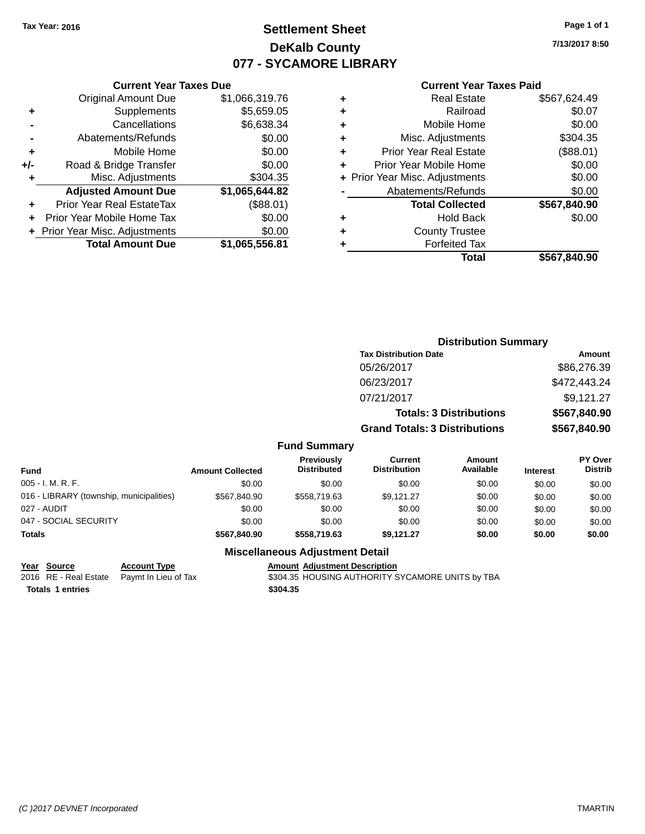# **Settlement Sheet Tax Year: 2016 Page 1 of 1 DeKalb County 077 - SYCAMORE LIBRARY**

**7/13/2017 8:50**

# **Current Year Taxes Paid**

|   | Total                          | \$567.840.90 |
|---|--------------------------------|--------------|
|   | <b>Forfeited Tax</b>           |              |
| ٠ | <b>County Trustee</b>          |              |
| ٠ | <b>Hold Back</b>               | \$0.00       |
|   | <b>Total Collected</b>         | \$567,840.90 |
|   | Abatements/Refunds             | \$0.00       |
|   | + Prior Year Misc. Adjustments | \$0.00       |
|   | Prior Year Mobile Home         | \$0.00       |
| ٠ | <b>Prior Year Real Estate</b>  | (\$88.01)    |
| ٠ | Misc. Adjustments              | \$304.35     |
| ٠ | Mobile Home                    | \$0.00       |
| ٠ | Railroad                       | \$0.07       |
| ٠ | <b>Real Estate</b>             | \$567,624.49 |
|   |                                |              |

### Original Amount Due \$1,066,319.76 **+** Supplements \$5,659.05 **-** Cancellations \$6,638.34 **-** Abatements/Refunds \$0.00 **+** Mobile Home \$0.00 **+/-** Road & Bridge Transfer \$0.00 **+** Misc. Adjustments \$304.35 **Adjusted Amount Due \$1,065,644.82 +** Prior Year Real EstateTax (\$88.01) **+** Prior Year Mobile Home Tax \$0.00 **+ Prior Year Misc. Adjustments**  $$0.00$ **Total Amount Due \$1,065,556.81**

**Current Year Taxes Due**

| <b>Tax Distribution Date</b> | Amount                                                                                                              |
|------------------------------|---------------------------------------------------------------------------------------------------------------------|
| 05/26/2017                   | \$86,276.39                                                                                                         |
| 06/23/2017                   | \$472,443.24                                                                                                        |
| 07/21/2017                   | \$9,121.27                                                                                                          |
|                              | \$567,840.90                                                                                                        |
|                              | \$567,840.90                                                                                                        |
|                              | <b>BY A.L.</b>                                                                                                      |
|                              | <b>Distribution Summary</b><br><b>Totals: 3 Distributions</b><br><b>Grand Totals: 3 Distributions</b><br><b>A</b> 4 |

| <b>Fund</b>                              | <b>Amount Collected</b> | <b>Previously</b><br><b>Distributed</b> | Current<br><b>Distribution</b> | Amount<br>Available | <b>Interest</b> | PY Over<br><b>Distrib</b> |
|------------------------------------------|-------------------------|-----------------------------------------|--------------------------------|---------------------|-----------------|---------------------------|
| $005 - I. M. R. F.$                      | \$0.00                  | \$0.00                                  | \$0.00                         | \$0.00              | \$0.00          | \$0.00                    |
| 016 - LIBRARY (township, municipalities) | \$567,840.90            | \$558,719.63                            | \$9.121.27                     | \$0.00              | \$0.00          | \$0.00                    |
| 027 - AUDIT                              | \$0.00                  | \$0.00                                  | \$0.00                         | \$0.00              | \$0.00          | \$0.00                    |
| 047 - SOCIAL SECURITY                    | \$0.00                  | \$0.00                                  | \$0.00                         | \$0.00              | \$0.00          | \$0.00                    |
| <b>Totals</b>                            | \$567,840,90            | \$558,719.63                            | \$9,121.27                     | \$0.00              | \$0.00          | \$0.00                    |

# **Miscellaneous Adjustment Detail**

### **Year Source Account Type Amount Adjustment Description**

**Totals \$304.35 1 entries**

2016 RE - Real Estate Paymt In Lieu of Tax \$304.35 HOUSING AUTHORITY SYCAMORE UNITS by TBA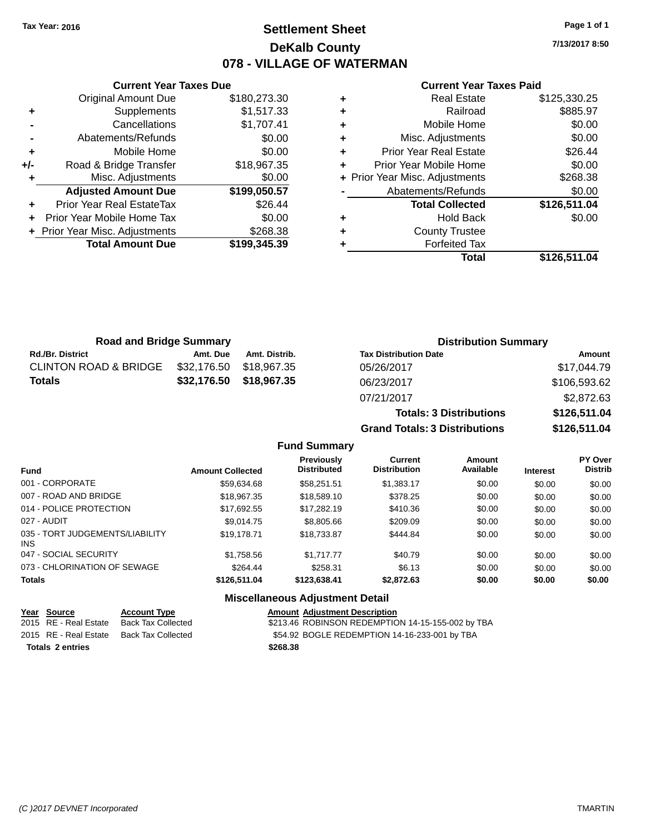# **Settlement Sheet Tax Year: 2016 Page 1 of 1 DeKalb County 078 - VILLAGE OF WATERMAN**

**7/13/2017 8:50**

### **Current Year Taxes Paid**

|     | <b>Total Amount Due</b>        | \$199,345.39 |
|-----|--------------------------------|--------------|
|     | + Prior Year Misc. Adjustments | \$268.38     |
| ÷   | Prior Year Mobile Home Tax     | \$0.00       |
| ÷   | Prior Year Real EstateTax      | \$26.44      |
|     | <b>Adjusted Amount Due</b>     | \$199,050.57 |
|     | Misc. Adjustments              | \$0.00       |
| +/- | Road & Bridge Transfer         | \$18,967.35  |
| ٠   | Mobile Home                    | \$0.00       |
|     | Abatements/Refunds             | \$0.00       |
|     | Cancellations                  | \$1,707.41   |
| ٠   | Supplements                    | \$1,517.33   |
|     | <b>Original Amount Due</b>     | \$180,273.30 |
|     |                                |              |

**Current Year Taxes Due**

|   | <b>Real Estate</b>             | \$125,330.25 |
|---|--------------------------------|--------------|
| ٠ | Railroad                       | \$885.97     |
| ٠ | Mobile Home                    | \$0.00       |
| ٠ | Misc. Adjustments              | \$0.00       |
| ٠ | <b>Prior Year Real Estate</b>  | \$26.44      |
| ٠ | Prior Year Mobile Home         | \$0.00       |
|   | + Prior Year Misc. Adjustments | \$268.38     |
|   | Abatements/Refunds             | \$0.00       |
|   | <b>Total Collected</b>         | \$126,511.04 |
| ٠ | <b>Hold Back</b>               | \$0.00       |
| ٠ | <b>County Trustee</b>          |              |
|   | <b>Forfeited Tax</b>           |              |
|   | Total                          | \$126,511.04 |

**Grand Totals: 3 Distributions \$126,511.04**

| <b>Road and Bridge Summary</b>   |             |               | <b>Distribution Summary</b>    |              |  |
|----------------------------------|-------------|---------------|--------------------------------|--------------|--|
| <b>Rd./Br. District</b>          | Amt. Due    | Amt. Distrib. | <b>Tax Distribution Date</b>   | Amount       |  |
| <b>CLINTON ROAD &amp; BRIDGE</b> | \$32,176.50 | \$18.967.35   | 05/26/2017                     | \$17,044.79  |  |
| <b>Totals</b>                    | \$32,176.50 | \$18,967.35   | 06/23/2017                     | \$106,593.62 |  |
|                                  |             |               | 07/21/2017                     | \$2,872.63   |  |
|                                  |             |               | <b>Totals: 3 Distributions</b> | \$126,511.04 |  |

**Fund Summary Fund Interest Amount Collected Distributed PY Over Distrib Amount Available Current Distribution Previously** 001 - CORPORATE \$59,634.68 \$58,251.51 \$1,383.17 \$0.00 \$0.00 \$0.00 007 - ROAD AND BRIDGE \$18,967.35 \$18,589.10 \$378.25 \$0.00 \$0.00 \$0.00 \$0.00 014 - POLICE PROTECTION \$17,692.55 \$17,282.19 \$410.36 \$0.00 \$0.00 \$0.00 \$0.00 027 - AUDIT \$9,014.75 \$8,805.66 \$209.09 \$0.00 \$0.00 \$0.00 035 - TORT JUDGEMENTS/LIABILITY INS \$19,178.71 \$18,733.87 \$444.84 \$0.00 \$0.00 \$0.00 047 - SOCIAL SECURITY \$1,758.56 \$1,717.77 \$40.79 \$0.00 \$0.00 \$0.00 073 - CHLORINATION OF SEWAGE \$264.44 \$258.31 \$6.13 \$0.00 \$0.00 \$0.00 \$0.00 **Totals \$126,511.04 \$123,638.41 \$2,872.63 \$0.00 \$0.00 \$0.00**

### **Miscellaneous Adjustment Detail**

| Year Source             | <b>Account Type</b> | <b>Amount Adjustment Description</b>              |
|-------------------------|---------------------|---------------------------------------------------|
| 2015 RE - Real Estate   | Back Tax Collected  | \$213.46 ROBINSON REDEMPTION 14-15-155-002 by TBA |
| 2015 RE - Real Estate   | Back Tax Collected  | \$54.92 BOGLE REDEMPTION 14-16-233-001 by TBA     |
| <b>Totals 2 entries</b> |                     | \$268.38                                          |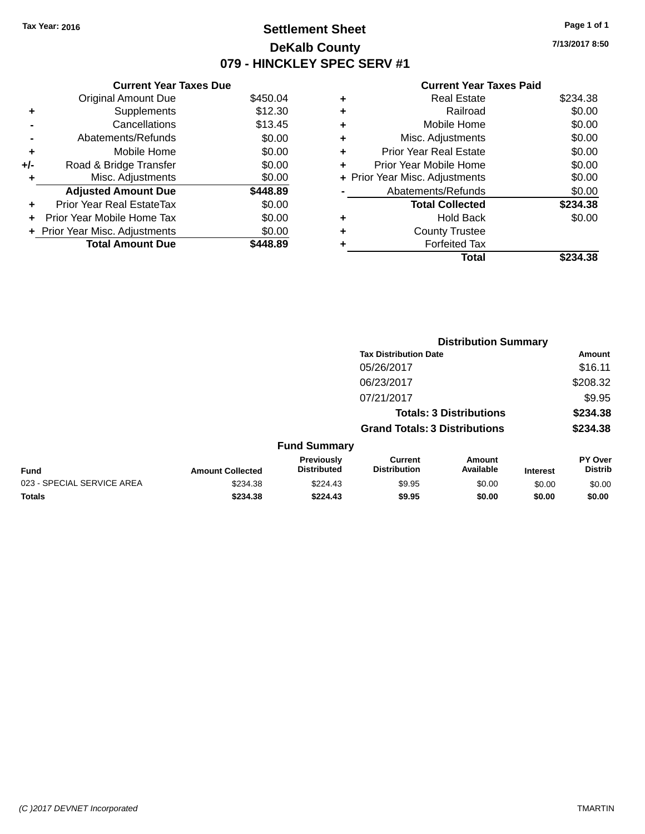# **Settlement Sheet Tax Year: 2016 Page 1 of 1 DeKalb County 079 - HINCKLEY SPEC SERV #1**

**7/13/2017 8:50**

### **Current Year Taxes Paid**

|     | <b>Current Year Taxes Due</b>  |              |
|-----|--------------------------------|--------------|
|     | <b>Original Amount Due</b>     | \$450.04     |
| ٠   | Supplements                    | \$12.30      |
|     | Cancellations                  | \$13.45      |
|     | Abatements/Refunds             | \$0.00       |
| ٠   | Mobile Home                    | \$0.00       |
| +/- | Road & Bridge Transfer         | \$0.00       |
| ٠   | Misc. Adjustments              | \$0.00       |
|     | <b>Adjusted Amount Due</b>     | \$448.89     |
| ÷   | Prior Year Real EstateTax      | \$0.00       |
| ÷   | Prior Year Mobile Home Tax     | \$0.00       |
|     | + Prior Year Misc. Adjustments | \$0.00       |
|     | <b>Total Amount Due</b>        | <b>48.89</b> |

| ٠ | <b>Real Estate</b>             | \$234.38 |
|---|--------------------------------|----------|
| ٠ | Railroad                       | \$0.00   |
| ٠ | Mobile Home                    | \$0.00   |
| ٠ | Misc. Adjustments              | \$0.00   |
| ÷ | <b>Prior Year Real Estate</b>  | \$0.00   |
| ٠ | Prior Year Mobile Home         | \$0.00   |
|   | + Prior Year Misc. Adjustments | \$0.00   |
|   | Abatements/Refunds             | \$0.00   |
|   | <b>Total Collected</b>         | \$234.38 |
| ٠ | Hold Back                      | \$0.00   |
| ٠ | <b>County Trustee</b>          |          |
| ٠ | <b>Forfeited Tax</b>           |          |
|   | Total                          | \$234.38 |
|   |                                |          |

|                            |                         |                                  |                                       | <b>Distribution Summary</b>    |                 |                           |
|----------------------------|-------------------------|----------------------------------|---------------------------------------|--------------------------------|-----------------|---------------------------|
|                            |                         |                                  | <b>Tax Distribution Date</b>          |                                |                 | Amount                    |
|                            |                         |                                  | 05/26/2017                            |                                |                 | \$16.11                   |
|                            |                         |                                  | 06/23/2017                            |                                |                 | \$208.32                  |
|                            |                         |                                  | 07/21/2017                            |                                |                 | \$9.95                    |
|                            |                         |                                  |                                       | <b>Totals: 3 Distributions</b> |                 | \$234.38                  |
|                            |                         |                                  | <b>Grand Totals: 3 Distributions</b>  |                                |                 | \$234.38                  |
|                            |                         | <b>Fund Summary</b>              |                                       |                                |                 |                           |
| <b>Fund</b>                | <b>Amount Collected</b> | Previously<br><b>Distributed</b> | <b>Current</b><br><b>Distribution</b> | Amount<br>Available            | <b>Interest</b> | PY Over<br><b>Distrib</b> |
| 023 - SPECIAL SERVICE AREA | \$234.38                | \$224.43                         | \$9.95                                | \$0.00                         | \$0.00          | \$0.00                    |
| <b>Totals</b>              | \$234.38                | \$224.43                         | \$9.95                                | \$0.00                         | \$0.00          | \$0.00                    |
|                            |                         |                                  |                                       |                                |                 |                           |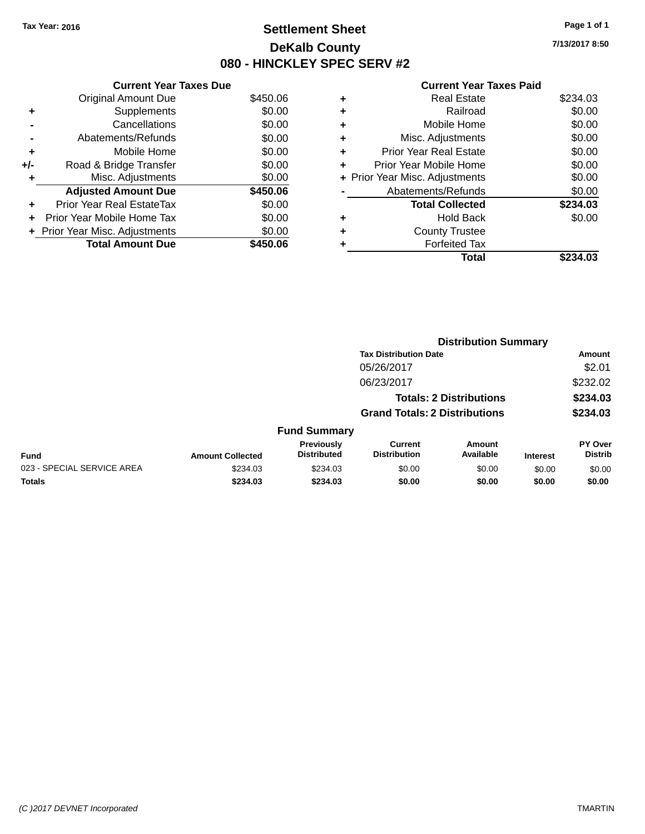# **Settlement Sheet Tax Year: 2016 Page 1 of 1 DeKalb County 080 - HINCKLEY SPEC SERV #2**

**7/13/2017 8:50**

### **Current Year Taxes Paid**

|     | <b>Current Year Taxes Due</b> |          |
|-----|-------------------------------|----------|
|     | <b>Original Amount Due</b>    | \$450.06 |
| ٠   | Supplements                   | \$0.00   |
|     | Cancellations                 | \$0.00   |
|     | Abatements/Refunds            | \$0.00   |
| ٠   | Mobile Home                   | \$0.00   |
| +/- | Road & Bridge Transfer        | \$0.00   |
| ٠   | Misc. Adjustments             | \$0.00   |
|     | <b>Adjusted Amount Due</b>    | \$450.06 |
| ٠   | Prior Year Real EstateTax     | \$0.00   |
| ÷   | Prior Year Mobile Home Tax    | \$0.00   |
|     | Prior Year Misc. Adjustments  | \$0.00   |
|     | <b>Total Amount Due</b>       | \$450.06 |

|   | <b>Real Estate</b>             | \$234.03 |
|---|--------------------------------|----------|
| ٠ | Railroad                       | \$0.00   |
| ٠ | Mobile Home                    | \$0.00   |
| ٠ | Misc. Adjustments              | \$0.00   |
| ÷ | <b>Prior Year Real Estate</b>  | \$0.00   |
| ٠ | Prior Year Mobile Home         | \$0.00   |
|   | + Prior Year Misc. Adjustments | \$0.00   |
|   | Abatements/Refunds             | \$0.00   |
|   | <b>Total Collected</b>         | \$234.03 |
| ٠ | <b>Hold Back</b>               | \$0.00   |
|   | <b>County Trustee</b>          |          |
|   | <b>Forfeited Tax</b>           |          |
|   | Total                          | \$234.03 |
|   |                                |          |

|                            |                         |                                  |                                       | <b>Distribution Summary</b>    |                 |                           |
|----------------------------|-------------------------|----------------------------------|---------------------------------------|--------------------------------|-----------------|---------------------------|
|                            |                         |                                  | <b>Tax Distribution Date</b>          |                                |                 | <b>Amount</b>             |
|                            |                         |                                  | 05/26/2017                            |                                |                 | \$2.01                    |
|                            |                         |                                  | 06/23/2017                            |                                |                 | \$232.02                  |
|                            |                         |                                  |                                       | <b>Totals: 2 Distributions</b> |                 | \$234.03                  |
|                            |                         |                                  | <b>Grand Totals: 2 Distributions</b>  |                                |                 | \$234.03                  |
|                            |                         | <b>Fund Summary</b>              |                                       |                                |                 |                           |
| <b>Fund</b>                | <b>Amount Collected</b> | Previously<br><b>Distributed</b> | <b>Current</b><br><b>Distribution</b> | <b>Amount</b><br>Available     | <b>Interest</b> | PY Over<br><b>Distrib</b> |
| 023 - SPECIAL SERVICE AREA | \$234.03                | \$234.03                         | \$0.00                                | \$0.00                         | \$0.00          | \$0.00                    |
| <b>Totals</b>              | \$234.03                | \$234.03                         | \$0.00                                | \$0.00                         | \$0.00          | \$0.00                    |
|                            |                         |                                  |                                       |                                |                 |                           |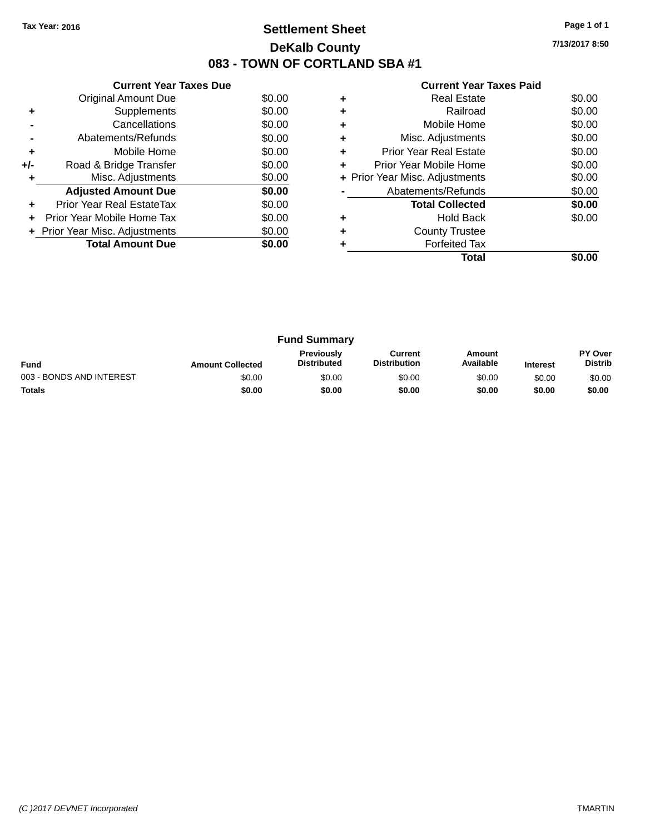# **Settlement Sheet Tax Year: 2016 Page 1 of 1 DeKalb County 083 - TOWN OF CORTLAND SBA #1**

**7/13/2017 8:50**

| <b>Current Year Taxes Paid</b> |  |  |  |
|--------------------------------|--|--|--|
|--------------------------------|--|--|--|

|     | <b>Current Year Taxes Due</b>  |        |
|-----|--------------------------------|--------|
|     | Original Amount Due            | \$0.00 |
| ٠   | Supplements                    | \$0.00 |
|     | Cancellations                  | \$0.00 |
|     | Abatements/Refunds             | \$0.00 |
| ٠   | Mobile Home                    | \$0.00 |
| +/- | Road & Bridge Transfer         | \$0.00 |
| ٠   | Misc. Adjustments              | \$0.00 |
|     | <b>Adjusted Amount Due</b>     | \$0.00 |
| ٠   | Prior Year Real EstateTax      | \$0.00 |
|     | Prior Year Mobile Home Tax     | \$0.00 |
|     | + Prior Year Misc. Adjustments | \$0.00 |
|     | <b>Total Amount Due</b>        | \$0.00 |
|     |                                |        |

|   | <b>Real Estate</b>             | \$0.00 |
|---|--------------------------------|--------|
| ٠ | Railroad                       | \$0.00 |
| ٠ | Mobile Home                    | \$0.00 |
| ٠ | Misc. Adjustments              | \$0.00 |
| ٠ | <b>Prior Year Real Estate</b>  | \$0.00 |
| ٠ | Prior Year Mobile Home         | \$0.00 |
|   | + Prior Year Misc. Adjustments | \$0.00 |
|   | Abatements/Refunds             | \$0.00 |
|   | <b>Total Collected</b>         | \$0.00 |
| ٠ | <b>Hold Back</b>               | \$0.00 |
| ÷ | <b>County Trustee</b>          |        |
|   | <b>Forfeited Tax</b>           |        |
|   | Total                          |        |

| <b>Fund Summary</b>      |                         |                                         |                                |                     |                 |                                  |
|--------------------------|-------------------------|-----------------------------------------|--------------------------------|---------------------|-----------------|----------------------------------|
| <b>Fund</b>              | <b>Amount Collected</b> | <b>Previously</b><br><b>Distributed</b> | Current<br><b>Distribution</b> | Amount<br>Available | <b>Interest</b> | <b>PY Over</b><br><b>Distrib</b> |
| 003 - BONDS AND INTEREST | \$0.00                  | \$0.00                                  | \$0.00                         | \$0.00              | \$0.00          | \$0.00                           |
| <b>Totals</b>            | \$0.00                  | \$0.00                                  | \$0.00                         | \$0.00              | \$0.00          | \$0.00                           |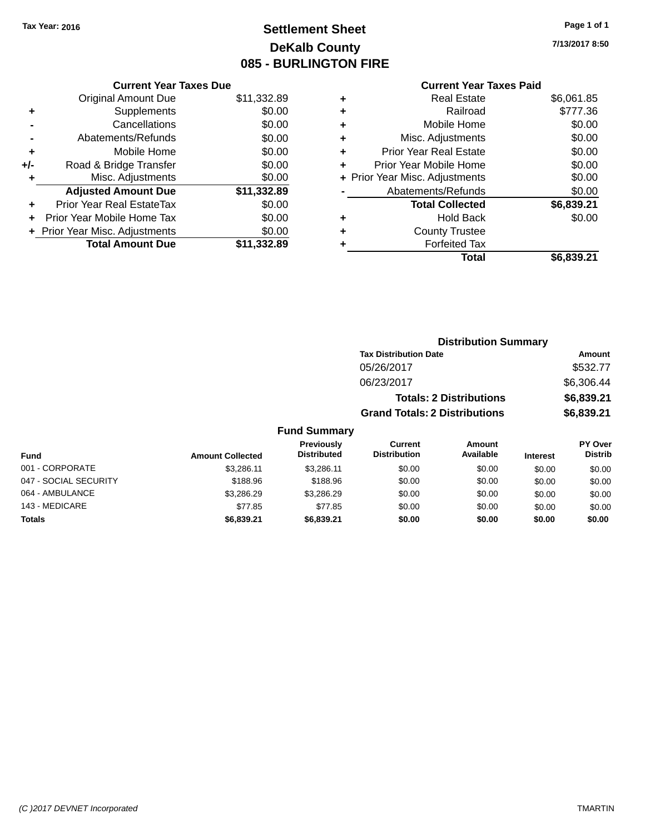# **Settlement Sheet Tax Year: 2016 Page 1 of 1 DeKalb County 085 - BURLINGTON FIRE**

143 - MEDICARE \$77.85 \$77.85 \$0.00 \$0.00 \$0.00 \$0.00 **Totals \$6,839.21 \$6,839.21 \$0.00 \$0.00 \$0.00 \$0.00**

**7/13/2017 8:50**

# **Current Year Taxes Paid**

|     | <b>Current Year Taxes Due</b>  |             |
|-----|--------------------------------|-------------|
|     | <b>Original Amount Due</b>     | \$11,332.89 |
| ٠   | Supplements                    | \$0.00      |
|     | Cancellations                  | \$0.00      |
|     | Abatements/Refunds             | \$0.00      |
| ٠   | Mobile Home                    | \$0.00      |
| +/- | Road & Bridge Transfer         | \$0.00      |
| ٠   | Misc. Adjustments              | \$0.00      |
|     | <b>Adjusted Amount Due</b>     | \$11,332.89 |
| ٠   | Prior Year Real EstateTax      | \$0.00      |
|     | Prior Year Mobile Home Tax     | \$0.00      |
|     | + Prior Year Misc. Adjustments | \$0.00      |
|     | <b>Total Amount Due</b>        | \$11,332.89 |
|     |                                |             |

| ٠ | Real Estate                    | \$6,061.85 |
|---|--------------------------------|------------|
| ٠ | Railroad                       | \$777.36   |
| ٠ | Mobile Home                    | \$0.00     |
| ٠ | Misc. Adjustments              | \$0.00     |
| ٠ | <b>Prior Year Real Estate</b>  | \$0.00     |
| ٠ | Prior Year Mobile Home         | \$0.00     |
|   | + Prior Year Misc. Adjustments | \$0.00     |
|   | Abatements/Refunds             | \$0.00     |
|   | <b>Total Collected</b>         | \$6,839.21 |
| ٠ | Hold Back                      | \$0.00     |
| ٠ | <b>County Trustee</b>          |            |
| ٠ | <b>Forfeited Tax</b>           |            |
|   | Total                          | \$6,839.21 |

|                       |                         |                                  | <b>Distribution Summary</b>           |                                |                 |                                  |
|-----------------------|-------------------------|----------------------------------|---------------------------------------|--------------------------------|-----------------|----------------------------------|
|                       |                         |                                  | <b>Tax Distribution Date</b>          |                                |                 | Amount                           |
|                       |                         |                                  | 05/26/2017                            |                                |                 | \$532.77                         |
|                       |                         |                                  | 06/23/2017                            |                                |                 | \$6,306.44                       |
|                       |                         |                                  |                                       | <b>Totals: 2 Distributions</b> |                 | \$6,839.21                       |
|                       |                         |                                  | <b>Grand Totals: 2 Distributions</b>  |                                |                 | \$6,839.21                       |
|                       |                         | <b>Fund Summary</b>              |                                       |                                |                 |                                  |
| <b>Fund</b>           | <b>Amount Collected</b> | Previously<br><b>Distributed</b> | <b>Current</b><br><b>Distribution</b> | <b>Amount</b><br>Available     | <b>Interest</b> | <b>PY Over</b><br><b>Distrib</b> |
| 001 - CORPORATE       | \$3.286.11              | \$3.286.11                       | \$0.00                                | \$0.00                         | \$0.00          | \$0.00                           |
| 047 - SOCIAL SECURITY | \$188.96                | \$188.96                         | \$0.00                                | \$0.00                         | \$0.00          | \$0.00                           |
| 064 - AMBULANCE       | \$3.286.29              | \$3,286.29                       | \$0.00                                | \$0.00                         | \$0.00          | \$0.00                           |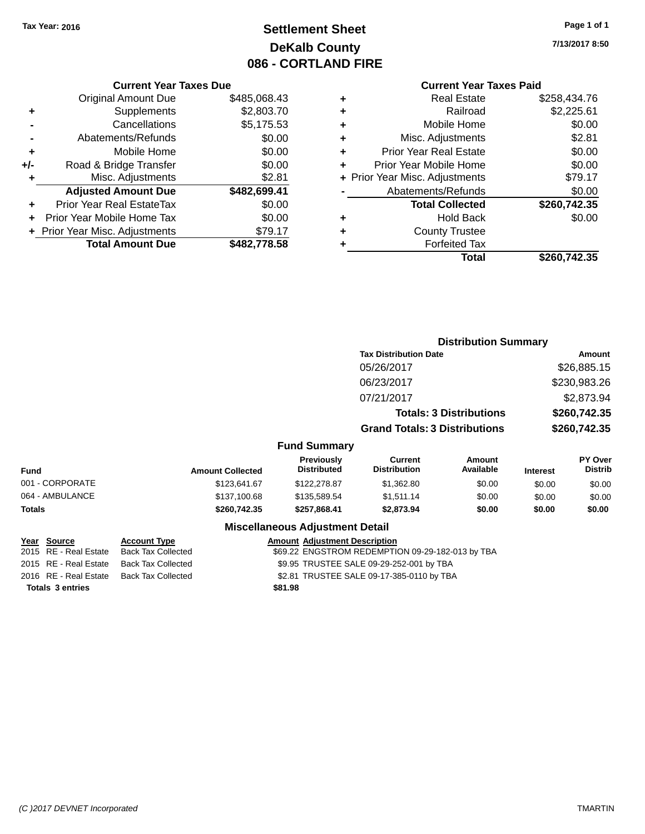# **Settlement Sheet Tax Year: 2016 Page 1 of 1 DeKalb County 086 - CORTLAND FIRE**

**7/13/2017 8:50**

# **Current Year Taxes Paid**

|     | <b>Current Year Taxes Due</b>  |              |  |  |  |  |
|-----|--------------------------------|--------------|--|--|--|--|
|     | <b>Original Amount Due</b>     | \$485,068.43 |  |  |  |  |
| ٠   | Supplements                    | \$2,803.70   |  |  |  |  |
|     | Cancellations                  | \$5,175.53   |  |  |  |  |
|     | Abatements/Refunds             | \$0.00       |  |  |  |  |
| ÷   | Mobile Home                    | \$0.00       |  |  |  |  |
| +/- | Road & Bridge Transfer         | \$0.00       |  |  |  |  |
|     | \$2.81<br>Misc. Adjustments    |              |  |  |  |  |
|     | <b>Adjusted Amount Due</b>     | \$482,699.41 |  |  |  |  |
| ٠   | Prior Year Real EstateTax      | \$0.00       |  |  |  |  |
|     | Prior Year Mobile Home Tax     | \$0.00       |  |  |  |  |
|     | + Prior Year Misc. Adjustments | \$79.17      |  |  |  |  |
|     | <b>Total Amount Due</b>        | \$482,778.58 |  |  |  |  |
|     |                                |              |  |  |  |  |

|   | <b>Real Estate</b>             | \$258,434.76 |
|---|--------------------------------|--------------|
| ٠ | Railroad                       | \$2,225.61   |
| ٠ | Mobile Home                    | \$0.00       |
| ٠ | Misc. Adjustments              | \$2.81       |
| ٠ | <b>Prior Year Real Estate</b>  | \$0.00       |
| ٠ | Prior Year Mobile Home         | \$0.00       |
|   | + Prior Year Misc. Adjustments | \$79.17      |
|   | Abatements/Refunds             | \$0.00       |
|   | <b>Total Collected</b>         | \$260,742.35 |
| ٠ | Hold Back                      | \$0.00       |
| ٠ | <b>County Trustee</b>          |              |
| ٠ | <b>Forfeited Tax</b>           |              |
|   | Total                          | \$260,742.35 |
|   |                                |              |

|                 |                         |                                        | <b>Distribution Summary</b>           |                                |                 |                                  |
|-----------------|-------------------------|----------------------------------------|---------------------------------------|--------------------------------|-----------------|----------------------------------|
|                 |                         |                                        | <b>Tax Distribution Date</b>          |                                |                 | Amount                           |
|                 |                         |                                        | 05/26/2017                            |                                |                 | \$26,885.15                      |
|                 |                         |                                        | 06/23/2017                            |                                |                 | \$230,983.26                     |
|                 |                         |                                        | 07/21/2017                            |                                |                 | \$2,873.94                       |
|                 |                         |                                        |                                       | <b>Totals: 3 Distributions</b> |                 | \$260,742.35                     |
|                 |                         |                                        | <b>Grand Totals: 3 Distributions</b>  |                                |                 | \$260,742.35                     |
|                 |                         | <b>Fund Summary</b>                    |                                       |                                |                 |                                  |
| <b>Fund</b>     | <b>Amount Collected</b> | Previously<br><b>Distributed</b>       | <b>Current</b><br><b>Distribution</b> | <b>Amount</b><br>Available     | <b>Interest</b> | <b>PY Over</b><br><b>Distrib</b> |
| 001 - CORPORATE | \$123,641.67            | \$122,278.87                           | \$1,362.80                            | \$0.00                         | \$0.00          | \$0.00                           |
| 064 - AMBULANCE | \$137,100.68            | \$135,589.54                           | \$1,511.14                            | \$0.00                         | \$0.00          | \$0.00                           |
| <b>Totals</b>   | \$260,742.35            | \$257,868.41                           | \$2,873.94                            | \$0.00                         | \$0.00          | \$0.00                           |
|                 |                         | <b>Miscellaneous Adjustment Detail</b> |                                       |                                |                 |                                  |

| <u>Year Source</u>      | <b>Account Type</b>                      | <b>Amount Adjustment Description</b>             |
|-------------------------|------------------------------------------|--------------------------------------------------|
| 2015 RE - Real Estate   | Back Tax Collected                       | \$69.22 ENGSTROM REDEMPTION 09-29-182-013 by TBA |
|                         | 2015 RE - Real Estate Back Tax Collected | \$9.95 TRUSTEE SALE 09-29-252-001 by TBA         |
|                         | 2016 RE - Real Estate Back Tax Collected | \$2.81 TRUSTEE SALE 09-17-385-0110 by TBA        |
| <b>Totals 3 entries</b> |                                          | \$81.98                                          |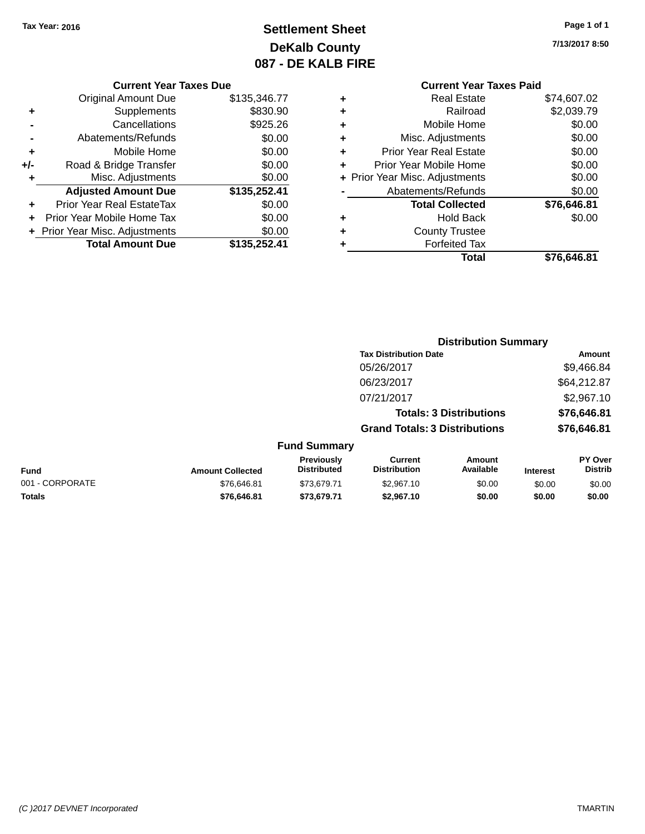# **Settlement Sheet Tax Year: 2016 Page 1 of 1 DeKalb County 087 - DE KALB FIRE**

**7/13/2017 8:50**

# **Current Year Taxes Due**

|     | <b>Original Amount Due</b>       | \$135,346.77 |
|-----|----------------------------------|--------------|
| ٠   | Supplements                      | \$830.90     |
|     | Cancellations                    | \$925.26     |
|     | Abatements/Refunds               | \$0.00       |
| ٠   | Mobile Home                      | \$0.00       |
| +/- | Road & Bridge Transfer           | \$0.00       |
| ٠   | Misc. Adjustments                | \$0.00       |
|     | <b>Adjusted Amount Due</b>       | \$135,252.41 |
|     | <b>Prior Year Real EstateTax</b> | \$0.00       |
|     | Prior Year Mobile Home Tax       | \$0.00       |
|     | + Prior Year Misc. Adjustments   | \$0.00       |
|     | <b>Total Amount Due</b>          | \$135,252.41 |

### **Current Year Taxes Paid +** Real Estate \$74,607.02 **+** Railroad \$2,039.79 **+** Mobile Home \$0.00 **+** Misc. Adjustments \$0.00 **+** Prior Year Real Estate \$0.00 **+** Prior Year Mobile Home \$0.00 **+ Prior Year Misc. Adjustments**  $$0.00$ **-** Abatements/Refunds \$0.00 **Total Collected \$76,646.81 +** Hold Back \$0.00 **+** County Trustee **+** Forfeited Tax

**Total \$76,646.81**

| <b>Distribution Summary</b>          |             |  |  |  |
|--------------------------------------|-------------|--|--|--|
| <b>Tax Distribution Date</b>         | Amount      |  |  |  |
| 05/26/2017                           | \$9,466.84  |  |  |  |
| 06/23/2017                           | \$64,212.87 |  |  |  |
| 07/21/2017                           | \$2,967.10  |  |  |  |
| <b>Totals: 3 Distributions</b>       | \$76,646.81 |  |  |  |
| <b>Grand Totals: 3 Distributions</b> | \$76,646.81 |  |  |  |

# **Fund Summary**

| <b>Fund</b>     | <b>Amount Collected</b> | Previouslv<br><b>Distributed</b> | Current<br><b>Distribution</b> | Amount<br>Available | <b>Interest</b> | <b>PY Over</b><br>Distrib |
|-----------------|-------------------------|----------------------------------|--------------------------------|---------------------|-----------------|---------------------------|
| 001 - CORPORATE | \$76.646.81             | \$73.679.71                      | \$2,967.10                     | \$0.00              | \$0.00          | \$0.00                    |
| <b>Totals</b>   | \$76,646.81             | \$73.679.71                      | \$2,967.10                     | \$0.00              | \$0.00          | \$0.00                    |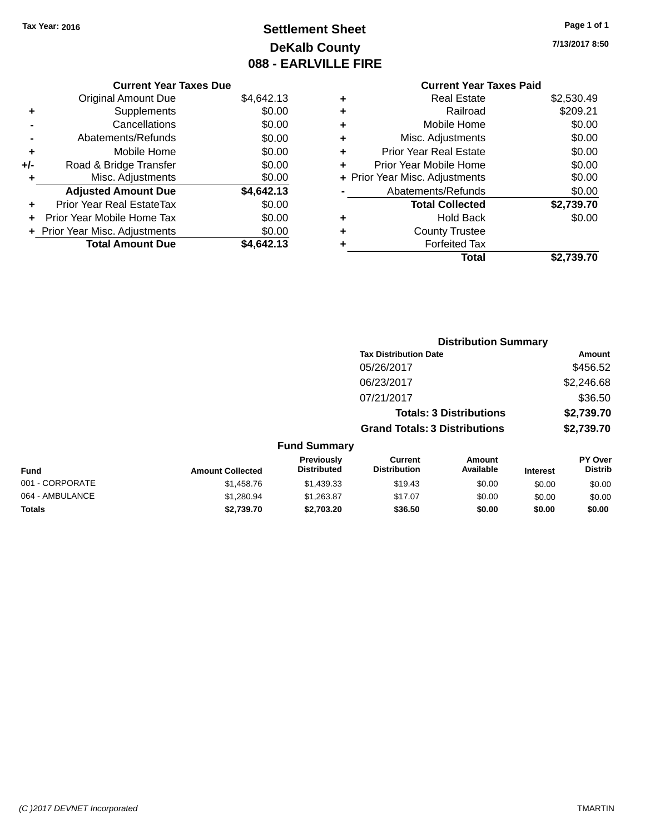# **Settlement Sheet Tax Year: 2016 Page 1 of 1 DeKalb County 088 - EARLVILLE FIRE**

**7/13/2017 8:50**

|     | <b>Current Year Taxes Due</b>  |            |  |  |  |
|-----|--------------------------------|------------|--|--|--|
|     | <b>Original Amount Due</b>     | \$4,642.13 |  |  |  |
| ٠   | Supplements                    | \$0.00     |  |  |  |
|     | Cancellations                  | \$0.00     |  |  |  |
|     | Abatements/Refunds             | \$0.00     |  |  |  |
| ٠   | Mobile Home                    |            |  |  |  |
| +/- | Road & Bridge Transfer         | \$0.00     |  |  |  |
| ٠   | Misc. Adjustments              | \$0.00     |  |  |  |
|     | <b>Adjusted Amount Due</b>     | \$4,642.13 |  |  |  |
| ٠   | Prior Year Real EstateTax      | \$0.00     |  |  |  |
|     | Prior Year Mobile Home Tax     | \$0.00     |  |  |  |
|     | + Prior Year Misc. Adjustments | \$0.00     |  |  |  |
|     | <b>Total Amount Due</b>        | \$4.642.13 |  |  |  |

### **Current Year Taxes Paid +** Real Estate \$2,530.49<br>**+** Railroad \$209.21 **+** Railroad \$209.21 **+** Mobile Home \$0.00 **+** Misc. Adjustments \$0.00 **+** Prior Year Real Estate \$0.00 **+** Prior Year Mobile Home \$0.00

|           | Total                          | \$2,739.70 |
|-----------|--------------------------------|------------|
|           | <b>Forfeited Tax</b>           |            |
|           | <b>County Trustee</b>          |            |
| $\ddot{}$ | <b>Hold Back</b>               | \$0.00     |
|           | <b>Total Collected</b>         | \$2,739.70 |
|           | Abatements/Refunds             | \$0.00     |
|           | + Prior Year Misc. Adjustments | \$0.00     |
|           |                                |            |

|                         |                                  |                                       | <b>Distribution Summary</b>    |                 |                                               |  |
|-------------------------|----------------------------------|---------------------------------------|--------------------------------|-----------------|-----------------------------------------------|--|
|                         |                                  | <b>Tax Distribution Date</b>          |                                |                 | Amount                                        |  |
|                         |                                  | 05/26/2017                            |                                |                 | \$456.52                                      |  |
|                         |                                  | 06/23/2017                            |                                |                 | \$2,246.68                                    |  |
|                         |                                  | 07/21/2017                            |                                |                 | \$36.50                                       |  |
|                         |                                  |                                       | <b>Totals: 3 Distributions</b> |                 | \$2,739.70                                    |  |
|                         |                                  | <b>Grand Totals: 3 Distributions</b>  |                                |                 | \$2,739.70                                    |  |
|                         | <b>Fund Summary</b>              |                                       |                                |                 |                                               |  |
| <b>Amount Collected</b> | Previously<br><b>Distributed</b> | <b>Current</b><br><b>Distribution</b> | Amount<br>Available            | <b>Interest</b> | PY Over<br><b>Distrib</b>                     |  |
| $A$ $A$ $A$ $B$ $D$     | $A$ $A$                          | $0.40 \times 10^{-1}$                 | 0000                           | $\sim$ $\sim$   | $\mathbf{A} \mathbf{A} \mathbf{A} \mathbf{A}$ |  |

| <b>Fund</b>     | <b>Amount Collected</b> | Previously<br><b>Distributed</b> | Current<br><b>Distribution</b> | Amount<br>Available | <b>Interest</b> | <b>PY Over</b><br><b>Distrib</b> |
|-----------------|-------------------------|----------------------------------|--------------------------------|---------------------|-----------------|----------------------------------|
| 001 - CORPORATE | \$1.458.76              | \$1,439.33                       | \$19.43                        | \$0.00              | \$0.00          | \$0.00                           |
| 064 - AMBULANCE | \$1,280.94              | \$1.263.87                       | \$17.07                        | \$0.00              | \$0.00          | \$0.00                           |
| Totals          | \$2.739.70              | \$2,703,20                       | \$36.50                        | \$0.00              | \$0.00          | \$0.00                           |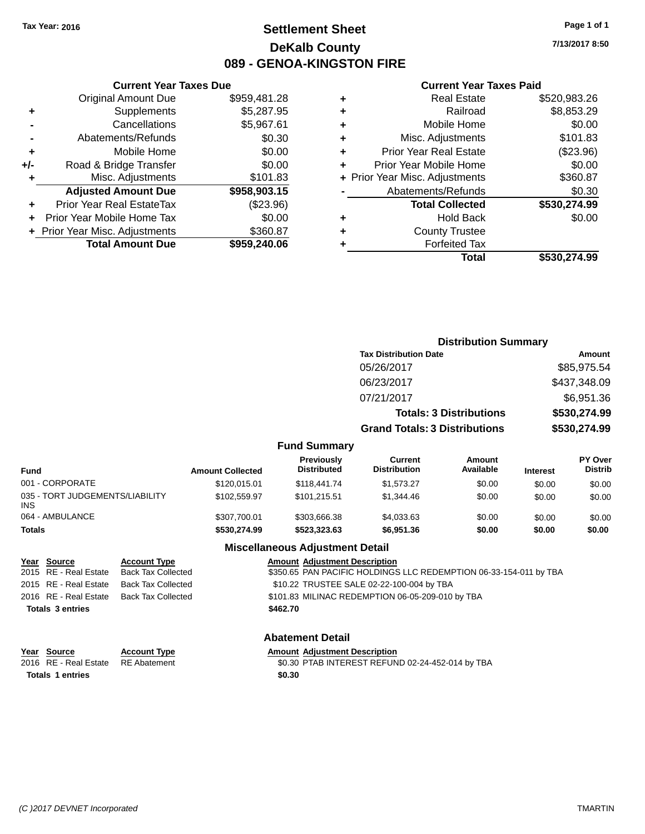# **Settlement Sheet Tax Year: 2016 Page 1 of 1 DeKalb County 089 - GENOA-KINGSTON FIRE**

**7/13/2017 8:50**

### **Current Year Taxes Paid**

|       | <b>Current Year Taxes Due</b>              |              |  |  |  |  |
|-------|--------------------------------------------|--------------|--|--|--|--|
|       | <b>Original Amount Due</b>                 | \$959,481.28 |  |  |  |  |
| ٠     | Supplements                                | \$5,287.95   |  |  |  |  |
|       | Cancellations                              | \$5,967.61   |  |  |  |  |
|       | Abatements/Refunds                         | \$0.30       |  |  |  |  |
| ٠     | Mobile Home                                | \$0.00       |  |  |  |  |
| $+/-$ | Road & Bridge Transfer                     | \$0.00       |  |  |  |  |
|       | Misc. Adjustments<br>\$101.83              |              |  |  |  |  |
|       | <b>Adjusted Amount Due</b>                 | \$958,903.15 |  |  |  |  |
| ٠     | Prior Year Real EstateTax                  | $(\$23.96)$  |  |  |  |  |
|       | Prior Year Mobile Home Tax                 | \$0.00       |  |  |  |  |
|       | \$360.87<br>+ Prior Year Misc. Adjustments |              |  |  |  |  |
|       | <b>Total Amount Due</b>                    | \$959,240.06 |  |  |  |  |
|       |                                            |              |  |  |  |  |

| ٠ | <b>Real Estate</b>             | \$520,983.26 |
|---|--------------------------------|--------------|
| ٠ | Railroad                       | \$8,853.29   |
| ٠ | Mobile Home                    | \$0.00       |
| ٠ | Misc. Adjustments              | \$101.83     |
| ٠ | <b>Prior Year Real Estate</b>  | (\$23.96)    |
| ÷ | Prior Year Mobile Home         | \$0.00       |
|   | + Prior Year Misc. Adjustments | \$360.87     |
|   | Abatements/Refunds             | \$0.30       |
|   | <b>Total Collected</b>         | \$530,274.99 |
| ٠ | <b>Hold Back</b>               | \$0.00       |
| ٠ | <b>County Trustee</b>          |              |
| ٠ | <b>Forfeited Tax</b>           |              |
|   | Total                          | \$530,274.99 |
|   |                                |              |

|                                               |                         |                                         | <b>Distribution Summary</b>           |                                |                 |                           |
|-----------------------------------------------|-------------------------|-----------------------------------------|---------------------------------------|--------------------------------|-----------------|---------------------------|
|                                               |                         |                                         | <b>Tax Distribution Date</b>          |                                |                 | Amount                    |
|                                               |                         |                                         | 05/26/2017                            |                                |                 | \$85,975.54               |
|                                               |                         |                                         | 06/23/2017                            |                                |                 | \$437,348.09              |
|                                               |                         |                                         | 07/21/2017                            |                                |                 | \$6,951.36                |
|                                               |                         |                                         |                                       | <b>Totals: 3 Distributions</b> |                 | \$530,274.99              |
|                                               |                         |                                         | <b>Grand Totals: 3 Distributions</b>  |                                |                 | \$530,274.99              |
|                                               |                         | <b>Fund Summary</b>                     |                                       |                                |                 |                           |
| <b>Fund</b>                                   | <b>Amount Collected</b> | <b>Previously</b><br><b>Distributed</b> | <b>Current</b><br><b>Distribution</b> | <b>Amount</b><br>Available     | <b>Interest</b> | PY Over<br><b>Distrib</b> |
| 001 - CORPORATE                               | \$120,015.01            | \$118,441.74                            | \$1,573.27                            | \$0.00                         | \$0.00          | \$0.00                    |
| 035 - TORT JUDGEMENTS/LIABILITY<br><b>INS</b> | \$102,559.97            | \$101,215.51                            | \$1,344.46                            | \$0.00                         | \$0.00          | \$0.00                    |
| 064 - AMBULANCE                               | \$307,700.01            | \$303,666.38                            | \$4,033.63                            | \$0.00                         | \$0.00          | \$0.00                    |
| <b>Totals</b>                                 | \$530,274.99            | \$523,323.63                            | \$6,951.36                            | \$0.00                         | \$0.00          | \$0.00                    |

# **Miscellaneous Adjustment Detail**

| Year Source             | <b>Account Type</b> | <b>Amount Adjustment Description</b>                              |
|-------------------------|---------------------|-------------------------------------------------------------------|
| 2015 RE - Real Estate   | Back Tax Collected  | \$350.65 PAN PACIFIC HOLDINGS LLC REDEMPTION 06-33-154-011 by TBA |
| 2015 RE - Real Estate   | Back Tax Collected  | \$10.22 TRUSTEE SALE 02-22-100-004 by TBA                         |
| 2016 RE - Real Estate   | Back Tax Collected  | \$101.83 MILINAC REDEMPTION 06-05-209-010 by TBA                  |
| <b>Totals 3 entries</b> |                     | \$462.70                                                          |
|                         |                     |                                                                   |

### **Abatement Detail**

| Year Source             | <b>Account Type</b> | <b>Amount Adjustment Description</b>             |
|-------------------------|---------------------|--------------------------------------------------|
| 2016 RE - Real Estate   | RE Abatement        | \$0.30 PTAB INTEREST REFUND 02-24-452-014 by TBA |
| <b>Totals 1 entries</b> |                     | \$0.30                                           |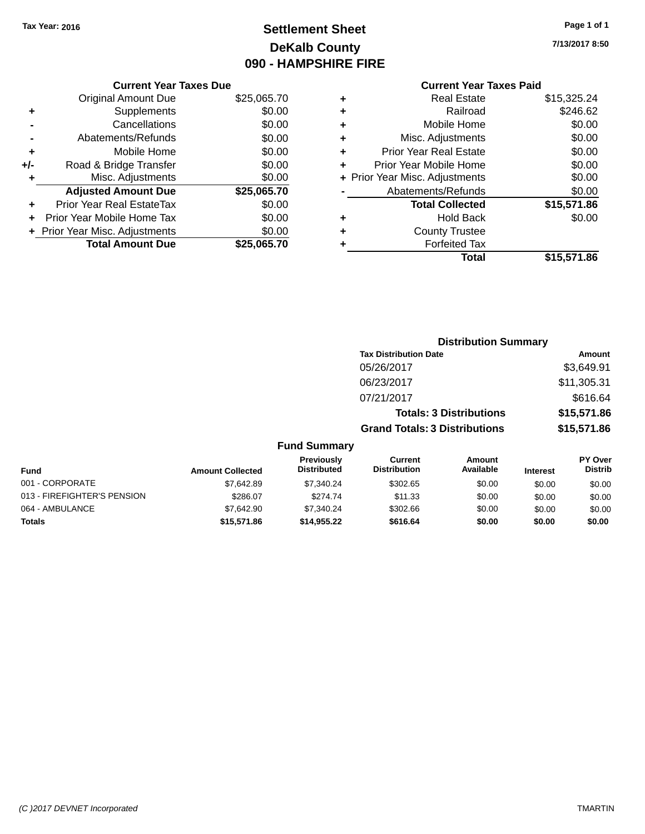# **Settlement Sheet Tax Year: 2016 Page 1 of 1 DeKalb County 090 - HAMPSHIRE FIRE**

**7/13/2017 8:50**

### **Current Year Taxes Due**

|     | <b>Original Amount Due</b>       | \$25,065.70 |
|-----|----------------------------------|-------------|
| ٠   | Supplements                      | \$0.00      |
|     | Cancellations                    | \$0.00      |
|     | Abatements/Refunds               | \$0.00      |
| ٠   | Mobile Home                      | \$0.00      |
| +/- | Road & Bridge Transfer           | \$0.00      |
| ٠   | Misc. Adjustments                | \$0.00      |
|     | <b>Adjusted Amount Due</b>       | \$25,065.70 |
| ÷   | <b>Prior Year Real EstateTax</b> | \$0.00      |
|     | Prior Year Mobile Home Tax       | \$0.00      |
|     | + Prior Year Misc. Adjustments   | \$0.00      |
|     | <b>Total Amount Due</b>          | \$25,065,70 |

# **Current Year Taxes Paid +** Real Estate \$15,325.24 **+** Railroad \$246.62 **+** Mobile Home \$0.00 **+** Misc. Adjustments \$0.00 **+** Prior Year Real Estate \$0.00 **+** Prior Year Mobile Home \$0.00 **+ Prior Year Misc. Adjustments**  $$0.00$ **-** Abatements/Refunds \$0.00 **Total Collected \$15,571.86 +** Hold Back \$0.00 **+** County Trustee **+** Forfeited Tax **Total \$15,571.86**

|                             |                         |                                         |                                      | <b>Distribution Summary</b>    |                 |                           |
|-----------------------------|-------------------------|-----------------------------------------|--------------------------------------|--------------------------------|-----------------|---------------------------|
|                             |                         |                                         | <b>Tax Distribution Date</b>         |                                |                 | Amount                    |
|                             |                         |                                         | 05/26/2017                           |                                |                 | \$3,649.91                |
|                             |                         |                                         | 06/23/2017                           |                                |                 | \$11,305.31               |
|                             |                         |                                         | 07/21/2017                           |                                |                 | \$616.64                  |
|                             |                         |                                         |                                      | <b>Totals: 3 Distributions</b> |                 | \$15,571.86               |
|                             |                         |                                         | <b>Grand Totals: 3 Distributions</b> |                                |                 | \$15,571.86               |
|                             |                         | <b>Fund Summary</b>                     |                                      |                                |                 |                           |
| <b>Fund</b>                 | <b>Amount Collected</b> | <b>Previously</b><br><b>Distributed</b> | Current<br><b>Distribution</b>       | <b>Amount</b><br>Available     | <b>Interest</b> | PY Over<br><b>Distrib</b> |
| 001 - CORPORATE             | \$7,642.89              | \$7,340.24                              | \$302.65                             | \$0.00                         | \$0.00          | \$0.00                    |
| 013 - FIREFIGHTER'S PENSION | \$286.07                | \$274.74                                | \$11.33                              | \$0.00                         | \$0.00          | \$0.00                    |
| 064 - AMBULANCE             | \$7,642.90              | \$7,340.24                              | \$302.66                             | \$0.00                         | \$0.00          | \$0.00                    |
| Totals                      | \$15,571.86             | \$14,955.22                             | \$616.64                             | \$0.00                         | \$0.00          | \$0.00                    |
|                             |                         |                                         |                                      |                                |                 |                           |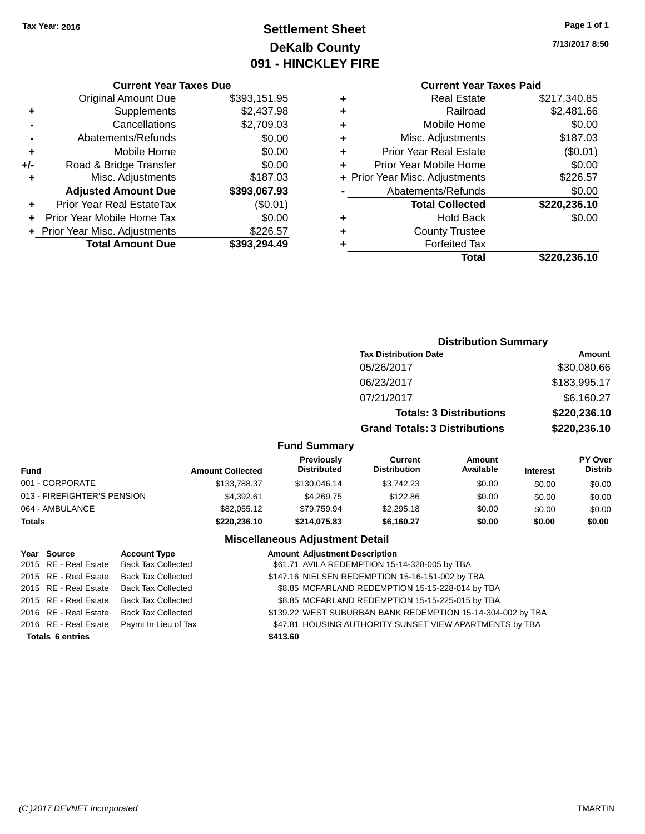# **Settlement Sheet Tax Year: 2016 Page 1 of 1 DeKalb County 091 - HINCKLEY FIRE**

**7/13/2017 8:50**

# **Current Year Taxes Paid**

|     | <b>Current Year Taxes Due</b>  |              |
|-----|--------------------------------|--------------|
|     | <b>Original Amount Due</b>     | \$393,151.95 |
| ٠   | Supplements                    | \$2,437.98   |
|     | Cancellations                  | \$2,709.03   |
|     | Abatements/Refunds             | \$0.00       |
| ٠   | Mobile Home                    | \$0.00       |
| +/- | Road & Bridge Transfer         | \$0.00       |
| ٠   | Misc. Adjustments              | \$187.03     |
|     | <b>Adjusted Amount Due</b>     | \$393,067.93 |
| ٠   | Prior Year Real EstateTax      | (\$0.01)     |
| ÷   | Prior Year Mobile Home Tax     | \$0.00       |
|     | + Prior Year Misc. Adjustments | \$226.57     |
|     | <b>Total Amount Due</b>        | \$393,294.49 |
|     |                                |              |

|   | Total                          | \$220,236.10 |
|---|--------------------------------|--------------|
| ٠ | <b>Forfeited Tax</b>           |              |
| ٠ | <b>County Trustee</b>          |              |
| ٠ | Hold Back                      | \$0.00       |
|   | <b>Total Collected</b>         | \$220,236.10 |
|   | Abatements/Refunds             | \$0.00       |
|   | + Prior Year Misc. Adjustments | \$226.57     |
| ٠ | Prior Year Mobile Home         | \$0.00       |
| ٠ | <b>Prior Year Real Estate</b>  | (\$0.01)     |
| ٠ | Misc. Adjustments              | \$187.03     |
| ٠ | Mobile Home                    | \$0.00       |
| ٠ | Railroad                       | \$2,481.66   |
| ٠ | Real Estate                    | \$217,340.85 |
|   |                                |              |

|                             |                         |                                         | <b>Distribution Summary</b>           |                                |                 |                           |
|-----------------------------|-------------------------|-----------------------------------------|---------------------------------------|--------------------------------|-----------------|---------------------------|
|                             |                         |                                         | <b>Tax Distribution Date</b>          |                                |                 | <b>Amount</b>             |
|                             |                         |                                         | 05/26/2017                            |                                |                 | \$30,080.66               |
|                             |                         |                                         | 06/23/2017                            |                                |                 | \$183,995.17              |
|                             |                         |                                         | 07/21/2017                            |                                |                 | \$6,160.27                |
|                             |                         |                                         |                                       | <b>Totals: 3 Distributions</b> |                 | \$220,236.10              |
|                             |                         |                                         | <b>Grand Totals: 3 Distributions</b>  |                                |                 | \$220,236.10              |
|                             |                         | <b>Fund Summary</b>                     |                                       |                                |                 |                           |
| <b>Fund</b>                 | <b>Amount Collected</b> | <b>Previously</b><br><b>Distributed</b> | <b>Current</b><br><b>Distribution</b> | Amount<br>Available            | <b>Interest</b> | PY Over<br><b>Distrib</b> |
| 001 - CORPORATE             | \$133,788.37            | \$130,046.14                            | \$3,742.23                            | \$0.00                         | \$0.00          | \$0.00                    |
| 013 - FIREFIGHTER'S PENSION | \$4,392.61              | \$4,269.75                              | \$122.86                              | \$0.00                         | \$0.00          | \$0.00                    |
| 064 - AMBULANCE             | \$82,055.12             | \$79,759.94                             | \$2,295.18                            | \$0.00                         | \$0.00          | \$0.00                    |
| <b>Totals</b>               | \$220,236.10            | \$214,075.83                            | \$6,160.27                            | \$0.00                         | \$0.00          | \$0.00                    |

### **Miscellaneous Adjustment Detail**

| Year Source             | <b>Account Type</b>                        | <b>Amount Adjustment Description</b>                        |
|-------------------------|--------------------------------------------|-------------------------------------------------------------|
|                         | 2015 RE - Real Estate Back Tax Collected   | \$61.71 AVILA REDEMPTION 15-14-328-005 by TBA               |
| 2015 RE - Real Estate   | <b>Back Tax Collected</b>                  | \$147.16 NIELSEN REDEMPTION 15-16-151-002 by TBA            |
|                         | 2015 RE - Real Estate Back Tax Collected   | \$8.85 MCFARLAND REDEMPTION 15-15-228-014 by TBA            |
|                         | 2015 RE - Real Estate Back Tax Collected   | \$8.85 MCFARLAND REDEMPTION 15-15-225-015 by TBA            |
| 2016 RE - Real Estate   | <b>Back Tax Collected</b>                  | \$139.22 WEST SUBURBAN BANK REDEMPTION 15-14-304-002 by TBA |
|                         | 2016 RE - Real Estate Paymt In Lieu of Tax | \$47.81 HOUSING AUTHORITY SUNSET VIEW APARTMENTS by TBA     |
| <b>Totals 6 entries</b> |                                            | \$413.60                                                    |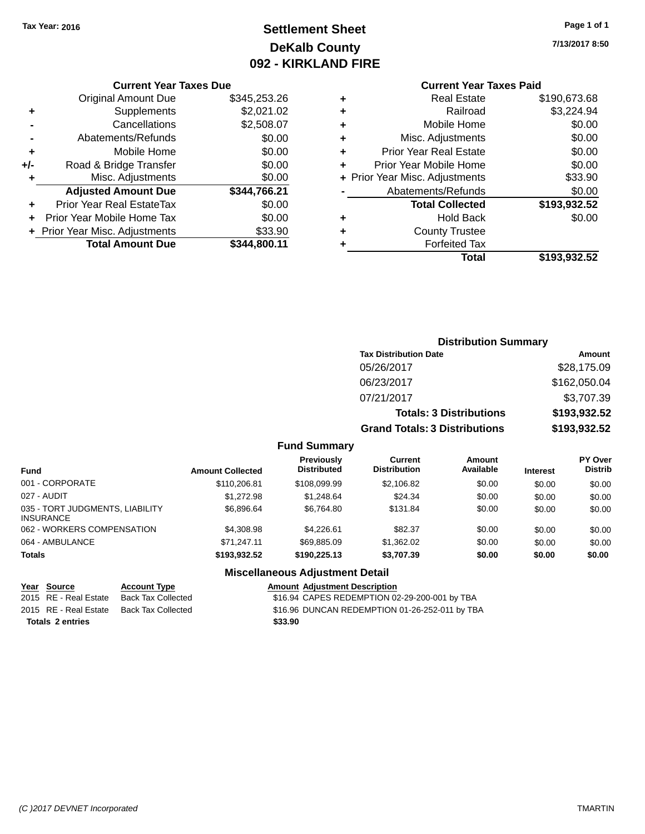# **Settlement Sheet Tax Year: 2016 Page 1 of 1 DeKalb County 092 - KIRKLAND FIRE**

**7/13/2017 8:50**

### **Current Year Taxes Due**

|       | <b>Original Amount Due</b>       | \$345,253.26 |
|-------|----------------------------------|--------------|
| ٠     | Supplements                      | \$2,021.02   |
|       | Cancellations                    | \$2,508.07   |
|       | Abatements/Refunds               | \$0.00       |
| ٠     | Mobile Home                      | \$0.00       |
| $+/-$ | Road & Bridge Transfer           | \$0.00       |
| ٠     | Misc. Adjustments                | \$0.00       |
|       | <b>Adjusted Amount Due</b>       | \$344,766.21 |
|       | <b>Prior Year Real EstateTax</b> | \$0.00       |
|       | Prior Year Mobile Home Tax       | \$0.00       |
|       | + Prior Year Misc. Adjustments   | \$33.90      |
|       | <b>Total Amount Due</b>          | \$344,800.11 |

# **Current Year Taxes Paid**

| ٠ | <b>Real Estate</b>             | \$190,673.68 |
|---|--------------------------------|--------------|
| ٠ | Railroad                       | \$3,224.94   |
| ٠ | Mobile Home                    | \$0.00       |
| ٠ | Misc. Adjustments              | \$0.00       |
| ٠ | <b>Prior Year Real Estate</b>  | \$0.00       |
| ٠ | Prior Year Mobile Home         | \$0.00       |
|   | + Prior Year Misc. Adjustments | \$33.90      |
|   | Abatements/Refunds             | \$0.00       |
|   | <b>Total Collected</b>         | \$193,932.52 |
| ٠ | <b>Hold Back</b>               | \$0.00       |
| ٠ | <b>County Trustee</b>          |              |
| ٠ | <b>Forfeited Tax</b>           |              |
|   | Total                          | \$193,932.52 |
|   |                                |              |

# **Distribution Summary Tax Distribution Date Amount** 05/26/2017 \$28,175.09 06/23/2017 \$162,050.04 07/21/2017 \$3,707.39 **Totals: 3 Distributions \$193,932.52 Grand Totals: 3 Distributions \$193,932.52**

### **Fund Summary**

| <b>Fund</b>                                         | <b>Amount Collected</b> | <b>Previously</b><br><b>Distributed</b> | Current<br><b>Distribution</b> | Amount<br>Available | <b>Interest</b> | PY Over<br><b>Distrib</b> |
|-----------------------------------------------------|-------------------------|-----------------------------------------|--------------------------------|---------------------|-----------------|---------------------------|
| 001 - CORPORATE                                     | \$110,206.81            | \$108,099.99                            | \$2,106.82                     | \$0.00              | \$0.00          | \$0.00                    |
| 027 - AUDIT                                         | \$1.272.98              | \$1.248.64                              | \$24.34                        | \$0.00              | \$0.00          | \$0.00                    |
| 035 - TORT JUDGMENTS, LIABILITY<br><b>INSURANCE</b> | \$6,896,64              | \$6.764.80                              | \$131.84                       | \$0.00              | \$0.00          | \$0.00                    |
| 062 - WORKERS COMPENSATION                          | \$4,308.98              | \$4.226.61                              | \$82.37                        | \$0.00              | \$0.00          | \$0.00                    |
| 064 - AMBULANCE                                     | \$71.247.11             | \$69.885.09                             | \$1,362.02                     | \$0.00              | \$0.00          | \$0.00                    |
| <b>Totals</b>                                       | \$193.932.52            | \$190,225.13                            | \$3.707.39                     | \$0.00              | \$0.00          | \$0.00                    |

# **Miscellaneous Adjustment Detail**

| Year Source             | <b>Account Type</b>                      | <b>Amount Adiustment Description</b>           |
|-------------------------|------------------------------------------|------------------------------------------------|
| 2015 RE - Real Estate   | Back Tax Collected                       | \$16.94 CAPES REDEMPTION 02-29-200-001 by TBA  |
|                         | 2015 RE - Real Estate Back Tax Collected | \$16.96 DUNCAN REDEMPTION 01-26-252-011 by TBA |
| <b>Totals 2 entries</b> |                                          | \$33.90                                        |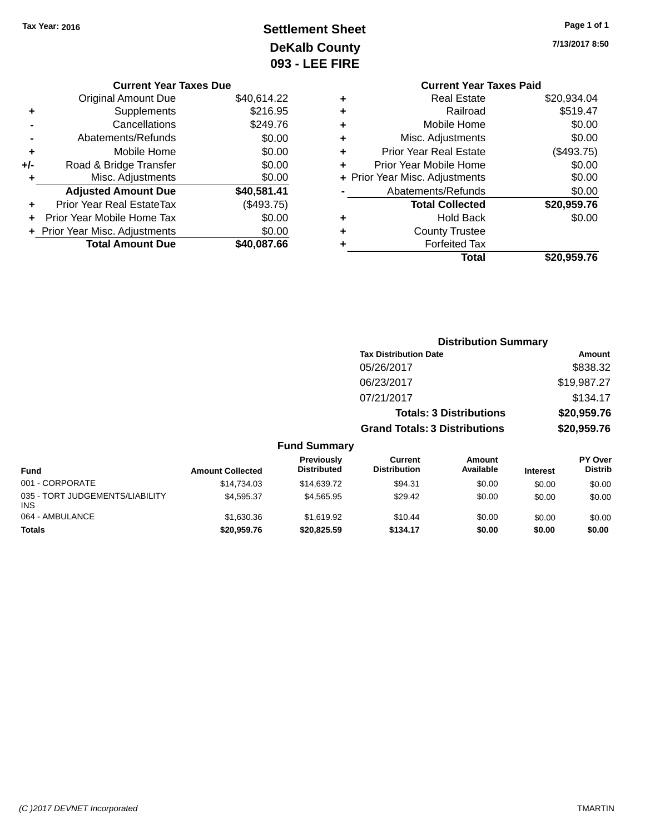# **Settlement Sheet Tax Year: 2016 Page 1 of 1 DeKalb County 093 - LEE FIRE**

|  |  | Page 1 of 1 |  |
|--|--|-------------|--|
|  |  |             |  |

**7/13/2017 8:50**

|   | <b>Current Year Taxes Paid</b> |             |
|---|--------------------------------|-------------|
| ٠ | Real Estate                    | \$20,934.04 |
| ٠ | Railroad                       | \$519.47    |
| ٠ | Mobile Home                    | \$0.00      |
| ٠ | Misc. Adjustments              | \$0.00      |
| ٠ | <b>Prior Year Real Estate</b>  | (\$493.75)  |
| ٠ | Prior Year Mobile Home         | \$0.00      |
|   | + Prior Year Misc. Adjustments | \$0.00      |
|   | Abatements/Refunds             | \$0.00      |
|   | <b>Total Collected</b>         | \$20,959.76 |
| ٠ | <b>Hold Back</b>               | \$0.00      |
|   | <b>County Trustee</b>          |             |
|   | <b>Forfeited Tax</b>           |             |
|   | Total                          | \$20.959.76 |
|   |                                |             |

# **Current Year Taxes Due** Original Amount Due \$40,614.22 **+** Supplements \$216.95 **-** Cancellations \$249.76 **-** Abatements/Refunds \$0.00 **+** Mobile Home \$0.00 **+/-** Road & Bridge Transfer \$0.00 **+** Misc. Adjustments \$0.00 **Adjusted Amount Due \$40,581.41 +** Prior Year Real EstateTax (\$493.75) **+** Prior Year Mobile Home Tax \$0.00 **+ Prior Year Misc. Adjustments**  $$0.00$ **Total Amount Due \$40,087.66**

|                                               |                         |                                  |                                       | <b>Distribution Summary</b>    |                 |                           |
|-----------------------------------------------|-------------------------|----------------------------------|---------------------------------------|--------------------------------|-----------------|---------------------------|
|                                               |                         |                                  | <b>Tax Distribution Date</b>          |                                |                 | Amount                    |
|                                               |                         |                                  | 05/26/2017                            |                                |                 | \$838.32                  |
|                                               |                         |                                  | 06/23/2017                            |                                |                 | \$19,987.27               |
|                                               |                         |                                  | 07/21/2017                            |                                |                 | \$134.17                  |
|                                               |                         |                                  |                                       | <b>Totals: 3 Distributions</b> |                 | \$20,959.76               |
|                                               |                         |                                  | <b>Grand Totals: 3 Distributions</b>  |                                |                 | \$20,959.76               |
|                                               |                         | <b>Fund Summary</b>              |                                       |                                |                 |                           |
| <b>Fund</b>                                   | <b>Amount Collected</b> | Previously<br><b>Distributed</b> | <b>Current</b><br><b>Distribution</b> | <b>Amount</b><br>Available     | <b>Interest</b> | PY Over<br><b>Distrib</b> |
| 001 - CORPORATE                               | \$14,734.03             | \$14,639.72                      | \$94.31                               | \$0.00                         | \$0.00          | \$0.00                    |
| 035 - TORT JUDGEMENTS/LIABILITY<br><b>INS</b> | \$4,595.37              | \$4,565.95                       | \$29.42                               | \$0.00                         | \$0.00          | \$0.00                    |
| 064 - AMBULANCE                               | \$1,630.36              | \$1,619.92                       | \$10.44                               | \$0.00                         | \$0.00          | \$0.00                    |
| <b>Totals</b>                                 | \$20,959.76             | \$20,825.59                      | \$134.17                              | \$0.00                         | \$0.00          | \$0.00                    |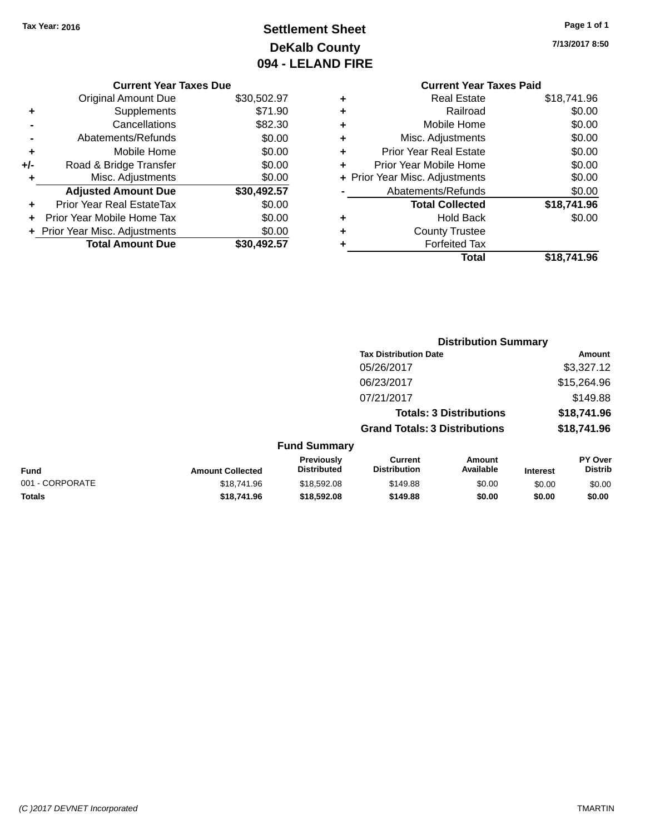# **Settlement Sheet Tax Year: 2016 Page 1 of 1 DeKalb County 094 - LELAND FIRE**

**7/13/2017 8:50**

# **Current Year Taxes Paid**

| <b>Original Amount Due</b>     | \$30,502.97                   |
|--------------------------------|-------------------------------|
| Supplements                    | \$71.90                       |
| Cancellations                  | \$82.30                       |
| Abatements/Refunds             | \$0.00                        |
| Mobile Home                    | \$0.00                        |
| Road & Bridge Transfer         | \$0.00                        |
| Misc. Adjustments              | \$0.00                        |
| <b>Adjusted Amount Due</b>     | \$30,492.57                   |
|                                |                               |
| Prior Year Real EstateTax      | \$0.00                        |
| Prior Year Mobile Home Tax     | \$0.00                        |
| + Prior Year Misc. Adjustments | \$0.00                        |
|                                | <b>Current Year Taxes Due</b> |

| ٠ | Real Estate                    | \$18.741.96 |
|---|--------------------------------|-------------|
| ٠ | Railroad                       | \$0.00      |
| ٠ | Mobile Home                    | \$0.00      |
| ٠ | Misc. Adjustments              | \$0.00      |
| ٠ | <b>Prior Year Real Estate</b>  | \$0.00      |
| ٠ | Prior Year Mobile Home         | \$0.00      |
|   | + Prior Year Misc. Adjustments | \$0.00      |
|   | Abatements/Refunds             | \$0.00      |
|   | <b>Total Collected</b>         | \$18,741.96 |
| ٠ | <b>Hold Back</b>               | \$0.00      |
| ٠ | <b>County Trustee</b>          |             |
| ٠ | <b>Forfeited Tax</b>           |             |
|   | Total                          | \$18.741.96 |
|   |                                |             |

|                 |                         |                                  |                                       | <b>Distribution Summary</b>    |                 |                                  |
|-----------------|-------------------------|----------------------------------|---------------------------------------|--------------------------------|-----------------|----------------------------------|
|                 |                         |                                  | <b>Tax Distribution Date</b>          |                                |                 | Amount                           |
|                 |                         |                                  | 05/26/2017                            |                                |                 | \$3,327.12                       |
|                 |                         |                                  | 06/23/2017                            |                                |                 | \$15,264.96                      |
|                 |                         |                                  | 07/21/2017                            |                                |                 | \$149.88                         |
|                 |                         |                                  |                                       | <b>Totals: 3 Distributions</b> |                 | \$18,741.96                      |
|                 |                         |                                  | <b>Grand Totals: 3 Distributions</b>  |                                |                 | \$18,741.96                      |
|                 |                         | <b>Fund Summary</b>              |                                       |                                |                 |                                  |
| <b>Fund</b>     | <b>Amount Collected</b> | Previously<br><b>Distributed</b> | <b>Current</b><br><b>Distribution</b> | <b>Amount</b><br>Available     | <b>Interest</b> | <b>PY Over</b><br><b>Distrib</b> |
| 001 - CORPORATE | \$18,741.96             | \$18,592.08                      | \$149.88                              | \$0.00                         | \$0.00          | \$0.00                           |
|                 |                         |                                  |                                       |                                |                 |                                  |

**Totals \$18,741.96 \$18,592.08 \$149.88 \$0.00 \$0.00 \$0.00**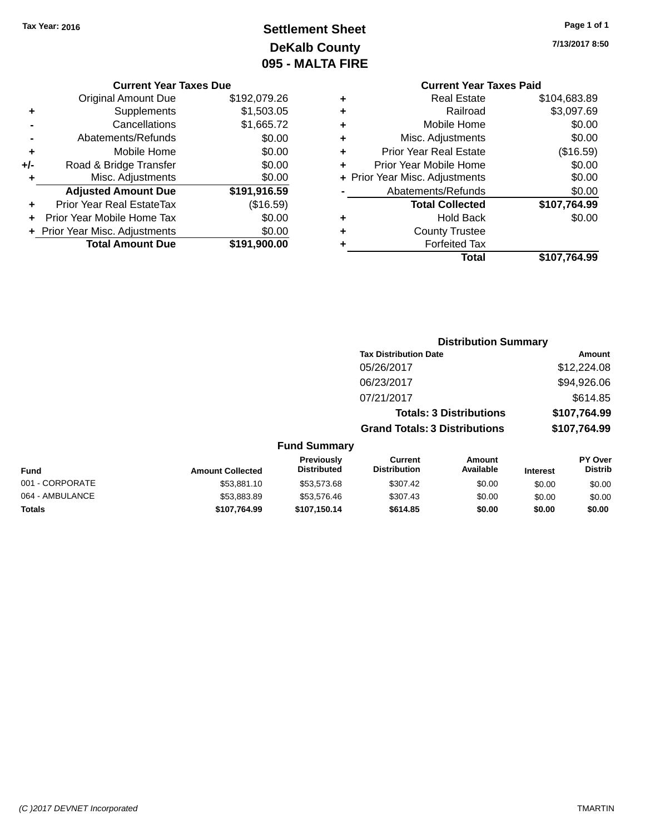# **Settlement Sheet Tax Year: 2016 Page 1 of 1 DeKalb County 095 - MALTA FIRE**

**7/13/2017 8:50**

| <b>Current Year Taxes Due</b> |
|-------------------------------|
|-------------------------------|

|       | <b>Original Amount Due</b>       | \$192,079.26 |
|-------|----------------------------------|--------------|
| ٠     | Supplements                      | \$1,503.05   |
|       | Cancellations                    | \$1,665.72   |
|       | Abatements/Refunds               | \$0.00       |
| ٠     | Mobile Home                      | \$0.00       |
| $+/-$ | Road & Bridge Transfer           | \$0.00       |
| ٠     | Misc. Adjustments                | \$0.00       |
|       | <b>Adjusted Amount Due</b>       | \$191,916.59 |
| ÷     | <b>Prior Year Real EstateTax</b> | (\$16.59)    |
|       | Prior Year Mobile Home Tax       | \$0.00       |
|       | + Prior Year Misc. Adjustments   | \$0.00       |
|       | <b>Total Amount Due</b>          | \$191,900.00 |

### **Current Year Taxes Paid +** Real Estate \$104,683.89 **+** Railroad \$3,097.69 **+** Mobile Home \$0.00 **+** Misc. Adjustments \$0.00 **+** Prior Year Real Estate (\$16.59) **+** Prior Year Mobile Home \$0.00<br> **+** Prior Year Misc Adjustments \$0.00 **+** Prior Year Misc. Adjustments \$0.00

|                | Total                               | \$107,764.99 |
|----------------|-------------------------------------|--------------|
| ٠              | <b>Forfeited Tax</b>                |              |
| ٠              | <b>County Trustee</b>               |              |
| ٠              | <b>Hold Back</b>                    | \$0.00       |
|                | <b>Total Collected</b>              | \$107,764.99 |
| $\blacksquare$ | Abatements/Refunds                  | \$0.00       |
|                | $\tau$ in or real most requestments | ៴៴.៴៴        |

|                     | <b>Distribution Summary</b>          |              |
|---------------------|--------------------------------------|--------------|
|                     | <b>Tax Distribution Date</b>         | Amount       |
|                     | 05/26/2017                           | \$12,224.08  |
|                     | 06/23/2017                           | \$94,926.06  |
|                     | 07/21/2017                           | \$614.85     |
|                     | <b>Totals: 3 Distributions</b>       | \$107,764.99 |
|                     | <b>Grand Totals: 3 Distributions</b> | \$107,764.99 |
| <b>Fund Summary</b> |                                      |              |

| <b>Fund</b>     | <b>Amount Collected</b> | <b>Previously</b><br><b>Distributed</b> | Current<br><b>Distribution</b> | Amount<br>Available | <b>Interest</b> | <b>PY Over</b><br><b>Distrib</b> |
|-----------------|-------------------------|-----------------------------------------|--------------------------------|---------------------|-----------------|----------------------------------|
| 001 - CORPORATE | \$53,881.10             | \$53,573,68                             | \$307.42                       | \$0.00              | \$0.00          | \$0.00                           |
| 064 - AMBULANCE | \$53,883.89             | \$53.576.46                             | \$307.43                       | \$0.00              | \$0.00          | \$0.00                           |
| Totals          | \$107.764.99            | \$107.150.14                            | \$614.85                       | \$0.00              | \$0.00          | \$0.00                           |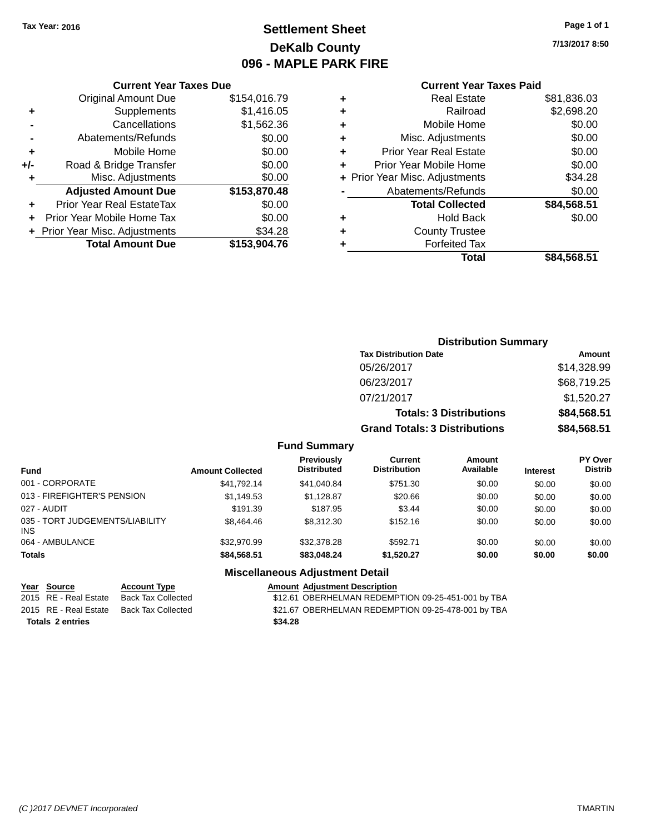# **Settlement Sheet Tax Year: 2016 Page 1 of 1 DeKalb County 096 - MAPLE PARK FIRE**

**7/13/2017 8:50**

# **Current Year Taxes Paid**

|     | <b>Current Year Taxes Due</b>    |              |
|-----|----------------------------------|--------------|
|     | <b>Original Amount Due</b>       | \$154,016.79 |
| ٠   | Supplements                      | \$1,416.05   |
|     | Cancellations                    | \$1,562.36   |
|     | Abatements/Refunds               | \$0.00       |
| ٠   | Mobile Home                      | \$0.00       |
| +/- | Road & Bridge Transfer           | \$0.00       |
| ٠   | Misc. Adjustments                | \$0.00       |
|     | <b>Adjusted Amount Due</b>       | \$153,870.48 |
| ÷   | <b>Prior Year Real EstateTax</b> | \$0.00       |
| ÷   | Prior Year Mobile Home Tax       | \$0.00       |
|     | + Prior Year Misc. Adjustments   | \$34.28      |
|     | <b>Total Amount Due</b>          | \$153,904.76 |
|     |                                  |              |

|   | <b>Real Estate</b>             | \$81,836.03 |
|---|--------------------------------|-------------|
| ٠ | Railroad                       | \$2,698.20  |
| ٠ | Mobile Home                    | \$0.00      |
| ٠ | Misc. Adjustments              | \$0.00      |
| ٠ | <b>Prior Year Real Estate</b>  | \$0.00      |
| ٠ | Prior Year Mobile Home         | \$0.00      |
|   | + Prior Year Misc. Adjustments | \$34.28     |
|   | Abatements/Refunds             | \$0.00      |
|   | <b>Total Collected</b>         | \$84,568.51 |
| ٠ | Hold Back                      | \$0.00      |
| ٠ | <b>County Trustee</b>          |             |
| ٠ | <b>Forfeited Tax</b>           |             |
|   | Total                          | \$84,568.51 |
|   |                                |             |

| <b>Distribution Summary</b>          |             |
|--------------------------------------|-------------|
| <b>Tax Distribution Date</b>         | Amount      |
| 05/26/2017                           | \$14,328.99 |
| 06/23/2017                           | \$68,719.25 |
| 07/21/2017                           | \$1,520.27  |
| <b>Totals: 3 Distributions</b>       | \$84,568.51 |
| <b>Grand Totals: 3 Distributions</b> | \$84,568.51 |

### **Fund Summary**

| <b>Fund</b>                                   | <b>Amount Collected</b> | Previously<br><b>Distributed</b> | Current<br><b>Distribution</b> | Amount<br>Available | <b>Interest</b> | <b>PY Over</b><br><b>Distrib</b> |
|-----------------------------------------------|-------------------------|----------------------------------|--------------------------------|---------------------|-----------------|----------------------------------|
| 001 - CORPORATE                               | \$41.792.14             | \$41.040.84                      | \$751.30                       | \$0.00              | \$0.00          | \$0.00                           |
| 013 - FIREFIGHTER'S PENSION                   | \$1,149.53              | \$1.128.87                       | \$20.66                        | \$0.00              | \$0.00          | \$0.00                           |
| 027 - AUDIT                                   | \$191.39                | \$187.95                         | \$3.44                         | \$0.00              | \$0.00          | \$0.00                           |
| 035 - TORT JUDGEMENTS/LIABILITY<br><b>INS</b> | \$8,464.46              | \$8,312,30                       | \$152.16                       | \$0.00              | \$0.00          | \$0.00                           |
| 064 - AMBULANCE                               | \$32,970.99             | \$32,378.28                      | \$592.71                       | \$0.00              | \$0.00          | \$0.00                           |
| <b>Totals</b>                                 | \$84,568.51             | \$83,048,24                      | \$1,520.27                     | \$0.00              | \$0.00          | \$0.00                           |

# **Miscellaneous Adjustment Detail Year** Source **Account Type Account Adjustment Description**

2015 RE - Real Estate Back Tax Collected \$21.67 OBERHELMAN REDEMPTION 09-25-478-001 by TBA **Totals \$34.28 2 entries**

2015 RE - Real Estate Back Tax Collected **512.61 OBERHELMAN REDEMPTION 09-25-451-001 by TBA**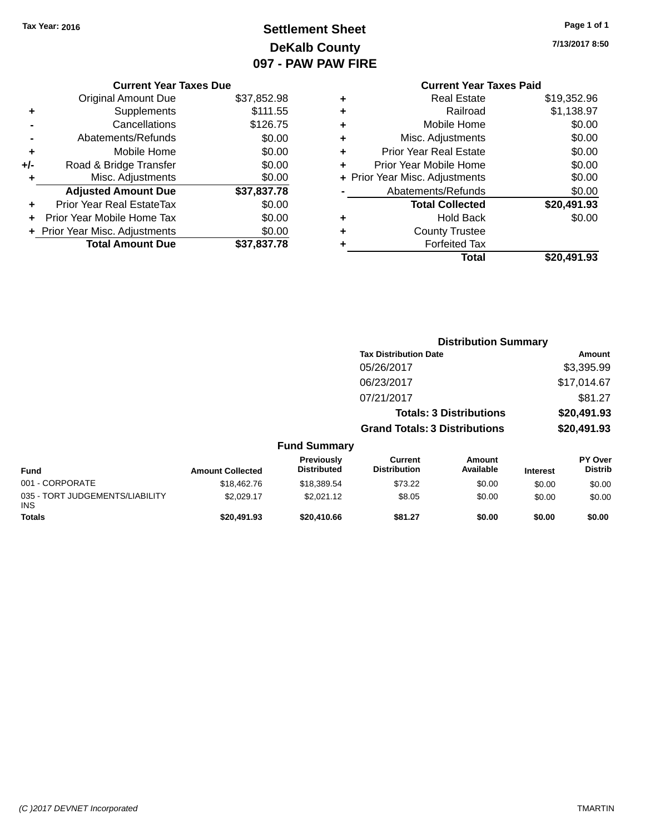# **Settlement Sheet Tax Year: 2016 Page 1 of 1 DeKalb County 097 - PAW PAW FIRE**

**7/13/2017 8:50**

|    | <b>Current Year Taxes Paid</b> |
|----|--------------------------------|
| ٠  | Real Estate                    |
| ٠. | Railroad                       |
| ┻  | Mobile Home                    |

|       | <b>Current Year Taxes Due</b>  |             |
|-------|--------------------------------|-------------|
|       | <b>Original Amount Due</b>     | \$37,852.98 |
| ٠     | Supplements                    | \$111.55    |
|       | Cancellations                  | \$126.75    |
|       | Abatements/Refunds             | \$0.00      |
| ٠     | Mobile Home                    | \$0.00      |
| $+/-$ | Road & Bridge Transfer         | \$0.00      |
| ٠     | Misc. Adjustments              | \$0.00      |
|       | <b>Adjusted Amount Due</b>     | \$37,837.78 |
| ٠     | Prior Year Real EstateTax      | \$0.00      |
|       | Prior Year Mobile Home Tax     | \$0.00      |
|       | + Prior Year Misc. Adjustments | \$0.00      |
|       | <b>Total Amount Due</b>        | \$37,837.78 |
|       |                                |             |

|   | <b>Real Estate</b>             | \$19,352.96 |
|---|--------------------------------|-------------|
| ٠ | Railroad                       | \$1,138.97  |
| ٠ | Mobile Home                    | \$0.00      |
| ٠ | Misc. Adjustments              | \$0.00      |
| ٠ | <b>Prior Year Real Estate</b>  | \$0.00      |
| ÷ | Prior Year Mobile Home         | \$0.00      |
|   | + Prior Year Misc. Adjustments | \$0.00      |
|   | Abatements/Refunds             | \$0.00      |
|   | <b>Total Collected</b>         | \$20,491.93 |
| ٠ | <b>Hold Back</b>               | \$0.00      |
| ٠ | <b>County Trustee</b>          |             |
| ٠ | <b>Forfeited Tax</b>           |             |
|   | Total                          | \$20,491.93 |
|   |                                |             |

|                                               |                         |                                  | <b>Distribution Summary</b>           |                                |                 |                                  |
|-----------------------------------------------|-------------------------|----------------------------------|---------------------------------------|--------------------------------|-----------------|----------------------------------|
|                                               |                         |                                  | <b>Tax Distribution Date</b>          |                                |                 | Amount                           |
|                                               |                         |                                  | 05/26/2017                            |                                |                 | \$3,395.99                       |
|                                               |                         |                                  | 06/23/2017                            |                                |                 | \$17,014.67                      |
|                                               |                         |                                  | 07/21/2017                            |                                |                 | \$81.27                          |
|                                               |                         |                                  |                                       | <b>Totals: 3 Distributions</b> |                 | \$20,491.93                      |
|                                               |                         |                                  | <b>Grand Totals: 3 Distributions</b>  |                                |                 | \$20,491.93                      |
|                                               |                         | <b>Fund Summary</b>              |                                       |                                |                 |                                  |
| <b>Fund</b>                                   | <b>Amount Collected</b> | Previously<br><b>Distributed</b> | <b>Current</b><br><b>Distribution</b> | <b>Amount</b><br>Available     | <b>Interest</b> | <b>PY Over</b><br><b>Distrib</b> |
| 001 - CORPORATE                               | \$18,462.76             | \$18,389.54                      | \$73.22                               | \$0.00                         | \$0.00          | \$0.00                           |
| 035 - TORT JUDGEMENTS/LIABILITY<br><b>INS</b> | \$2,029.17              | \$2,021.12                       | \$8.05                                | \$0.00                         | \$0.00          | \$0.00                           |
| Totals                                        | \$20,491.93             | \$20,410.66                      | \$81.27                               | \$0.00                         | \$0.00          | \$0.00                           |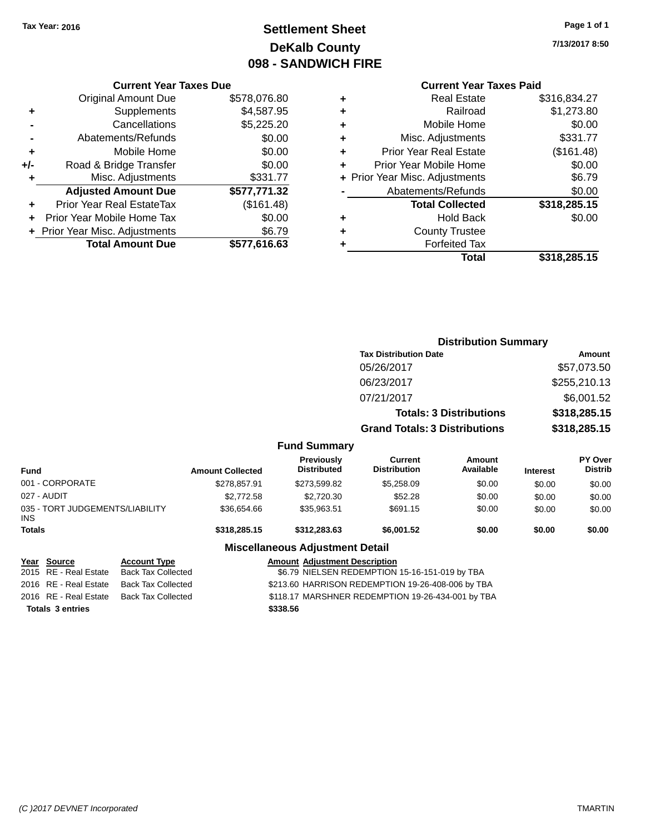# **Settlement Sheet Tax Year: 2016 Page 1 of 1 DeKalb County 098 - SANDWICH FIRE**

**7/13/2017 8:50**

# **Current Year Taxes Paid**

|     | <b>Current Year Taxes Due</b>  |              |  |  |  |
|-----|--------------------------------|--------------|--|--|--|
|     | <b>Original Amount Due</b>     | \$578,076.80 |  |  |  |
| ٠   | Supplements                    | \$4,587.95   |  |  |  |
|     | Cancellations                  | \$5,225.20   |  |  |  |
|     | Abatements/Refunds             | \$0.00       |  |  |  |
| ٠   | Mobile Home                    | \$0.00       |  |  |  |
| +/- | Road & Bridge Transfer         | \$0.00       |  |  |  |
|     | \$331.77<br>Misc. Adjustments  |              |  |  |  |
|     | <b>Adjusted Amount Due</b>     | \$577,771.32 |  |  |  |
| ٠   | Prior Year Real EstateTax      | (\$161.48)   |  |  |  |
|     | Prior Year Mobile Home Tax     | \$0.00       |  |  |  |
|     | + Prior Year Misc. Adjustments | \$6.79       |  |  |  |
|     | <b>Total Amount Due</b>        | \$577,616.63 |  |  |  |
|     |                                |              |  |  |  |

| ٠ | <b>Real Estate</b>             | \$316,834.27 |
|---|--------------------------------|--------------|
| ٠ | Railroad                       | \$1,273.80   |
| ٠ | Mobile Home                    | \$0.00       |
| ٠ | Misc. Adjustments              | \$331.77     |
| ٠ | <b>Prior Year Real Estate</b>  | (\$161.48)   |
| ÷ | Prior Year Mobile Home         | \$0.00       |
|   | + Prior Year Misc. Adjustments | \$6.79       |
|   | Abatements/Refunds             | \$0.00       |
|   | <b>Total Collected</b>         | \$318,285.15 |
| ٠ | <b>Hold Back</b>               | \$0.00       |
| ٠ | <b>County Trustee</b>          |              |
| ٠ | <b>Forfeited Tax</b>           |              |
|   | Total                          | \$318,285.15 |
|   |                                |              |

|                                         |                         |                                         | <b>Distribution Summary</b>           |                                |                 |                                  |
|-----------------------------------------|-------------------------|-----------------------------------------|---------------------------------------|--------------------------------|-----------------|----------------------------------|
|                                         |                         |                                         | <b>Tax Distribution Date</b>          |                                |                 | Amount                           |
|                                         |                         |                                         | 05/26/2017                            |                                |                 | \$57,073.50                      |
|                                         |                         |                                         | 06/23/2017                            |                                | \$255,210.13    |                                  |
|                                         |                         |                                         | 07/21/2017                            |                                |                 | \$6,001.52                       |
|                                         |                         |                                         |                                       | <b>Totals: 3 Distributions</b> |                 | \$318,285.15                     |
|                                         |                         |                                         | <b>Grand Totals: 3 Distributions</b>  |                                |                 | \$318,285.15                     |
|                                         |                         | <b>Fund Summary</b>                     |                                       |                                |                 |                                  |
| <b>Fund</b>                             | <b>Amount Collected</b> | <b>Previously</b><br><b>Distributed</b> | <b>Current</b><br><b>Distribution</b> | Amount<br>Available            | <b>Interest</b> | <b>PY Over</b><br><b>Distrib</b> |
| 001 - CORPORATE                         | \$278,857.91            | \$273,599.82                            | \$5,258.09                            | \$0.00                         | \$0.00          | \$0.00                           |
| 027 - AUDIT                             | \$2,772.58              | \$2,720.30                              | \$52.28                               | \$0.00                         | \$0.00          | \$0.00                           |
| 035 - TORT JUDGEMENTS/LIABILITY<br>INS. | \$36,654.66             | \$35,963.51                             | \$691.15                              | \$0.00                         | \$0.00          | \$0.00                           |
| <b>Totals</b>                           | \$318,285.15            | \$312,283.63                            | \$6,001.52                            | \$0.00                         | \$0.00          | \$0.00                           |
|                                         |                         | <b>Miscellaneous Adjustment Detail</b>  |                                       |                                |                 |                                  |

**Year Source Account Type Amount Adjustment Description** \$6.79 NIELSEN REDEMPTION 15-16-151-019 by TBA 2016 RE - Real Estate Back Tax Collected \$213.60 HARRISON REDEMPTION 19-26-408-006 by TBA 2016 RE - Real Estate Back Tax Collected \$118.17 MARSHNER REDEMPTION 19-26-434-001 by TBA **Totals \$338.56 3 entries**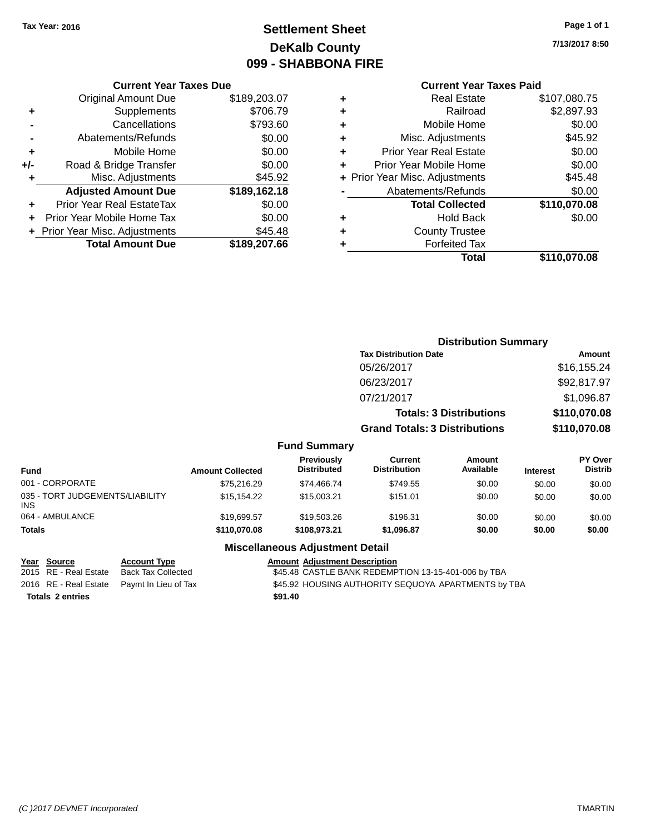# **Settlement Sheet Tax Year: 2016 Page 1 of 1 DeKalb County 099 - SHABBONA FIRE**

**7/13/2017 8:50**

# **Current Year Taxes Paid**

|       | <b>Current Year Taxes Due</b>  |              |  |  |  |
|-------|--------------------------------|--------------|--|--|--|
|       | <b>Original Amount Due</b>     | \$189,203.07 |  |  |  |
| ٠     | Supplements                    | \$706.79     |  |  |  |
|       | Cancellations                  | \$793.60     |  |  |  |
|       | Abatements/Refunds             | \$0.00       |  |  |  |
| ٠     | Mobile Home                    | \$0.00       |  |  |  |
| $+/-$ | Road & Bridge Transfer         | \$0.00       |  |  |  |
|       | \$45.92<br>Misc. Adjustments   |              |  |  |  |
|       | <b>Adjusted Amount Due</b>     | \$189,162.18 |  |  |  |
| ÷     | Prior Year Real EstateTax      | \$0.00       |  |  |  |
|       | Prior Year Mobile Home Tax     | \$0.00       |  |  |  |
|       | + Prior Year Misc. Adjustments | \$45.48      |  |  |  |
|       | <b>Total Amount Due</b>        | \$189,207.66 |  |  |  |
|       |                                |              |  |  |  |

|   | <b>Real Estate</b>             | \$107,080.75 |
|---|--------------------------------|--------------|
| ٠ | Railroad                       | \$2,897.93   |
| ٠ | Mobile Home                    | \$0.00       |
| ٠ | Misc. Adjustments              | \$45.92      |
| ٠ | <b>Prior Year Real Estate</b>  | \$0.00       |
| ÷ | Prior Year Mobile Home         | \$0.00       |
|   | + Prior Year Misc. Adjustments | \$45.48      |
|   | Abatements/Refunds             | \$0.00       |
|   | <b>Total Collected</b>         | \$110,070.08 |
| ٠ | <b>Hold Back</b>               | \$0.00       |
| ٠ | <b>County Trustee</b>          |              |
| ٠ | <b>Forfeited Tax</b>           |              |
|   | Total                          | \$110,070.08 |
|   |                                |              |

|                                               |                         |                                  | <b>Distribution Summary</b>           |                                |                 |                           |
|-----------------------------------------------|-------------------------|----------------------------------|---------------------------------------|--------------------------------|-----------------|---------------------------|
|                                               |                         |                                  | <b>Tax Distribution Date</b>          |                                |                 | Amount                    |
|                                               |                         |                                  | 05/26/2017                            |                                |                 | \$16,155.24               |
|                                               |                         |                                  | 06/23/2017                            |                                |                 | \$92,817.97               |
|                                               |                         |                                  | 07/21/2017                            |                                |                 | \$1,096.87                |
|                                               |                         |                                  |                                       | <b>Totals: 3 Distributions</b> |                 | \$110,070.08              |
|                                               |                         |                                  | <b>Grand Totals: 3 Distributions</b>  |                                |                 | \$110,070.08              |
|                                               |                         | <b>Fund Summary</b>              |                                       |                                |                 |                           |
| <b>Fund</b>                                   | <b>Amount Collected</b> | Previously<br><b>Distributed</b> | <b>Current</b><br><b>Distribution</b> | <b>Amount</b><br>Available     | <b>Interest</b> | PY Over<br><b>Distrib</b> |
| 001 - CORPORATE                               | \$75,216.29             | \$74,466.74                      | \$749.55                              | \$0.00                         | \$0.00          | \$0.00                    |
| 035 - TORT JUDGEMENTS/LIABILITY<br><b>INS</b> | \$15,154.22             | \$15,003.21                      | \$151.01                              | \$0.00                         | \$0.00          | \$0.00                    |
| 064 - AMBULANCE                               | \$19,699.57             | \$19,503.26                      | \$196.31                              | \$0.00                         | \$0.00          | \$0.00                    |
| Totals                                        | \$110,070.08            | \$108,973.21                     | \$1,096.87                            | \$0.00                         | \$0.00          | \$0.00                    |

# **Miscellaneous Adjustment Detail**

| Year Source             | <b>Account Type</b>                        | <b>Amount Adjustment Description</b>                |
|-------------------------|--------------------------------------------|-----------------------------------------------------|
| 2015 RE - Real Estate   | Back Tax Collected                         | \$45.48 CASTLE BANK REDEMPTION 13-15-401-006 by TBA |
|                         | 2016 RE - Real Estate Paymt In Lieu of Tax | \$45.92 HOUSING AUTHORITY SEQUOYA APARTMENTS by TBA |
| <b>Totals 2 entries</b> |                                            | \$91.40                                             |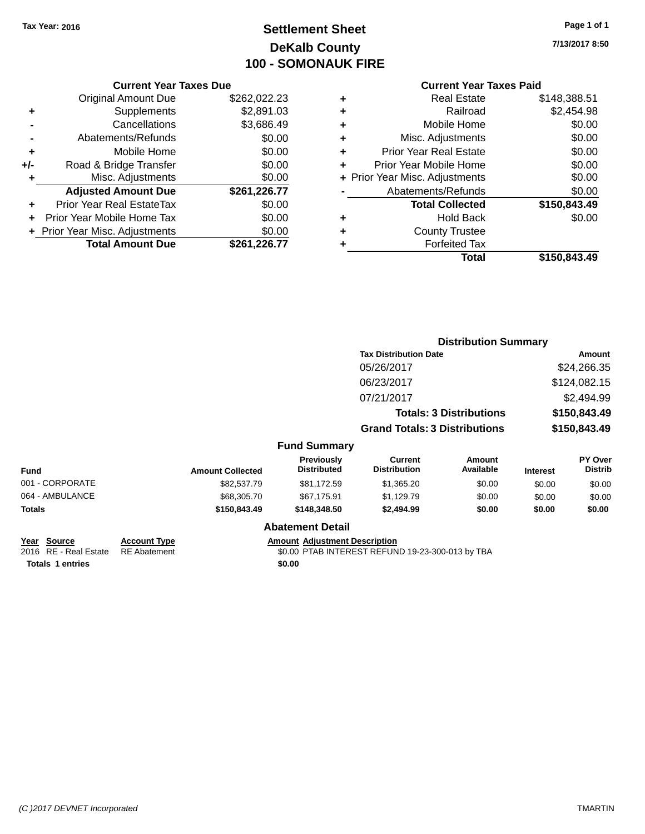# **Settlement Sheet Tax Year: 2016 Page 1 of 1 DeKalb County 100 - SOMONAUK FIRE**

**7/13/2017 8:50**

# **Current Year Taxes Paid**

| \$262,022.23 |
|--------------|
|              |
| \$2,891.03   |
| \$3,686.49   |
| \$0.00       |
| \$0.00       |
| \$0.00       |
| \$0.00       |
| \$261,226.77 |
| \$0.00       |
| \$0.00       |
| \$0.00       |
| \$261,226.77 |
|              |

| ٠ | Real Estate                    | \$148,388.51 |
|---|--------------------------------|--------------|
| ٠ | Railroad                       | \$2,454.98   |
| ٠ | Mobile Home                    | \$0.00       |
| ٠ | Misc. Adjustments              | \$0.00       |
| ٠ | <b>Prior Year Real Estate</b>  | \$0.00       |
| ٠ | Prior Year Mobile Home         | \$0.00       |
|   | + Prior Year Misc. Adjustments | \$0.00       |
|   | Abatements/Refunds             | \$0.00       |
|   | <b>Total Collected</b>         | \$150,843.49 |
| ٠ | <b>Hold Back</b>               | \$0.00       |
|   | <b>County Trustee</b>          |              |
| ٠ | <b>Forfeited Tax</b>           |              |
|   | Total                          | \$150,843,49 |
|   |                                |              |

|                 |                         |                                         |                                       | <b>Distribution Summary</b>    |                 |                                  |
|-----------------|-------------------------|-----------------------------------------|---------------------------------------|--------------------------------|-----------------|----------------------------------|
|                 |                         |                                         | <b>Tax Distribution Date</b>          |                                |                 | Amount                           |
|                 |                         |                                         | 05/26/2017                            |                                |                 | \$24,266.35                      |
|                 |                         |                                         | 06/23/2017                            |                                |                 | \$124,082.15                     |
|                 |                         |                                         | 07/21/2017                            |                                |                 | \$2,494.99                       |
|                 |                         |                                         |                                       | <b>Totals: 3 Distributions</b> |                 | \$150,843.49                     |
|                 |                         |                                         | <b>Grand Totals: 3 Distributions</b>  |                                |                 | \$150,843.49                     |
|                 |                         | <b>Fund Summary</b>                     |                                       |                                |                 |                                  |
| <b>Fund</b>     | <b>Amount Collected</b> | <b>Previously</b><br><b>Distributed</b> | <b>Current</b><br><b>Distribution</b> | <b>Amount</b><br>Available     | <b>Interest</b> | <b>PY Over</b><br><b>Distrib</b> |
| 001 - CORPORATE | \$82,537.79             | \$81,172.59                             | \$1,365.20                            | \$0.00                         | \$0.00          | \$0.00                           |
| 064 - AMBULANCE | \$68,305.70             | \$67,175.91                             | \$1,129.79                            | \$0.00                         | \$0.00          | \$0.00                           |
| Totals          | \$150,843.49            | \$148,348.50                            | \$2,494.99                            | \$0.00                         | \$0.00          | \$0.00                           |
|                 |                         | <b>Abatement Detail</b>                 |                                       |                                |                 |                                  |

| Year Source             | <b>Account Type</b> | <b>Amount</b> |
|-------------------------|---------------------|---------------|
| 2016 RE - Real Estate   | RE Abatement        | \$0.00        |
| <b>Totals 1 entries</b> |                     | \$0.00        |

**Peart Source Account Adjustment Description** 

2016 2016 REAL ESTATE REAL ESTATE REFUND 19-23-300-013 by TBA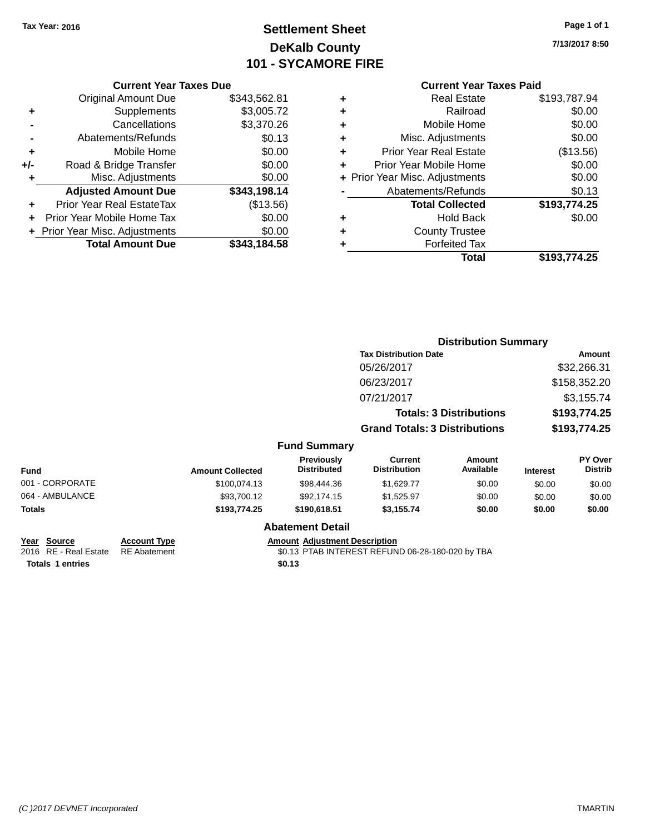# **Settlement Sheet Tax Year: 2016 Page 1 of 1 DeKalb County 101 - SYCAMORE FIRE**

**7/13/2017 8:50**

### **Current Year Taxes Paid**

|       | <b>Current Year Taxes Due</b>  |              |  |  |
|-------|--------------------------------|--------------|--|--|
|       | <b>Original Amount Due</b>     | \$343,562.81 |  |  |
| ٠     | Supplements                    | \$3,005.72   |  |  |
|       | \$3,370.26<br>Cancellations    |              |  |  |
|       | Abatements/Refunds             | \$0.13       |  |  |
| ÷     | Mobile Home                    | \$0.00       |  |  |
| $+/-$ | Road & Bridge Transfer         | \$0.00       |  |  |
|       | Misc. Adjustments              | \$0.00       |  |  |
|       | <b>Adjusted Amount Due</b>     | \$343,198.14 |  |  |
| ÷     | Prior Year Real EstateTax      | (\$13.56)    |  |  |
| ÷     | Prior Year Mobile Home Tax     | \$0.00       |  |  |
|       | + Prior Year Misc. Adjustments | \$0.00       |  |  |
|       | <b>Total Amount Due</b>        | \$343.184.58 |  |  |
|       |                                |              |  |  |

|   | <b>Real Estate</b>             | \$193,787.94 |
|---|--------------------------------|--------------|
| ٠ | Railroad                       | \$0.00       |
| ٠ | Mobile Home                    | \$0.00       |
| ٠ | Misc. Adjustments              | \$0.00       |
| ٠ | <b>Prior Year Real Estate</b>  | (\$13.56)    |
| ÷ | Prior Year Mobile Home         | \$0.00       |
|   | + Prior Year Misc. Adjustments | \$0.00       |
|   | Abatements/Refunds             | \$0.13       |
|   | <b>Total Collected</b>         | \$193,774.25 |
| ٠ | <b>Hold Back</b>               | \$0.00       |
| ٠ | <b>County Trustee</b>          |              |
| ٠ | <b>Forfeited Tax</b>           |              |
|   | Total                          | \$193,774.25 |
|   |                                |              |

|                 |                                      |                                  |                                | <b>Distribution Summary</b>    |                 |                           |
|-----------------|--------------------------------------|----------------------------------|--------------------------------|--------------------------------|-----------------|---------------------------|
|                 |                                      |                                  | <b>Tax Distribution Date</b>   |                                |                 | Amount                    |
|                 |                                      |                                  | 05/26/2017                     |                                |                 | \$32,266.31               |
|                 |                                      |                                  | 06/23/2017                     |                                |                 | \$158,352.20              |
|                 |                                      |                                  | 07/21/2017                     |                                |                 | \$3,155.74                |
|                 |                                      |                                  |                                | <b>Totals: 3 Distributions</b> |                 | \$193,774.25              |
|                 | <b>Grand Totals: 3 Distributions</b> |                                  |                                | \$193,774.25                   |                 |                           |
|                 |                                      | <b>Fund Summary</b>              |                                |                                |                 |                           |
| <b>Fund</b>     | <b>Amount Collected</b>              | Previously<br><b>Distributed</b> | Current<br><b>Distribution</b> | <b>Amount</b><br>Available     | <b>Interest</b> | PY Over<br><b>Distrib</b> |
| 001 - CORPORATE | \$100.074.13                         | \$98,444.36                      | \$1,629.77                     | \$0.00                         | \$0.00          | \$0.00                    |
| 064 - AMBULANCE | \$93,700.12                          | \$92,174.15                      | \$1,525.97                     | \$0.00                         | \$0.00          | \$0.00                    |
| Totals          | \$193,774.25                         | \$190,618.51                     | \$3,155.74                     | \$0.00                         | \$0.00          | \$0.00                    |
|                 |                                      | <b>Abatement Detail</b>          |                                |                                |                 |                           |

| <u>Year Source</u>                 | <b>Account Type</b> | Amount |
|------------------------------------|---------------------|--------|
| 2016 RE - Real Estate RE Abatement |                     | \$0.13 |
| <b>Totals 1 entries</b>            |                     | \$0.13 |

### **Abatement Detail**

### **Amount Adjustment Description**

\$0.13 PTAB INTEREST REFUND 06-28-180-020 by TBA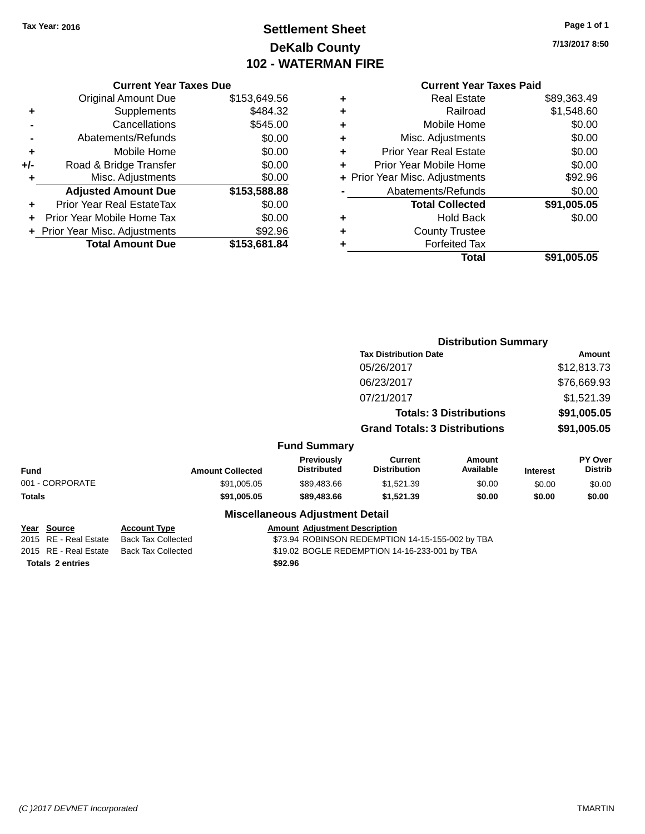# **Settlement Sheet Tax Year: 2016 Page 1 of 1 DeKalb County 102 - WATERMAN FIRE**

**7/13/2017 8:50**

| <b>Current Year Taxes Due</b> |  |  |  |  |
|-------------------------------|--|--|--|--|
|-------------------------------|--|--|--|--|

| <b>Original Amount Due</b> | \$153,649.56                   |
|----------------------------|--------------------------------|
| Supplements                | \$484.32                       |
| Cancellations              | \$545.00                       |
| Abatements/Refunds         | \$0.00                         |
| Mobile Home                | \$0.00                         |
| Road & Bridge Transfer     | \$0.00                         |
| Misc. Adjustments          | \$0.00                         |
| <b>Adjusted Amount Due</b> | \$153,588.88                   |
| Prior Year Real EstateTax  | \$0.00                         |
| Prior Year Mobile Home Tax | \$0.00                         |
|                            | \$92.96                        |
| <b>Total Amount Due</b>    | \$153,681.84                   |
|                            | + Prior Year Misc. Adjustments |

# **Current Year Taxes Paid**

| ٠ | <b>Real Estate</b>             | \$89,363.49 |
|---|--------------------------------|-------------|
| ٠ | Railroad                       | \$1,548.60  |
| ٠ | Mobile Home                    | \$0.00      |
| ٠ | Misc. Adjustments              | \$0.00      |
| ٠ | <b>Prior Year Real Estate</b>  | \$0.00      |
| ٠ | Prior Year Mobile Home         | \$0.00      |
|   | + Prior Year Misc. Adjustments | \$92.96     |
|   | Abatements/Refunds             | \$0.00      |
|   | <b>Total Collected</b>         | \$91,005.05 |
| ٠ | <b>Hold Back</b>               | \$0.00      |
| ٠ | <b>County Trustee</b>          |             |
| ٠ | <b>Forfeited Tax</b>           |             |
|   | Total                          | \$91,005.05 |
|   |                                |             |

|                                                                            |                                                                               |                                        |                                                                                                   | <b>Distribution Summary</b>    |                 |                           |
|----------------------------------------------------------------------------|-------------------------------------------------------------------------------|----------------------------------------|---------------------------------------------------------------------------------------------------|--------------------------------|-----------------|---------------------------|
|                                                                            |                                                                               |                                        | <b>Tax Distribution Date</b>                                                                      |                                |                 | Amount                    |
|                                                                            |                                                                               |                                        | 05/26/2017                                                                                        |                                |                 | \$12,813.73               |
|                                                                            |                                                                               |                                        | 06/23/2017                                                                                        |                                |                 | \$76,669.93               |
|                                                                            |                                                                               |                                        | 07/21/2017                                                                                        |                                |                 | \$1,521.39                |
|                                                                            |                                                                               |                                        |                                                                                                   | <b>Totals: 3 Distributions</b> |                 | \$91,005.05               |
|                                                                            |                                                                               |                                        | <b>Grand Totals: 3 Distributions</b>                                                              |                                |                 | \$91,005.05               |
|                                                                            |                                                                               | <b>Fund Summary</b>                    |                                                                                                   |                                |                 |                           |
| <b>Fund</b>                                                                | <b>Amount Collected</b>                                                       | Previously<br><b>Distributed</b>       | Current<br><b>Distribution</b>                                                                    | Amount<br>Available            | <b>Interest</b> | PY Over<br><b>Distrib</b> |
| 001 - CORPORATE                                                            | \$91,005.05                                                                   | \$89,483.66                            | \$1,521.39                                                                                        | \$0.00                         | \$0.00          | \$0.00                    |
| <b>Totals</b>                                                              | \$91,005.05                                                                   | \$89,483.66                            | \$1,521.39                                                                                        | \$0.00                         | \$0.00          | \$0.00                    |
|                                                                            |                                                                               | <b>Miscellaneous Adjustment Detail</b> |                                                                                                   |                                |                 |                           |
| Source<br>Year<br><b>RE</b> - Real Estate<br>2015<br>2015 RE - Real Estate | <b>Account Type</b><br><b>Back Tax Collected</b><br><b>Back Tax Collected</b> | <b>Amount Adjustment Description</b>   | \$73.94 ROBINSON REDEMPTION 14-15-155-002 by TBA<br>\$19.02 BOGLE REDEMPTION 14-16-233-001 by TBA |                                |                 |                           |

**Totals \$92.96 2 entries**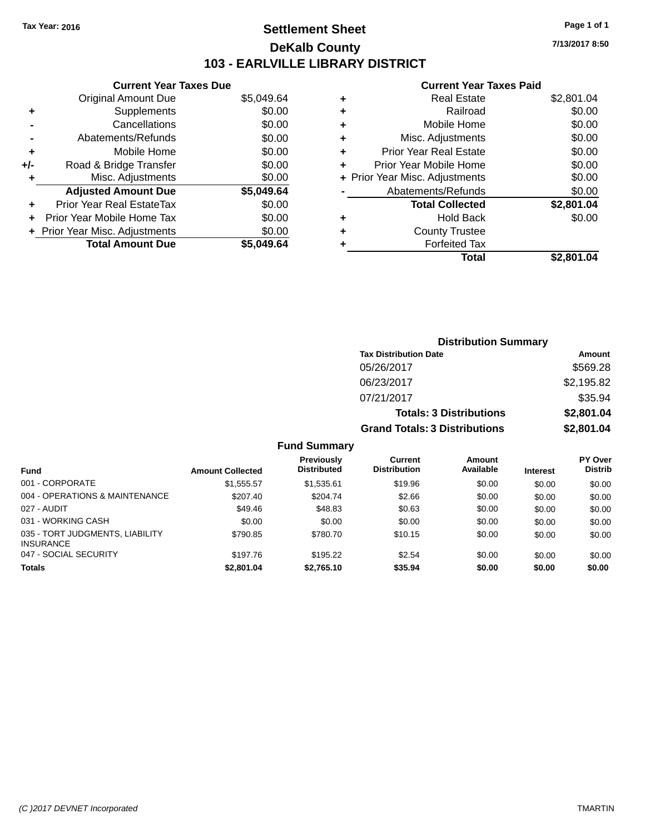# **Settlement Sheet Tax Year: 2016 Page 1 of 1 DeKalb County 103 - EARLVILLE LIBRARY DISTRICT**

**7/13/2017 8:50**

### **Current Year Taxes Paid**

|     | <b>Current Year Taxes Due</b> |            |
|-----|-------------------------------|------------|
|     | <b>Original Amount Due</b>    | \$5,049.64 |
| ٠   | Supplements                   | \$0.00     |
|     | Cancellations                 | \$0.00     |
|     | Abatements/Refunds            | \$0.00     |
| ٠   | Mobile Home                   | \$0.00     |
| +/- | Road & Bridge Transfer        | \$0.00     |
|     | Misc. Adjustments             | \$0.00     |
|     | <b>Adjusted Amount Due</b>    | \$5,049.64 |
| ÷   | Prior Year Real EstateTax     | \$0.00     |
| ٠   | Prior Year Mobile Home Tax    | \$0.00     |
|     | Prior Year Misc. Adjustments  | \$0.00     |
|     | <b>Total Amount Due</b>       | \$5,049.64 |

| ٠ | <b>Real Estate</b>             | \$2,801.04 |
|---|--------------------------------|------------|
| ٠ | Railroad                       | \$0.00     |
| ٠ | Mobile Home                    | \$0.00     |
| ٠ | Misc. Adjustments              | \$0.00     |
| ٠ | <b>Prior Year Real Estate</b>  | \$0.00     |
| ٠ | Prior Year Mobile Home         | \$0.00     |
|   | + Prior Year Misc. Adjustments | \$0.00     |
|   | Abatements/Refunds             | \$0.00     |
|   | <b>Total Collected</b>         | \$2,801.04 |
| ٠ | <b>Hold Back</b>               | \$0.00     |
| ٠ | <b>County Trustee</b>          |            |
| ٠ | <b>Forfeited Tax</b>           |            |
|   | Total                          | \$2,801.04 |
|   |                                |            |

| <b>Distribution Summary</b>          |            |  |  |  |
|--------------------------------------|------------|--|--|--|
| <b>Tax Distribution Date</b>         | Amount     |  |  |  |
| 05/26/2017                           | \$569.28   |  |  |  |
| 06/23/2017                           | \$2,195.82 |  |  |  |
| 07/21/2017                           | \$35.94    |  |  |  |
| <b>Totals: 3 Distributions</b>       | \$2,801.04 |  |  |  |
| <b>Grand Totals: 3 Distributions</b> | \$2,801.04 |  |  |  |

## **Fund Summary**

|                                                     |                         | <b>Previously</b>  | Current             | <b>Amount</b> |                 | <b>PY Over</b> |
|-----------------------------------------------------|-------------------------|--------------------|---------------------|---------------|-----------------|----------------|
| <b>Fund</b>                                         | <b>Amount Collected</b> | <b>Distributed</b> | <b>Distribution</b> | Available     | <b>Interest</b> | <b>Distrib</b> |
| 001 - CORPORATE                                     | \$1,555.57              | \$1,535.61         | \$19.96             | \$0.00        | \$0.00          | \$0.00         |
| 004 - OPERATIONS & MAINTENANCE                      | \$207.40                | \$204.74           | \$2.66              | \$0.00        | \$0.00          | \$0.00         |
| 027 - AUDIT                                         | \$49.46                 | \$48.83            | \$0.63              | \$0.00        | \$0.00          | \$0.00         |
| 031 - WORKING CASH                                  | \$0.00                  | \$0.00             | \$0.00              | \$0.00        | \$0.00          | \$0.00         |
| 035 - TORT JUDGMENTS, LIABILITY<br><b>INSURANCE</b> | \$790.85                | \$780.70           | \$10.15             | \$0.00        | \$0.00          | \$0.00         |
| 047 - SOCIAL SECURITY                               | \$197.76                | \$195.22           | \$2.54              | \$0.00        | \$0.00          | \$0.00         |
| <b>Totals</b>                                       | \$2,801.04              | \$2,765.10         | \$35.94             | \$0.00        | \$0.00          | \$0.00         |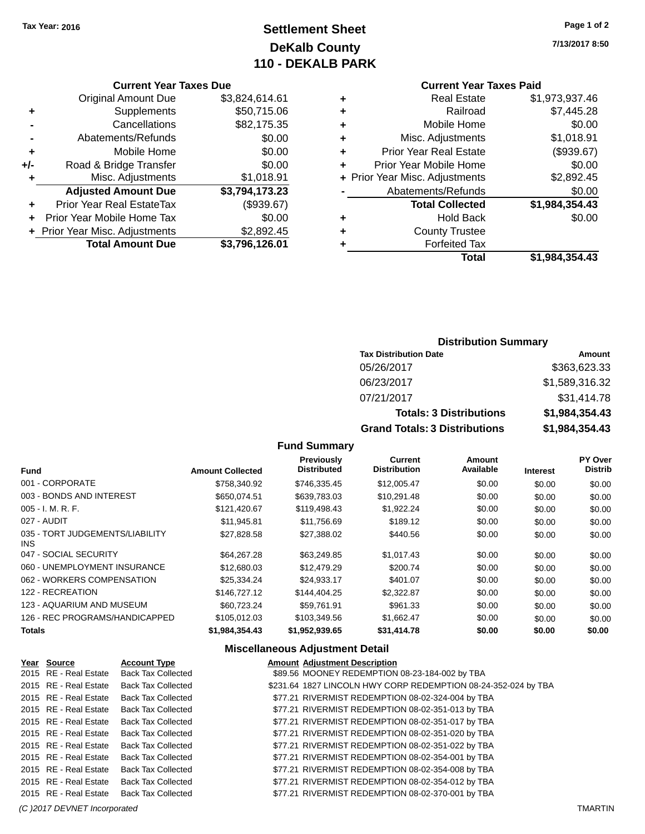# **Settlement Sheet Tax Year: 2016 Page 1 of 2 DeKalb County 110 - DEKALB PARK**

### **Current Year Taxes Due**

|     | <b>Original Amount Due</b>       | \$3,824,614.61 |
|-----|----------------------------------|----------------|
| ٠   | Supplements                      | \$50,715.06    |
|     | Cancellations                    | \$82,175.35    |
|     | Abatements/Refunds               | \$0.00         |
| ٠   | Mobile Home                      | \$0.00         |
| +/- | Road & Bridge Transfer           | \$0.00         |
| ٠   | Misc. Adjustments                | \$1,018.91     |
|     | <b>Adjusted Amount Due</b>       | \$3,794,173.23 |
| ÷   | <b>Prior Year Real EstateTax</b> | (\$939.67)     |
|     | Prior Year Mobile Home Tax       | \$0.00         |
|     | + Prior Year Misc. Adjustments   | \$2,892.45     |
|     | <b>Total Amount Due</b>          | \$3,796,126.01 |

# **Current Year Taxes Paid**

| ٠ | <b>Real Estate</b>             | \$1,973,937.46 |
|---|--------------------------------|----------------|
| ٠ | Railroad                       | \$7,445.28     |
| ٠ | Mobile Home                    | \$0.00         |
| ٠ | Misc. Adjustments              | \$1,018.91     |
| ٠ | <b>Prior Year Real Estate</b>  | (\$939.67)     |
| ÷ | Prior Year Mobile Home         | \$0.00         |
|   | + Prior Year Misc. Adjustments | \$2,892.45     |
|   | Abatements/Refunds             | \$0.00         |
|   | <b>Total Collected</b>         | \$1,984,354.43 |
| ٠ | <b>Hold Back</b>               | \$0.00         |
| ٠ | <b>County Trustee</b>          |                |
| ٠ | <b>Forfeited Tax</b>           |                |
|   | Total                          | \$1,984,354.43 |

# **Distribution Summary**

| <b>Tax Distribution Date</b>         | Amount         |
|--------------------------------------|----------------|
| 05/26/2017                           | \$363,623,33   |
| 06/23/2017                           | \$1,589,316.32 |
| 07/21/2017                           | \$31,414.78    |
| <b>Totals: 3 Distributions</b>       | \$1,984,354.43 |
| <b>Grand Totals: 3 Distributions</b> | \$1,984,354.43 |

### **Fund Summary**

| <b>Fund</b>                             | <b>Amount Collected</b> | Previously<br><b>Distributed</b> | Current<br><b>Distribution</b> | Amount<br>Available | <b>Interest</b> | PY Over<br><b>Distrib</b> |
|-----------------------------------------|-------------------------|----------------------------------|--------------------------------|---------------------|-----------------|---------------------------|
| 001 - CORPORATE                         | \$758,340.92            | \$746.335.45                     | \$12,005.47                    | \$0.00              | \$0.00          | \$0.00                    |
| 003 - BONDS AND INTEREST                | \$650.074.51            | \$639,783,03                     | \$10.291.48                    | \$0.00              | \$0.00          | \$0.00                    |
| $005 - I. M. R. F.$                     | \$121,420.67            | \$119,498.43                     | \$1,922.24                     | \$0.00              | \$0.00          | \$0.00                    |
| 027 - AUDIT                             | \$11.945.81             | \$11,756.69                      | \$189.12                       | \$0.00              | \$0.00          | \$0.00                    |
| 035 - TORT JUDGEMENTS/LIABILITY<br>INS. | \$27,828.58             | \$27,388.02                      | \$440.56                       | \$0.00              | \$0.00          | \$0.00                    |
| 047 - SOCIAL SECURITY                   | \$64.267.28             | \$63.249.85                      | \$1.017.43                     | \$0.00              | \$0.00          | \$0.00                    |
| 060 - UNEMPLOYMENT INSURANCE            | \$12,680.03             | \$12,479.29                      | \$200.74                       | \$0.00              | \$0.00          | \$0.00                    |
| 062 - WORKERS COMPENSATION              | \$25.334.24             | \$24.933.17                      | \$401.07                       | \$0.00              | \$0.00          | \$0.00                    |
| 122 - RECREATION                        | \$146,727.12            | \$144,404.25                     | \$2,322.87                     | \$0.00              | \$0.00          | \$0.00                    |
| 123 - AQUARIUM AND MUSEUM               | \$60.723.24             | \$59.761.91                      | \$961.33                       | \$0.00              | \$0.00          | \$0.00                    |
| 126 - REC PROGRAMS/HANDICAPPED          | \$105,012.03            | \$103,349.56                     | \$1,662.47                     | \$0.00              | \$0.00          | \$0.00                    |
| <b>Totals</b>                           | \$1.984.354.43          | \$1,952,939.65                   | \$31,414.78                    | \$0.00              | \$0.00          | \$0.00                    |

## **Miscellaneous Adjustment Detail**

| Year Source           | <b>Account Type</b>                      | <b>Amount Adjustment Description</b>                           |
|-----------------------|------------------------------------------|----------------------------------------------------------------|
| 2015 RE - Real Estate | <b>Back Tax Collected</b>                | \$89.56 MOONEY REDEMPTION 08-23-184-002 by TBA                 |
| 2015 RE - Real Estate | Back Tax Collected                       | \$231.64 1827 LINCOLN HWY CORP REDEMPTION 08-24-352-024 by TBA |
| 2015 RE - Real Estate | <b>Back Tax Collected</b>                | \$77.21 RIVERMIST REDEMPTION 08-02-324-004 by TBA              |
| 2015 RE - Real Estate | <b>Back Tax Collected</b>                | \$77.21 RIVERMIST REDEMPTION 08-02-351-013 by TBA              |
| 2015 RE - Real Estate | Back Tax Collected                       | \$77.21 RIVERMIST REDEMPTION 08-02-351-017 by TBA              |
| 2015 RE - Real Estate | Back Tax Collected                       | \$77.21 RIVERMIST REDEMPTION 08-02-351-020 by TBA              |
| 2015 RE - Real Estate | Back Tax Collected                       | \$77.21 RIVERMIST REDEMPTION 08-02-351-022 by TBA              |
| 2015 RE - Real Estate | <b>Back Tax Collected</b>                | \$77.21 RIVERMIST REDEMPTION 08-02-354-001 by TBA              |
| 2015 RE - Real Estate | <b>Back Tax Collected</b>                | \$77.21 RIVERMIST REDEMPTION 08-02-354-008 by TBA              |
| 2015 RE - Real Estate | Back Tax Collected                       | \$77.21 RIVERMIST REDEMPTION 08-02-354-012 by TBA              |
|                       | 2015 RE - Real Estate Back Tax Collected | \$77.21 RIVERMIST REDEMPTION 08-02-370-001 by TBA              |

*(C )2017 DEVNET Incorporated* TMARTIN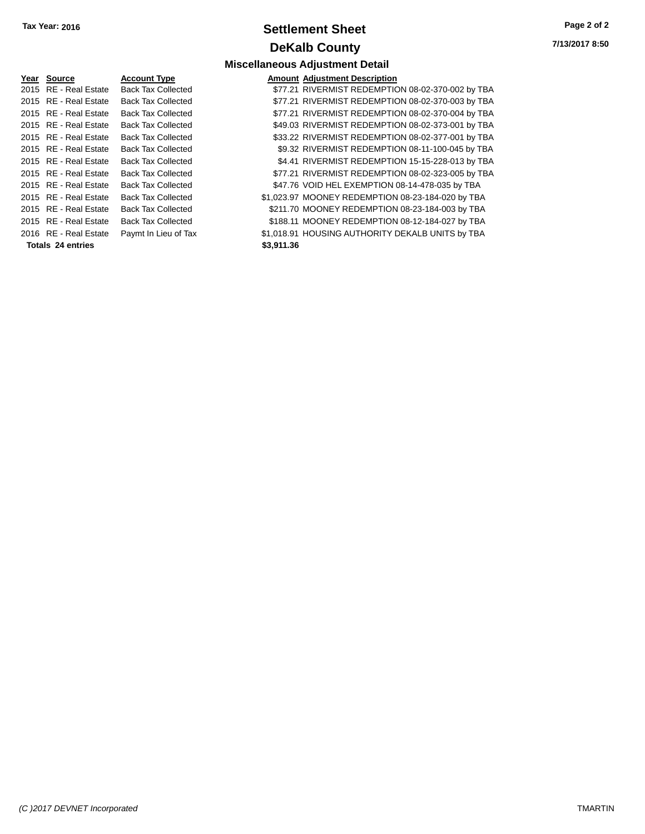# **Settlement Sheet Tax Year: 2016 Page 2 of 2 DeKalb County**

**7/13/2017 8:50**

# **Miscellaneous Adjustment Detail**

|                   | Yea <u>r</u> Source   | <b>Account Type</b>       |            | <b>Amount Adjustment Description</b>              |
|-------------------|-----------------------|---------------------------|------------|---------------------------------------------------|
|                   | 2015 RE - Real Estate | <b>Back Tax Collected</b> |            | \$77.21 RIVERMIST REDEMPTION 08-02-370-002 by TBA |
|                   | 2015 RE - Real Estate | <b>Back Tax Collected</b> |            | \$77.21 RIVERMIST REDEMPTION 08-02-370-003 by TBA |
|                   | 2015 RE - Real Estate | <b>Back Tax Collected</b> |            | \$77.21 RIVERMIST REDEMPTION 08-02-370-004 by TBA |
|                   | 2015 RE - Real Estate | <b>Back Tax Collected</b> |            | \$49.03 RIVERMIST REDEMPTION 08-02-373-001 by TBA |
|                   | 2015 RE - Real Estate | <b>Back Tax Collected</b> |            | \$33.22 RIVERMIST REDEMPTION 08-02-377-001 by TBA |
|                   | 2015 RE - Real Estate | <b>Back Tax Collected</b> |            | \$9.32 RIVERMIST REDEMPTION 08-11-100-045 by TBA  |
|                   | 2015 RE - Real Estate | <b>Back Tax Collected</b> |            | \$4.41 RIVERMIST REDEMPTION 15-15-228-013 by TBA  |
|                   | 2015 RE - Real Estate | <b>Back Tax Collected</b> |            | \$77.21 RIVERMIST REDEMPTION 08-02-323-005 by TBA |
|                   | 2015 RE - Real Estate | <b>Back Tax Collected</b> |            | \$47.76 VOID HEL EXEMPTION 08-14-478-035 by TBA   |
|                   | 2015 RE - Real Estate | <b>Back Tax Collected</b> |            | \$1,023.97 MOONEY REDEMPTION 08-23-184-020 by TBA |
|                   | 2015 RE - Real Estate | <b>Back Tax Collected</b> |            | \$211.70 MOONEY REDEMPTION 08-23-184-003 by TBA   |
|                   | 2015 RE - Real Estate | <b>Back Tax Collected</b> |            | \$188.11 MOONEY REDEMPTION 08-12-184-027 by TBA   |
|                   | 2016 RE - Real Estate | Paymt In Lieu of Tax      |            | \$1,018.91 HOUSING AUTHORITY DEKALB UNITS by TBA  |
| Totals 24 entries |                       |                           | \$3,911.36 |                                                   |
|                   |                       |                           |            |                                                   |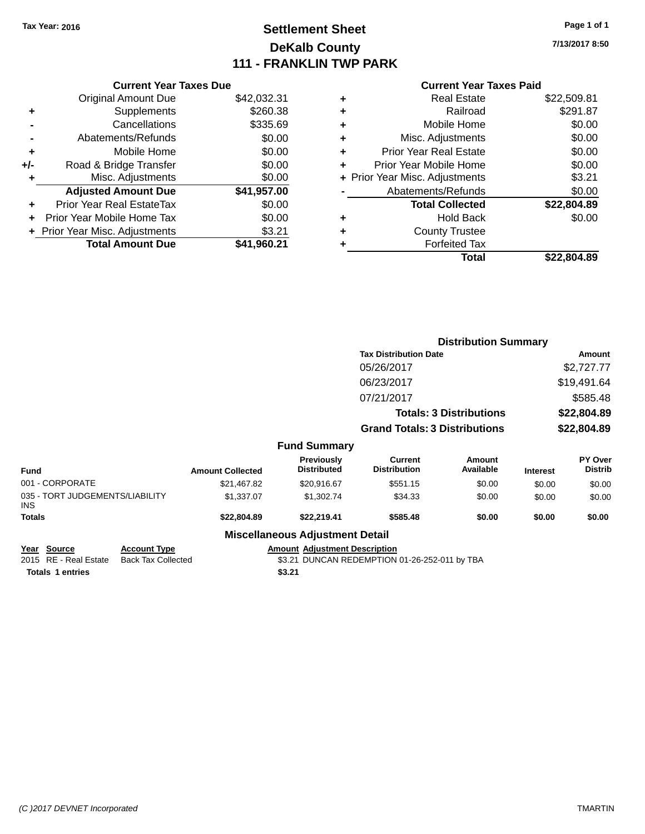# **Settlement Sheet Tax Year: 2016 Page 1 of 1 DeKalb County 111 - FRANKLIN TWP PARK**

**7/13/2017 8:50**

### **Current Year Taxes Paid**

|     | <b>Current Year Taxes Due</b>  |             |
|-----|--------------------------------|-------------|
|     | <b>Original Amount Due</b>     | \$42,032.31 |
| ٠   | Supplements                    | \$260.38    |
|     | Cancellations                  | \$335.69    |
|     | Abatements/Refunds             | \$0.00      |
| ٠   | Mobile Home                    | \$0.00      |
| +/- | Road & Bridge Transfer         | \$0.00      |
| ٠   | Misc. Adjustments              | \$0.00      |
|     | <b>Adjusted Amount Due</b>     | \$41,957.00 |
| ٠   | Prior Year Real EstateTax      | \$0.00      |
|     | Prior Year Mobile Home Tax     | \$0.00      |
|     | + Prior Year Misc. Adjustments | \$3.21      |
|     | <b>Total Amount Due</b>        | \$41.960.21 |
|     |                                |             |

| ٠ | Real Estate                    | \$22,509.81 |
|---|--------------------------------|-------------|
| ٠ | Railroad                       | \$291.87    |
| ٠ | Mobile Home                    | \$0.00      |
| ٠ | Misc. Adjustments              | \$0.00      |
| ٠ | <b>Prior Year Real Estate</b>  | \$0.00      |
| ٠ | Prior Year Mobile Home         | \$0.00      |
|   | + Prior Year Misc. Adjustments | \$3.21      |
|   | Abatements/Refunds             | \$0.00      |
|   | <b>Total Collected</b>         | \$22,804.89 |
| ٠ | <b>Hold Back</b>               | \$0.00      |
| ٠ | <b>County Trustee</b>          |             |
| ٠ | <b>Forfeited Tax</b>           |             |
|   | Total                          | \$22,804.89 |
|   |                                |             |

|                                               |                         |                                        | <b>Distribution Summary</b>           |                                |                 |                           |
|-----------------------------------------------|-------------------------|----------------------------------------|---------------------------------------|--------------------------------|-----------------|---------------------------|
|                                               |                         |                                        | <b>Tax Distribution Date</b>          |                                |                 | Amount                    |
|                                               |                         |                                        | 05/26/2017                            |                                |                 | \$2,727.77                |
|                                               |                         |                                        | 06/23/2017                            |                                |                 | \$19,491.64               |
|                                               |                         |                                        | 07/21/2017                            |                                |                 | \$585.48                  |
|                                               |                         |                                        |                                       | <b>Totals: 3 Distributions</b> |                 | \$22,804.89               |
|                                               |                         |                                        | <b>Grand Totals: 3 Distributions</b>  |                                | \$22,804.89     |                           |
|                                               |                         | <b>Fund Summary</b>                    |                                       |                                |                 |                           |
| <b>Fund</b>                                   | <b>Amount Collected</b> | Previously<br><b>Distributed</b>       | <b>Current</b><br><b>Distribution</b> | <b>Amount</b><br>Available     | <b>Interest</b> | PY Over<br><b>Distrib</b> |
| 001 - CORPORATE                               | \$21,467.82             | \$20,916.67                            | \$551.15                              | \$0.00                         | \$0.00          | \$0.00                    |
| 035 - TORT JUDGEMENTS/LIABILITY<br><b>INS</b> | \$1,337.07              | \$1,302.74                             | \$34.33                               | \$0.00                         | \$0.00          | \$0.00                    |
| <b>Totals</b>                                 | \$22,804.89             | \$22,219.41                            | \$585.48                              | \$0.00                         | \$0.00          | \$0.00                    |
|                                               |                         | <b>Miscellaneous Adiustment Detail</b> |                                       |                                |                 |                           |

### **Miscellaneous Adjustment Detail**

| Year Source      | <b>Account Type</b>                      |        | <b>Amount Adiustment Description</b>          |
|------------------|------------------------------------------|--------|-----------------------------------------------|
|                  | 2015 RE - Real Estate Back Tax Collected |        | \$3.21 DUNCAN REDEMPTION 01-26-252-011 by TBA |
| Totals 1 entries |                                          | \$3.21 |                                               |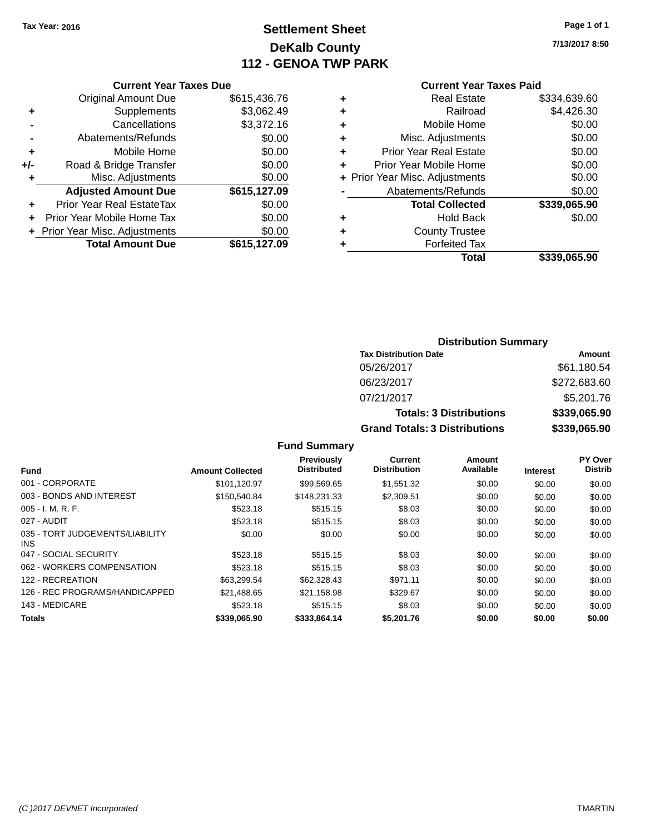# **Settlement Sheet Tax Year: 2016 Page 1 of 1 DeKalb County 112 - GENOA TWP PARK**

**7/13/2017 8:50**

| <b>Original Amount Due</b>     | \$615,436.76                  |
|--------------------------------|-------------------------------|
| Supplements                    | \$3,062.49                    |
| Cancellations                  | \$3,372.16                    |
| Abatements/Refunds             | \$0.00                        |
| Mobile Home                    | \$0.00                        |
| Road & Bridge Transfer         | \$0.00                        |
| Misc. Adjustments              | \$0.00                        |
| <b>Adjusted Amount Due</b>     | \$615,127.09                  |
| Prior Year Real EstateTax      | \$0.00                        |
| Prior Year Mobile Home Tax     | \$0.00                        |
| + Prior Year Misc. Adjustments | \$0.00                        |
| <b>Total Amount Due</b>        | \$615,127.09                  |
|                                | <b>Current Year Taxes Due</b> |

| <b>Current Year Taxes Paid</b> |              |
|--------------------------------|--------------|
| <b>Real Estate</b>             | \$334.639.60 |
| Railroad                       | \$4,426.30   |
| Mobile Home                    | \$0.00       |
| Misc. Adjustments              | \$0.00       |
| <b>Prior Year Real Estate</b>  | \$0.00       |
| Prior Year Mobile Home         | \$0.00       |
| + Prior Year Misc. Adjustments | \$0.00       |
| Abatements/Refunds             | \$0.00       |
| <b>Total Collected</b>         | \$339,065.90 |
| <b>Hold Back</b>               | \$0.00       |
| <b>County Trustee</b>          |              |
| <b>Forfeited Tax</b>           |              |
| Total                          | \$339,065.90 |
|                                |              |

| <b>Distribution Summary</b>          |              |  |  |  |
|--------------------------------------|--------------|--|--|--|
| <b>Tax Distribution Date</b>         | Amount       |  |  |  |
| 05/26/2017                           | \$61,180.54  |  |  |  |
| 06/23/2017                           | \$272,683.60 |  |  |  |
| 07/21/2017                           | \$5,201.76   |  |  |  |
| <b>Totals: 3 Distributions</b>       | \$339,065.90 |  |  |  |
| <b>Grand Totals: 3 Distributions</b> | \$339,065.90 |  |  |  |

## **Fund Summary**

| <b>Fund</b>                             | <b>Amount Collected</b> | <b>Previously</b><br><b>Distributed</b> | <b>Current</b><br><b>Distribution</b> | Amount<br>Available | <b>Interest</b> | PY Over<br><b>Distrib</b> |
|-----------------------------------------|-------------------------|-----------------------------------------|---------------------------------------|---------------------|-----------------|---------------------------|
| 001 - CORPORATE                         | \$101.120.97            | \$99.569.65                             | \$1.551.32                            | \$0.00              | \$0.00          | \$0.00                    |
| 003 - BONDS AND INTEREST                | \$150,540.84            | \$148.231.33                            | \$2,309.51                            | \$0.00              | \$0.00          | \$0.00                    |
| $005 - I. M. R. F.$                     | \$523.18                | \$515.15                                | \$8.03                                | \$0.00              | \$0.00          | \$0.00                    |
| 027 - AUDIT                             | \$523.18                | \$515.15                                | \$8.03                                | \$0.00              | \$0.00          | \$0.00                    |
| 035 - TORT JUDGEMENTS/LIABILITY<br>INS. | \$0.00                  | \$0.00                                  | \$0.00                                | \$0.00              | \$0.00          | \$0.00                    |
| 047 - SOCIAL SECURITY                   | \$523.18                | \$515.15                                | \$8.03                                | \$0.00              | \$0.00          | \$0.00                    |
| 062 - WORKERS COMPENSATION              | \$523.18                | \$515.15                                | \$8.03                                | \$0.00              | \$0.00          | \$0.00                    |
| 122 - RECREATION                        | \$63.299.54             | \$62,328,43                             | \$971.11                              | \$0.00              | \$0.00          | \$0.00                    |
| 126 - REC PROGRAMS/HANDICAPPED          | \$21.488.65             | \$21,158.98                             | \$329.67                              | \$0.00              | \$0.00          | \$0.00                    |
| 143 - MEDICARE                          | \$523.18                | \$515.15                                | \$8.03                                | \$0.00              | \$0.00          | \$0.00                    |
| <b>Totals</b>                           | \$339,065,90            | \$333,864.14                            | \$5,201.76                            | \$0.00              | \$0.00          | \$0.00                    |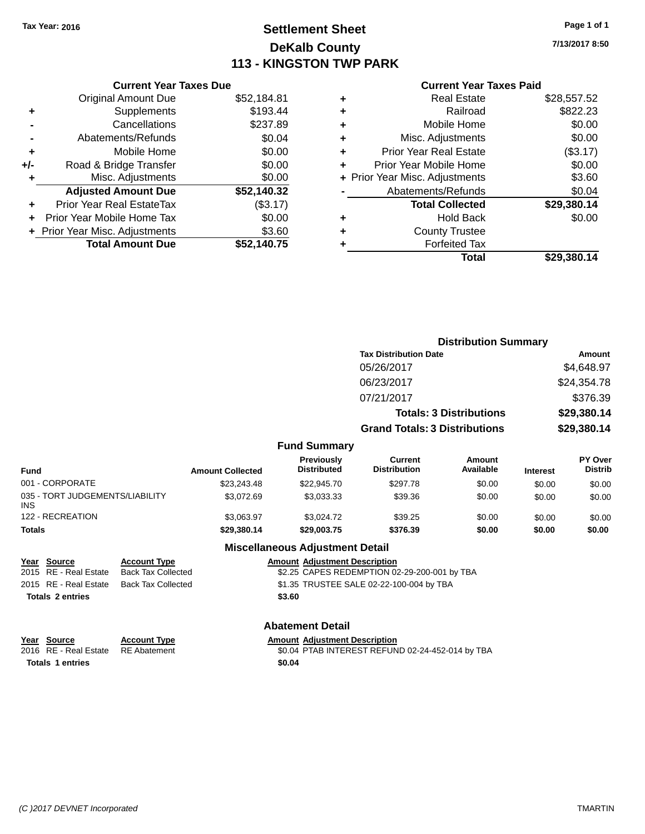# **Settlement Sheet Tax Year: 2016 Page 1 of 1 DeKalb County 113 - KINGSTON TWP PARK**

**7/13/2017 8:50**

## **Current Year Taxes Paid**

|     | <b>Current Year Taxes Due</b>  |             |
|-----|--------------------------------|-------------|
|     | <b>Original Amount Due</b>     | \$52,184.81 |
| ٠   | Supplements                    | \$193.44    |
|     | Cancellations                  | \$237.89    |
|     | Abatements/Refunds             | \$0.04      |
| ٠   | Mobile Home                    | \$0.00      |
| +/- | Road & Bridge Transfer         | \$0.00      |
| ٠   | Misc. Adjustments              | \$0.00      |
|     | <b>Adjusted Amount Due</b>     | \$52,140.32 |
| ٠   | Prior Year Real EstateTax      | (\$3.17)    |
|     | Prior Year Mobile Home Tax     | \$0.00      |
|     | + Prior Year Misc. Adjustments | \$3.60      |
|     | <b>Total Amount Due</b>        | \$52,140.75 |
|     |                                |             |

|   | Total                          | \$29.380.14 |
|---|--------------------------------|-------------|
| ٠ | <b>Forfeited Tax</b>           |             |
| ٠ | <b>County Trustee</b>          |             |
| ٠ | Hold Back                      | \$0.00      |
|   | <b>Total Collected</b>         | \$29,380.14 |
|   | Abatements/Refunds             | \$0.04      |
|   | + Prior Year Misc. Adjustments | \$3.60      |
| ٠ | Prior Year Mobile Home         | \$0.00      |
| ٠ | Prior Year Real Estate         | (\$3.17)    |
| ٠ | Misc. Adjustments              | \$0.00      |
| ٠ | Mobile Home                    | \$0.00      |
| ٠ | Railroad                       | \$822.23    |
| ٠ | <b>Real Estate</b>             | \$28.557.52 |
|   |                                |             |

|                                               |                         |                                  | <b>Distribution Summary</b>           |                                |                 |                           |
|-----------------------------------------------|-------------------------|----------------------------------|---------------------------------------|--------------------------------|-----------------|---------------------------|
|                                               |                         |                                  | <b>Tax Distribution Date</b>          |                                |                 | <b>Amount</b>             |
|                                               |                         |                                  | 05/26/2017                            |                                |                 | \$4,648.97                |
|                                               |                         |                                  | 06/23/2017                            |                                |                 | \$24,354.78               |
|                                               |                         |                                  | 07/21/2017                            |                                |                 | \$376.39                  |
|                                               |                         |                                  |                                       | <b>Totals: 3 Distributions</b> |                 | \$29,380.14               |
|                                               |                         |                                  | <b>Grand Totals: 3 Distributions</b>  |                                |                 | \$29,380.14               |
|                                               |                         | <b>Fund Summary</b>              |                                       |                                |                 |                           |
| <b>Fund</b>                                   | <b>Amount Collected</b> | Previously<br><b>Distributed</b> | <b>Current</b><br><b>Distribution</b> | Amount<br>Available            | <b>Interest</b> | PY Over<br><b>Distrib</b> |
| 001 - CORPORATE                               | \$23,243.48             | \$22,945.70                      | \$297.78                              | \$0.00                         | \$0.00          | \$0.00                    |
| 035 - TORT JUDGEMENTS/LIABILITY<br><b>INS</b> | \$3,072.69              | \$3,033.33                       | \$39.36                               | \$0.00                         | \$0.00          | \$0.00                    |
| 122 - RECREATION                              | \$3,063.97              | \$3,024.72                       | \$39.25                               | \$0.00                         | \$0.00          | \$0.00                    |
| Totals                                        | \$29,380.14             | \$29,003.75                      | \$376.39                              | \$0.00                         | \$0.00          | \$0.00                    |

### **Miscellaneous Adjustment Detail**

**Abatement Detail**

| <u>Year Source</u>      | <b>Account Type</b>                      |        | <b>Amount Adiustment Description</b>         |
|-------------------------|------------------------------------------|--------|----------------------------------------------|
| 2015 RE - Real Estate   | Back Tax Collected                       |        | \$2.25 CAPES REDEMPTION 02-29-200-001 by TBA |
|                         | 2015 RE - Real Estate Back Tax Collected |        | \$1.35 TRUSTEE SALE 02-22-100-004 by TBA     |
| <b>Totals 2 entries</b> |                                          | \$3.60 |                                              |

| Year Source             | <b>Account Type</b> | Amount |
|-------------------------|---------------------|--------|
| 2016 RE - Real Estate   | RE Abatement        | \$0.04 |
| <b>Totals 1 entries</b> |                     | \$0.04 |

**Account Type Amount Adjustment Description**<br>RE Abatement **Adjustment SC** 30.04 PTAB INTEREST REFUN \$0.04 PTAB INTEREST REFUND 02-24-452-014 by TBA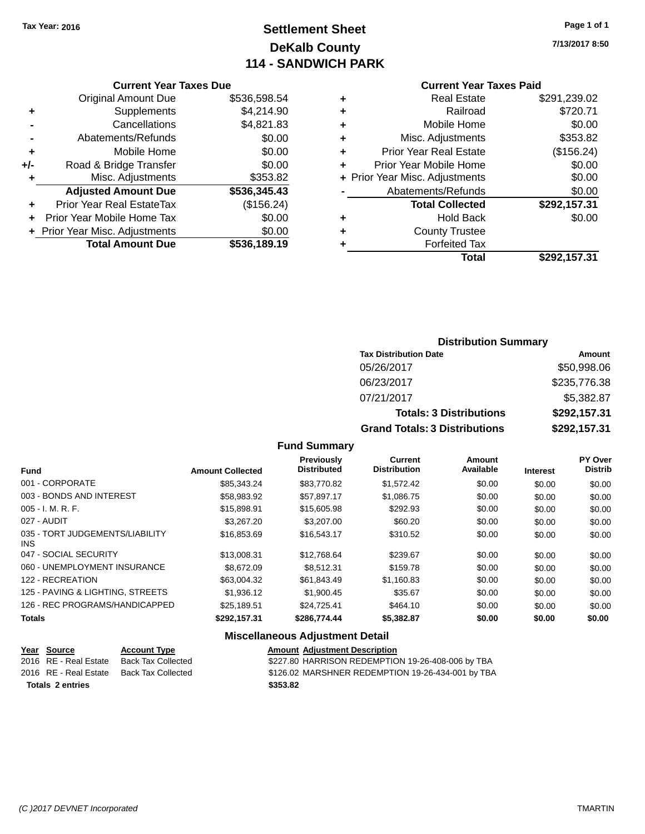# **Settlement Sheet Tax Year: 2016 Page 1 of 1 DeKalb County 114 - SANDWICH PARK**

**7/13/2017 8:50**

### **Current Year Taxes Due**

|       | <b>Original Amount Due</b>     | \$536,598.54 |
|-------|--------------------------------|--------------|
| ٠     | Supplements                    | \$4,214.90   |
|       | Cancellations                  | \$4,821.83   |
|       | Abatements/Refunds             | \$0.00       |
| ٠     | Mobile Home                    | \$0.00       |
| $+/-$ | Road & Bridge Transfer         | \$0.00       |
| ٠     | Misc. Adjustments              | \$353.82     |
|       | <b>Adjusted Amount Due</b>     | \$536,345.43 |
|       | Prior Year Real EstateTax      | (\$156.24)   |
|       | Prior Year Mobile Home Tax     | \$0.00       |
|       | + Prior Year Misc. Adjustments | \$0.00       |
|       | <b>Total Amount Due</b>        | \$536.189.19 |

### **Current Year Taxes Paid +** Real Estate \$291,239.02

|   | Total                          | \$292,157.31  |
|---|--------------------------------|---------------|
| ٠ | <b>Forfeited Tax</b>           |               |
| ٠ | <b>County Trustee</b>          |               |
| ٠ | <b>Hold Back</b>               | \$0.00        |
|   | <b>Total Collected</b>         | \$292,157.31  |
|   | Abatements/Refunds             | \$0.00        |
|   | + Prior Year Misc. Adjustments | \$0.00        |
| ٠ | Prior Year Mobile Home         | \$0.00        |
| ٠ | <b>Prior Year Real Estate</b>  | (\$156.24)    |
| ٠ | Misc. Adjustments              | \$353.82      |
| ٠ | Mobile Home                    | \$0.00        |
| ÷ | Railroad                       | \$720.71      |
| Ŧ | ngal Lolal <del>c</del>        | ∟∪.כט∠, ו כ∠ע |

# **Distribution Summary Tax Distribution Date Amount** 05/26/2017 \$50,998.06 06/23/2017 \$235,776.38 07/21/2017 \$5,382.87 **Totals: 3 Distributions \$292,157.31 Grand Totals: 3 Distributions \$292,157.31**

### **Fund Summary**

| <b>Fund</b>                             | <b>Amount Collected</b> | <b>Previously</b><br><b>Distributed</b> | <b>Current</b><br><b>Distribution</b> | <b>Amount</b><br>Available | <b>Interest</b> | PY Over<br><b>Distrib</b> |
|-----------------------------------------|-------------------------|-----------------------------------------|---------------------------------------|----------------------------|-----------------|---------------------------|
| 001 - CORPORATE                         | \$85,343,24             | \$83,770.82                             | \$1.572.42                            | \$0.00                     | \$0.00          | \$0.00                    |
| 003 - BONDS AND INTEREST                | \$58,983.92             | \$57,897.17                             | \$1,086.75                            | \$0.00                     | \$0.00          | \$0.00                    |
| $005 - I. M. R. F.$                     | \$15,898.91             | \$15,605.98                             | \$292.93                              | \$0.00                     | \$0.00          | \$0.00                    |
| 027 - AUDIT                             | \$3,267,20              | \$3,207.00                              | \$60.20                               | \$0.00                     | \$0.00          | \$0.00                    |
| 035 - TORT JUDGEMENTS/LIABILITY<br>INS. | \$16,853,69             | \$16,543.17                             | \$310.52                              | \$0.00                     | \$0.00          | \$0.00                    |
| 047 - SOCIAL SECURITY                   | \$13,008.31             | \$12,768.64                             | \$239.67                              | \$0.00                     | \$0.00          | \$0.00                    |
| 060 - UNEMPLOYMENT INSURANCE            | \$8,672.09              | \$8.512.31                              | \$159.78                              | \$0.00                     | \$0.00          | \$0.00                    |
| 122 - RECREATION                        | \$63,004.32             | \$61.843.49                             | \$1,160.83                            | \$0.00                     | \$0.00          | \$0.00                    |
| 125 - PAVING & LIGHTING, STREETS        | \$1,936.12              | \$1,900.45                              | \$35.67                               | \$0.00                     | \$0.00          | \$0.00                    |
| 126 - REC PROGRAMS/HANDICAPPED          | \$25.189.51             | \$24,725,41                             | \$464.10                              | \$0.00                     | \$0.00          | \$0.00                    |
| <b>Totals</b>                           | \$292,157.31            | \$286,774,44                            | \$5,382.87                            | \$0.00                     | \$0.00          | \$0.00                    |

### **Miscellaneous Adjustment Detail**

| Year Source           | <b>Account Type</b> | <b>Amount Adjustment Description</b>              |
|-----------------------|---------------------|---------------------------------------------------|
| 2016 RE - Real Estate | Back Tax Collected  | \$227.80 HARRISON REDEMPTION 19-26-408-006 by TBA |
| 2016 RE - Real Estate | Back Tax Collected  | \$126.02 MARSHNER REDEMPTION 19-26-434-001 by TBA |
| Totals 2 entries      |                     | \$353.82                                          |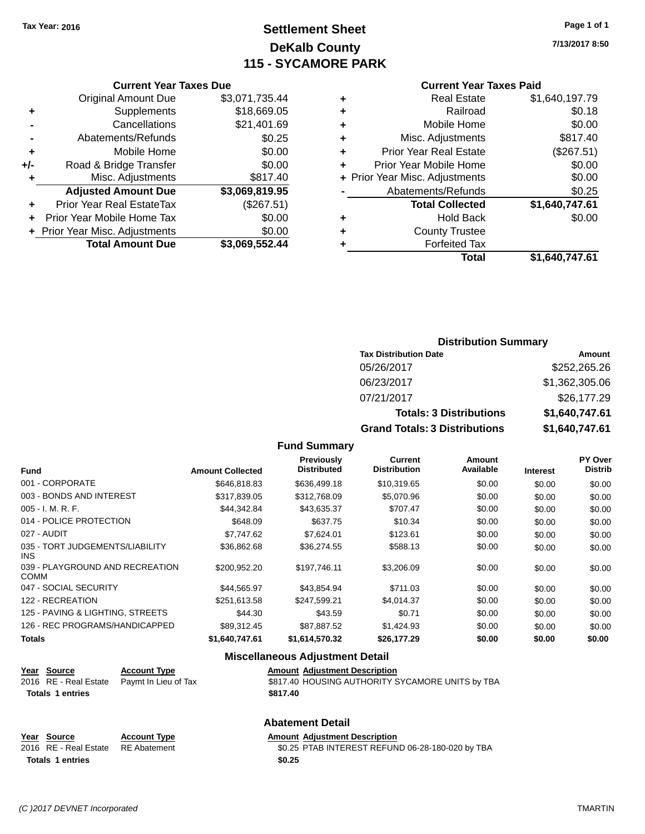# **Settlement Sheet Tax Year: 2016 Page 1 of 1 DeKalb County 115 - SYCAMORE PARK**

**7/13/2017 8:50**

|     | <b>Current Year Taxes Due</b>  |                |  |  |  |  |
|-----|--------------------------------|----------------|--|--|--|--|
|     | <b>Original Amount Due</b>     | \$3,071,735.44 |  |  |  |  |
|     | Supplements                    | \$18,669.05    |  |  |  |  |
|     | Cancellations                  | \$21,401.69    |  |  |  |  |
|     | Abatements/Refunds             | \$0.25         |  |  |  |  |
| ٠   | Mobile Home                    | \$0.00         |  |  |  |  |
| +/- | Road & Bridge Transfer         | \$0.00         |  |  |  |  |
| ٠   | Misc. Adjustments              | \$817.40       |  |  |  |  |
|     | <b>Adjusted Amount Due</b>     | \$3,069,819.95 |  |  |  |  |
| ٠   | Prior Year Real EstateTax      | (\$267.51)     |  |  |  |  |
| ÷   | Prior Year Mobile Home Tax     | \$0.00         |  |  |  |  |
|     | + Prior Year Misc. Adjustments | \$0.00         |  |  |  |  |
|     | <b>Total Amount Due</b>        | \$3,069,552.44 |  |  |  |  |
|     |                                |                |  |  |  |  |

# **Current Year Taxes Paid +** Real Estate \$1,640,197.79 **+** Railroad \$0.18 **+** Mobile Home \$0.00 **+** Misc. Adjustments \$817.40 **+** Prior Year Real Estate (\$267.51) **+** Prior Year Mobile Home \$0.00 **+ Prior Year Misc. Adjustments**  $$0.00$ Abatements/Refunds \$0.25 **Total Collected \$1,640,747.61 +** Hold Back \$0.00 **+** County Trustee **+** Forfeited Tax **Total \$1,640,747.61**

# **Distribution Summary Tax Distribution Date Amount** 05/26/2017 \$252,265.26 06/23/2017 \$1,362,305.06 07/21/2017 \$26,177.29 **Totals: 3 Distributions \$1,640,747.61 Grand Totals: 3 Distributions \$1,640,747.61**

## **Fund Summary**

| <b>Fund</b>                                    | <b>Amount Collected</b> | Previously<br><b>Distributed</b> | <b>Current</b><br><b>Distribution</b> | Amount<br>Available | Interest | PY Over<br><b>Distrib</b> |
|------------------------------------------------|-------------------------|----------------------------------|---------------------------------------|---------------------|----------|---------------------------|
| 001 - CORPORATE                                | \$646,818.83            | \$636,499.18                     | \$10,319.65                           | \$0.00              | \$0.00   | \$0.00                    |
| 003 - BONDS AND INTEREST                       | \$317,839.05            | \$312,768.09                     | \$5,070.96                            | \$0.00              | \$0.00   | \$0.00                    |
| $005 - I. M. R. F.$                            | \$44.342.84             | \$43,635.37                      | \$707.47                              | \$0.00              | \$0.00   | \$0.00                    |
| 014 - POLICE PROTECTION                        | \$648.09                | \$637.75                         | \$10.34                               | \$0.00              | \$0.00   | \$0.00                    |
| 027 - AUDIT                                    | \$7,747.62              | \$7,624.01                       | \$123.61                              | \$0.00              | \$0.00   | \$0.00                    |
| 035 - TORT JUDGEMENTS/LIABILITY<br><b>INS</b>  | \$36,862.68             | \$36,274.55                      | \$588.13                              | \$0.00              | \$0.00   | \$0.00                    |
| 039 - PLAYGROUND AND RECREATION<br><b>COMM</b> | \$200,952.20            | \$197.746.11                     | \$3,206.09                            | \$0.00              | \$0.00   | \$0.00                    |
| 047 - SOCIAL SECURITY                          | \$44,565.97             | \$43,854.94                      | \$711.03                              | \$0.00              | \$0.00   | \$0.00                    |
| 122 - RECREATION                               | \$251,613.58            | \$247,599.21                     | \$4,014.37                            | \$0.00              | \$0.00   | \$0.00                    |
| 125 - PAVING & LIGHTING, STREETS               | \$44.30                 | \$43.59                          | \$0.71                                | \$0.00              | \$0.00   | \$0.00                    |
| 126 - REC PROGRAMS/HANDICAPPED                 | \$89,312.45             | \$87,887.52                      | \$1,424.93                            | \$0.00              | \$0.00   | \$0.00                    |
| <b>Totals</b>                                  | \$1,640,747.61          | \$1.614.570.32                   | \$26,177.29                           | \$0.00              | \$0.00   | \$0.00                    |

### **Miscellaneous Adjustment Detail**

| Year Source             | <b>Account Type</b>                        | <b>Amount Adiustment Description</b>             |
|-------------------------|--------------------------------------------|--------------------------------------------------|
|                         | 2016 RE - Real Estate Paymt In Lieu of Tax | \$817.40 HOUSING AUTHORITY SYCAMORE UNITS by TBA |
| <b>Totals 1 entries</b> |                                            | \$817.40                                         |
|                         |                                            |                                                  |

# **Abatement Detail**

### **Year Source Account Type Amount Adjustment Description** 2016 RE - Real Estate RE Abatement \$0.25 PTAB INTEREST REFUND 06-28-180-020 by TBA **Totals \$0.25 1 entries**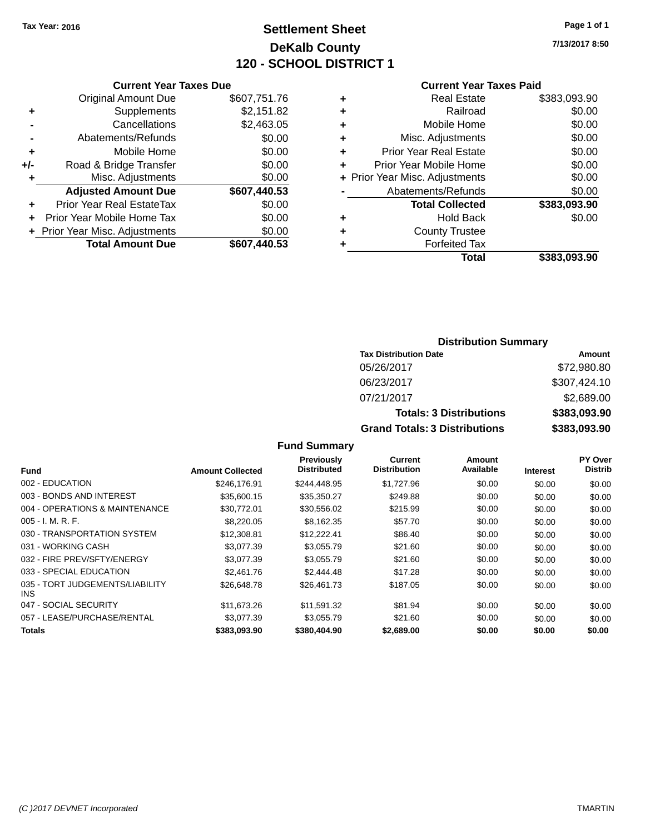# **Settlement Sheet Tax Year: 2016 Page 1 of 1 DeKalb County 120 - SCHOOL DISTRICT 1**

**7/13/2017 8:50**

### **Current Year Taxes Paid**

|       | <b>Current Year Taxes Due</b>  |              |
|-------|--------------------------------|--------------|
|       | <b>Original Amount Due</b>     | \$607,751.76 |
| ٠     | Supplements                    | \$2,151.82   |
|       | Cancellations                  | \$2,463.05   |
|       | Abatements/Refunds             | \$0.00       |
| ٠     | Mobile Home                    | \$0.00       |
| $+/-$ | Road & Bridge Transfer         | \$0.00       |
| ٠     | Misc. Adjustments              | \$0.00       |
|       | <b>Adjusted Amount Due</b>     | \$607,440.53 |
| ٠     | Prior Year Real EstateTax      | \$0.00       |
|       | Prior Year Mobile Home Tax     | \$0.00       |
|       | + Prior Year Misc. Adjustments | \$0.00       |
|       | <b>Total Amount Due</b>        | \$607.440.53 |
|       |                                |              |

|   | <b>Real Estate</b>             | \$383,093.90 |
|---|--------------------------------|--------------|
| ٠ | Railroad                       | \$0.00       |
| ٠ | Mobile Home                    | \$0.00       |
| ٠ | Misc. Adjustments              | \$0.00       |
| ٠ | <b>Prior Year Real Estate</b>  | \$0.00       |
| ٠ | Prior Year Mobile Home         | \$0.00       |
|   | + Prior Year Misc. Adjustments | \$0.00       |
|   | Abatements/Refunds             | \$0.00       |
|   | <b>Total Collected</b>         | \$383,093.90 |
| ٠ | <b>Hold Back</b>               | \$0.00       |
| ٠ | <b>County Trustee</b>          |              |
|   | <b>Forfeited Tax</b>           |              |
|   | Total                          | \$383,093.90 |
|   |                                |              |

# **Distribution Summary Tax Distribution Date Amount** 05/26/2017 \$72,980.80 06/23/2017 \$307,424.10 07/21/2017 \$2,689.00 **Totals: 3 Distributions \$383,093.90 Grand Totals: 3 Distributions \$383,093.90**

### **Fund Summary**

| Fund                                          | <b>Amount Collected</b> | <b>Previously</b><br><b>Distributed</b> | <b>Current</b><br><b>Distribution</b> | Amount<br>Available | <b>Interest</b> | PY Over<br><b>Distrib</b> |
|-----------------------------------------------|-------------------------|-----------------------------------------|---------------------------------------|---------------------|-----------------|---------------------------|
| 002 - EDUCATION                               | \$246,176.91            | \$244,448.95                            | \$1,727.96                            | \$0.00              | \$0.00          | \$0.00                    |
| 003 - BONDS AND INTEREST                      | \$35,600.15             | \$35,350.27                             | \$249.88                              | \$0.00              | \$0.00          | \$0.00                    |
| 004 - OPERATIONS & MAINTENANCE                | \$30.772.01             | \$30,556.02                             | \$215.99                              | \$0.00              | \$0.00          | \$0.00                    |
| $005 - I. M. R. F.$                           | \$8,220,05              | \$8,162.35                              | \$57.70                               | \$0.00              | \$0.00          | \$0.00                    |
| 030 - TRANSPORTATION SYSTEM                   | \$12,308.81             | \$12,222.41                             | \$86.40                               | \$0.00              | \$0.00          | \$0.00                    |
| 031 - WORKING CASH                            | \$3.077.39              | \$3,055.79                              | \$21.60                               | \$0.00              | \$0.00          | \$0.00                    |
| 032 - FIRE PREV/SFTY/ENERGY                   | \$3.077.39              | \$3.055.79                              | \$21.60                               | \$0.00              | \$0.00          | \$0.00                    |
| 033 - SPECIAL EDUCATION                       | \$2,461.76              | \$2,444.48                              | \$17.28                               | \$0.00              | \$0.00          | \$0.00                    |
| 035 - TORT JUDGEMENTS/LIABILITY<br><b>INS</b> | \$26,648.78             | \$26,461.73                             | \$187.05                              | \$0.00              | \$0.00          | \$0.00                    |
| 047 - SOCIAL SECURITY                         | \$11.673.26             | \$11.591.32                             | \$81.94                               | \$0.00              | \$0.00          | \$0.00                    |
| 057 - LEASE/PURCHASE/RENTAL                   | \$3,077.39              | \$3.055.79                              | \$21.60                               | \$0.00              | \$0.00          | \$0.00                    |
| <b>Totals</b>                                 | \$383,093,90            | \$380,404.90                            | \$2,689.00                            | \$0.00              | \$0.00          | \$0.00                    |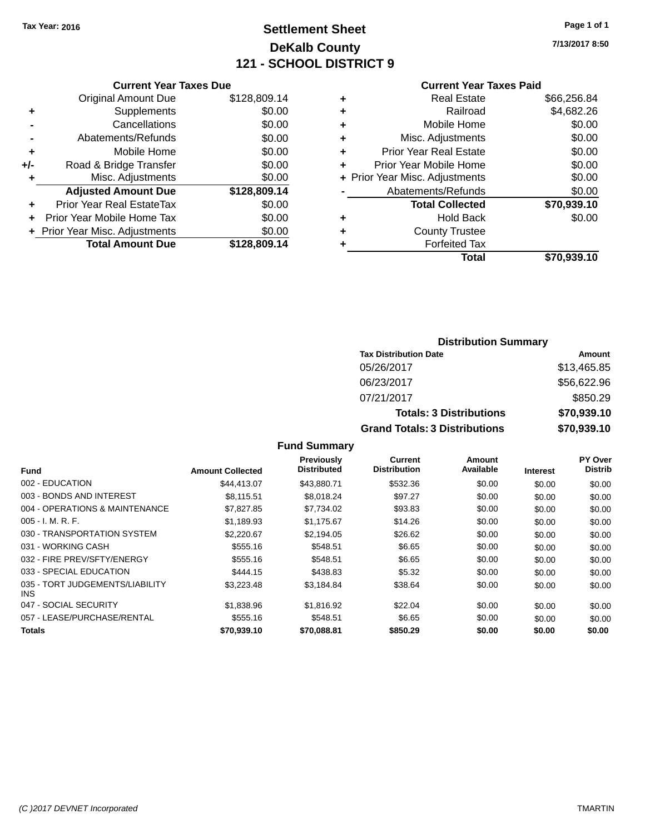# **Settlement Sheet Tax Year: 2016 Page 1 of 1 DeKalb County 121 - SCHOOL DISTRICT 9**

**7/13/2017 8:50**

| <b>Current Year Taxes Paid</b> |  |  |
|--------------------------------|--|--|
|                                |  |  |

|       | <b>Current Year Taxes Due</b>  |              |
|-------|--------------------------------|--------------|
|       | <b>Original Amount Due</b>     | \$128,809.14 |
| ٠     | Supplements                    | \$0.00       |
|       | Cancellations                  | \$0.00       |
|       | Abatements/Refunds             | \$0.00       |
| ٠     | Mobile Home                    | \$0.00       |
| $+/-$ | Road & Bridge Transfer         | \$0.00       |
| ٠     | Misc. Adjustments              | \$0.00       |
|       | <b>Adjusted Amount Due</b>     | \$128,809.14 |
| ٠     | Prior Year Real EstateTax      | \$0.00       |
|       | Prior Year Mobile Home Tax     | \$0.00       |
|       | + Prior Year Misc. Adjustments | \$0.00       |
|       | <b>Total Amount Due</b>        | \$128,809.14 |
|       |                                |              |

|   | <b>Real Estate</b>             | \$66,256.84 |
|---|--------------------------------|-------------|
| ٠ | Railroad                       | \$4,682.26  |
| ٠ | Mobile Home                    | \$0.00      |
| ٠ | Misc. Adjustments              | \$0.00      |
| ٠ | <b>Prior Year Real Estate</b>  | \$0.00      |
|   | Prior Year Mobile Home         | \$0.00      |
|   | + Prior Year Misc. Adjustments | \$0.00      |
|   | Abatements/Refunds             | \$0.00      |
|   | <b>Total Collected</b>         | \$70,939.10 |
| ٠ | Hold Back                      | \$0.00      |
| ٠ | <b>County Trustee</b>          |             |
|   | <b>Forfeited Tax</b>           |             |
|   | Total                          | \$70,939.10 |
|   |                                |             |

| <b>Distribution Summary</b>          |             |  |  |  |  |  |  |
|--------------------------------------|-------------|--|--|--|--|--|--|
| <b>Tax Distribution Date</b>         | Amount      |  |  |  |  |  |  |
| 05/26/2017                           | \$13,465.85 |  |  |  |  |  |  |
| 06/23/2017                           | \$56,622.96 |  |  |  |  |  |  |
| 07/21/2017                           | \$850.29    |  |  |  |  |  |  |
| <b>Totals: 3 Distributions</b>       | \$70,939.10 |  |  |  |  |  |  |
| <b>Grand Totals: 3 Distributions</b> | \$70,939.10 |  |  |  |  |  |  |

## **Fund Summary**

| Fund                                          | <b>Amount Collected</b> | Previously<br><b>Distributed</b> | Current<br><b>Distribution</b> | Amount<br>Available | <b>Interest</b> | PY Over<br><b>Distrib</b> |
|-----------------------------------------------|-------------------------|----------------------------------|--------------------------------|---------------------|-----------------|---------------------------|
| 002 - EDUCATION                               | \$44,413.07             | \$43,880.71                      | \$532.36                       | \$0.00              | \$0.00          | \$0.00                    |
| 003 - BONDS AND INTEREST                      | \$8.115.51              | \$8.018.24                       | \$97.27                        | \$0.00              | \$0.00          | \$0.00                    |
| 004 - OPERATIONS & MAINTENANCE                | \$7,827.85              | \$7.734.02                       | \$93.83                        | \$0.00              | \$0.00          | \$0.00                    |
| $005 - I. M. R. F.$                           | \$1,189.93              | \$1.175.67                       | \$14.26                        | \$0.00              | \$0.00          | \$0.00                    |
| 030 - TRANSPORTATION SYSTEM                   | \$2,220.67              | \$2,194.05                       | \$26.62                        | \$0.00              | \$0.00          | \$0.00                    |
| 031 - WORKING CASH                            | \$555.16                | \$548.51                         | \$6.65                         | \$0.00              | \$0.00          | \$0.00                    |
| 032 - FIRE PREV/SFTY/ENERGY                   | \$555.16                | \$548.51                         | \$6.65                         | \$0.00              | \$0.00          | \$0.00                    |
| 033 - SPECIAL EDUCATION                       | \$444.15                | \$438.83                         | \$5.32                         | \$0.00              | \$0.00          | \$0.00                    |
| 035 - TORT JUDGEMENTS/LIABILITY<br><b>INS</b> | \$3.223.48              | \$3.184.84                       | \$38.64                        | \$0.00              | \$0.00          | \$0.00                    |
| 047 - SOCIAL SECURITY                         | \$1,838.96              | \$1,816.92                       | \$22.04                        | \$0.00              | \$0.00          | \$0.00                    |
| 057 - LEASE/PURCHASE/RENTAL                   | \$555.16                | \$548.51                         | \$6.65                         | \$0.00              | \$0.00          | \$0.00                    |
| Totals                                        | \$70,939.10             | \$70,088.81                      | \$850.29                       | \$0.00              | \$0.00          | \$0.00                    |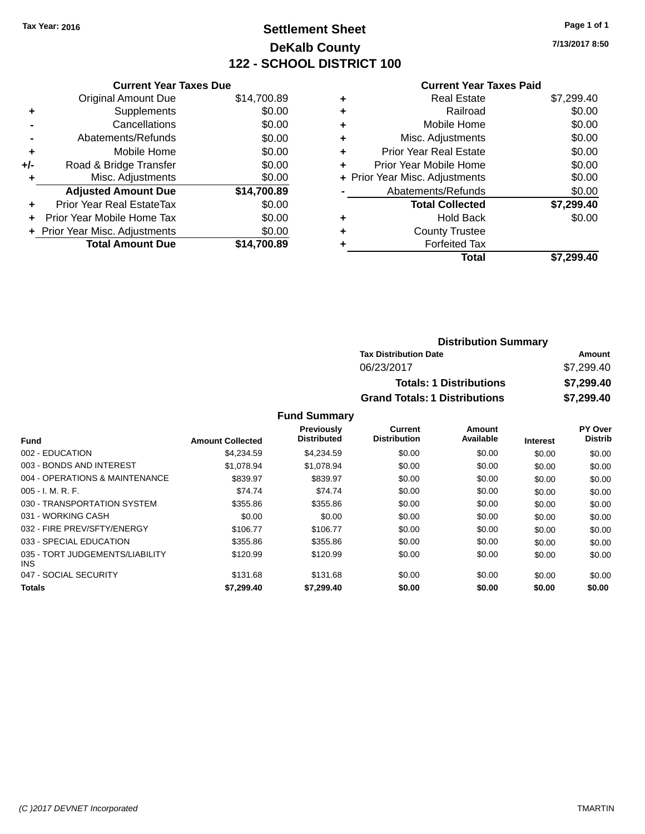## **Settlement Sheet Tax Year: 2016 Page 1 of 1 DeKalb County 122 - SCHOOL DISTRICT 100**

**7/13/2017 8:50**

#### **Current Year Taxes Paid**

|     | <b>Current Year Taxes Due</b>  |             |
|-----|--------------------------------|-------------|
|     | <b>Original Amount Due</b>     | \$14,700.89 |
| ÷   | Supplements                    | \$0.00      |
|     | Cancellations                  | \$0.00      |
|     | Abatements/Refunds             | \$0.00      |
| ٠   | Mobile Home                    | \$0.00      |
| +/- | Road & Bridge Transfer         | \$0.00      |
|     | Misc. Adjustments              | \$0.00      |
|     | <b>Adjusted Amount Due</b>     | \$14,700.89 |
| ÷   | Prior Year Real EstateTax      | \$0.00      |
|     | Prior Year Mobile Home Tax     | \$0.00      |
|     | + Prior Year Misc. Adjustments | \$0.00      |
|     | <b>Total Amount Due</b>        | \$14,700.89 |
|     |                                |             |

|   | <b>Real Estate</b>             | \$7,299.40 |
|---|--------------------------------|------------|
| ٠ | Railroad                       | \$0.00     |
| ٠ | Mobile Home                    | \$0.00     |
| ٠ | Misc. Adjustments              | \$0.00     |
| ٠ | <b>Prior Year Real Estate</b>  | \$0.00     |
|   | Prior Year Mobile Home         | \$0.00     |
|   | + Prior Year Misc. Adjustments | \$0.00     |
|   | Abatements/Refunds             | \$0.00     |
|   | <b>Total Collected</b>         | \$7,299.40 |
| ٠ | <b>Hold Back</b>               | \$0.00     |
|   | <b>County Trustee</b>          |            |
| ٠ | <b>Forfeited Tax</b>           |            |
|   | Total                          | \$7,299.40 |
|   |                                |            |

| <b>Distribution Summary</b>          |            |  |
|--------------------------------------|------------|--|
| <b>Tax Distribution Date</b>         | Amount     |  |
| 06/23/2017                           | \$7,299.40 |  |
| <b>Totals: 1 Distributions</b>       | \$7,299.40 |  |
| <b>Grand Totals: 1 Distributions</b> | \$7,299.40 |  |

| <b>Amount Collected</b> | <b>Previously</b><br><b>Distributed</b> | Current<br><b>Distribution</b> | Amount<br>Available | <b>Interest</b> | PY Over<br><b>Distrib</b> |
|-------------------------|-----------------------------------------|--------------------------------|---------------------|-----------------|---------------------------|
| \$4,234.59              | \$4,234.59                              | \$0.00                         | \$0.00              | \$0.00          | \$0.00                    |
| \$1.078.94              | \$1.078.94                              | \$0.00                         | \$0.00              | \$0.00          | \$0.00                    |
| \$839.97                | \$839.97                                | \$0.00                         | \$0.00              | \$0.00          | \$0.00                    |
| \$74.74                 | \$74.74                                 | \$0.00                         | \$0.00              | \$0.00          | \$0.00                    |
| \$355.86                | \$355.86                                | \$0.00                         | \$0.00              | \$0.00          | \$0.00                    |
| \$0.00                  | \$0.00                                  | \$0.00                         | \$0.00              | \$0.00          | \$0.00                    |
| \$106.77                | \$106.77                                | \$0.00                         | \$0.00              | \$0.00          | \$0.00                    |
| \$355.86                | \$355.86                                | \$0.00                         | \$0.00              | \$0.00          | \$0.00                    |
| \$120.99                | \$120.99                                | \$0.00                         | \$0.00              | \$0.00          | \$0.00                    |
| \$131.68                | \$131.68                                | \$0.00                         | \$0.00              | \$0.00          | \$0.00                    |
| \$7,299.40              | \$7,299.40                              | \$0.00                         | \$0.00              | \$0.00          | \$0.00                    |
|                         |                                         |                                |                     |                 |                           |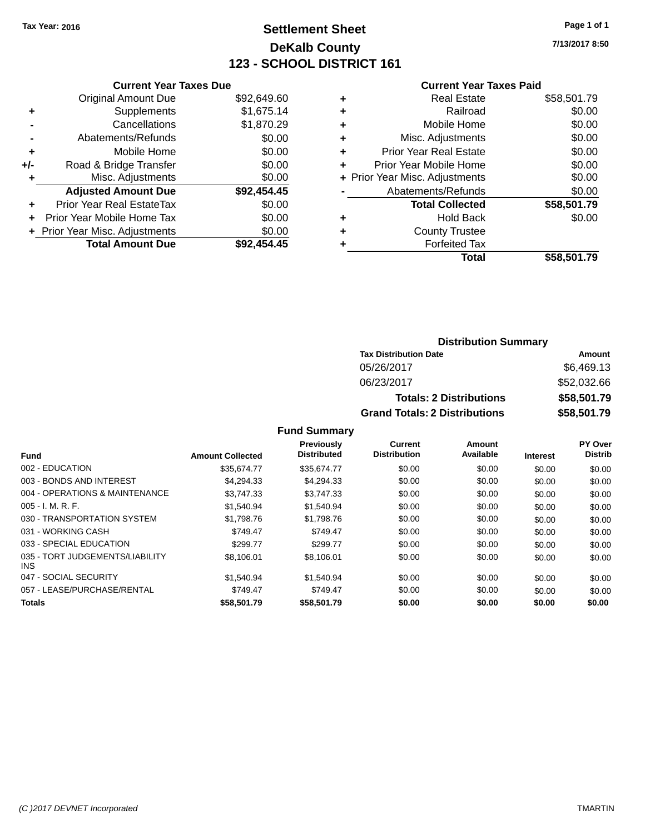## **Settlement Sheet Tax Year: 2016 Page 1 of 1 DeKalb County 123 - SCHOOL DISTRICT 161**

**7/13/2017 8:50**

#### **Current Year Taxes Paid**

| <b>Current Year Taxes Due</b>  |             |
|--------------------------------|-------------|
| <b>Original Amount Due</b>     | \$92,649.60 |
| Supplements                    | \$1,675.14  |
| Cancellations                  | \$1,870.29  |
| Abatements/Refunds             | \$0.00      |
| Mobile Home                    | \$0.00      |
| Road & Bridge Transfer         | \$0.00      |
| Misc. Adjustments              | \$0.00      |
| <b>Adjusted Amount Due</b>     | \$92,454.45 |
| Prior Year Real EstateTax      | \$0.00      |
| Prior Year Mobile Home Tax     | \$0.00      |
| + Prior Year Misc. Adjustments | \$0.00      |
| <b>Total Amount Due</b>        | \$92,454,45 |
|                                |             |

|   | <b>Real Estate</b>             | \$58,501.79 |
|---|--------------------------------|-------------|
| ٠ | Railroad                       | \$0.00      |
| ٠ | Mobile Home                    | \$0.00      |
| ٠ | Misc. Adjustments              | \$0.00      |
| ٠ | <b>Prior Year Real Estate</b>  | \$0.00      |
| ٠ | Prior Year Mobile Home         | \$0.00      |
|   | + Prior Year Misc. Adjustments | \$0.00      |
|   | Abatements/Refunds             | \$0.00      |
|   | <b>Total Collected</b>         | \$58,501.79 |
| ٠ | <b>Hold Back</b>               | \$0.00      |
|   | <b>County Trustee</b>          |             |
| ٠ | <b>Forfeited Tax</b>           |             |
|   | Total                          | \$58,501.79 |
|   |                                |             |

### **Distribution Summary Tax Distribution Date Amount** 05/26/2017 \$6,469.13 06/23/2017 \$52,032.66 **Totals: 2 Distributions \$58,501.79 Grand Totals: 2 Distributions \$58,501.79**

|                                         |                         | Previously<br><b>Distributed</b> | Current<br><b>Distribution</b> | Amount<br>Available |                 | PY Over<br><b>Distrib</b> |
|-----------------------------------------|-------------------------|----------------------------------|--------------------------------|---------------------|-----------------|---------------------------|
| <b>Fund</b>                             | <b>Amount Collected</b> |                                  |                                |                     | <b>Interest</b> |                           |
| 002 - EDUCATION                         | \$35.674.77             | \$35,674.77                      | \$0.00                         | \$0.00              | \$0.00          | \$0.00                    |
| 003 - BONDS AND INTEREST                | \$4.294.33              | \$4.294.33                       | \$0.00                         | \$0.00              | \$0.00          | \$0.00                    |
| 004 - OPERATIONS & MAINTENANCE          | \$3.747.33              | \$3.747.33                       | \$0.00                         | \$0.00              | \$0.00          | \$0.00                    |
| $005 - I. M. R. F.$                     | \$1,540.94              | \$1,540.94                       | \$0.00                         | \$0.00              | \$0.00          | \$0.00                    |
| 030 - TRANSPORTATION SYSTEM             | \$1,798.76              | \$1,798.76                       | \$0.00                         | \$0.00              | \$0.00          | \$0.00                    |
| 031 - WORKING CASH                      | \$749.47                | \$749.47                         | \$0.00                         | \$0.00              | \$0.00          | \$0.00                    |
| 033 - SPECIAL EDUCATION                 | \$299.77                | \$299.77                         | \$0.00                         | \$0.00              | \$0.00          | \$0.00                    |
| 035 - TORT JUDGEMENTS/LIABILITY<br>INS. | \$8,106.01              | \$8,106.01                       | \$0.00                         | \$0.00              | \$0.00          | \$0.00                    |
| 047 - SOCIAL SECURITY                   | \$1.540.94              | \$1.540.94                       | \$0.00                         | \$0.00              | \$0.00          | \$0.00                    |
| 057 - LEASE/PURCHASE/RENTAL             | \$749.47                | \$749.47                         | \$0.00                         | \$0.00              | \$0.00          | \$0.00                    |
| <b>Totals</b>                           | \$58,501.79             | \$58,501.79                      | \$0.00                         | \$0.00              | \$0.00          | \$0.00                    |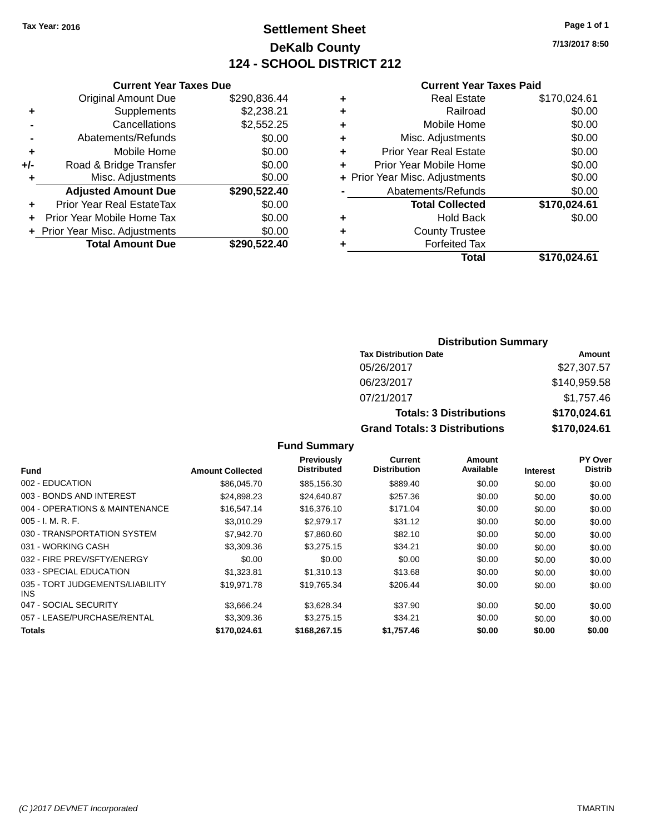## **Settlement Sheet Tax Year: 2016 Page 1 of 1 DeKalb County 124 - SCHOOL DISTRICT 212**

**7/13/2017 8:50**

#### **Current Year Taxes Paid**

|     | <b>Current Year Taxes Due</b>  |              |
|-----|--------------------------------|--------------|
|     | <b>Original Amount Due</b>     | \$290,836.44 |
| ÷   | Supplements                    | \$2,238.21   |
|     | Cancellations                  | \$2,552.25   |
|     | Abatements/Refunds             | \$0.00       |
| ٠   | Mobile Home                    | \$0.00       |
| +/- | Road & Bridge Transfer         | \$0.00       |
|     | Misc. Adjustments              | \$0.00       |
|     | <b>Adjusted Amount Due</b>     | \$290,522.40 |
| ÷   | Prior Year Real EstateTax      | \$0.00       |
|     | Prior Year Mobile Home Tax     | \$0.00       |
|     | + Prior Year Misc. Adjustments | \$0.00       |
|     | <b>Total Amount Due</b>        | \$290.522.40 |
|     |                                |              |

|   | <b>Real Estate</b>             | \$170,024.61 |
|---|--------------------------------|--------------|
| ٠ | Railroad                       | \$0.00       |
| ٠ | Mobile Home                    | \$0.00       |
| ٠ | Misc. Adjustments              | \$0.00       |
| ٠ | Prior Year Real Estate         | \$0.00       |
| ٠ | Prior Year Mobile Home         | \$0.00       |
|   | + Prior Year Misc. Adjustments | \$0.00       |
|   | Abatements/Refunds             | \$0.00       |
|   | <b>Total Collected</b>         | \$170,024.61 |
| ٠ | <b>Hold Back</b>               | \$0.00       |
| ٠ | <b>County Trustee</b>          |              |
| ٠ | <b>Forfeited Tax</b>           |              |
|   | Total                          | \$170,024.61 |
|   |                                |              |

### **Distribution Summary Tax Distribution Date Amount** 05/26/2017 \$27,307.57 06/23/2017 \$140,959.58 07/21/2017 \$1,757.46 **Totals: 3 Distributions \$170,024.61 Grand Totals: 3 Distributions \$170,024.61**

| Fund                                    | <b>Amount Collected</b> | Previously<br><b>Distributed</b> | Current<br><b>Distribution</b> | Amount<br>Available | <b>Interest</b> | PY Over<br><b>Distrib</b> |
|-----------------------------------------|-------------------------|----------------------------------|--------------------------------|---------------------|-----------------|---------------------------|
| 002 - EDUCATION                         | \$86,045.70             | \$85,156.30                      | \$889.40                       | \$0.00              | \$0.00          | \$0.00                    |
| 003 - BONDS AND INTEREST                | \$24,898.23             | \$24,640.87                      | \$257.36                       | \$0.00              | \$0.00          | \$0.00                    |
| 004 - OPERATIONS & MAINTENANCE          | \$16,547.14             | \$16,376.10                      | \$171.04                       | \$0.00              | \$0.00          | \$0.00                    |
| $005 - I. M. R. F.$                     | \$3.010.29              | \$2,979.17                       | \$31.12                        | \$0.00              | \$0.00          | \$0.00                    |
| 030 - TRANSPORTATION SYSTEM             | \$7.942.70              | \$7,860.60                       | \$82.10                        | \$0.00              | \$0.00          | \$0.00                    |
| 031 - WORKING CASH                      | \$3,309.36              | \$3,275.15                       | \$34.21                        | \$0.00              | \$0.00          | \$0.00                    |
| 032 - FIRE PREV/SFTY/ENERGY             | \$0.00                  | \$0.00                           | \$0.00                         | \$0.00              | \$0.00          | \$0.00                    |
| 033 - SPECIAL EDUCATION                 | \$1,323.81              | \$1,310.13                       | \$13.68                        | \$0.00              | \$0.00          | \$0.00                    |
| 035 - TORT JUDGEMENTS/LIABILITY<br>INS. | \$19,971.78             | \$19,765.34                      | \$206.44                       | \$0.00              | \$0.00          | \$0.00                    |
| 047 - SOCIAL SECURITY                   | \$3.666.24              | \$3,628.34                       | \$37.90                        | \$0.00              | \$0.00          | \$0.00                    |
| 057 - LEASE/PURCHASE/RENTAL             | \$3,309.36              | \$3,275.15                       | \$34.21                        | \$0.00              | \$0.00          | \$0.00                    |
| <b>Totals</b>                           | \$170.024.61            | \$168,267.15                     | \$1.757.46                     | \$0.00              | \$0.00          | \$0.00                    |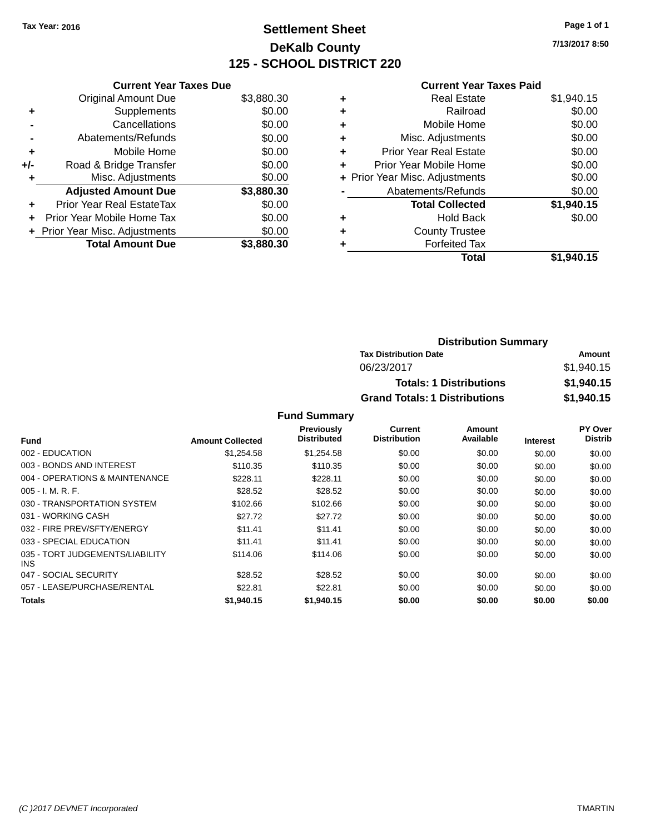## **Settlement Sheet Tax Year: 2016 Page 1 of 1 DeKalb County 125 - SCHOOL DISTRICT 220**

**7/13/2017 8:50**

#### **Current Year Taxes Paid**

|     | <b>Current Year Taxes Due</b>  |            |
|-----|--------------------------------|------------|
|     | <b>Original Amount Due</b>     | \$3,880.30 |
| ÷   | Supplements                    | \$0.00     |
|     | Cancellations                  | \$0.00     |
|     | Abatements/Refunds             | \$0.00     |
| ٠   | Mobile Home                    | \$0.00     |
| +/- | Road & Bridge Transfer         | \$0.00     |
|     | Misc. Adjustments              | \$0.00     |
|     | <b>Adjusted Amount Due</b>     | \$3,880.30 |
| ÷   | Prior Year Real EstateTax      | \$0.00     |
| ÷   | Prior Year Mobile Home Tax     | \$0.00     |
|     | + Prior Year Misc. Adjustments | \$0.00     |
|     | <b>Total Amount Due</b>        | \$3,880.30 |

|   | <b>Real Estate</b>             | \$1,940.15 |
|---|--------------------------------|------------|
| ٠ | Railroad                       | \$0.00     |
| ٠ | Mobile Home                    | \$0.00     |
| ٠ | Misc. Adjustments              | \$0.00     |
| ٠ | <b>Prior Year Real Estate</b>  | \$0.00     |
| ٠ | Prior Year Mobile Home         | \$0.00     |
|   | + Prior Year Misc. Adjustments | \$0.00     |
|   | Abatements/Refunds             | \$0.00     |
|   | <b>Total Collected</b>         | \$1,940.15 |
| ٠ | <b>Hold Back</b>               | \$0.00     |
| ٠ | <b>County Trustee</b>          |            |
| ٠ | <b>Forfeited Tax</b>           |            |
|   | Total                          | \$1,940.15 |
|   |                                |            |

| <b>Distribution Summary</b>          |            |
|--------------------------------------|------------|
| <b>Tax Distribution Date</b>         | Amount     |
| 06/23/2017                           | \$1,940.15 |
| <b>Totals: 1 Distributions</b>       | \$1,940.15 |
| <b>Grand Totals: 1 Distributions</b> | \$1,940.15 |

| Fund                                    | <b>Amount Collected</b> | <b>Previously</b><br><b>Distributed</b> | Current<br><b>Distribution</b> | Amount<br>Available | <b>Interest</b> | PY Over<br><b>Distrib</b> |
|-----------------------------------------|-------------------------|-----------------------------------------|--------------------------------|---------------------|-----------------|---------------------------|
| 002 - EDUCATION                         | \$1,254.58              | \$1,254.58                              | \$0.00                         | \$0.00              | \$0.00          | \$0.00                    |
| 003 - BONDS AND INTEREST                | \$110.35                | \$110.35                                | \$0.00                         | \$0.00              | \$0.00          | \$0.00                    |
| 004 - OPERATIONS & MAINTENANCE          | \$228.11                | \$228.11                                | \$0.00                         | \$0.00              | \$0.00          | \$0.00                    |
| $005 - I. M. R. F.$                     | \$28.52                 | \$28.52                                 | \$0.00                         | \$0.00              | \$0.00          | \$0.00                    |
| 030 - TRANSPORTATION SYSTEM             | \$102.66                | \$102.66                                | \$0.00                         | \$0.00              | \$0.00          | \$0.00                    |
| 031 - WORKING CASH                      | \$27.72                 | \$27.72                                 | \$0.00                         | \$0.00              | \$0.00          | \$0.00                    |
| 032 - FIRE PREV/SFTY/ENERGY             | \$11.41                 | \$11.41                                 | \$0.00                         | \$0.00              | \$0.00          | \$0.00                    |
| 033 - SPECIAL EDUCATION                 | \$11.41                 | \$11.41                                 | \$0.00                         | \$0.00              | \$0.00          | \$0.00                    |
| 035 - TORT JUDGEMENTS/LIABILITY<br>INS. | \$114.06                | \$114.06                                | \$0.00                         | \$0.00              | \$0.00          | \$0.00                    |
| 047 - SOCIAL SECURITY                   | \$28.52                 | \$28.52                                 | \$0.00                         | \$0.00              | \$0.00          | \$0.00                    |
| 057 - LEASE/PURCHASE/RENTAL             | \$22.81                 | \$22.81                                 | \$0.00                         | \$0.00              | \$0.00          | \$0.00                    |
| <b>Totals</b>                           | \$1,940.15              | \$1,940.15                              | \$0.00                         | \$0.00              | \$0.00          | \$0.00                    |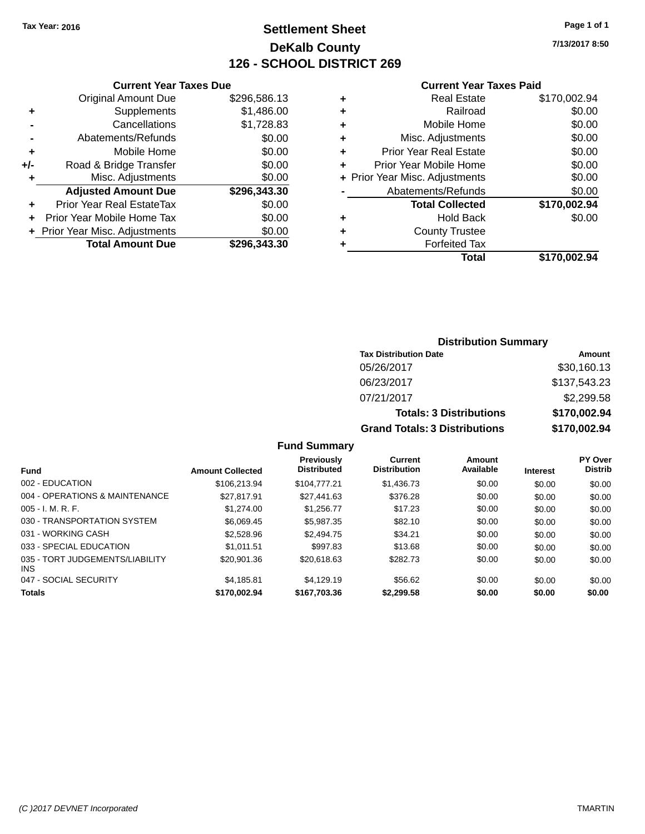## **Settlement Sheet Tax Year: 2016 Page 1 of 1 DeKalb County 126 - SCHOOL DISTRICT 269**

**7/13/2017 8:50**

#### **Current Year Taxes Paid**

|     | <b>Current Year Taxes Due</b>  |              |
|-----|--------------------------------|--------------|
|     | <b>Original Amount Due</b>     | \$296,586.13 |
| ٠   | Supplements                    | \$1,486.00   |
|     | Cancellations                  | \$1,728.83   |
|     | Abatements/Refunds             | \$0.00       |
| ٠   | Mobile Home                    | \$0.00       |
| +/- | Road & Bridge Transfer         | \$0.00       |
| ٠   | Misc. Adjustments              | \$0.00       |
|     | <b>Adjusted Amount Due</b>     | \$296,343.30 |
|     | Prior Year Real EstateTax      | \$0.00       |
|     | Prior Year Mobile Home Tax     | \$0.00       |
|     | + Prior Year Misc. Adjustments | \$0.00       |
|     | <b>Total Amount Due</b>        | \$296,343.30 |

### **Distribution Summary Tax Distribution Date Amount** 05/26/2017 \$30,160.13 06/23/2017 \$137,543.23 07/21/2017 \$2,299.58 **Totals: 3 Distributions \$170,002.94 Grand Totals: 3 Distributions \$170,002.94**

| <b>Amount Collected</b> | <b>Previously</b><br><b>Distributed</b> | Current<br><b>Distribution</b> | Amount<br>Available | <b>Interest</b> | <b>PY Over</b><br><b>Distrib</b> |
|-------------------------|-----------------------------------------|--------------------------------|---------------------|-----------------|----------------------------------|
| \$106,213.94            | \$104,777,21                            | \$1,436.73                     | \$0.00              | \$0.00          | \$0.00                           |
| \$27.817.91             | \$27,441.63                             | \$376.28                       | \$0.00              | \$0.00          | \$0.00                           |
| \$1,274.00              | \$1.256.77                              | \$17.23                        | \$0.00              | \$0.00          | \$0.00                           |
| \$6,069.45              | \$5,987.35                              | \$82.10                        | \$0.00              | \$0.00          | \$0.00                           |
| \$2,528.96              | \$2,494.75                              | \$34.21                        | \$0.00              | \$0.00          | \$0.00                           |
| \$1.011.51              | \$997.83                                | \$13.68                        | \$0.00              | \$0.00          | \$0.00                           |
| \$20,901.36             | \$20,618,63                             | \$282.73                       | \$0.00              | \$0.00          | \$0.00                           |
| \$4.185.81              | \$4.129.19                              | \$56.62                        | \$0.00              | \$0.00          | \$0.00                           |
| \$170,002.94            | \$167,703.36                            | \$2.299.58                     | \$0.00              | \$0.00          | \$0.00                           |
|                         |                                         |                                |                     |                 |                                  |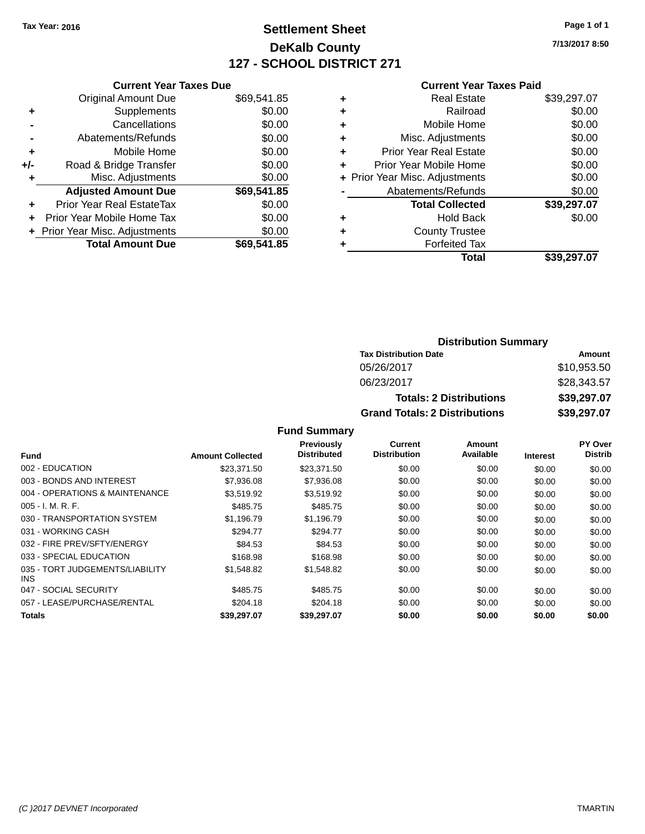## **Settlement Sheet Tax Year: 2016 Page 1 of 1 DeKalb County 127 - SCHOOL DISTRICT 271**

**7/13/2017 8:50**

#### **Current Year Taxes Paid**

|     | <b>Current Year Taxes Due</b>  |             |
|-----|--------------------------------|-------------|
|     | <b>Original Amount Due</b>     | \$69,541.85 |
| ٠   | Supplements                    | \$0.00      |
|     | Cancellations                  | \$0.00      |
|     | Abatements/Refunds             | \$0.00      |
| ٠   | Mobile Home                    | \$0.00      |
| +/- | Road & Bridge Transfer         | \$0.00      |
|     | Misc. Adjustments              | \$0.00      |
|     | <b>Adjusted Amount Due</b>     | \$69,541.85 |
| ٠   | Prior Year Real EstateTax      | \$0.00      |
|     | Prior Year Mobile Home Tax     | \$0.00      |
|     | + Prior Year Misc. Adjustments | \$0.00      |
|     | <b>Total Amount Due</b>        | \$69,541.85 |
|     |                                |             |

|   | <b>Real Estate</b>             | \$39,297.07 |
|---|--------------------------------|-------------|
| ٠ | Railroad                       | \$0.00      |
| ٠ | Mobile Home                    | \$0.00      |
| ٠ | Misc. Adjustments              | \$0.00      |
| ٠ | <b>Prior Year Real Estate</b>  | \$0.00      |
|   | Prior Year Mobile Home         | \$0.00      |
|   | + Prior Year Misc. Adjustments | \$0.00      |
|   | Abatements/Refunds             | \$0.00      |
|   | <b>Total Collected</b>         | \$39,297.07 |
| ٠ | <b>Hold Back</b>               | \$0.00      |
|   | <b>County Trustee</b>          |             |
| ٠ | <b>Forfeited Tax</b>           |             |
|   | Total                          | \$39,297.07 |

#### **Distribution Summary Tax Distribution Date Amount** 05/26/2017 \$10,953.50 06/23/2017 \$28,343.57 **Totals: 2 Distributions \$39,297.07 Grand Totals: 2 Distributions \$39,297.07**

|                                               |                         | <b>Previously</b>  | Current             | <b>Amount</b> |                 | PY Over        |
|-----------------------------------------------|-------------------------|--------------------|---------------------|---------------|-----------------|----------------|
| Fund                                          | <b>Amount Collected</b> | <b>Distributed</b> | <b>Distribution</b> | Available     | <b>Interest</b> | <b>Distrib</b> |
| 002 - EDUCATION                               | \$23,371.50             | \$23,371.50        | \$0.00              | \$0.00        | \$0.00          | \$0.00         |
| 003 - BONDS AND INTEREST                      | \$7,936.08              | \$7,936.08         | \$0.00              | \$0.00        | \$0.00          | \$0.00         |
| 004 - OPERATIONS & MAINTENANCE                | \$3.519.92              | \$3,519.92         | \$0.00              | \$0.00        | \$0.00          | \$0.00         |
| $005 - I. M. R. F.$                           | \$485.75                | \$485.75           | \$0.00              | \$0.00        | \$0.00          | \$0.00         |
| 030 - TRANSPORTATION SYSTEM                   | \$1.196.79              | \$1.196.79         | \$0.00              | \$0.00        | \$0.00          | \$0.00         |
| 031 - WORKING CASH                            | \$294.77                | \$294.77           | \$0.00              | \$0.00        | \$0.00          | \$0.00         |
| 032 - FIRE PREV/SFTY/ENERGY                   | \$84.53                 | \$84.53            | \$0.00              | \$0.00        | \$0.00          | \$0.00         |
| 033 - SPECIAL EDUCATION                       | \$168.98                | \$168.98           | \$0.00              | \$0.00        | \$0.00          | \$0.00         |
| 035 - TORT JUDGEMENTS/LIABILITY<br><b>INS</b> | \$1,548.82              | \$1,548.82         | \$0.00              | \$0.00        | \$0.00          | \$0.00         |
| 047 - SOCIAL SECURITY                         | \$485.75                | \$485.75           | \$0.00              | \$0.00        | \$0.00          | \$0.00         |
| 057 - LEASE/PURCHASE/RENTAL                   | \$204.18                | \$204.18           | \$0.00              | \$0.00        | \$0.00          | \$0.00         |
| Totals                                        | \$39.297.07             | \$39.297.07        | \$0.00              | \$0.00        | \$0.00          | \$0.00         |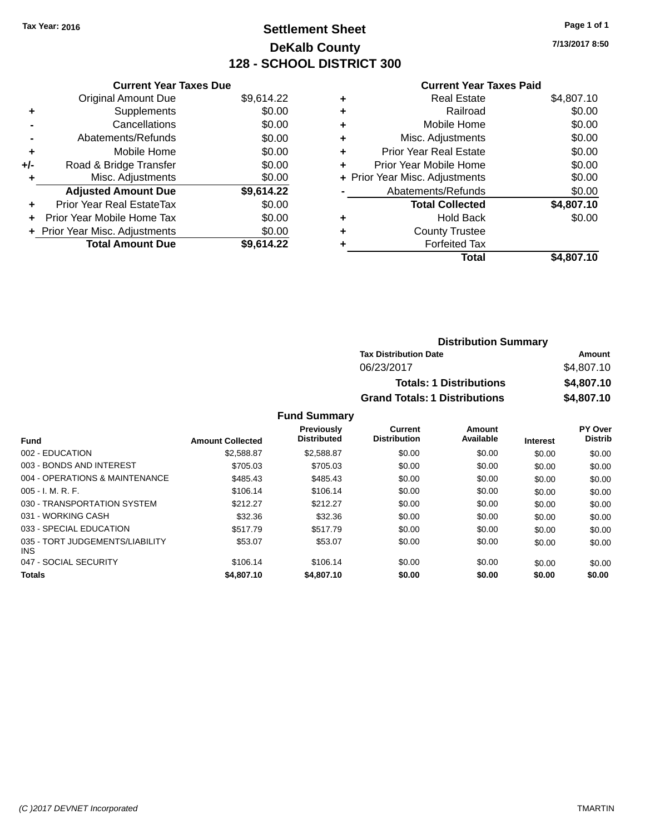## **Settlement Sheet Tax Year: 2016 Page 1 of 1 DeKalb County 128 - SCHOOL DISTRICT 300**

**7/13/2017 8:50**

#### **Current Year Taxes Paid**

|     | <b>Current Year Taxes Due</b>  |            |
|-----|--------------------------------|------------|
|     | <b>Original Amount Due</b>     | \$9,614.22 |
| ٠   | Supplements                    | \$0.00     |
|     | Cancellations                  | \$0.00     |
|     | Abatements/Refunds             | \$0.00     |
| ٠   | Mobile Home                    | \$0.00     |
| +/- | Road & Bridge Transfer         | \$0.00     |
|     | Misc. Adjustments              | \$0.00     |
|     | <b>Adjusted Amount Due</b>     | \$9,614.22 |
| ÷   | Prior Year Real EstateTax      | \$0.00     |
| ÷   | Prior Year Mobile Home Tax     | \$0.00     |
|     | + Prior Year Misc. Adjustments | \$0.00     |
|     | <b>Total Amount Due</b>        | \$9,614.22 |

|   | <b>Real Estate</b>             | \$4,807.10 |
|---|--------------------------------|------------|
| ٠ | Railroad                       | \$0.00     |
| ٠ | Mobile Home                    | \$0.00     |
| ٠ | Misc. Adjustments              | \$0.00     |
| ٠ | <b>Prior Year Real Estate</b>  | \$0.00     |
| ÷ | Prior Year Mobile Home         | \$0.00     |
|   | + Prior Year Misc. Adjustments | \$0.00     |
|   | Abatements/Refunds             | \$0.00     |
|   | <b>Total Collected</b>         | \$4,807.10 |
| ٠ | <b>Hold Back</b>               | \$0.00     |
| ٠ | <b>County Trustee</b>          |            |
| ٠ | <b>Forfeited Tax</b>           |            |
|   | Total                          | \$4,807.10 |
|   |                                |            |

| <b>Distribution Summary</b>          |            |
|--------------------------------------|------------|
| <b>Tax Distribution Date</b>         | Amount     |
| 06/23/2017                           | \$4,807.10 |
| <b>Totals: 1 Distributions</b>       | \$4,807.10 |
| <b>Grand Totals: 1 Distributions</b> | \$4,807.10 |

| <b>Fund</b>                             | <b>Amount Collected</b> | Previously<br><b>Distributed</b> | Current<br><b>Distribution</b> | Amount<br>Available | <b>Interest</b> | PY Over<br><b>Distrib</b> |
|-----------------------------------------|-------------------------|----------------------------------|--------------------------------|---------------------|-----------------|---------------------------|
| 002 - EDUCATION                         | \$2,588.87              | \$2,588.87                       | \$0.00                         | \$0.00              | \$0.00          | \$0.00                    |
| 003 - BONDS AND INTEREST                | \$705.03                | \$705.03                         | \$0.00                         | \$0.00              | \$0.00          | \$0.00                    |
| 004 - OPERATIONS & MAINTENANCE          | \$485.43                | \$485.43                         | \$0.00                         | \$0.00              | \$0.00          | \$0.00                    |
| $005 - I. M. R. F.$                     | \$106.14                | \$106.14                         | \$0.00                         | \$0.00              | \$0.00          | \$0.00                    |
| 030 - TRANSPORTATION SYSTEM             | \$212.27                | \$212.27                         | \$0.00                         | \$0.00              | \$0.00          | \$0.00                    |
| 031 - WORKING CASH                      | \$32.36                 | \$32.36                          | \$0.00                         | \$0.00              | \$0.00          | \$0.00                    |
| 033 - SPECIAL EDUCATION                 | \$517.79                | \$517.79                         | \$0.00                         | \$0.00              | \$0.00          | \$0.00                    |
| 035 - TORT JUDGEMENTS/LIABILITY<br>INS. | \$53.07                 | \$53.07                          | \$0.00                         | \$0.00              | \$0.00          | \$0.00                    |
| 047 - SOCIAL SECURITY                   | \$106.14                | \$106.14                         | \$0.00                         | \$0.00              | \$0.00          | \$0.00                    |
| <b>Totals</b>                           | \$4,807.10              | \$4,807.10                       | \$0.00                         | \$0.00              | \$0.00          | \$0.00                    |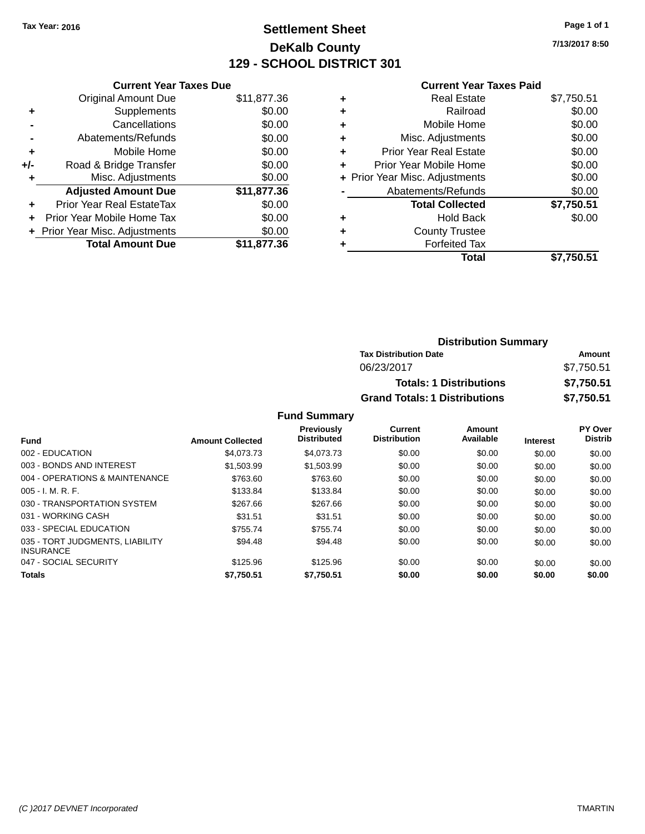## **Settlement Sheet Tax Year: 2016 Page 1 of 1 DeKalb County 129 - SCHOOL DISTRICT 301**

**7/13/2017 8:50**

|       | <b>Current Year Taxes Due</b>  |             |  |  |  |
|-------|--------------------------------|-------------|--|--|--|
|       | <b>Original Amount Due</b>     | \$11,877.36 |  |  |  |
| ٠     | Supplements                    | \$0.00      |  |  |  |
|       | Cancellations                  | \$0.00      |  |  |  |
|       | Abatements/Refunds             | \$0.00      |  |  |  |
| ٠     | Mobile Home                    | \$0.00      |  |  |  |
| $+/-$ | Road & Bridge Transfer         | \$0.00      |  |  |  |
|       | Misc. Adjustments              | \$0.00      |  |  |  |
|       | <b>Adjusted Amount Due</b>     | \$11,877.36 |  |  |  |
| ÷     | Prior Year Real EstateTax      | \$0.00      |  |  |  |
| ÷     | Prior Year Mobile Home Tax     | \$0.00      |  |  |  |
|       | + Prior Year Misc. Adjustments | \$0.00      |  |  |  |
|       | <b>Total Amount Due</b>        | \$11,877.36 |  |  |  |

#### **Current Year Taxes Paid**

|   | <b>Real Estate</b>             | \$7,750.51 |
|---|--------------------------------|------------|
| ٠ | Railroad                       | \$0.00     |
| ٠ | Mobile Home                    | \$0.00     |
| ٠ | Misc. Adjustments              | \$0.00     |
| ٠ | <b>Prior Year Real Estate</b>  | \$0.00     |
| ÷ | Prior Year Mobile Home         | \$0.00     |
|   | + Prior Year Misc. Adjustments | \$0.00     |
|   | Abatements/Refunds             | \$0.00     |
|   | <b>Total Collected</b>         | \$7,750.51 |
| ٠ | <b>Hold Back</b>               | \$0.00     |
| ٠ | <b>County Trustee</b>          |            |
| ٠ | <b>Forfeited Tax</b>           |            |
|   | Total                          | \$7,750.51 |
|   |                                |            |

| <b>Distribution Summary</b>          |            |
|--------------------------------------|------------|
| <b>Tax Distribution Date</b>         | Amount     |
| 06/23/2017                           | \$7,750.51 |
| <b>Totals: 1 Distributions</b>       | \$7,750.51 |
| <b>Grand Totals: 1 Distributions</b> | \$7,750.51 |

| <b>Amount Collected</b> | <b>Previously</b><br><b>Distributed</b> | Current<br><b>Distribution</b> | Amount<br>Available | <b>Interest</b> | PY Over<br><b>Distrib</b> |
|-------------------------|-----------------------------------------|--------------------------------|---------------------|-----------------|---------------------------|
| \$4,073,73              | \$4,073,73                              | \$0.00                         | \$0.00              | \$0.00          | \$0.00                    |
| \$1.503.99              | \$1,503.99                              | \$0.00                         | \$0.00              | \$0.00          | \$0.00                    |
| \$763.60                | \$763.60                                | \$0.00                         | \$0.00              | \$0.00          | \$0.00                    |
| \$133.84                | \$133.84                                | \$0.00                         | \$0.00              | \$0.00          | \$0.00                    |
| \$267.66                | \$267.66                                | \$0.00                         | \$0.00              | \$0.00          | \$0.00                    |
| \$31.51                 | \$31.51                                 | \$0.00                         | \$0.00              | \$0.00          | \$0.00                    |
| \$755.74                | \$755.74                                | \$0.00                         | \$0.00              | \$0.00          | \$0.00                    |
| \$94.48                 | \$94.48                                 | \$0.00                         | \$0.00              | \$0.00          | \$0.00                    |
| \$125.96                | \$125.96                                | \$0.00                         | \$0.00              | \$0.00          | \$0.00                    |
| \$7,750.51              | \$7,750.51                              | \$0.00                         | \$0.00              | \$0.00          | \$0.00                    |
|                         |                                         |                                |                     |                 |                           |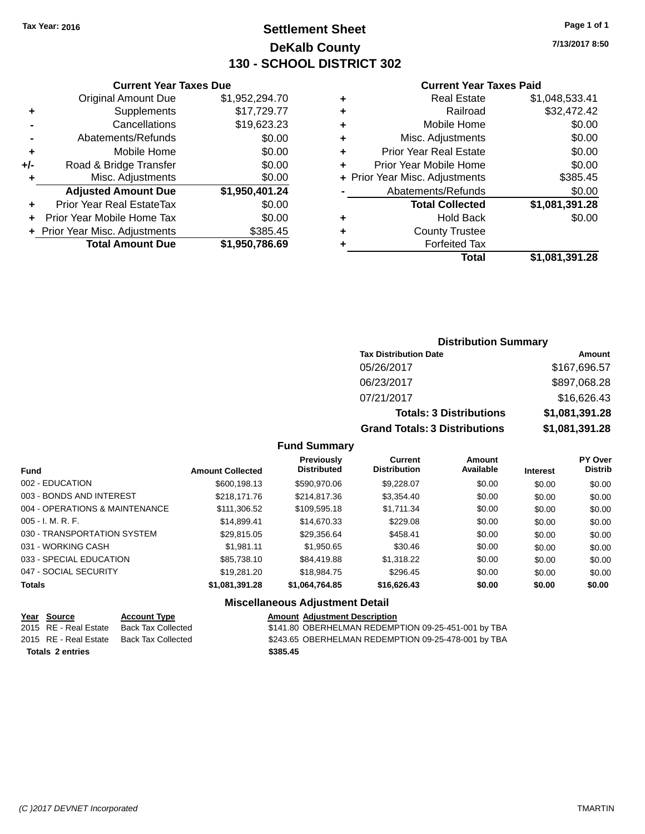## **Settlement Sheet Tax Year: 2016 Page 1 of 1 DeKalb County 130 - SCHOOL DISTRICT 302**

**7/13/2017 8:50**

#### **Current Year Taxes Paid**

|     | <b>Total Amount Due</b>          | \$1,950,786.69 |
|-----|----------------------------------|----------------|
|     | + Prior Year Misc. Adjustments   | \$385.45       |
| ٠   | Prior Year Mobile Home Tax       | \$0.00         |
| ٠   | <b>Prior Year Real EstateTax</b> | \$0.00         |
|     | <b>Adjusted Amount Due</b>       | \$1,950,401.24 |
| ٠   | Misc. Adjustments                | \$0.00         |
| +/- | Road & Bridge Transfer           | \$0.00         |
| ٠   | Mobile Home                      | \$0.00         |
|     | Abatements/Refunds               | \$0.00         |
|     | Cancellations                    | \$19,623.23    |
| ٠   | Supplements                      | \$17,729.77    |
|     | <b>Original Amount Due</b>       | \$1,952,294.70 |
|     |                                  |                |

**Current Year Taxes Due**

| ٠ | <b>Real Estate</b>             | \$1,048,533.41 |
|---|--------------------------------|----------------|
| ٠ | Railroad                       | \$32,472.42    |
| ٠ | Mobile Home                    | \$0.00         |
| ٠ | Misc. Adjustments              | \$0.00         |
| ٠ | <b>Prior Year Real Estate</b>  | \$0.00         |
| ÷ | Prior Year Mobile Home         | \$0.00         |
|   | + Prior Year Misc. Adjustments | \$385.45       |
|   | Abatements/Refunds             | \$0.00         |
|   | <b>Total Collected</b>         | \$1,081,391.28 |
| ٠ | <b>Hold Back</b>               | \$0.00         |
| ٠ | <b>County Trustee</b>          |                |
| ٠ | <b>Forfeited Tax</b>           |                |
|   | Total                          | \$1,081,391.28 |
|   |                                |                |

### **Distribution Summary Tax Distribution Date Amount** 05/26/2017 \$167,696.57 06/23/2017 \$897,068.28 07/21/2017 \$16,626.43 **Totals: 3 Distributions \$1,081,391.28 Grand Totals: 3 Distributions \$1,081,391.28**

#### **Fund Summary**

| <b>Fund</b>                    | <b>Amount Collected</b> | Previously<br><b>Distributed</b> | Current<br><b>Distribution</b> | <b>Amount</b><br>Available | <b>Interest</b> | <b>PY Over</b><br><b>Distrib</b> |
|--------------------------------|-------------------------|----------------------------------|--------------------------------|----------------------------|-----------------|----------------------------------|
| 002 - EDUCATION                | \$600,198.13            | \$590,970.06                     | \$9,228.07                     | \$0.00                     | \$0.00          | \$0.00                           |
| 003 - BONDS AND INTEREST       | \$218,171.76            | \$214.817.36                     | \$3,354.40                     | \$0.00                     | \$0.00          | \$0.00                           |
| 004 - OPERATIONS & MAINTENANCE | \$111,306.52            | \$109,595.18                     | \$1,711.34                     | \$0.00                     | \$0.00          | \$0.00                           |
| $005 - I. M. R. F.$            | \$14.899.41             | \$14,670.33                      | \$229.08                       | \$0.00                     | \$0.00          | \$0.00                           |
| 030 - TRANSPORTATION SYSTEM    | \$29,815.05             | \$29,356.64                      | \$458.41                       | \$0.00                     | \$0.00          | \$0.00                           |
| 031 - WORKING CASH             | \$1.981.11              | \$1,950.65                       | \$30.46                        | \$0.00                     | \$0.00          | \$0.00                           |
| 033 - SPECIAL EDUCATION        | \$85,738.10             | \$84,419.88                      | \$1,318.22                     | \$0.00                     | \$0.00          | \$0.00                           |
| 047 - SOCIAL SECURITY          | \$19,281.20             | \$18,984.75                      | \$296.45                       | \$0.00                     | \$0.00          | \$0.00                           |
| <b>Totals</b>                  | \$1,081,391.28          | \$1,064,764.85                   | \$16,626.43                    | \$0.00                     | \$0.00          | \$0.00                           |

|                         | Year Source           | <b>Account Type</b> | <b>Amount Adjustment Description</b>                |
|-------------------------|-----------------------|---------------------|-----------------------------------------------------|
|                         | 2015 RE - Real Estate | Back Tax Collected  | \$141.80 OBERHELMAN REDEMPTION 09-25-451-001 by TBA |
|                         | 2015 RE - Real Estate | Back Tax Collected  | \$243.65 OBERHELMAN REDEMPTION 09-25-478-001 by TBA |
| <b>Totals 2 entries</b> |                       |                     | \$385.45                                            |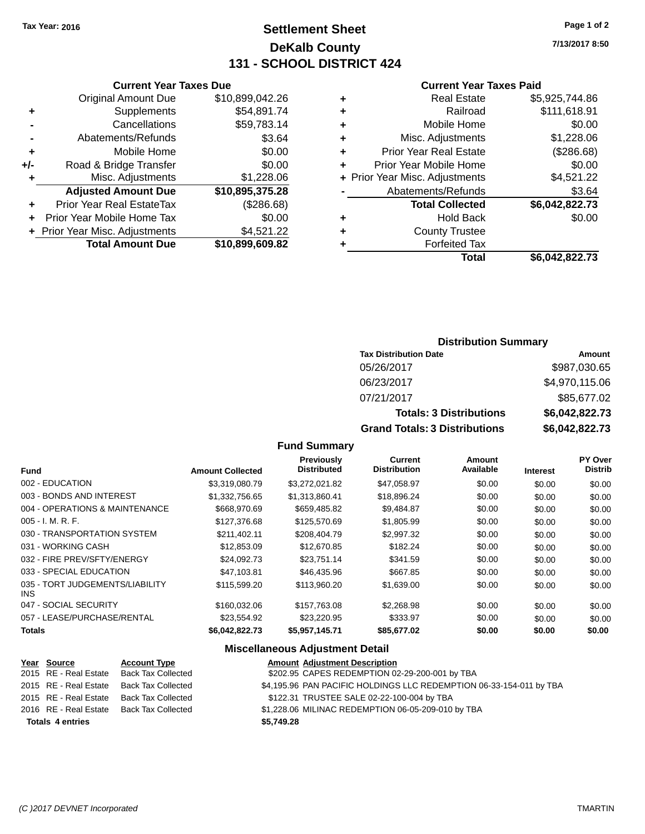## **Settlement Sheet Tax Year: 2016 Page 1 of 2 DeKalb County 131 - SCHOOL DISTRICT 424**

**7/13/2017 8:50**

#### **Current Year Taxes Paid**

|     | <b>Current Year Taxes Due</b>  |                 |  |  |  |
|-----|--------------------------------|-----------------|--|--|--|
|     | <b>Original Amount Due</b>     | \$10,899,042.26 |  |  |  |
| ٠   | Supplements                    | \$54,891.74     |  |  |  |
|     | Cancellations                  | \$59,783.14     |  |  |  |
|     | Abatements/Refunds             | \$3.64          |  |  |  |
| ٠   | Mobile Home                    | \$0.00          |  |  |  |
| +/- | Road & Bridge Transfer         | \$0.00          |  |  |  |
| ٠   | Misc. Adjustments              | \$1,228.06      |  |  |  |
|     | <b>Adjusted Amount Due</b>     | \$10,895,375.28 |  |  |  |
| ٠   | Prior Year Real EstateTax      | (\$286.68)      |  |  |  |
| ÷   | Prior Year Mobile Home Tax     | \$0.00          |  |  |  |
|     | + Prior Year Misc. Adjustments | \$4,521.22      |  |  |  |
|     | <b>Total Amount Due</b>        | \$10,899,609.82 |  |  |  |
|     |                                |                 |  |  |  |

|   | <b>Real Estate</b>             | \$5,925,744.86 |
|---|--------------------------------|----------------|
| ٠ | Railroad                       | \$111,618.91   |
| ٠ | Mobile Home                    | \$0.00         |
| ٠ | Misc. Adjustments              | \$1,228.06     |
| ٠ | <b>Prior Year Real Estate</b>  | (\$286.68)     |
| ٠ | Prior Year Mobile Home         | \$0.00         |
|   | + Prior Year Misc. Adjustments | \$4,521.22     |
|   | Abatements/Refunds             | \$3.64         |
|   | <b>Total Collected</b>         | \$6,042,822.73 |
| ٠ | <b>Hold Back</b>               | \$0.00         |
| ٠ | <b>County Trustee</b>          |                |
| ٠ | <b>Forfeited Tax</b>           |                |
|   | Total                          | \$6,042,822.73 |
|   |                                |                |

## **Distribution Summary**

| <b>Tax Distribution Date</b>         | Amount         |
|--------------------------------------|----------------|
| 05/26/2017                           | \$987,030.65   |
| 06/23/2017                           | \$4,970,115.06 |
| 07/21/2017                           | \$85,677.02    |
| <b>Totals: 3 Distributions</b>       | \$6,042,822.73 |
| <b>Grand Totals: 3 Distributions</b> | \$6,042,822.73 |

#### **Fund Summary**

| <b>Fund</b>                                   | <b>Amount Collected</b> | Previously<br><b>Distributed</b> | Current<br><b>Distribution</b> | <b>Amount</b><br>Available | <b>Interest</b> | PY Over<br><b>Distrib</b> |
|-----------------------------------------------|-------------------------|----------------------------------|--------------------------------|----------------------------|-----------------|---------------------------|
| 002 - EDUCATION                               | \$3,319,080.79          | \$3,272,021.82                   | \$47,058.97                    | \$0.00                     | \$0.00          | \$0.00                    |
| 003 - BONDS AND INTEREST                      | \$1.332.756.65          | \$1,313,860.41                   | \$18,896,24                    | \$0.00                     | \$0.00          | \$0.00                    |
| 004 - OPERATIONS & MAINTENANCE                | \$668,970.69            | \$659,485.82                     | \$9,484.87                     | \$0.00                     | \$0.00          | \$0.00                    |
| $005 - I. M. R. F.$                           | \$127,376,68            | \$125,570.69                     | \$1,805.99                     | \$0.00                     | \$0.00          | \$0.00                    |
| 030 - TRANSPORTATION SYSTEM                   | \$211.402.11            | \$208,404.79                     | \$2.997.32                     | \$0.00                     | \$0.00          | \$0.00                    |
| 031 - WORKING CASH                            | \$12,853.09             | \$12,670.85                      | \$182.24                       | \$0.00                     | \$0.00          | \$0.00                    |
| 032 - FIRE PREV/SFTY/ENERGY                   | \$24.092.73             | \$23.751.14                      | \$341.59                       | \$0.00                     | \$0.00          | \$0.00                    |
| 033 - SPECIAL EDUCATION                       | \$47.103.81             | \$46,435.96                      | \$667.85                       | \$0.00                     | \$0.00          | \$0.00                    |
| 035 - TORT JUDGEMENTS/LIABILITY<br><b>INS</b> | \$115,599.20            | \$113,960.20                     | \$1,639.00                     | \$0.00                     | \$0.00          | \$0.00                    |
| 047 - SOCIAL SECURITY                         | \$160,032,06            | \$157.763.08                     | \$2,268.98                     | \$0.00                     | \$0.00          | \$0.00                    |
| 057 - LEASE/PURCHASE/RENTAL                   | \$23.554.92             | \$23.220.95                      | \$333.97                       | \$0.00                     | \$0.00          | \$0.00                    |
| <b>Totals</b>                                 | \$6.042.822.73          | \$5,957,145.71                   | \$85,677.02                    | \$0.00                     | \$0.00          | \$0.00                    |

|                         | Year Source           | <b>Account Type</b> | <b>Amount Adjustment Description</b>                                |
|-------------------------|-----------------------|---------------------|---------------------------------------------------------------------|
|                         | 2015 RE - Real Estate | Back Tax Collected  | \$202.95 CAPES REDEMPTION 02-29-200-001 by TBA                      |
|                         | 2015 RE - Real Estate | Back Tax Collected  | \$4,195.96 PAN PACIFIC HOLDINGS LLC REDEMPTION 06-33-154-011 by TBA |
|                         | 2015 RE - Real Estate | Back Tax Collected  | \$122.31 TRUSTEE SALE 02-22-100-004 by TBA                          |
|                         | 2016 RE - Real Estate | Back Tax Collected  | \$1,228.06 MILINAC REDEMPTION 06-05-209-010 by TBA                  |
| <b>Totals 4 entries</b> |                       |                     | \$5,749.28                                                          |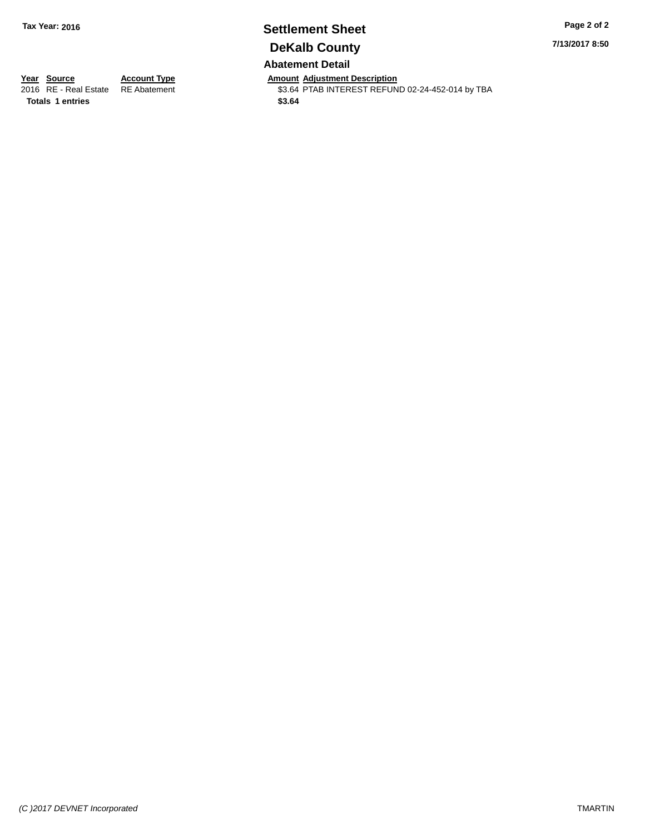# **Settlement Sheet Tax Year: 2016 Page 2 of 2 DeKalb County**

**7/13/2017 8:50**

**Abatement Detail**

**Totals 1 entries** \$3.64

**Year Source Account Type Amount Adjustment Description**<br>2016 RE - Real Estate RE Abatement \$3.64 PTAB INTEREST REFUN \$3.64 PTAB INTEREST REFUND 02-24-452-014 by TBA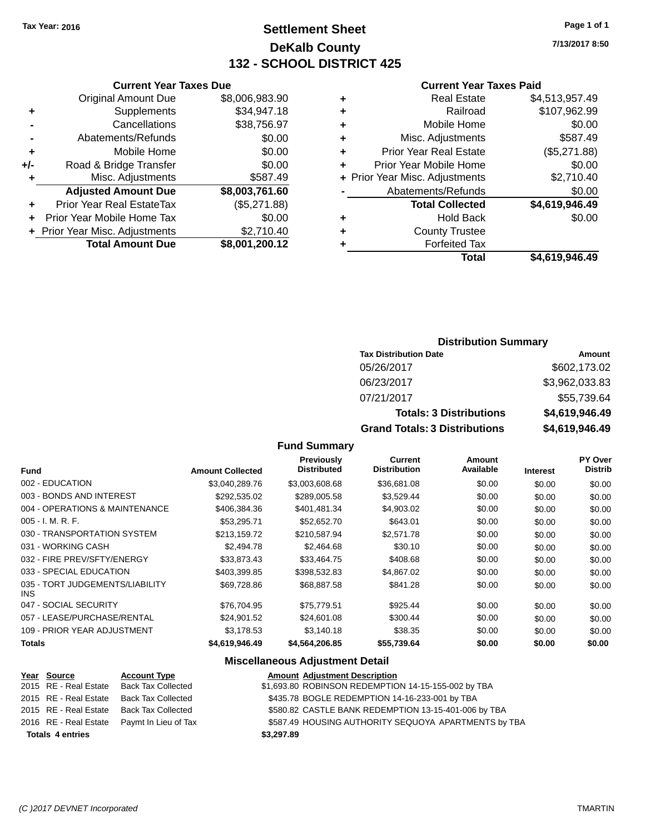## **Settlement Sheet Tax Year: 2016 Page 1 of 1 DeKalb County 132 - SCHOOL DISTRICT 425**

**7/13/2017 8:50**

#### **Current Year Taxes Paid**

| <b>Current Year</b>            |   | <b>Current Year Taxes Due</b> |                                  |       |  |
|--------------------------------|---|-------------------------------|----------------------------------|-------|--|
| <b>Real Estate</b>             | ٠ | \$8,006,983.90                | <b>Original Amount Due</b>       |       |  |
| Railroad                       | ٠ | \$34,947.18                   | Supplements                      | ٠     |  |
| Mobile Home                    | ٠ | \$38,756.97                   | Cancellations                    |       |  |
| Misc. Adjustments              | ÷ | \$0.00                        | Abatements/Refunds               |       |  |
| Prior Year Real Estate         | ٠ | \$0.00                        | Mobile Home                      | ٠     |  |
| Prior Year Mobile Home         | ٠ | \$0.00                        | Road & Bridge Transfer           | $+/-$ |  |
| + Prior Year Misc. Adjustments |   | \$587.49                      | Misc. Adjustments                |       |  |
| Abatements/Refunds             |   | \$8,003,761.60                | <b>Adjusted Amount Due</b>       |       |  |
| <b>Total Collected</b>         |   | (\$5,271.88)                  | <b>Prior Year Real EstateTax</b> |       |  |
| Hold Back                      | ٠ | \$0.00                        | Prior Year Mobile Home Tax       |       |  |
| County Trustee                 | ٠ | \$2,710.40                    | + Prior Year Misc. Adjustments   |       |  |
| Forfeited Tax                  |   | \$8,001,200.12                | <b>Total Amount Due</b>          |       |  |
| Tota                           |   |                               |                                  |       |  |

|   | <b>Real Estate</b>             | \$4,513,957.49 |
|---|--------------------------------|----------------|
| ÷ | Railroad                       | \$107,962.99   |
| ٠ | Mobile Home                    | \$0.00         |
| ٠ | Misc. Adjustments              | \$587.49       |
|   | <b>Prior Year Real Estate</b>  | (\$5,271.88)   |
| ÷ | Prior Year Mobile Home         | \$0.00         |
|   | + Prior Year Misc. Adjustments | \$2,710.40     |
|   | Abatements/Refunds             | \$0.00         |
|   | <b>Total Collected</b>         | \$4,619,946.49 |
| ٠ | <b>Hold Back</b>               | \$0.00         |
|   | <b>County Trustee</b>          |                |
|   | <b>Forfeited Tax</b>           |                |
|   | <b>Total</b>                   | \$4,619,946.49 |
|   |                                |                |

## **Distribution Summary**

| <b>Tax Distribution Date</b>         | Amount         |
|--------------------------------------|----------------|
| 05/26/2017                           | \$602,173.02   |
| 06/23/2017                           | \$3,962,033.83 |
| 07/21/2017                           | \$55,739.64    |
| <b>Totals: 3 Distributions</b>       | \$4,619,946.49 |
| <b>Grand Totals: 3 Distributions</b> | \$4,619,946.49 |

#### **Fund Summary**

|                                         |                         | <b>Previously</b>  | <b>Current</b>      | Amount    |                 | <b>PY Over</b> |
|-----------------------------------------|-------------------------|--------------------|---------------------|-----------|-----------------|----------------|
| <b>Fund</b>                             | <b>Amount Collected</b> | <b>Distributed</b> | <b>Distribution</b> | Available | <b>Interest</b> | <b>Distrib</b> |
| 002 - EDUCATION                         | \$3,040,289.76          | \$3,003,608.68     | \$36,681.08         | \$0.00    | \$0.00          | \$0.00         |
| 003 - BONDS AND INTEREST                | \$292,535.02            | \$289,005.58       | \$3,529.44          | \$0.00    | \$0.00          | \$0.00         |
| 004 - OPERATIONS & MAINTENANCE          | \$406,384.36            | \$401,481.34       | \$4,903.02          | \$0.00    | \$0.00          | \$0.00         |
| $005 - I. M. R. F.$                     | \$53.295.71             | \$52,652.70        | \$643.01            | \$0.00    | \$0.00          | \$0.00         |
| 030 - TRANSPORTATION SYSTEM             | \$213.159.72            | \$210,587.94       | \$2,571.78          | \$0.00    | \$0.00          | \$0.00         |
| 031 - WORKING CASH                      | \$2,494.78              | \$2,464.68         | \$30.10             | \$0.00    | \$0.00          | \$0.00         |
| 032 - FIRE PREV/SFTY/ENERGY             | \$33,873.43             | \$33,464.75        | \$408.68            | \$0.00    | \$0.00          | \$0.00         |
| 033 - SPECIAL EDUCATION                 | \$403,399.85            | \$398,532.83       | \$4,867.02          | \$0.00    | \$0.00          | \$0.00         |
| 035 - TORT JUDGEMENTS/LIABILITY<br>INS. | \$69,728.86             | \$68,887.58        | \$841.28            | \$0.00    | \$0.00          | \$0.00         |
| 047 - SOCIAL SECURITY                   | \$76.704.95             | \$75,779.51        | \$925.44            | \$0.00    | \$0.00          | \$0.00         |
| 057 - LEASE/PURCHASE/RENTAL             | \$24,901.52             | \$24,601.08        | \$300.44            | \$0.00    | \$0.00          | \$0.00         |
| 109 - PRIOR YEAR ADJUSTMENT             | \$3.178.53              | \$3,140.18         | \$38.35             | \$0.00    | \$0.00          | \$0.00         |
| <b>Totals</b>                           | \$4,619,946.49          | \$4,564,206.85     | \$55,739.64         | \$0.00    | \$0.00          | \$0.00         |

|                         | Year Source           | <b>Account Type</b>                        | <b>Amount Adjustment Description</b>                 |
|-------------------------|-----------------------|--------------------------------------------|------------------------------------------------------|
|                         | 2015 RE - Real Estate | <b>Back Tax Collected</b>                  | \$1,693.80 ROBINSON REDEMPTION 14-15-155-002 by TBA  |
|                         | 2015 RE - Real Estate | Back Tax Collected                         | \$435.78 BOGLE REDEMPTION 14-16-233-001 by TBA       |
|                         | 2015 RE - Real Estate | Back Tax Collected                         | \$580.82 CASTLE BANK REDEMPTION 13-15-401-006 by TBA |
|                         |                       | 2016 RE - Real Estate Paymt In Lieu of Tax | \$587.49 HOUSING AUTHORITY SEQUOYA APARTMENTS by TBA |
| <b>Totals 4 entries</b> |                       |                                            | \$3,297.89                                           |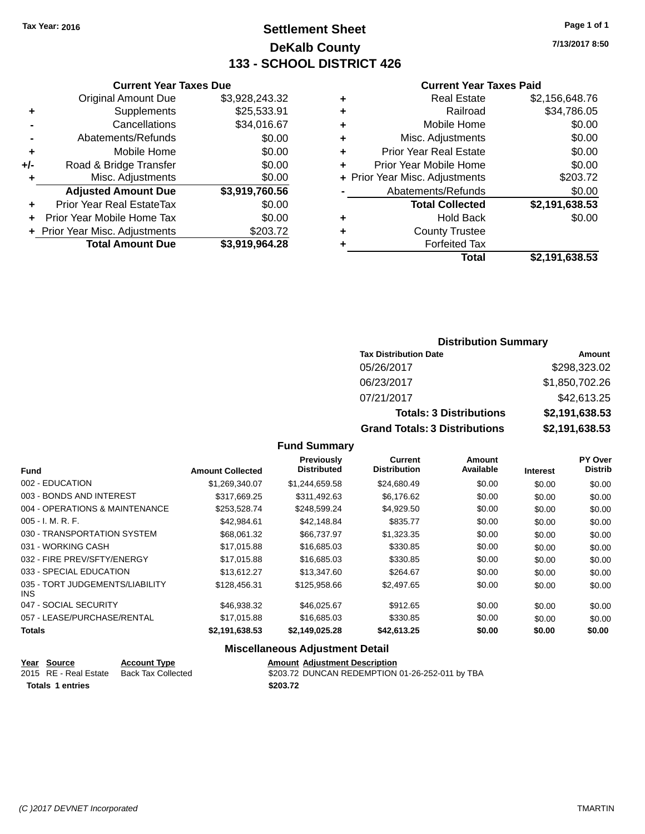## **Settlement Sheet Tax Year: 2016 Page 1 of 1 DeKalb County 133 - SCHOOL DISTRICT 426**

**7/13/2017 8:50**

#### **Current Year Taxes Paid**

|     | <b>Original Amount Due</b>       | \$3,928,243.32 |
|-----|----------------------------------|----------------|
| ٠   | Supplements                      | \$25,533.91    |
|     | Cancellations                    | \$34,016.67    |
| -   | Abatements/Refunds               | \$0.00         |
| ٠   | Mobile Home                      | \$0.00         |
| +/- | Road & Bridge Transfer           | \$0.00         |
| ٠   | Misc. Adjustments                | \$0.00         |
|     | <b>Adjusted Amount Due</b>       | \$3,919,760.56 |
| ٠   | <b>Prior Year Real EstateTax</b> | \$0.00         |
| ٠   | Prior Year Mobile Home Tax       | \$0.00         |
|     | + Prior Year Misc. Adjustments   | \$203.72       |
|     | <b>Total Amount Due</b>          | \$3,919,964.28 |
|     |                                  |                |

**Current Year Taxes Due**

| <b>Real Estate</b>            | \$2,156,648.76                 |
|-------------------------------|--------------------------------|
| Railroad                      | \$34,786.05                    |
| Mobile Home                   | \$0.00                         |
| Misc. Adjustments             | \$0.00                         |
| <b>Prior Year Real Estate</b> | \$0.00                         |
| Prior Year Mobile Home        | \$0.00                         |
|                               | \$203.72                       |
| Abatements/Refunds            | \$0.00                         |
| <b>Total Collected</b>        | \$2,191,638.53                 |
| <b>Hold Back</b>              | \$0.00                         |
| <b>County Trustee</b>         |                                |
| <b>Forfeited Tax</b>          |                                |
| Total                         | \$2,191,638.53                 |
|                               | + Prior Year Misc. Adjustments |

### **Distribution Summary Tax Distribution Date Amount** 05/26/2017 \$298,323.02 06/23/2017 \$1,850,702.26 07/21/2017 \$42,613.25 **Totals: 3 Distributions \$2,191,638.53 Grand Totals: 3 Distributions \$2,191,638.53**

#### **Fund Summary**

| <b>Fund</b>                             | <b>Amount Collected</b> | <b>Previously</b><br><b>Distributed</b> | <b>Current</b><br><b>Distribution</b> | Amount<br>Available | <b>Interest</b> | PY Over<br><b>Distrib</b> |
|-----------------------------------------|-------------------------|-----------------------------------------|---------------------------------------|---------------------|-----------------|---------------------------|
| 002 - EDUCATION                         | \$1,269,340.07          | \$1,244,659.58                          | \$24,680.49                           | \$0.00              | \$0.00          | \$0.00                    |
| 003 - BONDS AND INTEREST                | \$317.669.25            | \$311.492.63                            | \$6,176.62                            | \$0.00              | \$0.00          | \$0.00                    |
| 004 - OPERATIONS & MAINTENANCE          | \$253,528.74            | \$248,599.24                            | \$4,929.50                            | \$0.00              | \$0.00          | \$0.00                    |
| $005 - I. M. R. F.$                     | \$42,984.61             | \$42,148.84                             | \$835.77                              | \$0.00              | \$0.00          | \$0.00                    |
| 030 - TRANSPORTATION SYSTEM             | \$68,061.32             | \$66,737.97                             | \$1,323.35                            | \$0.00              | \$0.00          | \$0.00                    |
| 031 - WORKING CASH                      | \$17,015.88             | \$16,685.03                             | \$330.85                              | \$0.00              | \$0.00          | \$0.00                    |
| 032 - FIRE PREV/SFTY/ENERGY             | \$17,015.88             | \$16,685.03                             | \$330.85                              | \$0.00              | \$0.00          | \$0.00                    |
| 033 - SPECIAL EDUCATION                 | \$13,612.27             | \$13,347.60                             | \$264.67                              | \$0.00              | \$0.00          | \$0.00                    |
| 035 - TORT JUDGEMENTS/LIABILITY<br>INS. | \$128,456.31            | \$125,958,66                            | \$2,497.65                            | \$0.00              | \$0.00          | \$0.00                    |
| 047 - SOCIAL SECURITY                   | \$46.938.32             | \$46,025.67                             | \$912.65                              | \$0.00              | \$0.00          | \$0.00                    |
| 057 - LEASE/PURCHASE/RENTAL             | \$17,015.88             | \$16,685.03                             | \$330.85                              | \$0.00              | \$0.00          | \$0.00                    |
| Totals                                  | \$2,191,638.53          | \$2.149.025.28                          | \$42,613.25                           | \$0.00              | \$0.00          | \$0.00                    |

| Year Source           | <b>Account Type</b> | <b>Amount Adiustment Description</b>            |
|-----------------------|---------------------|-------------------------------------------------|
| 2015 RE - Real Estate | Back Tax Collected  | \$203.72 DUNCAN REDEMPTION 01-26-252-011 by TBA |
| Totals 1 entries      |                     | \$203.72                                        |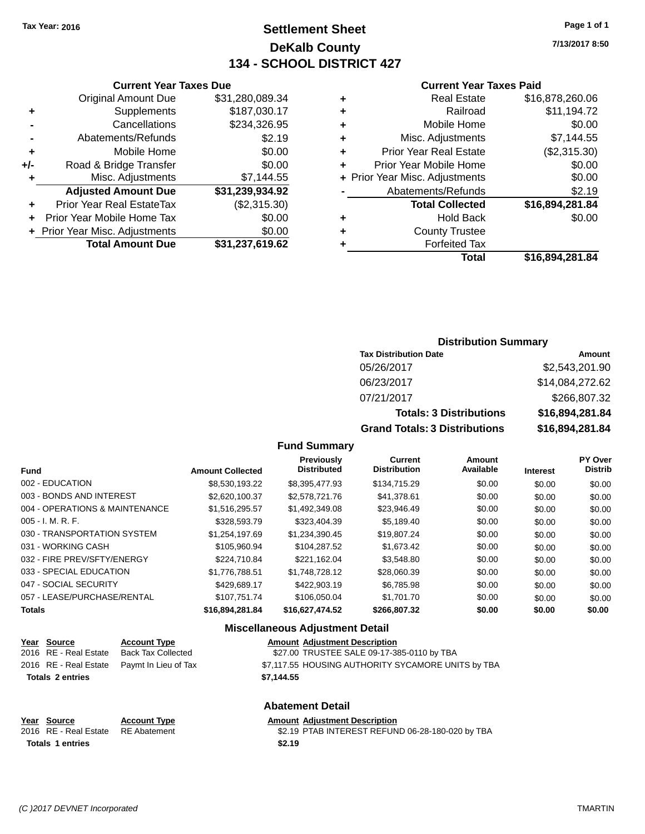**Current Year Taxes Due** Original Amount Due \$31,280,089.34

**Adjusted Amount Due \$31,239,934.92**

**+** Supplements \$187,030.17 **-** Cancellations \$234,326.95 **-** Abatements/Refunds \$2.19 **+** Mobile Home \$0.00 **+/-** Road & Bridge Transfer \$0.00 **+** Misc. Adjustments \$7,144.55

**+** Prior Year Real EstateTax (\$2,315.30) **+** Prior Year Mobile Home Tax \$0.00 **+** Prior Year Misc. Adjustments \$0.00<br> **Total Amount Due** \$31,237,619.62

**Total Amount Due** 

## **Settlement Sheet Tax Year: 2016 Page 1 of 1 DeKalb County 134 - SCHOOL DISTRICT 427**

**7/13/2017 8:50**

#### **Current Year Taxes Paid**

|   | Total                          | \$16,894,281.84 |
|---|--------------------------------|-----------------|
|   | <b>Forfeited Tax</b>           |                 |
| ٠ | <b>County Trustee</b>          |                 |
| ٠ | <b>Hold Back</b>               | \$0.00          |
|   | <b>Total Collected</b>         | \$16,894,281.84 |
|   | Abatements/Refunds             | \$2.19          |
|   | + Prior Year Misc. Adjustments | \$0.00          |
| ٠ | Prior Year Mobile Home         | \$0.00          |
| ٠ | <b>Prior Year Real Estate</b>  | (\$2,315.30)    |
| ٠ | Misc. Adjustments              | \$7,144.55      |
| ٠ | Mobile Home                    | \$0.00          |
| ٠ | Railroad                       | \$11,194.72     |
| ٠ | <b>Real Estate</b>             | \$16,878,260.06 |
|   |                                |                 |

# **Distribution Summary**

| <b>Tax Distribution Date</b>         | Amount          |
|--------------------------------------|-----------------|
| 05/26/2017                           | \$2,543,201.90  |
| 06/23/2017                           | \$14,084,272.62 |
| 07/21/2017                           | \$266,807.32    |
| <b>Totals: 3 Distributions</b>       | \$16,894,281.84 |
| <b>Grand Totals: 3 Distributions</b> | \$16,894,281.84 |

#### **Fund Summary**

| <b>Fund</b>                    | <b>Amount Collected</b> | <b>Previously</b><br><b>Distributed</b> | Current<br><b>Distribution</b> | Amount<br>Available | <b>Interest</b> | <b>PY Over</b><br><b>Distrib</b> |
|--------------------------------|-------------------------|-----------------------------------------|--------------------------------|---------------------|-----------------|----------------------------------|
| 002 - EDUCATION                | \$8,530,193.22          | \$8,395,477.93                          | \$134,715.29                   | \$0.00              | \$0.00          | \$0.00                           |
| 003 - BONDS AND INTEREST       | \$2.620.100.37          | \$2,578,721,76                          | \$41.378.61                    | \$0.00              | \$0.00          | \$0.00                           |
| 004 - OPERATIONS & MAINTENANCE | \$1,516,295.57          | \$1,492,349.08                          | \$23,946.49                    | \$0.00              | \$0.00          | \$0.00                           |
| $005 - I. M. R. F.$            | \$328,593.79            | \$323,404.39                            | \$5.189.40                     | \$0.00              | \$0.00          | \$0.00                           |
| 030 - TRANSPORTATION SYSTEM    | \$1,254,197.69          | \$1,234,390.45                          | \$19,807.24                    | \$0.00              | \$0.00          | \$0.00                           |
| 031 - WORKING CASH             | \$105.960.94            | \$104.287.52                            | \$1,673.42                     | \$0.00              | \$0.00          | \$0.00                           |
| 032 - FIRE PREV/SFTY/ENERGY    | \$224.710.84            | \$221.162.04                            | \$3,548.80                     | \$0.00              | \$0.00          | \$0.00                           |
| 033 - SPECIAL EDUCATION        | \$1,776,788.51          | \$1.748.728.12                          | \$28,060.39                    | \$0.00              | \$0.00          | \$0.00                           |
| 047 - SOCIAL SECURITY          | \$429,689.17            | \$422,903.19                            | \$6,785.98                     | \$0.00              | \$0.00          | \$0.00                           |
| 057 - LEASE/PURCHASE/RENTAL    | \$107.751.74            | \$106.050.04                            | \$1,701.70                     | \$0.00              | \$0.00          | \$0.00                           |
| Totals                         | \$16.894.281.84         | \$16.627.474.52                         | \$266.807.32                   | \$0.00              | \$0.00          | \$0.00                           |

#### **Miscellaneous Adjustment Detail**

| <u>Year Source</u>      | <b>Account Type</b>                        | <b>Amount Adjustment Description</b>               |
|-------------------------|--------------------------------------------|----------------------------------------------------|
| 2016 RE - Real Estate   | Back Tax Collected                         | \$27.00 TRUSTEE SALE 09-17-385-0110 by TBA         |
|                         | 2016 RE - Real Estate Paymt In Lieu of Tax | \$7,117.55 HOUSING AUTHORITY SYCAMORE UNITS by TBA |
| <b>Totals 2 entries</b> |                                            | \$7.144.55                                         |
|                         |                                            |                                                    |
|                         |                                            |                                                    |

## **Abatement Detail**

| <b>Amount Adjustment Description</b> |  |  |
|--------------------------------------|--|--|
|                                      |  |  |

2016 RE - Real Estate RE Abatement \$2.19 PTAB INTEREST REFUND 06-28-180-020 by TBA **Totals \$2.19 1 entries**

**Year Source Account Type**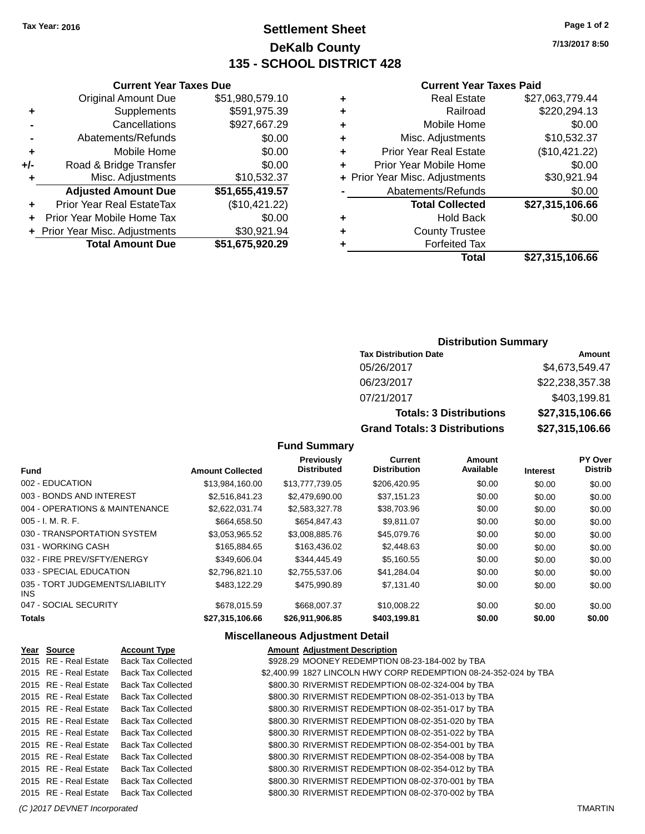## **Settlement Sheet Tax Year: 2016 Page 1 of 2 DeKalb County 135 - SCHOOL DISTRICT 428**

**7/13/2017 8:50**

#### **Current Year Taxes Paid**

| \$27,063,779.44 |
|-----------------|
| \$220,294.13    |
| \$0.00          |
| \$10,532.37     |
| (\$10,421.22)   |
| \$0.00          |
| \$30,921.94     |
| \$0.00          |
| \$27,315,106.66 |
| \$0.00          |
|                 |
|                 |
| \$27,315,106.66 |
|                 |

|     | <b>Current Year Taxes Due</b>    |                 |
|-----|----------------------------------|-----------------|
|     | <b>Original Amount Due</b>       | \$51,980,579.10 |
| ٠   | Supplements                      | \$591,975.39    |
|     | Cancellations                    | \$927,667.29    |
|     | Abatements/Refunds               | \$0.00          |
| ٠   | Mobile Home                      | \$0.00          |
| +/- | Road & Bridge Transfer           | \$0.00          |
| ٠   | Misc. Adjustments                | \$10,532.37     |
|     | <b>Adjusted Amount Due</b>       | \$51,655,419.57 |
| ÷   | <b>Prior Year Real EstateTax</b> | (\$10,421.22)   |
|     | Prior Year Mobile Home Tax       | \$0.00          |
|     | + Prior Year Misc. Adjustments   | \$30,921.94     |
|     | <b>Total Amount Due</b>          | \$51,675,920.29 |
|     |                                  |                 |

### **Distribution Summary**

| <b>Tax Distribution Date</b>         | Amount          |
|--------------------------------------|-----------------|
| 05/26/2017                           | \$4,673,549.47  |
| 06/23/2017                           | \$22,238,357.38 |
| 07/21/2017                           | \$403,199.81    |
| <b>Totals: 3 Distributions</b>       | \$27,315,106.66 |
| <b>Grand Totals: 3 Distributions</b> | \$27,315,106.66 |

## **Fund Summary**

| <b>Fund</b>                             | <b>Amount Collected</b> | <b>Previously</b><br><b>Distributed</b> | Current<br><b>Distribution</b> | Amount<br>Available | <b>Interest</b> | <b>PY Over</b><br><b>Distrib</b> |
|-----------------------------------------|-------------------------|-----------------------------------------|--------------------------------|---------------------|-----------------|----------------------------------|
| 002 - EDUCATION                         | \$13,984,160.00         | \$13,777,739.05                         | \$206.420.95                   | \$0.00              | \$0.00          | \$0.00                           |
| 003 - BONDS AND INTEREST                | \$2.516.841.23          | \$2,479,690,00                          | \$37.151.23                    | \$0.00              | \$0.00          | \$0.00                           |
| 004 - OPERATIONS & MAINTENANCE          | \$2,622,031.74          | \$2,583,327.78                          | \$38,703.96                    | \$0.00              | \$0.00          | \$0.00                           |
| $005 - I. M. R. F.$                     | \$664,658.50            | \$654,847,43                            | \$9.811.07                     | \$0.00              | \$0.00          | \$0.00                           |
| 030 - TRANSPORTATION SYSTEM             | \$3.053.965.52          | \$3.008.885.76                          | \$45,079.76                    | \$0.00              | \$0.00          | \$0.00                           |
| 031 - WORKING CASH                      | \$165,884,65            | \$163,436.02                            | \$2,448.63                     | \$0.00              | \$0.00          | \$0.00                           |
| 032 - FIRE PREV/SFTY/ENERGY             | \$349,606.04            | \$344,445.49                            | \$5,160.55                     | \$0.00              | \$0.00          | \$0.00                           |
| 033 - SPECIAL EDUCATION                 | \$2.796.821.10          | \$2.755.537.06                          | \$41.284.04                    | \$0.00              | \$0.00          | \$0.00                           |
| 035 - TORT JUDGEMENTS/LIABILITY<br>INS. | \$483,122.29            | \$475,990.89                            | \$7,131.40                     | \$0.00              | \$0.00          | \$0.00                           |
| 047 - SOCIAL SECURITY                   | \$678,015.59            | \$668,007.37                            | \$10,008.22                    | \$0.00              | \$0.00          | \$0.00                           |
| <b>Totals</b>                           | \$27,315,106.66         | \$26.911.906.85                         | \$403.199.81                   | \$0.00              | \$0.00          | \$0.00                           |

| Year Source           | <b>Account Type</b>       | <b>Amount Adjustment Description</b>                             |
|-----------------------|---------------------------|------------------------------------------------------------------|
| 2015 RE - Real Estate | <b>Back Tax Collected</b> | \$928.29 MOONEY REDEMPTION 08-23-184-002 by TBA                  |
| 2015 RE - Real Estate | <b>Back Tax Collected</b> | \$2,400.99 1827 LINCOLN HWY CORP REDEMPTION 08-24-352-024 by TBA |
| 2015 RE - Real Estate | <b>Back Tax Collected</b> | \$800.30 RIVERMIST REDEMPTION 08-02-324-004 by TBA               |
| 2015 RE - Real Estate | <b>Back Tax Collected</b> | \$800.30 RIVERMIST REDEMPTION 08-02-351-013 by TBA               |
| 2015 RE - Real Estate | <b>Back Tax Collected</b> | \$800.30 RIVERMIST REDEMPTION 08-02-351-017 by TBA               |
| 2015 RE - Real Estate | <b>Back Tax Collected</b> | \$800.30 RIVERMIST REDEMPTION 08-02-351-020 by TBA               |
| 2015 RE - Real Estate | <b>Back Tax Collected</b> | \$800.30 RIVERMIST REDEMPTION 08-02-351-022 by TBA               |
| 2015 RE - Real Estate | <b>Back Tax Collected</b> | \$800.30 RIVERMIST REDEMPTION 08-02-354-001 by TBA               |
| 2015 RE - Real Estate | <b>Back Tax Collected</b> | \$800.30 RIVERMIST REDEMPTION 08-02-354-008 by TBA               |
| 2015 RE - Real Estate | <b>Back Tax Collected</b> | \$800.30 RIVERMIST REDEMPTION 08-02-354-012 by TBA               |
| 2015 RE - Real Estate | <b>Back Tax Collected</b> | \$800.30 RIVERMIST REDEMPTION 08-02-370-001 by TBA               |
| 2015 RE - Real Estate | <b>Back Tax Collected</b> | \$800.30 RIVERMIST REDEMPTION 08-02-370-002 by TBA               |
|                       |                           |                                                                  |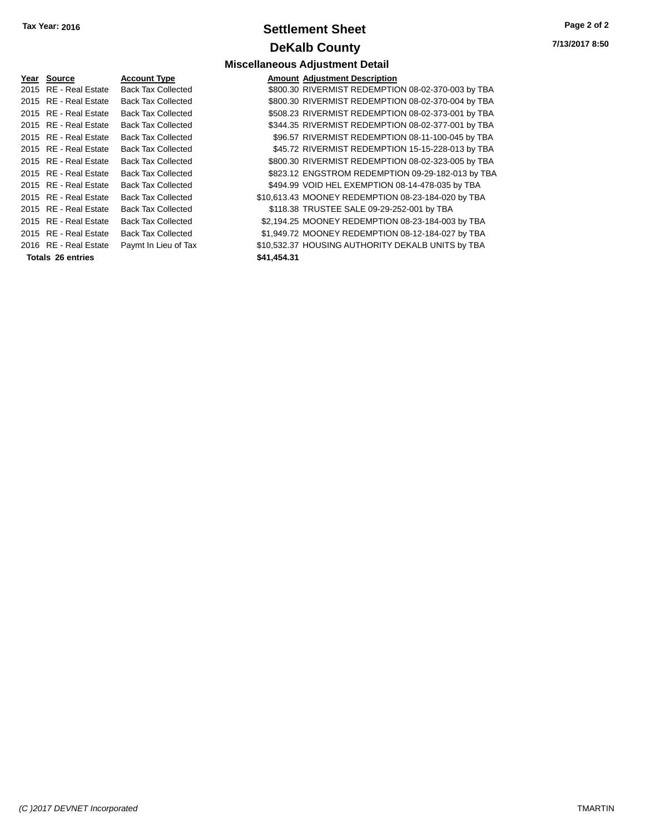## **Settlement Sheet Tax Year: 2016 Page 2 of 2 DeKalb County**

**7/13/2017 8:50**

| Year | Source                   | <b>Account Type</b>       |             | <b>Amount Adjustment Description</b>               |
|------|--------------------------|---------------------------|-------------|----------------------------------------------------|
|      | 2015 RE - Real Estate    | <b>Back Tax Collected</b> |             | \$800.30 RIVERMIST REDEMPTION 08-02-370-003 by TBA |
|      | 2015 RE - Real Estate    | <b>Back Tax Collected</b> |             | \$800.30 RIVERMIST REDEMPTION 08-02-370-004 by TBA |
|      | 2015 RE - Real Estate    | <b>Back Tax Collected</b> |             | \$508.23 RIVERMIST REDEMPTION 08-02-373-001 by TBA |
|      | 2015 RE - Real Estate    | <b>Back Tax Collected</b> |             | \$344.35 RIVERMIST REDEMPTION 08-02-377-001 by TBA |
|      | 2015 RE - Real Estate    | <b>Back Tax Collected</b> |             | \$96.57 RIVERMIST REDEMPTION 08-11-100-045 by TBA  |
|      | 2015 RE - Real Estate    | <b>Back Tax Collected</b> |             | \$45.72 RIVERMIST REDEMPTION 15-15-228-013 by TBA  |
|      | 2015 RE - Real Estate    | <b>Back Tax Collected</b> |             | \$800.30 RIVERMIST REDEMPTION 08-02-323-005 by TBA |
|      | 2015 RE - Real Estate    | <b>Back Tax Collected</b> |             | \$823.12 ENGSTROM REDEMPTION 09-29-182-013 by TBA  |
|      | 2015 RE - Real Estate    | <b>Back Tax Collected</b> |             | \$494.99 VOID HEL EXEMPTION 08-14-478-035 by TBA   |
|      | 2015 RE - Real Estate    | <b>Back Tax Collected</b> |             | \$10,613.43 MOONEY REDEMPTION 08-23-184-020 by TBA |
|      | 2015 RE - Real Estate    | <b>Back Tax Collected</b> |             | \$118.38 TRUSTEE SALE 09-29-252-001 by TBA         |
|      | 2015 RE - Real Estate    | <b>Back Tax Collected</b> |             | \$2,194.25 MOONEY REDEMPTION 08-23-184-003 by TBA  |
|      | 2015 RE - Real Estate    | <b>Back Tax Collected</b> |             | \$1,949.72 MOONEY REDEMPTION 08-12-184-027 by TBA  |
|      | 2016 RE - Real Estate    | Paymt In Lieu of Tax      |             | \$10,532.37 HOUSING AUTHORITY DEKALB UNITS by TBA  |
|      | <b>Totals 26 entries</b> |                           | \$41,454.31 |                                                    |
|      |                          |                           |             |                                                    |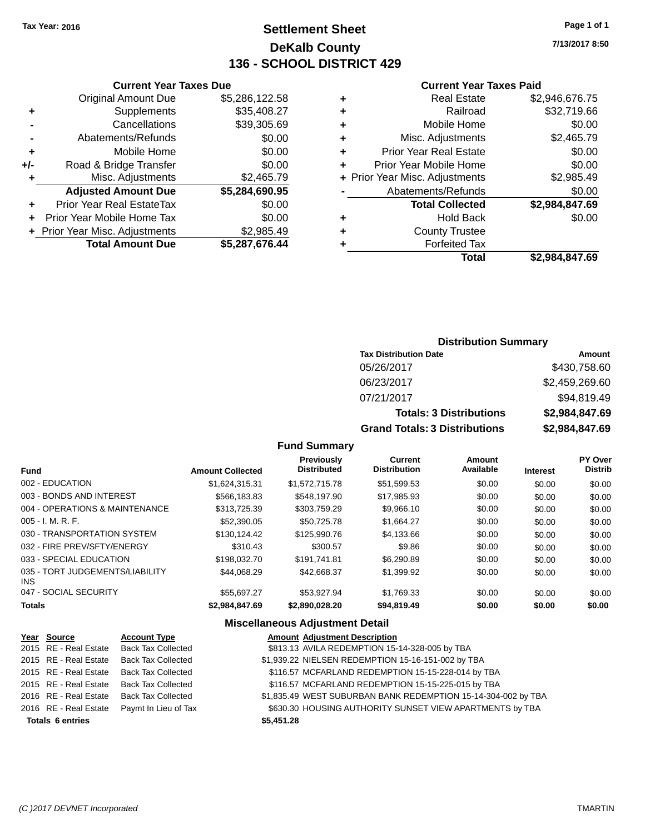## **Settlement Sheet Tax Year: 2016 Page 1 of 1 DeKalb County 136 - SCHOOL DISTRICT 429**

**7/13/2017 8:50**

#### **Current Year Taxes Paid**

|       | <b>Current Year Taxes Due</b>    |                |   |                  |
|-------|----------------------------------|----------------|---|------------------|
|       | <b>Original Amount Due</b>       | \$5,286,122.58 | ٠ |                  |
| ٠     | Supplements                      | \$35,408.27    | ٠ |                  |
|       | Cancellations                    | \$39,305.69    | ٠ |                  |
|       | Abatements/Refunds               | \$0.00         | ٠ | Mis              |
| ٠     | Mobile Home                      | \$0.00         | ٠ | Prior Y          |
| $+/-$ | Road & Bridge Transfer           | \$0.00         |   | Prior Yea        |
| ٠     | Misc. Adjustments                | \$2,465.79     |   | + Prior Year Mis |
|       | <b>Adjusted Amount Due</b>       | \$5,284,690.95 |   | Abate            |
|       | <b>Prior Year Real EstateTax</b> | \$0.00         |   |                  |
|       | Prior Year Mobile Home Tax       | \$0.00         | ٠ |                  |
|       | + Prior Year Misc. Adjustments   | \$2,985.49     | ٠ |                  |
|       | <b>Total Amount Due</b>          | \$5,287,676.44 |   |                  |
|       |                                  |                |   |                  |

|   | <b>Real Estate</b>             | \$2,946,676.75 |
|---|--------------------------------|----------------|
| ٠ | Railroad                       | \$32,719.66    |
|   | Mobile Home                    | \$0.00         |
| ٠ | Misc. Adjustments              | \$2,465.79     |
| ٠ | <b>Prior Year Real Estate</b>  | \$0.00         |
| ÷ | Prior Year Mobile Home         | \$0.00         |
|   | + Prior Year Misc. Adjustments | \$2,985.49     |
|   | Abatements/Refunds             | \$0.00         |
|   | <b>Total Collected</b>         | \$2,984,847.69 |
| ٠ | <b>Hold Back</b>               | \$0.00         |
| ٠ | <b>County Trustee</b>          |                |
|   | <b>Forfeited Tax</b>           |                |
|   | Total                          | \$2,984,847.69 |
|   |                                |                |

## **Distribution Summary Tax Distribution Date Amount**

| <b>Grand Totals: 3 Distributions</b> | \$2,984,847.69 |
|--------------------------------------|----------------|
| <b>Totals: 3 Distributions</b>       | \$2,984,847.69 |
| 07/21/2017                           | \$94,819.49    |
| 06/23/2017                           | \$2,459,269.60 |
| 05/26/2017                           | \$430,758.60   |

#### **Fund Summary**

| <b>Fund</b>                             | <b>Amount Collected</b> | <b>Previously</b><br><b>Distributed</b> | <b>Current</b><br><b>Distribution</b> | <b>Amount</b><br>Available | <b>Interest</b> | PY Over<br><b>Distrib</b> |
|-----------------------------------------|-------------------------|-----------------------------------------|---------------------------------------|----------------------------|-----------------|---------------------------|
| 002 - EDUCATION                         | \$1,624,315.31          | \$1,572,715.78                          | \$51,599.53                           | \$0.00                     | \$0.00          | \$0.00                    |
| 003 - BONDS AND INTEREST                | \$566,183.83            | \$548,197.90                            | \$17,985.93                           | \$0.00                     | \$0.00          | \$0.00                    |
| 004 - OPERATIONS & MAINTENANCE          | \$313,725.39            | \$303,759.29                            | \$9,966.10                            | \$0.00                     | \$0.00          | \$0.00                    |
| 005 - I. M. R. F.                       | \$52,390.05             | \$50,725.78                             | \$1,664.27                            | \$0.00                     | \$0.00          | \$0.00                    |
| 030 - TRANSPORTATION SYSTEM             | \$130.124.42            | \$125,990.76                            | \$4,133.66                            | \$0.00                     | \$0.00          | \$0.00                    |
| 032 - FIRE PREV/SFTY/ENERGY             | \$310.43                | \$300.57                                | \$9.86                                | \$0.00                     | \$0.00          | \$0.00                    |
| 033 - SPECIAL EDUCATION                 | \$198,032.70            | \$191.741.81                            | \$6,290.89                            | \$0.00                     | \$0.00          | \$0.00                    |
| 035 - TORT JUDGEMENTS/LIABILITY<br>INS. | \$44.068.29             | \$42.668.37                             | \$1,399.92                            | \$0.00                     | \$0.00          | \$0.00                    |
| 047 - SOCIAL SECURITY                   | \$55.697.27             | \$53.927.94                             | \$1,769.33                            | \$0.00                     | \$0.00          | \$0.00                    |
| Totals                                  | \$2.984.847.69          | \$2.890.028.20                          | \$94,819,49                           | \$0.00                     | \$0.00          | \$0.00                    |

| Year Source             | <b>Account Type</b>       |            | <b>Amount Adjustment Description</b>                          |
|-------------------------|---------------------------|------------|---------------------------------------------------------------|
| 2015 RE - Real Estate   | <b>Back Tax Collected</b> |            | \$813.13 AVILA REDEMPTION 15-14-328-005 by TBA                |
| 2015 RE - Real Estate   | <b>Back Tax Collected</b> |            | \$1,939.22 NIELSEN REDEMPTION 15-16-151-002 by TBA            |
| 2015 RE - Real Estate   | <b>Back Tax Collected</b> |            | \$116.57 MCFARLAND REDEMPTION 15-15-228-014 by TBA            |
| 2015 RE - Real Estate   | <b>Back Tax Collected</b> |            | \$116.57 MCFARLAND REDEMPTION 15-15-225-015 by TBA            |
| 2016 RE - Real Estate   | <b>Back Tax Collected</b> |            | \$1,835.49 WEST SUBURBAN BANK REDEMPTION 15-14-304-002 by TBA |
| 2016 RE - Real Estate   | Paymt In Lieu of Tax      |            | \$630.30 HOUSING AUTHORITY SUNSET VIEW APARTMENTS by TBA      |
| <b>Totals 6 entries</b> |                           | \$5,451.28 |                                                               |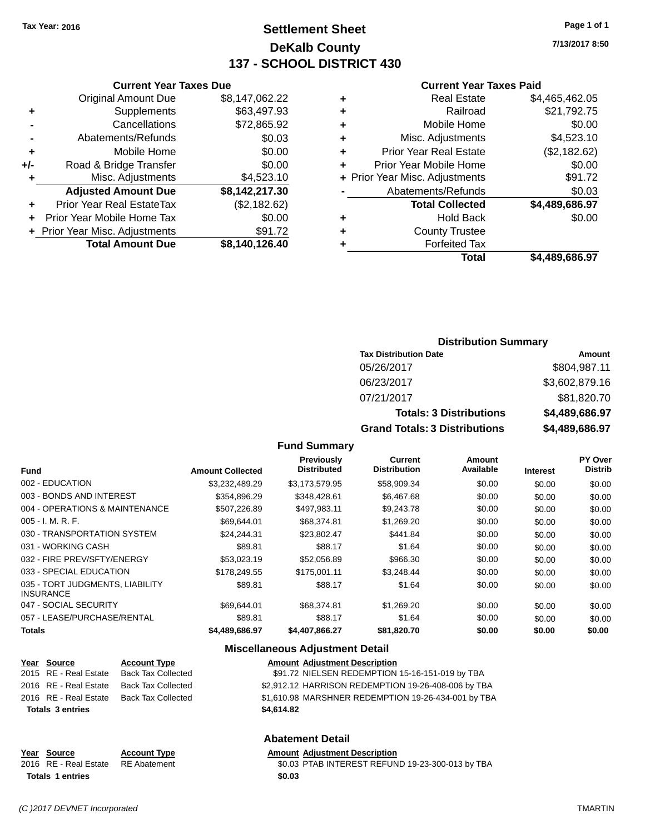## **Settlement Sheet Tax Year: 2016 Page 1 of 1 DeKalb County 137 - SCHOOL DISTRICT 430**

**7/13/2017 8:50**

#### **Current Year Taxes Paid**

|   | Real Estate                    | \$4,465,462.05 |
|---|--------------------------------|----------------|
| ٠ | Railroad                       | \$21,792.75    |
| ٠ | Mobile Home                    | \$0.00         |
| ٠ | Misc. Adjustments              | \$4,523.10     |
| ٠ | <b>Prior Year Real Estate</b>  | (\$2,182.62)   |
| ٠ | Prior Year Mobile Home         | \$0.00         |
|   | + Prior Year Misc. Adjustments | \$91.72        |
|   | Abatements/Refunds             | \$0.03         |
|   | <b>Total Collected</b>         | \$4,489,686.97 |
| ٠ | <b>Hold Back</b>               | \$0.00         |
| ٠ | <b>County Trustee</b>          |                |
|   | <b>Forfeited Tax</b>           |                |
|   | Total                          | \$4,489,686.97 |
|   |                                |                |

|                | <b>Original Amount Due</b> | \$8,147,062.22 |
|----------------|----------------------------|----------------|
| ٠              | Supplements                | \$63,497.93    |
| $\blacksquare$ | Cancellations              | \$72,865.92    |
| $\blacksquare$ | Abatements/Refunds         | \$0.03         |
| ٠              | Mobile Home                | \$0.00         |
| +/-            | Road & Bridge Transfer     | \$0.00         |
| ÷              | Misc. Adjustments          | \$4,523.10     |
|                | <b>Adjusted Amount Due</b> | \$8,142,217.30 |
|                | Prior Year Real EstateTax  | (\$2,182.62)   |
|                |                            |                |

**Current Year Taxes Due**

| <b>Total Amount Due</b>        | \$8,140,126.40 |
|--------------------------------|----------------|
| + Prior Year Misc. Adjustments | \$91.72        |
| + Prior Year Mobile Home Tax   | \$0.00         |

#### **Distribution Summary**

| <b>Tax Distribution Date</b>         | Amount         |
|--------------------------------------|----------------|
| 05/26/2017                           | \$804,987.11   |
| 06/23/2017                           | \$3,602,879.16 |
| 07/21/2017                           | \$81,820.70    |
| <b>Totals: 3 Distributions</b>       | \$4,489,686.97 |
| <b>Grand Totals: 3 Distributions</b> | \$4,489,686.97 |

#### **Fund Summary**

| <b>Fund</b>                                         | <b>Amount Collected</b> | <b>Previously</b><br><b>Distributed</b> | Current<br><b>Distribution</b> | Amount<br>Available | Interest | PY Over<br><b>Distrib</b> |
|-----------------------------------------------------|-------------------------|-----------------------------------------|--------------------------------|---------------------|----------|---------------------------|
| 002 - EDUCATION                                     | \$3,232,489.29          | \$3.173.579.95                          | \$58,909.34                    | \$0.00              | \$0.00   | \$0.00                    |
| 003 - BONDS AND INTEREST                            | \$354,896.29            | \$348,428.61                            | \$6,467.68                     | \$0.00              | \$0.00   | \$0.00                    |
| 004 - OPERATIONS & MAINTENANCE                      | \$507,226.89            | \$497,983.11                            | \$9,243.78                     | \$0.00              | \$0.00   | \$0.00                    |
| $005 - I. M. R. F.$                                 | \$69.644.01             | \$68,374.81                             | \$1,269.20                     | \$0.00              | \$0.00   | \$0.00                    |
| 030 - TRANSPORTATION SYSTEM                         | \$24.244.31             | \$23,802.47                             | \$441.84                       | \$0.00              | \$0.00   | \$0.00                    |
| 031 - WORKING CASH                                  | \$89.81                 | \$88.17                                 | \$1.64                         | \$0.00              | \$0.00   | \$0.00                    |
| 032 - FIRE PREV/SFTY/ENERGY                         | \$53,023.19             | \$52,056.89                             | \$966.30                       | \$0.00              | \$0.00   | \$0.00                    |
| 033 - SPECIAL EDUCATION                             | \$178,249.55            | \$175,001.11                            | \$3.248.44                     | \$0.00              | \$0.00   | \$0.00                    |
| 035 - TORT JUDGMENTS, LIABILITY<br><b>INSURANCE</b> | \$89.81                 | \$88.17                                 | \$1.64                         | \$0.00              | \$0.00   | \$0.00                    |
| 047 - SOCIAL SECURITY                               | \$69.644.01             | \$68,374.81                             | \$1,269.20                     | \$0.00              | \$0.00   | \$0.00                    |
| 057 - LEASE/PURCHASE/RENTAL                         | \$89.81                 | \$88.17                                 | \$1.64                         | \$0.00              | \$0.00   | \$0.00                    |
| <b>Totals</b>                                       | \$4,489,686.97          | \$4,407,866.27                          | \$81,820.70                    | \$0.00              | \$0.00   | \$0.00                    |

#### **Miscellaneous Adjustment Detail**

| <u>Year Source</u>      | <b>Account Type</b>                      | <b>Amount Adjustment Description</b>                |
|-------------------------|------------------------------------------|-----------------------------------------------------|
| 2015 RE - Real Estate   | Back Tax Collected                       | \$91.72 NIELSEN REDEMPTION 15-16-151-019 by TBA     |
| 2016 RE - Real Estate   | Back Tax Collected                       | \$2,912.12 HARRISON REDEMPTION 19-26-408-006 by TBA |
|                         | 2016 RE - Real Estate Back Tax Collected | \$1,610.98 MARSHNER REDEMPTION 19-26-434-001 by TBA |
| <b>Totals 3 entries</b> |                                          | \$4.614.82                                          |

#### **Abatement Detail**

**Year Source Account Type Amount Adjustment Description**<br>2016 RE - Real Estate RE Abatement **Amount 1998** And Amount 1990. A SO.03 PTAB INTEREST REFUN \$0.03 PTAB INTEREST REFUND 19-23-300-013 by TBA **Totals \$0.03 1 entries**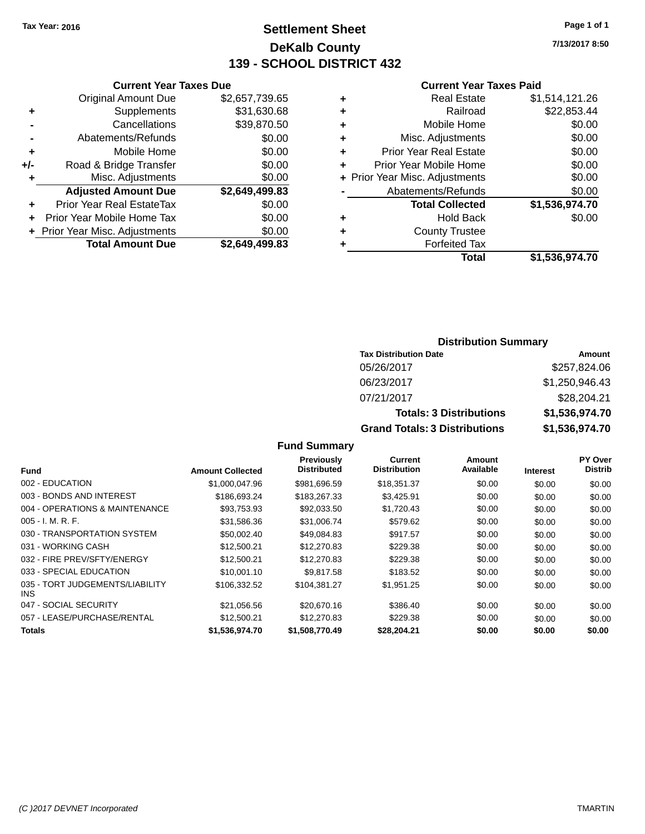## **Settlement Sheet Tax Year: 2016 Page 1 of 1 DeKalb County 139 - SCHOOL DISTRICT 432**

**7/13/2017 8:50**

#### **Current Year Taxes Paid**

| \$2,657,739.65 |
|----------------|
| \$31,630.68    |
| \$39,870.50    |
| \$0.00         |
| \$0.00         |
| \$0.00         |
| \$0.00         |
| \$2,649,499.83 |
| \$0.00         |
| \$0.00         |
| \$0.00         |
| \$2.649.499.83 |
|                |

|   | <b>Real Estate</b>             | \$1,514,121.26 |
|---|--------------------------------|----------------|
| ٠ | Railroad                       | \$22,853.44    |
| ٠ | Mobile Home                    | \$0.00         |
| ٠ | Misc. Adjustments              | \$0.00         |
| ٠ | <b>Prior Year Real Estate</b>  | \$0.00         |
|   | Prior Year Mobile Home         | \$0.00         |
|   | + Prior Year Misc. Adjustments | \$0.00         |
|   | Abatements/Refunds             | \$0.00         |
|   | <b>Total Collected</b>         | \$1,536,974.70 |
| ٠ | <b>Hold Back</b>               | \$0.00         |
|   | <b>County Trustee</b>          |                |
| ٠ | <b>Forfeited Tax</b>           |                |
|   | Total                          | \$1,536,974.70 |
|   |                                |                |

#### **Distribution Summary Tax Distribution Date Amount** 05/26/2017 \$257,824.06 06/23/2017 **\$1,250,046.43**

| 06/23/2017                           | \$1.250.946.43 |
|--------------------------------------|----------------|
| 07/21/2017                           | \$28,204.21    |
| <b>Totals: 3 Distributions</b>       | \$1,536,974.70 |
| <b>Grand Totals: 3 Distributions</b> | \$1,536,974.70 |
|                                      |                |

| <b>Fund</b>                             | <b>Amount Collected</b> | <b>Previously</b><br><b>Distributed</b> | <b>Current</b><br><b>Distribution</b> | Amount<br>Available | <b>Interest</b> | PY Over<br><b>Distrib</b> |
|-----------------------------------------|-------------------------|-----------------------------------------|---------------------------------------|---------------------|-----------------|---------------------------|
| 002 - EDUCATION                         | \$1,000,047.96          | \$981,696.59                            | \$18,351.37                           | \$0.00              | \$0.00          | \$0.00                    |
| 003 - BONDS AND INTEREST                | \$186,693.24            | \$183,267,33                            | \$3,425.91                            | \$0.00              | \$0.00          | \$0.00                    |
| 004 - OPERATIONS & MAINTENANCE          | \$93,753.93             | \$92,033.50                             | \$1,720.43                            | \$0.00              | \$0.00          | \$0.00                    |
| $005 - I. M. R. F.$                     | \$31,586.36             | \$31,006.74                             | \$579.62                              | \$0.00              | \$0.00          | \$0.00                    |
| 030 - TRANSPORTATION SYSTEM             | \$50,002.40             | \$49.084.83                             | \$917.57                              | \$0.00              | \$0.00          | \$0.00                    |
| 031 - WORKING CASH                      | \$12,500.21             | \$12,270.83                             | \$229.38                              | \$0.00              | \$0.00          | \$0.00                    |
| 032 - FIRE PREV/SFTY/ENERGY             | \$12,500.21             | \$12,270.83                             | \$229.38                              | \$0.00              | \$0.00          | \$0.00                    |
| 033 - SPECIAL EDUCATION                 | \$10,001.10             | \$9.817.58                              | \$183.52                              | \$0.00              | \$0.00          | \$0.00                    |
| 035 - TORT JUDGEMENTS/LIABILITY<br>INS. | \$106,332.52            | \$104,381.27                            | \$1,951.25                            | \$0.00              | \$0.00          | \$0.00                    |
| 047 - SOCIAL SECURITY                   | \$21.056.56             | \$20,670.16                             | \$386.40                              | \$0.00              | \$0.00          | \$0.00                    |
| 057 - LEASE/PURCHASE/RENTAL             | \$12,500.21             | \$12,270.83                             | \$229.38                              | \$0.00              | \$0.00          | \$0.00                    |
| <b>Totals</b>                           | \$1,536,974.70          | \$1,508,770.49                          | \$28,204.21                           | \$0.00              | \$0.00          | \$0.00                    |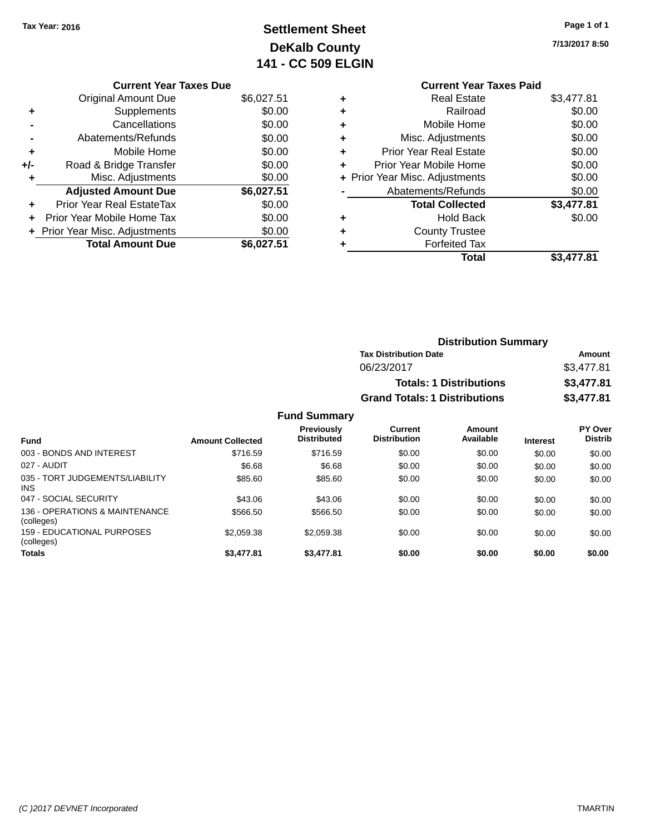## **Settlement Sheet Tax Year: 2016 Page 1 of 1 DeKalb County 141 - CC 509 ELGIN**

**7/13/2017 8:50**

| <b>Current Year Taxes Due</b>  |            |
|--------------------------------|------------|
| <b>Original Amount Due</b>     | \$6,027.51 |
| Supplements                    | \$0.00     |
| Cancellations                  | \$0.00     |
| Abatements/Refunds             | \$0.00     |
| Mobile Home                    | \$0.00     |
| Road & Bridge Transfer         | \$0.00     |
| Misc. Adjustments              | \$0.00     |
| <b>Adjusted Amount Due</b>     | \$6,027.51 |
| Prior Year Real EstateTax      | \$0.00     |
| Prior Year Mobile Home Tax     | \$0.00     |
| + Prior Year Misc. Adjustments | \$0.00     |
| <b>Total Amount Due</b>        | \$6,027.51 |
|                                |            |

|   | <b>Current Year Taxes Paid</b> |            |
|---|--------------------------------|------------|
| ٠ | <b>Real Estate</b>             | \$3,477.81 |
|   | Railroad                       | \$0.00     |
| ٠ | Mobile Home                    | \$0.00     |
| ٠ | Misc. Adjustments              | \$0.00     |
| ٠ | <b>Prior Year Real Estate</b>  | \$0.00     |
| ÷ | Prior Year Mobile Home         | \$0.00     |
|   | + Prior Year Misc. Adjustments | \$0.00     |
|   | Abatements/Refunds             | \$0.00     |
|   | <b>Total Collected</b>         | \$3,477.81 |
|   | <b>Hold Back</b>               | \$0.00     |
|   | <b>County Trustee</b>          |            |
|   | <b>Forfeited Tax</b>           |            |
|   | Total                          | \$3,477.81 |
|   |                                |            |

| <b>Distribution Summary</b>          |            |
|--------------------------------------|------------|
| <b>Tax Distribution Date</b>         | Amount     |
| 06/23/2017                           | \$3,477.81 |
| <b>Totals: 1 Distributions</b>       | \$3,477.81 |
| <b>Grand Totals: 1 Distributions</b> | \$3,477.81 |

|                                               |                         | <b>Fund Summary</b>                     |                                       |                     |                 |                                  |
|-----------------------------------------------|-------------------------|-----------------------------------------|---------------------------------------|---------------------|-----------------|----------------------------------|
| <b>Fund</b>                                   | <b>Amount Collected</b> | <b>Previously</b><br><b>Distributed</b> | <b>Current</b><br><b>Distribution</b> | Amount<br>Available | <b>Interest</b> | <b>PY Over</b><br><b>Distrib</b> |
| 003 - BONDS AND INTEREST                      | \$716.59                | \$716.59                                | \$0.00                                | \$0.00              | \$0.00          | \$0.00                           |
| 027 - AUDIT                                   | \$6.68                  | \$6.68                                  | \$0.00                                | \$0.00              | \$0.00          | \$0.00                           |
| 035 - TORT JUDGEMENTS/LIABILITY<br><b>INS</b> | \$85.60                 | \$85.60                                 | \$0.00                                | \$0.00              | \$0.00          | \$0.00                           |
| 047 - SOCIAL SECURITY                         | \$43.06                 | \$43.06                                 | \$0.00                                | \$0.00              | \$0.00          | \$0.00                           |
| 136 - OPERATIONS & MAINTENANCE<br>(colleges)  | \$566.50                | \$566.50                                | \$0.00                                | \$0.00              | \$0.00          | \$0.00                           |
| 159 - EDUCATIONAL PURPOSES<br>(colleges)      | \$2,059.38              | \$2.059.38                              | \$0.00                                | \$0.00              | \$0.00          | \$0.00                           |
| <b>Totals</b>                                 | \$3,477.81              | \$3,477.81                              | \$0.00                                | \$0.00              | \$0.00          | \$0.00                           |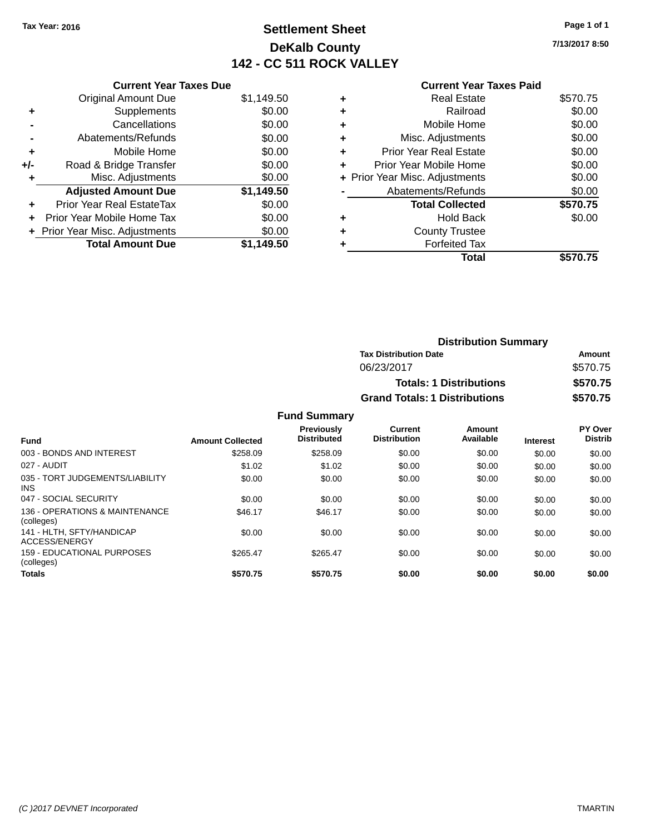## **Settlement Sheet Tax Year: 2016 Page 1 of 1 DeKalb County 142 - CC 511 ROCK VALLEY**

**7/13/2017 8:50**

|     | <b>Current Year Taxes Due</b>    |            |  |  |  |  |
|-----|----------------------------------|------------|--|--|--|--|
|     | <b>Original Amount Due</b>       | \$1,149.50 |  |  |  |  |
| ٠   | Supplements                      | \$0.00     |  |  |  |  |
|     | Cancellations                    | \$0.00     |  |  |  |  |
|     | Abatements/Refunds               | \$0.00     |  |  |  |  |
| ٠   | \$0.00<br>Mobile Home            |            |  |  |  |  |
| +/- | Road & Bridge Transfer           | \$0.00     |  |  |  |  |
| ٠   | Misc. Adjustments                | \$0.00     |  |  |  |  |
|     | <b>Adjusted Amount Due</b>       | \$1,149.50 |  |  |  |  |
|     | <b>Prior Year Real EstateTax</b> | \$0.00     |  |  |  |  |
| ÷   | Prior Year Mobile Home Tax       | \$0.00     |  |  |  |  |
|     | + Prior Year Misc. Adjustments   | \$0.00     |  |  |  |  |
|     | <b>Total Amount Due</b>          | \$1,149.50 |  |  |  |  |

## **Current Year Taxes Paid +** Real Estate \$570.75 **+** Railroad \$0.00 **+** Mobile Home \$0.00

|   | Total                          | \$570.75 |
|---|--------------------------------|----------|
|   | <b>Forfeited Tax</b>           |          |
| ÷ | <b>County Trustee</b>          |          |
| ٠ | <b>Hold Back</b>               | \$0.00   |
|   | <b>Total Collected</b>         | \$570.75 |
|   | Abatements/Refunds             | \$0.00   |
|   | + Prior Year Misc. Adjustments | \$0.00   |
|   | Prior Year Mobile Home         | \$0.00   |
| ÷ | <b>Prior Year Real Estate</b>  | \$0.00   |
|   | Misc. Adjustments              | \$0.00   |

| <b>Distribution Summary</b>          |          |  |  |
|--------------------------------------|----------|--|--|
| <b>Tax Distribution Date</b>         | Amount   |  |  |
| 06/23/2017                           | \$570.75 |  |  |
| <b>Totals: 1 Distributions</b>       | \$570.75 |  |  |
| <b>Grand Totals: 1 Distributions</b> | \$570.75 |  |  |

| <b>Fund</b>                                     | <b>Amount Collected</b> | <b>Previously</b><br><b>Distributed</b> | <b>Current</b><br><b>Distribution</b> | Amount<br>Available | <b>Interest</b> | PY Over<br><b>Distrib</b> |
|-------------------------------------------------|-------------------------|-----------------------------------------|---------------------------------------|---------------------|-----------------|---------------------------|
| 003 - BONDS AND INTEREST                        | \$258.09                | \$258.09                                | \$0.00                                | \$0.00              | \$0.00          | \$0.00                    |
| 027 - AUDIT                                     | \$1.02                  | \$1.02                                  | \$0.00                                | \$0.00              | \$0.00          | \$0.00                    |
| 035 - TORT JUDGEMENTS/LIABILITY<br><b>INS</b>   | \$0.00                  | \$0.00                                  | \$0.00                                | \$0.00              | \$0.00          | \$0.00                    |
| 047 - SOCIAL SECURITY                           | \$0.00                  | \$0.00                                  | \$0.00                                | \$0.00              | \$0.00          | \$0.00                    |
| 136 - OPERATIONS & MAINTENANCE<br>(colleges)    | \$46.17                 | \$46.17                                 | \$0.00                                | \$0.00              | \$0.00          | \$0.00                    |
| 141 - HLTH, SFTY/HANDICAP<br>ACCESS/ENERGY      | \$0.00                  | \$0.00                                  | \$0.00                                | \$0.00              | \$0.00          | \$0.00                    |
| <b>159 - EDUCATIONAL PURPOSES</b><br>(colleges) | \$265.47                | \$265.47                                | \$0.00                                | \$0.00              | \$0.00          | \$0.00                    |
| <b>Totals</b>                                   | \$570.75                | \$570.75                                | \$0.00                                | \$0.00              | \$0.00          | \$0.00                    |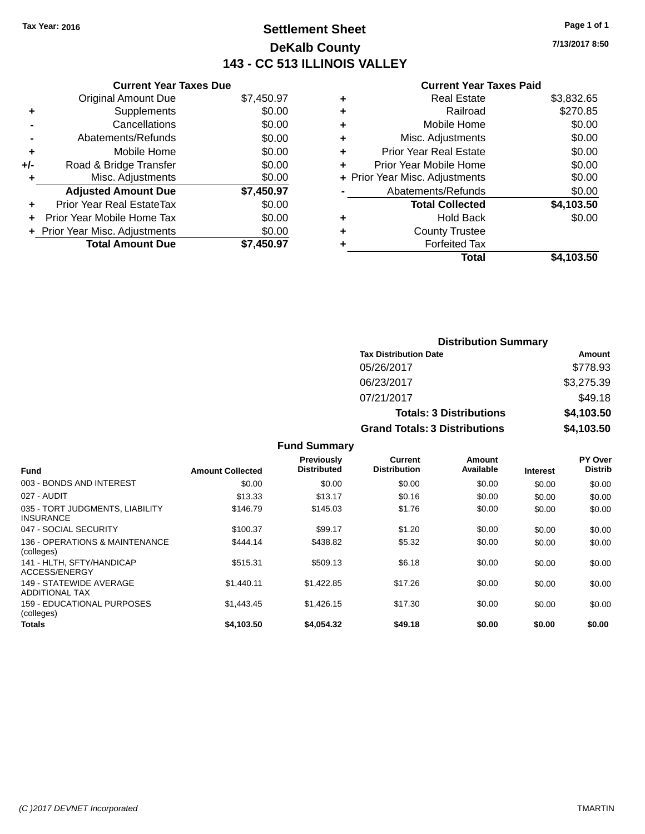## **Settlement Sheet Tax Year: 2016 Page 1 of 1 DeKalb County 143 - CC 513 ILLINOIS VALLEY**

**7/13/2017 8:50**

#### **Current Year Taxes Paid**

|     | <b>Current Year Taxes Due</b> |            |
|-----|-------------------------------|------------|
|     | <b>Original Amount Due</b>    | \$7,450.97 |
| ÷   | Supplements                   | \$0.00     |
|     | Cancellations                 | \$0.00     |
|     | Abatements/Refunds            | \$0.00     |
| ٠   | Mobile Home                   | \$0.00     |
| +/- | Road & Bridge Transfer        | \$0.00     |
|     | Misc. Adjustments             | \$0.00     |
|     | <b>Adjusted Amount Due</b>    | \$7,450.97 |
| ÷   | Prior Year Real EstateTax     | \$0.00     |
|     | Prior Year Mobile Home Tax    | \$0.00     |
|     | Prior Year Misc. Adjustments  | \$0.00     |
|     | <b>Total Amount Due</b>       | \$7.450.97 |

|   | <b>Real Estate</b>             | \$3,832.65 |
|---|--------------------------------|------------|
| ٠ | Railroad                       | \$270.85   |
| ٠ | Mobile Home                    | \$0.00     |
| ٠ | Misc. Adjustments              | \$0.00     |
| ٠ | Prior Year Real Estate         | \$0.00     |
| ٠ | Prior Year Mobile Home         | \$0.00     |
|   | + Prior Year Misc. Adjustments | \$0.00     |
|   | Abatements/Refunds             | \$0.00     |
|   | <b>Total Collected</b>         | \$4,103.50 |
| ٠ | Hold Back                      | \$0.00     |
| ٠ | <b>County Trustee</b>          |            |
| ٠ | <b>Forfeited Tax</b>           |            |
|   | Total                          | \$4,103.50 |
|   |                                |            |

| <b>Distribution Summary</b>          |                                |            |  |  |
|--------------------------------------|--------------------------------|------------|--|--|
| <b>Tax Distribution Date</b>         |                                | Amount     |  |  |
| 05/26/2017                           |                                | \$778.93   |  |  |
| 06/23/2017                           |                                | \$3,275.39 |  |  |
| 07/21/2017                           |                                | \$49.18    |  |  |
|                                      | <b>Totals: 3 Distributions</b> | \$4,103.50 |  |  |
| <b>Grand Totals: 3 Distributions</b> |                                | \$4,103.50 |  |  |

|                                                     |                         | Previously<br><b>Distributed</b> | Current<br><b>Distribution</b> | Amount<br>Available |                 | PY Over<br><b>Distrib</b> |
|-----------------------------------------------------|-------------------------|----------------------------------|--------------------------------|---------------------|-----------------|---------------------------|
| <b>Fund</b>                                         | <b>Amount Collected</b> |                                  |                                |                     | <b>Interest</b> |                           |
| 003 - BONDS AND INTEREST                            | \$0.00                  | \$0.00                           | \$0.00                         | \$0.00              | \$0.00          | \$0.00                    |
| 027 - AUDIT                                         | \$13.33                 | \$13.17                          | \$0.16                         | \$0.00              | \$0.00          | \$0.00                    |
| 035 - TORT JUDGMENTS, LIABILITY<br><b>INSURANCE</b> | \$146.79                | \$145.03                         | \$1.76                         | \$0.00              | \$0.00          | \$0.00                    |
| 047 - SOCIAL SECURITY                               | \$100.37                | \$99.17                          | \$1.20                         | \$0.00              | \$0.00          | \$0.00                    |
| 136 - OPERATIONS & MAINTENANCE<br>(colleges)        | \$444.14                | \$438.82                         | \$5.32                         | \$0.00              | \$0.00          | \$0.00                    |
| 141 - HLTH, SFTY/HANDICAP<br>ACCESS/ENERGY          | \$515.31                | \$509.13                         | \$6.18                         | \$0.00              | \$0.00          | \$0.00                    |
| 149 - STATEWIDE AVERAGE<br><b>ADDITIONAL TAX</b>    | \$1.440.11              | \$1,422.85                       | \$17.26                        | \$0.00              | \$0.00          | \$0.00                    |
| <b>159 - EDUCATIONAL PURPOSES</b><br>(colleges)     | \$1,443.45              | \$1,426.15                       | \$17.30                        | \$0.00              | \$0.00          | \$0.00                    |
| <b>Totals</b>                                       | \$4.103.50              | \$4,054,32                       | \$49.18                        | \$0.00              | \$0.00          | \$0.00                    |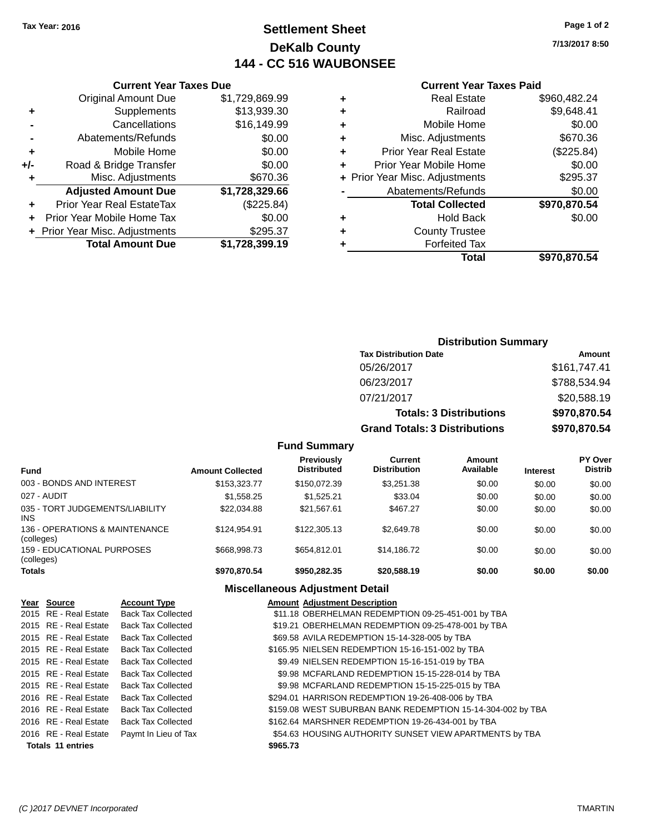## **Settlement Sheet Tax Year: 2016 Page 1 of 2 DeKalb County 144 - CC 516 WAUBONSEE**

**7/13/2017 8:50**

#### **Current Year Taxes Paid**

|       | <b>Original Amount Due</b>       | \$1,729,869.99 | ٠ |                  |
|-------|----------------------------------|----------------|---|------------------|
|       | <b>Supplements</b>               | \$13,939.30    | ٠ |                  |
|       | Cancellations                    | \$16,149.99    | ٠ |                  |
|       | Abatements/Refunds               | \$0.00         | ٠ | Mi:              |
| ٠     | Mobile Home                      | \$0.00         | ٠ | Prior Y          |
| $+/-$ | Road & Bridge Transfer           | \$0.00         | ٠ | Prior Yea        |
|       | Misc. Adjustments                | \$670.36       |   | + Prior Year Mis |
|       | <b>Adjusted Amount Due</b>       | \$1,728,329.66 |   | Abate            |
| ٠     | <b>Prior Year Real EstateTax</b> | (\$225.84)     |   |                  |
| ٠     | Prior Year Mobile Home Tax       | \$0.00         | ٠ |                  |
|       | + Prior Year Misc. Adjustments   | \$295.37       | ٠ |                  |
|       | <b>Total Amount Due</b>          | \$1,728,399.19 |   |                  |
|       |                                  |                |   |                  |

**Current Year Taxes Due**

|   | <b>Real Estate</b>             | \$960,482.24 |
|---|--------------------------------|--------------|
| ٠ | Railroad                       | \$9,648.41   |
| ٠ | Mobile Home                    | \$0.00       |
| ٠ | Misc. Adjustments              | \$670.36     |
|   | <b>Prior Year Real Estate</b>  | (\$225.84)   |
|   | Prior Year Mobile Home         | \$0.00       |
|   | + Prior Year Misc. Adjustments | \$295.37     |
|   | Abatements/Refunds             | \$0.00       |
|   | <b>Total Collected</b>         | \$970,870.54 |
| ٠ | <b>Hold Back</b>               | \$0.00       |
|   | <b>County Trustee</b>          |              |
|   | <b>Forfeited Tax</b>           |              |
|   | Total                          | \$970,870.54 |
|   |                                |              |

### **Distribution Summary Tax Distribution Date Amount** 05/26/2017 \$161,747.41 06/23/2017 \$788,534.94 07/21/2017 \$20,588.19 **Totals: 3 Distributions \$970,870.54 Grand Totals: 3 Distributions \$970,870.54**

#### **Fund Summary**

| <b>Fund</b>                                   | <b>Amount Collected</b> | <b>Previously</b><br><b>Distributed</b> | Current<br><b>Distribution</b> | Amount<br>Available | <b>Interest</b> | <b>PY Over</b><br><b>Distrib</b> |
|-----------------------------------------------|-------------------------|-----------------------------------------|--------------------------------|---------------------|-----------------|----------------------------------|
| 003 - BONDS AND INTEREST                      | \$153,323,77            | \$150,072.39                            | \$3,251.38                     | \$0.00              | \$0.00          | \$0.00                           |
| 027 - AUDIT                                   | \$1,558.25              | \$1.525.21                              | \$33.04                        | \$0.00              | \$0.00          | \$0.00                           |
| 035 - TORT JUDGEMENTS/LIABILITY<br><b>INS</b> | \$22.034.88             | \$21.567.61                             | \$467.27                       | \$0.00              | \$0.00          | \$0.00                           |
| 136 - OPERATIONS & MAINTENANCE<br>(colleges)  | \$124.954.91            | \$122,305.13                            | \$2,649.78                     | \$0.00              | \$0.00          | \$0.00                           |
| 159 - EDUCATIONAL PURPOSES<br>(colleges)      | \$668,998.73            | \$654.812.01                            | \$14.186.72                    | \$0.00              | \$0.00          | \$0.00                           |
| <b>Totals</b>                                 | \$970,870.54            | \$950,282,35                            | \$20,588.19                    | \$0.00              | \$0.00          | \$0.00                           |

| Year Source              | <b>Account Type</b>       |          | <b>Amount Adjustment Description</b>                        |
|--------------------------|---------------------------|----------|-------------------------------------------------------------|
| 2015 RE - Real Estate    | <b>Back Tax Collected</b> |          | \$11.18 OBERHELMAN REDEMPTION 09-25-451-001 by TBA          |
| 2015 RE - Real Estate    | <b>Back Tax Collected</b> |          | \$19.21 OBERHELMAN REDEMPTION 09-25-478-001 by TBA          |
| 2015 RE - Real Estate    | <b>Back Tax Collected</b> |          | \$69.58 AVILA REDEMPTION 15-14-328-005 by TBA               |
| 2015 RE - Real Estate    | <b>Back Tax Collected</b> |          | \$165.95 NIELSEN REDEMPTION 15-16-151-002 by TBA            |
| 2015 RE - Real Estate    | <b>Back Tax Collected</b> |          | \$9.49 NIELSEN REDEMPTION 15-16-151-019 by TBA              |
| 2015 RE - Real Estate    | Back Tax Collected        |          | \$9.98 MCFARLAND REDEMPTION 15-15-228-014 by TBA            |
| 2015 RE - Real Estate    | <b>Back Tax Collected</b> |          | \$9.98 MCFARLAND REDEMPTION 15-15-225-015 by TBA            |
| 2016 RE - Real Estate    | <b>Back Tax Collected</b> |          | \$294.01 HARRISON REDEMPTION 19-26-408-006 by TBA           |
| 2016 RE - Real Estate    | <b>Back Tax Collected</b> |          | \$159.08 WEST SUBURBAN BANK REDEMPTION 15-14-304-002 by TBA |
| 2016 RE - Real Estate    | <b>Back Tax Collected</b> |          | \$162.64 MARSHNER REDEMPTION 19-26-434-001 by TBA           |
| 2016 RE - Real Estate    | Paymt In Lieu of Tax      |          | \$54.63 HOUSING AUTHORITY SUNSET VIEW APARTMENTS by TBA     |
| <b>Totals 11 entries</b> |                           | \$965.73 |                                                             |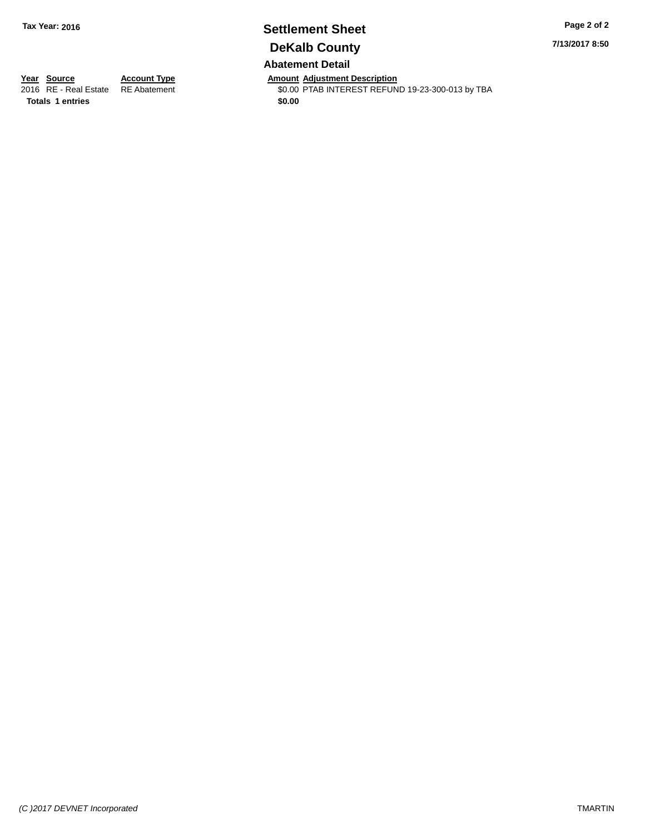# **Settlement Sheet Tax Year: 2016 Page 2 of 2 DeKalb County**

**7/13/2017 8:50**

**Abatement Detail**

**Totals 1 entries** \$0.00

*(C )2017 DEVNET Incorporated* TMARTIN

**Year Source Account Type Amount Adjustment Description** \$0.00 PTAB INTEREST REFUND 19-23-300-013 by TBA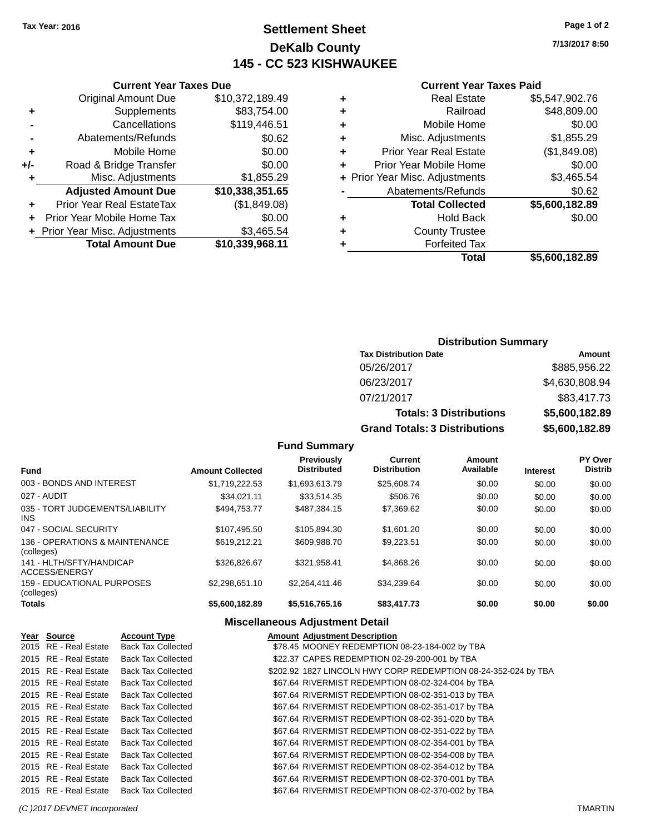## **Settlement Sheet Tax Year: 2016 Page 1 of 2 DeKalb County 145 - CC 523 KISHWAUKEE**

**7/13/2017 8:50**

#### **Current Year Taxes Paid**

|   | Total                          | \$5,600,182.89 |
|---|--------------------------------|----------------|
|   | <b>Forfeited Tax</b>           |                |
| ٠ | <b>County Trustee</b>          |                |
| ٠ | <b>Hold Back</b>               | \$0.00         |
|   | <b>Total Collected</b>         | \$5,600,182.89 |
|   | Abatements/Refunds             | \$0.62         |
|   | + Prior Year Misc. Adjustments | \$3,465.54     |
|   | Prior Year Mobile Home         | \$0.00         |
| ٠ | <b>Prior Year Real Estate</b>  | (\$1,849.08)   |
| ٠ | Misc. Adjustments              | \$1,855.29     |
| ٠ | Mobile Home                    | \$0.00         |
| ٠ | Railroad                       | \$48,809.00    |
| ٠ | <b>Real Estate</b>             | \$5,547,902.76 |
|   |                                |                |

|     | <b>Current Year Taxes Due</b>    |                 |  |  |  |  |  |
|-----|----------------------------------|-----------------|--|--|--|--|--|
|     | <b>Original Amount Due</b>       | \$10,372,189.49 |  |  |  |  |  |
| ٠   | Supplements                      | \$83,754.00     |  |  |  |  |  |
|     | Cancellations                    | \$119,446.51    |  |  |  |  |  |
|     | Abatements/Refunds               | \$0.62          |  |  |  |  |  |
| ٠   | Mobile Home                      | \$0.00          |  |  |  |  |  |
| +/- | Road & Bridge Transfer           | \$0.00          |  |  |  |  |  |
| ٠   | Misc. Adjustments                | \$1,855.29      |  |  |  |  |  |
|     | <b>Adjusted Amount Due</b>       | \$10,338,351.65 |  |  |  |  |  |
| ٠   | <b>Prior Year Real EstateTax</b> | (\$1,849.08)    |  |  |  |  |  |
| ÷   | Prior Year Mobile Home Tax       | \$0.00          |  |  |  |  |  |
|     | + Prior Year Misc. Adjustments   | \$3,465.54      |  |  |  |  |  |
|     | <b>Total Amount Due</b>          | \$10,339,968.11 |  |  |  |  |  |
|     |                                  |                 |  |  |  |  |  |

### **Distribution Summary**

| <b>Tax Distribution Date</b>         | Amount         |
|--------------------------------------|----------------|
| 05/26/2017                           | \$885,956.22   |
| 06/23/2017                           | \$4,630,808.94 |
| 07/21/2017                           | \$83,417.73    |
| <b>Totals: 3 Distributions</b>       | \$5,600,182.89 |
| <b>Grand Totals: 3 Distributions</b> | \$5,600,182.89 |

#### **Fund Summary**

| <b>Fund</b>                                  | <b>Amount Collected</b> | Previously<br><b>Distributed</b> | Current<br><b>Distribution</b> | Amount<br>Available | <b>Interest</b> | PY Over<br><b>Distrib</b> |
|----------------------------------------------|-------------------------|----------------------------------|--------------------------------|---------------------|-----------------|---------------------------|
| 003 - BONDS AND INTEREST                     | \$1,719,222.53          | \$1,693,613.79                   | \$25,608.74                    | \$0.00              | \$0.00          | \$0.00                    |
| 027 - AUDIT                                  | \$34.021.11             | \$33.514.35                      | \$506.76                       | \$0.00              | \$0.00          | \$0.00                    |
| 035 - TORT JUDGEMENTS/LIABILITY<br>INS.      | \$494,753,77            | \$487.384.15                     | \$7,369.62                     | \$0.00              | \$0.00          | \$0.00                    |
| 047 - SOCIAL SECURITY                        | \$107,495.50            | \$105.894.30                     | \$1,601.20                     | \$0.00              | \$0.00          | \$0.00                    |
| 136 - OPERATIONS & MAINTENANCE<br>(colleges) | \$619,212.21            | \$609,988.70                     | \$9.223.51                     | \$0.00              | \$0.00          | \$0.00                    |
| 141 - HLTH/SFTY/HANDICAP<br>ACCESS/ENERGY    | \$326,826.67            | \$321.958.41                     | \$4,868,26                     | \$0.00              | \$0.00          | \$0.00                    |
| 159 - EDUCATIONAL PURPOSES<br>(colleges)     | \$2.298.651.10          | \$2.264.411.46                   | \$34.239.64                    | \$0.00              | \$0.00          | \$0.00                    |
| Totals                                       | \$5,600,182.89          | \$5,516,765.16                   | \$83,417.73                    | \$0.00              | \$0.00          | \$0.00                    |

| Year Source           | <b>Account Type</b>       | <b>Amount Adjustment Description</b>                           |
|-----------------------|---------------------------|----------------------------------------------------------------|
| 2015 RE - Real Estate | <b>Back Tax Collected</b> | \$78.45 MOONEY REDEMPTION 08-23-184-002 by TBA                 |
| 2015 RE - Real Estate | <b>Back Tax Collected</b> | \$22.37 CAPES REDEMPTION 02-29-200-001 by TBA                  |
| 2015 RE - Real Estate | <b>Back Tax Collected</b> | \$202.92 1827 LINCOLN HWY CORP REDEMPTION 08-24-352-024 by TBA |
| 2015 RE - Real Estate | <b>Back Tax Collected</b> | \$67.64 RIVERMIST REDEMPTION 08-02-324-004 by TBA              |
| 2015 RE - Real Estate | <b>Back Tax Collected</b> | \$67.64 RIVERMIST REDEMPTION 08-02-351-013 by TBA              |
| 2015 RE - Real Estate | <b>Back Tax Collected</b> | \$67.64 RIVERMIST REDEMPTION 08-02-351-017 by TBA              |
| 2015 RE - Real Estate | <b>Back Tax Collected</b> | \$67.64 RIVERMIST REDEMPTION 08-02-351-020 by TBA              |
| 2015 RE - Real Estate | <b>Back Tax Collected</b> | \$67.64 RIVERMIST REDEMPTION 08-02-351-022 by TBA              |
| 2015 RE - Real Estate | <b>Back Tax Collected</b> | \$67.64 RIVERMIST REDEMPTION 08-02-354-001 by TBA              |
| 2015 RE - Real Estate | <b>Back Tax Collected</b> | \$67.64 RIVERMIST REDEMPTION 08-02-354-008 by TBA              |
| 2015 RE - Real Estate | <b>Back Tax Collected</b> | \$67.64 RIVERMIST REDEMPTION 08-02-354-012 by TBA              |
| 2015 RE - Real Estate | <b>Back Tax Collected</b> | \$67.64 RIVERMIST REDEMPTION 08-02-370-001 by TBA              |
| 2015 RE - Real Estate | <b>Back Tax Collected</b> | \$67.64 RIVERMIST REDEMPTION 08-02-370-002 by TBA              |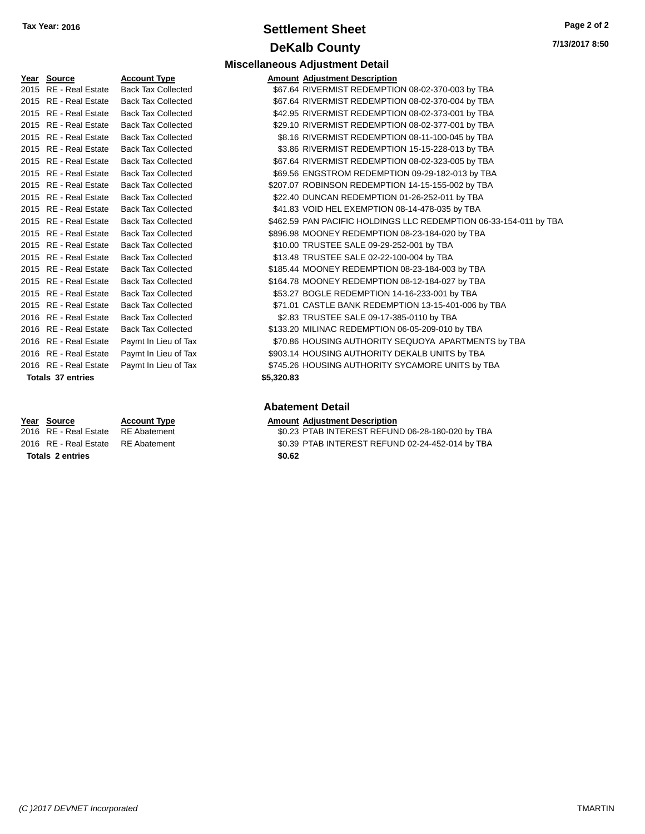## **Settlement Sheet Tax Year: 2016 Page 2 of 2 DeKalb County**

| Year | <b>Source</b>            | <b>Account Type</b>       | Amount     |
|------|--------------------------|---------------------------|------------|
| 2015 | RE - Real Estate         | <b>Back Tax Collected</b> | \$67.64    |
|      | 2015 RE - Real Estate    | <b>Back Tax Collected</b> | \$67.64    |
|      | 2015 RE - Real Estate    | <b>Back Tax Collected</b> | \$42.95    |
|      | 2015 RE - Real Estate    | <b>Back Tax Collected</b> | \$29.10    |
|      | 2015 RE - Real Estate    | <b>Back Tax Collected</b> | \$8.16     |
| 2015 | <b>RE</b> - Real Estate  | <b>Back Tax Collected</b> | \$3.86     |
| 2015 | <b>RE</b> - Real Estate  | <b>Back Tax Collected</b> | \$67.64    |
| 2015 | <b>RE</b> - Real Estate  | <b>Back Tax Collected</b> | \$69.56    |
| 2015 | <b>RE</b> - Real Estate  | <b>Back Tax Collected</b> | \$207.07   |
| 2015 | <b>RE</b> - Real Estate  | <b>Back Tax Collected</b> | \$22.40    |
|      | 2015 RE - Real Estate    | <b>Back Tax Collected</b> | \$41.83    |
| 2015 | <b>RE</b> - Real Estate  | <b>Back Tax Collected</b> | \$462.59   |
|      | 2015 RE - Real Estate    | <b>Back Tax Collected</b> | \$896.98   |
| 2015 | <b>RE</b> - Real Estate  | <b>Back Tax Collected</b> | \$10.00    |
|      | 2015 RE - Real Estate    | <b>Back Tax Collected</b> | \$13.48    |
|      | 2015 RE - Real Estate    | <b>Back Tax Collected</b> | \$185.44   |
|      | 2015 RE - Real Estate    | <b>Back Tax Collected</b> | \$164.78   |
| 2015 | <b>RE</b> - Real Estate  | <b>Back Tax Collected</b> | \$53.27    |
| 2015 | <b>RE</b> - Real Estate  | <b>Back Tax Collected</b> | \$71.01    |
| 2016 | <b>RE</b> - Real Estate  | <b>Back Tax Collected</b> | \$2.83     |
| 2016 | <b>RE</b> - Real Estate  | <b>Back Tax Collected</b> | \$133.20   |
| 2016 | RE - Real Estate         | Paymt In Lieu of Tax      | \$70.86    |
| 2016 | <b>RE</b> - Real Estate  | Paymt In Lieu of Tax      | \$903.14   |
|      | 2016 RE - Real Estate    | Paymt In Lieu of Tax      | \$745.26   |
|      | <b>Totals 37 entries</b> |                           | \$5,320.83 |

**Totals \$0.62 2 entries**

|                       |                           | <b>Miscellaneous Adjustment Detail</b>            |
|-----------------------|---------------------------|---------------------------------------------------|
| Yea <u>r</u> Source   | <b>Account Type</b>       | <b>Amount Adjustment Description</b>              |
| 2015 RE - Real Estate | <b>Back Tax Collected</b> | \$67.64 RIVERMIST REDEMPTION 08-02-370-003 by TBA |
| 2015 RE - Real Estate | <b>Back Tax Collected</b> | \$67.64 RIVERMIST REDEMPTION 08-02-370-004 by TBA |
| 2015 RE - Real Estate | <b>Back Tax Collected</b> | \$42.95 RIVERMIST REDEMPTION 08-02-373-001 by TBA |
| 2015 RE - Real Estate | <b>Back Tax Collected</b> | \$29.10 RIVERMIST REDEMPTION 08-02-377-001 by TBA |
| 2015 RE - Real Estate | <b>Back Tax Collected</b> | \$8.16 RIVERMIST REDEMPTION 08-11-100-045 by TBA  |
| 2015 RE - Real Estate | <b>Back Tax Collected</b> | \$3.86 RIVERMIST REDEMPTION 15-15-228-013 by TBA  |
| 2015 RE - Real Estate | <b>Back Tax Collected</b> | \$67.64 RIVERMIST REDEMPTION 08-02-323-005 by TBA |
| 2015 RE - Real Estate | <b>Back Tax Collected</b> | \$69.56 ENGSTROM REDEMPTION 09-29-182-013 by TBA  |
| 2015 RE - Real Estate | <b>Back Tax Collected</b> | \$207.07 ROBINSON REDEMPTION 14-15-155-002 by TBA |
|                       |                           |                                                   |

- Collected  $$22.40$  DUNCAN REDEMPTION 01-26-252-011 by TBA 2016 Collected \$41.83 VOID HEL EXEMPTION 08-14-478-035 by TBA
- 2016 Collected **\$462.59 PAN PACIFIC HOLDINGS LLC REDEMPTION 06-33-154-011 by TBA**
- 2016 Collected **\$896.98 MOONEY REDEMPTION 08-23-184-020 by TBA**
- 2016 Collected \$10.00 TRUSTEE SALE 09-29-252-001 by TBA
- 2016 Collected \$13.48 TRUSTEE SALE 02-22-100-004 by TBA
- Collected  $$185.44$  MOONEY REDEMPTION 08-23-184-003 by TBA
- Collected \$164.78 MOONEY REDEMPTION 08-12-184-027 by TBA
- Collected  $$53.27$  BOGLE REDEMPTION 14-16-233-001 by TBA
- 2016 Collected **\$71.01 CASTLE BANK REDEMPTION 13-15-401-006 by TBA** Collected  $$2.83$  TRUSTEE SALE 09-17-385-0110 by TBA
- Collected \$133.20 MILINAC REDEMPTION 06-05-209-010 by TBA Lieu of Tax  $$70.86$  HOUSING AUTHORITY SEQUOYA APARTMENTS by TBA
- Lieu of Tax **2016 REal Authority S903.14 HOUSING AUTHORITY DEKALB UNITS by TBA**
- Lieu of Tax **2016 REal Au Payme ST45.26 HOUSING AUTHORITY SYCAMORE UNITS by TBA**

#### **Abatement Detail**

#### **Year Source Account Type Amount Adjustment Description**

- 2016 RE Real Estate RE Abatement \$0.23 PTAB INTEREST REFUND 06-28-180-020 by TBA 2016 RE - Real Estate RE Abatement \$0.39 PTAB INTEREST REFUND 02-24-452-014 by TBA
	-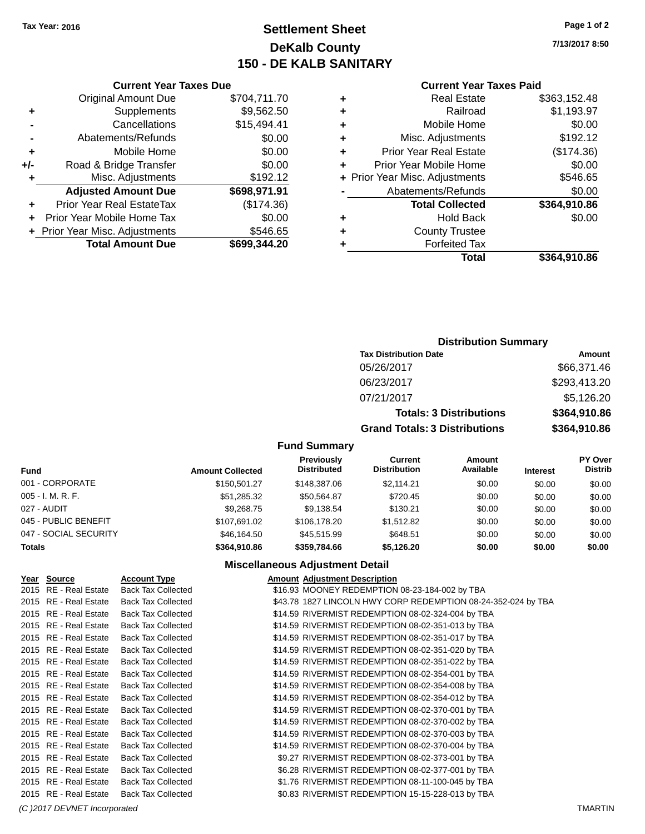## **Settlement Sheet Tax Year: 2016 Page 1 of 2 DeKalb County 150 - DE KALB SANITARY**

**7/13/2017 8:50**

#### **Current Year Taxes Paid**

|   | <b>Real Estate</b>             | \$363,152.48 |
|---|--------------------------------|--------------|
| ٠ | Railroad                       | \$1,193.97   |
| ٠ | Mobile Home                    | \$0.00       |
| ٠ | Misc. Adjustments              | \$192.12     |
| ٠ | <b>Prior Year Real Estate</b>  | (\$174.36)   |
| ÷ | Prior Year Mobile Home         | \$0.00       |
|   | + Prior Year Misc. Adjustments | \$546.65     |
|   | Abatements/Refunds             | \$0.00       |
|   | <b>Total Collected</b>         | \$364,910.86 |
| ٠ | <b>Hold Back</b>               | \$0.00       |
| ٠ | <b>County Trustee</b>          |              |
|   | <b>Forfeited Tax</b>           |              |
|   | Total                          | \$364,910.86 |
|   |                                |              |

|     | <b>Current Year Taxes Due</b>  |              |  |  |
|-----|--------------------------------|--------------|--|--|
|     | <b>Original Amount Due</b>     | \$704,711.70 |  |  |
| ٠   | Supplements                    | \$9,562.50   |  |  |
|     | Cancellations                  | \$15,494.41  |  |  |
|     | Abatements/Refunds             | \$0.00       |  |  |
| ٠   | Mobile Home                    | \$0.00       |  |  |
| +/- | Road & Bridge Transfer         | \$0.00       |  |  |
| ٠   | Misc. Adjustments              | \$192.12     |  |  |
|     | <b>Adjusted Amount Due</b>     | \$698,971.91 |  |  |
| ٠   | Prior Year Real EstateTax      | (\$174.36)   |  |  |
|     | Prior Year Mobile Home Tax     | \$0.00       |  |  |
|     | + Prior Year Misc. Adjustments | \$546.65     |  |  |
|     | <b>Total Amount Due</b>        | \$699,344.20 |  |  |

| <b>Distribution Summary</b> |  |
|-----------------------------|--|
|-----------------------------|--|

| <b>Tax Distribution Date</b>         | Amount       |
|--------------------------------------|--------------|
| 05/26/2017                           | \$66,371.46  |
| 06/23/2017                           | \$293,413.20 |
| 07/21/2017                           | \$5,126.20   |
| <b>Totals: 3 Distributions</b>       | \$364,910.86 |
| <b>Grand Totals: 3 Distributions</b> | \$364,910.86 |

#### **Fund Summary**

| <b>Fund</b>           | <b>Amount Collected</b> | <b>Previously</b><br><b>Distributed</b> | Current<br><b>Distribution</b> | Amount<br>Available | <b>Interest</b> | PY Over<br><b>Distrib</b> |
|-----------------------|-------------------------|-----------------------------------------|--------------------------------|---------------------|-----------------|---------------------------|
| 001 - CORPORATE       | \$150,501.27            | \$148,387.06                            | \$2,114.21                     | \$0.00              | \$0.00          | \$0.00                    |
| $005 - I. M. R. F.$   | \$51,285.32             | \$50.564.87                             | \$720.45                       | \$0.00              | \$0.00          | \$0.00                    |
| 027 - AUDIT           | \$9,268.75              | \$9,138.54                              | \$130.21                       | \$0.00              | \$0.00          | \$0.00                    |
| 045 - PUBLIC BENEFIT  | \$107.691.02            | \$106,178.20                            | \$1.512.82                     | \$0.00              | \$0.00          | \$0.00                    |
| 047 - SOCIAL SECURITY | \$46,164.50             | \$45,515.99                             | \$648.51                       | \$0.00              | \$0.00          | \$0.00                    |
| <b>Totals</b>         | \$364.910.86            | \$359,784.66                            | \$5,126.20                     | \$0.00              | \$0.00          | \$0.00                    |

#### **Miscellaneous Adjustment Detail**

| Year Source           | <b>Account Type</b>       | <b>Amount Adjustment Description</b>                          |
|-----------------------|---------------------------|---------------------------------------------------------------|
| 2015 RE - Real Estate | <b>Back Tax Collected</b> | \$16.93 MOONEY REDEMPTION 08-23-184-002 by TBA                |
| 2015 RE - Real Estate | <b>Back Tax Collected</b> | \$43.78 1827 LINCOLN HWY CORP REDEMPTION 08-24-352-024 by TBA |
| 2015 RE - Real Estate | <b>Back Tax Collected</b> | \$14.59 RIVERMIST REDEMPTION 08-02-324-004 by TBA             |
| 2015 RE - Real Estate | <b>Back Tax Collected</b> | \$14.59 RIVERMIST REDEMPTION 08-02-351-013 by TBA             |
| 2015 RE - Real Estate | <b>Back Tax Collected</b> | \$14.59 RIVERMIST REDEMPTION 08-02-351-017 by TBA             |
| 2015 RE - Real Estate | <b>Back Tax Collected</b> | \$14.59 RIVERMIST REDEMPTION 08-02-351-020 by TBA             |
| 2015 RE - Real Estate | <b>Back Tax Collected</b> | \$14.59 RIVERMIST REDEMPTION 08-02-351-022 by TBA             |
| 2015 RE - Real Estate | <b>Back Tax Collected</b> | \$14.59 RIVERMIST REDEMPTION 08-02-354-001 by TBA             |
| 2015 RE - Real Estate | <b>Back Tax Collected</b> | \$14.59 RIVERMIST REDEMPTION 08-02-354-008 by TBA             |
| 2015 RE - Real Estate | <b>Back Tax Collected</b> | \$14.59 RIVERMIST REDEMPTION 08-02-354-012 by TBA             |
| 2015 RE - Real Estate | <b>Back Tax Collected</b> | \$14.59 RIVERMIST REDEMPTION 08-02-370-001 by TBA             |
| 2015 RE - Real Estate | <b>Back Tax Collected</b> | \$14.59 RIVERMIST REDEMPTION 08-02-370-002 by TBA             |
| 2015 RE - Real Estate | <b>Back Tax Collected</b> | \$14.59 RIVERMIST REDEMPTION 08-02-370-003 by TBA             |
| 2015 RE - Real Estate | <b>Back Tax Collected</b> | \$14.59 RIVERMIST REDEMPTION 08-02-370-004 by TBA             |
| 2015 RE - Real Estate | <b>Back Tax Collected</b> | \$9.27 RIVERMIST REDEMPTION 08-02-373-001 by TBA              |
| 2015 RE - Real Estate | <b>Back Tax Collected</b> | \$6.28 RIVERMIST REDEMPTION 08-02-377-001 by TBA              |
| 2015 RE - Real Estate | <b>Back Tax Collected</b> | \$1.76 RIVERMIST REDEMPTION 08-11-100-045 by TBA              |
| 2015 RE - Real Estate | <b>Back Tax Collected</b> | \$0.83 RIVERMIST REDEMPTION 15-15-228-013 by TBA              |
|                       |                           |                                                               |

*(C )2017 DEVNET Incorporated* TMARTIN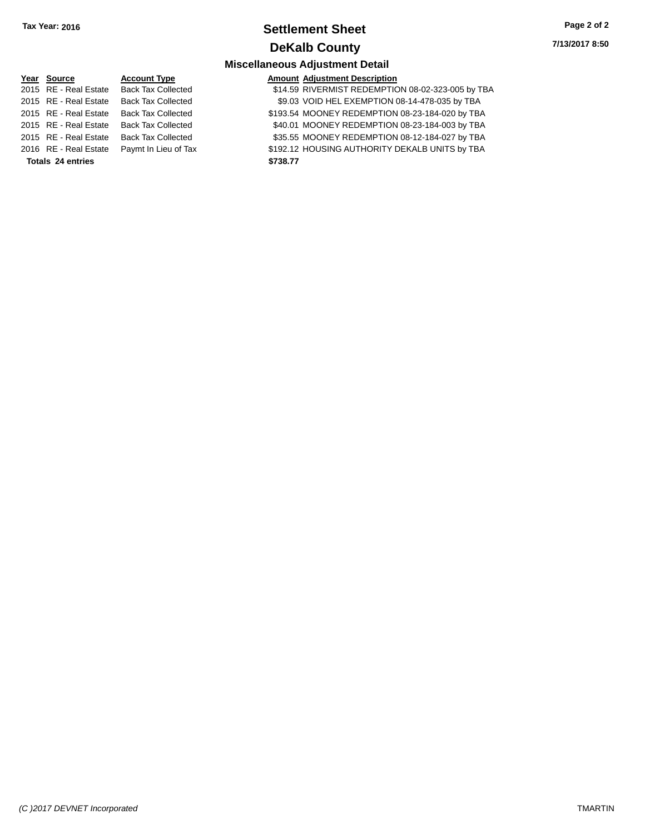## **Settlement Sheet Tax Year: 2016 Page 2 of 2 DeKalb County**

**7/13/2017 8:50**

## **Miscellaneous Adjustment Detail**

#### 2015 RE - Real Estate Back Tax Collected 2015 RE - Real Estate Back Tax Collected 2015 RE - Real Estate Back Tax Collected 2015 RE - Real Estate Back Tax Collected 2015 RE - Real Estate Back Tax Collected 2016 RE - Real Estate Paymt In Lieu of Ta **Totals \$738.77 24 entries**

**Year** Source **Account Type Account Adjustment Description** 

| d  | \$14.59 RIVERMIST REDEMPTION 08-02-323-005 by TBA |
|----|---------------------------------------------------|
| d  | \$9.03 VOID HEL EXEMPTION 08-14-478-035 by TBA    |
| d  | \$193.54 MOONEY REDEMPTION 08-23-184-020 by TBA   |
| d  | \$40.01 MOONEY REDEMPTION 08-23-184-003 by TBA    |
| d  | \$35.55 MOONEY REDEMPTION 08-12-184-027 by TBA    |
| āх | \$192.12 HOUSING AUTHORITY DEKALB UNITS by TBA    |
|    | \$738.77                                          |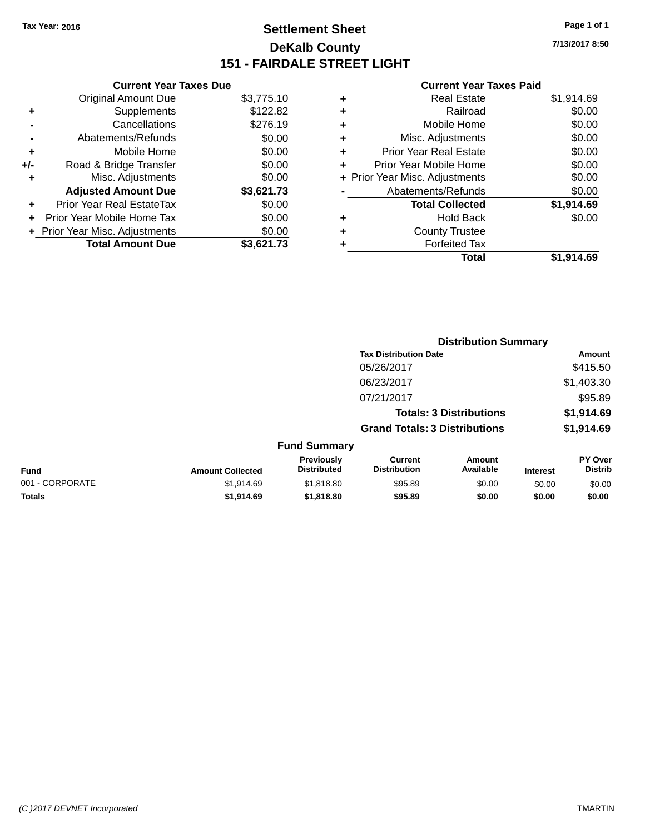## **Settlement Sheet Tax Year: 2016 Page 1 of 1 DeKalb County 151 - FAIRDALE STREET LIGHT**

**7/13/2017 8:50**

#### **Current Year Taxes Paid**

|       | <b>Current Year Taxes Due</b>  |            |  |  |  |
|-------|--------------------------------|------------|--|--|--|
|       | <b>Original Amount Due</b>     | \$3,775.10 |  |  |  |
| ٠     | Supplements                    | \$122.82   |  |  |  |
|       | Cancellations                  | \$276.19   |  |  |  |
|       | Abatements/Refunds             | \$0.00     |  |  |  |
| ٠     | Mobile Home                    | \$0.00     |  |  |  |
| $+/-$ | Road & Bridge Transfer         | \$0.00     |  |  |  |
|       | Misc. Adjustments              | \$0.00     |  |  |  |
|       | <b>Adjusted Amount Due</b>     | \$3,621.73 |  |  |  |
| ÷     | Prior Year Real EstateTax      | \$0.00     |  |  |  |
|       | Prior Year Mobile Home Tax     | \$0.00     |  |  |  |
|       | + Prior Year Misc. Adjustments | \$0.00     |  |  |  |
|       | <b>Total Amount Due</b>        | \$3.621.73 |  |  |  |

|   | <b>Real Estate</b>             | \$1,914.69 |
|---|--------------------------------|------------|
| ٠ | Railroad                       | \$0.00     |
| ٠ | Mobile Home                    | \$0.00     |
| ٠ | Misc. Adjustments              | \$0.00     |
| ٠ | <b>Prior Year Real Estate</b>  | \$0.00     |
| ٠ | Prior Year Mobile Home         | \$0.00     |
|   | + Prior Year Misc. Adjustments | \$0.00     |
|   | Abatements/Refunds             | \$0.00     |
|   | <b>Total Collected</b>         | \$1,914.69 |
| ٠ | Hold Back                      | \$0.00     |
| ٠ | <b>County Trustee</b>          |            |
| ٠ | <b>Forfeited Tax</b>           |            |
|   | Total                          | \$1.914.69 |
|   |                                |            |

|                 |                         | <b>Distribution Summary</b>      |                                       |                     |                 |                           |  |
|-----------------|-------------------------|----------------------------------|---------------------------------------|---------------------|-----------------|---------------------------|--|
|                 |                         |                                  | <b>Tax Distribution Date</b>          |                     |                 | Amount                    |  |
|                 |                         |                                  | 05/26/2017                            |                     |                 | \$415.50                  |  |
|                 |                         |                                  | 06/23/2017                            |                     |                 | \$1,403.30                |  |
|                 |                         |                                  | 07/21/2017                            |                     |                 | \$95.89                   |  |
|                 |                         |                                  | <b>Totals: 3 Distributions</b>        |                     |                 | \$1,914.69                |  |
|                 |                         |                                  | <b>Grand Totals: 3 Distributions</b>  |                     |                 | \$1,914.69                |  |
|                 |                         | <b>Fund Summary</b>              |                                       |                     |                 |                           |  |
| Fund            | <b>Amount Collected</b> | Previously<br><b>Distributed</b> | <b>Current</b><br><b>Distribution</b> | Amount<br>Available | <b>Interest</b> | PY Over<br><b>Distrib</b> |  |
| 001 - CORPORATE | \$1,914.69              | \$1,818.80                       | \$95.89                               | \$0.00              | \$0.00          | \$0.00                    |  |
| <b>Totals</b>   | \$1,914.69              | \$1,818.80                       | \$95.89                               | \$0.00              | \$0.00          | \$0.00                    |  |
|                 |                         |                                  |                                       |                     |                 |                           |  |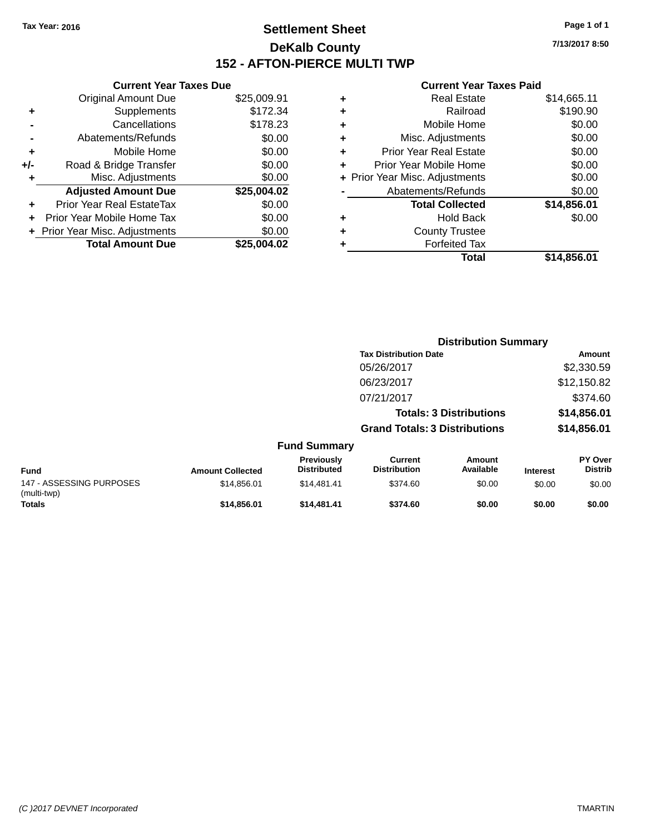## **Settlement Sheet Tax Year: 2016 Page 1 of 1 DeKalb County 152 - AFTON-PIERCE MULTI TWP**

**7/13/2017 8:50**

#### **Current Year Taxes Paid**

|     | <b>Current Year Taxes Due</b>  |             |  |  |  |
|-----|--------------------------------|-------------|--|--|--|
|     | <b>Original Amount Due</b>     | \$25,009.91 |  |  |  |
| ٠   | Supplements                    | \$172.34    |  |  |  |
|     | Cancellations                  | \$178.23    |  |  |  |
|     | Abatements/Refunds             | \$0.00      |  |  |  |
| ٠   | Mobile Home                    | \$0.00      |  |  |  |
| +/- | Road & Bridge Transfer         | \$0.00      |  |  |  |
| ٠   | Misc. Adjustments              | \$0.00      |  |  |  |
|     | <b>Adjusted Amount Due</b>     | \$25,004.02 |  |  |  |
| ÷   | Prior Year Real EstateTax      | \$0.00      |  |  |  |
|     | Prior Year Mobile Home Tax     | \$0.00      |  |  |  |
|     | + Prior Year Misc. Adjustments | \$0.00      |  |  |  |
|     | <b>Total Amount Due</b>        | \$25,004.02 |  |  |  |
|     |                                |             |  |  |  |

| ٠ | <b>Real Estate</b>             | \$14,665.11 |
|---|--------------------------------|-------------|
|   |                                |             |
| ٠ | Railroad                       | \$190.90    |
|   |                                |             |
| ٠ | Mobile Home                    | \$0.00      |
| ٠ | Misc. Adjustments              | \$0.00      |
| ٠ | <b>Prior Year Real Estate</b>  | \$0.00      |
|   | Prior Year Mobile Home         | \$0.00      |
|   | + Prior Year Misc. Adjustments | \$0.00      |
|   | Abatements/Refunds             | \$0.00      |
|   | <b>Total Collected</b>         | \$14,856.01 |
| ٠ | Hold Back                      | \$0.00      |
| ٠ | <b>County Trustee</b>          |             |
| ٠ | <b>Forfeited Tax</b>           |             |
|   | Total                          | \$14,856.01 |
|   |                                |             |

|                                         |                         |                                  |                                       | <b>Distribution Summary</b>    |                 |                           |  |
|-----------------------------------------|-------------------------|----------------------------------|---------------------------------------|--------------------------------|-----------------|---------------------------|--|
|                                         |                         |                                  | <b>Tax Distribution Date</b>          |                                |                 | Amount                    |  |
|                                         |                         |                                  | 05/26/2017                            |                                |                 | \$2,330.59                |  |
|                                         |                         |                                  | 06/23/2017                            |                                |                 | \$12,150.82               |  |
|                                         |                         |                                  | 07/21/2017                            |                                |                 | \$374.60                  |  |
|                                         |                         |                                  |                                       | <b>Totals: 3 Distributions</b> |                 | \$14,856.01               |  |
|                                         |                         |                                  | <b>Grand Totals: 3 Distributions</b>  |                                |                 | \$14,856.01               |  |
|                                         |                         | <b>Fund Summary</b>              |                                       |                                |                 |                           |  |
| Fund                                    | <b>Amount Collected</b> | Previously<br><b>Distributed</b> | <b>Current</b><br><b>Distribution</b> | Amount<br>Available            | <b>Interest</b> | PY Over<br><b>Distrib</b> |  |
| 147 - ASSESSING PURPOSES<br>(multi-twp) | \$14,856.01             | \$14,481.41                      | \$374.60                              | \$0.00                         | \$0.00          | \$0.00                    |  |
| <b>Totals</b>                           | \$14,856,01             | \$14.481.41                      | \$374.60                              | \$0.00                         | \$0.00          | \$0.00                    |  |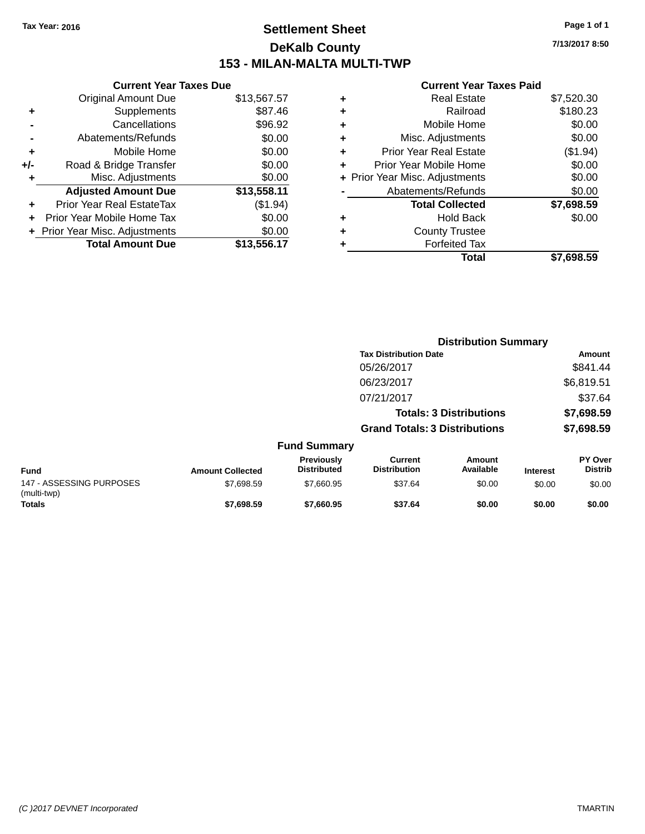## **Settlement Sheet Tax Year: 2016 Page 1 of 1 DeKalb County 153 - MILAN-MALTA MULTI-TWP**

**7/13/2017 8:50**

#### **Current Year Taxes Paid**

|     | <b>Current Year Taxes Due</b>  |             |
|-----|--------------------------------|-------------|
|     | <b>Original Amount Due</b>     | \$13,567.57 |
| ٠   | Supplements                    | \$87.46     |
|     | Cancellations                  | \$96.92     |
|     | Abatements/Refunds             | \$0.00      |
| ٠   | Mobile Home                    | \$0.00      |
| +/- | Road & Bridge Transfer         | \$0.00      |
| ٠   | Misc. Adjustments              | \$0.00      |
|     | <b>Adjusted Amount Due</b>     | \$13,558.11 |
|     | Prior Year Real EstateTax      | (\$1.94)    |
|     | Prior Year Mobile Home Tax     | \$0.00      |
|     | + Prior Year Misc. Adjustments | \$0.00      |
|     | <b>Total Amount Due</b>        | \$13,556.17 |
|     |                                |             |

| ٠ | <b>Real Estate</b>             | \$7,520.30 |
|---|--------------------------------|------------|
| ٠ | Railroad                       | \$180.23   |
| ٠ | Mobile Home                    | \$0.00     |
| ٠ | Misc. Adjustments              | \$0.00     |
| ٠ | <b>Prior Year Real Estate</b>  | (\$1.94)   |
| ÷ | Prior Year Mobile Home         | \$0.00     |
|   | + Prior Year Misc. Adjustments | \$0.00     |
|   | Abatements/Refunds             | \$0.00     |
|   | <b>Total Collected</b>         | \$7,698.59 |
| ٠ | Hold Back                      | \$0.00     |
| ٠ | <b>County Trustee</b>          |            |
| ٠ | <b>Forfeited Tax</b>           |            |
|   | Total                          | \$7.698.59 |
|   |                                |            |

|                                         |                         |                                  | <b>Distribution Summary</b>           |                                |                 |                           |
|-----------------------------------------|-------------------------|----------------------------------|---------------------------------------|--------------------------------|-----------------|---------------------------|
|                                         |                         |                                  | <b>Tax Distribution Date</b>          |                                |                 | Amount                    |
|                                         |                         |                                  | 05/26/2017                            |                                |                 | \$841.44                  |
|                                         |                         |                                  | 06/23/2017                            |                                |                 | \$6,819.51                |
|                                         |                         |                                  | 07/21/2017                            |                                |                 | \$37.64                   |
|                                         |                         |                                  |                                       | <b>Totals: 3 Distributions</b> |                 | \$7,698.59                |
|                                         |                         |                                  | <b>Grand Totals: 3 Distributions</b>  |                                |                 | \$7,698.59                |
|                                         |                         | <b>Fund Summary</b>              |                                       |                                |                 |                           |
| <b>Fund</b>                             | <b>Amount Collected</b> | Previously<br><b>Distributed</b> | <b>Current</b><br><b>Distribution</b> | <b>Amount</b><br>Available     | <b>Interest</b> | PY Over<br><b>Distrib</b> |
| 147 - ASSESSING PURPOSES<br>(multi-twp) | \$7,698.59              | \$7,660.95                       | \$37.64                               | \$0.00                         | \$0.00          | \$0.00                    |
| <b>Totals</b>                           | \$7,698.59              | \$7,660.95                       | \$37.64                               | \$0.00                         | \$0.00          | \$0.00                    |

#### *(C )2017 DEVNET Incorporated* TMARTIN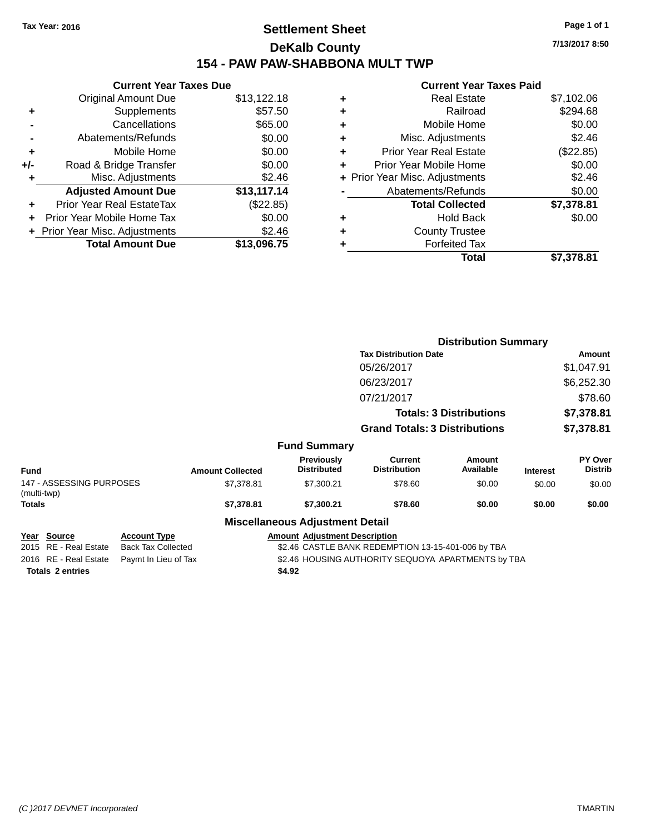## **Settlement Sheet Tax Year: 2016 Page 1 of 1 DeKalb County 154 - PAW PAW-SHABBONA MULT TWP**

**7/13/2017 8:50**

#### **Current Year Taxes Paid**

|     | <b>Current Year Taxes Due</b>    |             |  |  |  |  |
|-----|----------------------------------|-------------|--|--|--|--|
|     | <b>Original Amount Due</b>       | \$13,122.18 |  |  |  |  |
| ÷   | Supplements                      | \$57.50     |  |  |  |  |
|     | Cancellations                    | \$65.00     |  |  |  |  |
|     | Abatements/Refunds               | \$0.00      |  |  |  |  |
| ٠   | Mobile Home                      | \$0.00      |  |  |  |  |
| +/- | Road & Bridge Transfer           | \$0.00      |  |  |  |  |
| ٠   | Misc. Adjustments                | \$2.46      |  |  |  |  |
|     | <b>Adjusted Amount Due</b>       | \$13,117.14 |  |  |  |  |
| ÷   | <b>Prior Year Real EstateTax</b> | (\$22.85)   |  |  |  |  |
| ÷   | Prior Year Mobile Home Tax       | \$0.00      |  |  |  |  |
|     | + Prior Year Misc. Adjustments   | \$2.46      |  |  |  |  |
|     | <b>Total Amount Due</b>          | \$13.096.75 |  |  |  |  |

| ٠ | <b>Real Estate</b>             | \$7,102.06 |
|---|--------------------------------|------------|
| ÷ | Railroad                       | \$294.68   |
| ٠ | Mobile Home                    | \$0.00     |
| ٠ | Misc. Adjustments              | \$2.46     |
| ٠ | <b>Prior Year Real Estate</b>  | (\$22.85)  |
| ٠ | Prior Year Mobile Home         | \$0.00     |
|   | + Prior Year Misc. Adjustments | \$2.46     |
|   | Abatements/Refunds             | \$0.00     |
|   | <b>Total Collected</b>         | \$7,378.81 |
| ٠ | Hold Back                      | \$0.00     |
| ٠ | <b>County Trustee</b>          |            |
| ٠ | <b>Forfeited Tax</b>           |            |
|   | Total                          | \$7,378,81 |
|   |                                |            |

|                                                |                                                  |                         |                                        |                                                    | <b>Distribution Summary</b>    |                 |                           |
|------------------------------------------------|--------------------------------------------------|-------------------------|----------------------------------------|----------------------------------------------------|--------------------------------|-----------------|---------------------------|
|                                                |                                                  |                         |                                        | <b>Tax Distribution Date</b>                       |                                |                 | Amount                    |
|                                                |                                                  |                         |                                        | 05/26/2017                                         |                                |                 | \$1,047.91                |
|                                                |                                                  |                         |                                        | 06/23/2017                                         |                                |                 | \$6,252.30                |
|                                                |                                                  |                         |                                        | 07/21/2017                                         |                                |                 | \$78.60                   |
|                                                |                                                  |                         |                                        |                                                    | <b>Totals: 3 Distributions</b> |                 | \$7,378.81                |
|                                                |                                                  |                         |                                        | <b>Grand Totals: 3 Distributions</b>               |                                |                 | \$7,378.81                |
|                                                |                                                  |                         | <b>Fund Summary</b>                    |                                                    |                                |                 |                           |
| <b>Fund</b>                                    |                                                  | <b>Amount Collected</b> | Previously<br><b>Distributed</b>       | Current<br><b>Distribution</b>                     | Amount<br>Available            | <b>Interest</b> | PY Over<br><b>Distrib</b> |
| 147 - ASSESSING PURPOSES<br>(multi-twp)        |                                                  | \$7,378.81              | \$7,300.21                             | \$78.60                                            | \$0.00                         | \$0.00          | \$0.00                    |
| Totals                                         |                                                  | \$7,378.81              | \$7,300.21                             | \$78.60                                            | \$0.00                         | \$0.00          | \$0.00                    |
|                                                |                                                  |                         | <b>Miscellaneous Adjustment Detail</b> |                                                    |                                |                 |                           |
| <b>Source</b><br>Year<br>2015 RE - Real Estate | <b>Account Type</b><br><b>Back Tax Collected</b> |                         | <b>Amount Adjustment Description</b>   | \$2.46 CASTLE BANK REDEMPTION 13-15-401-006 by TBA |                                |                 |                           |

**Totals \$4.92 2 entries**

2016 RE - Real Estate Paymt In Lieu of Tax \$2.46 HOUSING AUTHORITY SEQUOYA APARTMENTS by TBA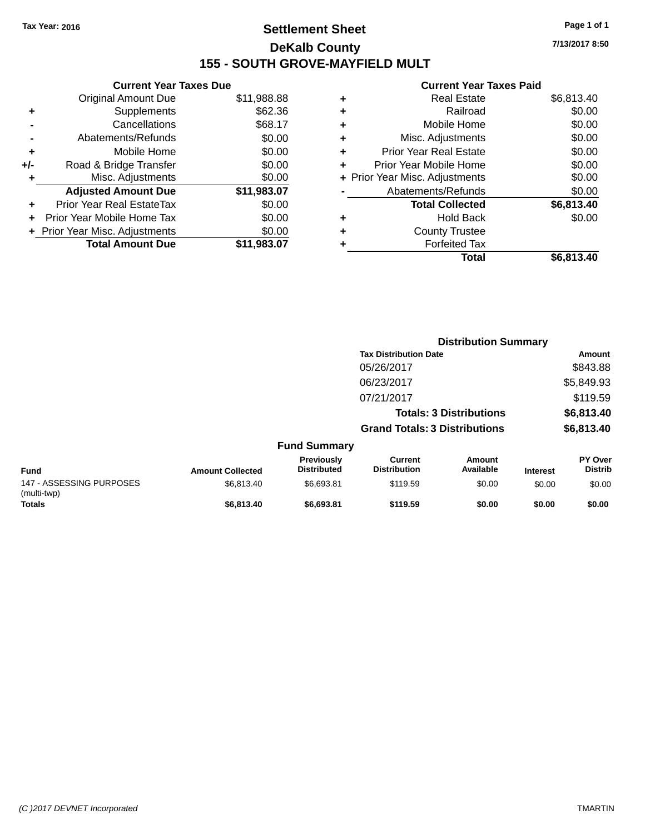## **Settlement Sheet Tax Year: 2016 Page 1 of 1 DeKalb County 155 - SOUTH GROVE-MAYFIELD MULT**

**Current Year Taxes Due** Original Amount Due \$11,988.88 **+** Supplements \$62.36 **-** Cancellations \$68.17 **-** Abatements/Refunds \$0.00 **+** Mobile Home \$0.00 **+/-** Road & Bridge Transfer \$0.00 **+** Misc. Adjustments \$0.00 **Adjusted Amount Due \$11,983.07 +** Prior Year Real EstateTax \$0.00 **+** Prior Year Mobile Home Tax \$0.00

**+ Prior Year Misc. Adjustments**  $$0.00$ 

**Total Amount Due \$11,983.07**

#### **Current Year Taxes Paid**

|   | <b>Real Estate</b>             | \$6,813.40 |
|---|--------------------------------|------------|
| ٠ | Railroad                       | \$0.00     |
| ٠ | Mobile Home                    | \$0.00     |
| ٠ | Misc. Adjustments              | \$0.00     |
| ٠ | Prior Year Real Estate         | \$0.00     |
|   | Prior Year Mobile Home         | \$0.00     |
|   | + Prior Year Misc. Adjustments | \$0.00     |
|   | Abatements/Refunds             | \$0.00     |
|   | <b>Total Collected</b>         | \$6,813.40 |
|   | Hold Back                      | \$0.00     |
| ٠ | <b>County Trustee</b>          |            |
|   | <b>Forfeited Tax</b>           |            |
|   | Total                          | \$6,813.40 |
|   |                                |            |

|                                         |                         |                                  | <b>Distribution Summary</b>           |                                |                 |                                  |
|-----------------------------------------|-------------------------|----------------------------------|---------------------------------------|--------------------------------|-----------------|----------------------------------|
|                                         |                         |                                  | <b>Tax Distribution Date</b>          |                                |                 | Amount                           |
|                                         |                         |                                  | 05/26/2017                            |                                |                 | \$843.88                         |
|                                         |                         |                                  | 06/23/2017                            |                                |                 | \$5,849.93                       |
|                                         |                         |                                  | 07/21/2017                            |                                |                 | \$119.59                         |
|                                         |                         |                                  |                                       | <b>Totals: 3 Distributions</b> |                 | \$6,813.40                       |
|                                         |                         |                                  | <b>Grand Totals: 3 Distributions</b>  |                                |                 | \$6,813.40                       |
|                                         |                         | <b>Fund Summary</b>              |                                       |                                |                 |                                  |
| <b>Fund</b>                             | <b>Amount Collected</b> | Previously<br><b>Distributed</b> | <b>Current</b><br><b>Distribution</b> | Amount<br>Available            | <b>Interest</b> | <b>PY Over</b><br><b>Distrib</b> |
| 147 - ASSESSING PURPOSES<br>(multi-twp) | \$6,813.40              | \$6,693.81                       | \$119.59                              | \$0.00                         | \$0.00          | \$0.00                           |
| Totals                                  | \$6,813,40              | \$6,693.81                       | \$119.59                              | \$0.00                         | \$0.00          | \$0.00                           |

**7/13/2017 8:50**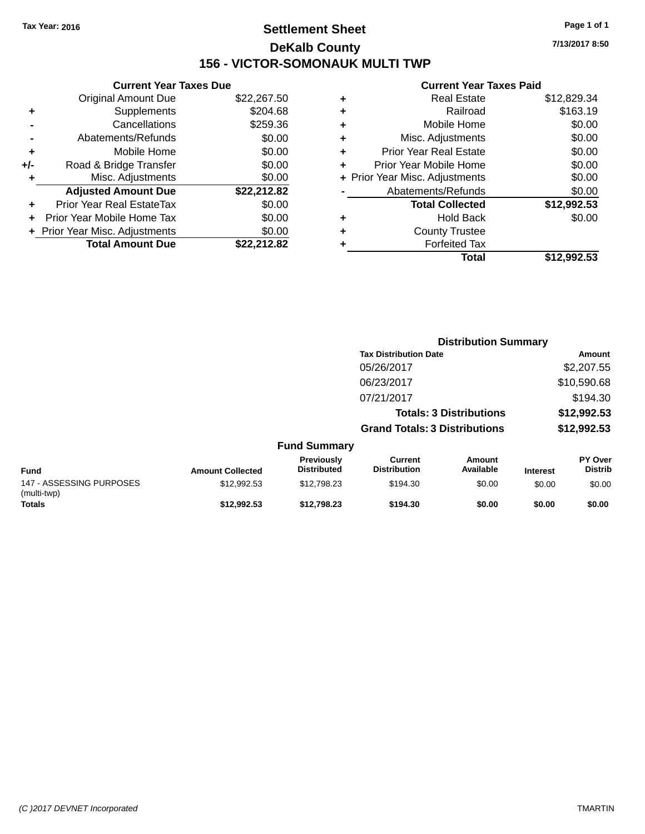## **Settlement Sheet Tax Year: 2016 Page 1 of 1 DeKalb County 156 - VICTOR-SOMONAUK MULTI TWP**

**7/13/2017 8:50**

#### **Current Year Taxes Paid**

|     | <b>Current Year Taxes Due</b>  |             |
|-----|--------------------------------|-------------|
|     | <b>Original Amount Due</b>     | \$22,267.50 |
| ٠   | Supplements                    | \$204.68    |
|     | Cancellations                  | \$259.36    |
|     | Abatements/Refunds             | \$0.00      |
| ٠   | Mobile Home                    | \$0.00      |
| +/- | Road & Bridge Transfer         | \$0.00      |
|     | Misc. Adjustments              | \$0.00      |
|     | <b>Adjusted Amount Due</b>     | \$22,212.82 |
| ٠   | Prior Year Real EstateTax      | \$0.00      |
|     | Prior Year Mobile Home Tax     | \$0.00      |
|     | + Prior Year Misc. Adjustments | \$0.00      |
|     | <b>Total Amount Due</b>        | \$22.212.82 |
|     |                                |             |

|   | <b>Real Estate</b>             | \$12,829.34 |
|---|--------------------------------|-------------|
| ٠ | Railroad                       | \$163.19    |
| ٠ | Mobile Home                    | \$0.00      |
| ٠ | Misc. Adjustments              | \$0.00      |
| ٠ | <b>Prior Year Real Estate</b>  | \$0.00      |
| ÷ | Prior Year Mobile Home         | \$0.00      |
|   | + Prior Year Misc. Adjustments | \$0.00      |
|   | Abatements/Refunds             | \$0.00      |
|   | <b>Total Collected</b>         | \$12,992.53 |
| ٠ | Hold Back                      | \$0.00      |
|   | <b>County Trustee</b>          |             |
| ٠ | <b>Forfeited Tax</b>           |             |
|   | Total                          | \$12.992.53 |
|   |                                |             |

|                                         |                         |                                  | <b>Distribution Summary</b>          |                                |                 |                           |
|-----------------------------------------|-------------------------|----------------------------------|--------------------------------------|--------------------------------|-----------------|---------------------------|
|                                         |                         |                                  | <b>Tax Distribution Date</b>         |                                |                 | Amount                    |
|                                         |                         |                                  | 05/26/2017                           |                                |                 | \$2,207.55                |
|                                         |                         |                                  | 06/23/2017                           |                                |                 | \$10,590.68               |
|                                         |                         |                                  | 07/21/2017                           |                                |                 | \$194.30                  |
|                                         |                         |                                  |                                      | <b>Totals: 3 Distributions</b> |                 | \$12,992.53               |
|                                         |                         |                                  | <b>Grand Totals: 3 Distributions</b> |                                |                 | \$12,992.53               |
|                                         |                         | <b>Fund Summary</b>              |                                      |                                |                 |                           |
| <b>Fund</b>                             | <b>Amount Collected</b> | Previously<br><b>Distributed</b> | Current<br><b>Distribution</b>       | Amount<br>Available            | <b>Interest</b> | PY Over<br><b>Distrib</b> |
| 147 - ASSESSING PURPOSES<br>(multi-twp) | \$12,992.53             | \$12,798.23                      | \$194.30                             | \$0.00                         | \$0.00          | \$0.00                    |
| <b>Totals</b>                           | \$12.992.53             | \$12.798.23                      | \$194.30                             | \$0.00                         | \$0.00          | \$0.00                    |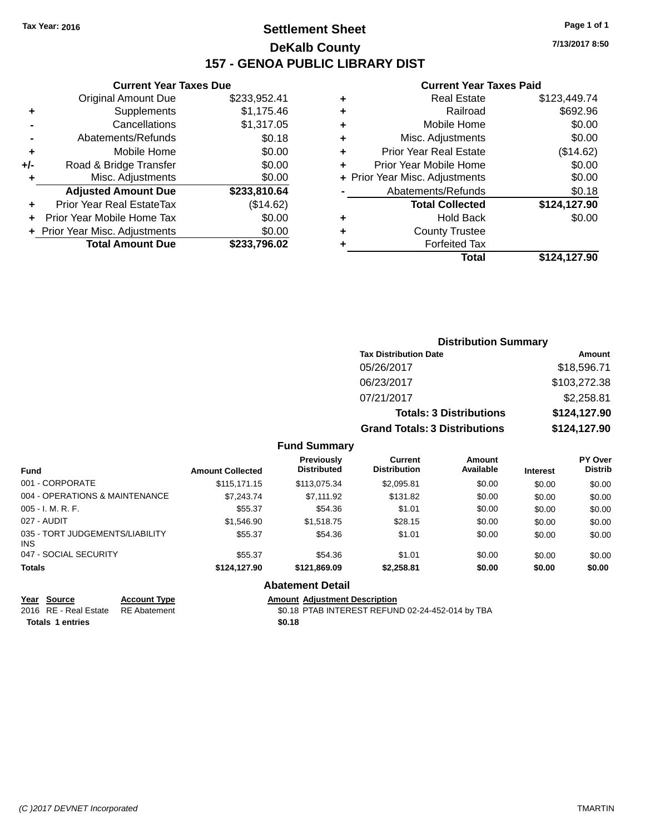## **Settlement Sheet Tax Year: 2016 Page 1 of 1 DeKalb County 157 - GENOA PUBLIC LIBRARY DIST**

**Current Year Taxes Due**

| <b>Original Amount Due</b>       | \$233,952.41                   |
|----------------------------------|--------------------------------|
| Supplements                      | \$1,175.46                     |
| Cancellations                    | \$1,317.05                     |
| Abatements/Refunds               | \$0.18                         |
| Mobile Home                      | \$0.00                         |
| Road & Bridge Transfer           | \$0.00                         |
| Misc. Adjustments                | \$0.00                         |
| <b>Adjusted Amount Due</b>       | \$233,810.64                   |
| <b>Prior Year Real EstateTax</b> | (\$14.62)                      |
| Prior Year Mobile Home Tax       | \$0.00                         |
|                                  | \$0.00                         |
| <b>Total Amount Due</b>          | \$233,796.02                   |
|                                  | + Prior Year Misc. Adjustments |

#### **Current Year Taxes Paid**

| ٠ | <b>Real Estate</b>             | \$123,449.74 |
|---|--------------------------------|--------------|
| ٠ | Railroad                       | \$692.96     |
| ٠ | Mobile Home                    | \$0.00       |
| ٠ | Misc. Adjustments              | \$0.00       |
| ٠ | Prior Year Real Estate         | (\$14.62)    |
| ٠ | Prior Year Mobile Home         | \$0.00       |
|   | + Prior Year Misc. Adjustments | \$0.00       |
|   | Abatements/Refunds             | \$0.18       |
|   | <b>Total Collected</b>         | \$124,127.90 |
| ٠ | <b>Hold Back</b>               | \$0.00       |
| ٠ | <b>County Trustee</b>          |              |
| ٠ | <b>Forfeited Tax</b>           |              |
|   | Total                          | \$124,127.90 |
|   |                                |              |

| <b>Distribution Summary</b>          |              |  |  |  |  |
|--------------------------------------|--------------|--|--|--|--|
| <b>Tax Distribution Date</b>         | Amount       |  |  |  |  |
| 05/26/2017                           | \$18,596.71  |  |  |  |  |
| 06/23/2017                           | \$103,272.38 |  |  |  |  |
| 07/21/2017                           | \$2,258.81   |  |  |  |  |
| <b>Totals: 3 Distributions</b>       | \$124,127.90 |  |  |  |  |
| <b>Grand Totals: 3 Distributions</b> | \$124,127.90 |  |  |  |  |

#### **Fund Summary**

| <b>Fund</b>                                   | <b>Amount Collected</b> | Previously<br><b>Distributed</b> | Current<br><b>Distribution</b> | Amount<br>Available | <b>Interest</b> | <b>PY Over</b><br><b>Distrib</b> |
|-----------------------------------------------|-------------------------|----------------------------------|--------------------------------|---------------------|-----------------|----------------------------------|
| 001 - CORPORATE                               | \$115.171.15            | \$113.075.34                     | \$2.095.81                     | \$0.00              | \$0.00          | \$0.00                           |
| 004 - OPERATIONS & MAINTENANCE                | \$7,243,74              | \$7.111.92                       | \$131.82                       | \$0.00              | \$0.00          | \$0.00                           |
| $005 - I. M. R. F.$                           | \$55.37                 | \$54.36                          | \$1.01                         | \$0.00              | \$0.00          | \$0.00                           |
| 027 - AUDIT                                   | \$1,546.90              | \$1,518.75                       | \$28.15                        | \$0.00              | \$0.00          | \$0.00                           |
| 035 - TORT JUDGEMENTS/LIABILITY<br><b>INS</b> | \$55.37                 | \$54.36                          | \$1.01                         | \$0.00              | \$0.00          | \$0.00                           |
| 047 - SOCIAL SECURITY                         | \$55.37                 | \$54.36                          | \$1.01                         | \$0.00              | \$0.00          | \$0.00                           |
| <b>Totals</b>                                 | \$124,127,90            | \$121.869.09                     | \$2.258.81                     | \$0.00              | \$0.00          | \$0.00                           |

#### **Abatement Detail**

# **Year Source Account Type Amount Adjustment Description**<br>2016 RE - Real Estate RE Abatement \$0.18 PTAB INTEREST REFUN

\$0.18 PTAB INTEREST REFUND 02-24-452-014 by TBA **Totals \$0.18 1 entries**

**7/13/2017 8:50**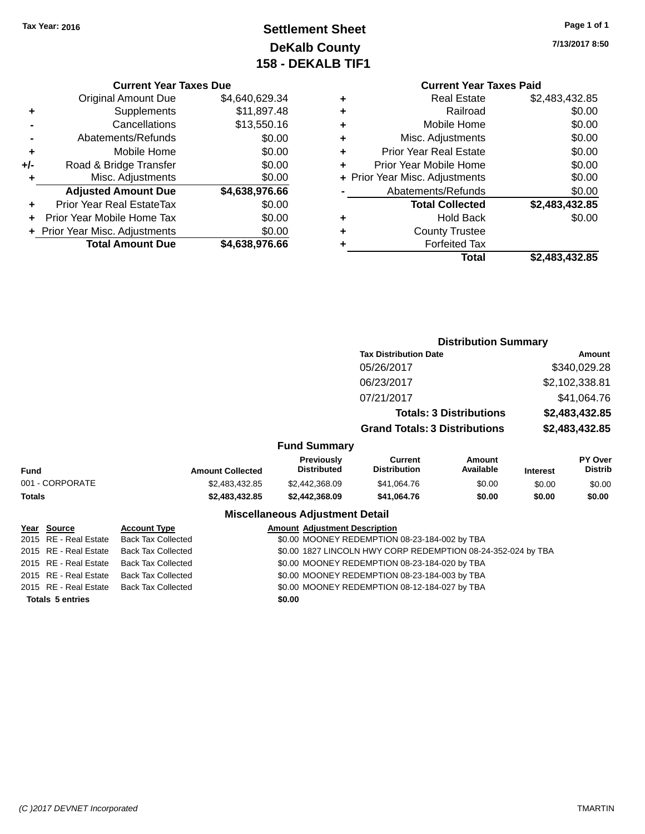## **Settlement Sheet Tax Year: 2016 Page 1 of 1 DeKalb County 158 - DEKALB TIF1**

**7/13/2017 8:50**

#### **Current Year Taxes Due**

|     | <b>Original Amount Due</b>       | \$4,640,629.34 |  |  |  |  |
|-----|----------------------------------|----------------|--|--|--|--|
| ٠   | Supplements                      | \$11,897.48    |  |  |  |  |
|     | Cancellations                    | \$13,550.16    |  |  |  |  |
|     | Abatements/Refunds               | \$0.00         |  |  |  |  |
| ٠   | Mobile Home                      | \$0.00         |  |  |  |  |
| +/- | \$0.00<br>Road & Bridge Transfer |                |  |  |  |  |
| ٠   | Misc. Adjustments                | \$0.00         |  |  |  |  |
|     | <b>Adjusted Amount Due</b>       | \$4,638,976.66 |  |  |  |  |
| ÷   | Prior Year Real EstateTax        | \$0.00         |  |  |  |  |
|     | Prior Year Mobile Home Tax       | \$0.00         |  |  |  |  |
|     | + Prior Year Misc. Adjustments   | \$0.00         |  |  |  |  |
|     | <b>Total Amount Due</b>          | \$4,638,976.66 |  |  |  |  |

#### **Current Year Taxes Paid +** Real Estate \$2,483,432.85 **+** Railroad \$0.00 **+** Mobile Home \$0.00 **+** Misc. Adjustments \$0.00 **+** Prior Year Real Estate \$0.00 **+** Prior Year Mobile Home \$0.00 **+ Prior Year Misc. Adjustments**  $$0.00$ **-** Abatements/Refunds \$0.00 **Total Collected \$2,483,432.85 +** Hold Back \$0.00 **+** County Trustee **+** Forfeited Tax **Total \$2,483,432.85**

|                                                                                                                                                                                                                                                                                                                                                                                |                           |                                               |                                         | <b>Distribution Summary</b>          |                                |                 |                           |
|--------------------------------------------------------------------------------------------------------------------------------------------------------------------------------------------------------------------------------------------------------------------------------------------------------------------------------------------------------------------------------|---------------------------|-----------------------------------------------|-----------------------------------------|--------------------------------------|--------------------------------|-----------------|---------------------------|
|                                                                                                                                                                                                                                                                                                                                                                                |                           |                                               |                                         | <b>Tax Distribution Date</b>         | Amount                         |                 |                           |
|                                                                                                                                                                                                                                                                                                                                                                                |                           |                                               |                                         | 05/26/2017                           |                                |                 | \$340,029.28              |
|                                                                                                                                                                                                                                                                                                                                                                                |                           |                                               |                                         | 06/23/2017                           |                                | \$2,102,338.81  |                           |
|                                                                                                                                                                                                                                                                                                                                                                                |                           |                                               |                                         | 07/21/2017                           |                                |                 | \$41,064.76               |
|                                                                                                                                                                                                                                                                                                                                                                                |                           |                                               |                                         |                                      | <b>Totals: 3 Distributions</b> |                 | \$2,483,432.85            |
|                                                                                                                                                                                                                                                                                                                                                                                |                           |                                               |                                         | <b>Grand Totals: 3 Distributions</b> |                                | \$2,483,432.85  |                           |
|                                                                                                                                                                                                                                                                                                                                                                                |                           |                                               | <b>Fund Summary</b>                     |                                      |                                |                 |                           |
| Fund                                                                                                                                                                                                                                                                                                                                                                           |                           | <b>Amount Collected</b>                       | <b>Previously</b><br><b>Distributed</b> | Current<br><b>Distribution</b>       | <b>Amount</b><br>Available     | <b>Interest</b> | PY Over<br><b>Distrib</b> |
| 001 - CORPORATE                                                                                                                                                                                                                                                                                                                                                                |                           | \$2,483,432.85                                | \$2,442,368.09                          | \$41,064.76                          | \$0.00                         | \$0.00          | \$0.00                    |
| Totals                                                                                                                                                                                                                                                                                                                                                                         |                           | \$2,483,432.85                                | \$2,442,368.09                          | \$41,064.76                          | \$0.00                         | \$0.00          | \$0.00                    |
|                                                                                                                                                                                                                                                                                                                                                                                |                           |                                               | <b>Miscellaneous Adjustment Detail</b>  |                                      |                                |                 |                           |
| <u> Year Source</u>                                                                                                                                                                                                                                                                                                                                                            | <b>Account Type</b>       | <b>Amount Adjustment Description</b>          |                                         |                                      |                                |                 |                           |
| 2015 RE - Real Estate                                                                                                                                                                                                                                                                                                                                                          | <b>Back Tax Collected</b> | \$0.00 MOONEY REDEMPTION 08-23-184-002 by TBA |                                         |                                      |                                |                 |                           |
| $0.045$ $\overline{D}$ $\overline{D}$ $\overline{D}$ $\overline{D}$ $\overline{D}$ $\overline{D}$ $\overline{D}$ $\overline{D}$ $\overline{D}$ $\overline{D}$ $\overline{D}$ $\overline{D}$ $\overline{D}$ $\overline{D}$ $\overline{D}$ $\overline{D}$ $\overline{D}$ $\overline{D}$ $\overline{D}$ $\overline{D}$ $\overline{D}$ $\overline{D}$ $\overline{D}$ $\overline{D$ |                           |                                               |                                         |                                      |                                |                 |                           |

| <b>Totals 5 entries</b> |                                                | \$0.00 |                                                              |
|-------------------------|------------------------------------------------|--------|--------------------------------------------------------------|
|                         | 2015 RE - Real Estate Back Tax Collected       |        | \$0.00 MOONEY REDEMPTION 08-12-184-027 by TBA                |
|                         | 2015 RE - Real Estate Back Tax Collected       |        | \$0.00 MOONEY REDEMPTION 08-23-184-003 by TBA                |
|                         | 2015 RE - Real Estate Back Tax Collected       |        | \$0.00 MOONEY REDEMPTION 08-23-184-020 by TBA                |
|                         | 2015 RE - Real Estate Back Tax Collected       |        | \$0.00 1827 LINCOLN HWY CORP REDEMPTION 08-24-352-024 by TBA |
|                         | 2015   RE - Real Estate     Back Tax Collected |        | \$0.00 MOONEY REDEMPTION 08-23-184-002 by TBA                |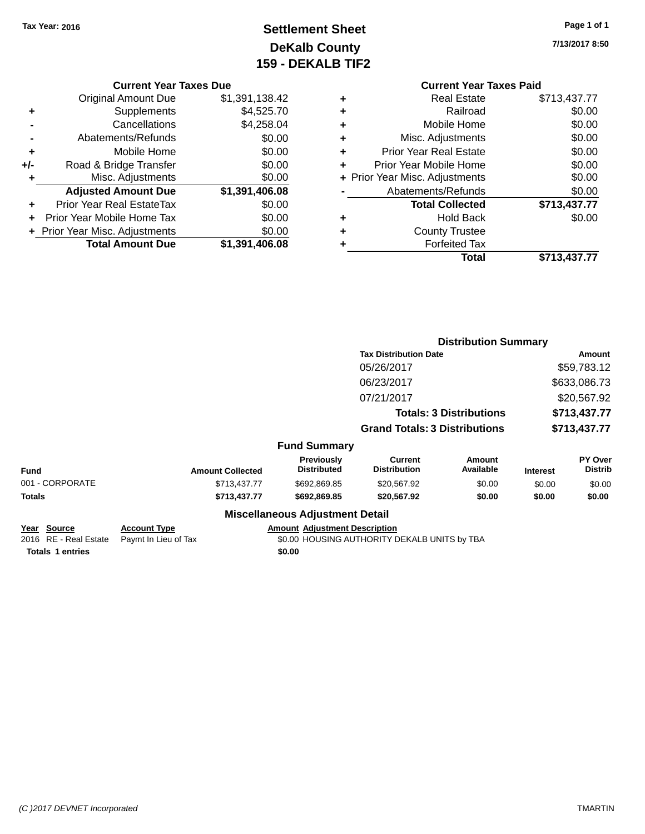### **Settlement Sheet Tax Year: 2016 Page 1 of 1 DeKalb County 159 - DEKALB TIF2**

**7/13/2017 8:50**

# **Current Year Taxes Paid**

| <b>Real Estate</b><br>٠            | \$713,437.77 |
|------------------------------------|--------------|
| Railroad<br>÷                      | \$0.00       |
| Mobile Home<br>٠                   | \$0.00       |
| Misc. Adjustments<br>÷             | \$0.00       |
| <b>Prior Year Real Estate</b><br>٠ | \$0.00       |
| Prior Year Mobile Home<br>٠        | \$0.00       |
| + Prior Year Misc. Adjustments     | \$0.00       |
| Abatements/Refunds                 | \$0.00       |
| <b>Total Collected</b>             | \$713,437.77 |
| <b>Hold Back</b><br>٠              | \$0.00       |
| <b>County Trustee</b><br>٠         |              |
| <b>Forfeited Tax</b><br>٠          |              |
| Total                              | \$713,437.77 |
|                                    |              |

|                         |                         |                                        | <b>Distribution Summary</b>                  |                                |                             |                |  |
|-------------------------|-------------------------|----------------------------------------|----------------------------------------------|--------------------------------|-----------------------------|----------------|--|
|                         |                         |                                        | <b>Tax Distribution Date</b>                 |                                |                             | <b>Amount</b>  |  |
|                         |                         |                                        | 05/26/2017                                   |                                |                             | \$59,783.12    |  |
|                         |                         |                                        | 06/23/2017                                   |                                |                             | \$633,086.73   |  |
|                         |                         |                                        | 07/21/2017                                   |                                | \$20,567.92<br>\$713,437.77 |                |  |
|                         |                         |                                        |                                              | <b>Totals: 3 Distributions</b> |                             |                |  |
|                         |                         |                                        | <b>Grand Totals: 3 Distributions</b>         |                                | \$713,437.77                |                |  |
|                         |                         | <b>Fund Summary</b>                    |                                              |                                |                             |                |  |
|                         |                         | <b>Previously</b>                      | Current                                      | Amount                         |                             | PY Over        |  |
| <b>Fund</b>             | <b>Amount Collected</b> | <b>Distributed</b>                     | <b>Distribution</b>                          | Available                      | <b>Interest</b>             | <b>Distrib</b> |  |
| 001 - CORPORATE         | \$713,437.77            | \$692,869.85                           | \$20,567.92                                  | \$0.00                         | \$0.00                      | \$0.00         |  |
| Totals                  | \$713,437.77            | \$692,869.85                           | \$20,567.92                                  | \$0.00                         | \$0.00                      | \$0.00         |  |
|                         |                         | <b>Miscellaneous Adjustment Detail</b> |                                              |                                |                             |                |  |
| Year<br>Source          | <b>Account Type</b>     | <b>Amount Adjustment Description</b>   |                                              |                                |                             |                |  |
| 2016 RE - Real Estate   | Paymt In Lieu of Tax    |                                        | \$0.00 HOUSING AUTHORITY DEKALB UNITS by TBA |                                |                             |                |  |
| <b>Totals 1 entries</b> |                         | \$0.00                                 |                                              |                                |                             |                |  |

**Current Year Taxes Due** Original Amount Due \$1,391,138.42

**Adjusted Amount Due \$1,391,406.08**

**Total Amount Due \$1,391,406.08**

**+** Supplements \$4,525.70 **-** Cancellations \$4,258.04 **-** Abatements/Refunds \$0.00 **+** Mobile Home \$0.00 **+/-** Road & Bridge Transfer \$0.00 **+** Misc. Adjustments \$0.00

**+** Prior Year Real EstateTax \$0.00 **+** Prior Year Mobile Home Tax \$0.00 **+ Prior Year Misc. Adjustments**  $$0.00$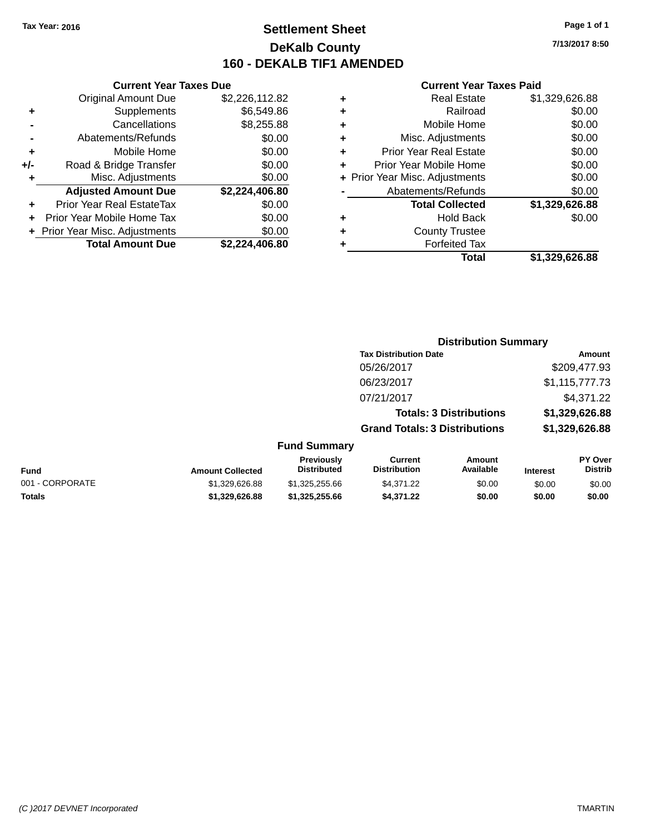### **Settlement Sheet Tax Year: 2016 Page 1 of 1 DeKalb County 160 - DEKALB TIF1 AMENDED**

**7/13/2017 8:50**

|     | <b>Current Year Taxes Due</b>  |                |
|-----|--------------------------------|----------------|
|     | <b>Original Amount Due</b>     | \$2,226,112.82 |
| ٠   | Supplements                    | \$6,549.86     |
|     | Cancellations                  | \$8,255.88     |
|     | Abatements/Refunds             | \$0.00         |
| ٠   | Mobile Home                    | \$0.00         |
| +/- | Road & Bridge Transfer         | \$0.00         |
|     | Misc. Adjustments              | \$0.00         |
|     | <b>Adjusted Amount Due</b>     | \$2,224,406.80 |
| ٠   | Prior Year Real EstateTax      | \$0.00         |
|     | Prior Year Mobile Home Tax     | \$0.00         |
|     | + Prior Year Misc. Adjustments | \$0.00         |
|     | <b>Total Amount Due</b>        | \$2.224.406.80 |
|     |                                |                |

|   | <b>Real Estate</b>             | \$1,329,626.88 |
|---|--------------------------------|----------------|
| ٠ | Railroad                       | \$0.00         |
| ٠ | Mobile Home                    | \$0.00         |
| ٠ | Misc. Adjustments              | \$0.00         |
| ٠ | <b>Prior Year Real Estate</b>  | \$0.00         |
| ÷ | Prior Year Mobile Home         | \$0.00         |
|   | + Prior Year Misc. Adjustments | \$0.00         |
|   | Abatements/Refunds             | \$0.00         |
|   | <b>Total Collected</b>         | \$1,329,626.88 |
| ٠ | <b>Hold Back</b>               | \$0.00         |
| ٠ | <b>County Trustee</b>          |                |
| ٠ | <b>Forfeited Tax</b>           |                |
|   | Total                          | \$1.329.626.88 |
|   |                                |                |

|                 |                         | <b>Distribution Summary</b>             |                                       |                                |                 |                                  |
|-----------------|-------------------------|-----------------------------------------|---------------------------------------|--------------------------------|-----------------|----------------------------------|
|                 |                         |                                         | <b>Tax Distribution Date</b>          |                                |                 | <b>Amount</b>                    |
|                 |                         |                                         | 05/26/2017                            |                                |                 | \$209,477.93                     |
|                 |                         |                                         | 06/23/2017                            |                                |                 | \$1,115,777.73                   |
|                 |                         |                                         | 07/21/2017                            |                                |                 | \$4,371.22                       |
|                 |                         |                                         |                                       | <b>Totals: 3 Distributions</b> |                 | \$1,329,626.88                   |
|                 |                         |                                         | <b>Grand Totals: 3 Distributions</b>  |                                |                 | \$1,329,626.88                   |
|                 |                         | <b>Fund Summary</b>                     |                                       |                                |                 |                                  |
| <b>Fund</b>     | <b>Amount Collected</b> | <b>Previously</b><br><b>Distributed</b> | <b>Current</b><br><b>Distribution</b> | Amount<br>Available            | <b>Interest</b> | <b>PY Over</b><br><b>Distrib</b> |
| 001 - CORPORATE | \$1,329,626.88          | \$1,325,255.66                          | \$4,371.22                            | \$0.00                         | \$0.00          | \$0.00                           |
| <b>Totals</b>   | \$1,329,626.88          | \$1,325,255.66                          | \$4,371.22                            | \$0.00                         | \$0.00          | \$0.00                           |
|                 |                         |                                         |                                       |                                |                 |                                  |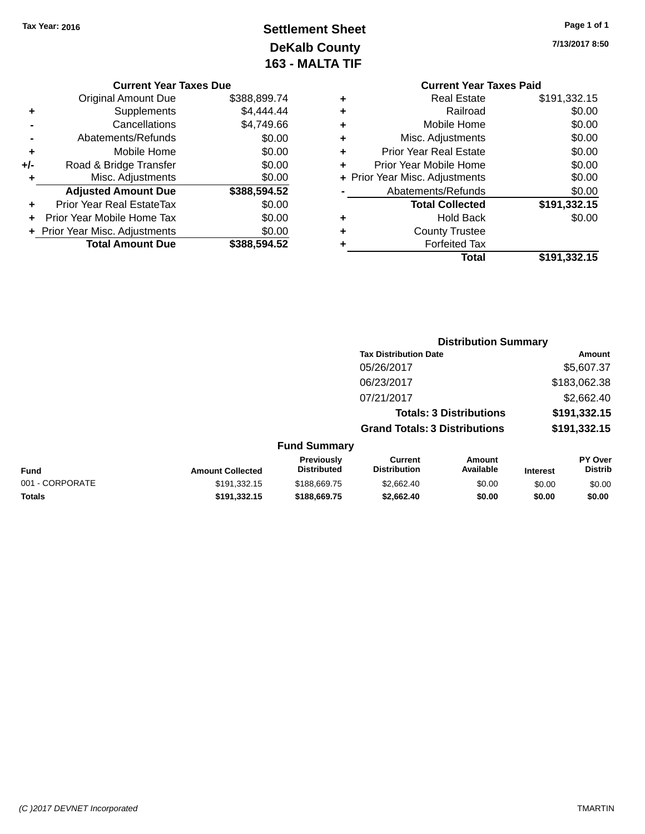## **Settlement Sheet Tax Year: 2016 Page 1 of 1 DeKalb County 163 - MALTA TIF**

**7/13/2017 8:50**

|   | <b>Current Year Taxes Paid</b> |              |
|---|--------------------------------|--------------|
| ٠ | <b>Real Estate</b>             | \$191,332.15 |
| ٠ | Railroad                       | \$0.00       |
| ٠ | Mobile Home                    | \$0.00       |
| ٠ | Misc. Adjustments              | \$0.00       |
| ٠ | <b>Prior Year Real Estate</b>  | \$0.00       |
| ÷ | Prior Year Mobile Home         | \$0.00       |
|   | + Prior Year Misc. Adjustments | \$0.00       |
|   | Abatements/Refunds             | \$0.00       |
|   | <b>Total Collected</b>         | \$191,332.15 |
| ٠ | Hold Back                      | \$0.00       |
| ٠ | <b>County Trustee</b>          |              |
|   | <b>Forfeited Tax</b>           |              |
|   | Total                          | \$191,332.15 |
|   |                                |              |

|     | <b>Current Year Taxes Due</b>    |              |
|-----|----------------------------------|--------------|
|     | <b>Original Amount Due</b>       | \$388.899.74 |
| ٠   | Supplements                      | \$4,444.44   |
|     | Cancellations                    | \$4,749.66   |
|     | Abatements/Refunds               | \$0.00       |
| ٠   | Mobile Home                      | \$0.00       |
| +/- | Road & Bridge Transfer           | \$0.00       |
| ٠   | Misc. Adjustments                | \$0.00       |
|     | <b>Adjusted Amount Due</b>       | \$388,594.52 |
| ٠   | <b>Prior Year Real EstateTax</b> | \$0.00       |
|     | Prior Year Mobile Home Tax       | \$0.00       |
|     | + Prior Year Misc. Adjustments   | \$0.00       |
|     | <b>Total Amount Due</b>          | \$388.594.52 |

|                         |                                  | <b>Distribution Summary</b>           |                                |                 |                                  |
|-------------------------|----------------------------------|---------------------------------------|--------------------------------|-----------------|----------------------------------|
|                         |                                  | <b>Tax Distribution Date</b>          |                                |                 | Amount                           |
|                         |                                  | 05/26/2017                            |                                |                 | \$5,607.37                       |
|                         |                                  | 06/23/2017                            |                                |                 | \$183,062.38                     |
|                         |                                  | 07/21/2017                            |                                |                 | \$2,662.40                       |
|                         |                                  |                                       | <b>Totals: 3 Distributions</b> |                 | \$191,332.15                     |
|                         |                                  | <b>Grand Totals: 3 Distributions</b>  |                                |                 | \$191,332.15                     |
|                         | <b>Fund Summary</b>              |                                       |                                |                 |                                  |
| <b>Amount Collected</b> | Previously<br><b>Distributed</b> | <b>Current</b><br><b>Distribution</b> | Amount<br>Available            | <b>Interest</b> | <b>PY Over</b><br><b>Distrib</b> |

| <b>Fund</b>     | <b>Amount Collected</b> | <b>FICVIOUSIV</b><br><b>Distributed</b> | <b>UULLEIIL</b><br>Distribution | AIIVUIIL<br>Available | <b>Interest</b> | г і меі<br>Distrib |
|-----------------|-------------------------|-----------------------------------------|---------------------------------|-----------------------|-----------------|--------------------|
| 001 - CORPORATE | \$191.332.15            | \$188,669.75                            | \$2.662.40                      | \$0.00                | \$0.00          | \$0.00             |
| <b>Totals</b>   | \$191.332.15            | \$188,669.75                            | \$2,662,40                      | \$0.00                | \$0.00          | \$0.00             |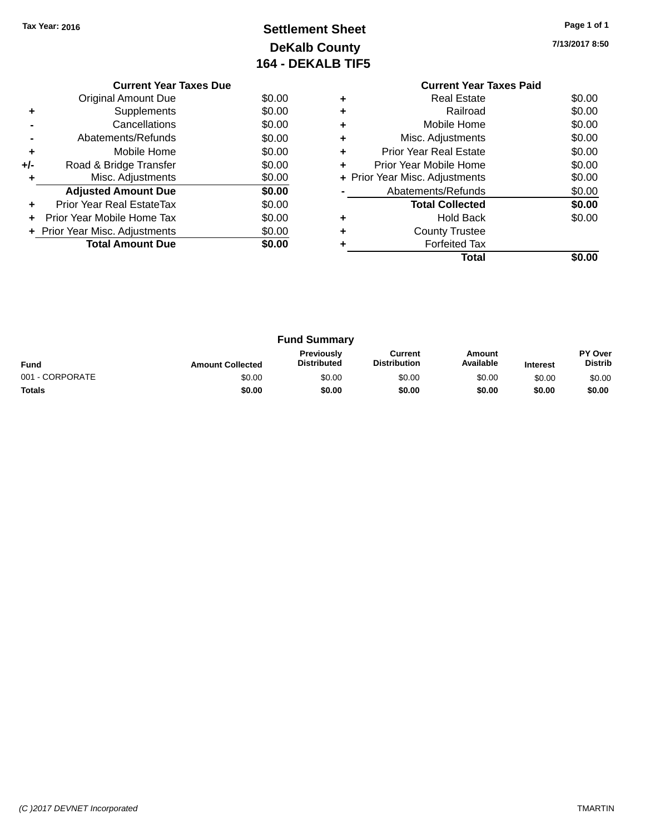### **Settlement Sheet Tax Year: 2016 Page 1 of 1 DeKalb County 164 - DEKALB TIF5**

**7/13/2017 8:50**

|     | <b>Current Year Taxes Due</b>  |        |
|-----|--------------------------------|--------|
|     | <b>Original Amount Due</b>     | \$0.00 |
| ٠   | Supplements                    | \$0.00 |
|     | Cancellations                  | \$0.00 |
|     | Abatements/Refunds             | \$0.00 |
| ٠   | Mobile Home                    | \$0.00 |
| +/- | Road & Bridge Transfer         | \$0.00 |
|     | Misc. Adjustments              | \$0.00 |
|     | <b>Adjusted Amount Due</b>     | \$0.00 |
|     | Prior Year Real EstateTax      | \$0.00 |
|     | Prior Year Mobile Home Tax     | \$0.00 |
|     | + Prior Year Misc. Adjustments | \$0.00 |
|     | <b>Total Amount Due</b>        | \$0.00 |
|     |                                |        |

#### **Current Year Taxes Paid +** Real Estate \$0.00 **+** Railroad \$0.00 **+** Mobile Home \$0.00 **+** Misc. Adjustments \$0.00 **+** Prior Year Real Estate \$0.00 **+** Prior Year Mobile Home \$0.00<br> **+** Prior Year Misc. Adjustments \$0.00 **+ Prior Year Misc. Adjustments -** Abatements/Refunds \$0.00 **Total Collected \$0.00 +** Hold Back \$0.00 **+** County Trustee **+** Forfeited Tax **Total \$0.00**

|                 |                         | <b>Fund Summary</b>                     |                                |                     |                 |                                  |
|-----------------|-------------------------|-----------------------------------------|--------------------------------|---------------------|-----------------|----------------------------------|
| <b>Fund</b>     | <b>Amount Collected</b> | <b>Previously</b><br><b>Distributed</b> | Current<br><b>Distribution</b> | Amount<br>Available | <b>Interest</b> | <b>PY Over</b><br><b>Distrib</b> |
| 001 - CORPORATE | \$0.00                  | \$0.00                                  | \$0.00                         | \$0.00              | \$0.00          | \$0.00                           |
| <b>Totals</b>   | \$0.00                  | \$0.00                                  | \$0.00                         | \$0.00              | \$0.00          | \$0.00                           |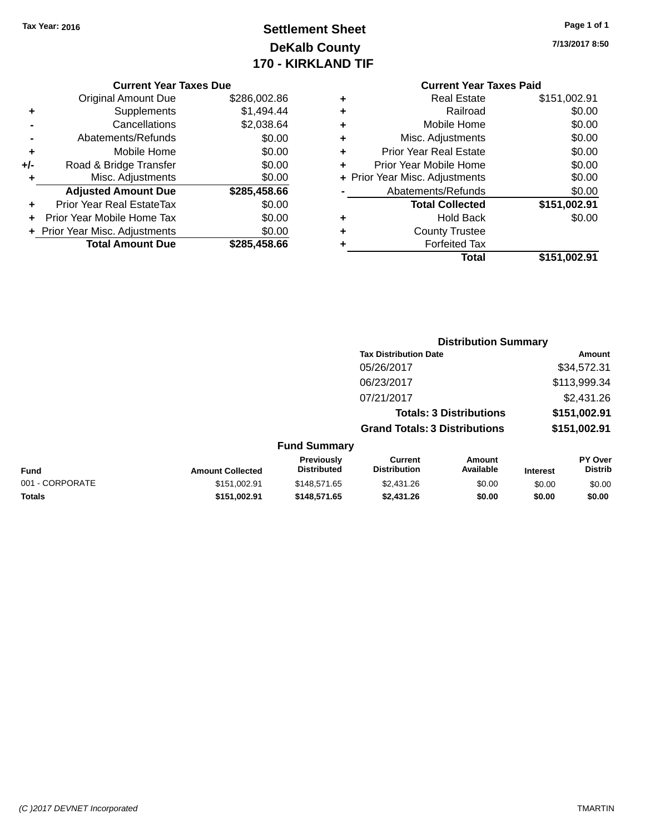### **Settlement Sheet Tax Year: 2016 Page 1 of 1 DeKalb County 170 - KIRKLAND TIF**

**7/13/2017 8:50**

|       | <b>Original Amount Due</b>       | \$286,002.86 |
|-------|----------------------------------|--------------|
| ٠     | Supplements                      | \$1,494.44   |
|       | Cancellations                    | \$2,038.64   |
|       | Abatements/Refunds               | \$0.00       |
| ÷     | Mobile Home                      | \$0.00       |
| $+/-$ | Road & Bridge Transfer           | \$0.00       |
| ٠     | Misc. Adjustments                | \$0.00       |
|       | <b>Adjusted Amount Due</b>       | \$285,458.66 |
|       | <b>Prior Year Real EstateTax</b> | \$0.00       |
|       | Prior Year Mobile Home Tax       | \$0.00       |
|       | + Prior Year Misc. Adjustments   | \$0.00       |
|       | <b>Total Amount Due</b>          | \$285,458.66 |

#### **Current Year Taxes Paid +** Real Estate \$151,002.91 **+** Railroad \$0.00 **+** Mobile Home \$0.00 **+** Misc. Adjustments \$0.00 **+** Prior Year Real Estate \$0.00 **+** Prior Year Mobile Home \$0.00<br> **+** Prior Year Misc. Adjustments \$0.00 **+ Prior Year Misc. Adjustments -** Abatements/Refunds \$0.00<br> **Total Collected** \$454,000.01 **Total Collected \$151,002.91 +** Hold Back \$0.00

|   | <b>Total</b>         | \$151,002.91 |
|---|----------------------|--------------|
| ٠ | <b>Forfeited Tax</b> |              |
| ٠ | County Trustee       |              |
| ٠ | Hold Back            | \$0.00       |
|   | Total Collected      | \$151,002.91 |

|                     |                                      | <b>Distribution Summary</b>    |                |
|---------------------|--------------------------------------|--------------------------------|----------------|
|                     | <b>Tax Distribution Date</b>         |                                | Amount         |
|                     | 05/26/2017                           |                                | \$34,572.31    |
|                     | 06/23/2017                           |                                | \$113,999.34   |
|                     | 07/21/2017                           |                                | \$2,431.26     |
|                     |                                      | <b>Totals: 3 Distributions</b> | \$151,002.91   |
|                     | <b>Grand Totals: 3 Distributions</b> |                                | \$151,002.91   |
| <b>Fund Summary</b> |                                      |                                |                |
| Previously          | Current                              | Amount                         | <b>PY Over</b> |

| <b>Fund</b>     | <b>Amount Collected</b> | Previouslv<br><b>Distributed</b> | Current<br><b>Distribution</b> | Amount<br>Available | <b>Interest</b> | <b>PY Over</b><br><b>Distrib</b> |
|-----------------|-------------------------|----------------------------------|--------------------------------|---------------------|-----------------|----------------------------------|
| 001 - CORPORATE | \$151.002.91            | \$148.571.65                     | \$2.431.26                     | \$0.00              | \$0.00          | \$0.00                           |
| <b>Totals</b>   | \$151.002.91            | \$148,571,65                     | \$2,431.26                     | \$0.00              | \$0.00          | \$0.00                           |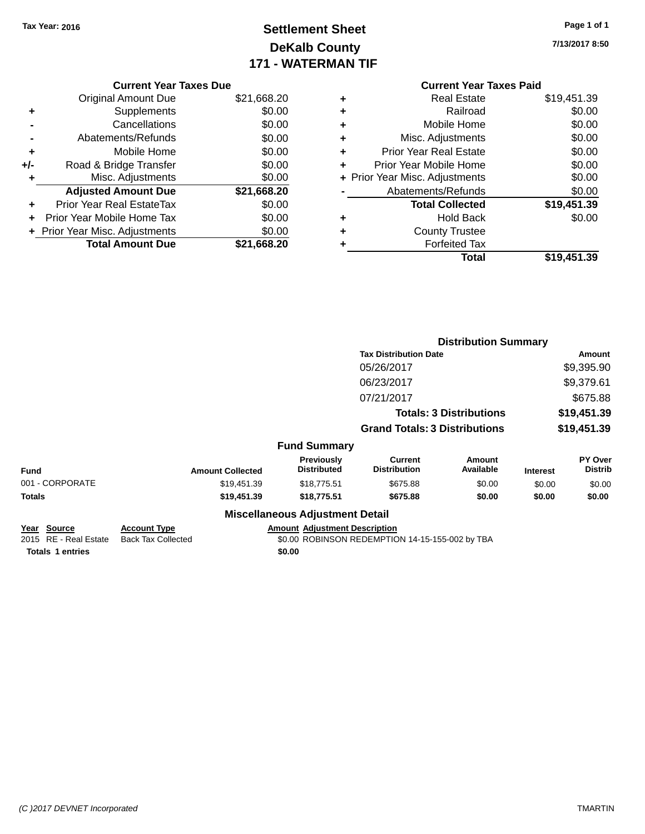## **Settlement Sheet Tax Year: 2016 Page 1 of 1 DeKalb County 171 - WATERMAN TIF**

| Page 1 of 1 |
|-------------|
|-------------|

**7/13/2017 8:50**

| \$21,668.20 |
|-------------|
| \$0.00      |
| \$0.00      |
| \$0.00      |
| \$0.00      |
| \$0.00      |
| \$0.00      |
|             |
| \$21,668.20 |
| \$0.00      |
| \$0.00      |
| \$0.00      |
|             |

| <b>Current Year Taxes Paid</b> |             |
|--------------------------------|-------------|
| <b>Real Estate</b><br>٠        | \$19,451.39 |
| Railroad<br>٠                  | \$0.00      |
| Mobile Home<br>٠               | \$0.00      |
| Misc. Adjustments<br>٠         | \$0.00      |
| Prior Year Real Estate<br>٠    | \$0.00      |
| Prior Year Mobile Home<br>÷    | \$0.00      |
| + Prior Year Misc. Adjustments | \$0.00      |
| Abatements/Refunds             | \$0.00      |
| <b>Total Collected</b>         | \$19,451.39 |
| Hold Back<br>٠                 | \$0.00      |
| <b>County Trustee</b>          |             |
| <b>Forfeited Tax</b>           |             |
| Total                          | \$19,451.39 |

|                                              | <b>Distribution Summary</b>                      |                                        |                                                 |                                |                 |                           |  |
|----------------------------------------------|--------------------------------------------------|----------------------------------------|-------------------------------------------------|--------------------------------|-----------------|---------------------------|--|
|                                              |                                                  |                                        | <b>Tax Distribution Date</b>                    | Amount                         |                 |                           |  |
|                                              |                                                  |                                        | 05/26/2017                                      |                                |                 | \$9,395.90                |  |
|                                              |                                                  |                                        | 06/23/2017                                      |                                |                 | \$9,379.61                |  |
|                                              |                                                  |                                        | 07/21/2017                                      |                                |                 | \$675.88                  |  |
|                                              |                                                  |                                        |                                                 | <b>Totals: 3 Distributions</b> |                 | \$19,451.39               |  |
|                                              |                                                  |                                        | <b>Grand Totals: 3 Distributions</b>            |                                | \$19,451.39     |                           |  |
|                                              |                                                  | <b>Fund Summary</b>                    |                                                 |                                |                 |                           |  |
| <b>Fund</b>                                  | <b>Amount Collected</b>                          | Previously<br><b>Distributed</b>       | <b>Current</b><br><b>Distribution</b>           | <b>Amount</b><br>Available     | <b>Interest</b> | PY Over<br><b>Distrib</b> |  |
| 001 - CORPORATE                              | \$19,451.39                                      | \$18,775.51                            | \$675.88                                        | \$0.00                         | \$0.00          | \$0.00                    |  |
| Totals                                       | \$19,451.39                                      | \$18,775.51                            | \$675.88                                        | \$0.00                         | \$0.00          | \$0.00                    |  |
|                                              |                                                  | <b>Miscellaneous Adjustment Detail</b> |                                                 |                                |                 |                           |  |
| <u> Year Source</u><br>2015 RE - Real Estate | <b>Account Type</b><br><b>Back Tax Collected</b> | <b>Amount Adjustment Description</b>   | \$0.00 ROBINSON REDEMPTION 14-15-155-002 by TBA |                                |                 |                           |  |
| <b>Totals 1 entries</b>                      |                                                  | \$0.00                                 |                                                 |                                |                 |                           |  |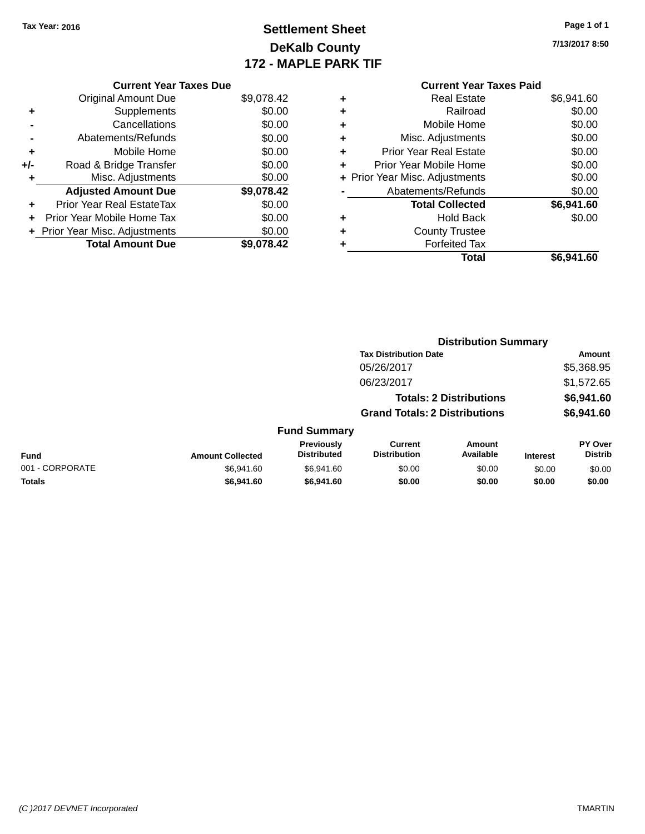## **Settlement Sheet Tax Year: 2016 Page 1 of 1 DeKalb County 172 - MAPLE PARK TIF**

**7/13/2017 8:50**

|     | <b>Current Year Taxes Due</b>  |            |
|-----|--------------------------------|------------|
|     | <b>Original Amount Due</b>     | \$9,078.42 |
| ٠   | Supplements                    | \$0.00     |
|     | Cancellations                  | \$0.00     |
|     | Abatements/Refunds             | \$0.00     |
| ٠   | Mobile Home                    | \$0.00     |
| +/- | Road & Bridge Transfer         | \$0.00     |
| ٠   | Misc. Adjustments              | \$0.00     |
|     | <b>Adjusted Amount Due</b>     | \$9,078.42 |
| ٠   | Prior Year Real EstateTax      | \$0.00     |
| ÷   | Prior Year Mobile Home Tax     | \$0.00     |
|     | + Prior Year Misc. Adjustments | \$0.00     |
|     | <b>Total Amount Due</b>        | \$9.078.42 |

#### **Current Year Taxes Paid** <sup>+</sup><br>Real Estate \$6,941.60<br>Railroad \$0.00 **+** Railroad \$0.00 **+** Mobile Home \$0.00 **+** Misc. Adjustments \$0.00 **+** Prior Year Real Estate \$0.00

|           | Total                          | \$6,941.60 |
|-----------|--------------------------------|------------|
| $\ddot{}$ | <b>Forfeited Tax</b>           |            |
| $\ddot{}$ | <b>County Trustee</b>          |            |
| ÷         | <b>Hold Back</b>               | \$0.00     |
|           | <b>Total Collected</b>         | \$6,941.60 |
|           | Abatements/Refunds             | \$0.00     |
|           | + Prior Year Misc. Adjustments | \$0.00     |
| $\ddot{}$ | Prior Year Mobile Home         | \$0.00     |

|                 |                         |                                  | <b>Distribution Summary</b>           |                                |                 |                           |  |
|-----------------|-------------------------|----------------------------------|---------------------------------------|--------------------------------|-----------------|---------------------------|--|
|                 |                         |                                  | <b>Tax Distribution Date</b>          |                                |                 | <b>Amount</b>             |  |
|                 |                         |                                  | 05/26/2017                            |                                |                 | \$5,368.95                |  |
|                 |                         |                                  | 06/23/2017                            |                                |                 | \$1,572.65                |  |
|                 |                         |                                  |                                       | <b>Totals: 2 Distributions</b> |                 | \$6,941.60                |  |
|                 |                         |                                  | <b>Grand Totals: 2 Distributions</b>  |                                |                 | \$6,941.60                |  |
|                 |                         | <b>Fund Summary</b>              |                                       |                                |                 |                           |  |
| <b>Fund</b>     | <b>Amount Collected</b> | Previously<br><b>Distributed</b> | <b>Current</b><br><b>Distribution</b> | Amount<br>Available            | <b>Interest</b> | PY Over<br><b>Distrib</b> |  |
| 001 - CORPORATE | \$6,941.60              | \$6,941.60                       | \$0.00                                | \$0.00                         | \$0.00          | \$0.00                    |  |
| <b>Totals</b>   | \$6,941,60              | \$6,941.60                       | \$0.00                                | \$0.00                         | \$0.00          | \$0.00                    |  |

#### *(C )2017 DEVNET Incorporated* TMARTIN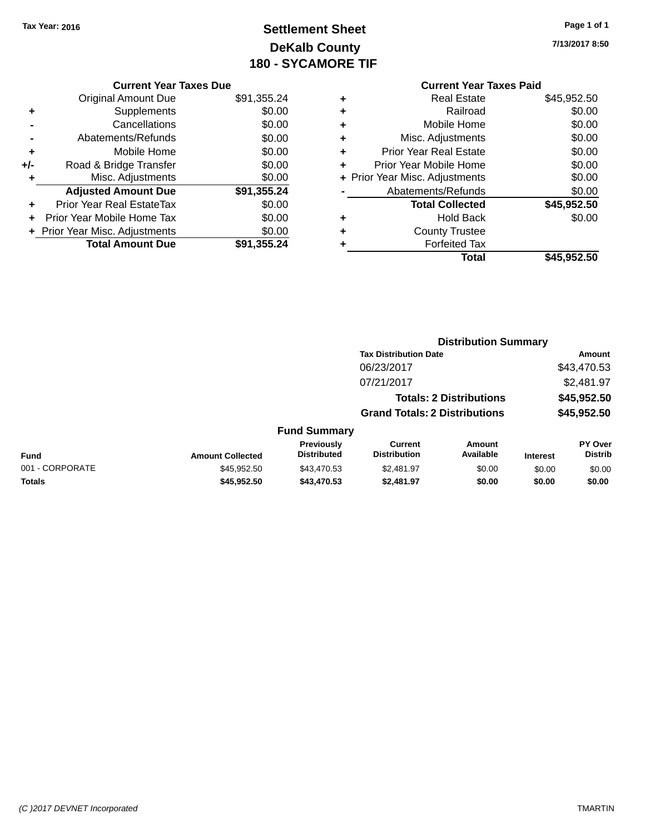## **Settlement Sheet Tax Year: 2016 Page 1 of 1 DeKalb County 180 - SYCAMORE TIF**

**7/13/2017 8:50**

| Real Estate                   | \$45,952.50                                                      |
|-------------------------------|------------------------------------------------------------------|
| Railroad                      | \$0.00                                                           |
| Mobile Home                   | \$0.00                                                           |
| Misc. Adjustments             | \$0.00                                                           |
| <b>Prior Year Real Estate</b> | \$0.00                                                           |
| Prior Year Mobile Home        | \$0.00                                                           |
|                               | \$0.00                                                           |
| Abatements/Refunds            | \$0.00                                                           |
| <b>Total Collected</b>        | \$45,952.50                                                      |
| <b>Hold Back</b>              | \$0.00                                                           |
| <b>County Trustee</b>         |                                                                  |
| <b>Forfeited Tax</b>          |                                                                  |
| Total                         | \$45,952.50                                                      |
|                               | <b>Current Year Taxes Paid</b><br>+ Prior Year Misc. Adjustments |

**Distribution Summary**

| <b>Current Year Taxes Due</b> |                                |  |  |  |  |
|-------------------------------|--------------------------------|--|--|--|--|
| <b>Original Amount Due</b>    | \$91,355.24                    |  |  |  |  |
| Supplements                   | \$0.00                         |  |  |  |  |
| Cancellations                 | \$0.00                         |  |  |  |  |
| Abatements/Refunds            | \$0.00                         |  |  |  |  |
| Mobile Home                   | \$0.00                         |  |  |  |  |
| Road & Bridge Transfer        | \$0.00                         |  |  |  |  |
| Misc. Adjustments             | \$0.00                         |  |  |  |  |
| <b>Adjusted Amount Due</b>    | \$91,355.24                    |  |  |  |  |
| Prior Year Real EstateTax     | \$0.00                         |  |  |  |  |
| Prior Year Mobile Home Tax    | \$0.00                         |  |  |  |  |
|                               | \$0.00                         |  |  |  |  |
| <b>Total Amount Due</b>       | \$91.355.24                    |  |  |  |  |
|                               | + Prior Year Misc. Adjustments |  |  |  |  |

|                 |                         |                                  | <b>Tax Distribution Date</b>                                           |                            |                            | Amount                           |
|-----------------|-------------------------|----------------------------------|------------------------------------------------------------------------|----------------------------|----------------------------|----------------------------------|
|                 |                         |                                  | 06/23/2017                                                             |                            | \$43,470.53                |                                  |
|                 |                         |                                  | 07/21/2017                                                             |                            |                            | \$2,481.97                       |
|                 |                         |                                  | <b>Totals: 2 Distributions</b><br><b>Grand Totals: 2 Distributions</b> |                            | \$45,952.50<br>\$45,952.50 |                                  |
|                 |                         |                                  |                                                                        |                            |                            |                                  |
|                 |                         | <b>Fund Summary</b>              |                                                                        |                            |                            |                                  |
| <b>Fund</b>     | <b>Amount Collected</b> | Previously<br><b>Distributed</b> | Current<br><b>Distribution</b>                                         | <b>Amount</b><br>Available | <b>Interest</b>            | <b>PY Over</b><br><b>Distrib</b> |
| 001 - CORPORATE | \$45.952.50             | \$43,470.53                      | \$2,481.97                                                             | \$0.00                     | \$0.00                     | \$0.00                           |
| <b>Totals</b>   | \$45,952.50             | \$43,470.53                      | \$2,481.97                                                             | \$0.00                     | \$0.00                     | \$0.00                           |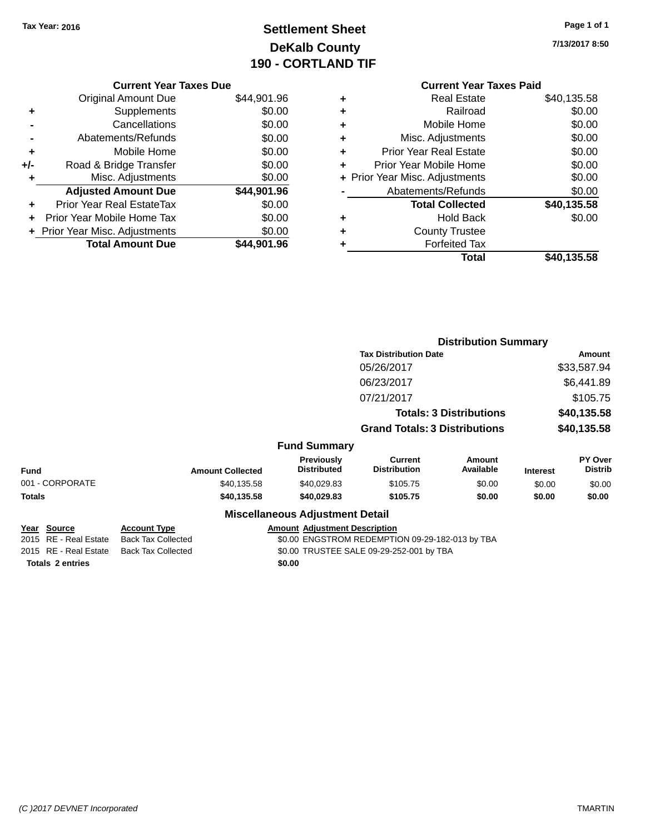## **Settlement Sheet Tax Year: 2016 Page 1 of 1 DeKalb County 190 - CORTLAND TIF**

| Page 1 of 1 |  |  |
|-------------|--|--|
|             |  |  |

**7/13/2017 8:50**

|     | <b>Current Year Taxes Due</b>  |             |
|-----|--------------------------------|-------------|
|     | <b>Original Amount Due</b>     | \$44,901.96 |
| ٠   | Supplements                    | \$0.00      |
|     | Cancellations                  | \$0.00      |
|     | Abatements/Refunds             | \$0.00      |
| ٠   | Mobile Home                    | \$0.00      |
| +/- | Road & Bridge Transfer         | \$0.00      |
| ٠   | Misc. Adjustments              | \$0.00      |
|     | <b>Adjusted Amount Due</b>     | \$44,901.96 |
|     | Prior Year Real EstateTax      | \$0.00      |
|     | Prior Year Mobile Home Tax     | \$0.00      |
|     | + Prior Year Misc. Adjustments | \$0.00      |
|     | <b>Total Amount Due</b>        | \$44,901.96 |
|     |                                |             |

|   | <b>Current Year Taxes Paid</b> |             |
|---|--------------------------------|-------------|
| ٠ | Real Estate                    | \$40,135.58 |
| ٠ | Railroad                       | \$0.00      |
| ٠ | Mobile Home                    | \$0.00      |
| ٠ | Misc. Adjustments              | \$0.00      |
| ٠ | <b>Prior Year Real Estate</b>  | \$0.00      |
| ÷ | Prior Year Mobile Home         | \$0.00      |
|   | + Prior Year Misc. Adjustments | \$0.00      |
|   | Abatements/Refunds             | \$0.00      |
|   | <b>Total Collected</b>         | \$40,135.58 |
| ٠ | Hold Back                      | \$0.00      |
|   | <b>County Trustee</b>          |             |
| ٠ | <b>Forfeited Tax</b>           |             |
|   | Total                          | \$40,135.58 |
|   |                                |             |

|             |                                      |                                                  |                                         |                                                 | <b>Distribution Summary</b>    |                 |                                  |
|-------------|--------------------------------------|--------------------------------------------------|-----------------------------------------|-------------------------------------------------|--------------------------------|-----------------|----------------------------------|
|             |                                      |                                                  |                                         | <b>Tax Distribution Date</b>                    |                                | Amount          |                                  |
|             |                                      |                                                  |                                         | 05/26/2017                                      |                                |                 | \$33,587.94                      |
|             |                                      |                                                  |                                         | 06/23/2017                                      |                                |                 | \$6,441.89                       |
|             |                                      |                                                  |                                         | 07/21/2017                                      |                                |                 | \$105.75                         |
|             |                                      |                                                  |                                         |                                                 | <b>Totals: 3 Distributions</b> | \$40,135.58     |                                  |
|             |                                      | <b>Grand Totals: 3 Distributions</b>             |                                         | \$40,135.58                                     |                                |                 |                                  |
|             |                                      |                                                  | <b>Fund Summary</b>                     |                                                 |                                |                 |                                  |
| <b>Fund</b> |                                      | <b>Amount Collected</b>                          | <b>Previously</b><br><b>Distributed</b> | Current<br><b>Distribution</b>                  | Amount<br>Available            | <b>Interest</b> | <b>PY Over</b><br><b>Distrib</b> |
|             | 001 - CORPORATE                      | \$40,135.58                                      | \$40,029.83                             | \$105.75                                        | \$0.00                         | \$0.00          | \$0.00                           |
| Totals      |                                      | \$40,135.58                                      | \$40,029.83                             | \$105.75                                        | \$0.00                         | \$0.00          | \$0.00                           |
|             |                                      |                                                  | <b>Miscellaneous Adjustment Detail</b>  |                                                 |                                |                 |                                  |
|             | Year Source<br>2015 RE - Real Estate | <b>Account Type</b><br><b>Back Tax Collected</b> | <b>Amount Adjustment Description</b>    | \$0.00 ENGSTROM REDEMPTION 09-29-182-013 by TBA |                                |                 |                                  |
|             | 2015 RE - Real Estate                | <b>Back Tax Collected</b>                        |                                         | \$0.00 TRUSTEE SALE 09-29-252-001 by TBA        |                                |                 |                                  |

**Totals 2 entries** \$0.00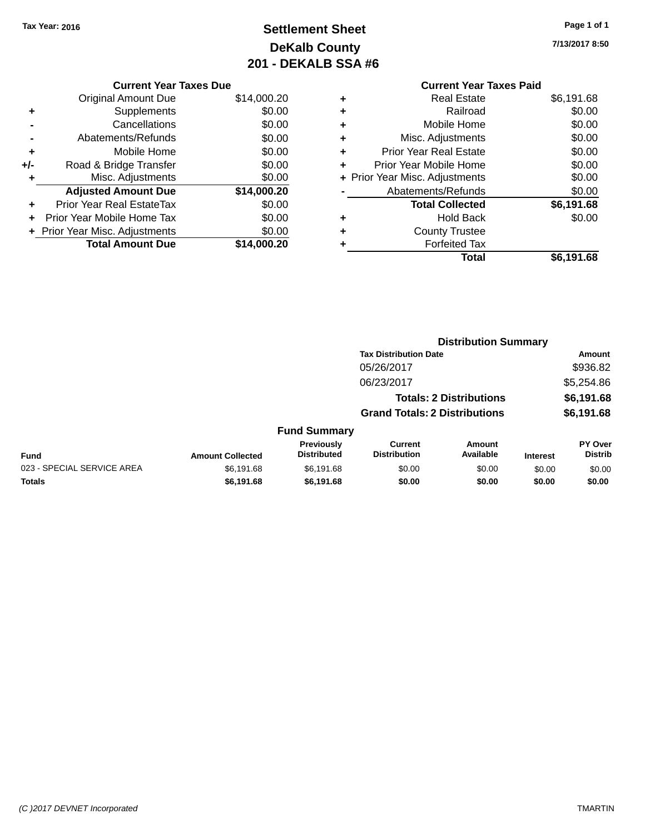## **Settlement Sheet Tax Year: 2016 Page 1 of 1 DeKalb County 201 - DEKALB SSA #6**

**7/13/2017 8:50**

#### **Current Year Taxes Paid +** Real Estate \$6,191.68 **+** Railroad \$0.00 **+** Mobile Home \$0.00 **+** Misc. Adjustments \$0.00 **+** Prior Year Real Estate \$0.00 **+** Prior Year Mobile Home \$0.00 **+ Prior Year Misc. Adjustments**  $$0.00$ **-** Abatements/Refunds \$0.00 **Total Collected \$6,191.68 +** Hold Back \$0.00 **+** County Trustee **+** Forfeited Tax **Total \$6,191.68**

**Distribution Summary**

|     | <b>Current Year Taxes Due</b>  |             |  |  |  |  |  |
|-----|--------------------------------|-------------|--|--|--|--|--|
|     | <b>Original Amount Due</b>     | \$14,000.20 |  |  |  |  |  |
| ٠   | Supplements                    | \$0.00      |  |  |  |  |  |
|     | Cancellations                  | \$0.00      |  |  |  |  |  |
|     | Abatements/Refunds             | \$0.00      |  |  |  |  |  |
| ٠   | Mobile Home                    | \$0.00      |  |  |  |  |  |
| +/- | Road & Bridge Transfer         | \$0.00      |  |  |  |  |  |
| ٠   | Misc. Adjustments              | \$0.00      |  |  |  |  |  |
|     | <b>Adjusted Amount Due</b>     | \$14,000.20 |  |  |  |  |  |
| ٠   | Prior Year Real EstateTax      | \$0.00      |  |  |  |  |  |
|     | Prior Year Mobile Home Tax     | \$0.00      |  |  |  |  |  |
|     | + Prior Year Misc. Adjustments | \$0.00      |  |  |  |  |  |
|     | <b>Total Amount Due</b>        | \$14,000.20 |  |  |  |  |  |
|     |                                |             |  |  |  |  |  |

|                            |                         |                                         | <b>Tax Distribution Date</b>          |                                |                 | Amount                    |
|----------------------------|-------------------------|-----------------------------------------|---------------------------------------|--------------------------------|-----------------|---------------------------|
|                            |                         |                                         | 05/26/2017                            |                                |                 | \$936.82                  |
|                            |                         |                                         | 06/23/2017                            |                                |                 | \$5,254.86                |
|                            |                         |                                         |                                       | <b>Totals: 2 Distributions</b> |                 | \$6,191.68                |
|                            |                         | <b>Grand Totals: 2 Distributions</b>    |                                       |                                |                 | \$6,191.68                |
|                            |                         | <b>Fund Summary</b>                     |                                       |                                |                 |                           |
| <b>Fund</b>                | <b>Amount Collected</b> | <b>Previously</b><br><b>Distributed</b> | <b>Current</b><br><b>Distribution</b> | Amount<br>Available            | <b>Interest</b> | PY Over<br><b>Distrib</b> |
| 023 - SPECIAL SERVICE AREA | \$6,191.68              | \$6,191.68                              | \$0.00                                | \$0.00                         | \$0.00          | \$0.00                    |
| <b>Totals</b>              | \$6,191.68              | \$6,191.68                              | \$0.00                                | \$0.00                         | \$0.00          | \$0.00                    |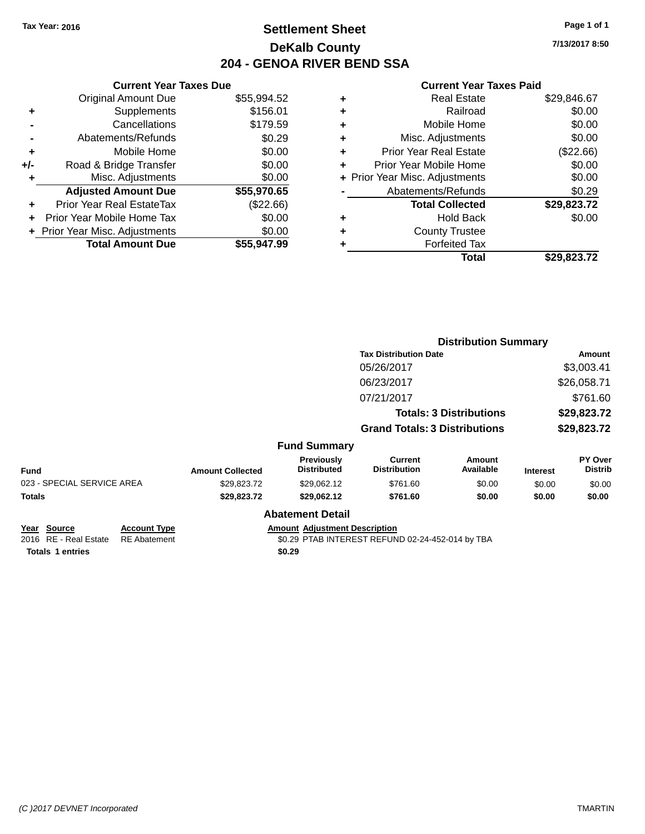### **Settlement Sheet Tax Year: 2016 Page 1 of 1 DeKalb County 204 - GENOA RIVER BEND SSA**

**7/13/2017 8:50**

|     | <b>Current Year Taxes Due</b>  |             |
|-----|--------------------------------|-------------|
|     | <b>Original Amount Due</b>     | \$55,994.52 |
| ٠   | Supplements                    | \$156.01    |
|     | Cancellations                  | \$179.59    |
|     | Abatements/Refunds             | \$0.29      |
| ٠   | Mobile Home                    | \$0.00      |
| +/- | Road & Bridge Transfer         | \$0.00      |
|     | Misc. Adjustments              | \$0.00      |
|     | <b>Adjusted Amount Due</b>     | \$55,970.65 |
| ٠   | Prior Year Real EstateTax      | (\$22.66)   |
|     | Prior Year Mobile Home Tax     | \$0.00      |
|     | + Prior Year Misc. Adjustments | \$0.00      |
|     | <b>Total Amount Due</b>        | \$55,947.99 |
|     |                                |             |

| ٠ | <b>Real Estate</b>             | \$29,846.67 |
|---|--------------------------------|-------------|
| ٠ | Railroad                       | \$0.00      |
| ٠ | Mobile Home                    | \$0.00      |
| ٠ | Misc. Adjustments              | \$0.00      |
| ٠ | <b>Prior Year Real Estate</b>  | $(\$22.66)$ |
|   | Prior Year Mobile Home         | \$0.00      |
|   | + Prior Year Misc. Adjustments | \$0.00      |
|   | Abatements/Refunds             | \$0.29      |
|   | <b>Total Collected</b>         | \$29,823.72 |
| ٠ | <b>Hold Back</b>               | \$0.00      |
|   | <b>County Trustee</b>          |             |
| ٠ | <b>Forfeited Tax</b>           |             |
|   | Total                          | \$29,823.72 |
|   |                                |             |

|                                      |                                            |                         |                                      | <b>Distribution Summary</b>                      |                                |                 |                           |
|--------------------------------------|--------------------------------------------|-------------------------|--------------------------------------|--------------------------------------------------|--------------------------------|-----------------|---------------------------|
|                                      |                                            |                         |                                      | <b>Tax Distribution Date</b>                     |                                | Amount          |                           |
|                                      |                                            |                         |                                      | 05/26/2017                                       |                                |                 | \$3,003.41                |
|                                      |                                            |                         |                                      | 06/23/2017                                       |                                |                 | \$26,058.71               |
|                                      |                                            |                         |                                      | 07/21/2017                                       |                                |                 | \$761.60                  |
|                                      |                                            |                         |                                      |                                                  | <b>Totals: 3 Distributions</b> | \$29,823.72     |                           |
|                                      |                                            |                         |                                      | <b>Grand Totals: 3 Distributions</b>             |                                | \$29,823.72     |                           |
|                                      |                                            |                         | <b>Fund Summary</b>                  |                                                  |                                |                 |                           |
| <b>Fund</b>                          |                                            | <b>Amount Collected</b> | Previously<br><b>Distributed</b>     | <b>Current</b><br><b>Distribution</b>            | <b>Amount</b><br>Available     | <b>Interest</b> | PY Over<br><b>Distrib</b> |
| 023 - SPECIAL SERVICE AREA           |                                            | \$29,823.72             | \$29,062.12                          | \$761.60                                         | \$0.00                         | \$0.00          | \$0.00                    |
| Totals                               |                                            | \$29,823.72             | \$29,062.12                          | \$761.60                                         | \$0.00                         | \$0.00          | \$0.00                    |
|                                      |                                            |                         | <b>Abatement Detail</b>              |                                                  |                                |                 |                           |
| Year Source<br>2016 RE - Real Estate | <b>Account Type</b><br><b>RE</b> Abatement |                         | <b>Amount Adjustment Description</b> | \$0.29 PTAB INTEREST REFUND 02-24-452-014 by TBA |                                |                 |                           |
| <b>Totals 1 entries</b>              |                                            |                         | \$0.29                               |                                                  |                                |                 |                           |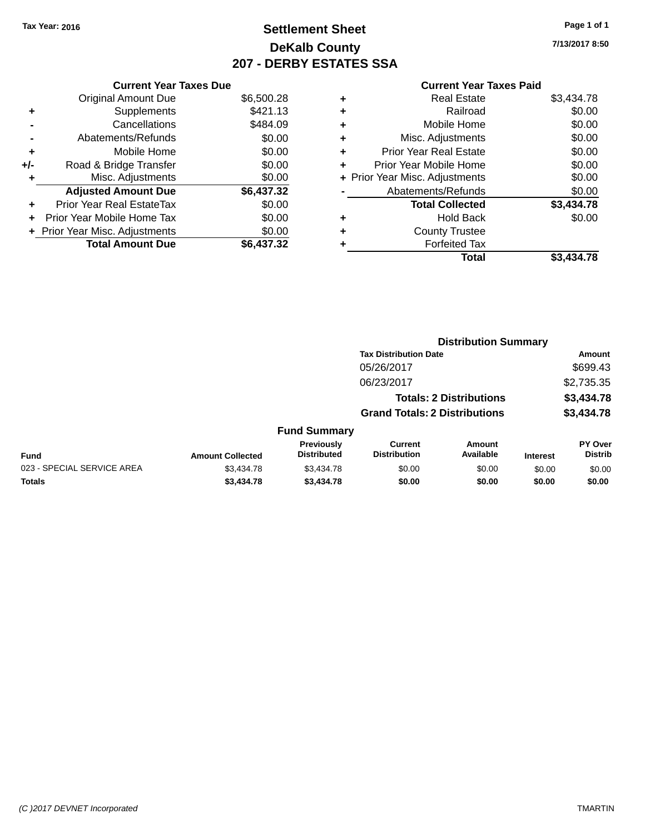### **Settlement Sheet Tax Year: 2016 Page 1 of 1 DeKalb County 207 - DERBY ESTATES SSA**

**7/13/2017 8:50**

|     | <b>Current Year Taxes Due</b>  |            |
|-----|--------------------------------|------------|
|     | <b>Original Amount Due</b>     | \$6,500.28 |
| ٠   | Supplements                    | \$421.13   |
|     | Cancellations                  | \$484.09   |
|     | Abatements/Refunds             | \$0.00     |
| ٠   | Mobile Home                    | \$0.00     |
| +/- | Road & Bridge Transfer         | \$0.00     |
|     | Misc. Adjustments              | \$0.00     |
|     | <b>Adjusted Amount Due</b>     | \$6,437.32 |
| ÷   | Prior Year Real EstateTax      | \$0.00     |
| ÷   | Prior Year Mobile Home Tax     | \$0.00     |
|     | + Prior Year Misc. Adjustments | \$0.00     |
|     | <b>Total Amount Due</b>        | \$6.437.32 |

| ٠ | <b>Real Estate</b>             | \$3,434.78 |
|---|--------------------------------|------------|
| ٠ | Railroad                       | \$0.00     |
| ٠ | Mobile Home                    | \$0.00     |
| ٠ | Misc. Adjustments              | \$0.00     |
| ٠ | <b>Prior Year Real Estate</b>  | \$0.00     |
| ٠ | Prior Year Mobile Home         | \$0.00     |
|   | + Prior Year Misc. Adjustments | \$0.00     |
|   | Abatements/Refunds             | \$0.00     |
|   | <b>Total Collected</b>         | \$3,434.78 |
| ٠ | Hold Back                      | \$0.00     |
| ٠ | <b>County Trustee</b>          |            |
| ٠ | <b>Forfeited Tax</b>           |            |
|   | Total                          | \$3.434.78 |
|   |                                |            |

|                            |                         |                                  | <b>Distribution Summary</b>           |                                |                 |                           |
|----------------------------|-------------------------|----------------------------------|---------------------------------------|--------------------------------|-----------------|---------------------------|
|                            |                         |                                  | <b>Tax Distribution Date</b>          |                                |                 | Amount                    |
|                            |                         |                                  | 05/26/2017                            |                                |                 | \$699.43                  |
|                            |                         |                                  | 06/23/2017                            |                                |                 | \$2,735.35                |
|                            |                         |                                  |                                       | <b>Totals: 2 Distributions</b> |                 | \$3,434.78                |
|                            |                         |                                  | <b>Grand Totals: 2 Distributions</b>  |                                |                 | \$3,434.78                |
|                            |                         | <b>Fund Summary</b>              |                                       |                                |                 |                           |
| <b>Fund</b>                | <b>Amount Collected</b> | Previously<br><b>Distributed</b> | <b>Current</b><br><b>Distribution</b> | <b>Amount</b><br>Available     | <b>Interest</b> | PY Over<br><b>Distrib</b> |
| 023 - SPECIAL SERVICE AREA | \$3,434.78              | \$3,434.78                       | \$0.00                                | \$0.00                         | \$0.00          | \$0.00                    |
| <b>Totals</b>              | \$3,434.78              | \$3,434.78                       | \$0.00                                | \$0.00                         | \$0.00          | \$0.00                    |
|                            |                         |                                  |                                       |                                |                 |                           |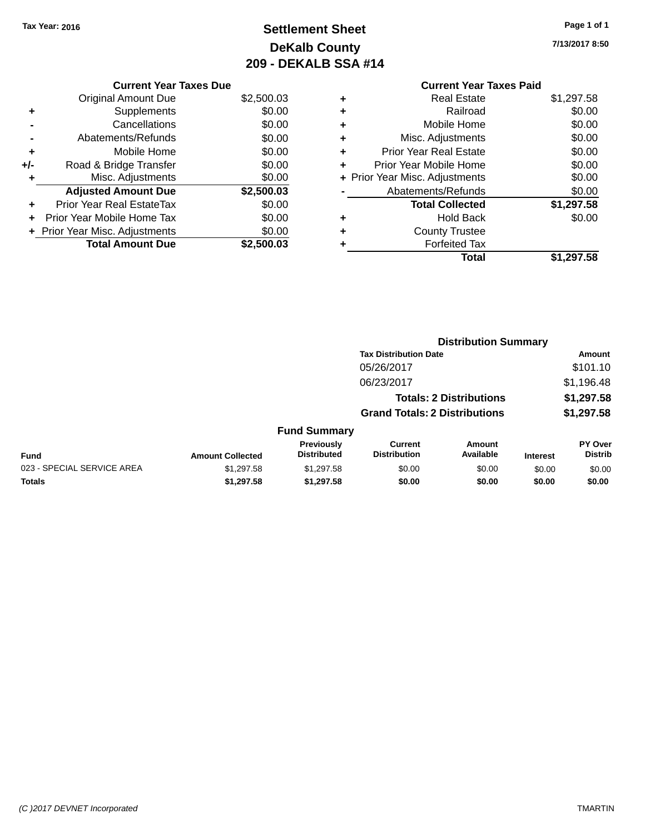### **Settlement Sheet Tax Year: 2016 Page 1 of 1 DeKalb County 209 - DEKALB SSA #14**

**7/13/2017 8:50**

#### **Current Year Taxes Paid +** Real Estate \$1,297.58 **+** Railroad \$0.00 **+** Mobile Home \$0.00 **+** Misc. Adjustments \$0.00 **+** Prior Year Real Estate \$0.00 **+** Prior Year Mobile Home \$0.00 **+ Prior Year Misc. Adjustments**  $$0.00$ **-** Abatements/Refunds \$0.00 **Total Collected \$1,297.58 +** Hold Back \$0.00 **+** County Trustee **+** Forfeited Tax

**Total \$1,297.58**

|     | <b>Current Year Taxes Due</b>  |            |
|-----|--------------------------------|------------|
|     | <b>Original Amount Due</b>     | \$2,500.03 |
| ٠   | Supplements                    | \$0.00     |
|     | Cancellations                  | \$0.00     |
|     | Abatements/Refunds             | \$0.00     |
| ٠   | Mobile Home                    | \$0.00     |
| +/- | Road & Bridge Transfer         | \$0.00     |
| ٠   | Misc. Adjustments              | \$0.00     |
|     | <b>Adjusted Amount Due</b>     | \$2,500.03 |
|     | Prior Year Real EstateTax      | \$0.00     |
| ٠   | Prior Year Mobile Home Tax     | \$0.00     |
|     | + Prior Year Misc. Adjustments | \$0.00     |
|     | <b>Total Amount Due</b>        | \$2,500.03 |

|                            |                         |                                         | <b>Distribution Summary</b>          |                                |                 |                           |
|----------------------------|-------------------------|-----------------------------------------|--------------------------------------|--------------------------------|-----------------|---------------------------|
|                            |                         |                                         | <b>Tax Distribution Date</b>         |                                |                 | Amount                    |
|                            |                         |                                         | 05/26/2017                           |                                |                 | \$101.10                  |
|                            |                         |                                         | 06/23/2017                           |                                |                 | \$1,196.48                |
|                            |                         |                                         |                                      | <b>Totals: 2 Distributions</b> |                 | \$1,297.58                |
|                            |                         |                                         | <b>Grand Totals: 2 Distributions</b> |                                |                 | \$1,297.58                |
|                            |                         | <b>Fund Summary</b>                     |                                      |                                |                 |                           |
| <b>Fund</b>                | <b>Amount Collected</b> | <b>Previously</b><br><b>Distributed</b> | Current<br><b>Distribution</b>       | Amount<br>Available            | <b>Interest</b> | PY Over<br><b>Distrib</b> |
| 023 - SPECIAL SERVICE AREA | \$1,297.58              | \$1,297.58                              | \$0.00                               | \$0.00                         | \$0.00          | \$0.00                    |
| <b>Totals</b>              | \$1,297.58              | \$1.297.58                              | \$0.00                               | \$0.00                         | \$0.00          | \$0.00                    |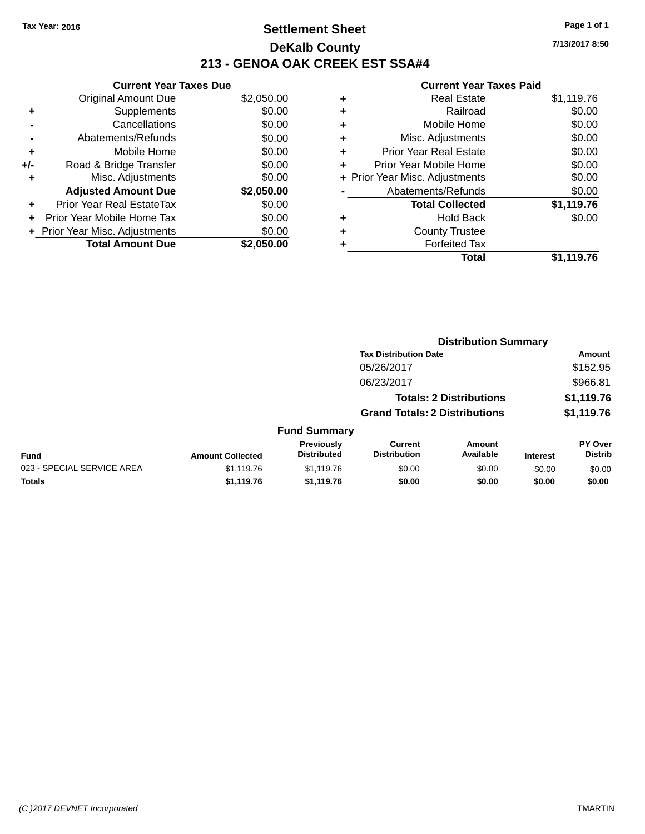### **Settlement Sheet Tax Year: 2016 Page 1 of 1 DeKalb County 213 - GENOA OAK CREEK EST SSA#4**

|     | <b>Current Year Taxes Due</b>  |            |
|-----|--------------------------------|------------|
|     | <b>Original Amount Due</b>     | \$2,050.00 |
| ٠   | Supplements                    | \$0.00     |
|     | Cancellations                  | \$0.00     |
|     | Abatements/Refunds             | \$0.00     |
| ٠   | Mobile Home                    | \$0.00     |
| +/- | Road & Bridge Transfer         | \$0.00     |
| ٠   | Misc. Adjustments              | \$0.00     |
|     | <b>Adjusted Amount Due</b>     | \$2,050.00 |
| ÷   | Prior Year Real EstateTax      | \$0.00     |
|     | Prior Year Mobile Home Tax     | \$0.00     |
|     | + Prior Year Misc. Adjustments | \$0.00     |
|     | <b>Total Amount Due</b>        | \$2,050.00 |

#### **Current Year Taxes Paid**

| ٠ | <b>Real Estate</b>             | \$1,119.76 |
|---|--------------------------------|------------|
| ٠ | Railroad                       | \$0.00     |
| ٠ | Mobile Home                    | \$0.00     |
| ٠ | Misc. Adjustments              | \$0.00     |
| ٠ | <b>Prior Year Real Estate</b>  | \$0.00     |
| ٠ | Prior Year Mobile Home         | \$0.00     |
|   | + Prior Year Misc. Adjustments | \$0.00     |
|   | Abatements/Refunds             | \$0.00     |
|   | <b>Total Collected</b>         | \$1,119.76 |
| ٠ | <b>Hold Back</b>               | \$0.00     |
| ٠ | <b>County Trustee</b>          |            |
|   | <b>Forfeited Tax</b>           |            |
|   | Total                          | \$1,119.76 |
|   |                                |            |

|                            |                         |                                  | <b>Distribution Summary</b>           |                                |                 |                                  |
|----------------------------|-------------------------|----------------------------------|---------------------------------------|--------------------------------|-----------------|----------------------------------|
|                            |                         |                                  | <b>Tax Distribution Date</b>          |                                |                 | Amount                           |
|                            |                         |                                  | 05/26/2017                            |                                |                 | \$152.95                         |
|                            |                         |                                  | 06/23/2017                            |                                |                 | \$966.81                         |
|                            |                         |                                  |                                       | <b>Totals: 2 Distributions</b> |                 | \$1,119.76                       |
|                            |                         |                                  | <b>Grand Totals: 2 Distributions</b>  |                                |                 | \$1,119.76                       |
|                            |                         | <b>Fund Summary</b>              |                                       |                                |                 |                                  |
| <b>Fund</b>                | <b>Amount Collected</b> | Previously<br><b>Distributed</b> | <b>Current</b><br><b>Distribution</b> | Amount<br>Available            | <b>Interest</b> | <b>PY Over</b><br><b>Distrib</b> |
| 023 - SPECIAL SERVICE AREA | \$1,119.76              | \$1,119.76                       | \$0.00                                | \$0.00                         | \$0.00          | \$0.00                           |
|                            |                         |                                  |                                       |                                |                 |                                  |

**Totals \$1,119.76 \$1,119.76 \$0.00 \$0.00 \$0.00 \$0.00**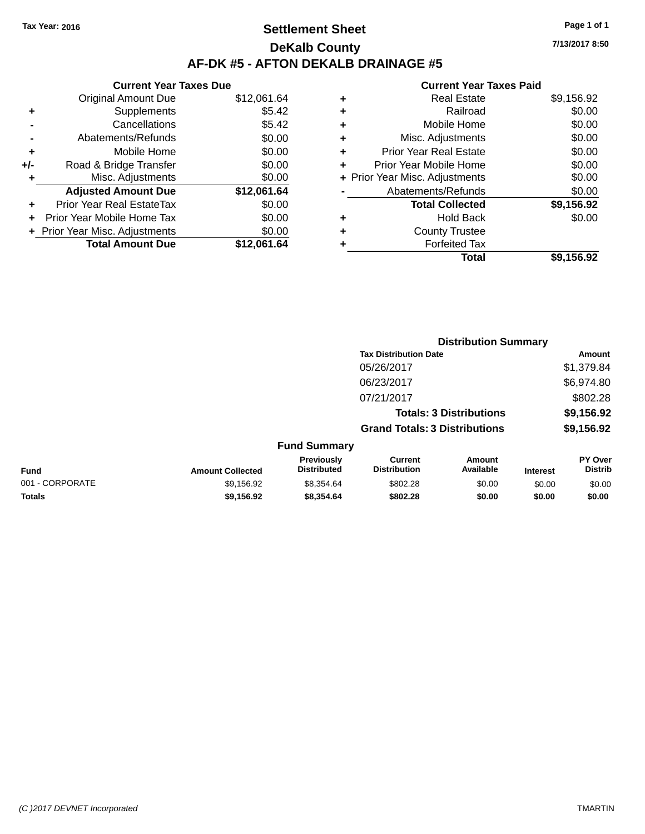### **Settlement Sheet Tax Year: 2016 Page 1 of 1 DeKalb County AF-DK #5 - AFTON DEKALB DRAINAGE #5**

**Current Year Taxes Due** Original Amount Due \$12,061.64 **+** Supplements \$5.42 **-** Cancellations \$5.42 **-** Abatements/Refunds \$0.00 **+** Mobile Home \$0.00 **+/-** Road & Bridge Transfer \$0.00 **+** Misc. Adjustments \$0.00 **Adjusted Amount Due \$12,061.64 +** Prior Year Real EstateTax \$0.00 **+** Prior Year Mobile Home Tax \$0.00 **+ Prior Year Misc. Adjustments**  $$0.00$ **Total Amount Due \$12,061.64**

| ٠ | <b>Real Estate</b>             | \$9,156.92 |
|---|--------------------------------|------------|
| ٠ | Railroad                       | \$0.00     |
| ٠ | Mobile Home                    | \$0.00     |
| ٠ | Misc. Adjustments              | \$0.00     |
| ٠ | <b>Prior Year Real Estate</b>  | \$0.00     |
| ٠ | Prior Year Mobile Home         | \$0.00     |
|   | + Prior Year Misc. Adjustments | \$0.00     |
|   | Abatements/Refunds             | \$0.00     |
|   | <b>Total Collected</b>         | \$9,156.92 |
| ٠ | <b>Hold Back</b>               | \$0.00     |
| ٠ | <b>County Trustee</b>          |            |
| ٠ | <b>Forfeited Tax</b>           |            |
|   | Total                          | \$9,156.92 |
|   |                                |            |

|                 |                         |                                  | <b>Distribution Summary</b>           |                                |                 |                           |  |
|-----------------|-------------------------|----------------------------------|---------------------------------------|--------------------------------|-----------------|---------------------------|--|
|                 |                         |                                  | <b>Tax Distribution Date</b>          |                                |                 | Amount                    |  |
|                 |                         |                                  | 05/26/2017                            |                                |                 | \$1,379.84                |  |
|                 |                         |                                  | 06/23/2017                            |                                |                 | \$6,974.80                |  |
|                 |                         |                                  | 07/21/2017                            |                                |                 | \$802.28                  |  |
|                 |                         |                                  |                                       | <b>Totals: 3 Distributions</b> |                 | \$9,156.92                |  |
|                 |                         |                                  | <b>Grand Totals: 3 Distributions</b>  |                                |                 | \$9,156.92                |  |
|                 |                         | <b>Fund Summary</b>              |                                       |                                |                 |                           |  |
| <b>Fund</b>     | <b>Amount Collected</b> | Previously<br><b>Distributed</b> | <b>Current</b><br><b>Distribution</b> | Amount<br>Available            | <b>Interest</b> | PY Over<br><b>Distrib</b> |  |
| 001 - CORPORATE | \$9,156.92              | \$8,354.64                       | \$802.28                              | \$0.00                         | \$0.00          | \$0.00                    |  |
| <b>Totals</b>   | \$9,156.92              | \$8,354.64                       | \$802.28                              | \$0.00                         | \$0.00          | \$0.00                    |  |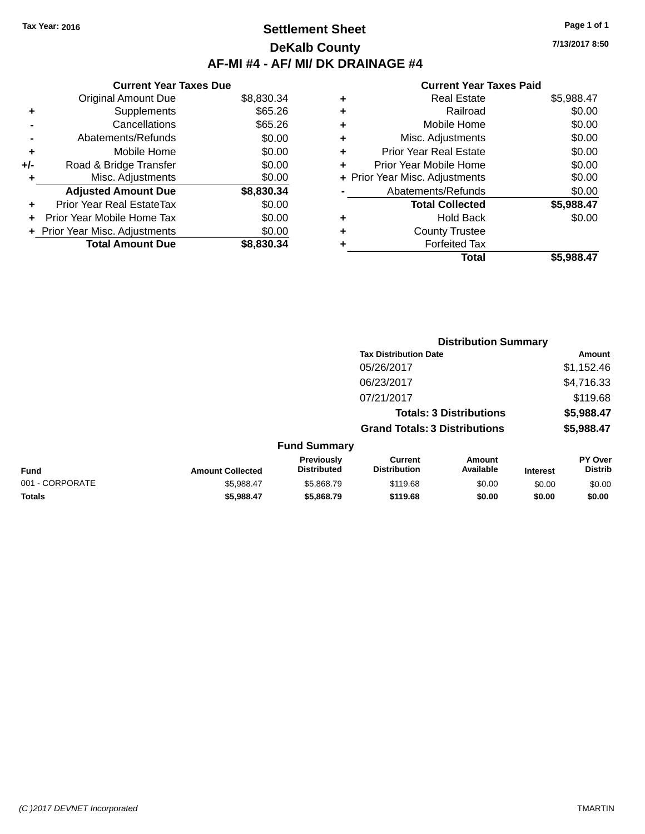### **Settlement Sheet Tax Year: 2016 Page 1 of 1 DeKalb County AF-MI #4 - AF/ MI/ DK DRAINAGE #4**

**7/13/2017 8:50**

|     | <b>Current Year Taxes Due</b>     |            |
|-----|-----------------------------------|------------|
|     | <b>Original Amount Due</b>        | \$8,830.34 |
| ٠   | Supplements                       | \$65.26    |
|     | Cancellations                     | \$65.26    |
|     | Abatements/Refunds                | \$0.00     |
| ٠   | Mobile Home                       | \$0.00     |
| +/- | Road & Bridge Transfer            | \$0.00     |
| ٠   | Misc. Adjustments                 | \$0.00     |
|     | <b>Adjusted Amount Due</b>        | \$8,830.34 |
| ÷   | Prior Year Real EstateTax         | \$0.00     |
| ÷   | <b>Prior Year Mobile Home Tax</b> | \$0.00     |
|     | + Prior Year Misc. Adjustments    | \$0.00     |
|     | <b>Total Amount Due</b>           | \$8,830,34 |

|   | <b>Real Estate</b>             | \$5,988.47 |
|---|--------------------------------|------------|
| ٠ | Railroad                       | \$0.00     |
| ٠ | Mobile Home                    | \$0.00     |
| ٠ | Misc. Adjustments              | \$0.00     |
| ٠ | <b>Prior Year Real Estate</b>  | \$0.00     |
| ٠ | Prior Year Mobile Home         | \$0.00     |
|   | + Prior Year Misc. Adjustments | \$0.00     |
|   | Abatements/Refunds             | \$0.00     |
|   | <b>Total Collected</b>         | \$5,988.47 |
| ٠ | <b>Hold Back</b>               | \$0.00     |
| ٠ | <b>County Trustee</b>          |            |
| ٠ | <b>Forfeited Tax</b>           |            |
|   | Total                          | \$5,988.47 |
|   |                                |            |

|                 |                         |                                  |                                       | <b>Distribution Summary</b>    |                 |                           |
|-----------------|-------------------------|----------------------------------|---------------------------------------|--------------------------------|-----------------|---------------------------|
|                 |                         |                                  | <b>Tax Distribution Date</b>          |                                |                 | <b>Amount</b>             |
|                 |                         |                                  | 05/26/2017                            |                                |                 | \$1,152.46                |
|                 |                         |                                  | 06/23/2017                            |                                |                 | \$4,716.33                |
|                 |                         |                                  | 07/21/2017                            |                                |                 | \$119.68                  |
|                 |                         |                                  |                                       | <b>Totals: 3 Distributions</b> |                 | \$5,988.47                |
|                 |                         |                                  | <b>Grand Totals: 3 Distributions</b>  |                                |                 | \$5,988.47                |
|                 |                         | <b>Fund Summary</b>              |                                       |                                |                 |                           |
| <b>Fund</b>     | <b>Amount Collected</b> | Previously<br><b>Distributed</b> | <b>Current</b><br><b>Distribution</b> | Amount<br>Available            | <b>Interest</b> | PY Over<br><b>Distrib</b> |
| 001 - CORPORATE | \$5,988.47              | \$5,868.79                       | \$119.68                              | \$0.00                         | \$0.00          | \$0.00                    |
| Totals          | \$5,988.47              | \$5,868.79                       | \$119.68                              | \$0.00                         | \$0.00          | \$0.00                    |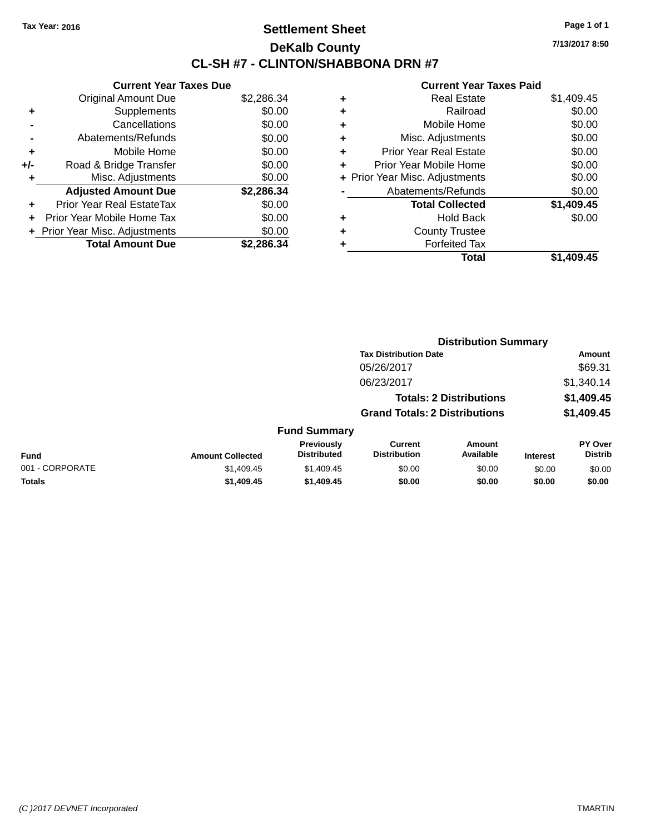### **Settlement Sheet Tax Year: 2016 Page 1 of 1 DeKalb County CL-SH #7 - CLINTON/SHABBONA DRN #7**

**7/13/2017 8:50**

|     | <b>Current Year Taxes Due</b>  |            |
|-----|--------------------------------|------------|
|     | <b>Original Amount Due</b>     | \$2,286.34 |
| ٠   | Supplements                    | \$0.00     |
|     | Cancellations                  | \$0.00     |
|     | Abatements/Refunds             | \$0.00     |
| ٠   | Mobile Home                    | \$0.00     |
| +/- | Road & Bridge Transfer         | \$0.00     |
| ٠   | Misc. Adjustments              | \$0.00     |
|     | <b>Adjusted Amount Due</b>     | \$2,286.34 |
| ٠   | Prior Year Real EstateTax      | \$0.00     |
| ÷   | Prior Year Mobile Home Tax     | \$0.00     |
|     | + Prior Year Misc. Adjustments | \$0.00     |
|     | <b>Total Amount Due</b>        | \$2.286.34 |

|   | Total                          | \$1,409.45 |
|---|--------------------------------|------------|
| ٠ | <b>Forfeited Tax</b>           |            |
| ٠ | <b>County Trustee</b>          |            |
| ٠ | Hold Back                      | \$0.00     |
|   | <b>Total Collected</b>         | \$1,409.45 |
|   | Abatements/Refunds             | \$0.00     |
|   | + Prior Year Misc. Adjustments | \$0.00     |
| ٠ | Prior Year Mobile Home         | \$0.00     |
| ÷ | <b>Prior Year Real Estate</b>  | \$0.00     |
| ٠ | Misc. Adjustments              | \$0.00     |
| ÷ | Mobile Home                    | \$0.00     |
| ٠ | Railroad                       | \$0.00     |
| ٠ | <b>Real Estate</b>             | \$1,409.45 |
|   |                                |            |

|                 |                         |                                  |                                       | <b>Distribution Summary</b>    |                 |                           |
|-----------------|-------------------------|----------------------------------|---------------------------------------|--------------------------------|-----------------|---------------------------|
|                 |                         |                                  | <b>Tax Distribution Date</b>          |                                |                 | <b>Amount</b>             |
|                 |                         |                                  | 05/26/2017                            |                                |                 | \$69.31                   |
|                 |                         |                                  | 06/23/2017                            |                                |                 | \$1,340.14                |
|                 |                         |                                  |                                       | <b>Totals: 2 Distributions</b> |                 | \$1,409.45                |
|                 |                         |                                  | <b>Grand Totals: 2 Distributions</b>  |                                |                 | \$1,409.45                |
|                 |                         | <b>Fund Summary</b>              |                                       |                                |                 |                           |
| <b>Fund</b>     | <b>Amount Collected</b> | Previously<br><b>Distributed</b> | <b>Current</b><br><b>Distribution</b> | Amount<br>Available            | <b>Interest</b> | PY Over<br><b>Distrib</b> |
| 001 - CORPORATE | \$1,409.45              | \$1,409.45                       | \$0.00                                | \$0.00                         | \$0.00          | \$0.00                    |
| <b>Totals</b>   | \$1,409.45              | \$1,409.45                       | \$0.00                                | \$0.00                         | \$0.00          | \$0.00                    |
|                 |                         |                                  |                                       |                                |                 |                           |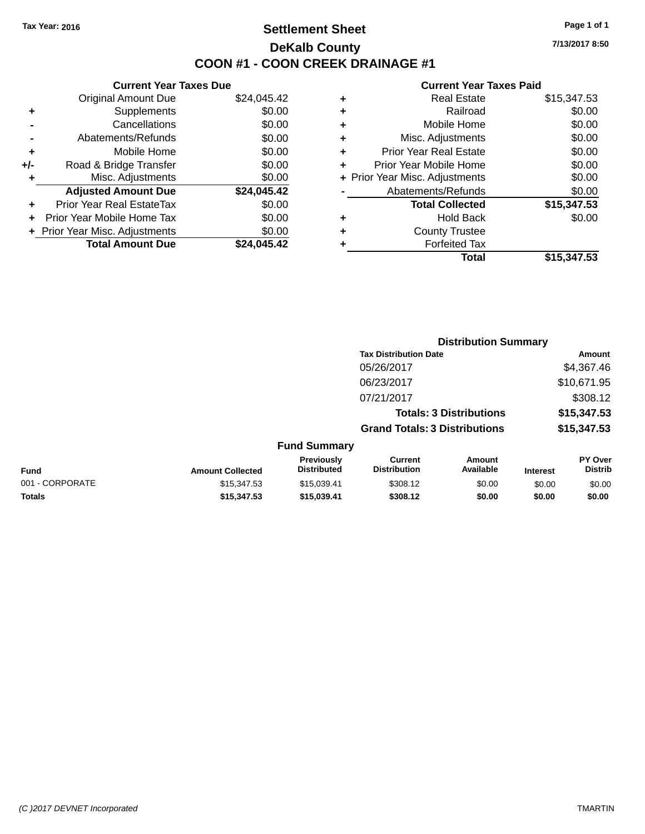### **Settlement Sheet Tax Year: 2016 Page 1 of 1 DeKalb County COON #1 - COON CREEK DRAINAGE #1**

**7/13/2017 8:50**

|     | <b>Current Year Taxes Due</b>  |             |
|-----|--------------------------------|-------------|
|     | <b>Original Amount Due</b>     | \$24,045.42 |
| ٠   | Supplements                    | \$0.00      |
|     | Cancellations                  | \$0.00      |
|     | Abatements/Refunds             | \$0.00      |
| ٠   | Mobile Home                    | \$0.00      |
| +/- | Road & Bridge Transfer         | \$0.00      |
|     | Misc. Adjustments              | \$0.00      |
|     | <b>Adjusted Amount Due</b>     | \$24,045.42 |
| ÷   | Prior Year Real EstateTax      | \$0.00      |
|     | Prior Year Mobile Home Tax     | \$0.00      |
|     | + Prior Year Misc. Adjustments | \$0.00      |
|     | <b>Total Amount Due</b>        | \$24.045.42 |
|     |                                |             |

| ٠ | <b>Real Estate</b>             | \$15,347.53 |
|---|--------------------------------|-------------|
| ٠ | Railroad                       | \$0.00      |
| ٠ | Mobile Home                    | \$0.00      |
| ٠ | Misc. Adjustments              | \$0.00      |
| ٠ | <b>Prior Year Real Estate</b>  | \$0.00      |
| ٠ | Prior Year Mobile Home         | \$0.00      |
|   | + Prior Year Misc. Adjustments | \$0.00      |
|   | Abatements/Refunds             | \$0.00      |
|   | <b>Total Collected</b>         | \$15,347.53 |
| ٠ | <b>Hold Back</b>               | \$0.00      |
| ٠ | <b>County Trustee</b>          |             |
| ٠ | <b>Forfeited Tax</b>           |             |
|   | Total                          | \$15,347.53 |
|   |                                |             |

|                 |                         |                                  | <b>Distribution Summary</b>           |                                |                 |                           |
|-----------------|-------------------------|----------------------------------|---------------------------------------|--------------------------------|-----------------|---------------------------|
|                 |                         |                                  | <b>Tax Distribution Date</b>          |                                |                 | Amount                    |
|                 |                         |                                  | 05/26/2017                            |                                |                 | \$4,367.46                |
|                 |                         |                                  | 06/23/2017                            |                                |                 | \$10,671.95               |
|                 |                         |                                  | 07/21/2017                            |                                |                 | \$308.12                  |
|                 |                         |                                  |                                       | <b>Totals: 3 Distributions</b> |                 | \$15,347.53               |
|                 |                         |                                  | <b>Grand Totals: 3 Distributions</b>  |                                |                 | \$15,347.53               |
|                 |                         | <b>Fund Summary</b>              |                                       |                                |                 |                           |
| <b>Fund</b>     | <b>Amount Collected</b> | Previously<br><b>Distributed</b> | <b>Current</b><br><b>Distribution</b> | <b>Amount</b><br>Available     | <b>Interest</b> | PY Over<br><b>Distrib</b> |
| 001 - CORPORATE | \$15,347.53             | \$15,039.41                      | \$308.12                              | \$0.00                         | \$0.00          | \$0.00                    |
| <b>Totals</b>   | \$15,347.53             | \$15,039.41                      | \$308.12                              | \$0.00                         | \$0.00          | \$0.00                    |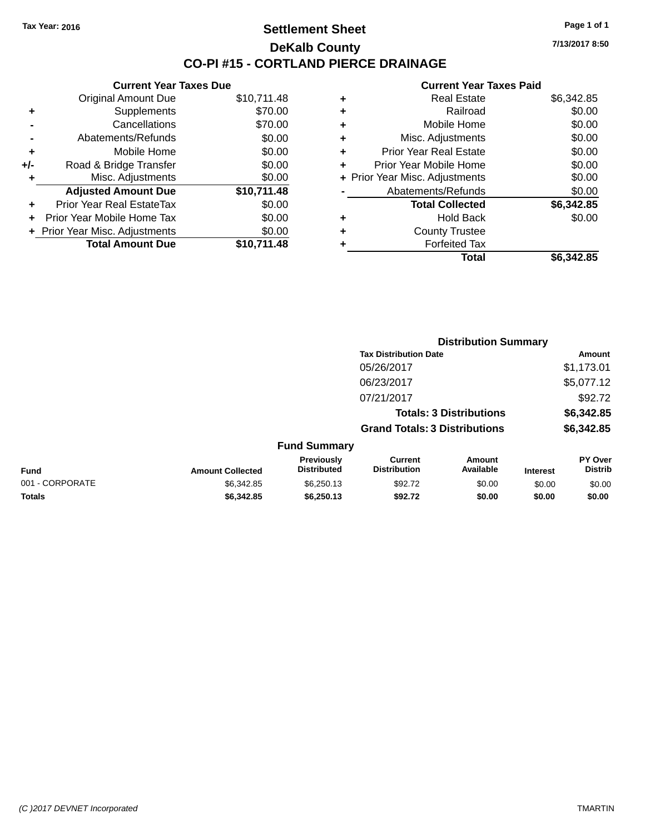### **Settlement Sheet Tax Year: 2016 Page 1 of 1 DeKalb County CO-PI #15 - CORTLAND PIERCE DRAINAGE**

**7/13/2017 8:50**

|     | <b>Current Year Taxes Due</b>  |             |
|-----|--------------------------------|-------------|
|     | <b>Original Amount Due</b>     | \$10,711.48 |
| ٠   | Supplements                    | \$70.00     |
|     | Cancellations                  | \$70.00     |
|     | Abatements/Refunds             | \$0.00      |
| ٠   | Mobile Home                    | \$0.00      |
| +/- | Road & Bridge Transfer         | \$0.00      |
| ٠   | Misc. Adjustments              | \$0.00      |
|     | <b>Adjusted Amount Due</b>     | \$10,711.48 |
| ٠   | Prior Year Real EstateTax      | \$0.00      |
| ÷   | Prior Year Mobile Home Tax     | \$0.00      |
|     | + Prior Year Misc. Adjustments | \$0.00      |
|     | <b>Total Amount Due</b>        | \$10.711.48 |

| ٠ | <b>Real Estate</b>             | \$6,342.85 |
|---|--------------------------------|------------|
| ٠ | Railroad                       | \$0.00     |
| ٠ | Mobile Home                    | \$0.00     |
| ٠ | Misc. Adjustments              | \$0.00     |
| ٠ | <b>Prior Year Real Estate</b>  | \$0.00     |
| ÷ | Prior Year Mobile Home         | \$0.00     |
|   | + Prior Year Misc. Adjustments | \$0.00     |
|   | Abatements/Refunds             | \$0.00     |
|   | <b>Total Collected</b>         | \$6,342.85 |
| ٠ | <b>Hold Back</b>               | \$0.00     |
| ٠ | <b>County Trustee</b>          |            |
| ٠ | <b>Forfeited Tax</b>           |            |
|   | Total                          | \$6,342.85 |
|   |                                |            |

|                 |                         |                                         |                                       | <b>Distribution Summary</b>    |                 |                           |
|-----------------|-------------------------|-----------------------------------------|---------------------------------------|--------------------------------|-----------------|---------------------------|
|                 |                         |                                         | <b>Tax Distribution Date</b>          |                                |                 | Amount                    |
|                 |                         |                                         | 05/26/2017                            |                                |                 | \$1,173.01                |
|                 |                         |                                         | 06/23/2017                            |                                |                 | \$5,077.12                |
|                 |                         |                                         | 07/21/2017                            |                                |                 | \$92.72                   |
|                 |                         |                                         |                                       | <b>Totals: 3 Distributions</b> |                 | \$6,342.85                |
|                 |                         |                                         | <b>Grand Totals: 3 Distributions</b>  |                                |                 | \$6,342.85                |
|                 |                         | <b>Fund Summary</b>                     |                                       |                                |                 |                           |
| Fund            | <b>Amount Collected</b> | <b>Previously</b><br><b>Distributed</b> | <b>Current</b><br><b>Distribution</b> | Amount<br>Available            | <b>Interest</b> | PY Over<br><b>Distrib</b> |
| 001 - CORPORATE | \$6,342.85              | \$6,250.13                              | \$92.72                               | \$0.00                         | \$0.00          | \$0.00                    |
| <b>Totals</b>   | \$6,342.85              | \$6,250.13                              | \$92.72                               | \$0.00                         | \$0.00          | \$0.00                    |
|                 |                         |                                         |                                       |                                |                 |                           |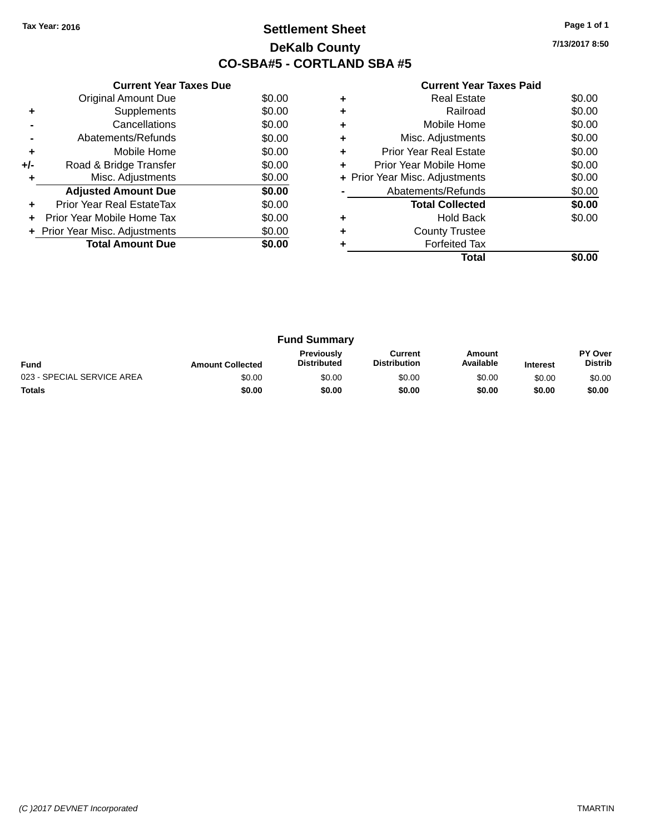### **Settlement Sheet Tax Year: 2016 Page 1 of 1 DeKalb County CO-SBA#5 - CORTLAND SBA #5**

**7/13/2017 8:50**

|     | <b>Current Year Taxes Due</b>  |        |
|-----|--------------------------------|--------|
|     | <b>Original Amount Due</b>     | \$0.00 |
| ٠   | Supplements                    | \$0.00 |
|     | Cancellations                  | \$0.00 |
|     | Abatements/Refunds             | \$0.00 |
| ٠   | Mobile Home                    | \$0.00 |
| +/- | Road & Bridge Transfer         | \$0.00 |
| ٠   | Misc. Adjustments              | \$0.00 |
|     | <b>Adjusted Amount Due</b>     | \$0.00 |
| ٠   | Prior Year Real EstateTax      | \$0.00 |
| ÷   | Prior Year Mobile Home Tax     | \$0.00 |
|     | + Prior Year Misc. Adjustments | \$0.00 |
|     | <b>Total Amount Due</b>        | \$0.00 |
|     |                                |        |

| ٠ | <b>Real Estate</b>             | \$0.00 |
|---|--------------------------------|--------|
| ٠ | Railroad                       | \$0.00 |
| ٠ | Mobile Home                    | \$0.00 |
| ٠ | Misc. Adjustments              | \$0.00 |
| ٠ | <b>Prior Year Real Estate</b>  | \$0.00 |
| ٠ | Prior Year Mobile Home         | \$0.00 |
|   | + Prior Year Misc. Adjustments | \$0.00 |
|   | Abatements/Refunds             | \$0.00 |
|   | <b>Total Collected</b>         | \$0.00 |
| ٠ | <b>Hold Back</b>               | \$0.00 |
|   | <b>County Trustee</b>          |        |
|   | <b>Forfeited Tax</b>           |        |
|   | Total                          |        |

|                            |                         | <b>Fund Summary</b>                     |                                |                     |                 |                                  |
|----------------------------|-------------------------|-----------------------------------------|--------------------------------|---------------------|-----------------|----------------------------------|
| <b>Fund</b>                | <b>Amount Collected</b> | <b>Previously</b><br><b>Distributed</b> | Current<br><b>Distribution</b> | Amount<br>Available | <b>Interest</b> | <b>PY Over</b><br><b>Distrib</b> |
| 023 - SPECIAL SERVICE AREA | \$0.00                  | \$0.00                                  | \$0.00                         | \$0.00              | \$0.00          | \$0.00                           |
| <b>Totals</b>              | \$0.00                  | \$0.00                                  | \$0.00                         | \$0.00              | \$0.00          | \$0.00                           |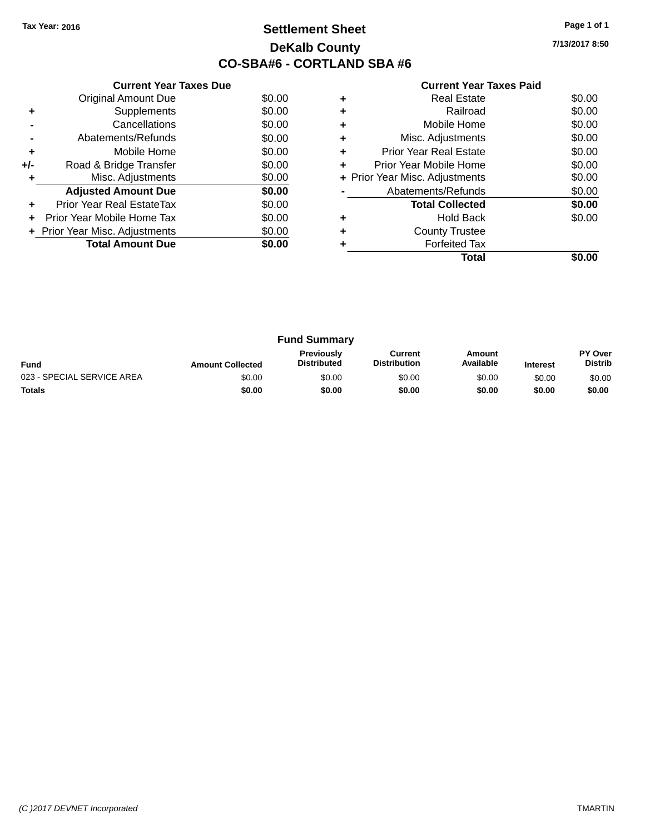### **Settlement Sheet Tax Year: 2016 Page 1 of 1 DeKalb County CO-SBA#6 - CORTLAND SBA #6**

**7/13/2017 8:50**

|     | <b>Current Year Taxes Due</b>  |        |
|-----|--------------------------------|--------|
|     | <b>Original Amount Due</b>     | \$0.00 |
| ٠   | Supplements                    | \$0.00 |
|     | Cancellations                  | \$0.00 |
|     | Abatements/Refunds             | \$0.00 |
| ٠   | Mobile Home                    | \$0.00 |
| +/- | Road & Bridge Transfer         | \$0.00 |
| ٠   | Misc. Adjustments              | \$0.00 |
|     | <b>Adjusted Amount Due</b>     | \$0.00 |
| ٠   | Prior Year Real EstateTax      | \$0.00 |
|     | Prior Year Mobile Home Tax     | \$0.00 |
|     | + Prior Year Misc. Adjustments | \$0.00 |
|     | <b>Total Amount Due</b>        | \$0.00 |
|     |                                |        |

|   | Real Estate                    | \$0.00 |
|---|--------------------------------|--------|
| ٠ | Railroad                       | \$0.00 |
| ٠ | Mobile Home                    | \$0.00 |
| ٠ | Misc. Adjustments              | \$0.00 |
| ٠ | <b>Prior Year Real Estate</b>  | \$0.00 |
| ٠ | Prior Year Mobile Home         | \$0.00 |
|   | + Prior Year Misc. Adjustments | \$0.00 |
|   | Abatements/Refunds             | \$0.00 |
|   | <b>Total Collected</b>         | \$0.00 |
| ٠ | <b>Hold Back</b>               | \$0.00 |
| ٠ | <b>County Trustee</b>          |        |
|   | <b>Forfeited Tax</b>           |        |
|   | Total                          |        |

|                            |                         | <b>Fund Summary</b>                     |                                |                     |                 |                           |
|----------------------------|-------------------------|-----------------------------------------|--------------------------------|---------------------|-----------------|---------------------------|
| <b>Fund</b>                | <b>Amount Collected</b> | <b>Previously</b><br><b>Distributed</b> | Current<br><b>Distribution</b> | Amount<br>Available | <b>Interest</b> | PY Over<br><b>Distrib</b> |
| 023 - SPECIAL SERVICE AREA | \$0.00                  | \$0.00                                  | \$0.00                         | \$0.00              | \$0.00          | \$0.00                    |
| <b>Totals</b>              | \$0.00                  | \$0.00                                  | \$0.00                         | \$0.00              | \$0.00          | \$0.00                    |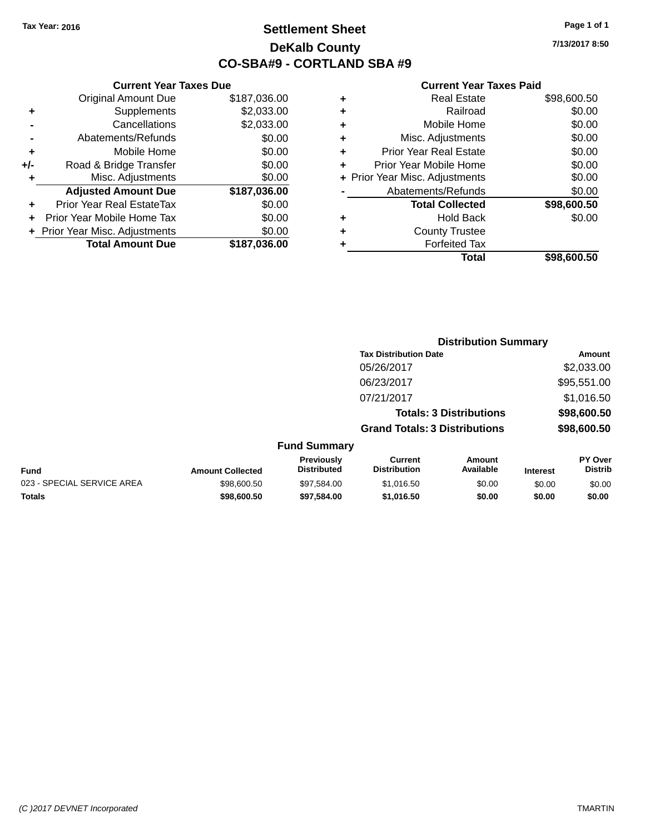### **Settlement Sheet Tax Year: 2016 Page 1 of 1 DeKalb County CO-SBA#9 - CORTLAND SBA #9**

**7/13/2017 8:50**

|     | <b>Current Year Taxes Due</b>    |              |
|-----|----------------------------------|--------------|
|     | <b>Original Amount Due</b>       | \$187,036.00 |
| ٠   | Supplements                      | \$2,033.00   |
|     | Cancellations                    | \$2,033.00   |
|     | Abatements/Refunds               | \$0.00       |
| ٠   | Mobile Home                      | \$0.00       |
| +/- | Road & Bridge Transfer           | \$0.00       |
| ٠   | Misc. Adjustments                | \$0.00       |
|     | <b>Adjusted Amount Due</b>       | \$187,036.00 |
|     | <b>Prior Year Real EstateTax</b> | \$0.00       |
|     | Prior Year Mobile Home Tax       | \$0.00       |
|     | + Prior Year Misc. Adjustments   | \$0.00       |
|     | <b>Total Amount Due</b>          | \$187,036.00 |
|     |                                  |              |

| ٠ | <b>Real Estate</b>             | \$98,600.50 |
|---|--------------------------------|-------------|
| ٠ | Railroad                       | \$0.00      |
| ٠ | Mobile Home                    | \$0.00      |
| ٠ | Misc. Adjustments              | \$0.00      |
| ٠ | <b>Prior Year Real Estate</b>  | \$0.00      |
| ٠ | Prior Year Mobile Home         | \$0.00      |
|   | + Prior Year Misc. Adjustments | \$0.00      |
|   | Abatements/Refunds             | \$0.00      |
|   | <b>Total Collected</b>         | \$98,600.50 |
| ٠ | <b>Hold Back</b>               | \$0.00      |
| ٠ | <b>County Trustee</b>          |             |
|   | <b>Forfeited Tax</b>           |             |
|   | Total                          | \$98,600.50 |
|   |                                |             |

|                            |                         |                                  | <b>Distribution Summary</b>           |                                |                 |                           |
|----------------------------|-------------------------|----------------------------------|---------------------------------------|--------------------------------|-----------------|---------------------------|
|                            |                         |                                  | <b>Tax Distribution Date</b>          |                                |                 | Amount                    |
|                            |                         |                                  | 05/26/2017                            |                                |                 | \$2,033.00                |
|                            |                         |                                  | 06/23/2017                            |                                |                 | \$95,551.00               |
|                            |                         |                                  | 07/21/2017                            |                                |                 | \$1,016.50                |
|                            |                         |                                  |                                       | <b>Totals: 3 Distributions</b> |                 | \$98,600.50               |
|                            |                         |                                  | <b>Grand Totals: 3 Distributions</b>  |                                |                 | \$98,600.50               |
|                            |                         | <b>Fund Summary</b>              |                                       |                                |                 |                           |
| <b>Fund</b>                | <b>Amount Collected</b> | Previously<br><b>Distributed</b> | <b>Current</b><br><b>Distribution</b> | Amount<br>Available            | <b>Interest</b> | PY Over<br><b>Distrib</b> |
| 023 - SPECIAL SERVICE AREA | \$98,600.50             | \$97,584.00                      | \$1,016.50                            | \$0.00                         | \$0.00          | \$0.00                    |
| <b>Totals</b>              | \$98,600.50             | \$97.584.00                      | \$1,016.50                            | \$0.00                         | \$0.00          | \$0.00                    |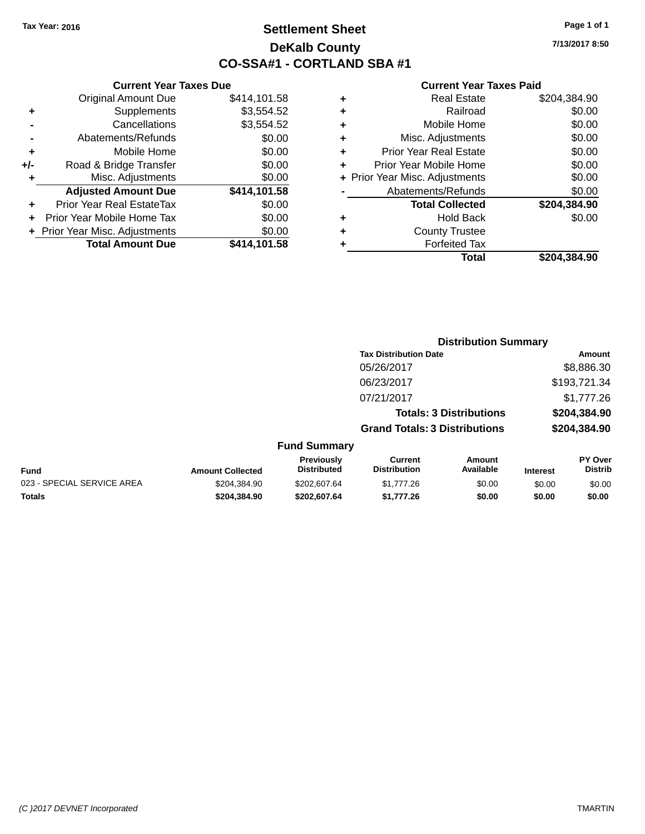### **Settlement Sheet Tax Year: 2016 Page 1 of 1 DeKalb County CO-SSA#1 - CORTLAND SBA #1**

**7/13/2017 8:50**

| Total                          | \$204.384.90 |
|--------------------------------|--------------|
| <b>Forfeited Tax</b>           |              |
| <b>County Trustee</b>          |              |
| <b>Hold Back</b>               | \$0.00       |
| <b>Total Collected</b>         | \$204,384.90 |
| Abatements/Refunds             | \$0.00       |
| + Prior Year Misc. Adjustments | \$0.00       |
| Prior Year Mobile Home         | \$0.00       |
| <b>Prior Year Real Estate</b>  | \$0.00       |
| Misc. Adjustments              | \$0.00       |
| Mobile Home                    | \$0.00       |
| Railroad                       | \$0.00       |
| <b>Real Estate</b>             | \$204,384.90 |
|                                |              |

|     | <b>Current Year Taxes Due</b>    |              |
|-----|----------------------------------|--------------|
|     | <b>Original Amount Due</b>       | \$414,101.58 |
| ٠   | Supplements                      | \$3,554.52   |
|     | Cancellations                    | \$3,554.52   |
|     | Abatements/Refunds               | \$0.00       |
| ٠   | Mobile Home                      | \$0.00       |
| +/- | Road & Bridge Transfer           | \$0.00       |
| ٠   | Misc. Adjustments                | \$0.00       |
|     | <b>Adjusted Amount Due</b>       | \$414,101.58 |
| ÷   | <b>Prior Year Real EstateTax</b> | \$0.00       |
| ÷   | Prior Year Mobile Home Tax       | \$0.00       |
|     | + Prior Year Misc. Adjustments   | \$0.00       |
|     | <b>Total Amount Due</b>          | \$414,101.58 |
|     |                                  |              |

|                   |                                         | <b>Distribution Summary</b>           |                                |          |                           |
|-------------------|-----------------------------------------|---------------------------------------|--------------------------------|----------|---------------------------|
|                   |                                         | <b>Tax Distribution Date</b>          |                                |          | Amount                    |
|                   |                                         | 05/26/2017                            |                                |          | \$8,886.30                |
|                   |                                         | 06/23/2017                            |                                |          | \$193,721.34              |
|                   |                                         | 07/21/2017                            |                                |          | \$1,777.26                |
|                   |                                         |                                       | <b>Totals: 3 Distributions</b> |          | \$204,384.90              |
|                   |                                         | <b>Grand Totals: 3 Distributions</b>  |                                |          | \$204,384.90              |
|                   | <b>Fund Summary</b>                     |                                       |                                |          |                           |
| <b>Callentari</b> | <b>Previously</b><br><b>Distributed</b> | <b>Current</b><br><b>Distribution</b> | <b>Amount</b><br>Availahle     | Interest | PY Over<br><b>Distrib</b> |

| <b>Fund</b>                | <b>Amount Collected</b> | <b>Previously</b><br><b>Distributed</b> | Current<br><b>Distribution</b> | Amount<br>Available | <b>Interest</b> | <b>PY Over</b><br>Distrib |
|----------------------------|-------------------------|-----------------------------------------|--------------------------------|---------------------|-----------------|---------------------------|
| 023 - SPECIAL SERVICE AREA | \$204.384.90            | \$202,607.64                            | \$1,777.26                     | \$0.00              | \$0.00          | \$0.00                    |
| <b>Totals</b>              | \$204.384.90            | \$202.607.64                            | \$1.777.26                     | \$0.00              | \$0.00          | \$0.00                    |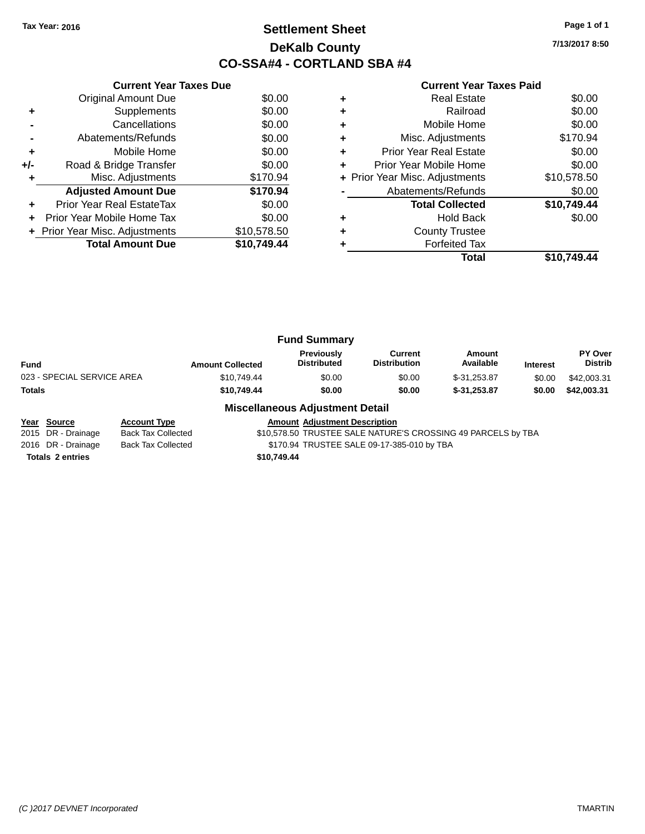### **Settlement Sheet Tax Year: 2016 Page 1 of 1 DeKalb County CO-SSA#4 - CORTLAND SBA #4**

**7/13/2017 8:50**

|     | <b>Current Year Taxes Due</b>  |             |
|-----|--------------------------------|-------------|
|     | Original Amount Due            | \$0.00      |
| ٠   | Supplements                    | \$0.00      |
|     | Cancellations                  | \$0.00      |
|     | Abatements/Refunds             | \$0.00      |
| ٠   | Mobile Home                    | \$0.00      |
| +/- | Road & Bridge Transfer         | \$0.00      |
| ÷   | Misc. Adjustments              | \$170.94    |
|     | <b>Adjusted Amount Due</b>     | \$170.94    |
| ٠   | Prior Year Real EstateTax      | \$0.00      |
|     | Prior Year Mobile Home Tax     | \$0.00      |
|     | + Prior Year Misc. Adjustments | \$10,578.50 |
|     | <b>Total Amount Due</b>        | \$10,749.44 |
|     |                                |             |

#### **Current Year Taxes Paid**

| <b>Real Estate</b>             | \$0.00      |
|--------------------------------|-------------|
| Railroad                       | \$0.00      |
| Mobile Home                    | \$0.00      |
| Misc. Adjustments              | \$170.94    |
| <b>Prior Year Real Estate</b>  | \$0.00      |
| Prior Year Mobile Home         | \$0.00      |
| + Prior Year Misc. Adjustments | \$10,578.50 |
| Abatements/Refunds             | \$0.00      |
| <b>Total Collected</b>         | \$10,749.44 |
| <b>Hold Back</b>               | \$0.00      |
| <b>County Trustee</b>          |             |
| <b>Forfeited Tax</b>           |             |
| Total                          | \$10.749.44 |
|                                |             |

|                            |                         | <b>Fund Summary</b>              |                                |                     |                 |                                  |
|----------------------------|-------------------------|----------------------------------|--------------------------------|---------------------|-----------------|----------------------------------|
| Fund                       | <b>Amount Collected</b> | Previously<br><b>Distributed</b> | Current<br><b>Distribution</b> | Amount<br>Available | <b>Interest</b> | <b>PY Over</b><br><b>Distrib</b> |
| 023 - SPECIAL SERVICE AREA | \$10.749.44             | \$0.00                           | \$0.00                         | $$-31.253.87$       | \$0.00          | \$42,003.31                      |
| Totals                     | \$10,749.44             | \$0.00                           | \$0.00                         | $$-31.253.87$       | \$0.00          | \$42,003.31                      |
|                            |                         |                                  |                                |                     |                 |                                  |

#### **Miscellaneous Adjustment Detail**

**Year Source Account Type Amount Adjustment Description** \$10,578.50 TRUSTEE SALE NATURE'S CROSSING 49 PARCELS by TBA 2016 DR - Drainage Back Tax Collected \$170.94 TRUSTEE SALE 09-17-385-010 by TBA **Totals \$10,749.44 2 entries**

*(C )2017 DEVNET Incorporated* TMARTIN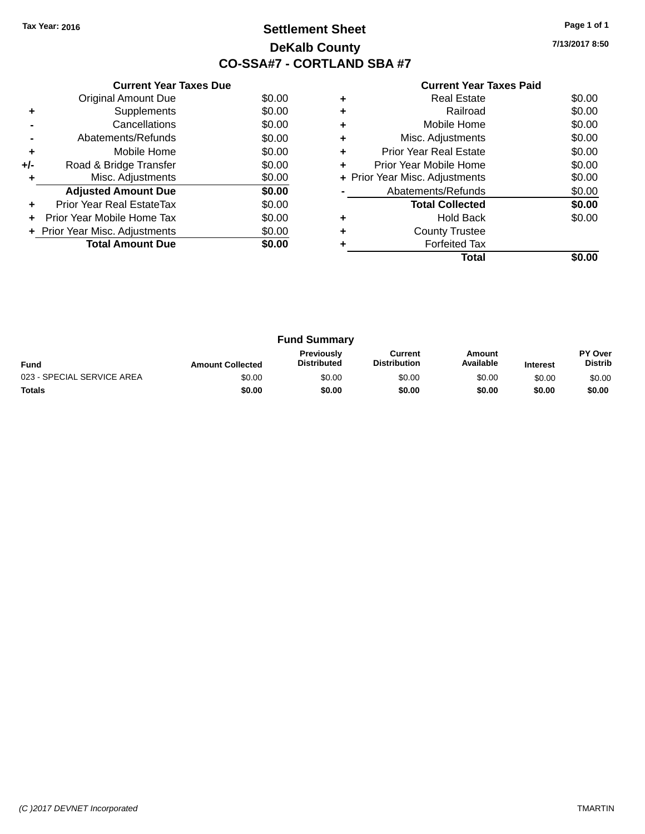### **Settlement Sheet Tax Year: 2016 Page 1 of 1 DeKalb County CO-SSA#7 - CORTLAND SBA #7**

**7/13/2017 8:50**

|     | <b>Current Year Taxes Due</b>  |        |
|-----|--------------------------------|--------|
|     | <b>Original Amount Due</b>     | \$0.00 |
| ٠   | Supplements                    | \$0.00 |
|     | Cancellations                  | \$0.00 |
|     | Abatements/Refunds             | \$0.00 |
| ÷   | Mobile Home                    | \$0.00 |
| +/- | Road & Bridge Transfer         | \$0.00 |
|     | Misc. Adjustments              | \$0.00 |
|     | <b>Adjusted Amount Due</b>     | \$0.00 |
|     | Prior Year Real EstateTax      | \$0.00 |
|     | Prior Year Mobile Home Tax     | \$0.00 |
|     | + Prior Year Misc. Adjustments | \$0.00 |
|     | <b>Total Amount Due</b>        | \$0.00 |
|     |                                |        |

|   | Total                          |        |
|---|--------------------------------|--------|
|   | <b>Forfeited Tax</b>           |        |
|   | <b>County Trustee</b>          |        |
|   | Hold Back                      | \$0.00 |
|   | <b>Total Collected</b>         | \$0.00 |
|   | Abatements/Refunds             | \$0.00 |
|   | + Prior Year Misc. Adjustments | \$0.00 |
|   | Prior Year Mobile Home         | \$0.00 |
| ٠ | Prior Year Real Estate         | \$0.00 |
| ٠ | Misc. Adjustments              | \$0.00 |
| ٠ | Mobile Home                    | \$0.00 |
|   | Railroad                       | \$0.00 |
|   | Real Estate                    | \$0.00 |

| <b>Fund Summary</b>        |                         |                                         |                                |                     |                 |                                  |
|----------------------------|-------------------------|-----------------------------------------|--------------------------------|---------------------|-----------------|----------------------------------|
| <b>Fund</b>                | <b>Amount Collected</b> | <b>Previously</b><br><b>Distributed</b> | Current<br><b>Distribution</b> | Amount<br>Available | <b>Interest</b> | <b>PY Over</b><br><b>Distrib</b> |
| 023 - SPECIAL SERVICE AREA | \$0.00                  | \$0.00                                  | \$0.00                         | \$0.00              | \$0.00          | \$0.00                           |
| <b>Totals</b>              | \$0.00                  | \$0.00                                  | \$0.00                         | \$0.00              | \$0.00          | \$0.00                           |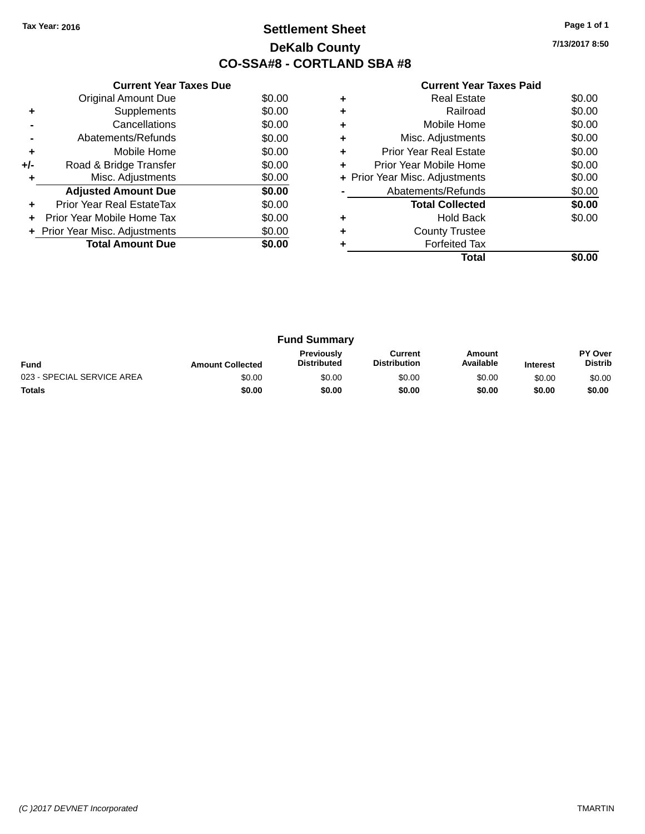### **Settlement Sheet Tax Year: 2016 Page 1 of 1 DeKalb County CO-SSA#8 - CORTLAND SBA #8**

**7/13/2017 8:50**

|     | <b>Current Year Taxes Due</b>  |        |
|-----|--------------------------------|--------|
|     | <b>Original Amount Due</b>     | \$0.00 |
| ٠   | Supplements                    | \$0.00 |
|     | Cancellations                  | \$0.00 |
|     | Abatements/Refunds             | \$0.00 |
| ٠   | Mobile Home                    | \$0.00 |
| +/- | Road & Bridge Transfer         | \$0.00 |
| ٠   | Misc. Adjustments              | \$0.00 |
|     | <b>Adjusted Amount Due</b>     | \$0.00 |
| ÷   | Prior Year Real EstateTax      | \$0.00 |
|     | Prior Year Mobile Home Tax     | \$0.00 |
|     | + Prior Year Misc. Adjustments | \$0.00 |
|     | <b>Total Amount Due</b>        | \$0.00 |
|     |                                |        |

|   | <b>Real Estate</b>             | \$0.00 |
|---|--------------------------------|--------|
|   | Railroad                       | \$0.00 |
|   | Mobile Home                    | \$0.00 |
| ٠ | Misc. Adjustments              | \$0.00 |
| ٠ | Prior Year Real Estate         | \$0.00 |
| ٠ | Prior Year Mobile Home         | \$0.00 |
|   | + Prior Year Misc. Adjustments | \$0.00 |
|   | Abatements/Refunds             | \$0.00 |
|   | <b>Total Collected</b>         | \$0.00 |
|   | Hold Back                      | \$0.00 |
|   | <b>County Trustee</b>          |        |
|   | <b>Forfeited Tax</b>           |        |
|   | Total                          |        |

| <b>Fund Summary</b>        |                         |                                         |                                |                     |                 |                           |
|----------------------------|-------------------------|-----------------------------------------|--------------------------------|---------------------|-----------------|---------------------------|
| <b>Fund</b>                | <b>Amount Collected</b> | <b>Previously</b><br><b>Distributed</b> | Current<br><b>Distribution</b> | Amount<br>Available | <b>Interest</b> | PY Over<br><b>Distrib</b> |
| 023 - SPECIAL SERVICE AREA | \$0.00                  | \$0.00                                  | \$0.00                         | \$0.00              | \$0.00          | \$0.00                    |
| <b>Totals</b>              | \$0.00                  | \$0.00                                  | \$0.00                         | \$0.00              | \$0.00          | \$0.00                    |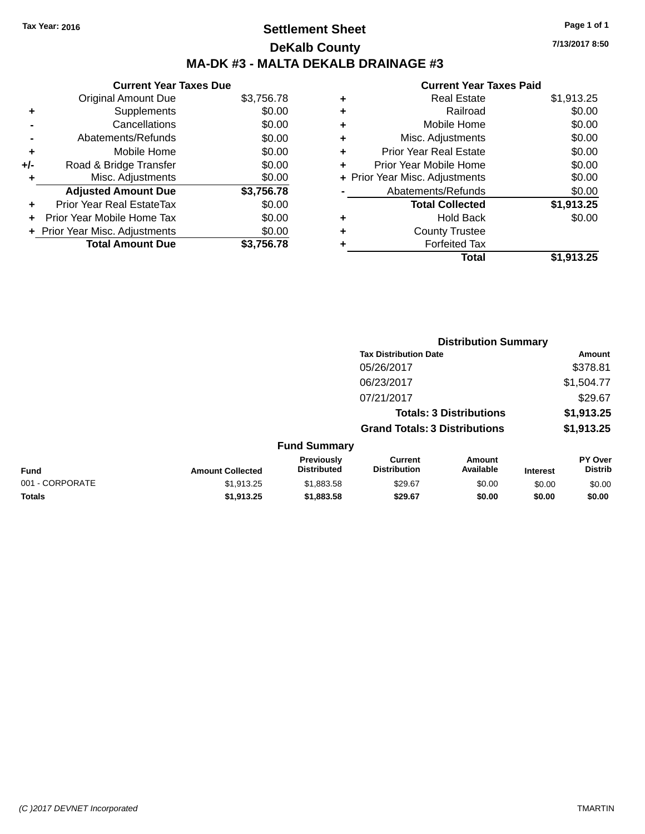### **Settlement Sheet Tax Year: 2016 Page 1 of 1 DeKalb County MA-DK #3 - MALTA DEKALB DRAINAGE #3**

**Current Year Taxes Due** Original Amount Due \$3,756.78 **+** Supplements \$0.00 **-** Cancellations \$0.00 **-** Abatements/Refunds \$0.00 **+** Mobile Home \$0.00 **+/-** Road & Bridge Transfer \$0.00 **+** Misc. Adjustments \$0.00 **Adjusted Amount Due \$3,756.78 +** Prior Year Real EstateTax \$0.00 **+** Prior Year Mobile Home Tax \$0.00 **+ Prior Year Misc. Adjustments**  $$0.00$ **Total Amount Due \$3,756.78**

| ٠ | <b>Real Estate</b>             | \$1,913.25 |
|---|--------------------------------|------------|
| ٠ | Railroad                       | \$0.00     |
| ٠ | Mobile Home                    | \$0.00     |
| ٠ | Misc. Adjustments              | \$0.00     |
| ٠ | <b>Prior Year Real Estate</b>  | \$0.00     |
| ÷ | Prior Year Mobile Home         | \$0.00     |
|   | + Prior Year Misc. Adjustments | \$0.00     |
|   | Abatements/Refunds             | \$0.00     |
|   | <b>Total Collected</b>         | \$1,913.25 |
| ٠ | Hold Back                      | \$0.00     |
| ٠ | <b>County Trustee</b>          |            |
| ٠ | <b>Forfeited Tax</b>           |            |
|   | Total                          | \$1,913.25 |
|   |                                |            |

|                 |                         |                                  | <b>Distribution Summary</b>           |                                |                 |                                  |
|-----------------|-------------------------|----------------------------------|---------------------------------------|--------------------------------|-----------------|----------------------------------|
|                 |                         |                                  | <b>Tax Distribution Date</b>          |                                |                 | Amount                           |
|                 |                         |                                  | 05/26/2017                            |                                |                 | \$378.81                         |
|                 |                         |                                  | 06/23/2017                            |                                |                 | \$1,504.77                       |
|                 |                         |                                  | 07/21/2017                            |                                |                 | \$29.67                          |
|                 |                         |                                  |                                       | <b>Totals: 3 Distributions</b> |                 | \$1,913.25                       |
|                 |                         |                                  | <b>Grand Totals: 3 Distributions</b>  |                                |                 | \$1,913.25                       |
|                 |                         | <b>Fund Summary</b>              |                                       |                                |                 |                                  |
| <b>Fund</b>     | <b>Amount Collected</b> | Previously<br><b>Distributed</b> | <b>Current</b><br><b>Distribution</b> | Amount<br>Available            | <b>Interest</b> | <b>PY Over</b><br><b>Distrib</b> |
| 001 - CORPORATE | \$1,913.25              | \$1,883.58                       | \$29.67                               | \$0.00                         | \$0.00          | \$0.00                           |
| <b>Totals</b>   | \$1,913.25              | \$1,883.58                       | \$29.67                               | \$0.00                         | \$0.00          | \$0.00                           |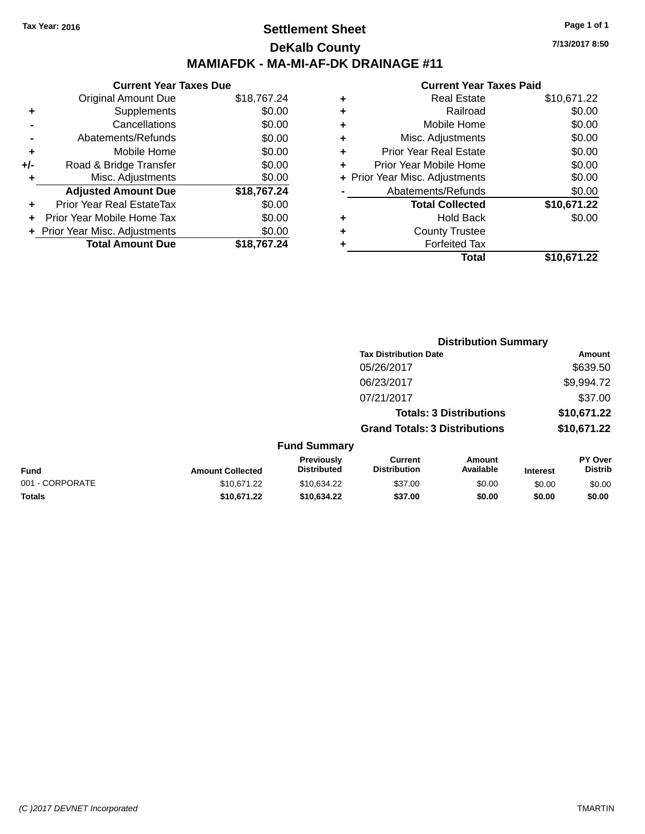### **Settlement Sheet Tax Year: 2016 Page 1 of 1 DeKalb County MAMIAFDK - MA-MI-AF-DK DRAINAGE #11**

|     | <b>Current Year Taxes Due</b>  |             |
|-----|--------------------------------|-------------|
|     | <b>Original Amount Due</b>     | \$18,767.24 |
| ٠   | Supplements                    | \$0.00      |
|     | Cancellations                  | \$0.00      |
|     | Abatements/Refunds             | \$0.00      |
| ٠   | Mobile Home                    | \$0.00      |
| +/- | Road & Bridge Transfer         | \$0.00      |
| ٠   | Misc. Adjustments              | \$0.00      |
|     | <b>Adjusted Amount Due</b>     | \$18,767.24 |
| ÷   | Prior Year Real EstateTax      | \$0.00      |
|     | Prior Year Mobile Home Tax     | \$0.00      |
|     | + Prior Year Misc. Adjustments | \$0.00      |
|     | <b>Total Amount Due</b>        | \$18,767.24 |

### **Current Year Taxes Paid +** Real Estate \$10,671.22

|   | Total                          | \$10,671.22         |
|---|--------------------------------|---------------------|
|   | <b>Forfeited Tax</b>           |                     |
| ÷ | <b>County Trustee</b>          |                     |
|   | <b>Hold Back</b>               | \$0.00              |
|   | <b>Total Collected</b>         | \$10,671.22         |
|   | Abatements/Refunds             | \$0.00              |
|   | + Prior Year Misc. Adjustments | \$0.00              |
| ٠ | Prior Year Mobile Home         | \$0.00              |
| ٠ | <b>Prior Year Real Estate</b>  | \$0.00              |
| ٠ | Misc. Adjustments              | \$0.00              |
| ٠ | Mobile Home                    | \$0.00              |
| ÷ | Railroad                       | \$0.00              |
| T | πται ∟σιαισ                    | <b>JU, UI 1.</b> ZZ |

|                 |                         |                                  | <b>Distribution Summary</b>           |                                |                 |                           |
|-----------------|-------------------------|----------------------------------|---------------------------------------|--------------------------------|-----------------|---------------------------|
|                 |                         |                                  | <b>Tax Distribution Date</b>          |                                |                 | <b>Amount</b>             |
|                 |                         |                                  | 05/26/2017                            |                                |                 | \$639.50                  |
|                 |                         |                                  | 06/23/2017                            |                                |                 | \$9,994.72                |
|                 |                         |                                  | 07/21/2017                            |                                |                 | \$37.00                   |
|                 |                         |                                  |                                       | <b>Totals: 3 Distributions</b> |                 | \$10,671.22               |
|                 |                         |                                  | <b>Grand Totals: 3 Distributions</b>  |                                |                 | \$10,671.22               |
|                 |                         | <b>Fund Summary</b>              |                                       |                                |                 |                           |
| <b>Fund</b>     | <b>Amount Collected</b> | Previously<br><b>Distributed</b> | <b>Current</b><br><b>Distribution</b> | Amount<br>Available            | <b>Interest</b> | PY Over<br><b>Distrib</b> |
| 001 - CORPORATE | \$10,671.22             | \$10,634.22                      | \$37.00                               | \$0.00                         | \$0.00          | \$0.00                    |
| <b>Totals</b>   | \$10,671.22             | \$10,634.22                      | \$37.00                               | \$0.00                         | \$0.00          | \$0.00                    |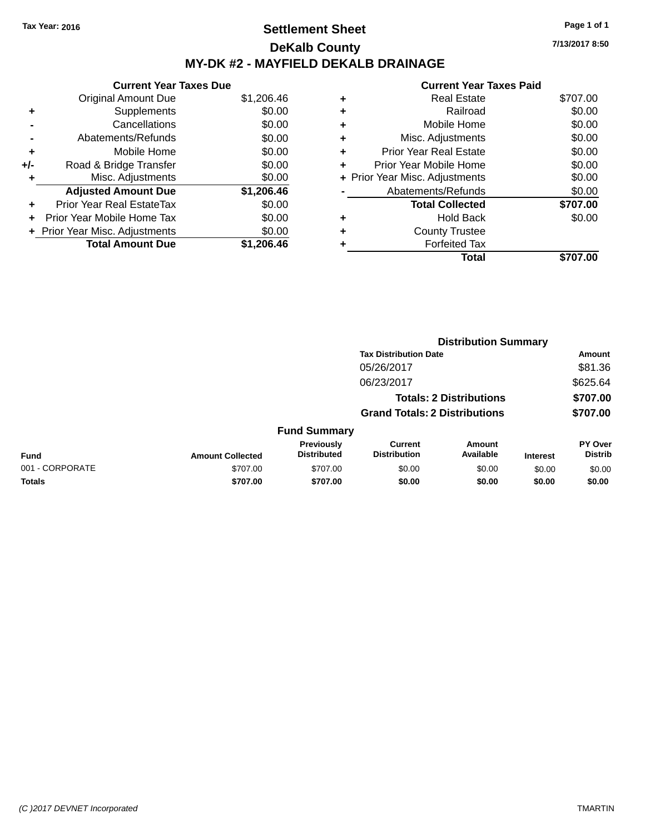### **Settlement Sheet Tax Year: 2016 Page 1 of 1 DeKalb County MY-DK #2 - MAYFIELD DEKALB DRAINAGE**

**7/13/2017 8:50**

|     | <b>Current Year Taxes Due</b>  |            |
|-----|--------------------------------|------------|
|     | <b>Original Amount Due</b>     | \$1,206.46 |
| ٠   | Supplements                    | \$0.00     |
|     | Cancellations                  | \$0.00     |
|     | Abatements/Refunds             | \$0.00     |
| ٠   | Mobile Home                    | \$0.00     |
| +/- | Road & Bridge Transfer         | \$0.00     |
| ٠   | Misc. Adjustments              | \$0.00     |
|     | <b>Adjusted Amount Due</b>     | \$1,206.46 |
| ٠   | Prior Year Real EstateTax      | \$0.00     |
| ÷   | Prior Year Mobile Home Tax     | \$0.00     |
|     | + Prior Year Misc. Adjustments | \$0.00     |
|     | <b>Total Amount Due</b>        | \$1,206.46 |

| ٠ | <b>Real Estate</b>             | \$707.00 |
|---|--------------------------------|----------|
| ٠ | Railroad                       | \$0.00   |
| ٠ | Mobile Home                    | \$0.00   |
| ٠ | Misc. Adjustments              | \$0.00   |
| ٠ | <b>Prior Year Real Estate</b>  | \$0.00   |
|   | Prior Year Mobile Home         | \$0.00   |
|   | + Prior Year Misc. Adjustments | \$0.00   |
|   | Abatements/Refunds             | \$0.00   |
|   | <b>Total Collected</b>         | \$707.00 |
|   | <b>Hold Back</b>               | \$0.00   |
|   | <b>County Trustee</b>          |          |
| ٠ | <b>Forfeited Tax</b>           |          |
|   | Total                          | \$707.00 |
|   |                                |          |

|                 |                         |                                  |                                       | <b>Distribution Summary</b>    |                 |                           |
|-----------------|-------------------------|----------------------------------|---------------------------------------|--------------------------------|-----------------|---------------------------|
|                 |                         |                                  | <b>Tax Distribution Date</b>          |                                |                 | <b>Amount</b>             |
|                 |                         |                                  | 05/26/2017                            |                                |                 | \$81.36                   |
|                 |                         |                                  | 06/23/2017                            |                                |                 | \$625.64                  |
|                 |                         |                                  |                                       | <b>Totals: 2 Distributions</b> |                 | \$707.00                  |
|                 |                         |                                  | <b>Grand Totals: 2 Distributions</b>  |                                |                 | \$707.00                  |
|                 |                         | <b>Fund Summary</b>              |                                       |                                |                 |                           |
| <b>Fund</b>     | <b>Amount Collected</b> | Previously<br><b>Distributed</b> | <b>Current</b><br><b>Distribution</b> | Amount<br>Available            | <b>Interest</b> | PY Over<br><b>Distrib</b> |
| 001 - CORPORATE | \$707.00                | \$707.00                         | \$0.00                                | \$0.00                         | \$0.00          | \$0.00                    |
| <b>Totals</b>   | \$707.00                | \$707.00                         | \$0.00                                | \$0.00                         | \$0.00          | \$0.00                    |
|                 |                         |                                  |                                       |                                |                 |                           |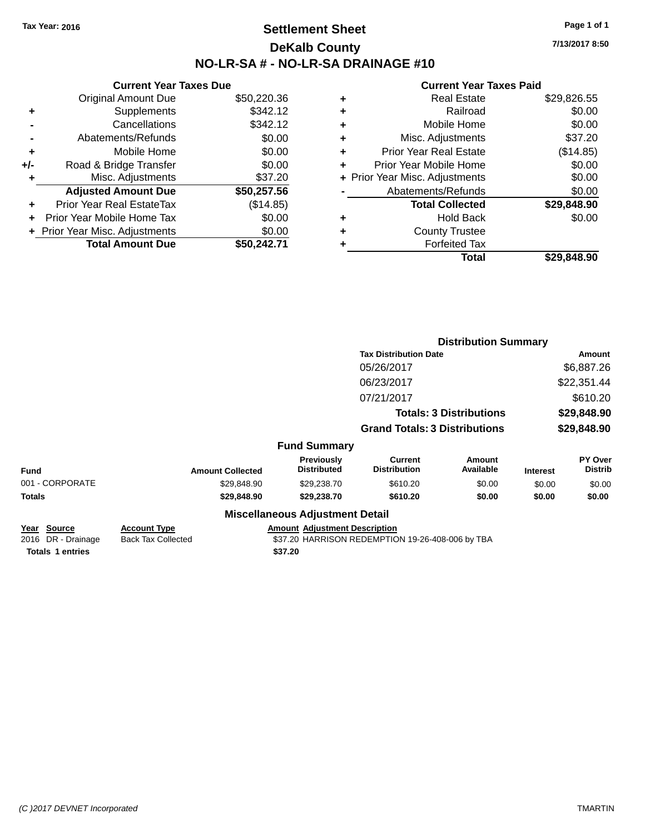### **Settlement Sheet Tax Year: 2016 Page 1 of 1 DeKalb County NO-LR-SA # - NO-LR-SA DRAINAGE #10**

**7/13/2017 8:50**

| <b>Original Amount Due</b> | \$50,220.36                                                     |
|----------------------------|-----------------------------------------------------------------|
| Supplements                | \$342.12                                                        |
| Cancellations              | \$342.12                                                        |
| Abatements/Refunds         | \$0.00                                                          |
| Mobile Home                | \$0.00                                                          |
| Road & Bridge Transfer     | \$0.00                                                          |
| Misc. Adjustments          | \$37.20                                                         |
| <b>Adjusted Amount Due</b> | \$50,257.56                                                     |
| Prior Year Real EstateTax  | (\$14.85)                                                       |
| Prior Year Mobile Home Tax | \$0.00                                                          |
|                            | \$0.00                                                          |
| <b>Total Amount Due</b>    | \$50.242.71                                                     |
|                            | <b>Current Year Taxes Due</b><br>+ Prior Year Misc. Adjustments |

| ٠ | Real Estate                    | \$29,826.55 |
|---|--------------------------------|-------------|
| ٠ | Railroad                       | \$0.00      |
| ٠ | Mobile Home                    | \$0.00      |
| ٠ | Misc. Adjustments              | \$37.20     |
| ٠ | <b>Prior Year Real Estate</b>  | (\$14.85)   |
|   | Prior Year Mobile Home         | \$0.00      |
|   | + Prior Year Misc. Adjustments | \$0.00      |
|   | Abatements/Refunds             | \$0.00      |
|   | <b>Total Collected</b>         | \$29,848.90 |
| ٠ | <b>Hold Back</b>               | \$0.00      |
|   | <b>County Trustee</b>          |             |
| ٠ | <b>Forfeited Tax</b>           |             |
|   | <b>Total</b>                   | \$29,848.90 |
|   |                                |             |

|                                          |                                                  |                                         |                                                  | <b>Distribution Summary</b>    |                 |                           |
|------------------------------------------|--------------------------------------------------|-----------------------------------------|--------------------------------------------------|--------------------------------|-----------------|---------------------------|
|                                          |                                                  |                                         | <b>Tax Distribution Date</b>                     |                                |                 | Amount                    |
|                                          |                                                  |                                         | 05/26/2017                                       |                                |                 | \$6,887.26                |
|                                          |                                                  |                                         | 06/23/2017                                       |                                |                 | \$22,351.44               |
|                                          |                                                  |                                         | 07/21/2017                                       |                                |                 | \$610.20                  |
|                                          |                                                  |                                         |                                                  | <b>Totals: 3 Distributions</b> |                 | \$29,848.90               |
|                                          |                                                  |                                         | <b>Grand Totals: 3 Distributions</b>             |                                |                 | \$29,848.90               |
|                                          |                                                  | <b>Fund Summary</b>                     |                                                  |                                |                 |                           |
| Fund                                     | <b>Amount Collected</b>                          | <b>Previously</b><br><b>Distributed</b> | <b>Current</b><br><b>Distribution</b>            | <b>Amount</b><br>Available     | <b>Interest</b> | PY Over<br><b>Distrib</b> |
| 001 - CORPORATE                          | \$29,848.90                                      | \$29,238.70                             | \$610.20                                         | \$0.00                         | \$0.00          | \$0.00                    |
| Totals                                   | \$29,848.90                                      | \$29,238.70                             | \$610.20                                         | \$0.00                         | \$0.00          | \$0.00                    |
|                                          |                                                  | <b>Miscellaneous Adjustment Detail</b>  |                                                  |                                |                 |                           |
| <u>Year Source</u><br>2016 DR - Drainage | <b>Account Type</b><br><b>Back Tax Collected</b> | <b>Amount Adjustment Description</b>    | \$37.20 HARRISON REDEMPTION 19-26-408-006 by TBA |                                |                 |                           |
| <b>Totals 1 entries</b>                  |                                                  | \$37.20                                 |                                                  |                                |                 |                           |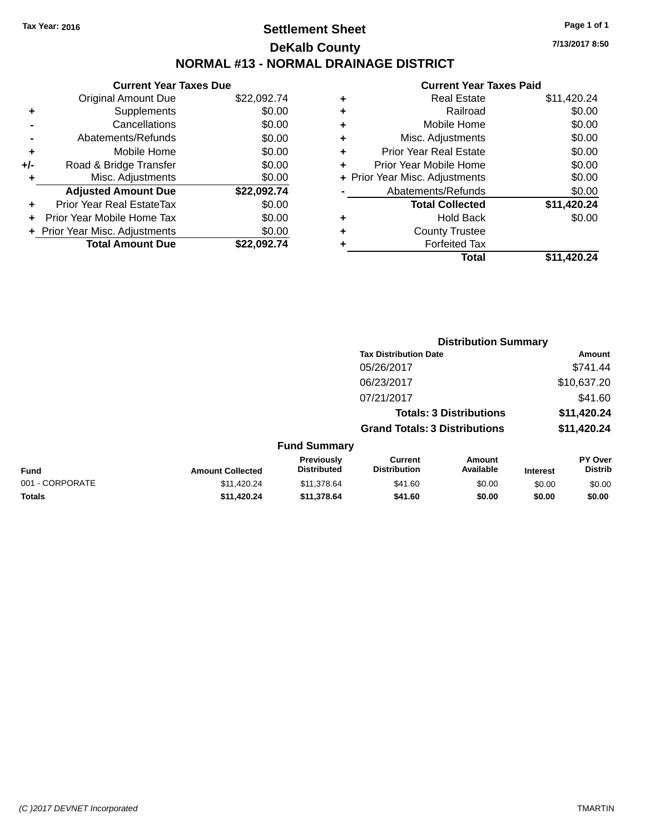### **Settlement Sheet Tax Year: 2016 Page 1 of 1 DeKalb County NORMAL #13 - NORMAL DRAINAGE DISTRICT**

**Current Year Taxes Due** Original Amount Due \$22,092.74 **+** Supplements \$0.00 **-** Cancellations \$0.00 **-** Abatements/Refunds \$0.00 **+** Mobile Home \$0.00 **+/-** Road & Bridge Transfer \$0.00 **+** Misc. Adjustments \$0.00 **Adjusted Amount Due \$22,092.74 +** Prior Year Real EstateTax \$0.00 **+** Prior Year Mobile Home Tax \$0.00 **+** Prior Year Misc. Adjustments  $$0.00$ **Total Amount Due \$22,092.74**

#### **Current Year Taxes Paid +** Real Estate \$11,420.24 **+** Railroad \$0.00 **+** Mobile Home \$0.00 **+** Misc. Adjustments \$0.00 **+** Prior Year Real Estate \$0.00 **+** Prior Year Mobile Home \$0.00 **+** Prior Year Misc. Adjustments  $$0.00$ Abatements/Refunds \$0.00 **Total Collected \$11,420.24 +** Hold Back \$0.00 **+** County Trustee **+** Forfeited Tax **Total \$11,420.24**

**Distribution Summary**

|                 |                         |                                  |                                       | <b>PISUINGUOIL OGIIIIIIGI V</b> |                 |                                  |
|-----------------|-------------------------|----------------------------------|---------------------------------------|---------------------------------|-----------------|----------------------------------|
|                 |                         |                                  | <b>Tax Distribution Date</b>          |                                 |                 | Amount                           |
|                 |                         |                                  | 05/26/2017                            |                                 |                 | \$741.44                         |
|                 |                         |                                  | 06/23/2017                            |                                 |                 | \$10,637.20                      |
|                 |                         |                                  | 07/21/2017                            |                                 |                 | \$41.60                          |
|                 |                         |                                  |                                       | <b>Totals: 3 Distributions</b>  |                 | \$11,420.24                      |
|                 |                         |                                  | <b>Grand Totals: 3 Distributions</b>  |                                 |                 | \$11,420.24                      |
|                 |                         | <b>Fund Summary</b>              |                                       |                                 |                 |                                  |
| <b>Fund</b>     | <b>Amount Collected</b> | Previously<br><b>Distributed</b> | <b>Current</b><br><b>Distribution</b> | Amount<br>Available             | <b>Interest</b> | <b>PY Over</b><br><b>Distrib</b> |
| 001 - CORPORATE | \$11,420.24             | \$11,378.64                      | \$41.60                               | \$0.00                          | \$0.00          | \$0.00                           |
| <b>Totals</b>   | \$11.420.24             | \$11,378.64                      | \$41.60                               | \$0.00                          | \$0.00          | \$0.00                           |
|                 |                         |                                  |                                       |                                 |                 |                                  |

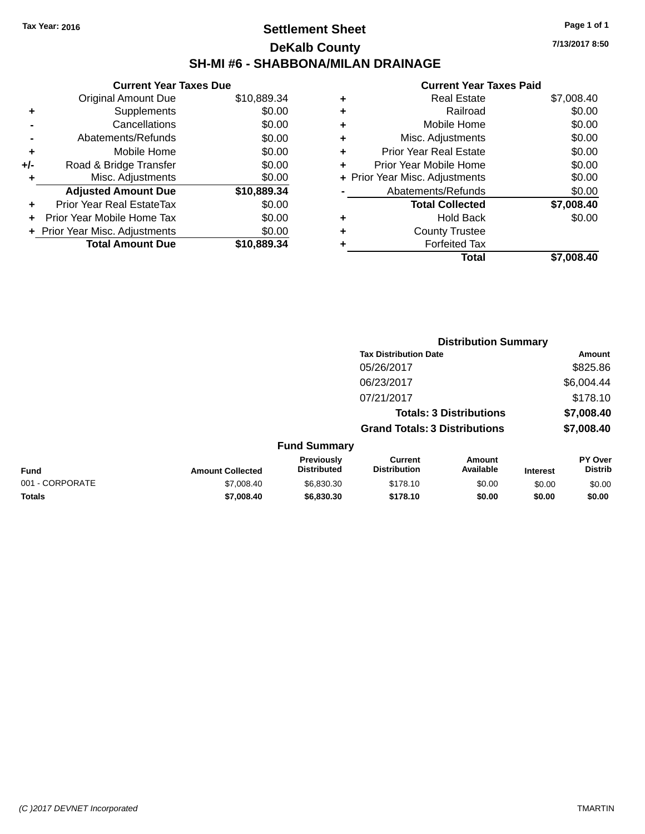### **Settlement Sheet Tax Year: 2016 Page 1 of 1 DeKalb County SH-MI #6 - SHABBONA/MILAN DRAINAGE**

**7/13/2017 8:50**

|     | <b>Current Year Taxes Due</b>  |             |
|-----|--------------------------------|-------------|
|     | <b>Original Amount Due</b>     | \$10,889.34 |
| ٠   | Supplements                    | \$0.00      |
|     | Cancellations                  | \$0.00      |
|     | Abatements/Refunds             | \$0.00      |
| ٠   | Mobile Home                    | \$0.00      |
| +/- | Road & Bridge Transfer         | \$0.00      |
| ٠   | Misc. Adjustments              | \$0.00      |
|     | <b>Adjusted Amount Due</b>     | \$10,889.34 |
| ٠   | Prior Year Real EstateTax      | \$0.00      |
|     | Prior Year Mobile Home Tax     | \$0.00      |
|     | + Prior Year Misc. Adjustments | \$0.00      |
|     | <b>Total Amount Due</b>        | \$10,889.34 |
|     |                                |             |

| ٠ | <b>Real Estate</b>             | \$7,008.40 |
|---|--------------------------------|------------|
| ٠ | Railroad                       | \$0.00     |
| ٠ | Mobile Home                    | \$0.00     |
| ٠ | Misc. Adjustments              | \$0.00     |
| ٠ | <b>Prior Year Real Estate</b>  | \$0.00     |
|   | Prior Year Mobile Home         | \$0.00     |
|   | + Prior Year Misc. Adjustments | \$0.00     |
|   | Abatements/Refunds             | \$0.00     |
|   | <b>Total Collected</b>         | \$7,008.40 |
| ٠ | <b>Hold Back</b>               | \$0.00     |
| ٠ | <b>County Trustee</b>          |            |
|   | <b>Forfeited Tax</b>           |            |
|   | Total                          | \$7.008.40 |
|   |                                |            |

|                 |                         |                                  | <b>Distribution Summary</b>           |                                |                 |                           |
|-----------------|-------------------------|----------------------------------|---------------------------------------|--------------------------------|-----------------|---------------------------|
|                 |                         |                                  | <b>Tax Distribution Date</b>          |                                |                 | Amount                    |
|                 |                         |                                  | 05/26/2017                            |                                |                 | \$825.86                  |
|                 |                         |                                  | 06/23/2017                            |                                |                 | \$6,004.44                |
|                 |                         |                                  | 07/21/2017                            |                                |                 | \$178.10                  |
|                 |                         |                                  |                                       | <b>Totals: 3 Distributions</b> |                 | \$7,008.40                |
|                 |                         |                                  | <b>Grand Totals: 3 Distributions</b>  |                                |                 | \$7,008.40                |
|                 |                         | <b>Fund Summary</b>              |                                       |                                |                 |                           |
| <b>Fund</b>     | <b>Amount Collected</b> | Previously<br><b>Distributed</b> | <b>Current</b><br><b>Distribution</b> | Amount<br>Available            | <b>Interest</b> | PY Over<br><b>Distrib</b> |
| 001 - CORPORATE | \$7,008.40              | \$6,830.30                       | \$178.10                              | \$0.00                         | \$0.00          | \$0.00                    |
| <b>Totals</b>   | \$7,008.40              | \$6,830.30                       | \$178.10                              | \$0.00                         | \$0.00          | \$0.00                    |
|                 |                         |                                  |                                       |                                |                 |                           |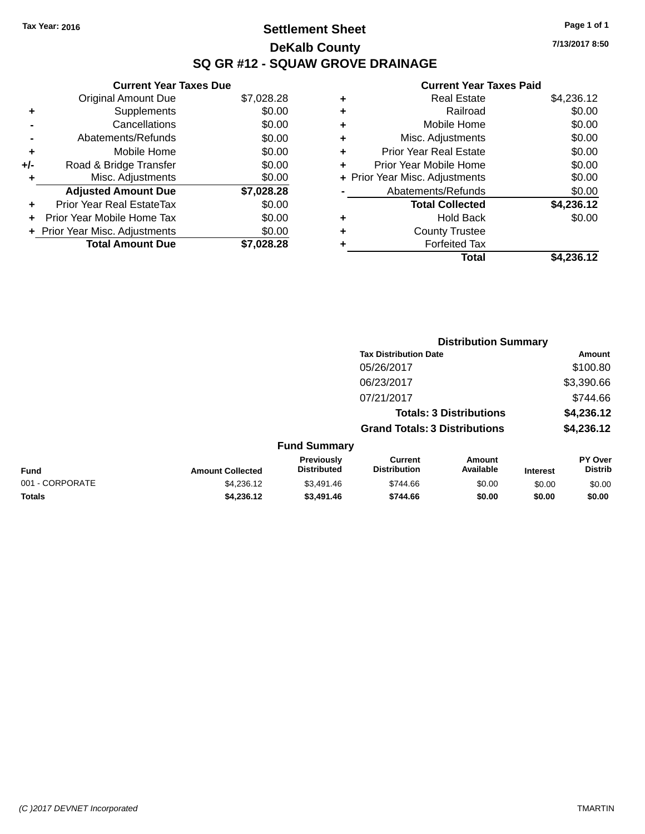### **Settlement Sheet Tax Year: 2016 Page 1 of 1 DeKalb County SQ GR #12 - SQUAW GROVE DRAINAGE**

**7/13/2017 8:50**

|     | <b>Current Year Taxes Due</b>  |            |
|-----|--------------------------------|------------|
|     | <b>Original Amount Due</b>     | \$7,028.28 |
| ٠   | Supplements                    | \$0.00     |
|     | Cancellations                  | \$0.00     |
|     | Abatements/Refunds             | \$0.00     |
| ٠   | Mobile Home                    | \$0.00     |
| +/- | Road & Bridge Transfer         | \$0.00     |
| ٠   | Misc. Adjustments              | \$0.00     |
|     | <b>Adjusted Amount Due</b>     | \$7,028.28 |
| ÷   | Prior Year Real EstateTax      | \$0.00     |
| ÷   | Prior Year Mobile Home Tax     | \$0.00     |
|     | + Prior Year Misc. Adjustments | \$0.00     |
|     | <b>Total Amount Due</b>        | \$7,028.28 |

| ٠ | <b>Real Estate</b>             | \$4,236.12 |
|---|--------------------------------|------------|
| ٠ | Railroad                       | \$0.00     |
| ٠ | Mobile Home                    | \$0.00     |
| ٠ | Misc. Adjustments              | \$0.00     |
| ٠ | <b>Prior Year Real Estate</b>  | \$0.00     |
| ÷ | Prior Year Mobile Home         | \$0.00     |
|   | + Prior Year Misc. Adjustments | \$0.00     |
|   | Abatements/Refunds             | \$0.00     |
|   | <b>Total Collected</b>         | \$4,236.12 |
| ٠ | <b>Hold Back</b>               | \$0.00     |
| ٠ | <b>County Trustee</b>          |            |
| ٠ | <b>Forfeited Tax</b>           |            |
|   | Total                          | \$4,236.12 |
|   |                                |            |

|                 |                         |                                  |                                       | <b>Distribution Summary</b> |                 |                           |
|-----------------|-------------------------|----------------------------------|---------------------------------------|-----------------------------|-----------------|---------------------------|
|                 |                         |                                  | <b>Tax Distribution Date</b>          |                             |                 | <b>Amount</b>             |
|                 |                         |                                  | 05/26/2017                            |                             |                 | \$100.80                  |
|                 |                         |                                  | 06/23/2017                            |                             |                 | \$3,390.66                |
|                 |                         |                                  | 07/21/2017                            |                             |                 | \$744.66                  |
|                 |                         |                                  | <b>Totals: 3 Distributions</b>        |                             |                 | \$4,236.12                |
|                 |                         |                                  | <b>Grand Totals: 3 Distributions</b>  |                             |                 | \$4,236.12                |
|                 |                         | <b>Fund Summary</b>              |                                       |                             |                 |                           |
| <b>Fund</b>     | <b>Amount Collected</b> | Previously<br><b>Distributed</b> | <b>Current</b><br><b>Distribution</b> | Amount<br>Available         | <b>Interest</b> | PY Over<br><b>Distrib</b> |
| 001 - CORPORATE | \$4,236.12              | \$3,491.46                       | \$744.66                              | \$0.00                      | \$0.00          | \$0.00                    |
| <b>Totals</b>   | \$4,236.12              | \$3,491.46                       | \$744.66                              | \$0.00                      | \$0.00          | \$0.00                    |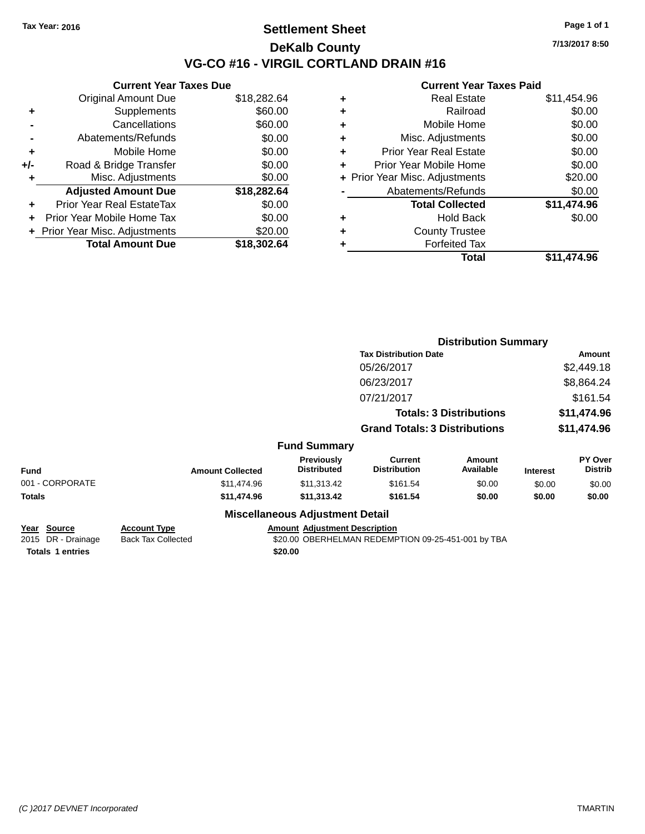### **Settlement Sheet Tax Year: 2016 Page 1 of 1 DeKalb County VG-CO #16 - VIRGIL CORTLAND DRAIN #16**

**Current Year Taxes Due** Original Amount Due \$18,282.64 **+** Supplements \$60.00 **-** Cancellations \$60.00 **-** Abatements/Refunds \$0.00 **+** Mobile Home \$0.00 **+/-** Road & Bridge Transfer \$0.00 **+** Misc. Adjustments \$0.00 **Adjusted Amount Due \$18,282.64 +** Prior Year Real EstateTax \$0.00 **+** Prior Year Mobile Home Tax \$0.00 **+** Prior Year Misc. Adjustments \$20.00 **Total Amount Due \$18,302.64**

|   | <b>Current Year Taxes Paid</b> |             |
|---|--------------------------------|-------------|
| ٠ | <b>Real Estate</b>             | \$11,454.96 |
| ٠ | Railroad                       | \$0.00      |
| ٠ | Mobile Home                    | \$0.00      |
| ٠ | Misc. Adjustments              | \$0.00      |
| ٠ | <b>Prior Year Real Estate</b>  | \$0.00      |
| ٠ | Prior Year Mobile Home         | \$0.00      |
|   | + Prior Year Misc. Adjustments | \$20.00     |
|   | Abatements/Refunds             | \$0.00      |
|   | <b>Total Collected</b>         | \$11,474.96 |
| ٠ | <b>Hold Back</b>               | \$0.00      |
|   | <b>County Trustee</b>          |             |
|   | <b>Forfeited Tax</b>           |             |
|   | Total                          | \$11.474.96 |

|                                                       |                                                  |                                         | <b>Distribution Summary</b>                        |                                |                 |                           |
|-------------------------------------------------------|--------------------------------------------------|-----------------------------------------|----------------------------------------------------|--------------------------------|-----------------|---------------------------|
|                                                       |                                                  |                                         | <b>Tax Distribution Date</b>                       | Amount                         |                 |                           |
|                                                       |                                                  |                                         | 05/26/2017                                         |                                |                 | \$2,449.18                |
|                                                       |                                                  |                                         | 06/23/2017                                         |                                |                 | \$8,864.24                |
|                                                       |                                                  |                                         | 07/21/2017                                         |                                |                 | \$161.54                  |
|                                                       |                                                  |                                         |                                                    | <b>Totals: 3 Distributions</b> |                 | \$11,474.96               |
|                                                       |                                                  |                                         | <b>Grand Totals: 3 Distributions</b>               |                                | \$11,474.96     |                           |
|                                                       |                                                  | <b>Fund Summary</b>                     |                                                    |                                |                 |                           |
| <b>Fund</b>                                           | <b>Amount Collected</b>                          | <b>Previously</b><br><b>Distributed</b> | <b>Current</b><br><b>Distribution</b>              | Amount<br>Available            | <b>Interest</b> | PY Over<br><b>Distrib</b> |
| 001 - CORPORATE                                       | \$11,474.96                                      | \$11,313.42                             | \$161.54                                           | \$0.00                         | \$0.00          | \$0.00                    |
| <b>Totals</b>                                         | \$11,474.96                                      | \$11,313.42                             | \$161.54                                           | \$0.00                         | \$0.00          | \$0.00                    |
|                                                       |                                                  | <b>Miscellaneous Adjustment Detail</b>  |                                                    |                                |                 |                           |
| <u>Year</u><br><b>Source</b><br>2015<br>DR - Drainage | <b>Account Type</b><br><b>Back Tax Collected</b> | <b>Amount Adjustment Description</b>    | \$20.00 OBERHELMAN REDEMPTION 09-25-451-001 by TBA |                                |                 |                           |

**Totals 1 entries** \$20.00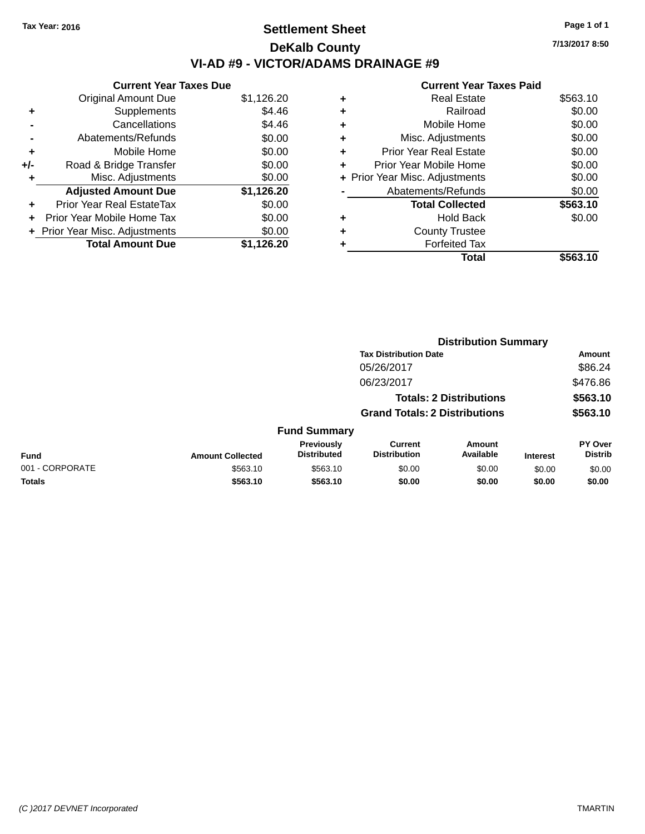### **Settlement Sheet Tax Year: 2016 Page 1 of 1 DeKalb County VI-AD #9 - VICTOR/ADAMS DRAINAGE #9**

|       | <b>Current Year Taxes Due</b>    |            |  |  |  |  |
|-------|----------------------------------|------------|--|--|--|--|
|       | <b>Original Amount Due</b>       | \$1,126.20 |  |  |  |  |
| ٠     | Supplements                      | \$4.46     |  |  |  |  |
|       | Cancellations                    | \$4.46     |  |  |  |  |
|       | Abatements/Refunds               | \$0.00     |  |  |  |  |
| ÷     | Mobile Home                      | \$0.00     |  |  |  |  |
| $+/-$ | Road & Bridge Transfer           | \$0.00     |  |  |  |  |
| ۰     | Misc. Adjustments                | \$0.00     |  |  |  |  |
|       | <b>Adjusted Amount Due</b>       | \$1,126.20 |  |  |  |  |
| ÷     | <b>Prior Year Real EstateTax</b> | \$0.00     |  |  |  |  |
|       | Prior Year Mobile Home Tax       | \$0.00     |  |  |  |  |
|       | + Prior Year Misc. Adjustments   | \$0.00     |  |  |  |  |
|       | <b>Total Amount Due</b>          | \$1,126.20 |  |  |  |  |

#### **Current Year Taxes Paid +** Real Estate \$563.10 **+** Railroad \$0.00 **+** Mobile Home \$0.00 **+** Misc. Adjustments \$0.00 **+** Prior Year Real Estate \$0.00 **+** Prior Year Mobile Home \$0.00 **+ Prior Year Misc. Adjustments**  $$0.00$ **-** Abatements/Refunds \$0.00 **Total Collected \$563.10 +** Hold Back \$0.00 **+** County Trustee **+** Forfeited Tax **Total \$563.10**

**Distribution Summary**

|                 |                         |                                  | <b>Tax Distribution Date</b>         |                                |                 | Amount                           |
|-----------------|-------------------------|----------------------------------|--------------------------------------|--------------------------------|-----------------|----------------------------------|
|                 |                         |                                  | 05/26/2017                           |                                |                 | \$86.24                          |
|                 |                         |                                  | 06/23/2017                           |                                |                 | \$476.86                         |
|                 |                         |                                  |                                      | <b>Totals: 2 Distributions</b> |                 | \$563.10                         |
|                 |                         |                                  | <b>Grand Totals: 2 Distributions</b> |                                |                 | \$563.10                         |
|                 |                         | <b>Fund Summary</b>              |                                      |                                |                 |                                  |
| <b>Fund</b>     | <b>Amount Collected</b> | Previously<br><b>Distributed</b> | Current<br><b>Distribution</b>       | Amount<br>Available            | <b>Interest</b> | <b>PY Over</b><br><b>Distrib</b> |
| 001 - CORPORATE | \$563.10                | \$563.10                         | \$0.00                               | \$0.00                         | \$0.00          | \$0.00                           |
| <b>Totals</b>   | \$563.10                | \$563.10                         | \$0.00                               | \$0.00                         | \$0.00          | \$0.00                           |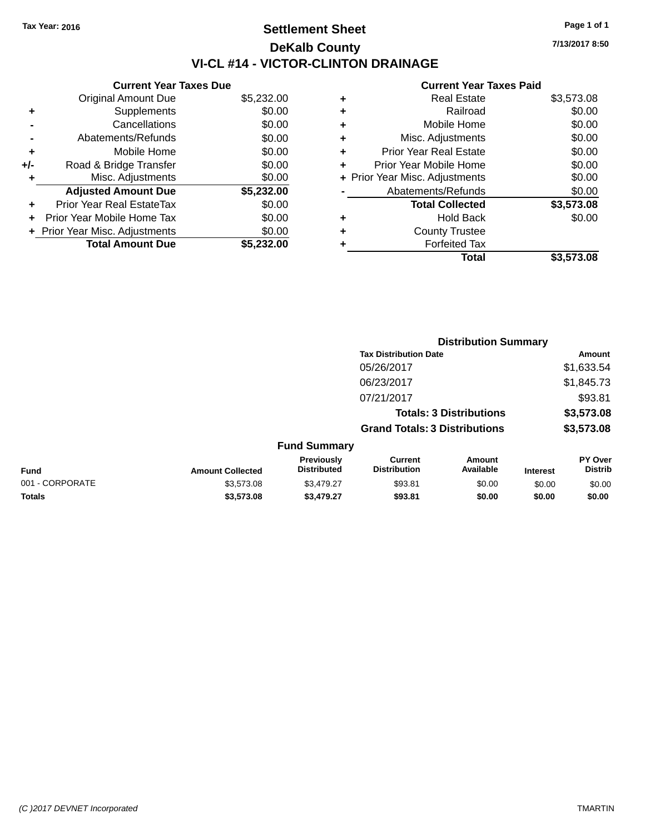### **Settlement Sheet Tax Year: 2016 Page 1 of 1 DeKalb County VI-CL #14 - VICTOR-CLINTON DRAINAGE**

**7/13/2017 8:50**

|     | <b>Current Year Taxes Due</b>  |            |
|-----|--------------------------------|------------|
|     | <b>Original Amount Due</b>     | \$5,232.00 |
| ٠   | Supplements                    | \$0.00     |
|     | Cancellations                  | \$0.00     |
|     | Abatements/Refunds             | \$0.00     |
| ٠   | Mobile Home                    | \$0.00     |
| +/- | Road & Bridge Transfer         | \$0.00     |
|     | Misc. Adjustments              | \$0.00     |
|     | <b>Adjusted Amount Due</b>     | \$5,232.00 |
| ٠   | Prior Year Real EstateTax      | \$0.00     |
|     | Prior Year Mobile Home Tax     | \$0.00     |
|     | + Prior Year Misc. Adjustments | \$0.00     |
|     | <b>Total Amount Due</b>        | \$5.232.00 |
|     |                                |            |

|   | <b>Real Estate</b>             | \$3,573.08 |
|---|--------------------------------|------------|
| ٠ | Railroad                       | \$0.00     |
| ٠ | Mobile Home                    | \$0.00     |
| ٠ | Misc. Adjustments              | \$0.00     |
| ٠ | <b>Prior Year Real Estate</b>  | \$0.00     |
| ÷ | Prior Year Mobile Home         | \$0.00     |
|   | + Prior Year Misc. Adjustments | \$0.00     |
|   | Abatements/Refunds             | \$0.00     |
|   | <b>Total Collected</b>         | \$3,573.08 |
| ٠ | Hold Back                      | \$0.00     |
| ٠ | <b>County Trustee</b>          |            |
| ٠ | <b>Forfeited Tax</b>           |            |
|   | Total                          | \$3,573.08 |
|   |                                |            |

|                 |                         | <b>Distribution Summary</b>      |                                       |                     |                 |                           |  |
|-----------------|-------------------------|----------------------------------|---------------------------------------|---------------------|-----------------|---------------------------|--|
|                 |                         |                                  | <b>Tax Distribution Date</b>          |                     |                 | Amount                    |  |
|                 |                         |                                  | 05/26/2017                            |                     |                 | \$1,633.54                |  |
|                 |                         |                                  | 06/23/2017                            |                     |                 | \$1,845.73                |  |
|                 |                         |                                  | 07/21/2017                            |                     |                 | \$93.81                   |  |
|                 |                         |                                  | <b>Totals: 3 Distributions</b>        |                     |                 | \$3,573.08                |  |
|                 |                         |                                  | <b>Grand Totals: 3 Distributions</b>  |                     |                 | \$3,573.08                |  |
|                 |                         | <b>Fund Summary</b>              |                                       |                     |                 |                           |  |
| <b>Fund</b>     | <b>Amount Collected</b> | Previously<br><b>Distributed</b> | <b>Current</b><br><b>Distribution</b> | Amount<br>Available | <b>Interest</b> | PY Over<br><b>Distrib</b> |  |
| 001 - CORPORATE | \$3,573.08              | \$3,479.27                       | \$93.81                               | \$0.00              | \$0.00          | \$0.00                    |  |
| <b>Totals</b>   | \$3,573.08              | \$3,479.27                       | \$93.81                               | \$0.00              | \$0.00          | \$0.00                    |  |
|                 |                         |                                  |                                       |                     |                 |                           |  |